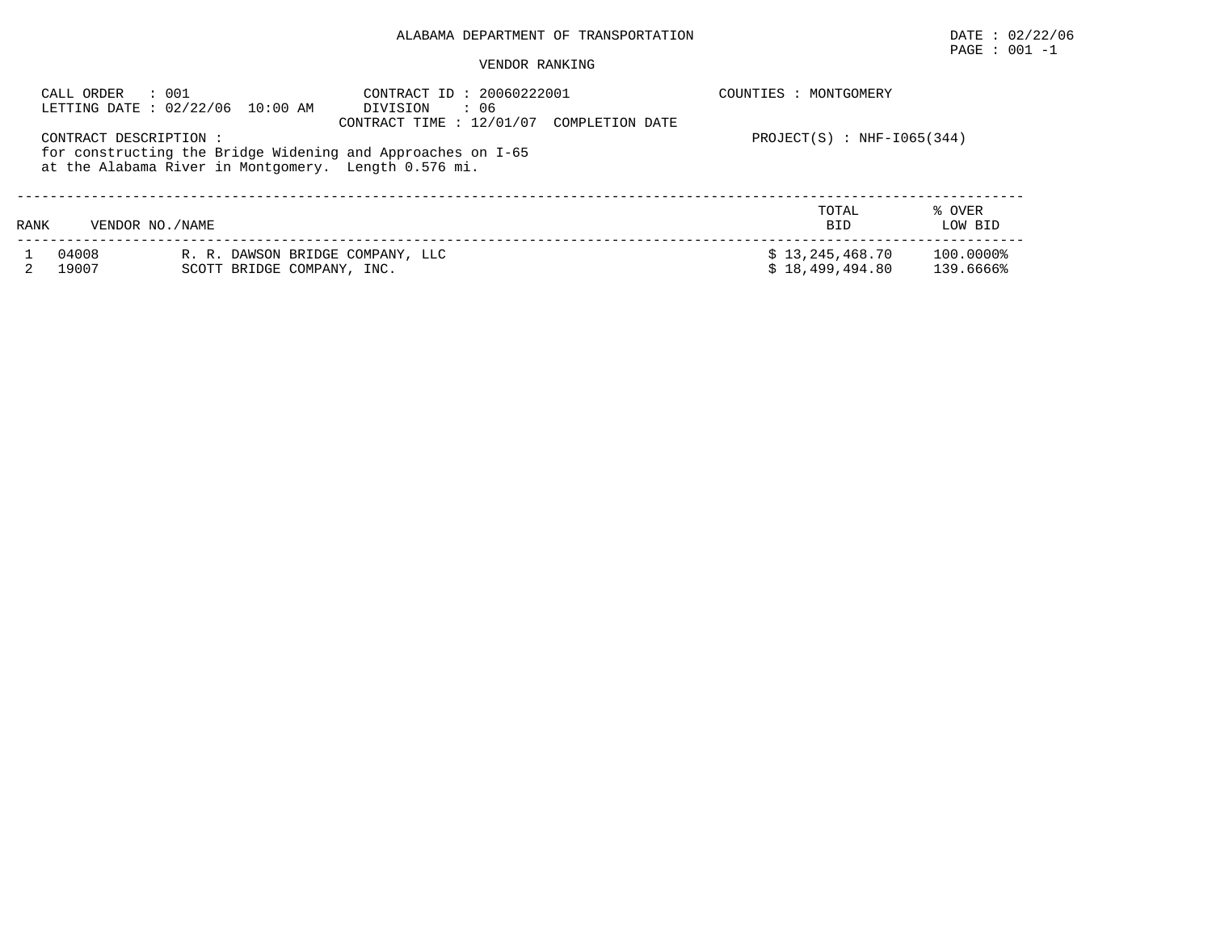# $\texttt{PAGE}$  : 001 -1

#### VENDOR RANKING

|      | : 001<br>CALL ORDER   | LETTING DATE : 02/22/06 10:00 AM                     | CONTRACT ID: 20060222001<br>DIVISION<br>: 06<br>CONTRACT TIME : $12/01/07$<br>COMPLETION DATE | COUNTIES : MONTGOMERY        |           |
|------|-----------------------|------------------------------------------------------|-----------------------------------------------------------------------------------------------|------------------------------|-----------|
|      | CONTRACT DESCRIPTION: |                                                      |                                                                                               | $PROJECT(S)$ : NHF-1065(344) |           |
|      |                       | at the Alabama River in Montgomery. Length 0.576 mi. | for constructing the Bridge Widening and Approaches on I-65                                   |                              |           |
|      |                       |                                                      |                                                                                               | TOTAL                        | % OVER    |
| RANK | VENDOR NO. / NAME     |                                                      |                                                                                               | <b>BID</b>                   | LOW BID   |
|      | 04008                 | R. R. DAWSON BRIDGE COMPANY, LLC                     |                                                                                               | \$13, 245, 468.70            | 100.0000% |
|      | 19007                 | SCOTT BRIDGE COMPANY, INC.                           |                                                                                               | \$18.499.494.80              | 139.6666% |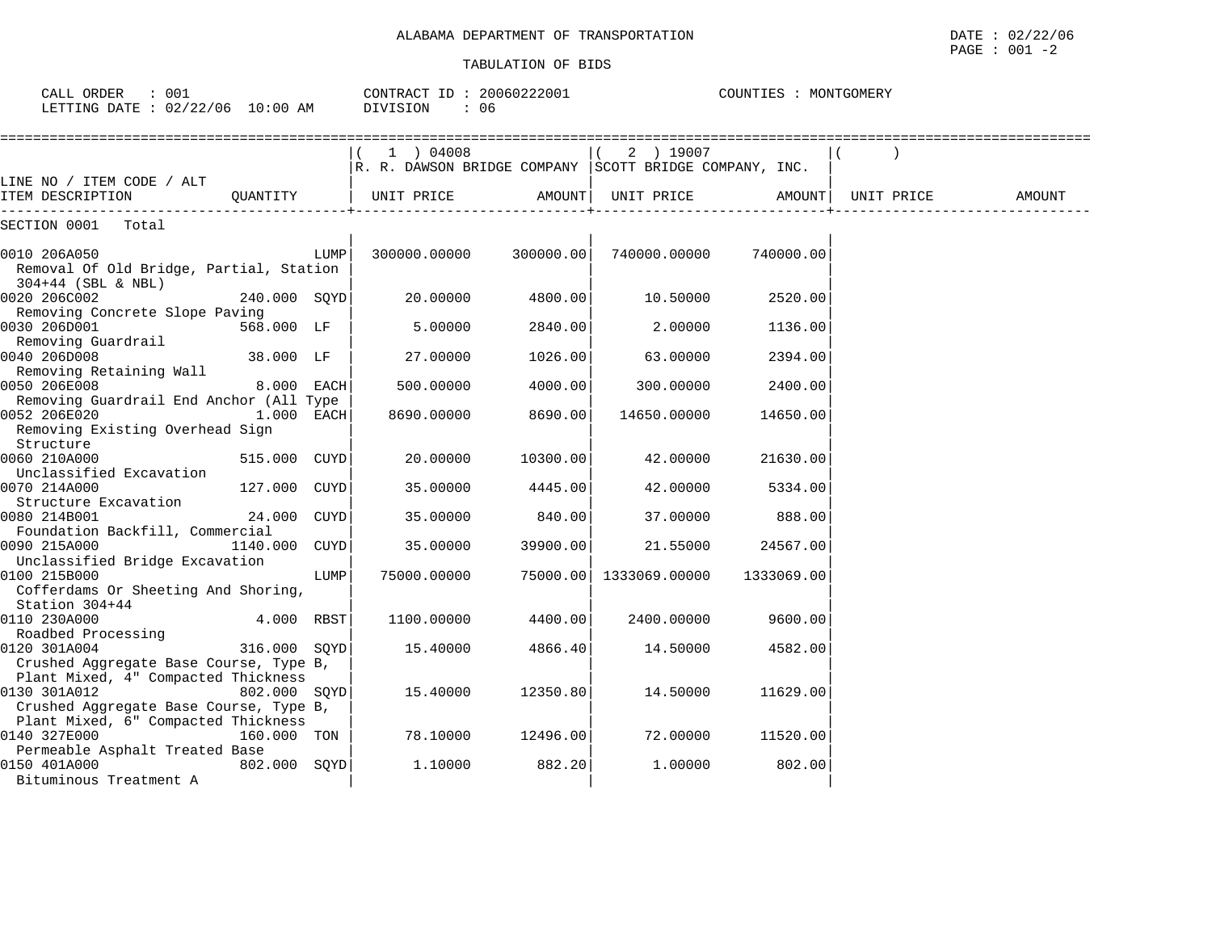| ALABAMA DEPARTMENT OF '<br>'IRANSPORTATION | DATE.<br>02,<br>22/06<br>the contract of the contract of the contract of the contract of the contract of the contract of the contract of |
|--------------------------------------------|------------------------------------------------------------------------------------------------------------------------------------------|
|                                            | 001<br>PAGE<br>$\sim$                                                                                                                    |

| CALL ORDER<br>$\cdot$ 001<br>LETTING DATE : 02/22/06 10:00 AM                                 |              |      | CONTRACT ID: 20060222001<br>: 06<br>DIVISION                            |           |                        | COUNTIES : MONTGOMERY |            |        |
|-----------------------------------------------------------------------------------------------|--------------|------|-------------------------------------------------------------------------|-----------|------------------------|-----------------------|------------|--------|
|                                                                                               |              |      | $(1)$ 04008<br>$R. R.$ DAWSON BRIDGE COMPANY SCOTT BRIDGE COMPANY, INC. |           | $(2)$ 19007            |                       |            |        |
| LINE NO / ITEM CODE / ALT<br>ITEM DESCRIPTION                                                 | OUANTITY     |      | UNIT PRICE                                                              | AMOUNT    | UNIT PRICE             | AMOUNT                | UNIT PRICE | AMOUNT |
| SECTION 0001 Total                                                                            |              |      |                                                                         |           |                        |                       |            |        |
| 0010 206A050<br>Removal Of Old Bridge, Partial, Station<br>$304+44$ (SBL & NBL)               |              | LUMP | 300000.00000                                                            | 300000.00 | 740000.00000           | 740000.00             |            |        |
| 0020 206C002<br>Removing Concrete Slope Paving                                                | 240.000 SQYD |      | 20.00000                                                                | 4800.00   | 10.50000               | 2520.00               |            |        |
| 0030 206D001<br>Removing Guardrail                                                            | 568.000 LF   |      | 5.00000                                                                 | 2840.00   | 2.00000                | 1136.00               |            |        |
| 0040 206D008<br>Removing Retaining Wall                                                       | 38.000 LF    |      | 27.00000                                                                | 1026.00   | 63.00000               | 2394.00               |            |        |
| 0050 206E008<br>Removing Guardrail End Anchor (All Type                                       | 8.000 EACH   |      | 500.00000                                                               | 4000.00   | 300.00000              | 2400.00               |            |        |
| 0052 206E020<br>Removing Existing Overhead Sign<br>Structure                                  | $1.000$ EACH |      | 8690.00000                                                              | 8690.00   | 14650.00000            | 14650.00              |            |        |
| 0060 210A000<br>Unclassified Excavation                                                       | 515.000 CUYD |      | 20,00000                                                                | 10300.00  | 42.00000               | 21630.00              |            |        |
| 0070 214A000<br>Structure Excavation                                                          | 127.000 CUYD |      | 35.00000                                                                | 4445.00   | 42.00000               | 5334.00               |            |        |
| 0080 214B001<br>Foundation Backfill, Commercial                                               | 24.000 CUYD  |      | 35.00000                                                                | 840.00    | 37.00000               | 888.00                |            |        |
| 0090 215A000<br>Unclassified Bridge Excavation                                                | 1140.000     | CUYD | 35.00000                                                                | 39900.00  | 21.55000               | 24567.00              |            |        |
| 0100 215B000<br>Cofferdams Or Sheeting And Shoring,<br>Station 304+44                         |              | LUMP | 75000.00000                                                             |           | 75000.00 1333069.00000 | 1333069.00            |            |        |
| 0110 230A000<br>Roadbed Processing                                                            | 4.000 RBST   |      | 1100.00000                                                              | 4400.00   | 2400.00000             | 9600.00               |            |        |
| 0120 301A004<br>Crushed Aggregate Base Course, Type B,<br>Plant Mixed, 4" Compacted Thickness | 316.000 SOYD |      | 15.40000                                                                | 4866.40   | 14.50000               | 4582.00               |            |        |
| 0130 301A012<br>Crushed Aggregate Base Course, Type B,<br>Plant Mixed, 6" Compacted Thickness | 802.000 SOYD |      | 15.40000                                                                | 12350.80  | 14.50000               | 11629.00              |            |        |
| 0140 327E000                                                                                  | 160.000 TON  |      | 78.10000                                                                | 12496.00  | 72.00000               | 11520.00              |            |        |
| Permeable Asphalt Treated Base<br>0150 401A000<br>Bituminous Treatment A                      | 802.000 SOYD |      | 1,10000                                                                 | 882.20    | 1,00000                | 802.00                |            |        |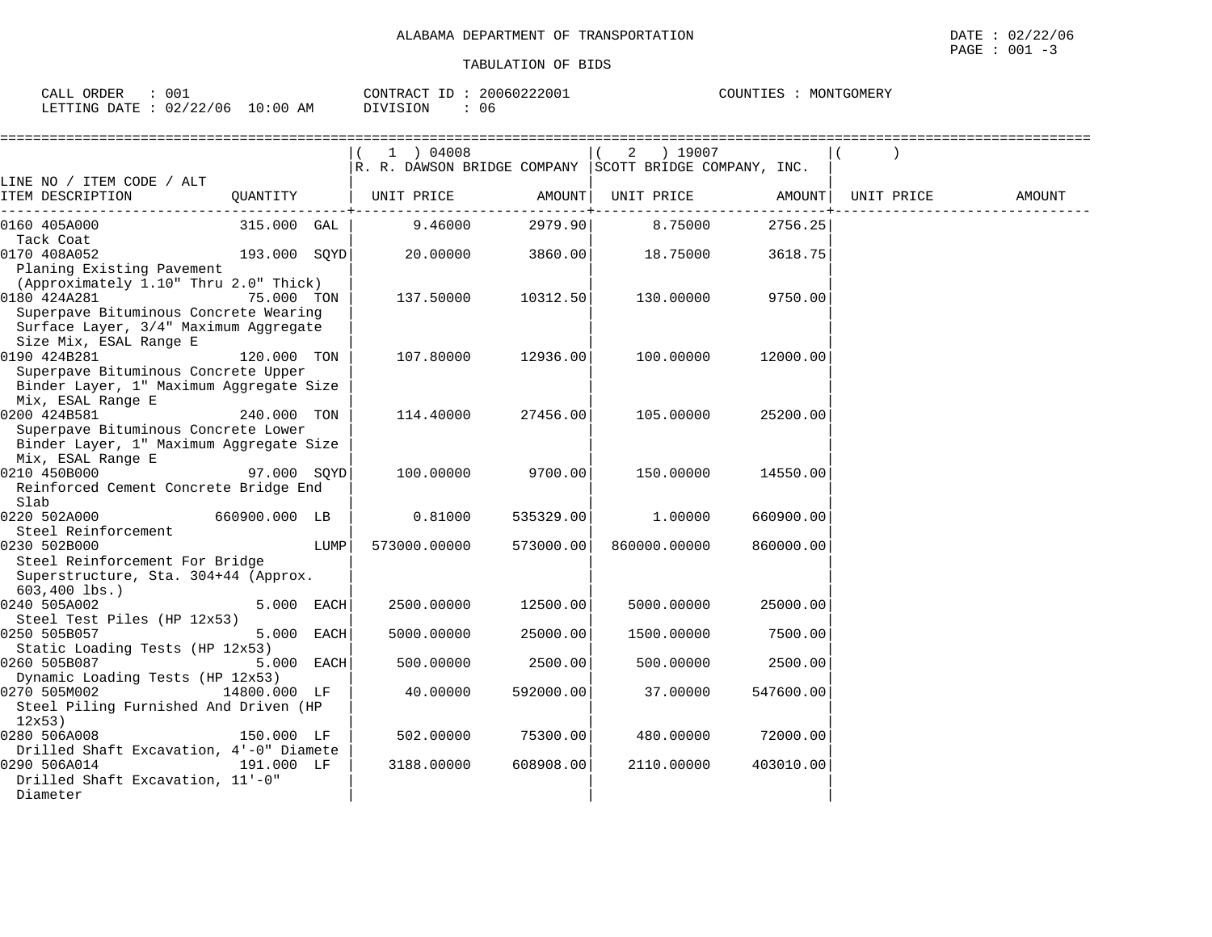CALL ORDER : 001 CONTRACT ID : 20060222001 COUNTIES : MONTGOMERY LETTING DATE : 02/22/06 10:00 AM DIVISION : 06

|                                                                                                                                         |               |      | 1 ) 04008                                              |           | ) 19007<br>2 |           |            |               |
|-----------------------------------------------------------------------------------------------------------------------------------------|---------------|------|--------------------------------------------------------|-----------|--------------|-----------|------------|---------------|
|                                                                                                                                         |               |      | R. R. DAWSON BRIDGE COMPANY SCOTT BRIDGE COMPANY, INC. |           |              |           |            |               |
| LINE NO / ITEM CODE / ALT<br>ITEM DESCRIPTION                                                                                           | QUANTITY      |      | UNIT PRICE                                             | AMOUNT    | UNIT PRICE   | AMOUNT    | UNIT PRICE | <b>AMOUNT</b> |
| 0160 405A000<br>Tack Coat                                                                                                               | 315.000 GAL   |      | 9.46000                                                | 2979.90   | 8.75000      | 2756.25   |            |               |
| 0170 408A052<br>Planing Existing Pavement                                                                                               | 193.000 SOYD  |      | 20,00000                                               | 3860.00   | 18.75000     | 3618.75   |            |               |
| (Approximately 1.10" Thru 2.0" Thick)<br>0180 424A281<br>Superpave Bituminous Concrete Wearing<br>Surface Layer, 3/4" Maximum Aggregate | 75.000 TON    |      | 137.50000                                              | 10312.50  | 130.00000    | 9750.00   |            |               |
| Size Mix, ESAL Range E<br>0190 424B281<br>Superpave Bituminous Concrete Upper                                                           | 120.000 TON   |      | 107.80000                                              | 12936.00  | 100.00000    | 12000.00  |            |               |
| Binder Layer, 1" Maximum Aggregate Size<br>Mix, ESAL Range E<br>0200 424B581<br>Superpave Bituminous Concrete Lower                     | 240.000 TON   |      | 114.40000                                              | 27456.00  | 105.00000    | 25200.00  |            |               |
| Binder Layer, 1" Maximum Aggregate Size<br>Mix, ESAL Range E<br>0210 450B000<br>Reinforced Cement Concrete Bridge End                   | 97.000 SOYD   |      | 100.00000                                              | 9700.00   | 150.00000    | 14550.00  |            |               |
| Slab<br>0220 502A000                                                                                                                    | 660900.000 LB |      | 0.81000                                                | 535329.00 | 1.00000      | 660900.00 |            |               |
| Steel Reinforcement<br>0230 502B000<br>Steel Reinforcement For Bridge                                                                   |               | LUMP | 573000.00000                                           | 573000.00 | 860000.00000 | 860000.00 |            |               |
| Superstructure, Sta. 304+44 (Approx.<br>$603,400$ lbs.)                                                                                 |               |      |                                                        |           |              |           |            |               |
| 0240 505A002<br>Steel Test Piles (HP 12x53)                                                                                             | 5.000 EACH    |      | 2500.00000                                             | 12500.00  | 5000.00000   | 25000.00  |            |               |
| 0250 505B057<br>Static Loading Tests (HP 12x53)                                                                                         | 5.000 EACH    |      | 5000.00000                                             | 25000.00  | 1500.00000   | 7500.00   |            |               |
| 0260 505B087<br>Dynamic Loading Tests (HP 12x53)                                                                                        | 5.000 EACH    |      | 500.00000                                              | 2500.00   | 500.00000    | 2500.00   |            |               |
| 0270 505M002<br>Steel Piling Furnished And Driven (HP<br>12x53)                                                                         | 14800.000 LF  |      | 40.00000                                               | 592000.00 | 37.00000     | 547600.00 |            |               |
| 0280 506A008<br>Drilled Shaft Excavation, 4'-0" Diamete                                                                                 | 150.000 LF    |      | 502.00000                                              | 75300.00  | 480.00000    | 72000.00  |            |               |
| 0290 506A014<br>Drilled Shaft Excavation, 11'-0"<br>Diameter                                                                            | 191.000 LF    |      | 3188.00000                                             | 608908.00 | 2110.00000   | 403010.00 |            |               |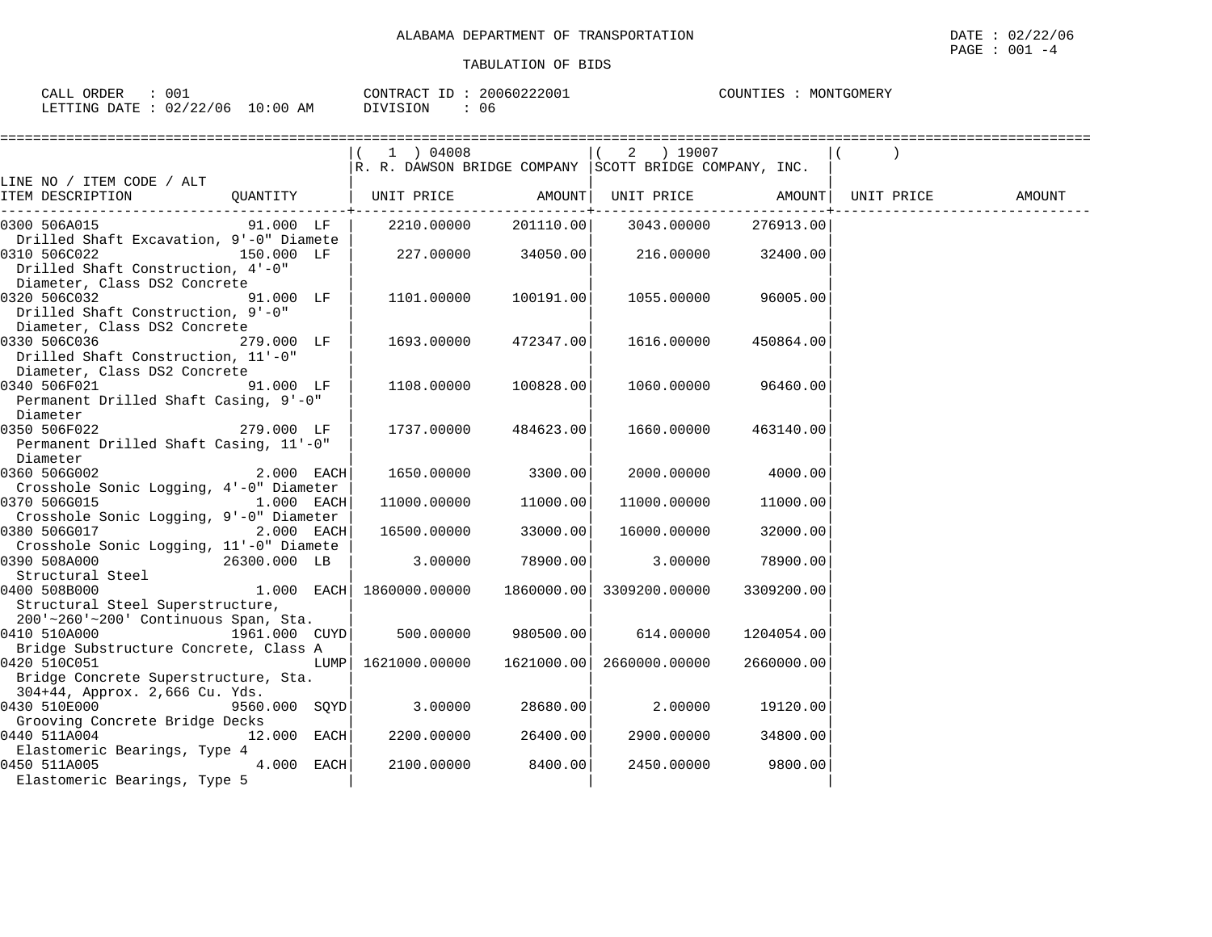| 001<br>ORDER<br>CALL                   | 20060222001<br>CONTRACT ID | COUNTIES<br>MONTGOMERY |
|----------------------------------------|----------------------------|------------------------|
| 02/22/06<br>$10:00$ AM<br>LETTING DATE | 06<br>DIVISION             |                        |

|                                                                                                                                            |               | 1 ) 04008<br>$\vert$ R. R. DAWSON BRIDGE COMPANY SCOTT BRIDGE COMPANY, INC. |                     | 2 ) 19007                                 |                     |        |
|--------------------------------------------------------------------------------------------------------------------------------------------|---------------|-----------------------------------------------------------------------------|---------------------|-------------------------------------------|---------------------|--------|
| LINE NO / ITEM CODE / ALT                                                                                                                  |               |                                                                             |                     |                                           |                     |        |
| ITEM DESCRIPTION                                                                                                                           |               | QUANTITY $\vert$ UNIT PRICE AMOUNT UNIT PRICE AMOUNT $\vert$ UNIT PRICE     |                     |                                           |                     | AMOUNT |
| 0300 506A015 91.000 LF                                                                                                                     |               |                                                                             |                     | 2210.00000 201110.00 3043.00000 276913.00 |                     |        |
| Drilled Shaft Excavation, 9'-0" Diamete<br>0310 506C022 150.000 LF<br>Drilled Shaft Construction, 4'-0"                                    |               | 227.00000 34050.00                                                          |                     | 216.00000                                 | 32400.00            |        |
| Diameter, Class DS2 Concrete<br>$91.000$ LF $\dot{ }$<br>0320 506C032<br>Drilled Shaft Construction, 9'-0"<br>Diameter, Class DS2 Concrete |               | 1101.00000                                                                  | 100191.00           |                                           | 1055.00000 96005.00 |        |
| 0330 506C036 279.000 LF<br>Drilled Shaft Construction, 11'-0"<br>Diameter, Class DS2 Concrete                                              |               | 1693.00000                                                                  | 472347.00           | 1616.00000                                | 450864.00           |        |
| 0340 506F021<br>Permanent Drilled Shaft Casing, 9'-0"<br>Diameter                                                                          | 91.000 LF     | 1108.00000                                                                  | 100828.00           |                                           | 1060.00000 96460.00 |        |
| 279.000 LF<br>0350 506F022<br>Permanent Drilled Shaft Casing, 11'-0"<br>Diameter                                                           |               | 1737.00000                                                                  | 484623.00           | 1660.00000                                | 463140.00           |        |
| 2.000 EACH<br>0360 506G002                                                                                                                 |               | 1650.00000 3300.00                                                          |                     | 2000.00000                                | 4000.00             |        |
| Crosshole Sonic Logging, 4'-0" Diameter<br>0370 506G015<br>1.000 EACH                                                                      |               | 11000.00000                                                                 | 11000.00            | 11000.00000                               | 11000.00            |        |
| Crosshole Sonic Logging, 9'-0" Diameter                                                                                                    |               |                                                                             |                     |                                           |                     |        |
| 0380 506G017 2.000 EACH<br>Crosshole Sonic Logging, 11'-0" Diamete                                                                         |               | $16500.00000$ 33000.00                                                      |                     | 16000.00000                               | 32000.00            |        |
| 0390 508A000<br>26300.000 LB<br>Structural Steel                                                                                           |               |                                                                             | $3.00000$ 78900.00  | 3.00000                                   | 78900.00            |        |
| 0400 508B000                                                                                                                               |               | $1.000$ EACH 1860000.00000                                                  |                     | 1860000.00 3309200.00000                  | 3309200.00          |        |
| Structural Steel Superstructure,<br>200'~260'~200' Continuous Span, Sta.                                                                   |               |                                                                             |                     |                                           |                     |        |
| 1961.000 CUYD<br>0410 510A000                                                                                                              |               |                                                                             | 500.00000 980500.00 | 614.00000                                 | 1204054.00          |        |
| Bridge Substructure Concrete, Class A<br>0420 510C051<br>Bridge Concrete Superstructure, Sta.                                              |               | LUMP  1621000.00000                                                         |                     | 1621000.00 2660000.00000                  | 2660000.00          |        |
| 304+44, Approx. 2,666 Cu. Yds.<br>0430 510E000 00000<br>Grooving Concrete Bridge Decks                                                     | 9560.000 SQYD | $3.00000$ $28680.00$ $2.00000$                                              |                     |                                           | 19120.00            |        |
| 0440 511A004                                                                                                                               | $12.000$ EACH | 2200.00000                                                                  | 26400.00            | 2900.00000                                | 34800.00            |        |
| Elastomeric Bearings, Type 4<br>4.000 EACH<br>0450 511A005<br>Elastomeric Bearings, Type 5                                                 |               | 2100.00000 8400.00                                                          |                     | 2450.00000                                | 9800.00             |        |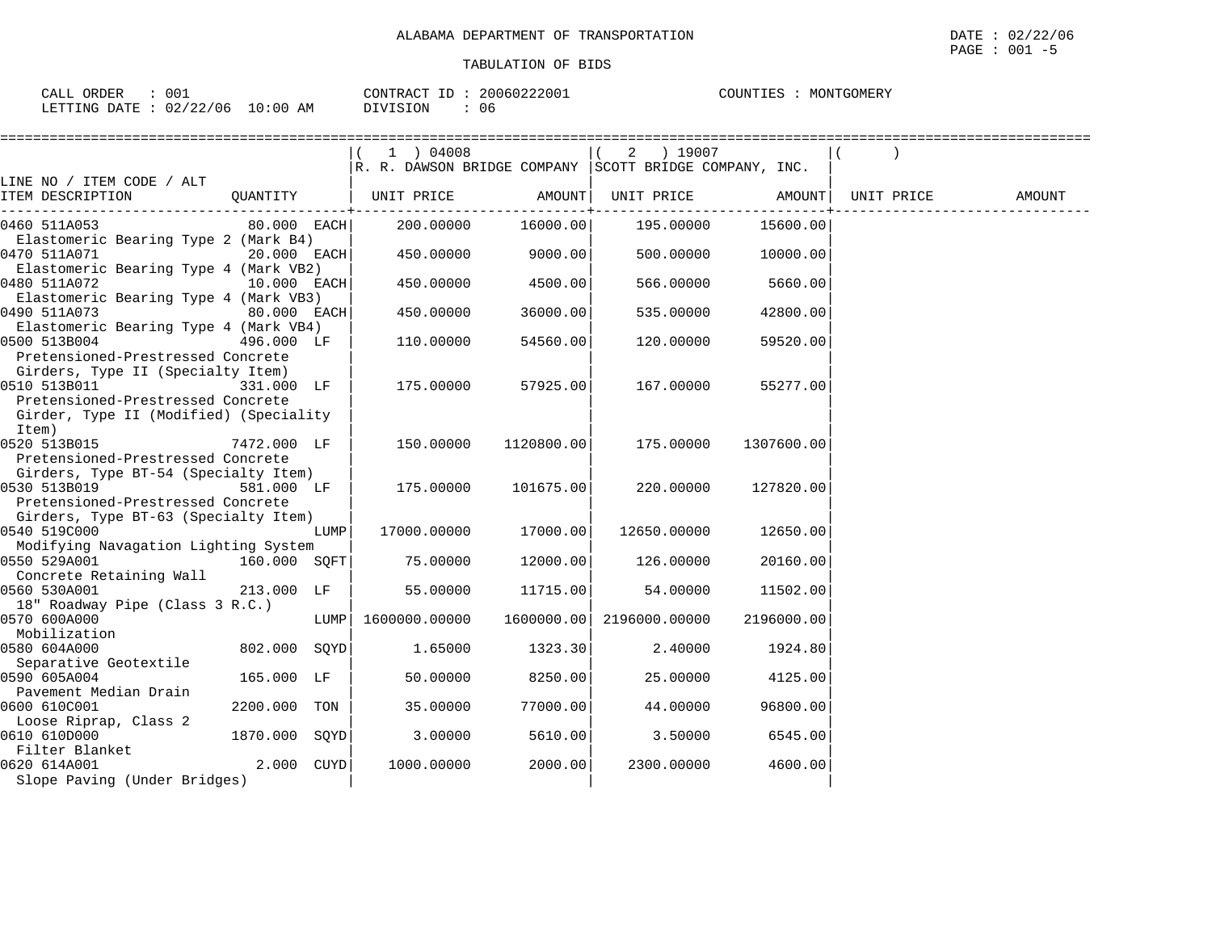| 00i<br>ORDER<br><b>CALL</b>              | 20060222001<br>CONTRACT<br>ID | MONTGOMERY<br>COUNTIES |
|------------------------------------------|-------------------------------|------------------------|
| : 02/22/06<br>$10:00$ AM<br>LETTING DATE | 06<br>DIVISION                |                        |

|                                                   |               |      | $1$ ) 04008                                            |            | ) 19007<br>2  |            |            |        |
|---------------------------------------------------|---------------|------|--------------------------------------------------------|------------|---------------|------------|------------|--------|
|                                                   |               |      | R. R. DAWSON BRIDGE COMPANY SCOTT BRIDGE COMPANY, INC. |            |               |            |            |        |
| LINE NO / ITEM CODE / ALT                         |               |      |                                                        |            |               |            |            |        |
| ITEM DESCRIPTION                                  | QUANTITY      |      | UNIT PRICE                                             | AMOUNT     | UNIT PRICE    | AMOUNT     | UNIT PRICE | AMOUNT |
| 0460 511A053                                      | $80.000$ EACH |      | 200.00000                                              | 16000.00   | 195.00000     | 15600.00   |            |        |
| Elastomeric Bearing Type 2 (Mark B4)              |               |      |                                                        |            |               |            |            |        |
| 0470 511A071                                      | $20.000$ EACH |      | 450.00000                                              | 9000.00    | 500.00000     | 10000.00   |            |        |
| Elastomeric Bearing Type 4 (Mark VB2)             |               |      |                                                        |            |               |            |            |        |
| 0480 511A072                                      | 10.000 EACH   |      | 450.00000                                              | 4500.00    | 566.00000     | 5660.00    |            |        |
| Elastomeric Bearing Type 4 (Mark VB3)             |               |      |                                                        |            |               |            |            |        |
| 0490 511A073                                      | 80.000 EACH   |      | 450.00000                                              | 36000.00   | 535.00000     | 42800.00   |            |        |
| Elastomeric Bearing Type 4 (Mark VB4)             |               |      |                                                        |            |               |            |            |        |
| 0500 513B004                                      | 496.000 LF    |      | 110.00000                                              | 54560.00   | 120.00000     | 59520.00   |            |        |
| Pretensioned-Prestressed Concrete                 |               |      |                                                        |            |               |            |            |        |
| Girders, Type II (Specialty Item)<br>0510 513B011 | 331.000 LF    |      | 175.00000                                              | 57925.00   | 167.00000     | 55277.00   |            |        |
| Pretensioned-Prestressed Concrete                 |               |      |                                                        |            |               |            |            |        |
| Girder, Type II (Modified) (Speciality            |               |      |                                                        |            |               |            |            |        |
| Item)                                             |               |      |                                                        |            |               |            |            |        |
| 0520 513B015                                      | 7472.000 LF   |      | 150.00000                                              | 1120800.00 | 175.00000     | 1307600.00 |            |        |
| Pretensioned-Prestressed Concrete                 |               |      |                                                        |            |               |            |            |        |
| Girders, Type BT-54 (Specialty Item)              |               |      |                                                        |            |               |            |            |        |
| 0530 513B019                                      | 581.000 LF    |      | 175.00000                                              | 101675.00  | 220,00000     | 127820.00  |            |        |
| Pretensioned-Prestressed Concrete                 |               |      |                                                        |            |               |            |            |        |
| Girders, Type BT-63 (Specialty Item)              |               |      |                                                        |            |               |            |            |        |
| 0540 519C000                                      |               | LUMP | 17000.00000                                            | 17000.00   | 12650.00000   | 12650.00   |            |        |
| Modifying Navagation Lighting System              |               |      |                                                        |            |               |            |            |        |
| 0550 529A001                                      | 160.000 SOFT  |      | 75.00000                                               | 12000.00   | 126.00000     | 20160.00   |            |        |
| Concrete Retaining Wall                           |               |      |                                                        |            |               |            |            |        |
| 0560 530A001<br>18" Roadway Pipe (Class 3 R.C.)   | 213.000 LF    |      | 55.00000                                               | 11715.00   | 54.00000      | 11502.00   |            |        |
| 0570 600A000                                      |               | LUMP | 1600000.00000                                          | 1600000.00 | 2196000.00000 | 2196000.00 |            |        |
| Mobilization                                      |               |      |                                                        |            |               |            |            |        |
| 0580 604A000                                      | 802.000 SOYD  |      | 1.65000                                                | 1323.30    | 2.40000       | 1924.80    |            |        |
| Separative Geotextile                             |               |      |                                                        |            |               |            |            |        |
| 0590 605A004                                      | 165.000 LF    |      | 50.00000                                               | 8250.00    | 25.00000      | 4125.00    |            |        |
| Pavement Median Drain                             |               |      |                                                        |            |               |            |            |        |
| 0600 610C001                                      | 2200.000      | TON  | 35.00000                                               | 77000.00   | 44.00000      | 96800.00   |            |        |
| Loose Riprap, Class 2                             |               |      |                                                        |            |               |            |            |        |
| 0610 610D000                                      | 1870.000 SOYD |      | 3.00000                                                | 5610.00    | 3.50000       | 6545.00    |            |        |
| Filter Blanket                                    |               |      |                                                        |            |               |            |            |        |
| 0620 614A001                                      | 2.000 CUYD    |      | 1000.00000                                             | 2000.00    | 2300.00000    | 4600.00    |            |        |
| Slope Paving (Under Bridges)                      |               |      |                                                        |            |               |            |            |        |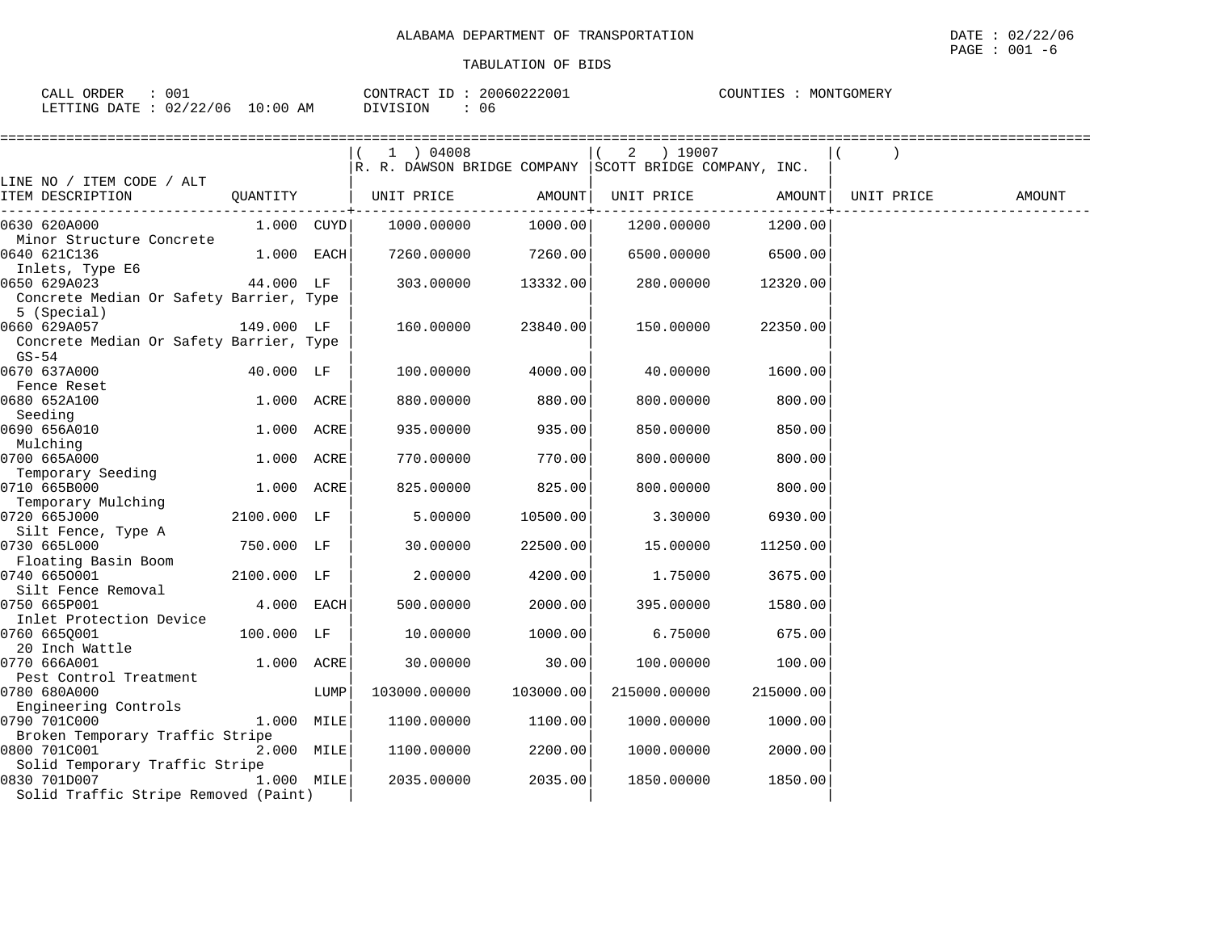|                                                    |             |              | 1 ) 04008                                              |           | 2 ) 19007                                                                 |           |            |        |
|----------------------------------------------------|-------------|--------------|--------------------------------------------------------|-----------|---------------------------------------------------------------------------|-----------|------------|--------|
|                                                    |             |              | R. R. DAWSON BRIDGE COMPANY SCOTT BRIDGE COMPANY, INC. |           |                                                                           |           |            |        |
| LINE NO / ITEM CODE / ALT                          |             |              |                                                        |           |                                                                           |           |            |        |
| QUANTITY<br>ITEM DESCRIPTION                       |             |              | UNIT PRICE                                             | AMOUNT    | UNIT PRICE<br>. _ _ _ _ _ _ _ _ _ _ _ _ _ _ _ + _ _ _ _ _ _ _ _ _ _ _ _ _ | AMOUNT    | UNIT PRICE | AMOUNT |
| 0630 620A000                                       | 1.000 CUYD  |              | 1000.00000                                             | 1000.00   | 1200.00000                                                                | 1200.00   |            |        |
| Minor Structure Concrete                           |             |              |                                                        |           |                                                                           |           |            |        |
| 0640 621C136                                       |             | $1.000$ EACH | 7260.00000                                             | 7260.00   | 6500.00000                                                                | 6500.00   |            |        |
| Inlets, Type E6                                    |             |              |                                                        |           |                                                                           |           |            |        |
| 44.000 LF<br>0650 629A023                          |             |              | 303.00000                                              | 13332.00  | 280.00000                                                                 | 12320.00  |            |        |
| Concrete Median Or Safety Barrier, Type            |             |              |                                                        |           |                                                                           |           |            |        |
| 5 (Special)                                        |             |              |                                                        |           |                                                                           |           |            |        |
| 0660 629A057                                       | 149.000 LF  |              | 160.00000                                              | 23840.00  | 150.00000                                                                 | 22350.00  |            |        |
| Concrete Median Or Safety Barrier, Type<br>$GS-54$ |             |              |                                                        |           |                                                                           |           |            |        |
| 0670 637A000                                       | 40.000 LF   |              | 100.00000                                              | 4000.00   | 40.00000                                                                  | 1600.00   |            |        |
| Fence Reset                                        |             |              |                                                        |           |                                                                           |           |            |        |
| 0680 652A100                                       |             | 1.000 ACRE   | 880.00000                                              | 880.00    | 800.00000                                                                 | 800.00    |            |        |
| Seeding                                            |             |              |                                                        |           |                                                                           |           |            |        |
| 0690 656A010                                       |             | 1.000 ACRE   | 935.00000                                              | 935.00    | 850.00000                                                                 | 850.00    |            |        |
| Mulching                                           |             |              |                                                        |           |                                                                           |           |            |        |
| 0700 665A000<br>Temporary Seeding                  |             | 1.000 ACRE   | 770.00000                                              | 770.00    | 800.00000                                                                 | 800.00    |            |        |
| 0710 665B000                                       |             | 1.000 ACRE   | 825.00000                                              | 825.00    | 800,00000                                                                 | 800.00    |            |        |
| Temporary Mulching                                 |             |              |                                                        |           |                                                                           |           |            |        |
| 0720 665J000                                       | 2100.000 LF |              | 5.00000                                                | 10500.00  | 3.30000                                                                   | 6930.00   |            |        |
| Silt Fence, Type A                                 |             |              |                                                        |           |                                                                           |           |            |        |
| 0730 665L000                                       | 750.000 LF  |              | 30.00000                                               | 22500.00  | 15.00000                                                                  | 11250.00  |            |        |
| Floating Basin Boom                                |             |              |                                                        |           |                                                                           |           |            |        |
| 0740 6650001                                       | 2100.000 LF |              | 2.00000                                                | 4200.00   | 1.75000                                                                   | 3675.00   |            |        |
| Silt Fence Removal                                 |             |              |                                                        |           |                                                                           |           |            |        |
| 0750 665P001                                       |             | 4.000 EACH   | 500.00000                                              | 2000.00   | 395.00000                                                                 | 1580.00   |            |        |
| Inlet Protection Device                            |             |              |                                                        |           |                                                                           |           |            |        |
| 0760 6650001                                       | 100.000 LF  |              | 10.00000                                               | 1000.00   | 6.75000                                                                   | 675.00    |            |        |
| 20 Inch Wattle                                     |             |              |                                                        |           |                                                                           |           |            |        |
| 0770 666A001                                       |             | 1.000 ACRE   | 30.00000                                               | 30.00     | 100.00000                                                                 | 100.00    |            |        |
| Pest Control Treatment                             |             |              |                                                        |           |                                                                           |           |            |        |
| 0780 680A000<br>Engineering Controls               |             | LUMP         | 103000.00000                                           | 103000.00 | 215000.00000                                                              | 215000.00 |            |        |
| 0790 701C000                                       |             | 1.000 MILE   | 1100.00000                                             | 1100.00   | 1000.00000                                                                | 1000.00   |            |        |
| Broken Temporary Traffic Stripe                    |             |              |                                                        |           |                                                                           |           |            |        |
| 0800 701C001                                       |             | 2.000 MILE   | 1100.00000                                             | 2200.00   | 1000.00000                                                                | 2000.00   |            |        |
| Solid Temporary Traffic Stripe                     |             |              |                                                        |           |                                                                           |           |            |        |
| 0830 701D007                                       |             | 1.000 MILE   | 2035.00000                                             | 2035.00   | 1850.00000                                                                | 1850.00   |            |        |
| Solid Traffic Stripe Removed (Paint)               |             |              |                                                        |           |                                                                           |           |            |        |
|                                                    |             |              |                                                        |           |                                                                           |           |            |        |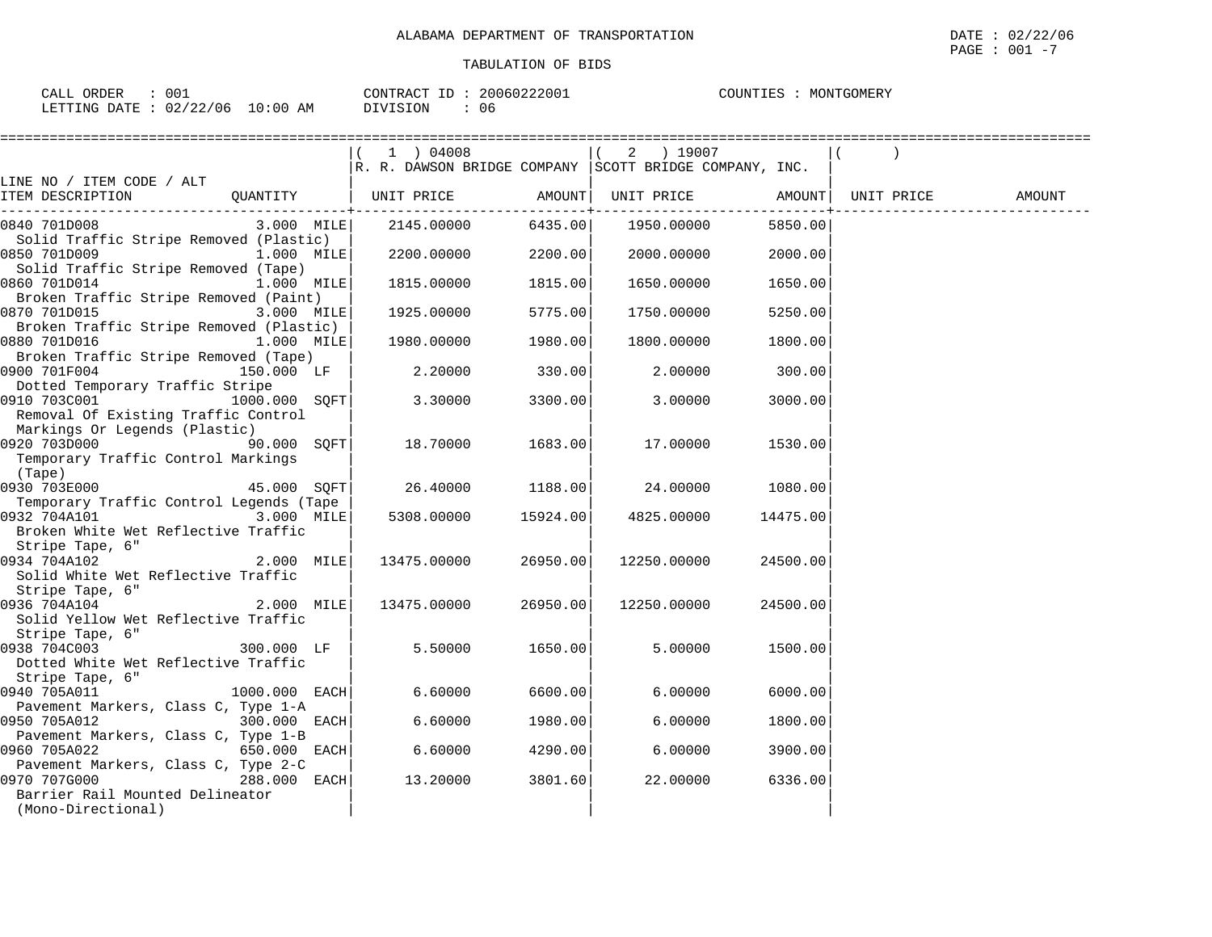| 00<br>ORDER<br>CALL                                                                                                                                                                                                                                          | CONTRACT                  |    | 20060222001 | COUNTIES | MONTGOMERY |
|--------------------------------------------------------------------------------------------------------------------------------------------------------------------------------------------------------------------------------------------------------------|---------------------------|----|-------------|----------|------------|
| : 02/22/06<br>LETTING DATE<br>the contract of the contract of the contract of the contract of the contract of the contract of the contract of the contract of the contract of the contract of the contract of the contract of the contract of the contract o | 10:00<br>AΜ<br>17   S   L | U6 |             |          |            |

| ==============                                        |                 |                                                        |          |                     |          |            |        |
|-------------------------------------------------------|-----------------|--------------------------------------------------------|----------|---------------------|----------|------------|--------|
|                                                       |                 |                                                        |          | 2 ) 19007           |          |            |        |
|                                                       |                 | R. R. DAWSON BRIDGE COMPANY SCOTT BRIDGE COMPANY, INC. |          |                     |          |            |        |
| LINE NO / ITEM CODE / ALT                             |                 |                                                        |          |                     |          |            |        |
| ITEM DESCRIPTION                                      |                 | QUANTITY   UNIT PRICE AMOUNT   UNIT PRICE AMOUNT       |          |                     |          | UNIT PRICE | AMOUNT |
| 0840 701D008                                          |                 | 3.000 MILE 2145.00000                                  |          | 6435.00  1950.00000 | 5850.00  |            |        |
| Solid Traffic Stripe Removed (Plastic)                |                 |                                                        |          |                     |          |            |        |
| 0850 701D009                                          | $1.000$ MILE    | $2200.00000$ $2200.00$                                 |          | 2000.00000          | 2000.00  |            |        |
| Solid Traffic Stripe Removed (Tape)                   |                 |                                                        |          |                     |          |            |        |
| 0860 701D014                                          | $1.000$ MILE    | 1815.00000                                             | 1815.00  | 1650.00000          | 1650.00  |            |        |
| Broken Traffic Stripe Removed (Paint)                 |                 |                                                        |          |                     |          |            |        |
| 0870 701D015                                          | $3.000$ MILE    | 1925.00000                                             | 5775.00  | 1750.00000          | 5250.00  |            |        |
| Broken Traffic Stripe Removed (Plastic)               |                 |                                                        |          |                     |          |            |        |
| $1.000$ MILE<br>0880 701D016                          |                 | 1980.00000                                             | 1980.00  | 1800.00000          | 1800.00  |            |        |
| Broken Traffic Stripe Removed (Tape)                  |                 |                                                        |          |                     |          |            |        |
| 0900 701F004                                          | 150.000 LF      | 2.20000                                                | 330.00   | 2.00000             | 300.00   |            |        |
| Dotted Temporary Traffic Stripe                       |                 |                                                        |          |                     |          |            |        |
| 0910 703C001                                          | $1000.000$ SQFT | 3.30000                                                | 3300.00  | 3.00000             | 3000.00  |            |        |
| Removal Of Existing Traffic Control                   |                 |                                                        |          |                     |          |            |        |
| Markings Or Legends (Plastic)                         |                 |                                                        |          |                     |          |            |        |
|                                                       | 90.000 SQFT     | 18.70000                                               | 1683.00  | 17.00000            | 1530.00  |            |        |
| Temporary Traffic Control Markings                    |                 |                                                        |          |                     |          |            |        |
| (Tape)<br>$45.000$ SQFT<br>0930 703E000               |                 | 26.40000                                               | 1188.00  | 24.00000            |          |            |        |
| Temporary Traffic Control Legends (Tape               |                 |                                                        |          |                     | 1080.00  |            |        |
| 0932 704A101                                          | $3.000$ MILE    | 5308.00000                                             | 15924.00 | 4825.00000          | 14475.00 |            |        |
| Broken White Wet Reflective Traffic                   |                 |                                                        |          |                     |          |            |        |
| Stripe Tape, 6"                                       |                 |                                                        |          |                     |          |            |        |
| 0934 704A102                                          | $2.000$ MILE    | 13475.00000                                            | 26950.00 | 12250.00000         | 24500.00 |            |        |
| Solid White Wet Reflective Traffic                    |                 |                                                        |          |                     |          |            |        |
| Stripe Tape, 6"                                       |                 |                                                        |          |                     |          |            |        |
| 0936 704A104                                          | $2.000$ MILE    | 13475.00000                                            | 26950.00 | 12250.00000         | 24500.00 |            |        |
| Solid Yellow Wet Reflective Traffic                   |                 |                                                        |          |                     |          |            |        |
| Stripe Tape, 6"                                       |                 |                                                        |          |                     |          |            |        |
| 300.000 LF<br>0938 704C003                            |                 | 5.50000                                                | 1650.00  | 5.00000             | 1500.00  |            |        |
| Dotted White Wet Reflective Traffic                   |                 |                                                        |          |                     |          |            |        |
| Stripe Tape, 6"                                       |                 |                                                        |          |                     |          |            |        |
| 0940 705A011                                          | $1000.000$ EACH | 6.60000                                                | 6600.00  | 6.00000             | 6000.00  |            |        |
| Pavement Markers, Class C, Type 1-A                   |                 |                                                        |          |                     |          |            |        |
| 0950 705A012 300.000 EACH                             |                 | 6.60000                                                | 1980.00  | 6.00000             | 1800.00  |            |        |
| Pavement Markers, Class C, Type 1-B                   |                 |                                                        |          |                     |          |            |        |
| 0960 705A022                                          | 650.000 EACH    | 6.60000                                                | 4290.00  | 6.00000             | 3900.00  |            |        |
| Pavement Markers, Class C, Type 2-C                   |                 |                                                        |          |                     |          |            |        |
| 0970 707G000                                          | 288.000 EACH    | 13.20000                                               | 3801.60  | 22.00000            | 6336.00  |            |        |
| Barrier Rail Mounted Delineator<br>(Mono-Directional) |                 |                                                        |          |                     |          |            |        |
|                                                       |                 |                                                        |          |                     |          |            |        |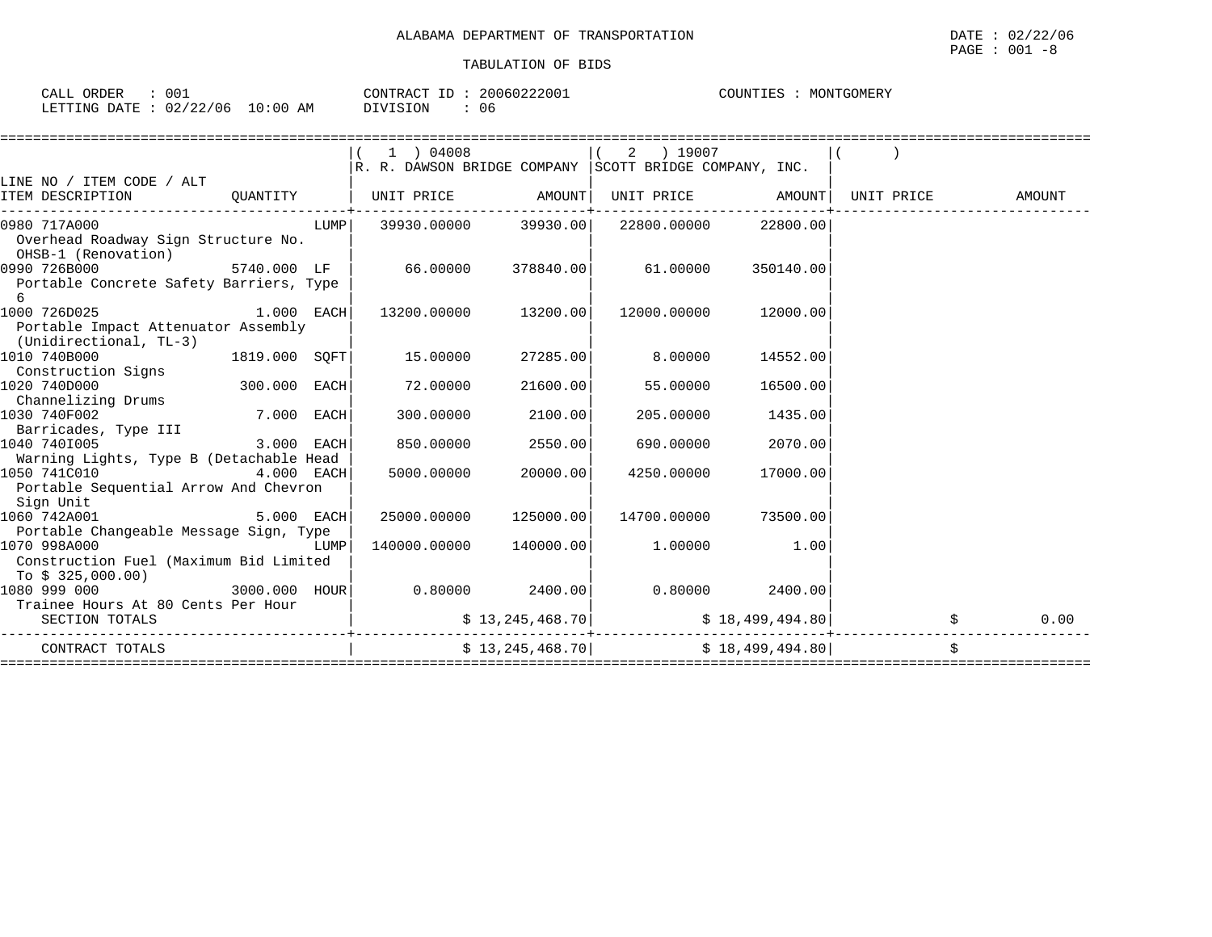| 001<br>$\bigcap$<br>CALL<br>.           | 20060222001<br>CONTRACT | C<br>MONTGOMERY<br>. :UUN I I E.S<br>. |
|-----------------------------------------|-------------------------|----------------------------------------|
| 10:00<br>LETTING DATE<br>02/22/06<br>AΜ | 06<br>IVISION           |                                        |

|                                                               |                            |      | 1 ) 04008<br>$\mathbb{R}$ . R. DAWSON BRIDGE COMPANY $ \text{SCOTT}$ BRIDGE COMPANY, INC. |                                | 2 ) 19007                                                                   |           |                              |        |
|---------------------------------------------------------------|----------------------------|------|-------------------------------------------------------------------------------------------|--------------------------------|-----------------------------------------------------------------------------|-----------|------------------------------|--------|
| LINE NO / ITEM CODE / ALT                                     |                            |      |                                                                                           |                                |                                                                             |           |                              |        |
| ITEM DESCRIPTION                                              |                            |      | QUANTITY   UNIT PRICE AMOUNT                                                              | ----------------+------------- |                                                                             |           | UNIT PRICE AMOUNT UNIT PRICE | AMOUNT |
| 0980 717A000                                                  |                            | LUMP |                                                                                           |                                | $39930.00000$ $39930.00$ $22800.00000$ $22800.00$                           |           |                              |        |
| Overhead Roadway Sign Structure No.<br>OHSB-1 (Renovation)    |                            |      |                                                                                           |                                |                                                                             |           |                              |        |
| 0990 726B000                                                  |                            |      | $5740.000$ LF $\vert$ $66.00000$ $378840.00\vert$ $61.00000$                              |                                |                                                                             | 350140.00 |                              |        |
| Portable Concrete Safety Barriers, Type<br>6                  |                            |      |                                                                                           |                                |                                                                             |           |                              |        |
| $1.000$ EACH<br>1000 726D025                                  |                            |      |                                                                                           | 13200.00000 13200.00           | 12000.00000                                                                 | 12000.00  |                              |        |
| Portable Impact Attenuator Assembly<br>(Unidirectional, TL-3) |                            |      |                                                                                           |                                |                                                                             |           |                              |        |
| 1010 740B000                                                  | 1819.000 SOFT              |      | 15.00000                                                                                  | 27285.00                       | 8.00000                                                                     | 14552.00  |                              |        |
| Construction Signs                                            |                            |      |                                                                                           |                                |                                                                             |           |                              |        |
| 1020 740D000                                                  | $300.000$ EACH             |      | 72.00000                                                                                  | 21600.00                       | 55.00000                                                                    | 16500.00  |                              |        |
| Channelizing Drums                                            |                            |      |                                                                                           |                                |                                                                             |           |                              |        |
| 1030 740F002                                                  | 7.000 EACH                 |      |                                                                                           | 300.00000 2100.00              | 205.00000                                                                   | 1435.00   |                              |        |
| Barricades, Type III                                          |                            |      |                                                                                           |                                |                                                                             |           |                              |        |
| 1040 7401005                                                  | $3.000$ EACH               |      |                                                                                           | 850.00000 2550.00              | 690.00000                                                                   | 2070.00   |                              |        |
| Warning Lights, Type B (Detachable Head                       |                            |      |                                                                                           |                                |                                                                             |           |                              |        |
| 1050 741C010 4.000 EACH                                       |                            |      | 5000.00000                                                                                | 20000.00                       | 4250.00000                                                                  | 17000.00  |                              |        |
| Portable Sequential Arrow And Chevron                         |                            |      |                                                                                           |                                |                                                                             |           |                              |        |
| Sign Unit                                                     |                            |      |                                                                                           |                                |                                                                             |           |                              |        |
| 1060 742A001                                                  | $5.000$ EACH               |      |                                                                                           | 25000.00000 125000.00          | 14700.00000                                                                 | 73500.00  |                              |        |
| Portable Changeable Message Sign, Type                        |                            |      |                                                                                           |                                |                                                                             |           |                              |        |
| 1070 998A000                                                  |                            |      |                                                                                           | 140000.00000 140000.00         | 1.00000                                                                     | 1.00      |                              |        |
| Construction Fuel (Maximum Bid Limited                        |                            |      |                                                                                           |                                |                                                                             |           |                              |        |
| To \$ 325,000.00)                                             |                            |      |                                                                                           |                                |                                                                             |           |                              |        |
| 1080 999 000                                                  |                            |      | $3000.000$ $H\text{OUR}$ $0.80000$ $2400.00$ $0.80000$ $2400.00$                          |                                |                                                                             |           |                              |        |
| Trainee Hours At 80 Cents Per Hour                            |                            |      |                                                                                           |                                |                                                                             |           |                              |        |
| SECTION TOTALS                                                |                            |      |                                                                                           |                                | $\ddot{S}$ 13,245,468.70 $\ddot{S}$ 18,499,494.80                           |           |                              | 0.00   |
| CONTRACT TOTALS                                               | ----------------------+--- |      |                                                                                           |                                | $\frac{13}{245}$ , 245, 468.70 $\frac{1}{2}$ $\frac{18}{499}$ , 499, 494.80 |           |                              |        |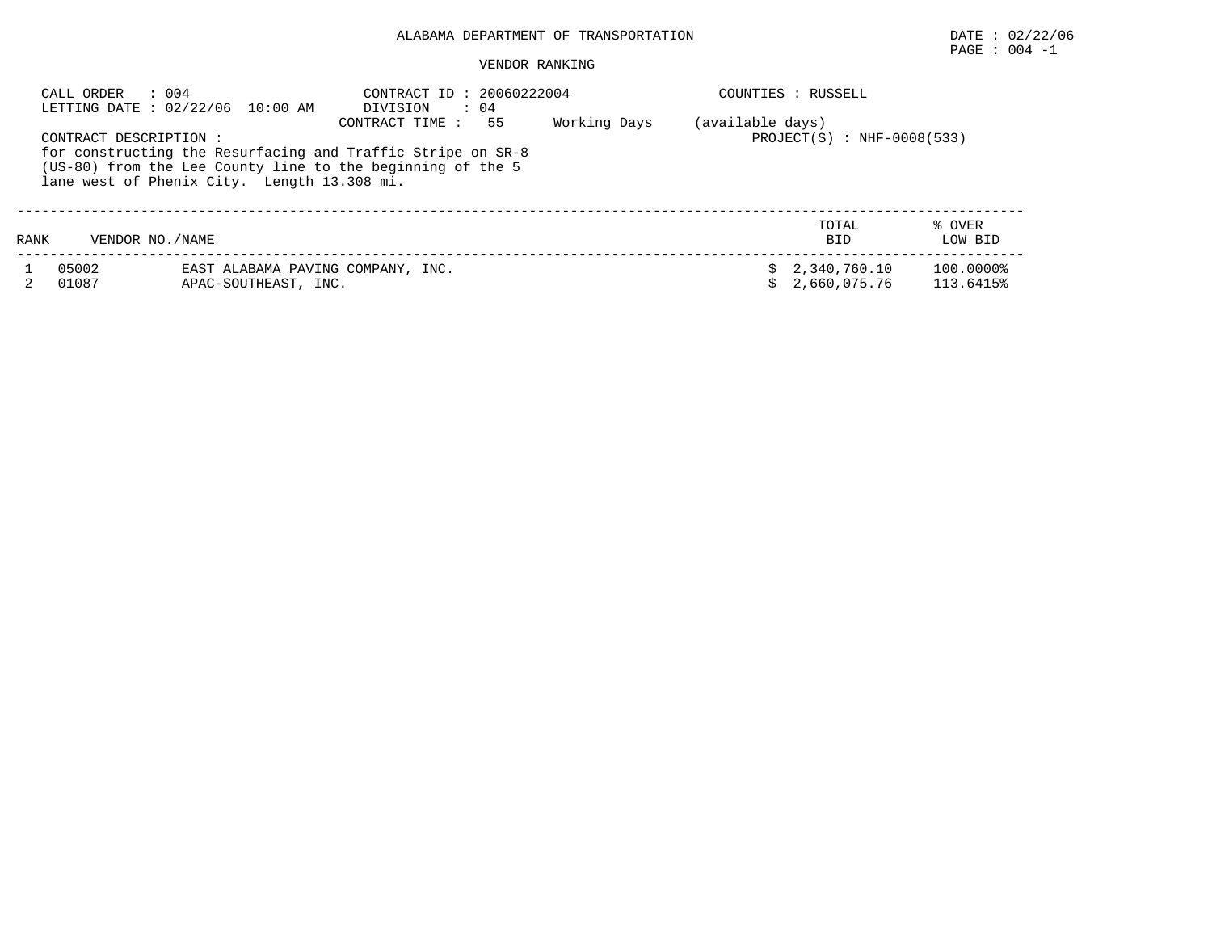# $\texttt{PAGE}$  :  $004$  -1

#### VENDOR RANKING

|      | : 004<br>CALL ORDER    | LETTING DATE : 02/22/06 10:00 AM                          | CONTRACT ID: 20060222004<br>DIVISION<br>$\therefore$ 04                                                                                           |              |                  | COUNTIES : RUSSELL             |                        |
|------|------------------------|-----------------------------------------------------------|---------------------------------------------------------------------------------------------------------------------------------------------------|--------------|------------------|--------------------------------|------------------------|
|      | CONTRACT DESCRIPTION : | lane west of Phenix City. Length 13.308 mi.               | 55<br>CONTRACT TIME:<br>for constructing the Resurfacing and Traffic Stripe on SR-8<br>(US-80) from the Lee County line to the beginning of the 5 | Working Days | (available days) | $PROJECT(S) : NHF-0008(533)$   |                        |
| RANK | VENDOR NO./NAME        |                                                           |                                                                                                                                                   |              |                  | TOTAL<br><b>BID</b>            | % OVER<br>LOW BID      |
|      | 05002<br>01087         | EAST ALABAMA PAVING COMPANY, INC.<br>APAC-SOUTHEAST, INC. |                                                                                                                                                   |              |                  | \$2,340,760.10<br>2,660,075.76 | 100.0000%<br>113.6415% |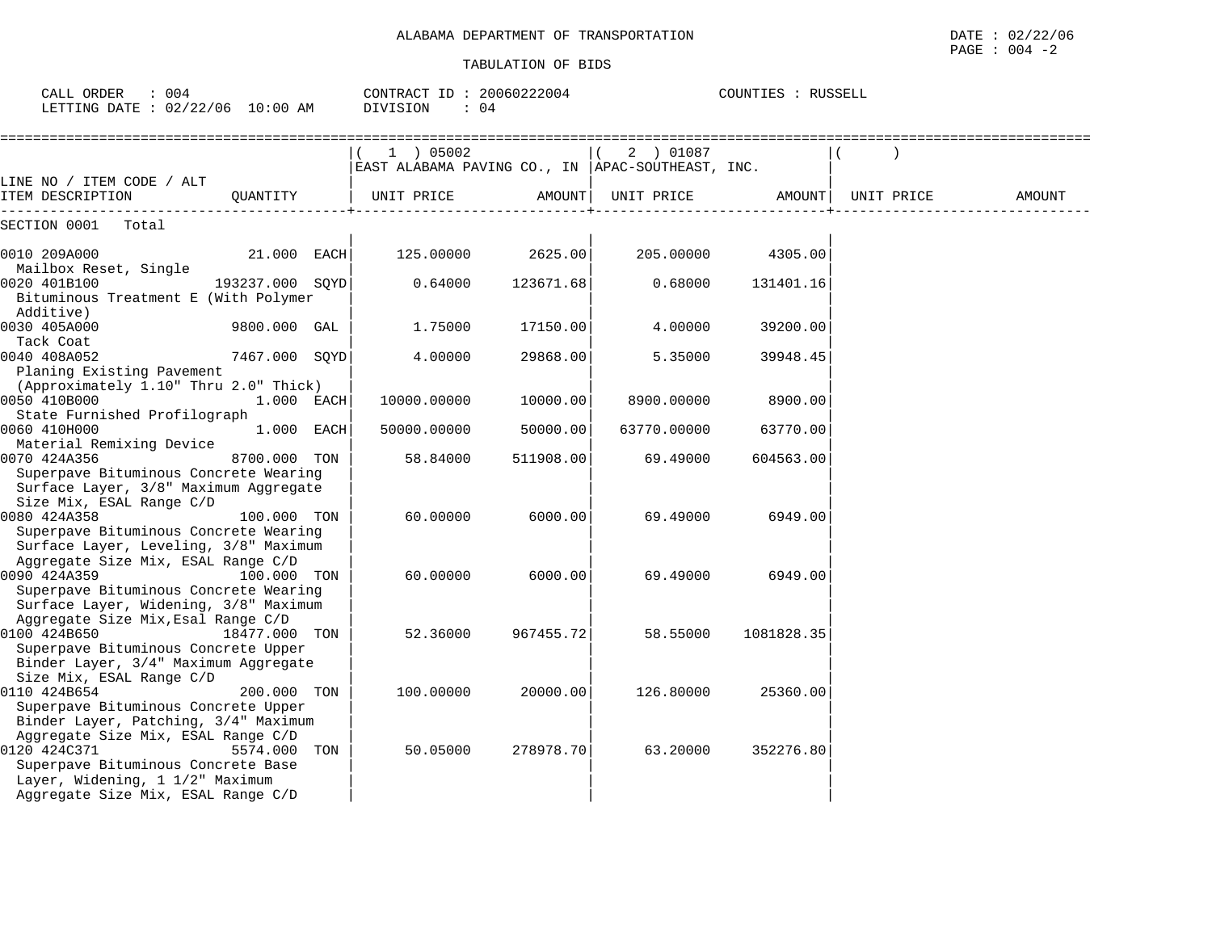| CALL ORDER : 004<br>LETTING DATE : 02/22/06 10:00 AM                                                                                                              |                 | CONTRACT ID: 20060222004<br>DIVISION<br>$\therefore$ 04 |                     |                                                                  | COUNTIES : RUSSELL |                                                                             |        |
|-------------------------------------------------------------------------------------------------------------------------------------------------------------------|-----------------|---------------------------------------------------------|---------------------|------------------------------------------------------------------|--------------------|-----------------------------------------------------------------------------|--------|
|                                                                                                                                                                   |                 | (1) 05002                                               |                     | $(2)$ 01087<br>EAST ALABAMA PAVING CO., IN  APAC-SOUTHEAST, INC. |                    |                                                                             |        |
| LINE NO / ITEM CODE / ALT<br>ITEM DESCRIPTION                                                                                                                     |                 |                                                         |                     |                                                                  |                    | QUANTITY   UNIT PRICE         AMOUNT  UNIT PRICE         AMOUNT  UNIT PRICE | AMOUNT |
| SECTION 0001 Total                                                                                                                                                |                 |                                                         |                     |                                                                  |                    |                                                                             |        |
| 0010 209A000<br>Mailbox Reset, Single                                                                                                                             | $21.000$ EACH   |                                                         | $125.00000$ 2625.00 |                                                                  | 205.00000 4305.00  |                                                                             |        |
| 0020 401B100<br>Bituminous Treatment E (With Polymer                                                                                                              | 193237.000 SOYD | 0.64000                                                 | 123671.68           | 0.68000                                                          | 131401.16          |                                                                             |        |
| Additive)<br>0030 405A000<br>Tack Coat                                                                                                                            | 9800.000 GAL    | 1.75000                                                 | 17150.00            | 4.00000                                                          | 39200.00           |                                                                             |        |
| 0040 408A052<br>Planing Existing Pavement                                                                                                                         | 7467.000 SQYD   | 4.00000                                                 | 29868.00            | 5.35000                                                          | 39948.45           |                                                                             |        |
| (Approximately 1.10" Thru 2.0" Thick)<br>0050 410B000<br>State Furnished Profilograph                                                                             | 1.000 EACH      | 10000.00000                                             | 10000.00            | 8900.00000                                                       | 8900.00            |                                                                             |        |
| 0060 410H000                                                                                                                                                      | 1.000 EACH      | 50000.00000                                             | 50000.00            | 63770.00000                                                      | 63770.00           |                                                                             |        |
| Material Remixing Device<br>0070 424A356<br>Superpave Bituminous Concrete Wearing<br>Surface Layer, 3/8" Maximum Aggregate                                        | 8700.000 TON    | 58.84000                                                | 511908.00           | 69.49000                                                         | 604563.00          |                                                                             |        |
| Size Mix, ESAL Range C/D<br>0080 424A358<br>Superpave Bituminous Concrete Wearing<br>Surface Layer, Leveling, 3/8" Maximum                                        | 100.000 TON     | 60.00000                                                | 6000.00             | 69.49000                                                         | 6949.00            |                                                                             |        |
| Aggregate Size Mix, ESAL Range C/D<br>0090 424A359<br>Superpave Bituminous Concrete Wearing<br>Surface Layer, Widening, 3/8" Maximum                              | 100.000 TON     | 60.00000                                                | 6000.00             | 69.49000                                                         | 6949.00            |                                                                             |        |
| Aggregate Size Mix, Esal Range C/D<br>0100 424B650<br>Superpave Bituminous Concrete Upper<br>Binder Layer, 3/4" Maximum Aggregate                                 | 18477.000 TON   | 52.36000                                                | 967455.72           | 58.55000                                                         | 1081828.35         |                                                                             |        |
| Size Mix, ESAL Range C/D<br>0110 424B654<br>Superpave Bituminous Concrete Upper<br>Binder Layer, Patching, 3/4" Maximum                                           | 200.000 TON     | 100.00000                                               | 20000.00            | 126.80000                                                        | 25360.00           |                                                                             |        |
| Aggregate Size Mix, ESAL Range C/D<br>0120 424C371<br>Superpave Bituminous Concrete Base<br>Layer, Widening, 1 1/2" Maximum<br>Aggregate Size Mix, ESAL Range C/D | 5574.000 TON    | 50.05000                                                | 278978.70           | 63.20000                                                         | 352276.80          |                                                                             |        |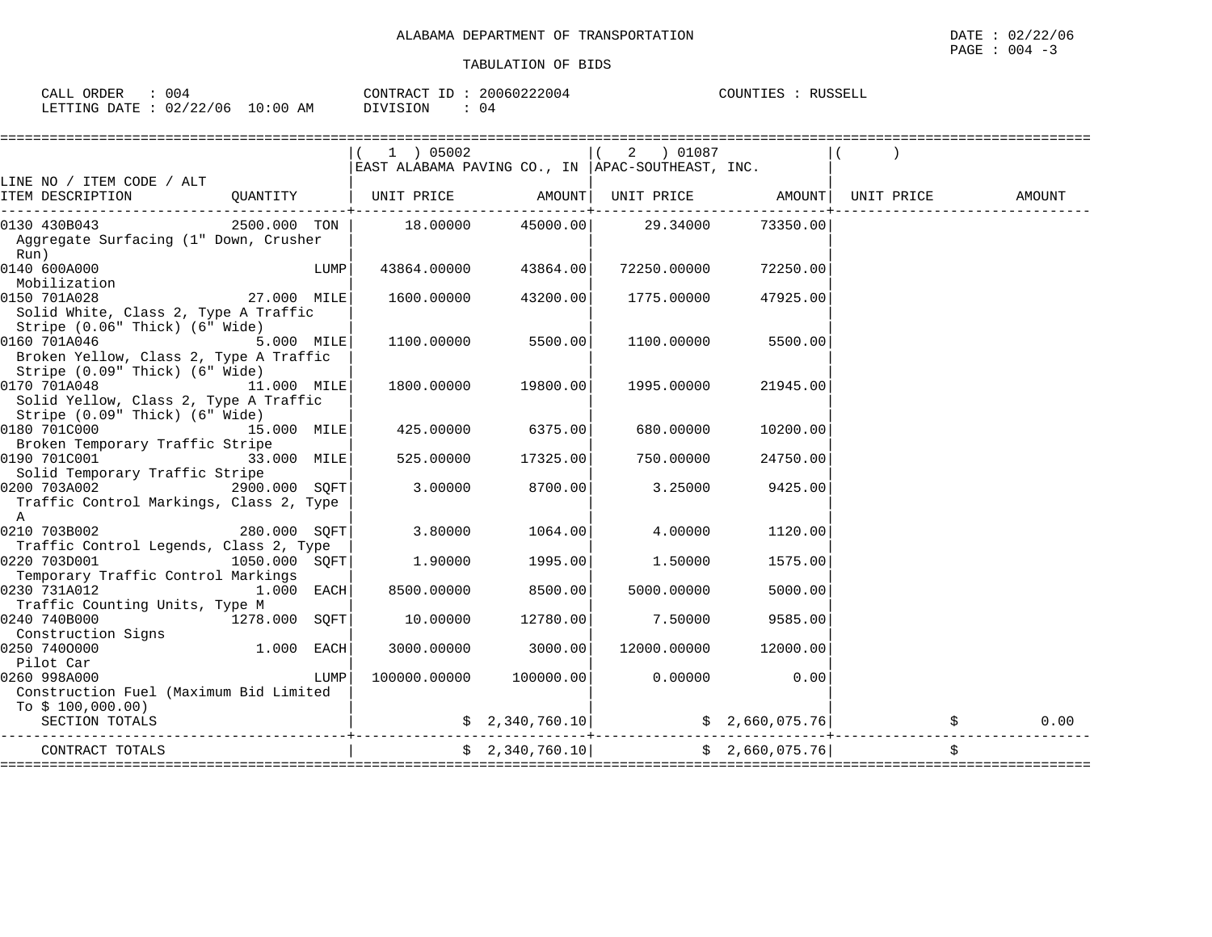| 004<br>CALL ORDER               | CONTRACT ID: 20060222004 | COUNTIES :<br>RUSSELL |
|---------------------------------|--------------------------|-----------------------|
| LETTING DATE: 02/22/06 10:00 AM | DIVISION<br>04           |                       |

|                                                                                          |                 |      | 1 ) 05002<br>EAST ALABAMA PAVING CO., IN   APAC-SOUTHEAST, INC. |                     | ( 2 ) 01087                                       |                 |  |        |
|------------------------------------------------------------------------------------------|-----------------|------|-----------------------------------------------------------------|---------------------|---------------------------------------------------|-----------------|--|--------|
| LINE NO / ITEM CODE / ALT<br>ITEM DESCRIPTION                                            |                 |      |                                                                 |                     |                                                   |                 |  | AMOUNT |
| 0130 430B043<br>Aggregate Surfacing (1" Down, Crusher<br>Run)                            |                 |      | $2500.000$ TON $\vert$ 18.00000 45000.00 29.34000               |                     |                                                   | 73350.00        |  |        |
| 0140 600A000<br>Mobilization                                                             |                 | LUMP | 43864.00000                                                     | 43864.00            | 72250.00000                                       | 72250.00        |  |        |
| 0150 701A028<br>Solid White, Class 2, Type A Traffic<br>Stripe (0.06" Thick) (6" Wide)   | 27.000 MILE     |      | 1600.00000                                                      | 43200.00            | 1775.00000                                        | 47925.00        |  |        |
| 0160 701A046<br>Broken Yellow, Class 2, Type A Traffic<br>Stripe (0.09" Thick) (6" Wide) | 5.000 MILE      |      | 1100.00000                                                      | 5500.00             | 1100.00000                                        | 5500.00         |  |        |
| 0170 701A048<br>Solid Yellow, Class 2, Type A Traffic<br>Stripe (0.09" Thick) (6" Wide)  | 11.000 MILE     |      |                                                                 | 1800.00000 19800.00 | 1995.00000                                        | 21945.00        |  |        |
| 0180 701C000<br>15.000 MILE<br>Broken Temporary Traffic Stripe                           |                 |      | 425.00000                                                       | 6375.00             | 680.00000                                         | 10200.00        |  |        |
| 0190 701C001<br>33.000 MILE<br>Solid Temporary Traffic Stripe                            |                 |      | 525.00000                                                       | 17325.00            | 750.00000                                         | 24750.00        |  |        |
| 0200 703A002<br>Traffic Control Markings, Class 2, Type<br>$\mathsf{A}$                  | 2900.000 SOFT   |      | 3.00000                                                         | 8700.00             | 3.25000                                           | 9425.00         |  |        |
| 0210 703B002 280.000 SQFT<br>Traffic Control Legends, Class 2, Type                      |                 |      | 3.80000                                                         | 1064.00             | 4.00000                                           | 1120.00         |  |        |
| 0220 703D001<br>$1050.000$ SQFT<br>Temporary Traffic Control Markings                    |                 |      | 1.90000                                                         | 1995.00             | 1.50000                                           | 1575.00         |  |        |
| 0230 731A012<br>Traffic Counting Units, Type M                                           | $1.000$ EACH    |      | 8500.00000                                                      | 8500.00             | 5000.00000                                        | 5000.00         |  |        |
| 0240 740B000<br>Construction Signs                                                       | $1278.000$ SQFT |      | 10.00000                                                        | 12780.00            | 7.50000                                           | 9585.00         |  |        |
| 1.000 EACH<br>0250 7400000<br>Pilot Car                                                  |                 |      | 3000.00000                                                      | 3000.00             | 12000.00000                                       | 12000.00        |  |        |
| 0260 998A000<br>Construction Fuel (Maximum Bid Limited                                   |                 | LUMP | $100000.00000$ $100000.00$                                      |                     | 0.00000                                           | 0.00            |  |        |
| To $$100,000.00)$<br>SECTION TOTALS                                                      |                 |      | ------------------------+-------------                          |                     | \$ 2,340,760.10   \$ 2,660,075.76   \$ 2,000 \$ } |                 |  | 0.00   |
| CONTRACT TOTALS                                                                          |                 |      |                                                                 | \$2,340,760.10]     |                                                   | \$2,660,075.76] |  |        |
|                                                                                          |                 |      |                                                                 |                     |                                                   |                 |  |        |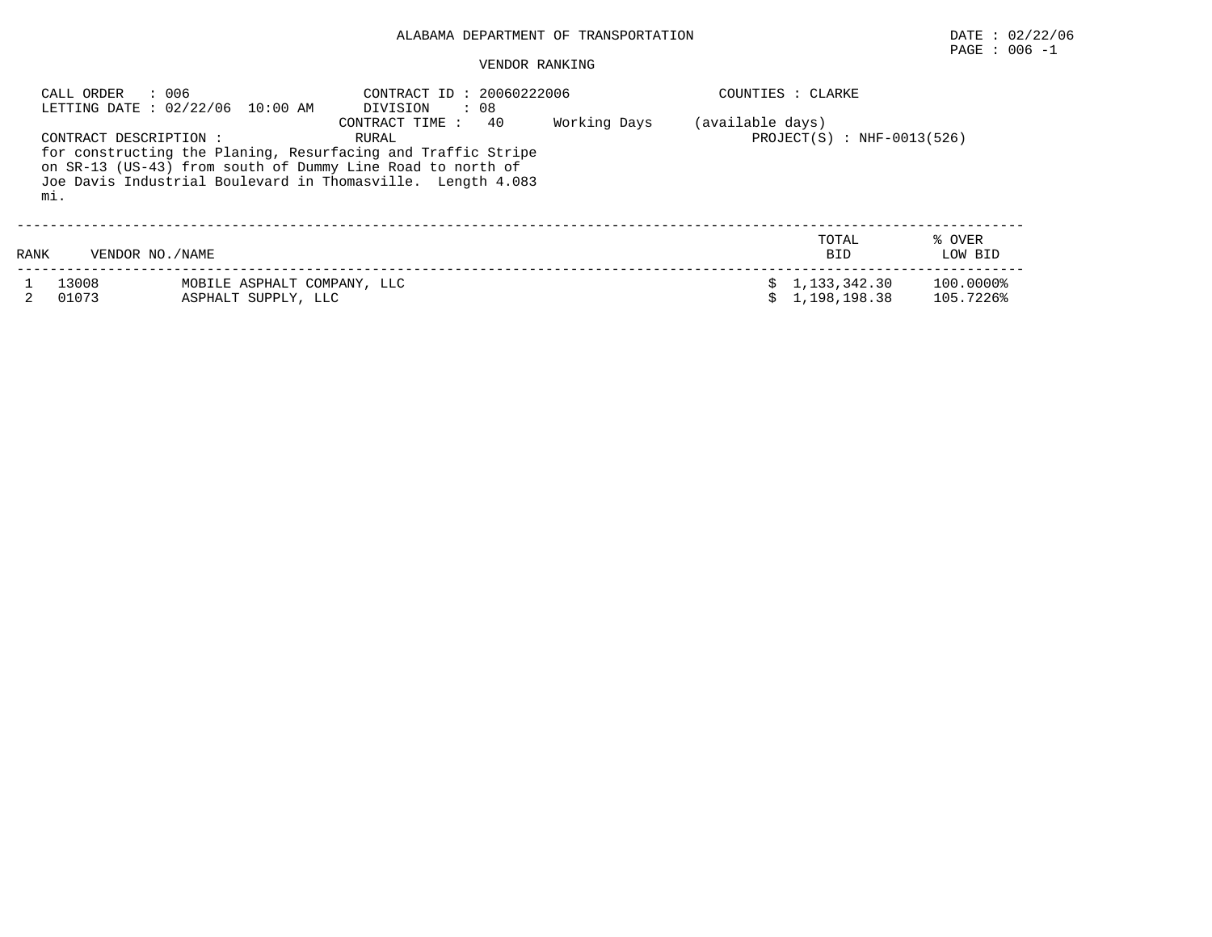# $\texttt{PAGE}$  : 006 -1

#### VENDOR RANKING

|      | : 006<br>CALL ORDER          | LETTING DATE: 02/22/06 10:00 AM                    | CONTRACT ID: 20060222006<br>$\therefore$ 08<br>DIVISION                                                                                                                                                                    |              |                  | COUNTIES : CLARKE                |                        |
|------|------------------------------|----------------------------------------------------|----------------------------------------------------------------------------------------------------------------------------------------------------------------------------------------------------------------------------|--------------|------------------|----------------------------------|------------------------|
|      | CONTRACT DESCRIPTION:<br>mi. |                                                    | 40<br>CONTRACT TIME:<br>RURAL<br>for constructing the Planing, Resurfacing and Traffic Stripe<br>on SR-13 (US-43) from south of Dummy Line Road to north of<br>Joe Davis Industrial Boulevard in Thomasville. Length 4.083 | Working Days | (available days) | $PROJECT(S) : NHF-0013(526)$     |                        |
| RANK | VENDOR NO. / NAME            |                                                    |                                                                                                                                                                                                                            |              |                  | TOTAL<br><b>BID</b>              | % OVER<br>LOW BID      |
|      | 13008<br>01073               | MOBILE ASPHALT COMPANY, LLC<br>ASPHALT SUPPLY, LLC |                                                                                                                                                                                                                            |              |                  | \$1,133,342.30<br>\$1,198,198.38 | 100.0000%<br>105.7226% |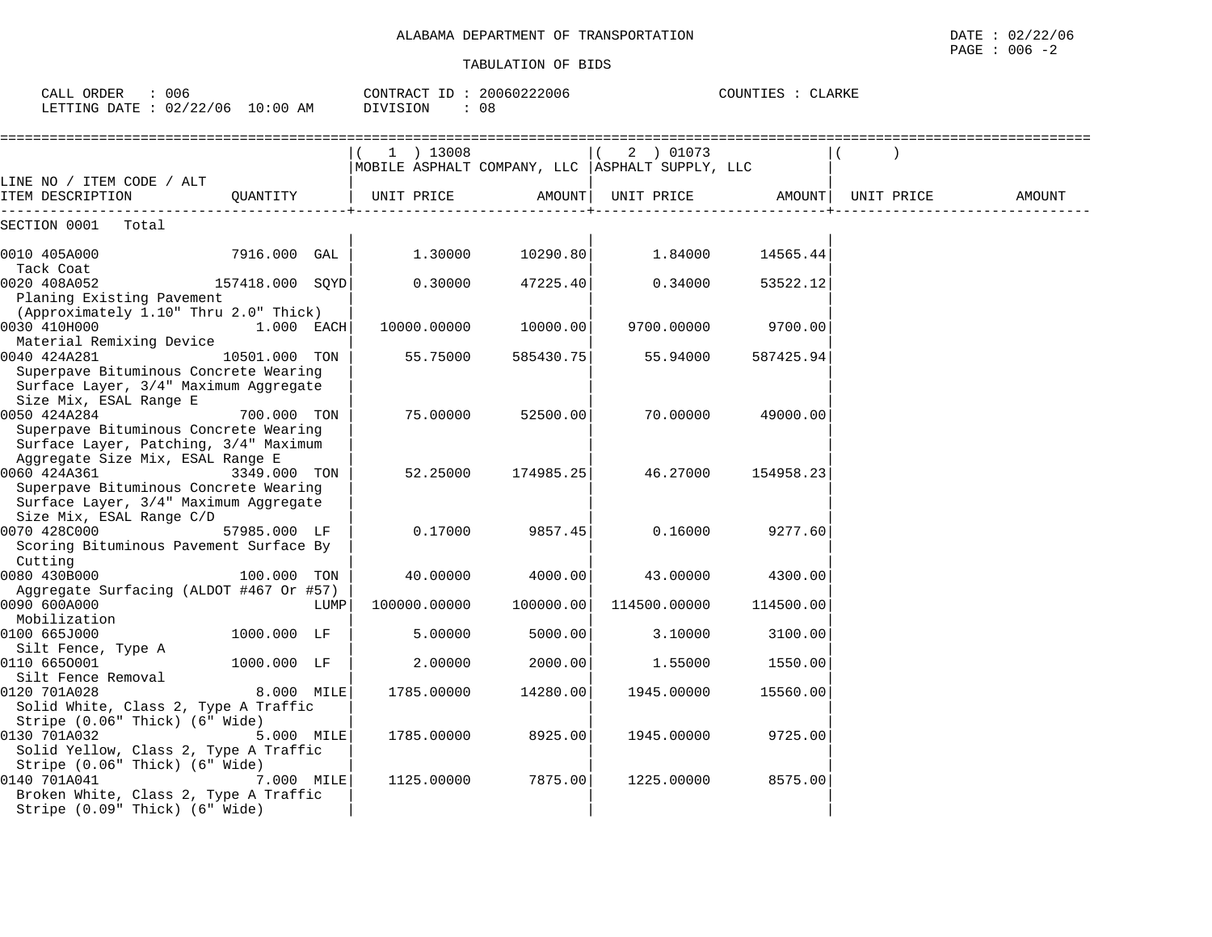CALL ORDER : 006 CONTRACT ID : 20060222006 COUNTIES : CLARKE

COUNTIES : CLARKE

| LETTING DATE : $02/22/06$ 10:00 AM                                                                                                 |                 |      | DIVISION   |              | : 08      |                                                                              |           |            |        |
|------------------------------------------------------------------------------------------------------------------------------------|-----------------|------|------------|--------------|-----------|------------------------------------------------------------------------------|-----------|------------|--------|
|                                                                                                                                    |                 |      |            | 1 ) 13008    |           | 2 ) 01073<br>$\sqrt{2}$<br>MOBILE ASPHALT COMPANY, LLC   ASPHALT SUPPLY, LLC |           |            |        |
| LINE NO / ITEM CODE / ALT<br>ITEM DESCRIPTION                                                                                      | OUANTITY        |      | UNIT PRICE |              | AMOUNT    | UNIT PRICE                                                                   | AMOUNT    | UNIT PRICE | AMOUNT |
| SECTION 0001<br>Total                                                                                                              |                 |      |            |              |           |                                                                              |           |            |        |
| 0010 405A000<br>Tack Coat                                                                                                          | 7916.000 GAL    |      |            | 1.30000      | 10290.80  | 1.84000                                                                      | 14565.44  |            |        |
| 0020 408A052<br>Planing Existing Pavement                                                                                          | 157418.000 SQYD |      |            | 0.30000      | 47225.40  | 0.34000                                                                      | 53522.12  |            |        |
| (Approximately 1.10" Thru 2.0" Thick)<br>0030 410H000                                                                              | 1.000 EACH      |      |            | 10000.00000  | 10000.00  | 9700.00000                                                                   | 9700.00   |            |        |
| Material Remixing Device<br>0040 424A281<br>Superpave Bituminous Concrete Wearing<br>Surface Layer, 3/4" Maximum Aggregate         | 10501.000 TON   |      |            | 55.75000     | 585430.75 | 55.94000                                                                     | 587425.94 |            |        |
| Size Mix, ESAL Range E<br>0050 424A284<br>Superpave Bituminous Concrete Wearing<br>Surface Layer, Patching, 3/4" Maximum           | 700.000 TON     |      |            | 75,00000     | 52500.00  | 70.00000                                                                     | 49000.00  |            |        |
| Aggregate Size Mix, ESAL Range E<br>0060 424A361<br>Superpave Bituminous Concrete Wearing<br>Surface Layer, 3/4" Maximum Aggregate | 3349.000 TON    |      |            | 52.25000     | 174985.25 | 46.27000                                                                     | 154958.23 |            |        |
| Size Mix, ESAL Range C/D<br>0070 428C000<br>Scoring Bituminous Pavement Surface By<br>Cutting                                      | 57985.000 LF    |      |            | 0.17000      | 9857.45   | 0.16000                                                                      | 9277.60   |            |        |
| 0080 430B000<br>Aggregate Surfacing (ALDOT #467 Or #57)                                                                            | 100.000 TON     |      |            | 40.00000     | 4000.00   | 43.00000                                                                     | 4300.00   |            |        |
| 0090 600A000<br>Mobilization                                                                                                       |                 | LUMP |            | 100000.00000 | 100000.00 | 114500.00000                                                                 | 114500.00 |            |        |
| 0100 665J000<br>Silt Fence, Type A                                                                                                 | 1000.000 LF     |      |            | 5.00000      | 5000.00   | 3.10000                                                                      | 3100.00   |            |        |
| 0110 6650001<br>Silt Fence Removal                                                                                                 | 1000.000 LF     |      |            | 2.00000      | 2000.00   | 1.55000                                                                      | 1550.00   |            |        |
| 0120 701A028<br>Solid White, Class 2, Type A Traffic                                                                               | 8.000 MILE      |      |            | 1785.00000   | 14280.00  | 1945.00000                                                                   | 15560.00  |            |        |
| Stripe (0.06" Thick) (6" Wide)<br>0130 701A032<br>Solid Yellow, Class 2, Type A Traffic<br>Stripe (0.06" Thick) (6" Wide)          | 5.000 MILE      |      |            | 1785.00000   | 8925.00   | 1945.00000                                                                   | 9725.00   |            |        |
| 0140 701A041<br>Broken White, Class 2, Type A Traffic<br>Stripe (0.09" Thick) (6" Wide)                                            | 7.000 MILE      |      |            | 1125.00000   | 7875.00   | 1225.00000                                                                   | 8575.00   |            |        |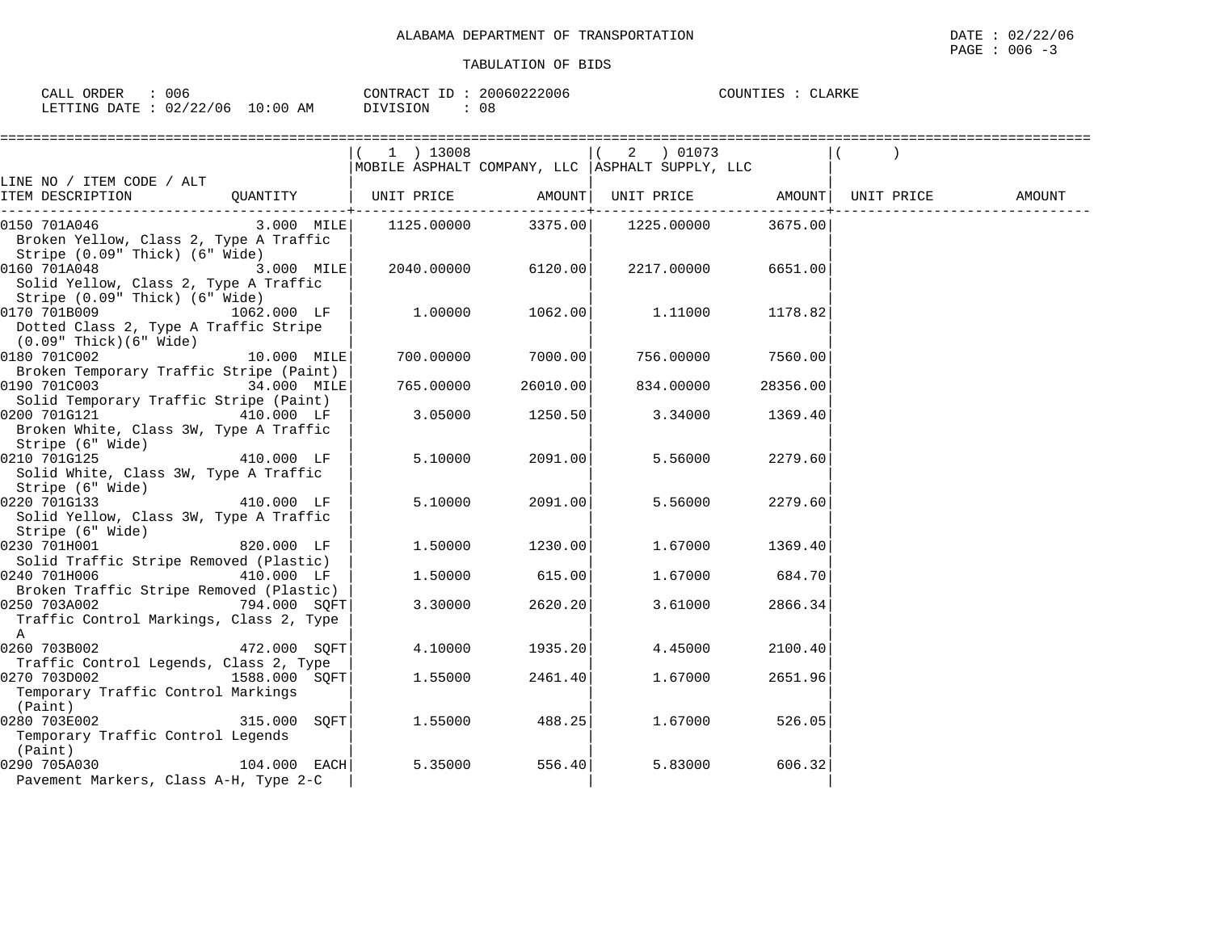| RDER<br>---   | 006                  |             | $-1$<br>$\cap$ $\Lambda$ $\Gamma$ $\Gamma$ $\Lambda$ $\Lambda$ | つハ<br>∶∠∪∪o | $\cdot$ )TINT | LARKE |
|---------------|----------------------|-------------|----------------------------------------------------------------|-------------|---------------|-------|
| FTTING<br>חמח | $\cap$ $\cap$<br>106 | AΜ<br>∹ O G | SION<br>$\lambda$                                              | 08          |               |       |

|                                                                                                   |                | $(1)$ 13008<br>MOBILE ASPHALT COMPANY, LLC  ASPHALT SUPPLY, LLC |                       | 2 ) 01073                             |                     |        |
|---------------------------------------------------------------------------------------------------|----------------|-----------------------------------------------------------------|-----------------------|---------------------------------------|---------------------|--------|
| LINE NO / ITEM CODE / ALT                                                                         |                |                                                                 |                       |                                       |                     |        |
|                                                                                                   |                |                                                                 | ------------+-------- |                                       | . _ _ _ _ _ _ _ _ . | AMOUNT |
| 0150 701A046<br>Broken Yellow, Class 2, Type A Traffic<br>Stripe (0.09" Thick) (6" Wide)          | $3.000$ MILE   |                                                                 |                       | 1125.00000 3375.00 1225.00000 3675.00 |                     |        |
| 0160 701A048<br>Solid Yellow, Class 2, Type A Traffic<br>Stripe (0.09" Thick) (6" Wide)           | 3.000 MILE     | 2040.00000 6120.00                                              |                       |                                       | 2217.00000 6651.00  |        |
| 0170 701B009 1062.000 LF<br>Dotted Class 2, Type A Traffic Stripe<br>(0.09" Thick)(6" Wide)       |                | 1.00000                                                         | 1062.00               | 1.11000                               | 1178.82             |        |
| 0180 701C002                                                                                      | 10.000 MILE    | 700.00000                                                       | 7000.00               | 756.00000                             | 7560.00             |        |
| Broken Temporary Traffic Stripe (Paint)<br>0190 701C003<br>Solid Temporary Traffic Stripe (Paint) | 34.000 MILE    | 765.00000                                                       | 26010.00              | 834.00000                             | 28356.00            |        |
| 0200 701G121 410.000 LF<br>Broken White, Class 3W, Type A Traffic<br>Stripe (6" Wide)             |                | 3.05000                                                         | 1250.50               | 3.34000                               | 1369.40             |        |
| 0210 701G125<br>Solid White, Class 3W, Type A Traffic<br>Stripe (6" Wide)                         | 410.000 LF     | 5.10000                                                         | 2091.00               | 5.56000                               | 2279.60             |        |
| 0220 701G133<br>Solid Yellow, Class 3W, Type A Traffic<br>Stripe (6" Wide)                        | 410.000 LF     | 5.10000                                                         | 2091.00               | 5.56000                               | 2279.60             |        |
| 0230 701H001<br>Solid Traffic Stripe Removed (Plastic)                                            | 820.000 LF     | 1.50000                                                         | 1230.00               | 1.67000                               | 1369.40             |        |
| 0240 701H006<br>Broken Traffic Stripe Removed (Plastic)                                           | 410.000 LF     | 1.50000                                                         | 615.00                | 1.67000                               | 684.70              |        |
| 0250 703A002 794.000 SQFT<br>Traffic Control Markings, Class 2, Type<br>A                         |                | 3.30000                                                         | 2620.20               | 3.61000                               | 2866.34             |        |
| $0260 703B002$ 472.000 SQFT<br>Traffic Control Legends, Class 2, Type                             |                | 4.10000                                                         | 1935.20               | 4.45000                               | 2100.40             |        |
| 0270 703D002 1588.000 SQFT<br>Temporary Traffic Control Markings<br>(Paint)                       |                | 1.55000                                                         | 2461.40               | 1.67000                               | 2651.96             |        |
| 0280 703E002<br>Temporary Traffic Control Legends<br>(Paint)                                      | 315.000 SOFT   | 1.55000                                                         | 488.25                | 1.67000                               | 526.05              |        |
| 0290 705A030<br>Pavement Markers, Class A-H, Type 2-C                                             | $104.000$ EACH | 5.35000                                                         | 556.40                | 5.83000                               | 606.32              |        |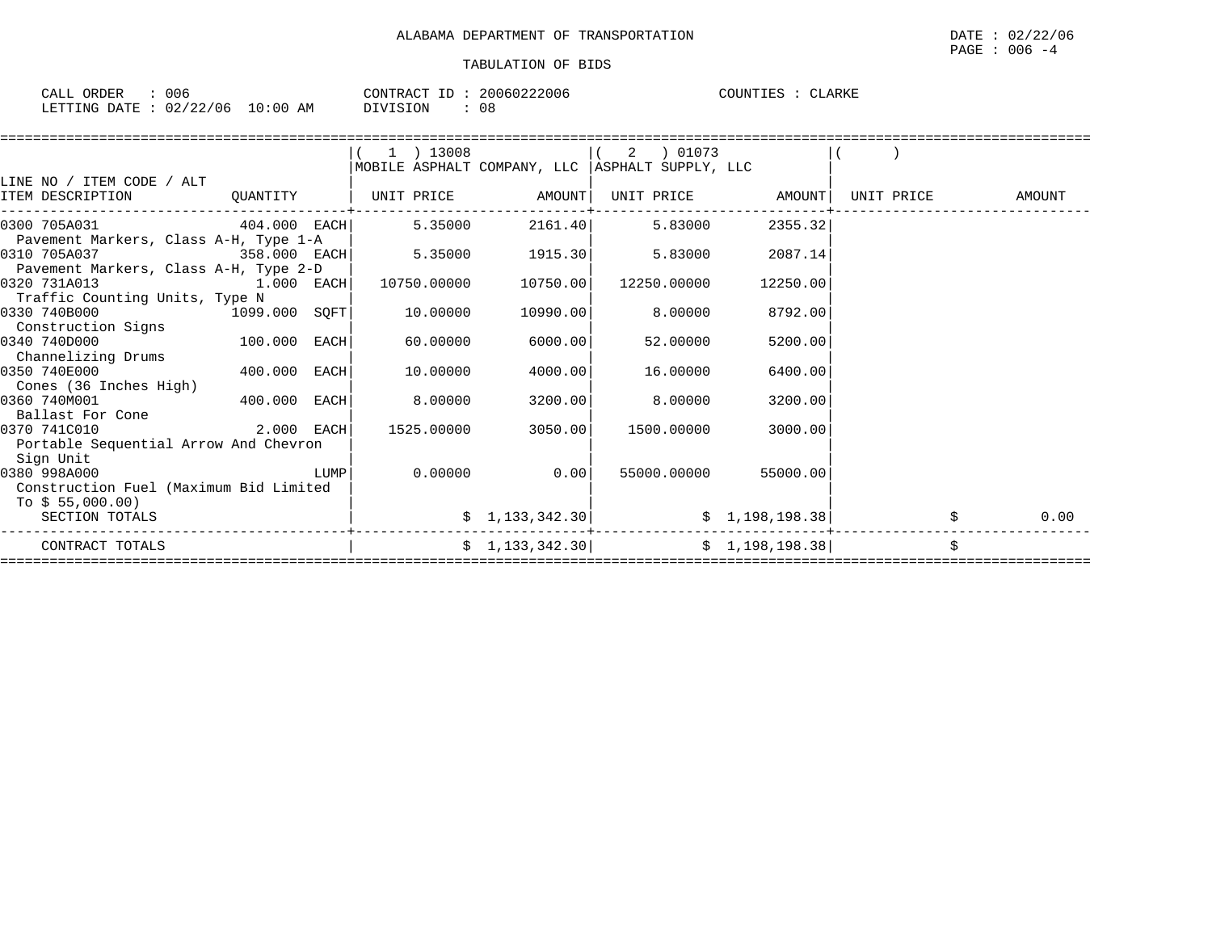| CALL<br>ORDER | 006      |             | CONTRACT ID | 20060222006 | COUNTIES | <b>CLARKE</b> |
|---------------|----------|-------------|-------------|-------------|----------|---------------|
| LETTING DATE  | 02/22/06 | 10:00<br>AM | DIVISION    | 08          |          |               |

|                                        |               |      | 1 ) 13008                    |                 | 01073<br>2                                        |                   |            |        |
|----------------------------------------|---------------|------|------------------------------|-----------------|---------------------------------------------------|-------------------|------------|--------|
|                                        |               |      |                              |                 | MOBILE ASPHALT COMPANY, LLC   ASPHALT SUPPLY, LLC |                   |            |        |
| LINE NO / ITEM CODE / ALT              |               |      |                              |                 |                                                   |                   |            |        |
| ITEM DESCRIPTION                       |               |      | QUANTITY   UNIT PRICE AMOUNT |                 |                                                   | UNIT PRICE AMOUNT | UNIT PRICE | AMOUNT |
| $404.000$ EACH<br>0300 705A031         |               |      | 5.35000                      | 2161.40         | 5.83000                                           | 2355.32           |            |        |
| Pavement Markers, Class A-H, Type 1-A  |               |      |                              |                 |                                                   |                   |            |        |
| 0310 705A037                           | 358.000 EACH  |      | 5.35000                      | 1915.30         | 5.83000                                           | 2087.14           |            |        |
| Pavement Markers, Class A-H, Type 2-D  |               |      |                              |                 |                                                   |                   |            |        |
| 0320 731A013<br>1.000 EACH             |               |      | 10750.00000                  | 10750.00        | 12250.00000                                       | 12250.00          |            |        |
| Traffic Counting Units, Type N         |               |      |                              |                 |                                                   |                   |            |        |
| 0330 740B000                           | 1099.000 SQFT |      | 10.00000                     | 10990.00        | 8.00000                                           | 8792.00           |            |        |
| Construction Signs                     |               |      |                              |                 |                                                   |                   |            |        |
| 100.000 EACH<br>0340 740D000           |               |      | 60.00000                     | 6000.00         | 52.00000                                          | 5200.00           |            |        |
| Channelizing Drums                     |               |      |                              |                 |                                                   |                   |            |        |
| 0350 740E000                           | 400.000 EACH  |      | 10.00000                     | 4000.00         | 16.00000                                          | 6400.00           |            |        |
| Cones (36 Inches High)                 |               |      |                              |                 |                                                   |                   |            |        |
| 0360 740M001                           | 400.000 EACH  |      | 8.00000                      | 3200.00         | 8.00000                                           | 3200.00           |            |        |
| Ballast For Cone                       |               |      |                              |                 |                                                   |                   |            |        |
| 0370 741C010                           | 2.000 EACH    |      | 1525.00000                   | 3050.00         | 1500.00000                                        | 3000.00           |            |        |
| Portable Sequential Arrow And Chevron  |               |      |                              |                 |                                                   |                   |            |        |
| Sign Unit                              |               |      |                              |                 |                                                   |                   |            |        |
| 0380 998A000                           |               | LUMP | 0.00000                      | 0.00            | 55000.00000                                       | 55000.00          |            |        |
| Construction Fuel (Maximum Bid Limited |               |      |                              |                 |                                                   |                   |            |        |
| To $$55,000.00)$                       |               |      |                              |                 |                                                   |                   |            |        |
| SECTION TOTALS                         |               |      |                              | \$1,133,342.30] |                                                   | \$1,198,198.38]   |            | 0.00   |
| CONTRACT TOTALS                        |               |      |                              | \$1,133,342.30] | \$1,198,198.38]                                   |                   | \$         |        |
|                                        |               |      |                              |                 |                                                   |                   |            |        |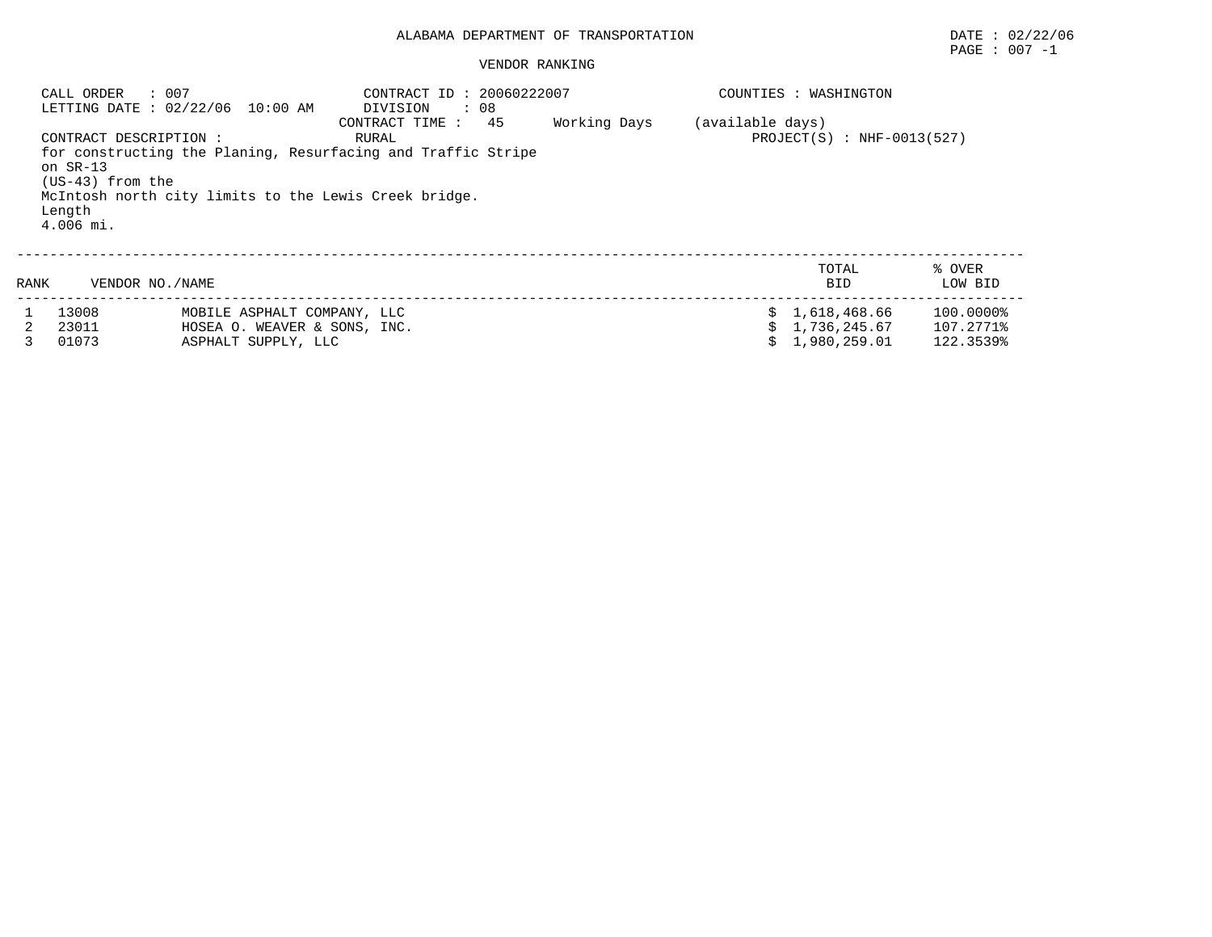VENDOR RANKING

 CALL ORDER : 007 CONTRACT ID : 20060222007 COUNTIES : WASHINGTON LETTING DATE : 02/22/06 10:00 AM DIVISION : 08 CONTRACT TIME : 45 Working Days (available days)<br>CONTRACT DESCRIPTION : RURAL RURAL  $RURAL$  PROJECT(S) : NHF-0013(527) for constructing the Planing, Resurfacing and Traffic Stripe on SR-13 (US-43) from the McIntosh north city limits to the Lewis Creek bridge. Length 4.006 mi.--------------------------------------------------------------------------------------------------------------------------

| RANK | VENDOR NO./NAME |                              | TOTAL<br><b>BID</b> | ९ OVER<br>LOW BID |
|------|-----------------|------------------------------|---------------------|-------------------|
|      | 1 13008         | MOBILE ASPHALT COMPANY, LLC  | \$1,618,468.66      | 100.0000%         |
|      | 23011           | HOSEA O. WEAVER & SONS, INC. | \$1,736,245.67      | 107.2771%         |
|      | 01073           | ASPHALT SUPPLY, LLC          | \$1,980,259.01      | 122.3539%         |

PAGE : 007 -1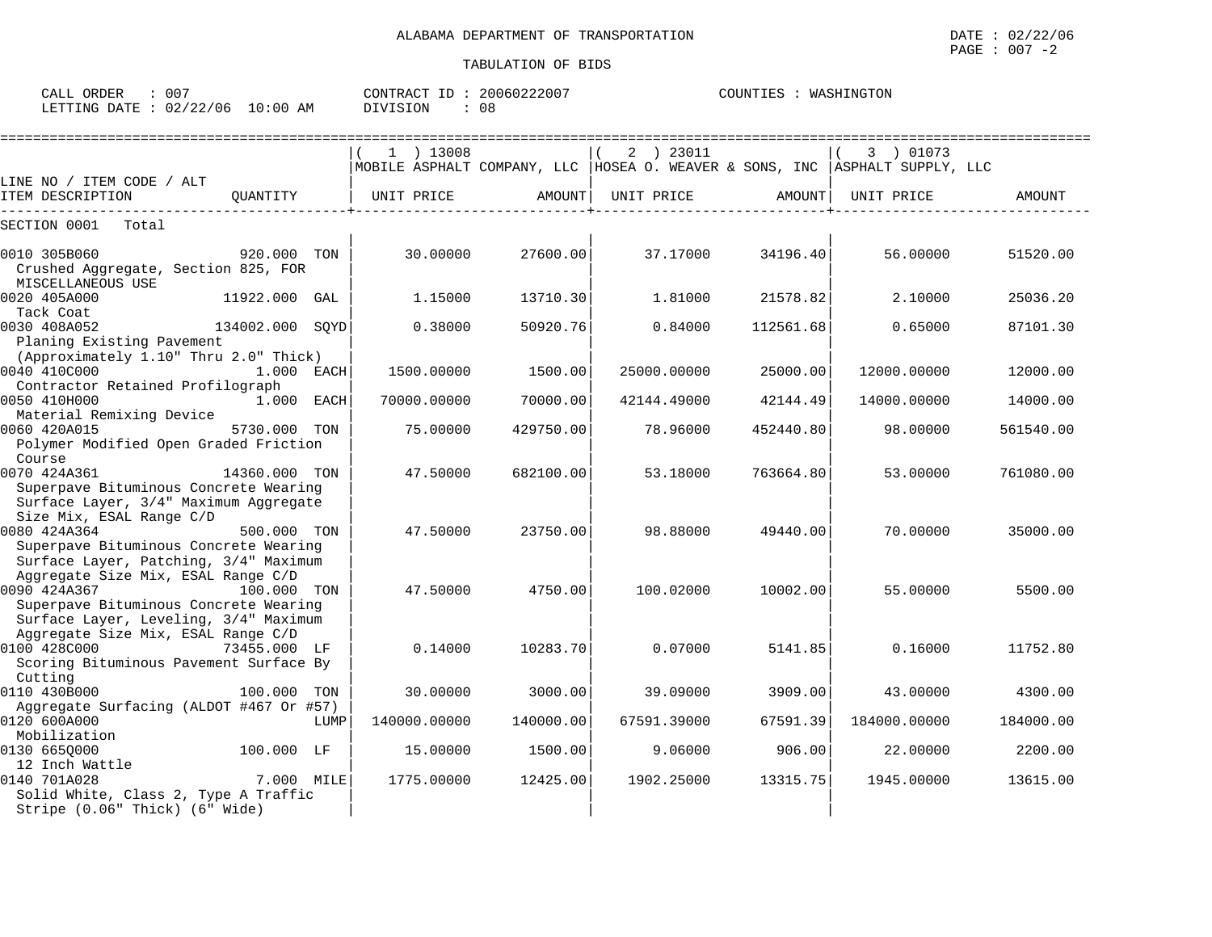CALL ORDER : 007 CONTRACT ID : 20060222007 COUNTIES : WASHINGTON

|                                                                                                                                      |                 |      | $1$ ) 13008  |           | 2 ) 23011<br>MOBILE ASPHALT COMPANY, LLC   HOSEA O. WEAVER & SONS, INC   ASPHALT SUPPLY, LLC |           | 3 ) 01073    |           |
|--------------------------------------------------------------------------------------------------------------------------------------|-----------------|------|--------------|-----------|----------------------------------------------------------------------------------------------|-----------|--------------|-----------|
| LINE NO / ITEM CODE / ALT<br>ITEM DESCRIPTION                                                                                        | OUANTITY        |      | UNIT PRICE   | AMOUNT    | UNIT PRICE                                                                                   | AMOUNT    | UNIT PRICE   | AMOUNT    |
| SECTION 0001<br>Total                                                                                                                |                 |      |              |           |                                                                                              |           |              |           |
| 0010 305B060<br>Crushed Aggregate, Section 825, FOR<br>MISCELLANEOUS USE                                                             | 920.000 TON     |      | 30.00000     | 27600.00  | 37.17000                                                                                     | 34196.40  | 56.00000     | 51520.00  |
| 0020 405A000<br>Tack Coat                                                                                                            | 11922.000       | GAL  | 1.15000      | 13710.30  | 1.81000                                                                                      | 21578.82  | 2.10000      | 25036.20  |
| 0030 408A052<br>Planing Existing Pavement<br>(Approximately 1.10" Thru 2.0" Thick)                                                   | 134002.000 SQYD |      | 0.38000      | 50920.76  | 0.84000                                                                                      | 112561.68 | 0.65000      | 87101.30  |
| 0040 410C000<br>Contractor Retained Profilograph                                                                                     | 1.000 EACH      |      | 1500.00000   | 1500.00   | 25000.00000                                                                                  | 25000.00  | 12000.00000  | 12000.00  |
| 0050 410H000<br>Material Remixing Device                                                                                             | 1.000 EACH      |      | 70000.00000  | 70000.00  | 42144.49000                                                                                  | 42144.49  | 14000.00000  | 14000.00  |
| 0060 420A015<br>Polymer Modified Open Graded Friction<br>Course                                                                      | 5730.000 TON    |      | 75.00000     | 429750.00 | 78.96000                                                                                     | 452440.80 | 98.00000     | 561540.00 |
| 0070 424A361<br>Superpave Bituminous Concrete Wearing<br>Surface Layer, 3/4" Maximum Aggregate<br>Size Mix, ESAL Range C/D           | 14360.000 TON   |      | 47.50000     | 682100.00 | 53.18000                                                                                     | 763664.80 | 53.00000     | 761080.00 |
| 0080 424A364<br>Superpave Bituminous Concrete Wearing<br>Surface Layer, Patching, 3/4" Maximum<br>Aggregate Size Mix, ESAL Range C/D | 500.000 TON     |      | 47.50000     | 23750.00  | 98.88000                                                                                     | 49440.00  | 70.00000     | 35000.00  |
| 0090 424A367<br>Superpave Bituminous Concrete Wearing<br>Surface Layer, Leveling, 3/4" Maximum                                       | 100.000 TON     |      | 47.50000     | 4750.00   | 100.02000                                                                                    | 10002.00  | 55.00000     | 5500.00   |
| Aggregate Size Mix, ESAL Range C/D<br>0100 428C000<br>Scoring Bituminous Pavement Surface By<br>Cutting                              | 73455.000 LF    |      | 0.14000      | 10283.70  | 0.07000                                                                                      | 5141.85   | 0.16000      | 11752.80  |
| 0110 430B000<br>Aggregate Surfacing (ALDOT #467 Or #57)                                                                              | 100.000 TON     |      | 30.00000     | 3000.00   | 39.09000                                                                                     | 3909.00   | 43.00000     | 4300.00   |
| 0120 600A000<br>Mobilization                                                                                                         |                 | LUMP | 140000.00000 | 140000.00 | 67591.39000                                                                                  | 67591.39  | 184000.00000 | 184000.00 |
| 0130 665Q000<br>12 Inch Wattle                                                                                                       | 100.000 LF      |      | 15.00000     | 1500.00   | 9.06000                                                                                      | 906.00    | 22.00000     | 2200.00   |
| 0140 701A028<br>Solid White, Class 2, Type A Traffic<br>Stripe (0.06" Thick) (6" Wide)                                               | 7.000 MILE      |      | 1775.00000   | 12425.00  | 1902.25000                                                                                   | 13315.75  | 1945.00000   | 13615.00  |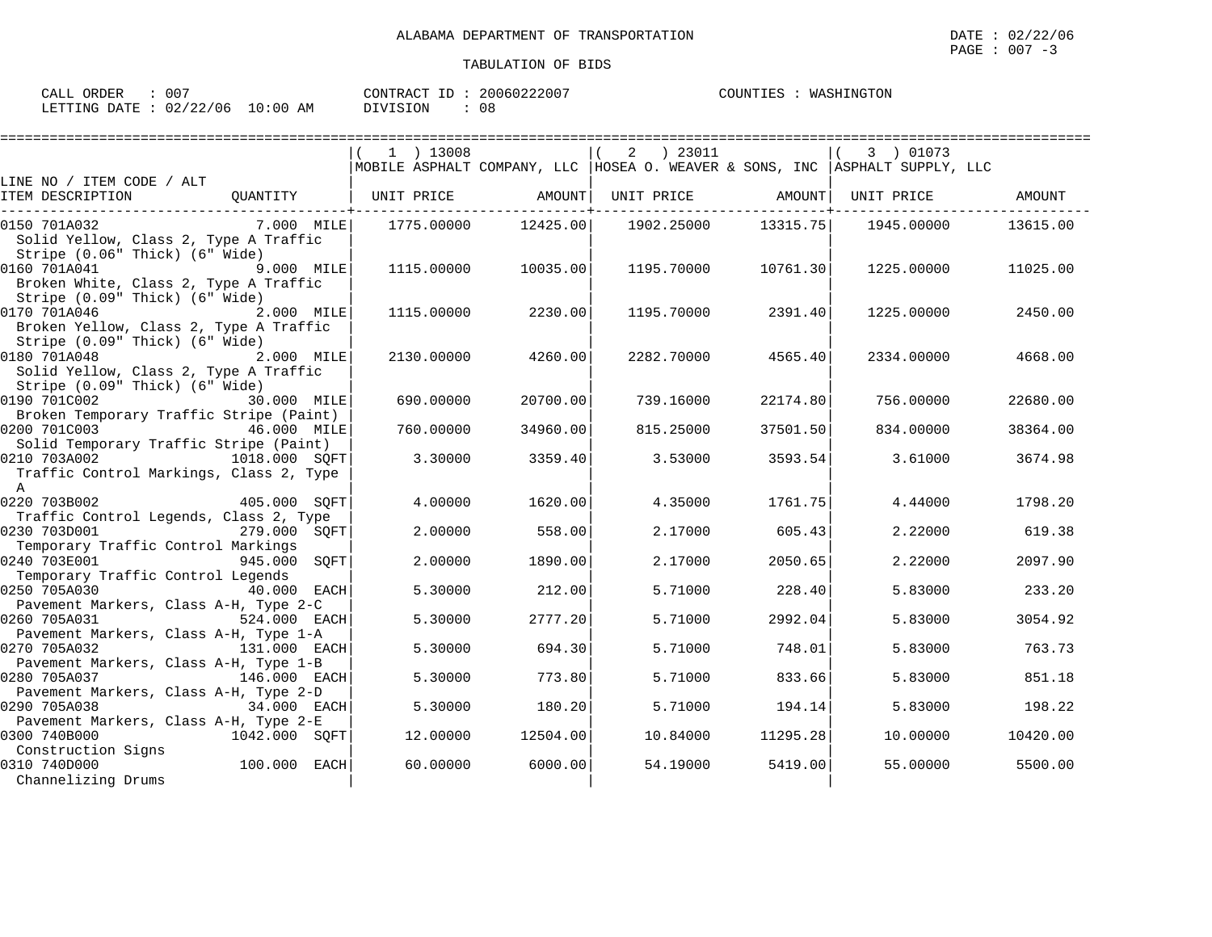CALL ORDER :  $007$  CONTRACT ID :  $20060222007$ COUNTIES : WASHINGTON LETTING DATE : 02/22/06 10:00 AM DIVISION : 08

|                                                                                                        | $1$ ) 13008 |          | $2 \t) 23011$<br>MOBILE ASPHALT COMPANY, LLC   HOSEA O. WEAVER & SONS, INC   ASPHALT SUPPLY, LLC |                             | 3 ) 01073  |          |
|--------------------------------------------------------------------------------------------------------|-------------|----------|--------------------------------------------------------------------------------------------------|-----------------------------|------------|----------|
| LINE NO / ITEM CODE / ALT                                                                              |             |          |                                                                                                  |                             |            |          |
| ITEM DESCRIPTION<br>OUANTITY                                                                           | UNIT PRICE  | AMOUNT   | UNIT PRICE                                                                                       | AMOUNT<br>----------+------ | UNIT PRICE | AMOUNT   |
| 7.000 MILE<br>0150 701A032<br>Solid Yellow, Class 2, Type A Traffic<br>Stripe (0.06" Thick) (6" Wide)  | 1775.00000  | 12425.00 | 1902.25000                                                                                       | 13315.75                    | 1945.00000 | 13615.00 |
| 0160 701A041<br>9.000 MILE<br>Broken White, Class 2, Type A Traffic<br>Stripe (0.09" Thick) (6" Wide)  | 1115,00000  | 10035.00 | 1195.70000                                                                                       | 10761.30                    | 1225.00000 | 11025.00 |
| 0170 701A046<br>2.000 MILE<br>Broken Yellow, Class 2, Type A Traffic<br>Stripe (0.09" Thick) (6" Wide) | 1115,00000  | 2230.00  | 1195.70000                                                                                       | 2391.40                     | 1225.00000 | 2450.00  |
| 0180 701A048<br>2.000 MILE<br>Solid Yellow, Class 2, Type A Traffic<br>Stripe (0.09" Thick) (6" Wide)  | 2130.00000  | 4260.00  | 2282.70000                                                                                       | 4565.40                     | 2334.00000 | 4668.00  |
| 0190 701C002<br>30.000 MILE<br>Broken Temporary Traffic Stripe (Paint)                                 | 690.00000   | 20700.00 | 739.16000                                                                                        | 22174.80                    | 756.00000  | 22680.00 |
| 0200 701C003<br>46.000 MILE<br>Solid Temporary Traffic Stripe (Paint)                                  | 760.00000   | 34960.00 | 815.25000                                                                                        | 37501.50                    | 834.00000  | 38364.00 |
| 0210 703A002<br>1018.000 SOFT<br>Traffic Control Markings, Class 2, Type<br>$\Delta$                   | 3.30000     | 3359.40  | 3.53000                                                                                          | 3593.54                     | 3.61000    | 3674.98  |
| 0220 703B002<br>405.000 SOFT<br>Traffic Control Legends, Class 2, Type                                 | 4.00000     | 1620.00  | 4.35000                                                                                          | 1761.75                     | 4.44000    | 1798.20  |
| 0230 703D001<br>279.000 SOFT<br>Temporary Traffic Control Markings                                     | 2.00000     | 558.00   | 2.17000                                                                                          | 605.43                      | 2.22000    | 619.38   |
| 0240 703E001<br>945.000 SOFT<br>Temporary Traffic Control Legends                                      | 2.00000     | 1890.00  | 2.17000                                                                                          | 2050.65                     | 2.22000    | 2097.90  |
| 0250 705A030<br>$40.000$ EACH<br>Pavement Markers, Class A-H, Type 2-C                                 | 5.30000     | 212.00   | 5.71000                                                                                          | 228.40                      | 5.83000    | 233.20   |
| 0260 705A031<br>524.000 EACH<br>Pavement Markers, Class A-H, Type 1-A                                  | 5.30000     | 2777.20  | 5.71000                                                                                          | 2992.04                     | 5.83000    | 3054.92  |
| 0270 705A032<br>131.000 EACH<br>Pavement Markers, Class A-H, Type 1-B                                  | 5.30000     | 694.30   | 5.71000                                                                                          | 748.01                      | 5.83000    | 763.73   |
| 0280 705A037<br>146.000 EACH<br>Pavement Markers, Class A-H, Type 2-D                                  | 5.30000     | 773.80   | 5.71000                                                                                          | 833.66                      | 5.83000    | 851.18   |
| 0290 705A038<br>34.000 EACH<br>Pavement Markers, Class A-H, Type 2-E                                   | 5.30000     | 180.20   | 5.71000                                                                                          | 194.14                      | 5.83000    | 198.22   |
| 0300 740B000<br>1042.000 SOFT<br>Construction Signs                                                    | 12.00000    | 12504.00 | 10.84000                                                                                         | 11295.28                    | 10.00000   | 10420.00 |
| 100.000 EACH<br>0310 740D000<br>Channelizing Drums                                                     | 60.00000    | 6000.00  | 54.19000                                                                                         | 5419.00                     | 55.00000   | 5500.00  |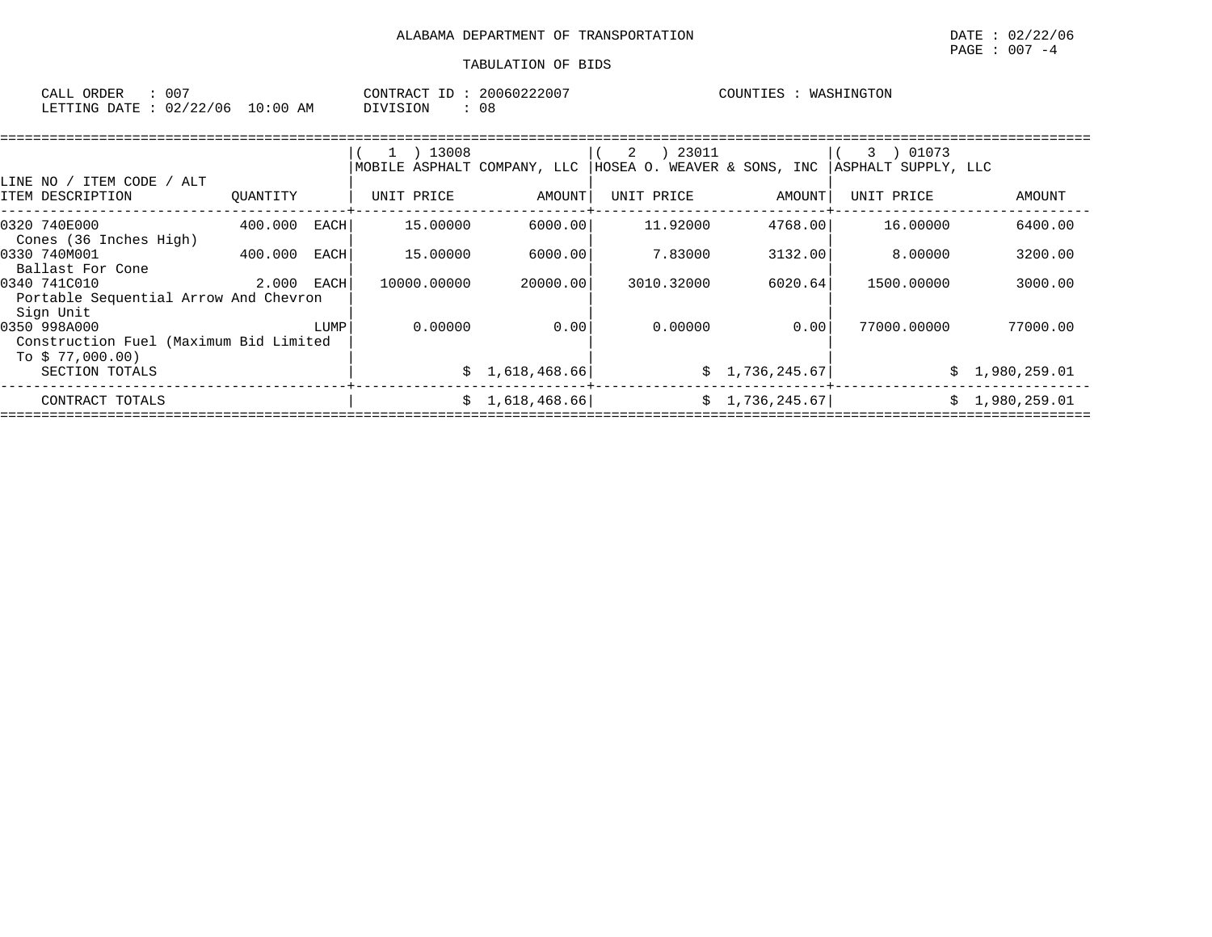| ORDER<br>CALL | 007        |            | CONTRACT ID: |     | 20060222007 | COUNTIES | WASHINGTON |
|---------------|------------|------------|--------------|-----|-------------|----------|------------|
| LETTING DATE  | : 02/22/06 | $10:00$ AM | DIVISION     | 0 E |             |          |            |

| ITEM CODE<br>/ ALT<br>LINE NO /                                            |          |      | 1 ) 13008<br>MOBILE ASPHALT COMPANY, LLC |                 | 23011<br>2<br>HOSEA O. WEAVER & SONS, INC |                | 01073<br>3<br>ASPHALT SUPPLY, LLC |                |
|----------------------------------------------------------------------------|----------|------|------------------------------------------|-----------------|-------------------------------------------|----------------|-----------------------------------|----------------|
| ITEM DESCRIPTION                                                           | OUANTITY |      | UNIT PRICE                               | AMOUNT          | UNIT PRICE                                | AMOUNT         | UNIT PRICE                        | AMOUNT         |
| 0320 740E000<br>Cones (36 Inches High)                                     | 400.000  | EACH | 15,00000                                 | 6000.00         | 11,92000                                  | 4768.00        | 16.00000                          | 6400.00        |
| 0330 740M001<br>Ballast For Cone                                           | 400.000  | EACH | 15.00000                                 | 6000.00         | 7.83000                                   | 3132.00        | 8,00000                           | 3200.00        |
| 0340 741C010<br>Portable Sequential Arrow And Chevron<br>Sign Unit         | 2.000    | EACH | 10000.00000                              | 20000.00        | 3010.32000                                | 6020.64        | 1500.00000                        | 3000.00        |
| 0350 998A000<br>Construction Fuel (Maximum Bid Limited<br>To $$77,000.00)$ |          | LUMP | 0.00000                                  | 0.00            | 0.00000                                   | 0.00           | 77000.00000                       | 77000.00       |
| SECTION TOTALS                                                             |          |      |                                          | \$1,618,468.66  |                                           | \$1,736,245.67 |                                   | \$1,980,259.01 |
| CONTRACT TOTALS                                                            |          |      |                                          | \$1,618,468.66] |                                           | \$1,736,245.67 |                                   | \$1,980,259.01 |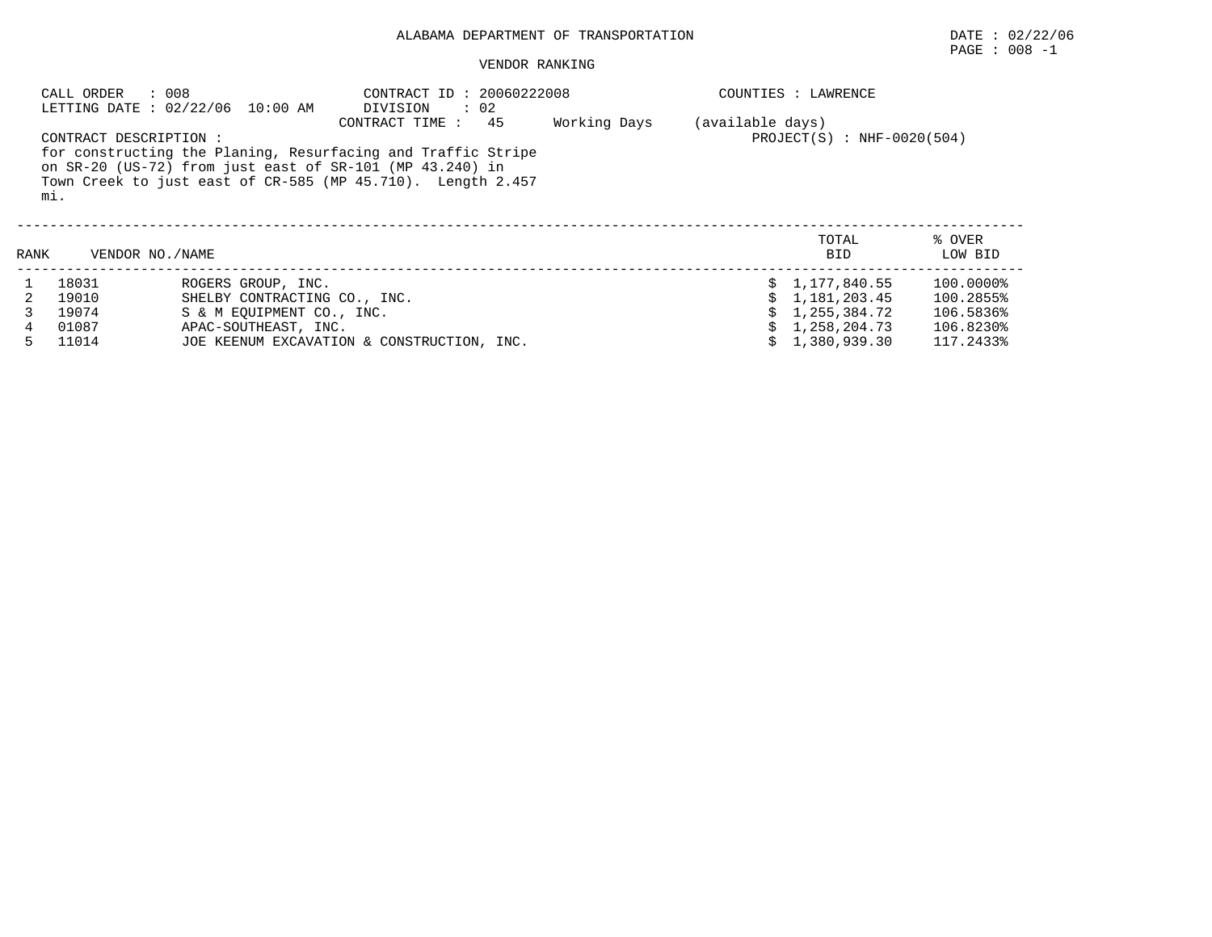# $\texttt{PAGE}$  : 008 -1

#### VENDOR RANKING

|      | : 008<br>CALL ORDER<br>LETTING DATE : 02/22/06 10:00 AM |                              | CONTRACT ID: 20060222008<br>$\therefore$ 02<br>DIVISION                                                                                                                                                         |              | COUNTIES : LAWRENCE |                              |                   |  |  |
|------|---------------------------------------------------------|------------------------------|-----------------------------------------------------------------------------------------------------------------------------------------------------------------------------------------------------------------|--------------|---------------------|------------------------------|-------------------|--|--|
|      | CONTRACT DESCRIPTION :<br>mi.                           |                              | 45<br>CONTRACT TIME:<br>for constructing the Planing, Resurfacing and Traffic Stripe<br>on SR-20 (US-72) from just east of SR-101 (MP 43.240) in<br>Town Creek to just east of CR-585 (MP 45.710). Length 2.457 | Working Days | (available days)    | $PROJECT(S) : NHF-0020(504)$ |                   |  |  |
| RANK | VENDOR NO./NAME                                         |                              |                                                                                                                                                                                                                 |              |                     | TOTAL<br>BID                 | % OVER<br>LOW BID |  |  |
|      | 18031                                                   | ROGERS GROUP, INC.           |                                                                                                                                                                                                                 |              |                     | 1,177,840.55                 | 100.0000%         |  |  |
|      | 19010                                                   | SHELBY CONTRACTING CO., INC. |                                                                                                                                                                                                                 |              |                     | 1,181,203.45                 | 100.2855%         |  |  |
|      | 19074                                                   | S & M EOUIPMENT CO., INC.    |                                                                                                                                                                                                                 |              |                     | 1,255,384.72                 | 106.5836%         |  |  |
|      | 01087                                                   | APAC-SOUTHEAST, INC.         |                                                                                                                                                                                                                 |              |                     | 1,258,204.73                 | 106.8230%         |  |  |
| 5.   | 11014                                                   |                              | JOE KEENUM EXCAVATION & CONSTRUCTION, INC.                                                                                                                                                                      |              |                     | 1,380,939.30                 | 117.2433%         |  |  |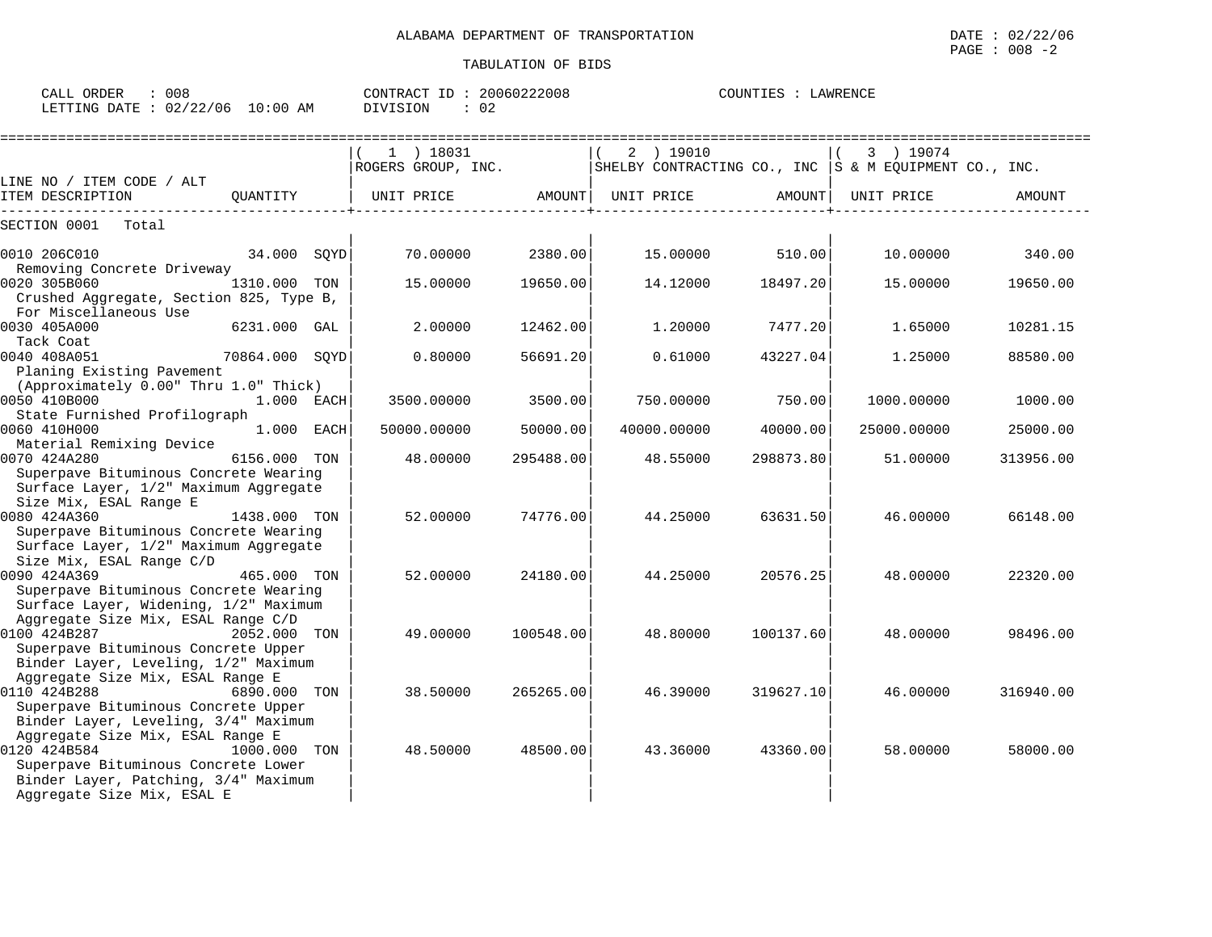$\text{CALL}$  ORDER : 008 CONTRACT ID : 20060222008

LETTING DATE : 02/22/06 10:00 AM DIVISION : 02

|                                                                                |                | 1 ) 18031          |           | 2 ) 19010   |           | 3 ) 19074                                                 |           |
|--------------------------------------------------------------------------------|----------------|--------------------|-----------|-------------|-----------|-----------------------------------------------------------|-----------|
|                                                                                |                | ROGERS GROUP, INC. |           |             |           | SHELBY CONTRACTING CO., INC $ S \& M$ EQUIPMENT CO., INC. |           |
| LINE NO / ITEM CODE / ALT                                                      |                |                    |           |             |           |                                                           |           |
| ITEM DESCRIPTION                                                               | OUANTITY       | UNIT PRICE         | AMOUNT    | UNIT PRICE  | AMOUNT    | UNIT PRICE                                                | AMOUNT    |
| SECTION 0001 Total                                                             |                |                    |           |             |           |                                                           |           |
| 34.000 SOYD<br>0010 206C010                                                    |                | 70.00000           | 2380.00   | 15.00000    | 510.00    | 10,00000                                                  | 340.00    |
| Removing Concrete Driveway                                                     |                |                    |           |             |           |                                                           |           |
| 0020 305B060                                                                   | 1310.000 TON   | 15.00000           | 19650.00  | 14.12000    | 18497.20  | 15.00000                                                  | 19650.00  |
| Crushed Aggregate, Section 825, Type B,                                        |                |                    |           |             |           |                                                           |           |
| For Miscellaneous Use<br>0030 405A000                                          |                |                    |           | 1,20000     |           |                                                           |           |
| Tack Coat                                                                      | 6231.000 GAL   | 2.00000            | 12462.00  |             | 7477.20   | 1.65000                                                   | 10281.15  |
| 0040 408A051                                                                   | 70864.000 SQYD | 0.80000            | 56691.20  | 0.61000     | 43227.04  | 1.25000                                                   | 88580.00  |
| Planing Existing Pavement                                                      |                |                    |           |             |           |                                                           |           |
| (Approximately 0.00" Thru 1.0" Thick)                                          |                |                    |           |             |           |                                                           |           |
| 0050 410B000<br>1.000 EACH                                                     |                | 3500.00000         | 3500.00   | 750.00000   | 750.00    | 1000.00000                                                | 1000.00   |
| State Furnished Profilograph                                                   |                |                    |           |             |           |                                                           |           |
| 0060 410H000                                                                   | 1.000 EACH     | 50000.00000        | 50000.00  | 40000.00000 | 40000.00  | 25000.00000                                               | 25000.00  |
| Material Remixing Device                                                       |                |                    |           |             |           |                                                           |           |
| 0070 424A280                                                                   | 6156.000 TON   | 48.00000           | 295488.00 | 48.55000    | 298873.80 | 51,00000                                                  | 313956.00 |
| Superpave Bituminous Concrete Wearing                                          |                |                    |           |             |           |                                                           |           |
| Surface Layer, 1/2" Maximum Aggregate                                          |                |                    |           |             |           |                                                           |           |
| Size Mix, ESAL Range E                                                         |                |                    |           |             |           |                                                           |           |
| 0080 424A360                                                                   | 1438.000 TON   | 52.00000           | 74776.00  | 44.25000    | 63631.50  | 46.00000                                                  | 66148.00  |
| Superpave Bituminous Concrete Wearing<br>Surface Layer, 1/2" Maximum Aggregate |                |                    |           |             |           |                                                           |           |
| Size Mix, ESAL Range C/D                                                       |                |                    |           |             |           |                                                           |           |
| 0090 424A369                                                                   | 465.000 TON    | 52.00000           | 24180.00  | 44.25000    | 20576.25  | 48,00000                                                  | 22320.00  |
| Superpave Bituminous Concrete Wearing                                          |                |                    |           |             |           |                                                           |           |
| Surface Layer, Widening, 1/2" Maximum                                          |                |                    |           |             |           |                                                           |           |
| Aggregate Size Mix, ESAL Range C/D                                             |                |                    |           |             |           |                                                           |           |
| 0100 424B287                                                                   | 2052.000 TON   | 49.00000           | 100548.00 | 48.80000    | 100137.60 | 48.00000                                                  | 98496.00  |
| Superpave Bituminous Concrete Upper                                            |                |                    |           |             |           |                                                           |           |
| Binder Layer, Leveling, 1/2" Maximum                                           |                |                    |           |             |           |                                                           |           |
| Aggregate Size Mix, ESAL Range E                                               |                |                    |           |             |           |                                                           |           |
| 0110 424B288<br>6890.000 TON                                                   |                | 38.50000           | 265265.00 | 46.39000    | 319627.10 | 46.00000                                                  | 316940.00 |
| Superpave Bituminous Concrete Upper                                            |                |                    |           |             |           |                                                           |           |
| Binder Layer, Leveling, 3/4" Maximum                                           |                |                    |           |             |           |                                                           |           |

- Aggregate Size Mix, ESAL Range E | | | 0120 424B584 1000.000 TON | 48.50000 48500.00| 43.36000 43360.00| 58.00000 58000.00 Superpave Bituminous Concrete Lower Binder Layer, Patching, 3/4" Maximum
- Aggregate Size Mix, ESAL E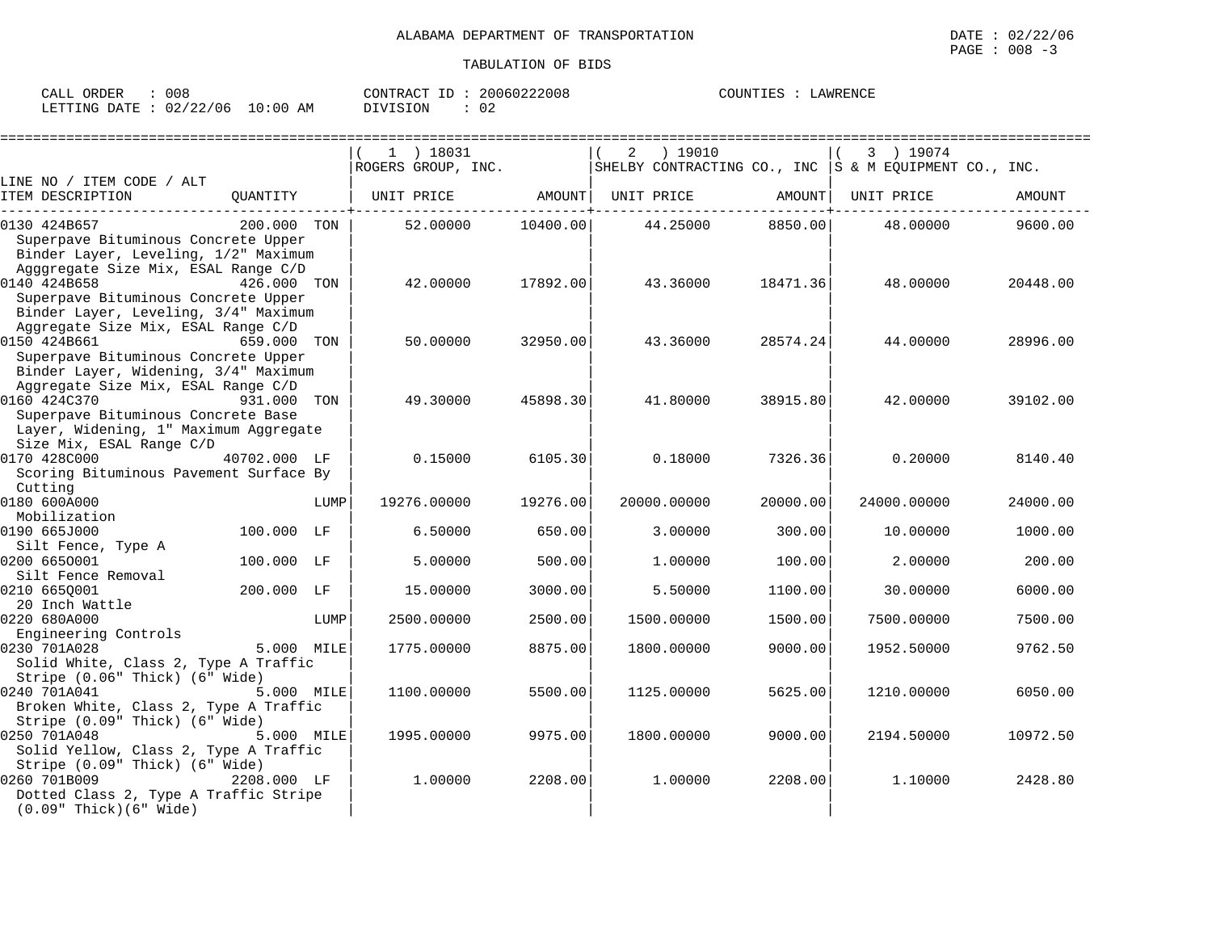| 008<br>CALL ORDER      |          | CONTRACT<br>ID : | 20060222008 | COUNTIES<br>LAWRENCE |
|------------------------|----------|------------------|-------------|----------------------|
| LETTING DATE: 02/22/06 | 10:00 AM | DIVISION         | 02          |                      |

|                                                                                                                                    |              |      | $1$ ) 18031        |          | ) 19010<br>2 |                   | 3 ) 19074                                                 |          |
|------------------------------------------------------------------------------------------------------------------------------------|--------------|------|--------------------|----------|--------------|-------------------|-----------------------------------------------------------|----------|
|                                                                                                                                    |              |      | ROGERS GROUP, INC. |          |              |                   | SHELBY CONTRACTING CO., INC $ S \& M$ EQUIPMENT CO., INC. |          |
| LINE NO / ITEM CODE / ALT<br>ITEM DESCRIPTION                                                                                      | QUANTITY     |      | UNIT PRICE AMOUNT  |          |              | UNIT PRICE AMOUNT | UNIT PRICE                                                | AMOUNT   |
| 0130 424B657<br>Superpave Bituminous Concrete Upper<br>Binder Layer, Leveling, 1/2" Maximum<br>Agggregate Size Mix, ESAL Range C/D | 200.000 TON  |      | 52.00000           | 10400.00 | 44.25000     | 8850.00           | 48.00000                                                  | 9600.00  |
| 0140 424B658<br>Superpave Bituminous Concrete Upper<br>Binder Layer, Leveling, 3/4" Maximum<br>Aggregate Size Mix, ESAL Range C/D  | 426.000 TON  |      | 42.00000           | 17892.00 | 43.36000     | 18471.36          | 48.00000                                                  | 20448.00 |
| 0150 424B661<br>Superpave Bituminous Concrete Upper<br>Binder Layer, Widening, 3/4" Maximum<br>Aggregate Size Mix, ESAL Range C/D  | 659.000 TON  |      | 50.00000           | 32950.00 | 43.36000     | 28574.24          | 44.00000                                                  | 28996.00 |
| 0160 424C370<br>Superpave Bituminous Concrete Base<br>Layer, Widening, 1" Maximum Aggregate<br>Size Mix, ESAL Range C/D            | 931.000 TON  |      | 49.30000           | 45898.30 | 41.80000     | 38915.80          | 42.00000                                                  | 39102.00 |
| 0170 428C000<br>Scoring Bituminous Pavement Surface By<br>Cutting                                                                  | 40702.000 LF |      | 0.15000            | 6105.30  | 0.18000      | 7326.36           | 0.20000                                                   | 8140.40  |
| 0180 600A000<br>Mobilization                                                                                                       |              | LUMP | 19276.00000        | 19276.00 | 20000.00000  | 20000.00          | 24000.00000                                               | 24000.00 |
| 0190 665J000<br>Silt Fence, Type A                                                                                                 | 100.000 LF   |      | 6.50000            | 650.00   | 3.00000      | 300.00            | 10.00000                                                  | 1000.00  |
| 0200 6650001<br>Silt Fence Removal                                                                                                 | 100.000 LF   |      | 5.00000            | 500.00   | 1,00000      | 100.00            | 2,00000                                                   | 200.00   |
| 0210 6650001<br>20 Inch Wattle                                                                                                     | 200.000 LF   |      | 15.00000           | 3000.00  | 5.50000      | 1100.00           | 30.00000                                                  | 6000.00  |
| 0220 680A000<br>Engineering Controls                                                                                               |              | LUMP | 2500.00000         | 2500.00  | 1500.00000   | 1500.00           | 7500.00000                                                | 7500.00  |
| 0230 701A028<br>Solid White, Class 2, Type A Traffic<br>Stripe (0.06" Thick) (6" Wide)                                             | 5.000 MILE   |      | 1775.00000         | 8875.00  | 1800.00000   | 9000.00           | 1952.50000                                                | 9762.50  |
| 0240 701A041<br>Broken White, Class 2, Type A Traffic<br>Stripe (0.09" Thick) (6" Wide)                                            | 5.000 MILE   |      | 1100.00000         | 5500.00  | 1125.00000   | 5625.00           | 1210.00000                                                | 6050.00  |
| 0250 701A048<br>Solid Yellow, Class 2, Type A Traffic<br>Stripe (0.09" Thick) (6" Wide)                                            | 5.000 MILE   |      | 1995.00000         | 9975.00  | 1800.00000   | 9000.00           | 2194.50000                                                | 10972.50 |
| 0260 701B009<br>Dotted Class 2, Type A Traffic Stripe<br>$(0.09"$ Thick $)(6"$ Wide $)$                                            | 2208.000 LF  |      | 1,00000            | 2208.00  | 1,00000      | 2208.00           | 1,10000                                                   | 2428.80  |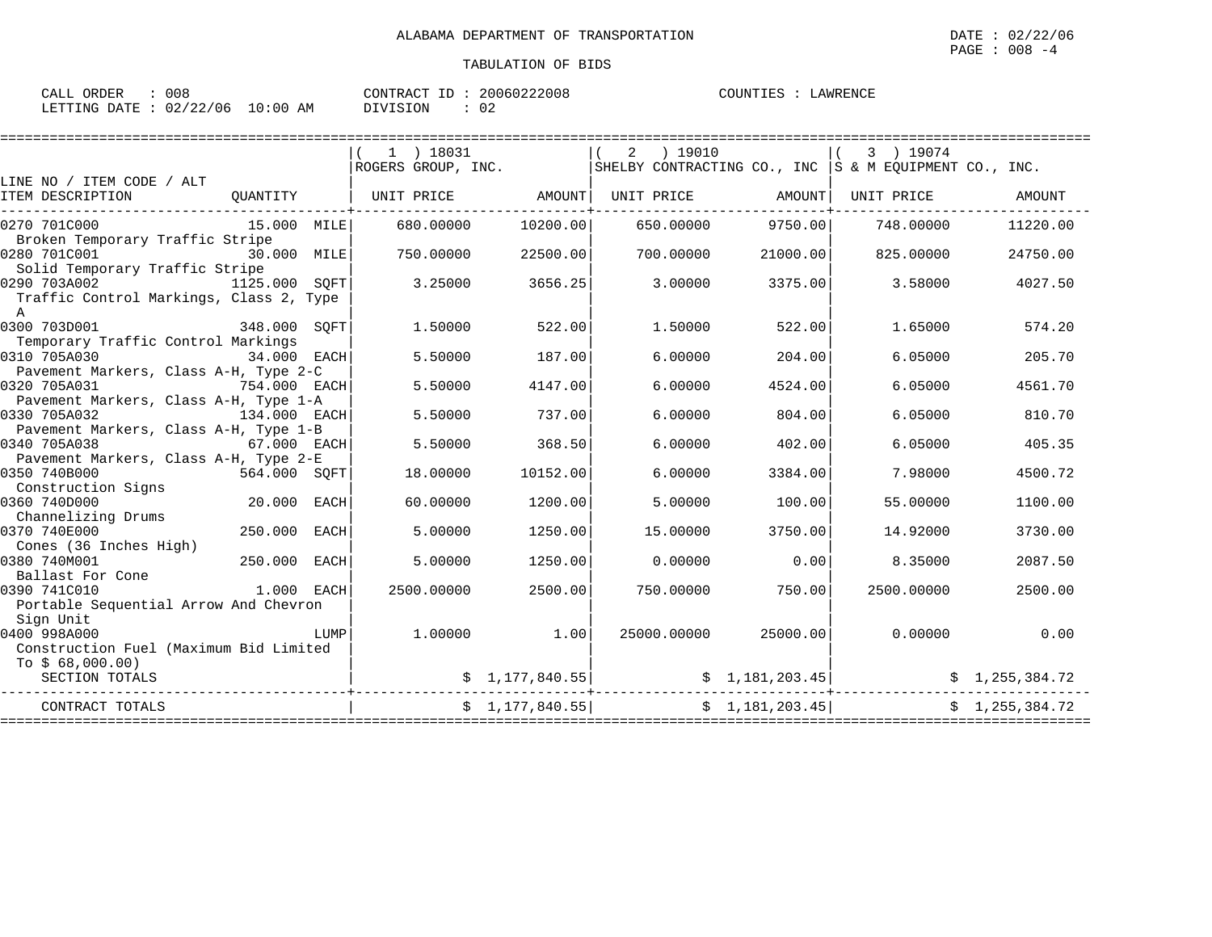| 008<br>CALL ORDER      |             | CONTRACT ID | 20060222008 | LAWRENCE<br>COUNTIES : |
|------------------------|-------------|-------------|-------------|------------------------|
| LETTING DATE: 02/22/06 | 10:00<br>AΜ | DIVISION    | 02          |                        |

|                                                                                                           |               |             | $(1)$ 18031        |                 | ) 19010<br>2 |                      | 3 ) 19074                                                                                                                                                                                          |                |
|-----------------------------------------------------------------------------------------------------------|---------------|-------------|--------------------|-----------------|--------------|----------------------|----------------------------------------------------------------------------------------------------------------------------------------------------------------------------------------------------|----------------|
|                                                                                                           |               |             | ROGERS GROUP, INC. |                 |              |                      | SHELBY CONTRACTING CO., INC $ S \& M$ EQUIPMENT CO., INC.                                                                                                                                          |                |
| LINE NO / ITEM CODE / ALT                                                                                 |               |             |                    |                 |              |                      |                                                                                                                                                                                                    |                |
| ITEM DESCRIPTION                                                                                          | OUANTITY      |             | UNIT PRICE         | AMOUNT          | UNIT PRICE   | AMOUNT               | UNIT PRICE                                                                                                                                                                                         | AMOUNT         |
| 0270 701C000<br>Broken Temporary Traffic Stripe                                                           | 15.000 MILE   |             | 680,00000          | 10200.00        | 650.00000    | 9750.00              | 748,00000                                                                                                                                                                                          | 11220.00       |
| 0280 701C001                                                                                              | 30.000 MILE   |             | 750.00000          | 22500.00        | 700.00000    | 21000.00             | 825,00000                                                                                                                                                                                          | 24750.00       |
| Solid Temporary Traffic Stripe<br>0290 703A002<br>Traffic Control Markings, Class 2, Type<br>$\mathbb{A}$ | 1125.000 SOFT |             | 3.25000            | 3656.25         | 3,00000      | 3375.00              | 3.58000                                                                                                                                                                                            | 4027.50        |
| 0300 703D001<br>Temporary Traffic Control Markings                                                        | 348.000 SOFT  |             | 1.50000            | 522.00          | 1,50000      | 522.00               | 1.65000                                                                                                                                                                                            | 574.20         |
| 0310 705A030                                                                                              | 34.000 EACH   |             | 5.50000            | 187.00          | 6.00000      | 204.00               | 6.05000                                                                                                                                                                                            | 205.70         |
| Pavement Markers, Class A-H, Type 2-C<br>0320 705A031                                                     | 754.000 EACH  |             | 5.50000            | 4147.00         | 6,00000      | 4524.00              | 6.05000                                                                                                                                                                                            | 4561.70        |
| Pavement Markers, Class A-H, Type 1-A<br>0330 705A032                                                     | 134.000 EACH  |             | 5.50000            | 737.00          | 6,00000      | 804.00               | 6.05000                                                                                                                                                                                            | 810.70         |
| Pavement Markers, Class A-H, Type 1-B<br>0340 705A038                                                     | 67.000 EACH   |             | 5.50000            | 368.50          | 6.00000      | 402.00               | 6.05000                                                                                                                                                                                            | 405.35         |
| Pavement Markers, Class A-H, Type 2-E<br>0350 740B000<br>Construction Signs                               | 564.000 SOFT  |             | 18,00000           | 10152.00        | 6.00000      | 3384.00              | 7.98000                                                                                                                                                                                            | 4500.72        |
| 0360 740D000<br>Channelizing Drums                                                                        | 20.000 EACH   |             | 60.00000           | 1200.00         | 5.00000      | 100.00               | 55.00000                                                                                                                                                                                           | 1100.00        |
| 0370 740E000<br>Cones (36 Inches High)                                                                    | 250.000 EACH  |             | 5.00000            | 1250.00         | 15,00000     | 3750.00              | 14.92000                                                                                                                                                                                           | 3730.00        |
| 0380 740M001<br>Ballast For Cone                                                                          | 250.000       | <b>EACH</b> | 5.00000            | 1250.00         | 0.00000      | 0.00                 | 8.35000                                                                                                                                                                                            | 2087.50        |
| 0390 741C010<br>Portable Sequential Arrow And Chevron<br>Sign Unit                                        | 1.000 EACH    |             | 2500.00000         | 2500.00         | 750.00000    | 750.00               | 2500.00000                                                                                                                                                                                         | 2500.00        |
| 0400 998A000<br>Construction Fuel (Maximum Bid Limited                                                    |               | LUMP        | 1.00000            | 1.00            |              | 25000.00000 25000.00 | 0.00000                                                                                                                                                                                            | 0.00           |
| To $$68,000.00)$<br>SECTION TOTALS                                                                        |               |             |                    |                 |              |                      | $\begin{array}{cc} \text{\$} & 1,177,840.55 \end{array}$ $\begin{array}{cc} \text{\$} & \text{\$} & 1,181,203.45 \end{array}$ $\begin{array}{cc} \text{\$} & \text{\$} & 1,255,384.72 \end{array}$ |                |
| CONTRACT TOTALS                                                                                           |               |             |                    | \$1,177,840.55] |              | \$1,181,203.45       |                                                                                                                                                                                                    | \$1,255,384.72 |
|                                                                                                           |               |             |                    |                 |              |                      |                                                                                                                                                                                                    |                |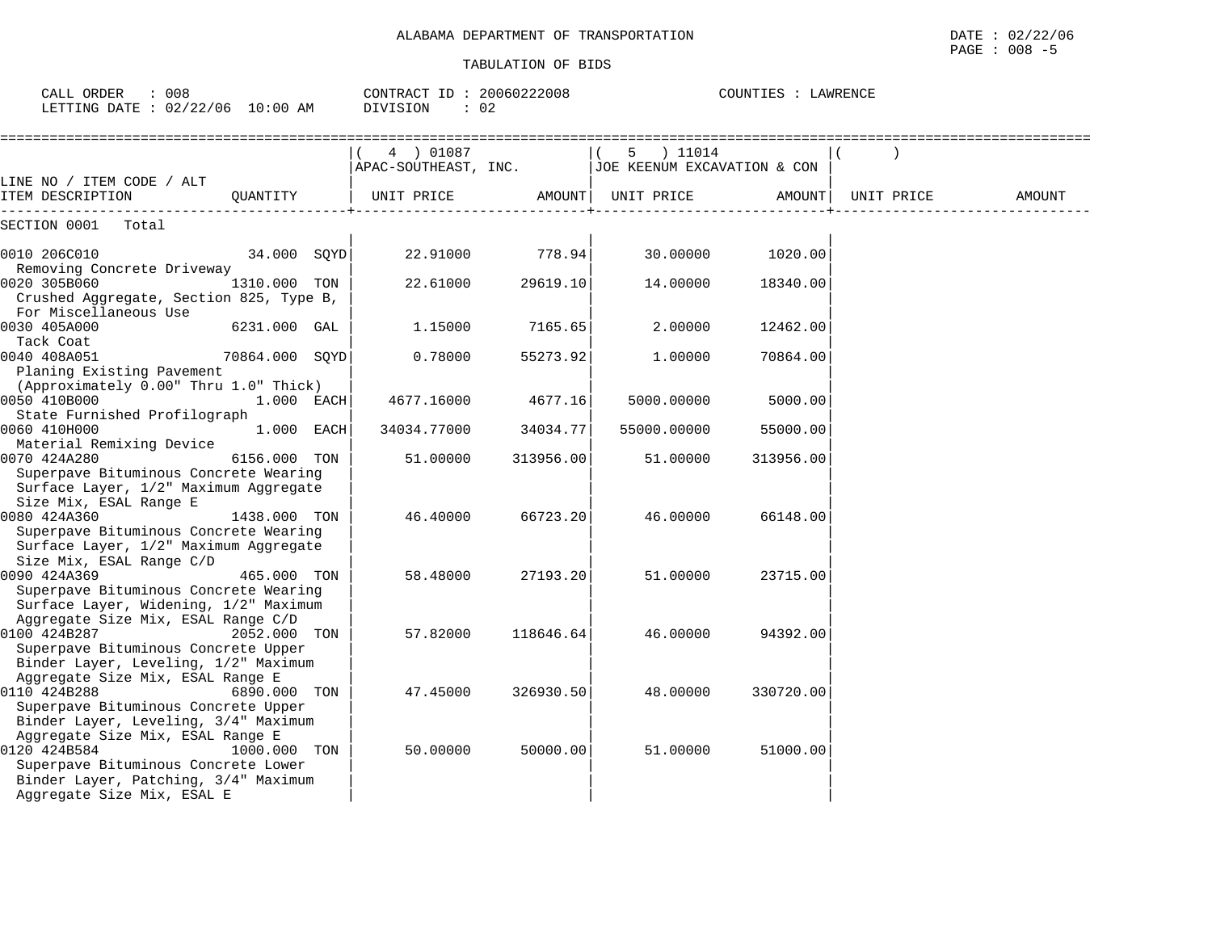| TRANSPORTATION     | 02/22/06                                                                                                        |
|--------------------|-----------------------------------------------------------------------------------------------------------------|
| OF                 | DATE                                                                                                            |
| ALABAMA DEPARTMENT |                                                                                                                 |
|                    | the contract of the contract of the contract of the contract of the contract of the contract of the contract of |
|                    | 008<br>PAGE<br>— <b>—</b>                                                                                       |

| CALL ORDER : 008<br>LETTING DATE : 02/22/06 10:00 AM                                                                                                                                    | CONTRACT ID: 20060222008<br>DIVISION | $\therefore$ 02 |                                                                       | COUNTIES : LAWRENCE |            |        |
|-----------------------------------------------------------------------------------------------------------------------------------------------------------------------------------------|--------------------------------------|-----------------|-----------------------------------------------------------------------|---------------------|------------|--------|
|                                                                                                                                                                                         | 4) 01087                             |                 | 5 ) 11014<br>$ $ APAC-SOUTHEAST, INC. $ $ JOE KEENUM EXCAVATION & CON |                     |            |        |
| LINE NO / ITEM CODE / ALT<br>ITEM DESCRIPTION<br>QUANTITY                                                                                                                               | UNIT PRICE                           |                 | AMOUNT   UNIT PRICE         AMOUNT                                    |                     | UNIT PRICE | AMOUNT |
| SECTION 0001<br>Total                                                                                                                                                                   |                                      |                 |                                                                       |                     |            |        |
| 34.000 SQYD<br>0010 206C010                                                                                                                                                             | 22.91000                             | 778.94          | 30.00000                                                              | 1020.00             |            |        |
| Removing Concrete Driveway<br>0020 305B060<br>1310.000 TON<br>Crushed Aggregate, Section 825, Type B,                                                                                   | 22.61000                             | 29619.10        | 14.00000                                                              | 18340.00            |            |        |
| For Miscellaneous Use<br>0030 405A000<br>6231.000 GAL                                                                                                                                   | 1,15000                              | 7165.65         | 2.00000                                                               | 12462.00            |            |        |
| Tack Coat<br>0040 408A051<br>70864.000 SQYD<br>Planing Existing Pavement                                                                                                                | 0.78000                              | 55273.92        | 1.00000                                                               | 70864.00            |            |        |
| (Approximately 0.00" Thru 1.0" Thick)<br>0050 410B000<br>1.000 EACH                                                                                                                     | 4677.16000                           | 4677.16         | 5000.00000                                                            | 5000.00             |            |        |
| State Furnished Profilograph<br>0060 410H000<br>1.000 EACH<br>Material Remixing Device                                                                                                  | 34034.77000                          | 34034.77        | 55000.00000                                                           | 55000.00            |            |        |
| 0070 424A280<br>6156.000 TON<br>Superpave Bituminous Concrete Wearing<br>Surface Layer, 1/2" Maximum Aggregate                                                                          | 51.00000                             | 313956.00       | 51.00000                                                              | 313956.00           |            |        |
| Size Mix, ESAL Range E<br>0080 424A360<br>1438.000 TON<br>Superpave Bituminous Concrete Wearing<br>Surface Layer, 1/2" Maximum Aggregate                                                | 46.40000                             | 66723.20        | 46.00000                                                              | 66148.00            |            |        |
| Size Mix, ESAL Range C/D<br>0090 424A369<br>465.000 TON<br>Superpave Bituminous Concrete Wearing<br>Surface Layer, Widening, 1/2" Maximum                                               | 58.48000                             | 27193.20        | 51.00000                                                              | 23715.00            |            |        |
| Aggregate Size Mix, ESAL Range C/D<br>0100 424B287<br>2052.000 TON<br>Superpave Bituminous Concrete Upper                                                                               | 57.82000                             | 118646.64       | 46.00000                                                              | 94392.00            |            |        |
| Binder Layer, Leveling, 1/2" Maximum<br>Aggregate Size Mix, ESAL Range E<br>0110 424B288<br>6890.000 TON<br>Superpave Bituminous Concrete Upper<br>Binder Layer, Leveling, 3/4" Maximum | 47.45000                             | 326930.50       | 48.00000                                                              | 330720.00           |            |        |
| Aggregate Size Mix, ESAL Range E<br>0120 424B584<br>1000.000 TON<br>Superpave Bituminous Concrete Lower<br>Binder Layer, Patching, 3/4" Maximum<br>Aggregate Size Mix, ESAL E           | 50.00000                             | 50000.00        | 51.00000                                                              | 51000.00            |            |        |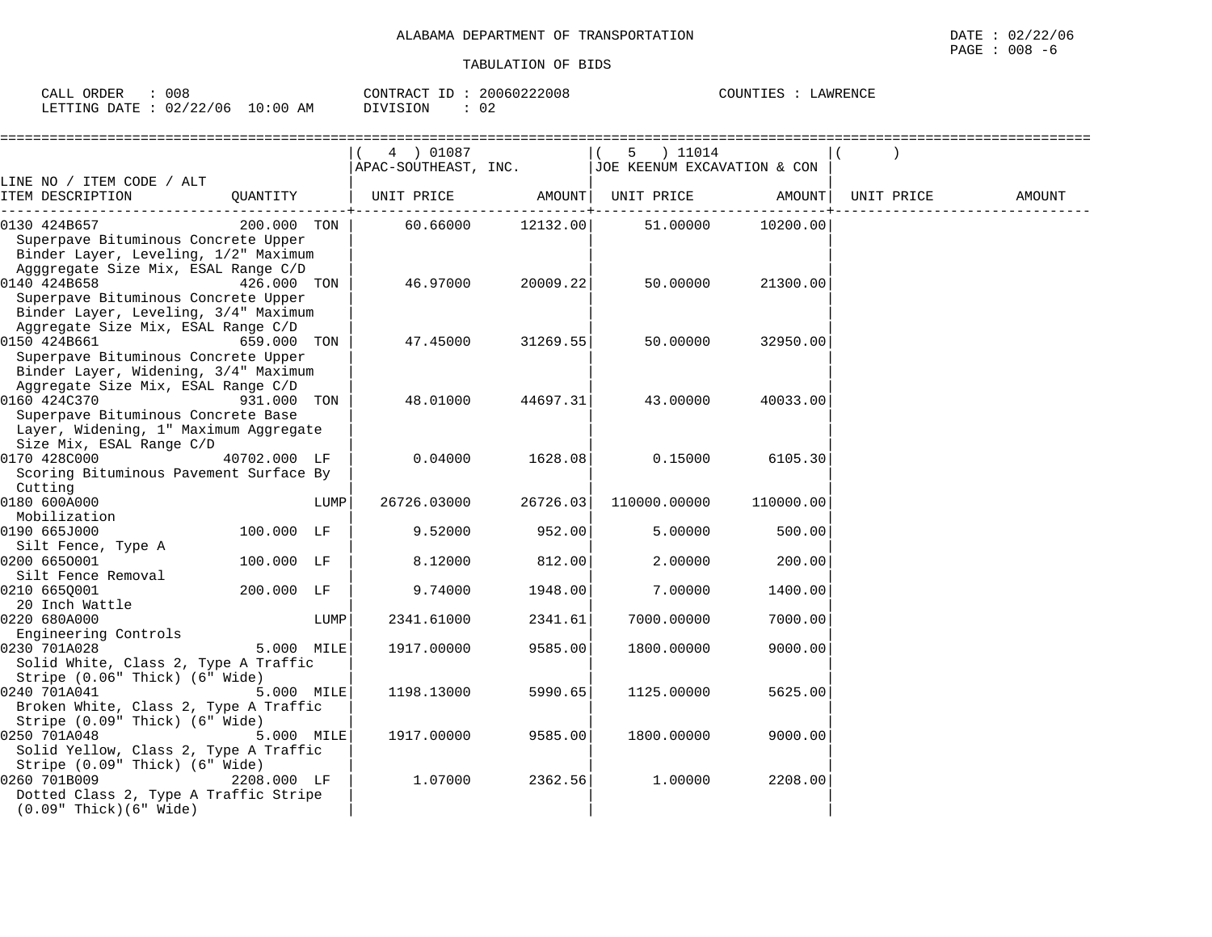| ORDER<br>CALL           | 008 |             | CONTRACT<br>ID | 20060222008 | COUNTIES<br>LAWRENCE |
|-------------------------|-----|-------------|----------------|-------------|----------------------|
| LETTING DATE : 02/22/06 |     | 10:00<br>AM | DIVISION       | ◡∠          |                      |

|                                                                                                                                    |              |      | ================<br>4 ) 01087<br>APAC-SOUTHEAST, INC. |           | 5 ) 11014<br>JOE KEENUM EXCAVATION & CON |           |            |        |
|------------------------------------------------------------------------------------------------------------------------------------|--------------|------|-------------------------------------------------------|-----------|------------------------------------------|-----------|------------|--------|
| LINE NO / ITEM CODE / ALT                                                                                                          |              |      |                                                       |           |                                          |           |            |        |
| ITEM DESCRIPTION                                                                                                                   | QUANTITY     |      | UNIT PRICE                                            |           | AMOUNT  UNIT PRICE                       | AMOUNT    | UNIT PRICE | AMOUNT |
| 0130 424B657<br>Superpave Bituminous Concrete Upper<br>Binder Layer, Leveling, 1/2" Maximum<br>Agggregate Size Mix, ESAL Range C/D | 200.000 TON  |      | 60.66000                                              | 12132.00  | 51.00000                                 | 10200.00  |            |        |
| 0140 424B658<br>Superpave Bituminous Concrete Upper<br>Binder Layer, Leveling, 3/4" Maximum<br>Aggregate Size Mix, ESAL Range C/D  | 426.000 TON  |      | 46.97000                                              | 20009.221 | 50.00000                                 | 21300.00  |            |        |
| 0150 424B661<br>Superpave Bituminous Concrete Upper<br>Binder Layer, Widening, 3/4" Maximum<br>Aggregate Size Mix, ESAL Range C/D  | 659.000 TON  |      | 47.45000                                              | 31269.55  | 50.00000                                 | 32950.00  |            |        |
| 0160 424C370<br>Superpave Bituminous Concrete Base<br>Layer, Widening, 1" Maximum Aggregate<br>Size Mix, ESAL Range C/D            | 931.000 TON  |      | 48.01000                                              | 44697.31  | 43.00000                                 | 40033.00  |            |        |
| 0170 428C000<br>Scoring Bituminous Pavement Surface By<br>Cutting                                                                  | 40702.000 LF |      | 0.04000                                               | 1628.08   | 0.15000                                  | 6105.30   |            |        |
| 0180 600A000<br>Mobilization                                                                                                       |              | LUMP | 26726.03000                                           | 26726.03  | 110000.00000                             | 110000.00 |            |        |
| 0190 665J000<br>Silt Fence, Type A                                                                                                 | 100.000 LF   |      | 9.52000                                               | 952.00    | 5.00000                                  | 500.00    |            |        |
| 0200 6650001<br>Silt Fence Removal                                                                                                 | 100.000 LF   |      | 8.12000                                               | 812.00    | 2,00000                                  | 200.00    |            |        |
| 0210 6650001<br>20 Inch Wattle                                                                                                     | 200.000 LF   |      | 9.74000                                               | 1948.00   | 7.00000                                  | 1400.00   |            |        |
| 0220 680A000<br>Engineering Controls                                                                                               |              | LUMP | 2341.61000                                            | 2341.61   | 7000.00000                               | 7000.00   |            |        |
| 0230 701A028<br>Solid White, Class 2, Type A Traffic<br>Stripe (0.06" Thick) (6" Wide)                                             | 5.000 MILE   |      | 1917.00000                                            | 9585.00   | 1800.00000                               | 9000.00   |            |        |
| 0240 701A041<br>Broken White, Class 2, Type A Traffic<br>Stripe (0.09" Thick) (6" Wide)                                            | 5.000 MILE   |      | 1198.13000                                            | 5990.65   | 1125.00000                               | 5625.00   |            |        |
| 0250 701A048<br>Solid Yellow, Class 2, Type A Traffic<br>Stripe (0.09" Thick) (6" Wide)                                            | 5.000 MILE   |      | 1917.00000                                            | 9585.00   | 1800.00000                               | 9000.00   |            |        |
| 0260 701B009<br>Dotted Class 2, Type A Traffic Stripe<br>$(0.09"$ Thick $)(6"$ Wide $)$                                            | 2208.000 LF  |      | 1.07000                                               | 2362.56   | 1.00000                                  | 2208.00   |            |        |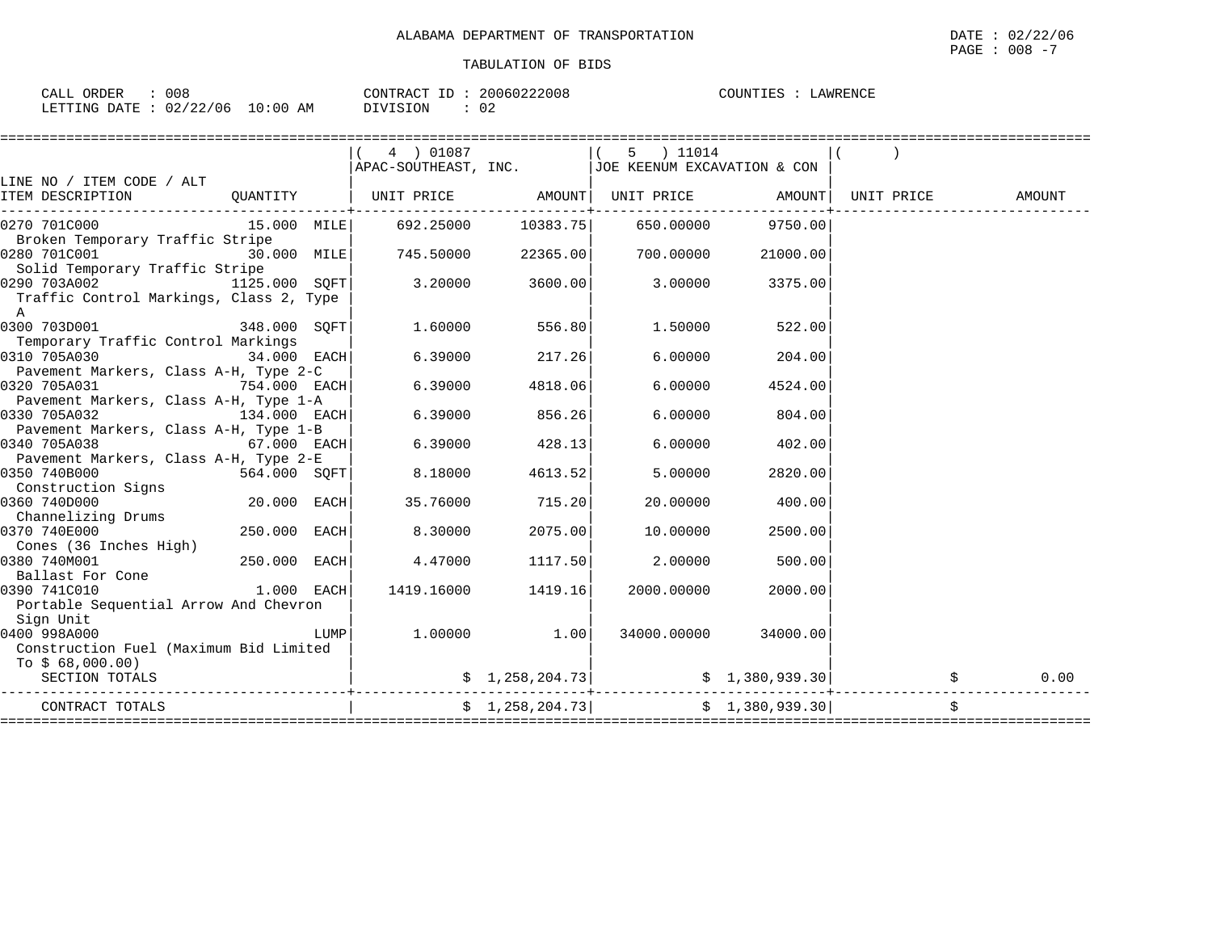| 008<br>ORDER<br>$\sim$ $ -$<br>L'ALI               |           | CONTRACT<br>--<br>المتحدث | 20060222008 | LAWRENCE<br>. UN. |
|----------------------------------------------------|-----------|---------------------------|-------------|-------------------|
| 22/06<br>$\sqrt{2}$<br>LETTING<br>חים מח<br>$\sim$ | :00<br>ΑM | DIVISION                  | 02          |                   |

|                                                                                          | 4 ) 01087<br>APAC-SOUTHEAST, INC.   JOE KEENUM EXCAVATION & CON | $\overline{\phantom{a}}$ | 5 ) 11014                                     |                      |        |
|------------------------------------------------------------------------------------------|-----------------------------------------------------------------|--------------------------|-----------------------------------------------|----------------------|--------|
| LINE NO / ITEM CODE / ALT                                                                |                                                                 |                          |                                               |                      |        |
| ITEM DESCRIPTION                                                                         |                                                                 |                          |                                               |                      | AMOUNT |
| 0270 701C000<br>Broken Temporary Traffic Stripe                                          | 15.000 MILE 692.25000 10383.75                                  |                          | 650.00000                                     | 9750.00              |        |
| 0280 701C001<br>30.000 MILE<br>Solid Temporary Traffic Stripe                            | 745.50000                                                       | 22365.00                 | 700.00000                                     | 21000.00             |        |
| 0290 703A002<br>1125.000 SOFT<br>Traffic Control Markings, Class 2, Type<br>$\mathbb{A}$ | 3.20000                                                         | 3600.00                  | 3.00000                                       | 3375.00              |        |
| 0300 703D001<br>348.000 SOFT<br>Temporary Traffic Control Markings                       | 1.60000                                                         | 556.80                   | 1.50000                                       | 522.00               |        |
| 0310 705A030<br>$34.000$ EACH<br>Pavement Markers, Class A-H, Type 2-C                   | 6.39000                                                         | 217.26                   | 6.00000                                       | 204.00               |        |
| 0320 705A031<br>$754.000$ EACH<br>Pavement Markers, Class A-H, Type 1-A                  | 6.39000                                                         | 4818.06                  | 6.00000                                       | 4524.00              |        |
| 0330 705A032<br>$134.000$ EACH<br>Pavement Markers, Class A-H, Type 1-B                  | 6.39000                                                         | 856.26                   | 6.00000                                       | 804.00               |        |
| 0340 705A038<br>$67.000$ EACH<br>Pavement Markers, Class A-H, Type 2-E                   | 6.39000                                                         | 428.13                   | 6.00000                                       | 402.00               |        |
| 0350 740B000<br>564.000 SOFT<br>Construction Signs                                       | 8.18000                                                         | 4613.52                  | 5.00000                                       | 2820.00              |        |
| 0360 740D000<br>20.000 EACH<br>Channelizing Drums                                        | 35.76000                                                        | 715.20                   | 20,00000                                      | 400.00               |        |
| 0370 740E000<br>250.000 EACH<br>Cones (36 Inches High)                                   | 8.30000                                                         | 2075.00                  | 10.00000                                      | 2500.00              |        |
| 250.000 EACH<br>0380 740M001<br>Ballast For Cone                                         | 4.47000                                                         | 1117.50                  | 2.00000                                       | 500.00               |        |
| $1.000$ EACH<br>0390 741C010<br>Portable Sequential Arrow And Chevron<br>Sign Unit       | 1419.16000                                                      | 1419.16                  | 2000.00000                                    | 2000.00              |        |
| 0400 998A000<br>LUMPI<br>Construction Fuel (Maximum Bid Limited<br>To $$68,000.00)$      | $1.00000$ 1.00                                                  |                          |                                               | 34000.00000 34000.00 |        |
| SECTION TOTALS                                                                           |                                                                 |                          |                                               |                      | 0.00   |
| CONTRACT TOTALS                                                                          |                                                                 |                          | $\frac{1}{258,204.73}$ $\frac{1}{380,939.30}$ |                      | \$     |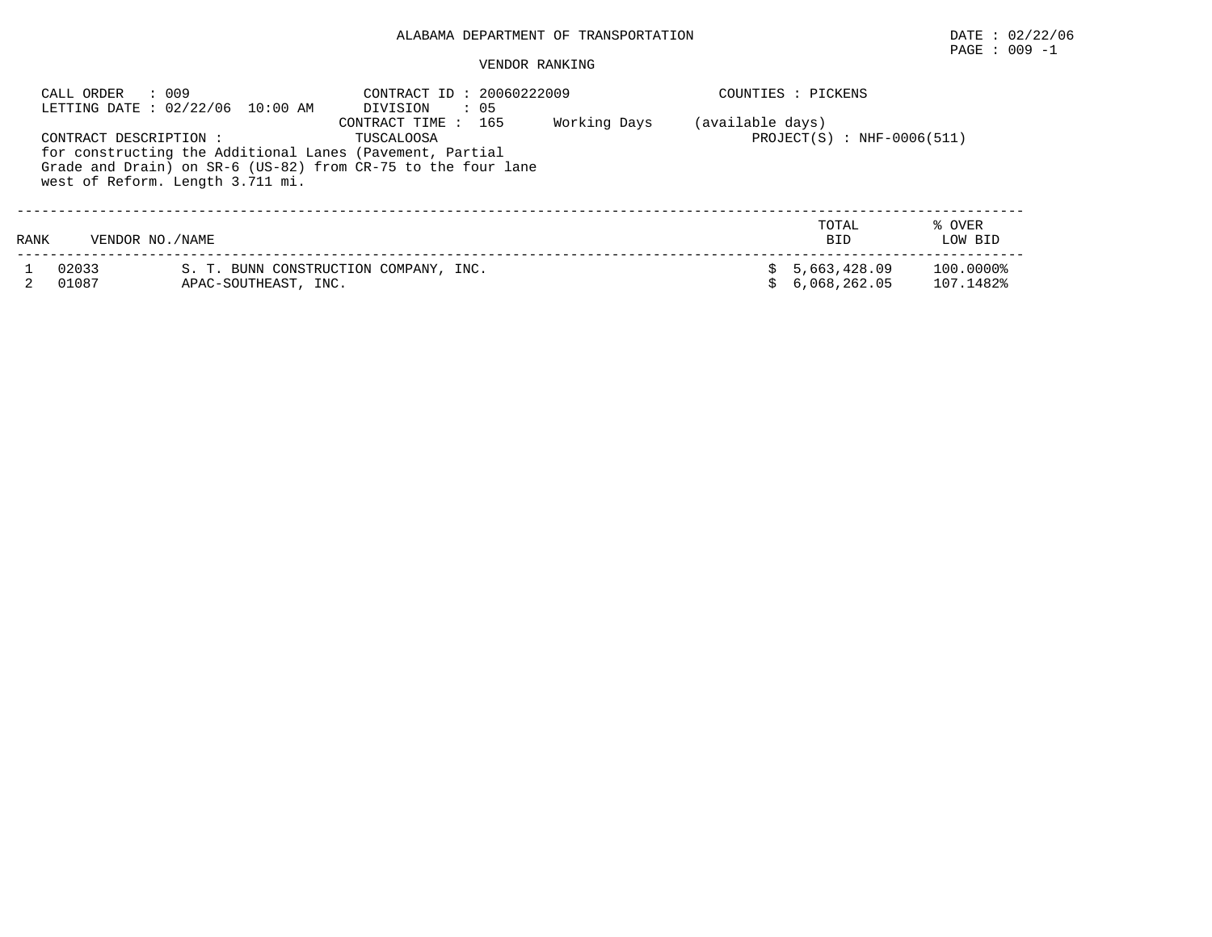# PAGE : 009 -1

#### VENDOR RANKING

| CALL ORDER     | : 009<br>LETTING DATE: 02/22/06 10:00 AM<br>CONTRACT DESCRIPTION :<br>for constructing the Additional Lanes (Pavement, Partial<br>west of Reform. Length 3.711 mi. | CONTRACT ID: 20060222009<br>$\cdot$ 05<br>DIVISION<br>165<br>CONTRACT TIME:<br>TUSCALOOSA<br>Grade and Drain) on SR-6 (US-82) from CR-75 to the four lane | Working Days | (available days) | COUNTIES : PICKENS<br>$PROJECT(S) : NHF-0006(511)$ |                        |
|----------------|--------------------------------------------------------------------------------------------------------------------------------------------------------------------|-----------------------------------------------------------------------------------------------------------------------------------------------------------|--------------|------------------|----------------------------------------------------|------------------------|
| RANK           | VENDOR NO. / NAME                                                                                                                                                  |                                                                                                                                                           |              |                  | TOTAL<br><b>BID</b>                                | % OVER<br>LOW BID      |
| 02033<br>01087 | APAC-SOUTHEAST, INC.                                                                                                                                               | S. T. BUNN CONSTRUCTION COMPANY, INC.                                                                                                                     |              |                  | 5,663,428.09<br>6,068,262.05                       | 100.0000%<br>107.1482% |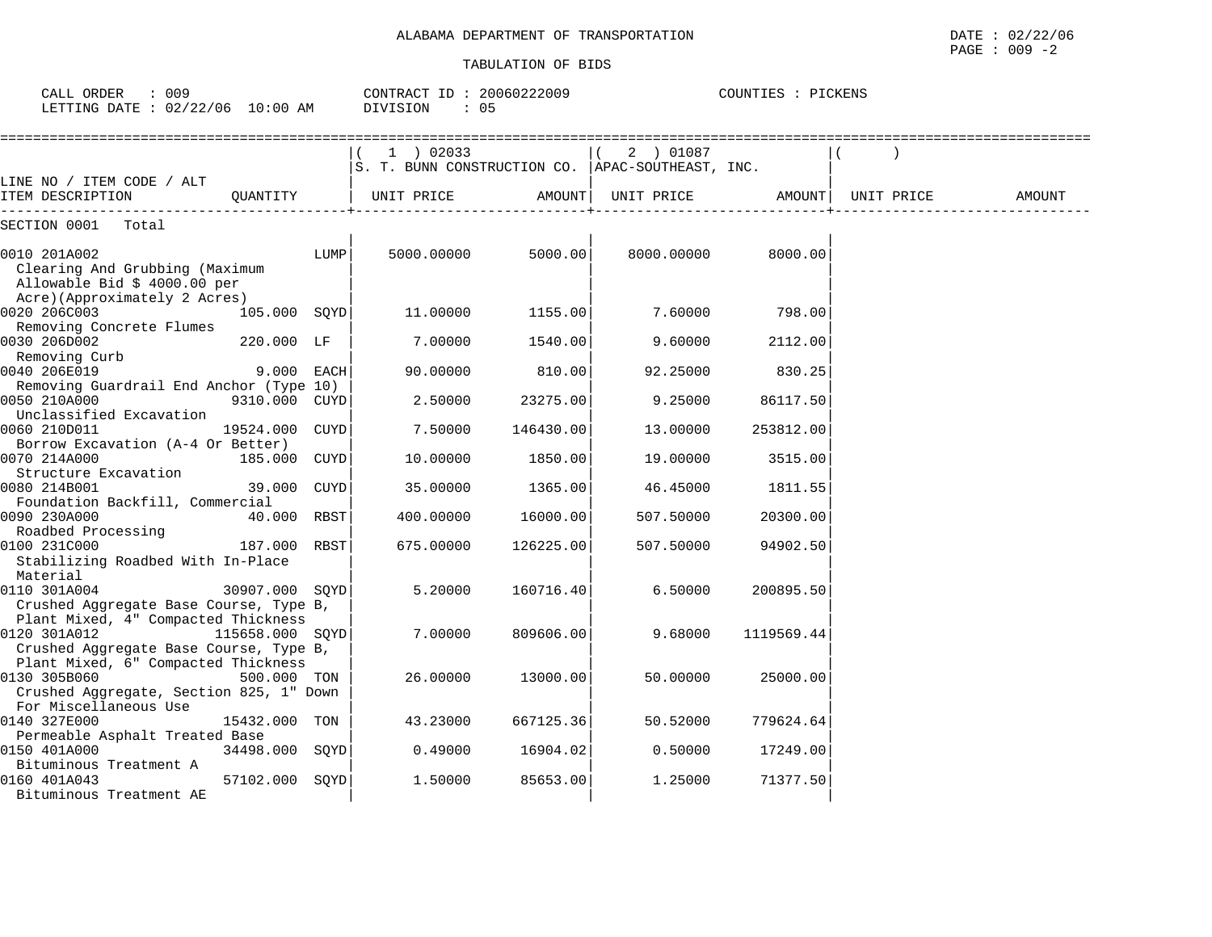CALL ORDER : 009 CONTRACT ID : 20060222009 COUNTIES : PICKENS

| LETTING DATE : 02/22/06 10:00 AM                                                                               |                 |      | DIVISION<br>$\therefore$ 05                                      |           |                           |            |            |        |
|----------------------------------------------------------------------------------------------------------------|-----------------|------|------------------------------------------------------------------|-----------|---------------------------|------------|------------|--------|
|                                                                                                                |                 |      | $1$ ) 02033<br>S. T. BUNN CONSTRUCTION CO.  APAC-SOUTHEAST, INC. |           | 2 ) 01087                 |            |            |        |
| LINE NO / ITEM CODE / ALT<br>ITEM DESCRIPTION<br>------------------------------                                | OUANTITY        |      | UNIT PRICE                                                       |           | AMOUNT  UNIT PRICE AMOUNT |            | UNIT PRICE | AMOUNT |
| SECTION 0001 Total                                                                                             |                 |      |                                                                  |           |                           |            |            |        |
| 0010 201A002<br>Clearing And Grubbing (Maximum<br>Allowable Bid \$ 4000.00 per<br>Acre)(Approximately 2 Acres) |                 | LUMP | 5000.00000                                                       | 5000.00   | 8000.00000                | 8000.00    |            |        |
| 0020 206C003                                                                                                   | 105.000 SQYD    |      | 11.00000                                                         | 1155.00   | 7.60000                   | 798.00     |            |        |
| Removing Concrete Flumes<br>0030 206D002<br>Removing Curb                                                      | 220.000 LF      |      | 7.00000                                                          | 1540.00   | 9.60000                   | 2112.00    |            |        |
| 0040 206E019<br>Removing Guardrail End Anchor (Type 10)                                                        | 9.000 EACH      |      | 90.00000                                                         | 810.00    | 92.25000                  | 830.25     |            |        |
| 0050 210A000<br>Unclassified Excavation                                                                        | 9310.000 CUYD   |      | 2.50000                                                          | 23275.00  | 9.25000                   | 86117.50   |            |        |
| 0060 210D011<br>Borrow Excavation (A-4 Or Better)                                                              | 19524.000 CUYD  |      | 7.50000                                                          | 146430.00 | 13.00000                  | 253812.00  |            |        |
| 0070 214A000<br>Structure Excavation                                                                           | 185.000 CUYD    |      | 10.00000                                                         | 1850.00   | 19.00000                  | 3515.00    |            |        |
| 0080 214B001<br>Foundation Backfill, Commercial                                                                | 39.000 CUYD     |      | 35.00000                                                         | 1365.00   | 46.45000                  | 1811.55    |            |        |
| 0090 230A000<br>Roadbed Processing                                                                             | 40.000 RBST     |      | 400.00000                                                        | 16000.00  | 507.50000                 | 20300.00   |            |        |
| 0100 231C000<br>Stabilizing Roadbed With In-Place<br>Material                                                  | 187.000 RBST    |      | 675.00000                                                        | 126225.00 | 507.50000                 | 94902.50   |            |        |
| 0110 301A004<br>Crushed Aggregate Base Course, Type B,<br>Plant Mixed, 4" Compacted Thickness                  | 30907.000 SOYD  |      | 5.20000                                                          | 160716.40 | 6.50000                   | 200895.50  |            |        |
| 0120 301A012<br>Crushed Aggregate Base Course, Type B,<br>Plant Mixed, 6" Compacted Thickness                  | 115658.000 SOYD |      | 7.00000                                                          | 809606.00 | 9.68000                   | 1119569.44 |            |        |
| 0130 305B060<br>Crushed Aggregate, Section 825, 1" Down<br>For Miscellaneous Use                               | 500.000 TON     |      | 26.00000                                                         | 13000.00  | 50.00000                  | 25000.00   |            |        |
| 0140 327E000<br>Permeable Asphalt Treated Base                                                                 | 15432.000 TON   |      | 43.23000                                                         | 667125.36 | 50.52000                  | 779624.64  |            |        |
| 0150 401A000<br>Bituminous Treatment A                                                                         | 34498.000 SQYD  |      | 0.49000                                                          | 16904.02  | 0.50000                   | 17249.00   |            |        |
| 0160 401A043<br>Bituminous Treatment AE                                                                        | 57102.000 SOYD  |      | 1.50000                                                          | 85653.00  | 1,25000                   | 71377.50   |            |        |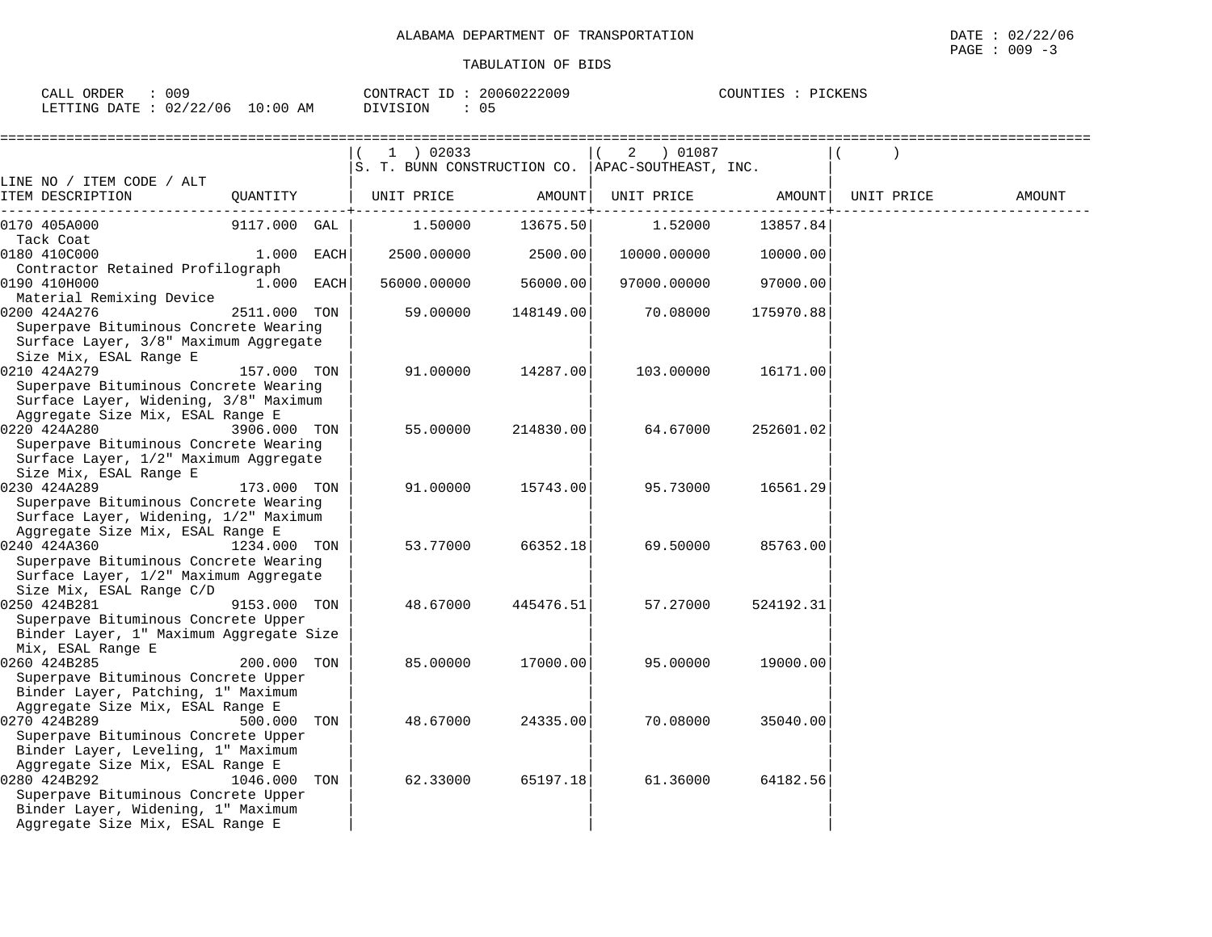| 009<br>ORDER<br>CALL     |             | CONTRACT ID           | 20060222009 | COUNTIES<br>$\lnot$ $\tau$ $\rm CKENS$ |
|--------------------------|-------------|-----------------------|-------------|----------------------------------------|
| 02/22/06<br>LETTING DATE | 10:00<br>ΑM | ∩⊾<br>DIVISION<br>◡ ◡ |             |                                        |

|                                                                                                                                              |              |     | $1$ ) 02033                                        |           | 2<br>) 01087 |           |            |        |
|----------------------------------------------------------------------------------------------------------------------------------------------|--------------|-----|----------------------------------------------------|-----------|--------------|-----------|------------|--------|
|                                                                                                                                              |              |     | S. T. BUNN CONSTRUCTION CO.   APAC-SOUTHEAST, INC. |           |              |           |            |        |
| LINE NO / ITEM CODE / ALT                                                                                                                    |              |     |                                                    |           |              |           |            |        |
| ITEM DESCRIPTION                                                                                                                             | QUANTITY     |     | UNIT PRICE                                         | AMOUNT    | UNIT PRICE   | AMOUNT    | UNIT PRICE | AMOUNT |
| 0170 405A000                                                                                                                                 | 9117.000 GAL |     | 1.50000                                            | 13675.50  | 1.52000      | 13857.84  |            |        |
| Tack Coat<br>0180 410C000                                                                                                                    | 1.000 EACH   |     | 2500.00000                                         | 2500.00   | 10000.00000  | 10000.00  |            |        |
| Contractor Retained Profilograph                                                                                                             |              |     |                                                    |           |              |           |            |        |
| 0190 410H000                                                                                                                                 | 1.000 EACH   |     | 56000.00000                                        | 56000.00  | 97000.00000  | 97000.00  |            |        |
| Material Remixing Device                                                                                                                     |              |     |                                                    |           |              |           |            |        |
| 0200 424A276                                                                                                                                 | 2511.000 TON |     | 59.00000                                           | 148149.00 | 70.08000     | 175970.88 |            |        |
| Superpave Bituminous Concrete Wearing<br>Surface Layer, 3/8" Maximum Aggregate<br>Size Mix, ESAL Range E                                     |              |     |                                                    |           |              |           |            |        |
| 0210 424A279                                                                                                                                 | 157.000 TON  |     | 91.00000                                           | 14287.00  | 103.00000    | 16171.00  |            |        |
| Superpave Bituminous Concrete Wearing<br>Surface Layer, Widening, 3/8" Maximum<br>Aggregate Size Mix, ESAL Range E                           |              |     |                                                    |           |              |           |            |        |
| 0220 424A280                                                                                                                                 | 3906.000 TON |     | 55.00000                                           | 214830.00 | 64.67000     | 252601.02 |            |        |
| Superpave Bituminous Concrete Wearing<br>Surface Layer, 1/2" Maximum Aggregate<br>Size Mix, ESAL Range E                                     |              |     |                                                    |           |              |           |            |        |
| 0230 424A289                                                                                                                                 | 173.000 TON  |     | 91.00000                                           | 15743.00  | 95.73000     | 16561.29  |            |        |
| Superpave Bituminous Concrete Wearing<br>Surface Layer, Widening, 1/2" Maximum                                                               |              |     |                                                    |           |              |           |            |        |
| Aggregate Size Mix, ESAL Range E                                                                                                             |              |     |                                                    |           |              |           |            |        |
| 0240 424A360<br>$1234.000$ TON<br>Superpave Bituminous Concrete Wearing<br>Surface Layer, 1/2" Maximum Aggregate<br>Size Mix, ESAL Range C/D |              |     | 53.77000                                           | 66352.18  | 69.50000     | 85763.00  |            |        |
| 0250 424B281                                                                                                                                 | 9153.000 TON |     | 48.67000                                           | 445476.51 | 57.27000     | 524192.31 |            |        |
| Superpave Bituminous Concrete Upper<br>Binder Layer, 1" Maximum Aggregate Size<br>Mix, ESAL Range E                                          |              |     |                                                    |           |              |           |            |        |
| 0260 424B285<br>Superpave Bituminous Concrete Upper<br>Binder Layer, Patching, 1" Maximum                                                    | 200.000 TON  |     | 85,00000                                           | 17000.00  | 95,00000     | 19000.00  |            |        |
| Aggregate Size Mix, ESAL Range E                                                                                                             |              |     |                                                    |           |              |           |            |        |
| 0270 424B289                                                                                                                                 | 500.000      | TON | 48.67000                                           | 24335.00  | 70.08000     | 35040.00  |            |        |
| Superpave Bituminous Concrete Upper<br>Binder Layer, Leveling, 1" Maximum                                                                    |              |     |                                                    |           |              |           |            |        |
| Aggregate Size Mix, ESAL Range E                                                                                                             |              |     |                                                    |           |              |           |            |        |
| 0280 424B292<br>Superpave Bituminous Concrete Upper<br>Binder Layer, Widening, 1" Maximum<br>Aggregate Size Mix, ESAL Range E                | 1046.000 TON |     | 62.33000                                           | 65197.18  | 61.36000     | 64182.56  |            |        |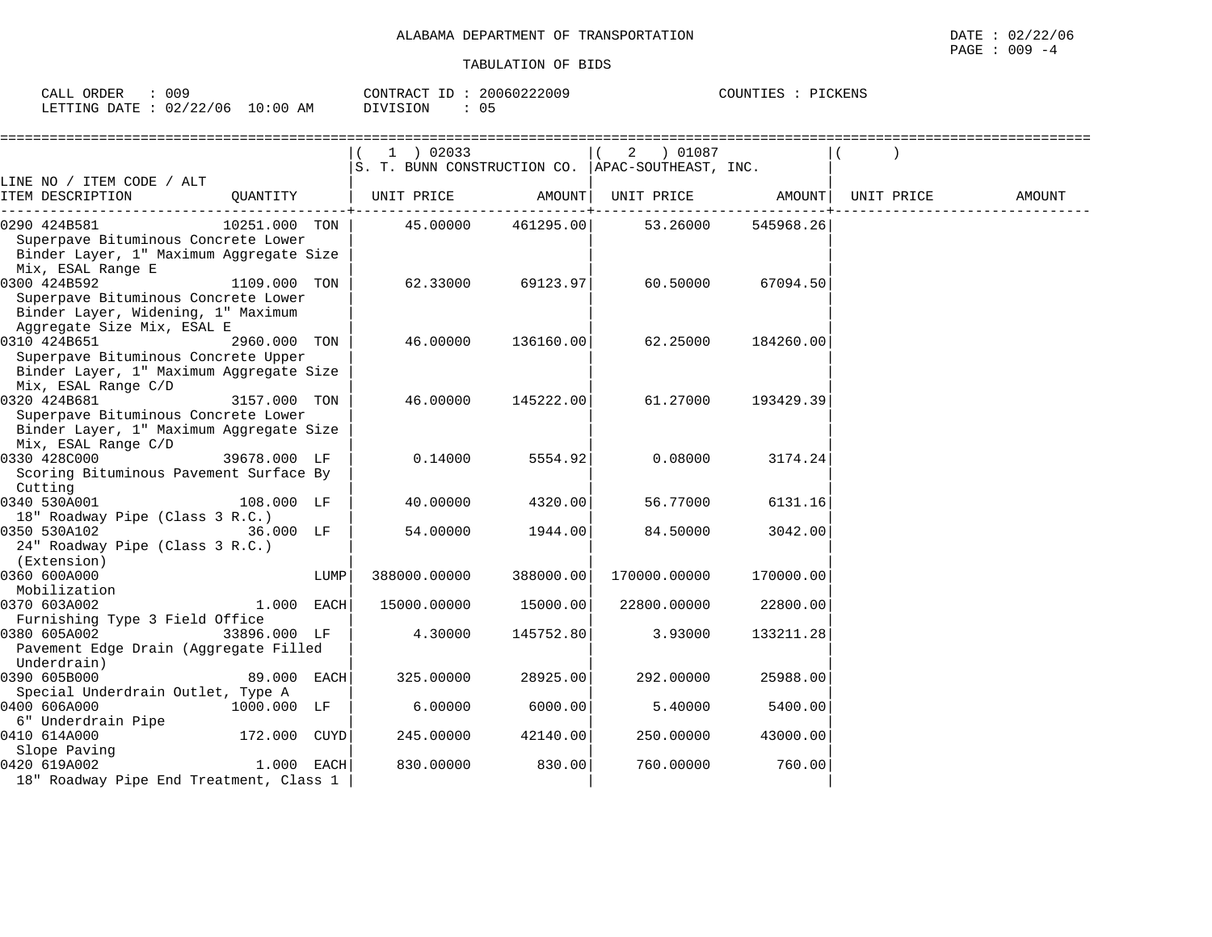| 009<br>ORDER<br>$C\Delta T.T$<br>ـىسى |                         | 20060222009<br>CONTRACT ID | PICKENS<br>COUNTIES<br>'I H. S |
|---------------------------------------|-------------------------|----------------------------|--------------------------------|
| LETTING DATE                          | 10:00<br>02/22/06<br>ΆM | 0.<br>DIVISION             |                                |

|                                                                                                                         |               |      | $1$ ) 02033<br>S. T. BUNN CONSTRUCTION CO.   APAC-SOUTHEAST, INC. |                    | 2 ) 01087    |           |            |        |
|-------------------------------------------------------------------------------------------------------------------------|---------------|------|-------------------------------------------------------------------|--------------------|--------------|-----------|------------|--------|
| LINE NO / ITEM CODE / ALT<br>ITEM DESCRIPTION                                                                           | QUANTITY      |      | UNIT PRICE                                                        | AMOUNT             | UNIT PRICE   | AMOUNT    | UNIT PRICE | AMOUNT |
| 0290 424B581<br>Superpave Bituminous Concrete Lower<br>Binder Layer, 1" Maximum Aggregate Size<br>Mix, ESAL Range E     | 10251.000 TON |      |                                                                   | 45.00000 461295.00 | 53.26000     | 545968.26 |            |        |
| 0300 424B592<br>Superpave Bituminous Concrete Lower<br>Binder Layer, Widening, 1" Maximum<br>Aggregate Size Mix, ESAL E | 1109.000 TON  |      | 62.33000                                                          | 69123.97           | 60.50000     | 67094.50  |            |        |
| 0310 424B651<br>Superpave Bituminous Concrete Upper<br>Binder Layer, 1" Maximum Aggregate Size<br>Mix, ESAL Range C/D   | 2960.000 TON  |      | 46.00000                                                          | 136160.00          | 62.25000     | 184260.00 |            |        |
| 0320 424B681<br>Superpave Bituminous Concrete Lower<br>Binder Layer, 1" Maximum Aggregate Size<br>Mix, ESAL Range C/D   | 3157.000 TON  |      | 46.00000                                                          | 145222.00          | 61.27000     | 193429.39 |            |        |
| 0330 428C000<br>Scoring Bituminous Pavement Surface By<br>Cutting                                                       | 39678.000 LF  |      | 0.14000                                                           | 5554.92            | 0.08000      | 3174.24   |            |        |
| 0340 530A001<br>18" Roadway Pipe (Class 3 R.C.)                                                                         | 108.000 LF    |      | 40.00000                                                          | 4320.00            | 56.77000     | 6131.16   |            |        |
| 0350 530A102<br>24" Roadway Pipe (Class 3 R.C.)<br>(Extension)                                                          | 36.000 LF     |      | 54.00000                                                          | 1944.00            | 84.50000     | 3042.00   |            |        |
| 0360 600A000<br>Mobilization                                                                                            |               | LUMP | 388000.00000                                                      | 388000.00          | 170000.00000 | 170000.00 |            |        |
| 0370 603A002<br>Furnishing Type 3 Field Office                                                                          | $1.000$ EACH  |      | 15000.00000                                                       | 15000.00           | 22800.00000  | 22800.00  |            |        |
| 0380 605A002<br>Pavement Edge Drain (Aggregate Filled<br>Underdrain)                                                    | 33896.000 LF  |      | 4.30000                                                           | 145752.80          | 3.93000      | 133211.28 |            |        |
| 0390 605B000<br>Special Underdrain Outlet, Type A                                                                       | 89.000 EACH   |      | 325.00000                                                         | 28925.00           | 292.00000    | 25988.00  |            |        |
| 0400 606A000<br>6" Underdrain Pipe                                                                                      | 1000.000 LF   |      | 6.00000                                                           | 6000.00            | 5.40000      | 5400.00   |            |        |
| 0410 614A000<br>Slope Paving                                                                                            | 172.000 CUYD  |      | 245.00000                                                         | 42140.00           | 250.00000    | 43000.00  |            |        |
| 0420 619A002<br>18" Roadway Pipe End Treatment, Class 1                                                                 | 1.000 EACH    |      | 830.00000                                                         | 830.00             | 760.00000    | 760.00    |            |        |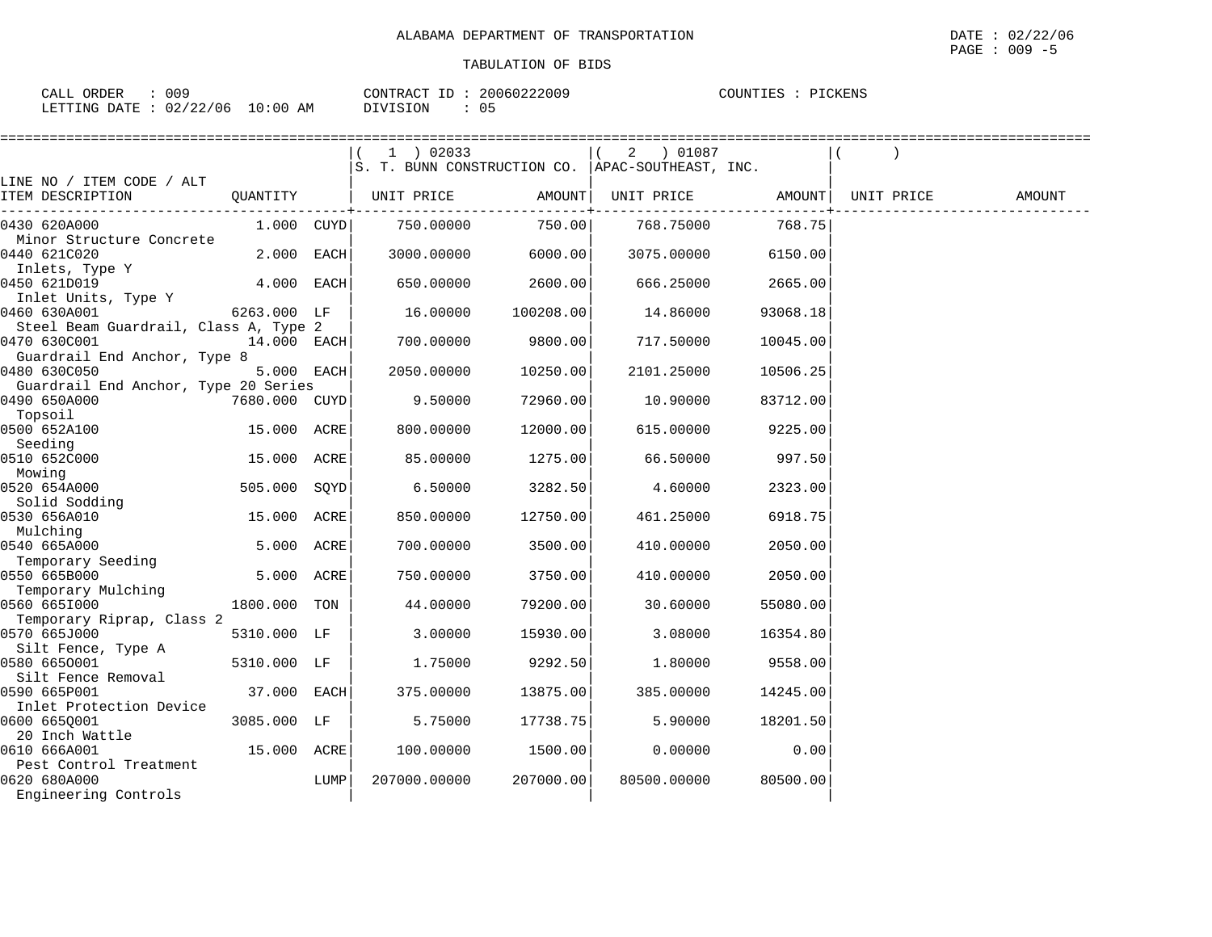| ORDER<br>CALL | 009      |            | CONTRACT ID | 20060222009   | COUNTIES<br>PICKENS |
|---------------|----------|------------|-------------|---------------|---------------------|
| LETTING DATE  | 02/22/06 | $10:00$ AM | DIVISION    | $\sim$ $\sim$ |                     |

|                  | TABULATION OF BIDS       |                    | PAGE : 009 -5 |
|------------------|--------------------------|--------------------|---------------|
| CALL ORDER : 009 | CONTRACT ID: 20060222009 | COUNTIES : PICKENS |               |

|                                                       |                |      | 1 ) 02033<br>S. T. BUNN CONSTRUCTION CO.  APAC-SOUTHEAST, INC. |           | $(2)$ 01087 |          |            |        |
|-------------------------------------------------------|----------------|------|----------------------------------------------------------------|-----------|-------------|----------|------------|--------|
| LINE NO / ITEM CODE / ALT<br>ITEM DESCRIPTION         | QUANTITY       |      | UNIT PRICE                                                     | AMOUNT    | UNIT PRICE  | AMOUNT   | UNIT PRICE | AMOUNT |
| 0430 620A000                                          | $1.000$ $CUYD$ |      | 750.00000                                                      | 750.00    | 768.75000   | 768.75   |            |        |
| Minor Structure Concrete<br>0440 621C020              | 2.000 EACH     |      | 3000.00000                                                     | 6000.00   | 3075.00000  | 6150.00  |            |        |
| Inlets, Type Y<br>0450 621D019                        | 4.000 EACH     |      | 650.00000                                                      | 2600.00   | 666.25000   | 2665.00  |            |        |
| Inlet Units, Type Y<br>0460 630A001                   | 6263.000 LF    |      | 16.00000                                                       | 100208.00 | 14.86000    | 93068.18 |            |        |
| Steel Beam Guardrail, Class A, Type 2<br>0470 630C001 | 14.000 EACH    |      | 700.00000                                                      | 9800.00   | 717.50000   | 10045.00 |            |        |
| Guardrail End Anchor, Type 8<br>0480 630C050          | 5.000 EACH     |      | 2050.00000                                                     | 10250.00  | 2101.25000  | 10506.25 |            |        |
| Guardrail End Anchor, Type 20 Series<br>0490 650A000  | 7680.000 CUYD  |      | 9.50000                                                        | 72960.00  | 10.90000    | 83712.00 |            |        |
| Topsoil<br>0500 652A100<br>Seeding                    | 15.000 ACRE    |      | 800.00000                                                      | 12000.00  | 615.00000   | 9225.00  |            |        |
| 0510 652C000<br>Mowing                                | 15.000 ACRE    |      | 85.00000                                                       | 1275.00   | 66.50000    | 997.50   |            |        |
| 0520 654A000<br>Solid Sodding                         | 505.000 SQYD   |      | 6.50000                                                        | 3282.50   | 4.60000     | 2323.00  |            |        |
| 0530 656A010<br>Mulching                              | 15.000 ACRE    |      | 850.00000                                                      | 12750.00  | 461.25000   | 6918.75  |            |        |
| 0540 665A000<br>Temporary Seeding                     | 5.000 ACRE     |      | 700.00000                                                      | 3500.00   | 410.00000   | 2050.00  |            |        |
| 0550 665B000<br>Temporary Mulching                    | 5.000 ACRE     |      | 750.00000                                                      | 3750.00   | 410.00000   | 2050.00  |            |        |
| 0560 6651000<br>Temporary Riprap, Class 2             | 1800.000 TON   |      | 44.00000                                                       | 79200.00  | 30.60000    | 55080.00 |            |        |
| 0570 665J000<br>Silt Fence, Type A                    | 5310.000 LF    |      | 3.00000                                                        | 15930.00  | 3.08000     | 16354.80 |            |        |
| 0580 6650001<br>Silt Fence Removal                    | 5310.000 LF    |      | 1.75000                                                        | 9292.50   | 1.80000     | 9558.00  |            |        |
| 0590 665P001<br>Inlet Protection Device               | 37.000 EACH    |      | 375.00000                                                      | 13875.00  | 385.00000   | 14245.00 |            |        |
| 0600 6650001<br>20 Inch Wattle                        | 3085.000 LF    |      | 5.75000                                                        | 17738.75  | 5.90000     | 18201.50 |            |        |
| 0610 666A001<br>Pest Control Treatment                | 15.000 ACRE    |      | 100.00000                                                      | 1500.00   | 0.00000     | 0.00     |            |        |
| 0620 680A000<br>Engineering Controls                  |                | LUMP | 207000.00000                                                   | 207000.00 | 80500.00000 | 80500.00 |            |        |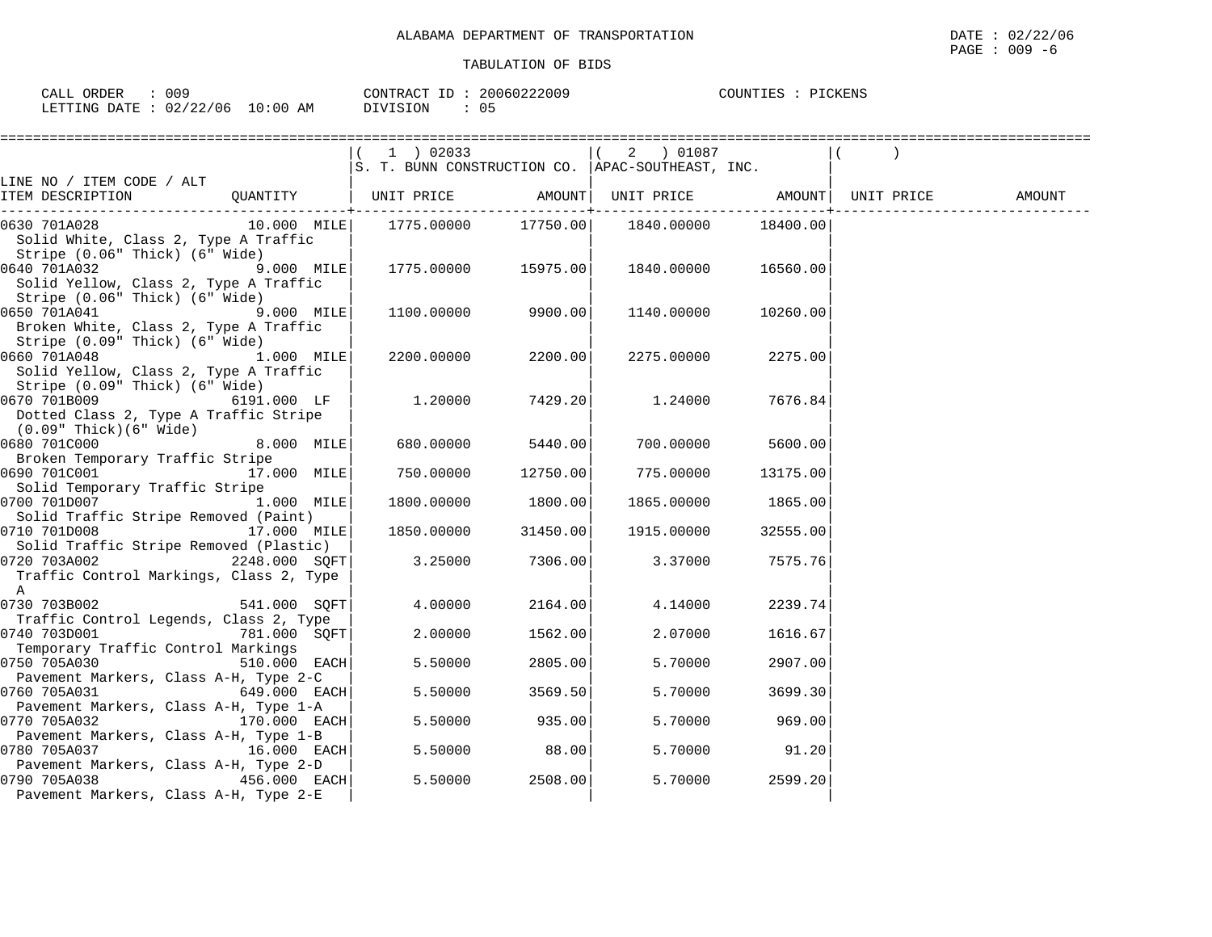| ORDER<br>CALI | 009                     | CONTRACT<br>٠D | 20060222009   | PICKENS<br>COUNTIES |
|---------------|-------------------------|----------------|---------------|---------------------|
| LETTING DATE  | 02/22/06<br>10:00<br>ΑM | OIVISION       | $11 -$<br>ັບພ |                     |

|                                                                                                                | (1) 02033<br>S. T. BUNN CONSTRUCTION CO.  APAC-SOUTHEAST, INC. |                         | $(2)$ 01087 |          |        |
|----------------------------------------------------------------------------------------------------------------|----------------------------------------------------------------|-------------------------|-------------|----------|--------|
| LINE NO / ITEM CODE / ALT<br>ITEM DESCRIPTION                                                                  | QUANTITY   UNIT PRICE AMOUNT  UNIT PRICE AMOUNT  UNIT PRICE    | -------------+--------- |             |          | AMOUNT |
| 0630 701A028<br>Solid White, Class 2, Type A Traffic<br>Stripe (0.06" Thick) (6" Wide)                         |                                                                |                         |             | 18400.00 |        |
| $9.000$ MILE<br>0640 701A032<br>Solid Yellow, Class 2, Type A Traffic<br>Stripe (0.06" Thick) (6" Wide)        | 1775.00000 15975.00                                            |                         | 1840.00000  | 16560.00 |        |
| 0650 701A041<br>$9.000$ MILE<br>Broken White, Class 2, Type A Traffic<br>Stripe (0.09" Thick) (6" Wide)        | $1100.00000$ 9900.00                                           |                         | 1140.00000  | 10260.00 |        |
| 1.000 MILE<br>0660 701A048<br>Solid Yellow, Class 2, Type A Traffic<br>Stripe (0.09" Thick) (6" Wide)          | 2200.00000                                                     | 2200.00                 | 2275.00000  | 2275.00  |        |
| $6191.000$ LF  <br>Dotted Class 2, Type A Traffic Stripe                                                       | 1.20000                                                        | 7429.20                 | 1.24000     | 7676.84  |        |
| (0.09" Thick)(6" Wide)<br>$8.000$ MILE<br>0680 701C000<br>Broken Temporary Traffic Stripe                      | 680.00000                                                      | 5440.00                 | 700.00000   | 5600.00  |        |
| 0690 701C001 17.000 MILE<br>Solid Temporary Traffic Stripe                                                     | 750.00000                                                      | 12750.00                | 775.00000   | 13175.00 |        |
| 0700 701D007<br>1.000 MILE<br>Solid Traffic Stripe Removed (Paint)                                             | 1800.00000                                                     | 1800.00                 | 1865.00000  | 1865.00  |        |
| 17.000 MILE<br>0710 701D008<br>Solid Traffic Stripe Removed (Plastic)                                          | 1850.00000                                                     | 31450.00                | 1915.00000  | 32555.00 |        |
| 0720 703A002 2248.000 SQFT<br>Traffic Control Markings, Class 2, Type<br>A                                     | 3.25000                                                        | 7306.00                 | 3.37000     | 7575.76  |        |
| 0730 703B002 541.000 SQFT<br>Traffic Control Legends, Class 2, Type                                            | 4.00000                                                        | 2164.00                 | 4.14000     | 2239.74  |        |
| 0740 703D001 781.000 SOFT<br>Temporary Traffic Control Markings                                                | 2.00000                                                        | 1562.00                 | 2.07000     | 1616.67  |        |
| 0750 705A030<br>510.000 EACH<br>Pavement Markers, Class A-H, Type 2-C                                          | 5.50000                                                        | 2805.00                 | 5.70000     | 2907.00  |        |
| 0760 705A031<br>649.000 EACH<br>Pavement Markers, Class A-H, Type 1-A                                          | 5.50000                                                        | 3569.50                 | 5.70000     | 3699.30  |        |
| $170.000$ EACH<br>0770 705A032                                                                                 | 5.50000                                                        | 935.00                  | 5.70000     | 969.00   |        |
| Pavement Markers, Class A-H, Type 1-B<br>0780 705A037<br>16.000 EACH                                           | 5.50000                                                        | 88.00                   | 5.70000     | 91.20    |        |
| Pavement Markers, Class A-H, Type 2-D<br>456.000 EACH<br>0790 705A038<br>Pavement Markers, Class A-H, Type 2-E | 5.50000                                                        | 2508.00                 | 5.70000     | 2599.20  |        |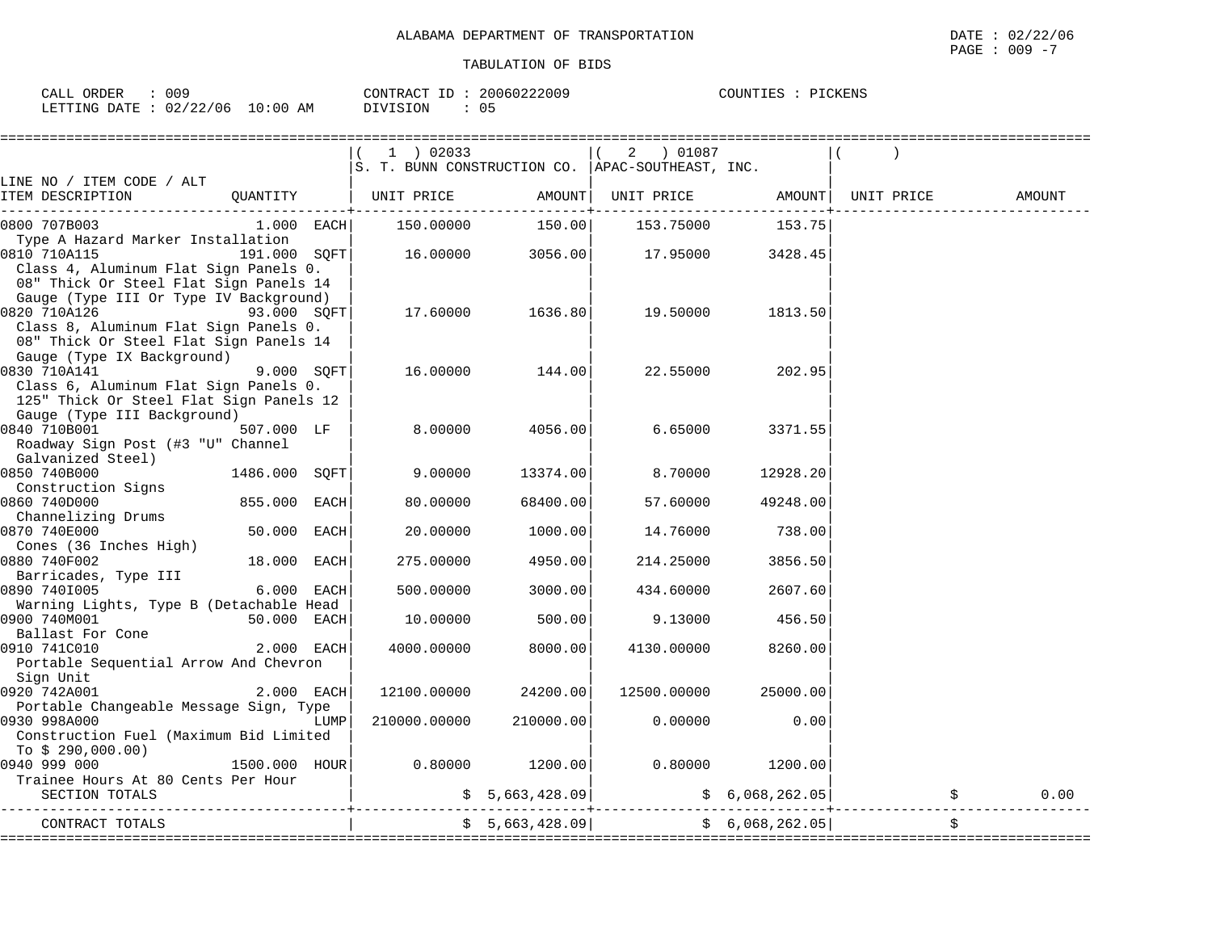| 009<br>CALL ORDER               | CONTRACT ID: 20060222009 | COUNTIES : PICKENS |
|---------------------------------|--------------------------|--------------------|
| LETTING DATE: 02/22/06 10:00 AM | DIVISION                 |                    |

|                                                        | 1 ) 02033                                          |                  | 2<br>01087 ( |                 |                    |        |
|--------------------------------------------------------|----------------------------------------------------|------------------|--------------|-----------------|--------------------|--------|
|                                                        | S. T. BUNN CONSTRUCTION CO.   APAC-SOUTHEAST, INC. |                  |              |                 |                    |        |
| LINE NO / ITEM CODE / ALT                              |                                                    |                  |              |                 |                    |        |
| ITEM DESCRIPTION<br>OUANTITY                           | UNIT PRICE                                         | AMOUNT           | UNIT PRICE   |                 | AMOUNT  UNIT PRICE | AMOUNT |
| 0800 707B003<br>$1.000$ EACH                           | 150.00000                                          | 150.00           | 153.75000    | 153.75          |                    |        |
| Type A Hazard Marker Installation                      |                                                    |                  |              |                 |                    |        |
| 0810 710A115<br>191.000 SOFT                           |                                                    | 16.00000 3056.00 | 17.95000     | 3428.45         |                    |        |
| Class 4, Aluminum Flat Sign Panels 0.                  |                                                    |                  |              |                 |                    |        |
| 08" Thick Or Steel Flat Sign Panels 14                 |                                                    |                  |              |                 |                    |        |
| Gauge (Type III Or Type IV Background)                 |                                                    |                  |              |                 |                    |        |
| 0820 710A126<br>$93.000$ SQFT                          | 17.60000                                           | 1636.80          | 19.50000     | 1813.50         |                    |        |
| Class 8, Aluminum Flat Sign Panels 0.                  |                                                    |                  |              |                 |                    |        |
| 08" Thick Or Steel Flat Sign Panels 14                 |                                                    |                  |              |                 |                    |        |
| Gauge (Type IX Background)                             |                                                    |                  |              |                 |                    |        |
| 0830 710A141<br>9.000 SQFT                             | 16.00000                                           | 144.00           | 22.55000     | 202.95          |                    |        |
| Class 6, Aluminum Flat Sign Panels 0.                  |                                                    |                  |              |                 |                    |        |
| 125" Thick Or Steel Flat Sign Panels 12                |                                                    |                  |              |                 |                    |        |
| Gauge (Type III Background)                            |                                                    |                  |              |                 |                    |        |
| 0840 710B001<br>507.000 LF                             | 8.00000                                            | 4056.00          | 6.65000      | 3371.55         |                    |        |
| Roadway Sign Post (#3 "U" Channel                      |                                                    |                  |              |                 |                    |        |
| Galvanized Steel)                                      |                                                    |                  |              |                 |                    |        |
| 1486.000 SOFT<br>0850 740B000<br>Construction Signs    | 9.00000                                            | 13374.00         | 8,70000      | 12928.20        |                    |        |
| 0860 740D000<br>855.000 EACH                           | 80.00000                                           | 68400.00         | 57.60000     | 49248.00        |                    |        |
| Channelizing Drums                                     |                                                    |                  |              |                 |                    |        |
| 0870 740E000<br>50.000 EACH                            | 20.00000                                           | 1000.00          | 14.76000     | 738.00          |                    |        |
| Cones (36 Inches High)                                 |                                                    |                  |              |                 |                    |        |
| 0880 740F002<br>18.000 EACH                            | 275.00000                                          | 4950.00          | 214.25000    | 3856.50         |                    |        |
| Barricades, Type III                                   |                                                    |                  |              |                 |                    |        |
| 0890 7401005<br>6.000 EACH                             | 500.00000                                          | 3000.00          | 434.60000    | 2607.60         |                    |        |
| Warning Lights, Type B (Detachable Head                |                                                    |                  |              |                 |                    |        |
| 0900 740M001<br>50.000 EACH                            | 10.00000                                           | 500.00           | 9.13000      | 456.50          |                    |        |
| Ballast For Cone                                       |                                                    |                  |              |                 |                    |        |
| 0910 741C010<br>2.000 EACH                             | 4000.00000                                         | 8000.00          | 4130.00000   | 8260.00         |                    |        |
| Portable Sequential Arrow And Chevron                  |                                                    |                  |              |                 |                    |        |
| Sign Unit<br>2.000 EACH                                | 12100.00000                                        |                  | 12500.00000  | 25000.00        |                    |        |
| 0920 742A001<br>Portable Changeable Message Sign, Type |                                                    | 24200.00         |              |                 |                    |        |
| 0930 998A000<br>LUMP                                   | 210000.00000                                       | 210000.00        | 0.00000      | 0.00            |                    |        |
| Construction Fuel (Maximum Bid Limited                 |                                                    |                  |              |                 |                    |        |
| To $$290,000.00)$                                      |                                                    |                  |              |                 |                    |        |
| 0940 999 000<br>1500.000 hour                          | 0.80000                                            | 1200.00          | 0.80000      | 1200.00         |                    |        |
| Trainee Hours At 80 Cents Per Hour                     |                                                    |                  |              |                 |                    |        |
| SECTION TOTALS                                         |                                                    | \$5,663,428.09]  |              | \$6,068,262.05] |                    | 0.00   |
| CONTRACT TOTALS                                        |                                                    | \$5,663,428.09   |              | \$6,068,262.05] |                    | \$     |
|                                                        |                                                    |                  |              |                 |                    |        |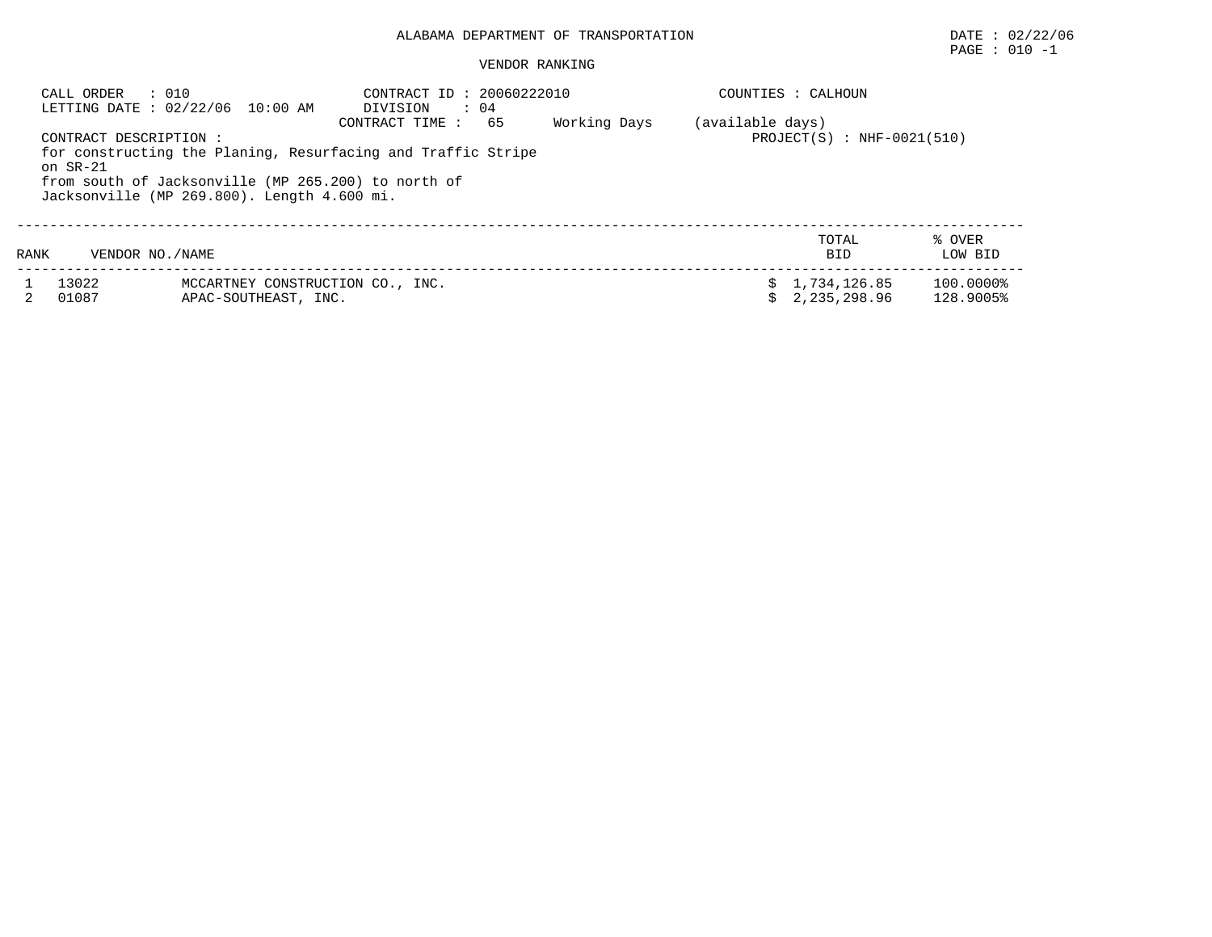#### VENDOR RANKING

| CALL ORDER<br>: 010<br>LETTING DATE : 02/22/06 10:00 AM                                                                                                                                                                                             |                   |                                                          | CONTRACT ID: 20060222010<br>$\therefore$ 04<br>DIVISION | COUNTIES : CALHOUN |                                                  |                              |                        |
|-----------------------------------------------------------------------------------------------------------------------------------------------------------------------------------------------------------------------------------------------------|-------------------|----------------------------------------------------------|---------------------------------------------------------|--------------------|--------------------------------------------------|------------------------------|------------------------|
| Working Days<br>65<br>CONTRACT TIME :<br>CONTRACT DESCRIPTION :<br>for constructing the Planing, Resurfacing and Traffic Stripe<br>on $SR-21$<br>from south of Jacksonville (MP 265.200) to north of<br>Jacksonville (MP 269.800). Length 4.600 mi. |                   |                                                          |                                                         |                    | (available days)<br>$PROJECT(S)$ : NHF-0021(510) |                              |                        |
| RANK                                                                                                                                                                                                                                                | VENDOR NO. / NAME |                                                          |                                                         |                    |                                                  | TOTAL<br><b>BID</b>          | % OVER<br>LOW BID      |
|                                                                                                                                                                                                                                                     | 13022<br>01087    | MCCARTNEY CONSTRUCTION CO., INC.<br>APAC-SOUTHEAST, INC. |                                                         |                    |                                                  | 1,734,126.85<br>2,235,298.96 | 100.0000%<br>128.9005% |

PAGE : 010 -1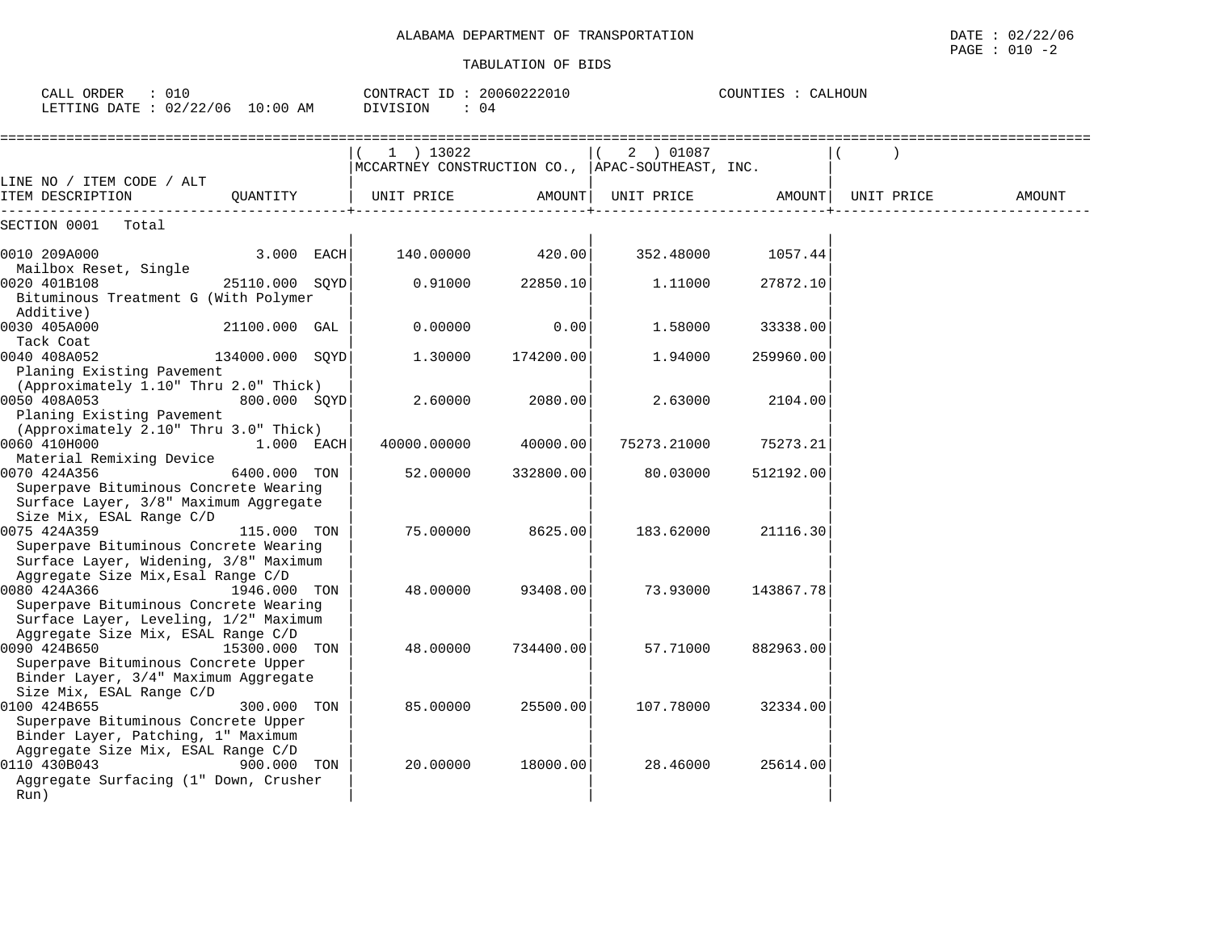| CALL ORDER<br>$\therefore$ 010<br>LETTING DATE : 02/22/06 10:00 AM             |                 |  | CONTRACT ID: 20060222010<br>DIVISION<br>: 04                  |           | COUNTIES : CALHOUN  |           |            |        |
|--------------------------------------------------------------------------------|-----------------|--|---------------------------------------------------------------|-----------|---------------------|-----------|------------|--------|
|                                                                                |                 |  | 1 ) 13022<br>MCCARTNEY CONSTRUCTION CO., APAC-SOUTHEAST, INC. |           | 2 ) 01087           |           |            |        |
| LINE NO / ITEM CODE / ALT<br>ITEM DESCRIPTION                                  | OUANTITY        |  | UNIT PRICE                                                    |           | AMOUNT   UNIT PRICE | AMOUNT    | UNIT PRICE | AMOUNT |
| SECTION 0001<br>Total                                                          |                 |  |                                                               |           |                     |           |            |        |
| 0010 209A000                                                                   | $3.000$ EACH    |  | 140.00000                                                     | 420.00    | 352.48000           | 1057.44   |            |        |
| Mailbox Reset, Single<br>0020 401B108<br>Bituminous Treatment G (With Polymer  | 25110.000 SQYD  |  | 0.91000                                                       | 22850.10  | 1,11000             | 27872.10  |            |        |
| Additive)<br>0030 405A000                                                      | 21100.000 GAL   |  | 0.00000                                                       | 0.00      | 1.58000             | 33338.00  |            |        |
| Tack Coat                                                                      |                 |  |                                                               |           |                     |           |            |        |
| 0040 408A052<br>Planing Existing Pavement                                      | 134000.000 SOYD |  | 1,30000                                                       | 174200.00 | 1.94000             | 259960.00 |            |        |
| (Approximately 1.10" Thru 2.0" Thick)<br>0050 408A053                          | 800.000 SOYD    |  | 2.60000                                                       | 2080.00   | 2.63000             | 2104.00   |            |        |
| Planing Existing Pavement                                                      |                 |  |                                                               |           |                     |           |            |        |
| (Approximately 2.10" Thru 3.0" Thick)<br>0060 410H000                          | 1.000 EACH      |  | 40000.00000                                                   | 40000.00  | 75273.21000         | 75273.21  |            |        |
| Material Remixing Device<br>0070 424A356                                       | 6400.000 TON    |  | 52.00000                                                      | 332800.00 | 80.03000            | 512192.00 |            |        |
| Superpave Bituminous Concrete Wearing<br>Surface Layer, 3/8" Maximum Aggregate |                 |  |                                                               |           |                     |           |            |        |
| Size Mix, ESAL Range C/D<br>0075 424A359                                       | 115.000 TON     |  | 75,00000                                                      | 8625.00   | 183.62000           | 21116.30  |            |        |
| Superpave Bituminous Concrete Wearing<br>Surface Layer, Widening, 3/8" Maximum |                 |  |                                                               |           |                     |           |            |        |
| Aggregate Size Mix, Esal Range C/D<br>0080 424A366                             | 1946.000 TON    |  | 48.00000                                                      | 93408.00  | 73.93000            | 143867.78 |            |        |
| Superpave Bituminous Concrete Wearing<br>Surface Layer, Leveling, 1/2" Maximum |                 |  |                                                               |           |                     |           |            |        |
| Aggregate Size Mix, ESAL Range C/D<br>0090 424B650                             | 15300.000 TON   |  | 48.00000                                                      | 734400.00 | 57.71000            | 882963.00 |            |        |
| Superpave Bituminous Concrete Upper                                            |                 |  |                                                               |           |                     |           |            |        |
| Binder Layer, 3/4" Maximum Aggregate<br>Size Mix, ESAL Range C/D               |                 |  |                                                               |           |                     |           |            |        |
| 0100 424B655<br>Superpave Bituminous Concrete Upper                            | 300.000 TON     |  | 85.00000                                                      | 25500.00  | 107.78000           | 32334.00  |            |        |
| Binder Layer, Patching, 1" Maximum<br>Aggregate Size Mix, ESAL Range C/D       |                 |  |                                                               |           |                     |           |            |        |
| 0110 430B043<br>Aggregate Surfacing (1" Down, Crusher                          | 900.000 TON     |  | 20.00000                                                      | 18000.00  | 28.46000            | 25614.00  |            |        |
| Run)                                                                           |                 |  |                                                               |           |                     |           |            |        |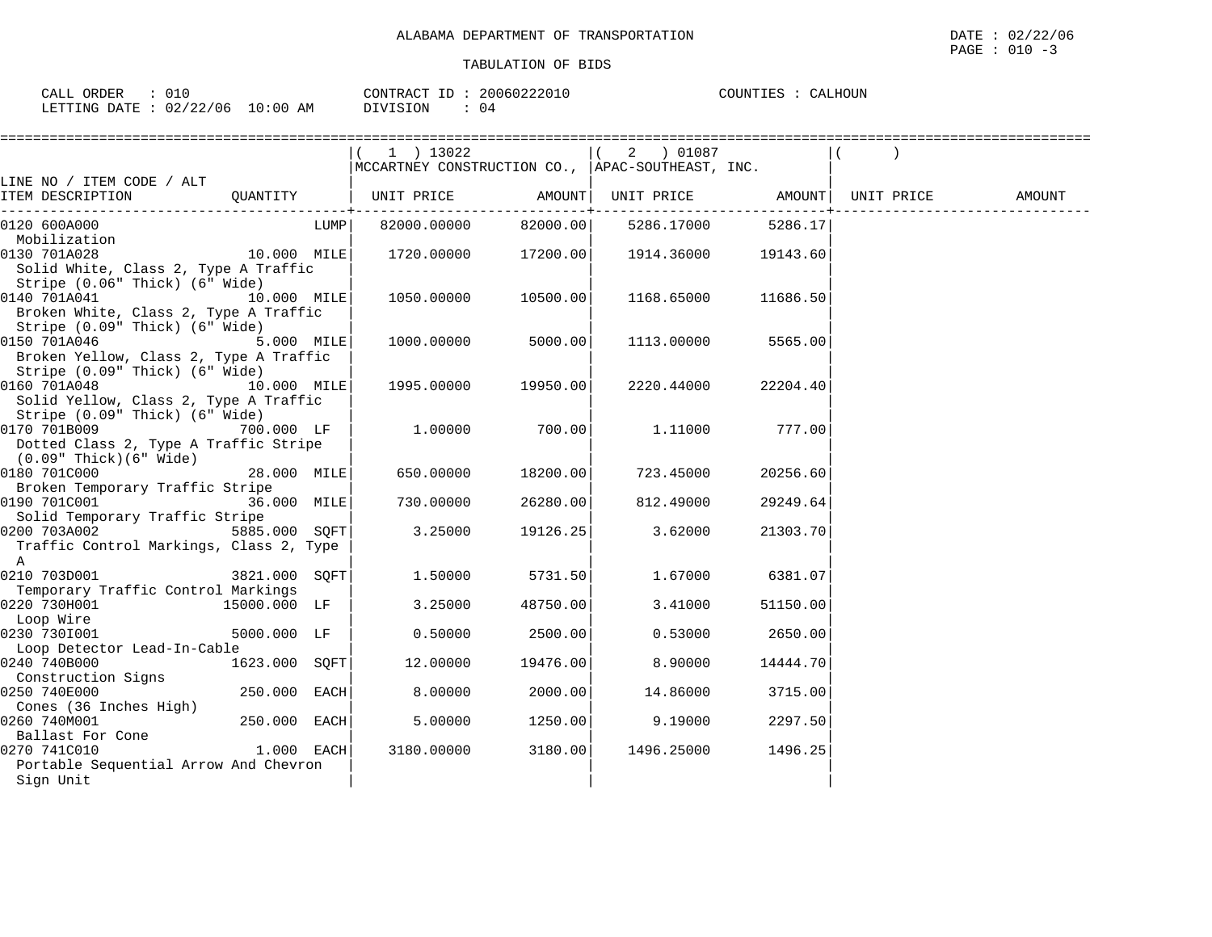| ORDER<br>CALL                    | CONTRACT ID: | 20060222010 | COUNTIES<br>CALHOUN |
|----------------------------------|--------------|-------------|---------------------|
| LETTING DATE : 02/22/06 10:00 AM | DIVISION     | 04          |                     |

|                                                                                                        |                |      | 1 ) 13022<br>MCCARTNEY CONSTRUCTION CO., APAC-SOUTHEAST, INC.                         |          | 2 ) 01087  |                    |        |
|--------------------------------------------------------------------------------------------------------|----------------|------|---------------------------------------------------------------------------------------|----------|------------|--------------------|--------|
| LINE NO / ITEM CODE / ALT                                                                              |                |      |                                                                                       |          |            |                    |        |
| ITEM DESCRIPTION                                                                                       |                |      | QUANTITY   UNIT PRICE AMOUNT  UNIT PRICE AMOUNT  UNIT PRICE<br>______________________ |          |            | . - - - - - - - 4  | AMOUNT |
| 0120 600A000<br>Mobilization                                                                           |                | LUMP | 82000.00000                                                                           | 82000.00 |            | 5286.17000 5286.17 |        |
| 0130 701A028<br>Solid White, Class 2, Type A Traffic<br>Stripe (0.06" Thick) (6" Wide)                 | 10.000 MILE    |      | 1720.00000                                                                            | 17200.00 | 1914.36000 | 19143.60           |        |
| 0140 701A041<br>10.000 MILE<br>Broken White, Class 2, Type A Traffic<br>Stripe (0.09" Thick) (6" Wide) |                |      | 1050.00000                                                                            | 10500.00 | 1168.65000 | 11686.50           |        |
| 0150 701A046<br>Broken Yellow, Class 2, Type A Traffic<br>Stripe (0.09" Thick) (6" Wide)               | $5.000$ MILE   |      | 1000.00000                                                                            | 5000.00  | 1113.00000 | 5565.00            |        |
| 0160 701A048<br>10.000 MILE<br>Solid Yellow, Class 2, Type A Traffic<br>Stripe (0.09" Thick) (6" Wide) |                |      | 1995.00000                                                                            | 19950.00 | 2220.44000 | 22204.40           |        |
| 0170 701B009<br>Dotted Class 2, Type A Traffic Stripe<br>$(0.09"$ Thick $)(6"$ Wide $)$                | 700.000 LF     |      | 1.00000                                                                               | 700.00   | 1.11000    | 777.00             |        |
| 0180 701C000<br>Broken Temporary Traffic Stripe                                                        | $28.000$ MILE  |      | 650.00000                                                                             | 18200.00 | 723.45000  | 20256.60           |        |
| 0190 701C001<br>36.000 MILE<br>Solid Temporary Traffic Stripe                                          |                |      | 730.00000                                                                             | 26280.00 | 812.49000  | 29249.64           |        |
| 0200 703A002<br>Traffic Control Markings, Class 2, Type<br>$\mathbb A$                                 | 5885.000 SOFT  |      | 3.25000                                                                               | 19126.25 | 3.62000    | 21303.70           |        |
| 0210 703D001<br>Temporary Traffic Control Markings                                                     | 3821.000 SQFT  |      | 1.50000                                                                               | 5731.50  | 1.67000    | 6381.07            |        |
| 0220 730H001<br>Loop Wire                                                                              | 15000.000 LF   |      | 3.25000                                                                               | 48750.00 | 3.41000    | 51150.00           |        |
| 0230 7301001<br>Loop Detector Lead-In-Cable                                                            | 5000.000 LF    |      | 0.50000                                                                               | 2500.00  | 0.53000    | 2650.00            |        |
| 0240 740B000<br>Construction Signs                                                                     | 1623.000 SQFT  |      | 12.00000                                                                              | 19476.00 | 8,90000    | 14444.70           |        |
| 0250 740E000<br>Cones (36 Inches High)                                                                 | $250.000$ EACH |      | 8.00000                                                                               | 2000.00  | 14.86000   | 3715.00            |        |
| 0260 740M001<br>Ballast For Cone                                                                       | $250.000$ EACH |      | 5.00000                                                                               | 1250.00  | 9.19000    | 2297.50            |        |
| $1.000$ EACH<br>0270 741C010<br>Portable Sequential Arrow And Chevron<br>Sign Unit                     |                |      | 3180.00000                                                                            | 3180.00  | 1496.25000 | 1496.25            |        |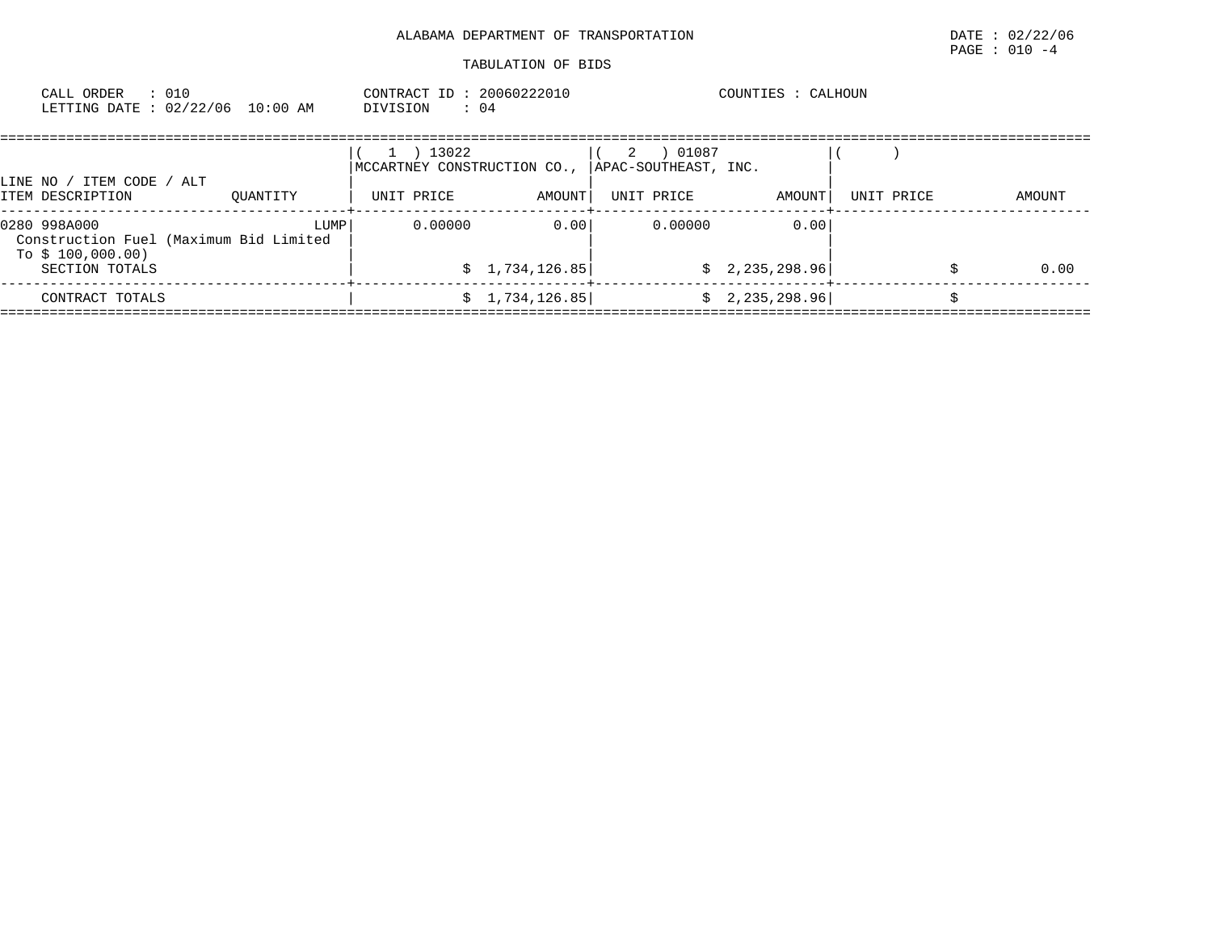| CALL ORDER                       | 010 | CONTRACT ID     | 20060222010 | COUNTIES | CALHOUN |
|----------------------------------|-----|-----------------|-------------|----------|---------|
| LETTING DATE : 02/22/06 10:00 AM |     | <b>DIVISION</b> | (14)        |          |         |

| / ITEM CODE / ALT<br>LINE NO /                                              |          | 13022<br>MCCARTNEY CONSTRUCTION CO., |                 | 01087<br>2<br>APAC-SOUTHEAST, INC. |                 |            |        |
|-----------------------------------------------------------------------------|----------|--------------------------------------|-----------------|------------------------------------|-----------------|------------|--------|
| ITEM DESCRIPTION                                                            | OUANTITY | UNIT PRICE                           | AMOUNT          | UNIT PRICE                         | AMOUNT          | UNIT PRICE | AMOUNT |
| 0280 998A000<br>Construction Fuel (Maximum Bid Limited<br>To \$ 100,000.00) | LUMP     | 0.00000                              | 0.00            | 0.00000                            | 0.00            |            |        |
| SECTION TOTALS                                                              |          |                                      | \$1,734,126.85  |                                    | \$2,235,298.96] |            | 0.00   |
| CONTRACT TOTALS                                                             |          |                                      | \$1,734,126.85] |                                    | \$2,235,298.96] |            |        |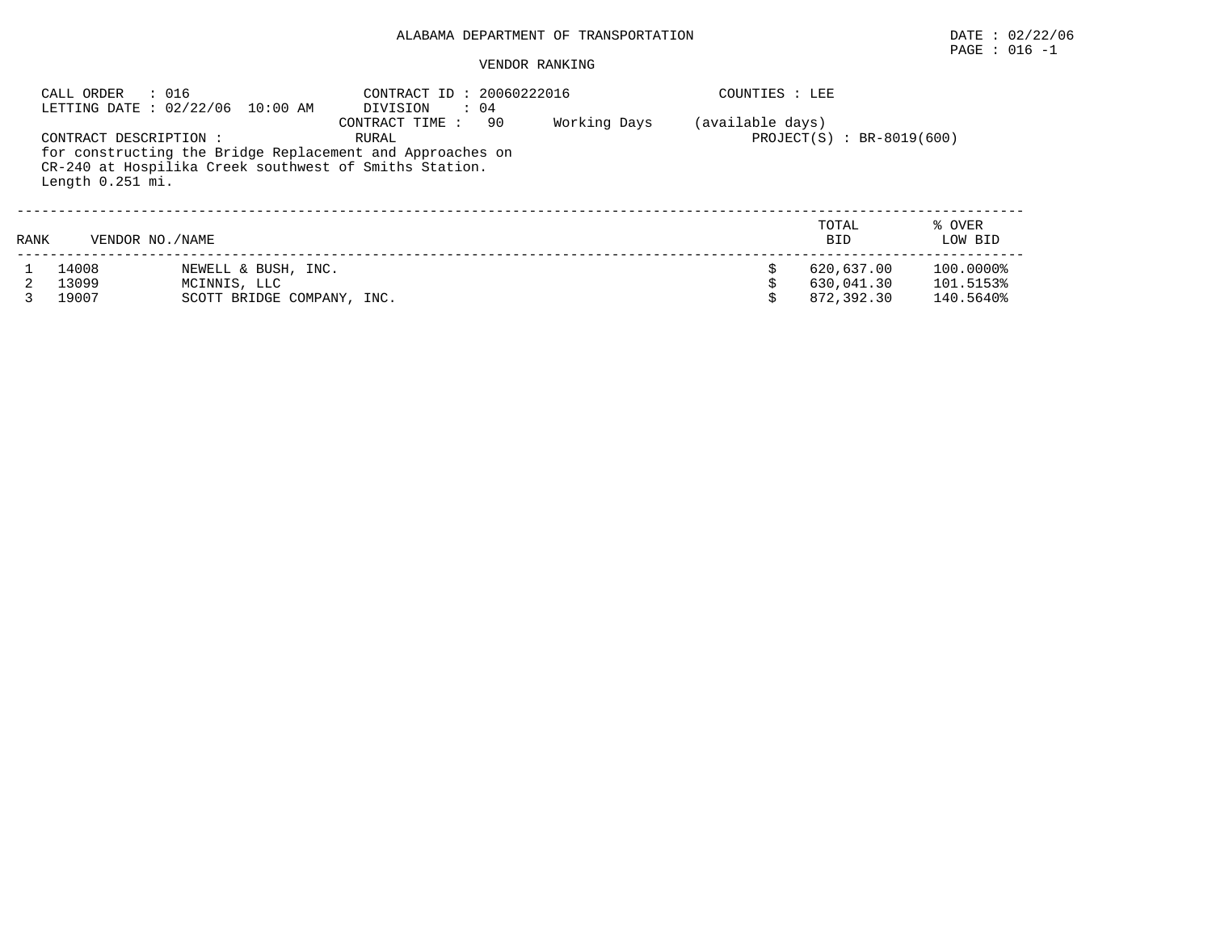VENDOR RANKING

## $\texttt{PAGE}$  : 016 -1

|      | : 016<br>CALL ORDER    | LETTING DATE : 02/22/06 10:00 AM | CONTRACT ID: 20060222016<br>DIVISION<br>$\therefore$ 04<br>90<br>CONTRACT TIME: | Working Days | COUNTIES : LEE<br>(available days) |                             |                   |
|------|------------------------|----------------------------------|---------------------------------------------------------------------------------|--------------|------------------------------------|-----------------------------|-------------------|
|      | CONTRACT DESCRIPTION : |                                  | RURAL<br>for constructing the Bridge Replacement and Approaches on              |              |                                    | $PROJECT(S) : BR-8019(600)$ |                   |
|      | Length 0.251 mi.       |                                  | CR-240 at Hospilika Creek southwest of Smiths Station.                          |              |                                    |                             |                   |
| RANK | VENDOR NO. / NAME      |                                  |                                                                                 |              |                                    | TOTAL<br><b>BID</b>         | % OVER<br>LOW BID |
|      | 14008                  | NEWELL & BUSH, INC.              |                                                                                 |              |                                    | 620,637.00                  | 100.0000%         |
|      | 13099                  | MCINNIS, LLC                     |                                                                                 |              |                                    | 630,041.30                  | 101.5153%         |
|      | 19007                  | SCOTT BRIDGE COMPANY, INC.       |                                                                                 |              |                                    | 872,392.30                  | 140.5640%         |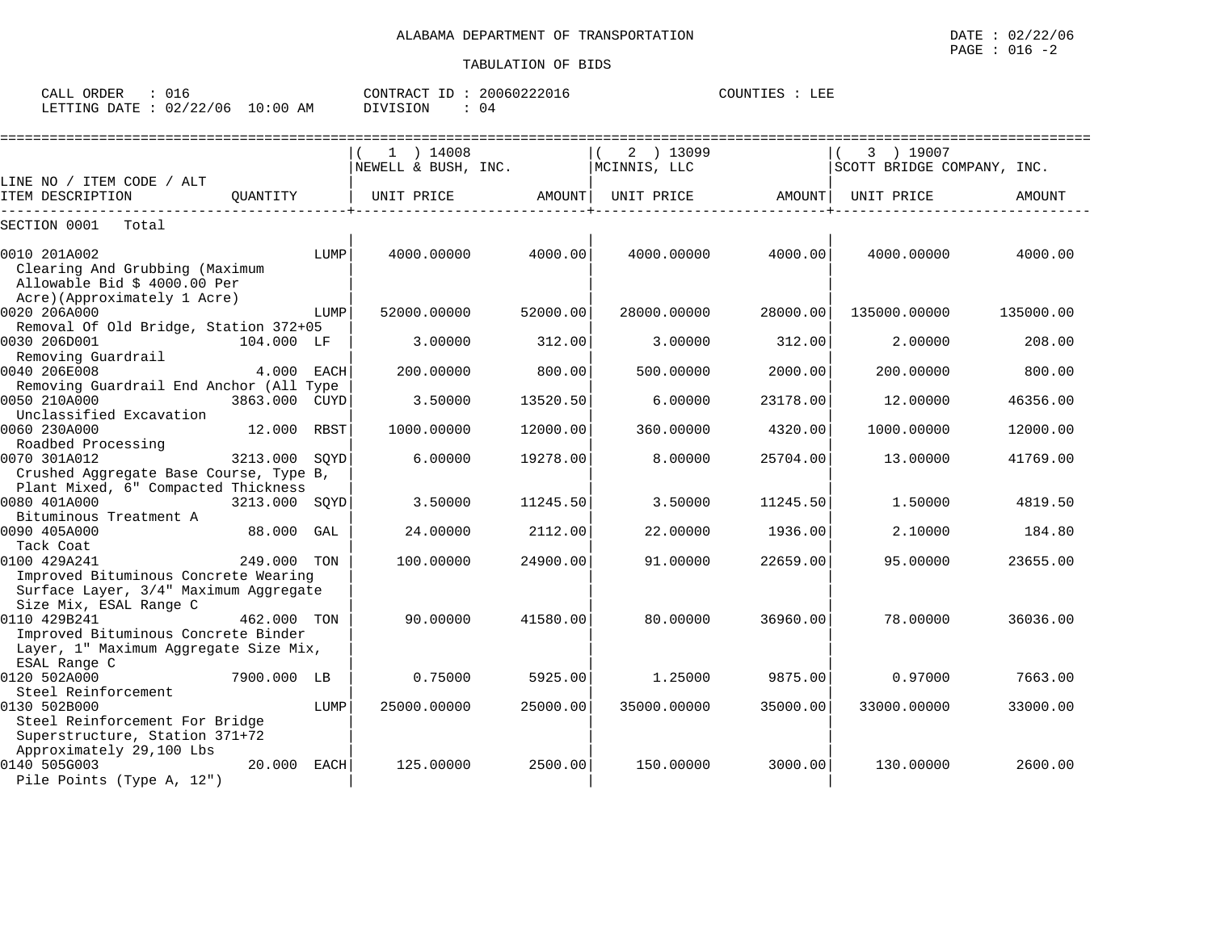| CALL ( | ORDER |                                  | CONTRACT<br>ID : | 20060222016 | COUNTIES | LEE |
|--------|-------|----------------------------------|------------------|-------------|----------|-----|
|        |       | LETTING DATE : 02/22/06 10:00 AM | DIVISION         | 04          |          |     |

|                                                            |               |      | $1$ ) 14008         |          | 2 ) 13099    |          | 3 ) 19007                  |           |
|------------------------------------------------------------|---------------|------|---------------------|----------|--------------|----------|----------------------------|-----------|
|                                                            |               |      | NEWELL & BUSH, INC. |          | MCINNIS, LLC |          | SCOTT BRIDGE COMPANY, INC. |           |
| LINE NO / ITEM CODE / ALT                                  |               |      |                     |          |              |          |                            |           |
| ITEM DESCRIPTION                                           | OUANTITY      |      | UNIT PRICE          | AMOUNT   | UNIT PRICE   | AMOUNT   | UNIT PRICE                 | AMOUNT    |
| SECTION 0001<br>Total                                      |               |      |                     |          |              |          |                            |           |
| 0010 201A002                                               |               | LUMP | 4000.00000          | 4000.00  | 4000.00000   | 4000.00  | 4000.00000                 | 4000.00   |
| Clearing And Grubbing (Maximum                             |               |      |                     |          |              |          |                            |           |
| Allowable Bid \$ 4000.00 Per                               |               |      |                     |          |              |          |                            |           |
| Acre)(Approximately 1 Acre)                                |               |      |                     |          |              |          |                            |           |
| 0020 206A000                                               |               | LUMP | 52000.00000         | 52000.00 | 28000.00000  | 28000.00 | 135000.00000               | 135000.00 |
| Removal Of Old Bridge, Station 372+05                      |               |      |                     |          |              |          |                            |           |
| 0030 206D001                                               | 104.000 LF    |      | 3.00000             | 312.00   | 3.00000      | 312.00   | 2,00000                    | 208.00    |
| Removing Guardrail                                         |               |      |                     |          |              |          |                            |           |
| 0040 206E008                                               | 4.000 EACH    |      | 200.00000           | 800.00   | 500.00000    | 2000.00  | 200.00000                  | 800.00    |
| Removing Guardrail End Anchor (All Type                    |               |      |                     |          |              |          |                            |           |
| 0050 210A000                                               | 3863.000 CUYD |      | 3.50000             | 13520.50 | 6.00000      | 23178.00 | 12,00000                   | 46356.00  |
| Unclassified Excavation                                    |               |      |                     |          |              |          |                            |           |
| 0060 230A000                                               | 12.000 RBST   |      | 1000.00000          | 12000.00 | 360.00000    | 4320.00  | 1000.00000                 | 12000.00  |
| Roadbed Processing                                         |               |      |                     |          |              |          |                            |           |
| 0070 301A012                                               | 3213.000 SOYD |      | 6.00000             | 19278.00 | 8.00000      | 25704.00 | 13.00000                   | 41769.00  |
| Crushed Aggregate Base Course, Type B,                     |               |      |                     |          |              |          |                            |           |
| Plant Mixed, 6" Compacted Thickness                        |               |      |                     |          |              |          |                            |           |
| 0080 401A000                                               | 3213.000      | SQYD | 3.50000             | 11245.50 | 3.50000      | 11245.50 | 1.50000                    | 4819.50   |
| Bituminous Treatment A                                     |               |      |                     |          |              |          |                            |           |
| 0090 405A000                                               | 88.000        | GAL  | 24.00000            | 2112.00  | 22.00000     | 1936.00  | 2.10000                    | 184.80    |
| Tack Coat                                                  |               |      |                     |          |              |          |                            |           |
| 0100 429A241                                               | 249.000 TON   |      | 100.00000           | 24900.00 | 91.00000     | 22659.00 | 95.00000                   | 23655.00  |
| Improved Bituminous Concrete Wearing                       |               |      |                     |          |              |          |                            |           |
| Surface Layer, 3/4" Maximum Aggregate                      |               |      |                     |          |              |          |                            |           |
| Size Mix, ESAL Range C                                     |               |      |                     |          |              |          |                            |           |
| 0110 429B241                                               | 462.000 TON   |      | 90.00000            | 41580.00 | 80.00000     | 36960.00 | 78,00000                   | 36036.00  |
| Improved Bituminous Concrete Binder                        |               |      |                     |          |              |          |                            |           |
| Layer, 1" Maximum Aggregate Size Mix,                      |               |      |                     |          |              |          |                            |           |
| ESAL Range C                                               |               |      |                     |          |              |          |                            |           |
| 0120 502A000                                               | 7900.000 LB   |      | 0.75000             | 5925.00  | 1.25000      | 9875.00  | 0.97000                    | 7663.00   |
| Steel Reinforcement                                        |               |      |                     | 25000.00 |              |          |                            |           |
| 0130 502B000<br>Steel Reinforcement For Bridge             |               | LUMP | 25000.00000         |          | 35000.00000  | 35000.00 | 33000.00000                | 33000.00  |
|                                                            |               |      |                     |          |              |          |                            |           |
| Superstructure, Station 371+72<br>Approximately 29,100 Lbs |               |      |                     |          |              |          |                            |           |
| 0140 505G003                                               | 20.000        | EACH | 125,00000           | 2500.00  | 150.00000    | 3000.00  | 130,00000                  | 2600.00   |
| Pile Points (Type A, 12")                                  |               |      |                     |          |              |          |                            |           |
|                                                            |               |      |                     |          |              |          |                            |           |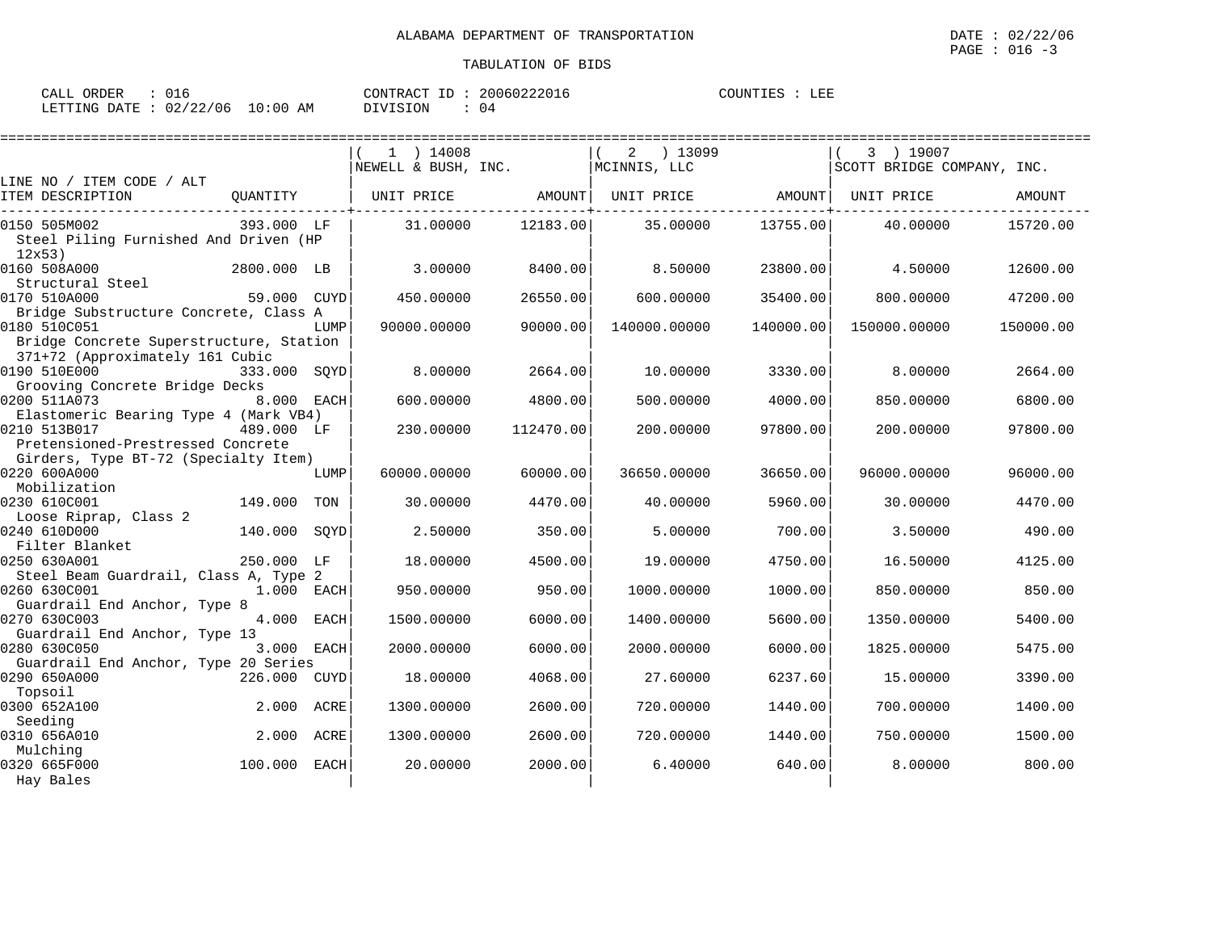| CALL ORDER : 016 |                                 |               | CONTRACT ID: 20060222016 | COUNTIES : LEE |
|------------------|---------------------------------|---------------|--------------------------|----------------|
|                  | LETTING DATE: 02/22/06 10:00 AM | DIVISION : 04 |                          |                |

|                                                                            |              |      | $1$ ) 14008         |           | $2 \t) 13099$     |           | 3 ) 19007                  |           |
|----------------------------------------------------------------------------|--------------|------|---------------------|-----------|-------------------|-----------|----------------------------|-----------|
|                                                                            |              |      | NEWELL & BUSH, INC. |           | MCINNIS, LLC      |           | SCOTT BRIDGE COMPANY, INC. |           |
| LINE NO / ITEM CODE / ALT                                                  |              |      |                     |           |                   |           |                            |           |
| ITEM DESCRIPTION                                                           | OUANTITY     |      | UNIT PRICE AMOUNT   |           | UNIT PRICE AMOUNT |           | UNIT PRICE                 | AMOUNT    |
| 0150 505M002                                                               | 393.000 LF   |      | 31,00000            | 12183.00  | 35.00000          | 13755.00  | 40.00000                   | 15720.00  |
| Steel Piling Furnished And Driven (HP<br>12x53)                            |              |      |                     |           |                   |           |                            |           |
| 0160 508A000                                                               | 2800.000 LB  |      | 3.00000             | 8400.00   | 8.50000           | 23800.00  | 4.50000                    | 12600.00  |
| Structural Steel                                                           |              |      |                     |           |                   |           |                            |           |
| 0170 510A000                                                               | 59.000 CUYD  |      | 450.00000           | 26550.00  | 600,00000         | 35400.00  | 800,00000                  | 47200.00  |
| Bridge Substructure Concrete, Class A                                      |              |      |                     |           |                   |           |                            |           |
| 0180 510C051                                                               |              | LUMP | 90000.00000         | 90000.00  | 140000.00000      | 140000.00 | 150000.00000               | 150000.00 |
| Bridge Concrete Superstructure, Station<br>371+72 (Approximately 161 Cubic |              |      |                     |           |                   |           |                            |           |
| 0190 510E000                                                               | 333.000 SOYD |      | 8.00000             | 2664.00   | 10.00000          | 3330.00   | 8.00000                    | 2664.00   |
| Grooving Concrete Bridge Decks                                             |              |      |                     |           |                   |           |                            |           |
| 0200 511A073                                                               | 8.000 EACH   |      | 600,00000           | 4800.00   | 500.00000         | 4000.00   | 850.00000                  | 6800.00   |
| Elastomeric Bearing Type 4 (Mark VB4)                                      |              |      |                     |           |                   |           |                            |           |
| 0210 513B017                                                               | 489.000 LF   |      | 230.00000           | 112470.00 | 200,00000         | 97800.00  | 200,00000                  | 97800.00  |
| Pretensioned-Prestressed Concrete                                          |              |      |                     |           |                   |           |                            |           |
| Girders, Type BT-72 (Specialty Item)                                       |              |      |                     |           |                   |           |                            |           |
| 0220 600A000                                                               |              | LUMP | 60000.00000         | 60000.00  | 36650.00000       | 36650.00  | 96000.00000                | 96000.00  |
| Mobilization                                                               |              |      |                     |           |                   |           |                            |           |
| 0230 610C001                                                               | 149.000      | TON  | 30.00000            | 4470.00   | 40.00000          | 5960.00   | 30.00000                   | 4470.00   |
| Loose Riprap, Class 2                                                      |              |      |                     |           |                   |           |                            |           |
| 0240 610D000<br>Filter Blanket                                             | 140.000      | SOYD | 2.50000             | 350.00    | 5.00000           | 700.00    | 3.50000                    | 490.00    |
| 0250 630A001                                                               | 250.000 LF   |      | 18,00000            | 4500.00   | 19,00000          | 4750.00   | 16.50000                   | 4125.00   |
| Steel Beam Guardrail, Class A, Type 2                                      |              |      |                     |           |                   |           |                            |           |
| 0260 630C001                                                               | 1.000 EACH   |      | 950.00000           | 950.00    | 1000.00000        | 1000.00   | 850,00000                  | 850.00    |
| Guardrail End Anchor, Type 8                                               |              |      |                     |           |                   |           |                            |           |
| 0270 630C003                                                               | 4.000        | EACH | 1500.00000          | 6000.00   | 1400.00000        | 5600.00   | 1350.00000                 | 5400.00   |
| Guardrail End Anchor, Type 13                                              |              |      |                     |           |                   |           |                            |           |
| 0280 630C050                                                               | 3.000 EACH   |      | 2000.00000          | 6000.00   | 2000.00000        | 6000.00   | 1825.00000                 | 5475.00   |
| Guardrail End Anchor, Type 20 Series                                       |              |      |                     |           |                   |           |                            |           |
| 0290 650A000                                                               | 226.000 CUYD |      | 18,00000            | 4068.00   | 27.60000          | 6237.60   | 15.00000                   | 3390.00   |
| Topsoil                                                                    |              |      |                     |           |                   |           |                            |           |
| 0300 652A100                                                               | 2.000        | ACRE | 1300.00000          | 2600.00   | 720.00000         | 1440.00   | 700.00000                  | 1400.00   |
| Seeding                                                                    |              |      |                     |           |                   |           |                            |           |
| 0310 656A010                                                               | 2.000        | ACRE | 1300.00000          | 2600.00   | 720.00000         | 1440.00   | 750.00000                  | 1500.00   |
| Mulching                                                                   |              |      |                     |           |                   |           |                            |           |
| 0320 665F000                                                               | 100.000 EACH |      | 20,00000            | 2000.00   | 6.40000           | 640.00    | 8.00000                    | 800.00    |
| Hay Bales                                                                  |              |      |                     |           |                   |           |                            |           |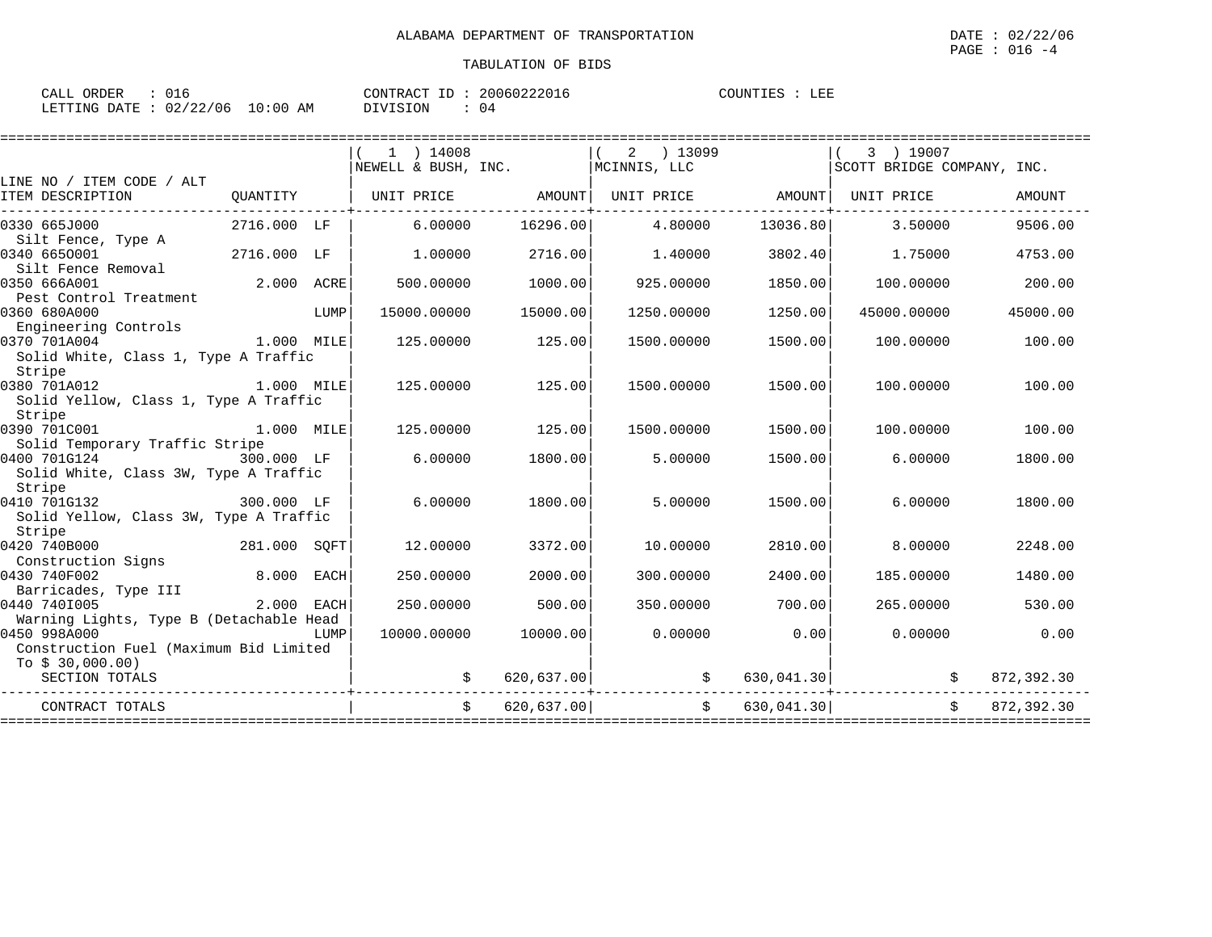| CALL ORDER                      | 016 |  |          |  | CONTRACT ID: 20060222016 | COUNTIES : | LEE |
|---------------------------------|-----|--|----------|--|--------------------------|------------|-----|
| LETTING DATE: 02/22/06 10:00 AM |     |  | DIVISION |  | 04                       |            |     |

|                                                                                |             |      | $1$ ) 14008                            |               | 2 ) 13099                      |               | 3 ) 19007                  |               |
|--------------------------------------------------------------------------------|-------------|------|----------------------------------------|---------------|--------------------------------|---------------|----------------------------|---------------|
|                                                                                |             |      | NEWELL & BUSH, $INC.$   MCINNIS, $LLC$ |               |                                |               | SCOTT BRIDGE COMPANY, INC. |               |
| LINE NO / ITEM CODE / ALT<br>ITEM DESCRIPTION                                  | OUANTITY    |      | UNIT PRICE AMOUNT                      |               | UNIT PRICE AMOUNT   UNIT PRICE |               |                            | <b>AMOUNT</b> |
| 0330 665J000<br>Silt Fence, Type A                                             | 2716.000 LF |      | 6.00000                                | 16296.00      | 4.80000                        | 13036.80      | 3.50000                    | 9506.00       |
| 0340 6650001<br>Silt Fence Removal                                             | 2716.000 LF |      | 1.00000                                | 2716.00       | 1.40000                        | 3802.40       | 1.75000                    | 4753.00       |
| 0350 666A001<br>Pest Control Treatment                                         | 2.000 ACRE  |      | 500.00000                              | 1000.00       | 925.00000                      | 1850.00       | 100.00000                  | 200.00        |
| 0360 680A000<br>Engineering Controls                                           | LUMP        |      | 15000.00000                            | 15000.00      | 1250.00000                     | 1250.00       | 45000.00000                | 45000.00      |
| 0370 701A004<br>1.000 MILE<br>Solid White, Class 1, Type A Traffic             |             |      | 125.00000                              | 125.00        | 1500.00000                     | 1500.00       | 100.00000                  | 100.00        |
| Stripe<br>0380 701A012<br>1.000 MILE<br>Solid Yellow, Class 1, Type A Traffic  |             |      | 125.00000                              | 125.00        | 1500.00000                     | 1500.00       | 100.00000                  | 100.00        |
| Stripe<br>0390 701C001<br>Solid Temporary Traffic Stripe                       | 1,000 MILE  |      | 125.00000                              | 125.00        | 1500.00000                     | 1500.00       | 100.00000                  | 100.00        |
| 0400 701G124<br>Solid White, Class 3W, Type A Traffic<br>Stripe                | 300.000 LF  |      | 6.00000                                | 1800.00       | 5.00000                        | 1500.00       | 6.00000                    | 1800.00       |
| 300.000 LF<br>0410 701G132<br>Solid Yellow, Class 3W, Type A Traffic<br>Stripe |             |      | 6.00000                                | 1800.00       | 5.00000                        | 1500.00       | 6,00000                    | 1800.00       |
| 0420 740B000<br>281.000 SQFT<br>Construction Signs                             |             |      | 12.00000                               | 3372.00       | 10.00000                       | 2810.00       | 8,00000                    | 2248.00       |
| 0430 740F002<br>Barricades, Type III                                           | 8.000 EACH  |      | 250.00000                              | 2000.00       | 300.00000                      | 2400.00       | 185.00000                  | 1480.00       |
| 0440 7401005<br>Warning Lights, Type B (Detachable Head                        | 2.000       | EACH | 250.00000                              | 500.00        | 350.00000                      | 700.00        | 265,00000                  | 530.00        |
| 0450 998A000<br>Construction Fuel (Maximum Bid Limited                         |             | LUMP | 10000.00000                            | 10000.00      | 0.00000                        | 0.00          | 0.00000                    | 0.00          |
| To $$30,000.00)$<br>SECTION TOTALS                                             |             |      |                                        |               |                                |               |                            | 872,392.30    |
| CONTRACT TOTALS                                                                |             |      |                                        | \$620,637.00] |                                | \$630,041.30] | Ŝ.                         | 872,392.30    |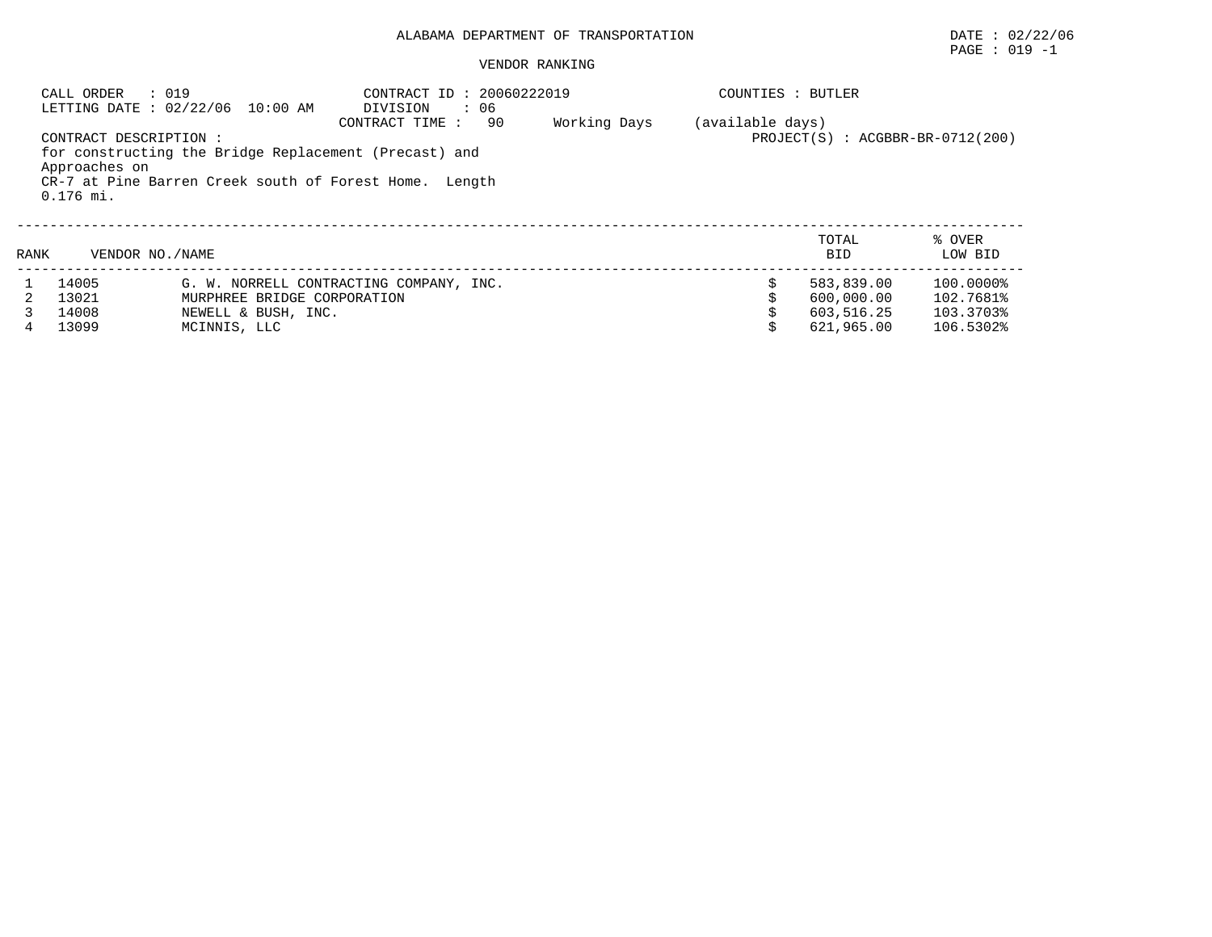#### VENDOR RANKING

|      | CALL ORDER             | : 019<br>LETTING DATE : 02/22/06 10:00 AM             | CONTRACT ID: 20060222019<br>DIVISION<br>: 06           |              | COUNTIES : BUTLER |                                      |           |
|------|------------------------|-------------------------------------------------------|--------------------------------------------------------|--------------|-------------------|--------------------------------------|-----------|
|      |                        |                                                       | 90<br>CONTRACT TIME:                                   | Working Days | (available days)  |                                      |           |
|      | CONTRACT DESCRIPTION : |                                                       |                                                        |              |                   | $PROJECT(S)$ : $ACGBBR-BR-0712(200)$ |           |
|      |                        | for constructing the Bridge Replacement (Precast) and |                                                        |              |                   |                                      |           |
|      | Approaches on          |                                                       |                                                        |              |                   |                                      |           |
|      |                        |                                                       | CR-7 at Pine Barren Creek south of Forest Home. Length |              |                   |                                      |           |
|      | $0.176$ mi.            |                                                       |                                                        |              |                   |                                      |           |
|      |                        |                                                       |                                                        |              |                   |                                      |           |
|      |                        |                                                       |                                                        |              |                   | TOTAL                                | % OVER    |
| RANK | VENDOR NO. / NAME      |                                                       |                                                        |              |                   | <b>BID</b>                           | LOW BID   |
|      | 14005                  |                                                       | G. W. NORRELL CONTRACTING COMPANY, INC.                |              | \$                | 583,839.00                           | 100.0000% |
|      | 13021                  | MURPHREE BRIDGE CORPORATION                           |                                                        |              |                   | 600,000.00                           | 102.7681% |
|      | 14008                  | NEWELL & BUSH, INC.                                   |                                                        |              |                   | 603,516.25                           | 103.3703% |
|      | 13099                  | MCINNIS, LLC                                          |                                                        |              |                   | 621,965.00                           | 106.5302% |

PAGE : 019 -1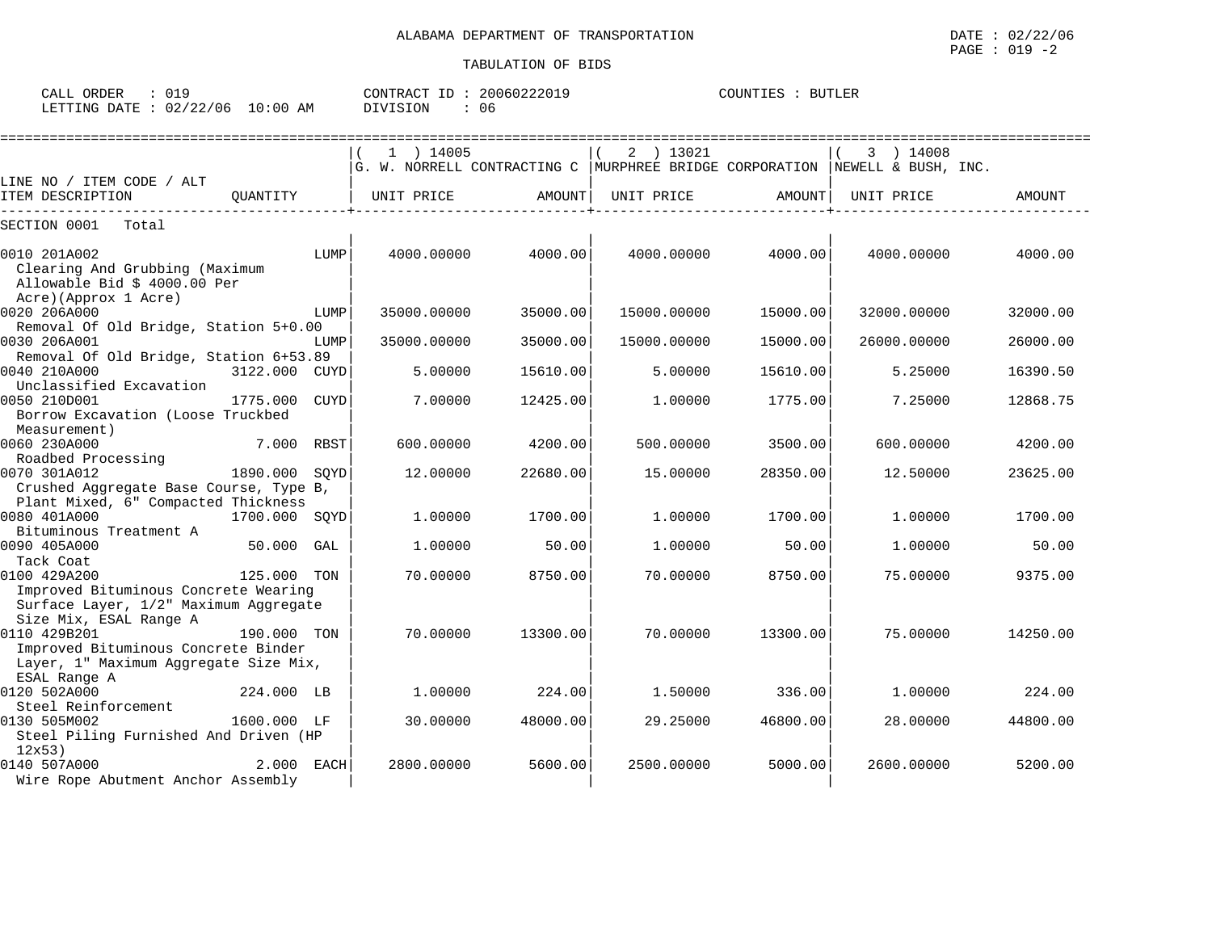| $\sim$ $\sim$ $\sim$ $\sim$<br>ORDER<br>CALL |                        |                  | CONTR<br>$\sqrt{2}$<br>ID<br>'R A ( | 20060222019 | COUNTIES | <b>BUTLER</b> |
|----------------------------------------------|------------------------|------------------|-------------------------------------|-------------|----------|---------------|
| <b>ETTING</b><br>חת המרד                     | 0.0100<br>706<br>ب ے ں | :00<br>L O<br>AΜ | VISION                              | 06          |          |               |

|                                                                                                 |               |             | =============================                                                                     |          |             | ======================= |             |          |
|-------------------------------------------------------------------------------------------------|---------------|-------------|---------------------------------------------------------------------------------------------------|----------|-------------|-------------------------|-------------|----------|
|                                                                                                 |               |             | $1$ ) 14005<br>$ G.$ W. NORRELL CONTRACTING C   MURPHREE BRIDGE CORPORATION   NEWELL & BUSH, INC. |          | 2 ) 13021   |                         | 3 ) 14008   |          |
| LINE NO / ITEM CODE / ALT                                                                       |               |             |                                                                                                   |          |             |                         |             |          |
| ITEM DESCRIPTION                                                                                | OUANTITY      |             | UNIT PRICE                                                                                        | AMOUNT   | UNIT PRICE  | AMOUNT                  | UNIT PRICE  | AMOUNT   |
| SECTION 0001<br>Total                                                                           |               |             |                                                                                                   |          |             |                         |             |          |
| 0010 201A002<br>Clearing And Grubbing (Maximum<br>Allowable Bid \$ 4000.00 Per                  |               | LUMP        | 4000.00000                                                                                        | 4000.00  | 4000.00000  | 4000.00                 | 4000.00000  | 4000.00  |
| Acre)(Approx 1 Acre)<br>0020 206A000                                                            |               | LUMP        | 35000.00000                                                                                       | 35000.00 | 15000.00000 | 15000.00                | 32000.00000 | 32000.00 |
| Removal Of Old Bridge, Station 5+0.00<br>0030 206A001<br>Removal Of Old Bridge, Station 6+53.89 |               | LUMP        | 35000.00000                                                                                       | 35000.00 | 15000.00000 | 15000.00                | 26000.00000 | 26000.00 |
| 0040 210A000<br>Unclassified Excavation                                                         | 3122.000 CUYD |             | 5.00000                                                                                           | 15610.00 | 5.00000     | 15610.00                | 5.25000     | 16390.50 |
| 0050 210D001<br>Borrow Excavation (Loose Truckbed<br>Measurement)                               | 1775.000      | <b>CUYD</b> | 7.00000                                                                                           | 12425.00 | 1,00000     | 1775.00                 | 7.25000     | 12868.75 |
| 0060 230A000<br>Roadbed Processing                                                              | 7.000         | RBST        | 600.00000                                                                                         | 4200.00  | 500.00000   | 3500.00                 | 600,00000   | 4200.00  |
| 0070 301A012<br>Crushed Aggregate Base Course, Type B,                                          | 1890.000      | SOYD        | 12,00000                                                                                          | 22680.00 | 15.00000    | 28350.00                | 12.50000    | 23625.00 |
| Plant Mixed, 6" Compacted Thickness<br>0080 401A000<br>Bituminous Treatment A                   | 1700.000 SQYD |             | 1,00000                                                                                           | 1700.00  | 1,00000     | 1700.00                 | 1,00000     | 1700.00  |
| 0090 405A000<br>Tack Coat                                                                       | 50.000 GAL    |             | 1,00000                                                                                           | 50.00    | 1,00000     | 50.00                   | 1.00000     | 50.00    |
| 0100 429A200<br>Improved Bituminous Concrete Wearing                                            | 125.000 TON   |             | 70.00000                                                                                          | 8750.00  | 70.00000    | 8750.00                 | 75.00000    | 9375.00  |
| Surface Layer, 1/2" Maximum Aggregate<br>Size Mix, ESAL Range A<br>0110 429B201                 | 190.000 TON   |             | 70.00000                                                                                          | 13300.00 | 70,00000    | 13300.00                | 75.00000    | 14250.00 |
| Improved Bituminous Concrete Binder<br>Layer, 1" Maximum Aggregate Size Mix,<br>ESAL Range A    |               |             |                                                                                                   |          |             |                         |             |          |
| 0120 502A000<br>Steel Reinforcement                                                             | 224.000 LB    |             | 1,00000                                                                                           | 224.00   | 1,50000     | 336.00                  | 1,00000     | 224.00   |
| 0130 505M002<br>Steel Piling Furnished And Driven (HP<br>12x53)                                 | 1600.000 LF   |             | 30.00000                                                                                          | 48000.00 | 29.25000    | 46800.00                | 28.00000    | 44800.00 |
| 0140 507A000<br>Wire Rope Abutment Anchor Assembly                                              | 2.000 EACH    |             | 2800.00000                                                                                        | 5600.00  | 2500.00000  | 5000.00                 | 2600.00000  | 5200.00  |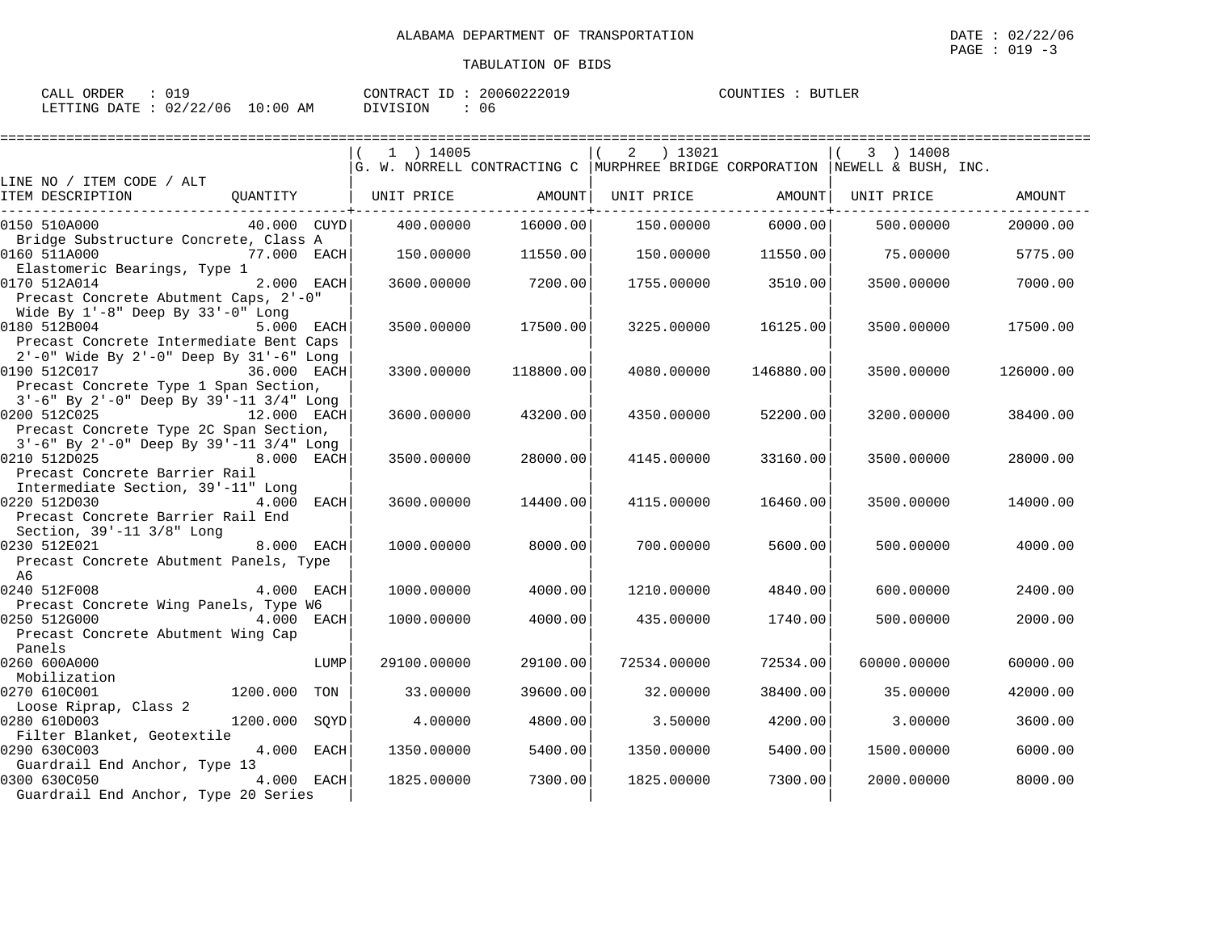| CALL ORDER                      | CONTRACT ID: 20060222019 | COUNTIES : BUTLER |
|---------------------------------|--------------------------|-------------------|
| LETTING DATE: 02/22/06 10:00 AM | DIVISION<br>.06          |                   |

|                                                                                                                                               |                  | 1 ) 14005             |           | ) 13021<br>2<br>G. W. NORRELL CONTRACTING C   MURPHREE BRIDGE CORPORATION   NEWELL & BUSH, INC. |           | 3 ) 14008   |           |
|-----------------------------------------------------------------------------------------------------------------------------------------------|------------------|-----------------------|-----------|-------------------------------------------------------------------------------------------------|-----------|-------------|-----------|
| LINE NO / ITEM CODE / ALT                                                                                                                     |                  |                       |           |                                                                                                 |           |             |           |
| ITEM DESCRIPTION                                                                                                                              |                  | OUANTITY   UNIT PRICE | AMOUNT    | UNIT PRICE                                                                                      | AMOUNT    | UNIT PRICE  | AMOUNT    |
| 0150 510A000                                                                                                                                  | 40.000 CUYD      | 400.00000             | 16000.00  | 150.00000                                                                                       | 6000.00   | 500,00000   | 20000.00  |
| Bridge Substructure Concrete, Class A<br>0160 511A000                                                                                         | 77.000 EACH      | 150.00000             | 11550.00  | 150.00000                                                                                       | 11550.00  | 75.00000    | 5775.00   |
| Elastomeric Bearings, Type 1<br>0170 512A014<br>Precast Concrete Abutment Caps, 2'-0"                                                         | 2.000 EACH       | 3600.00000            | 7200.00   | 1755.00000                                                                                      | 3510.00   | 3500.00000  | 7000.00   |
| Wide By $1'-8$ " Deep By $33'-0$ " Long<br>0180 512B004<br>Precast Concrete Intermediate Bent Caps<br>2'-0" Wide By 2'-0" Deep By 31'-6" Long | 5.000 EACH       | 3500.00000            | 17500.00  | 3225.00000                                                                                      | 16125.00  | 3500.00000  | 17500.00  |
| 0190 512C017<br>Precast Concrete Type 1 Span Section,                                                                                         | 36.000 EACH      | 3300.00000            | 118800.00 | 4080.00000                                                                                      | 146880.00 | 3500.00000  | 126000.00 |
| 3'-6" By 2'-0" Deep By 39'-11 3/4" Long<br>0200 512C025<br>Precast Concrete Type 2C Span Section,                                             | 12.000 EACH      | 3600.00000            | 43200.00  | 4350.00000                                                                                      | 52200.00  | 3200.00000  | 38400.00  |
| 3'-6" By 2'-0" Deep By 39'-11 3/4" Long<br>0210 512D025<br>Precast Concrete Barrier Rail                                                      | 8.000 EACH       | 3500.00000            | 28000.00  | 4145.00000                                                                                      | 33160.00  | 3500.00000  | 28000.00  |
| Intermediate Section, 39'-11" Long<br>0220 512D030<br>Precast Concrete Barrier Rail End<br>Section, 39'-11 3/8" Long                          | 4.000 EACH       | 3600.00000            | 14400.00  | 4115.00000                                                                                      | 16460.00  | 3500.00000  | 14000.00  |
| 0230 512E021<br>Precast Concrete Abutment Panels, Type<br>A6                                                                                  | 8.000 EACH       | 1000.00000            | 8000.00   | 700.00000                                                                                       | 5600.00   | 500.00000   | 4000.00   |
| 0240 512F008                                                                                                                                  | 4.000 EACH       | 1000.00000            | 4000.00   | 1210.00000                                                                                      | 4840.00   | 600,00000   | 2400.00   |
| Precast Concrete Wing Panels, Type W6<br>0250 512G000<br>Precast Concrete Abutment Wing Cap<br>Panels                                         | 4.000 EACH       | 1000.00000            | 4000.00   | 435.00000                                                                                       | 1740.00   | 500.00000   | 2000.00   |
| 0260 600A000                                                                                                                                  | LUMP             | 29100.00000           | 29100.00  | 72534.00000                                                                                     | 72534.00  | 60000.00000 | 60000.00  |
| Mobilization<br>0270 610C001                                                                                                                  | 1200.000<br>TON  | 33.00000              | 39600.00  | 32.00000                                                                                        | 38400.00  | 35,00000    | 42000.00  |
| Loose Riprap, Class 2<br>0280 610D003                                                                                                         | 1200.000<br>SOYD | 4.00000               | 4800.00   | 3.50000                                                                                         | 4200.00   | 3,00000     | 3600.00   |
| Filter Blanket, Geotextile<br>0290 630C003<br>Guardrail End Anchor, Type 13                                                                   | 4.000 EACH       | 1350.00000            | 5400.00   | 1350.00000                                                                                      | 5400.00   | 1500.00000  | 6000.00   |
| 0300 630C050<br>Guardrail End Anchor, Type 20 Series                                                                                          | 4.000 EACH       | 1825.00000            | 7300.00   | 1825.00000                                                                                      | 7300.00   | 2000.00000  | 8000.00   |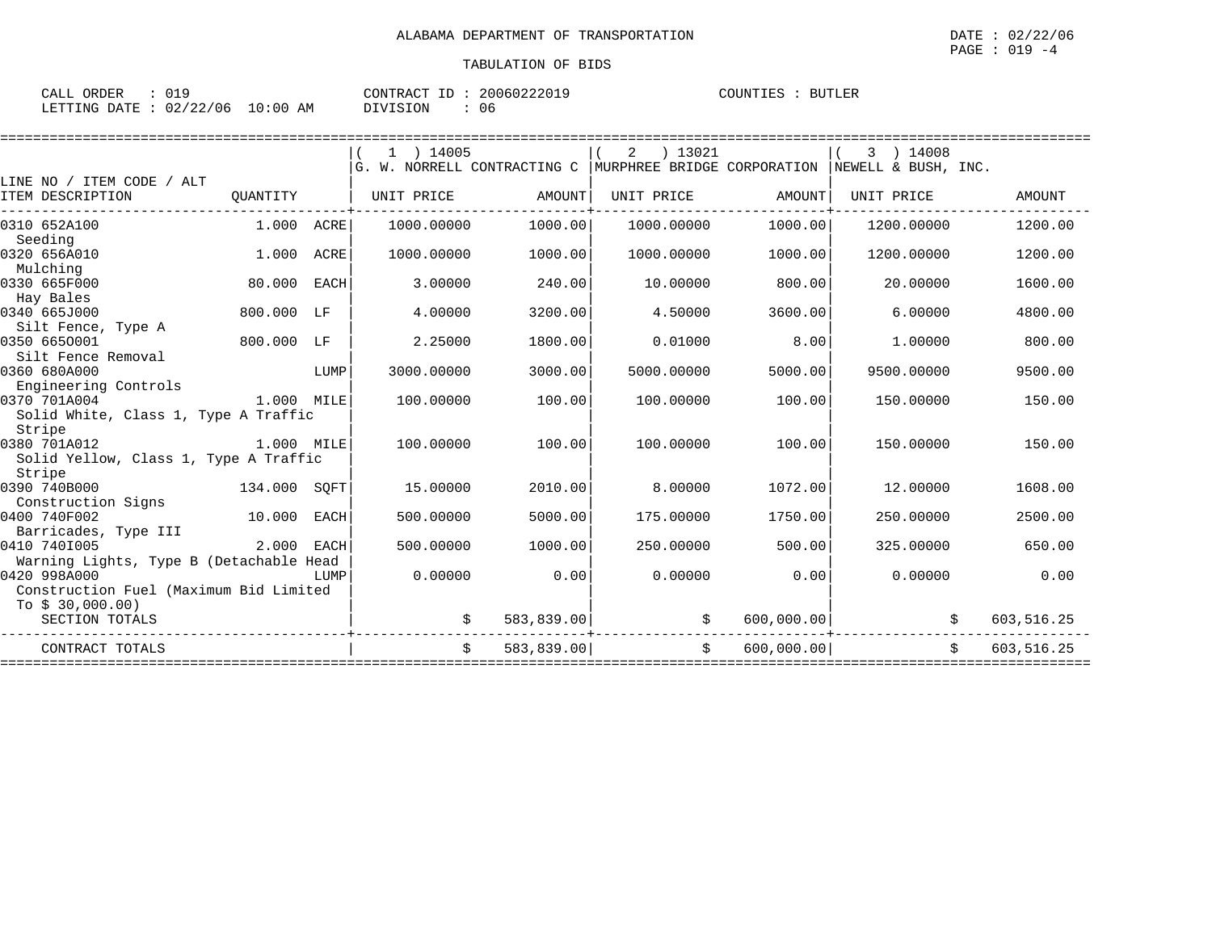| CALL<br>ORDER | <b>010</b> |             | T <sub>D</sub><br>CONTRACT | 20060222019 | COUNTIES | <b>BUTLER</b> |  |
|---------------|------------|-------------|----------------------------|-------------|----------|---------------|--|
| LETTING DATE  | 02/22/06   | 10:00<br>AM | DIVISION                   | 06          |          |               |  |

|                                                                                                   |            |      | $1$ ) 14005<br>G. W. NORRELL CONTRACTING C |            | ) 13021<br>2<br>MURPHREE BRIDGE CORPORATION |            | ) 14008<br>3<br>NEWELL & BUSH, INC. |               |
|---------------------------------------------------------------------------------------------------|------------|------|--------------------------------------------|------------|---------------------------------------------|------------|-------------------------------------|---------------|
| LINE NO / ITEM CODE / ALT                                                                         |            |      |                                            |            |                                             |            |                                     |               |
| ITEM DESCRIPTION                                                                                  | QUANTITY   |      | UNIT PRICE                                 | AMOUNT     | UNIT PRICE                                  | AMOUNT     | UNIT PRICE                          | <b>AMOUNT</b> |
| 0310 652A100<br>Seeding                                                                           | 1.000 ACRE |      | 1000.00000                                 | 1000.00    | 1000.00000                                  | 1000.00    | 1200.00000                          | 1200.00       |
| 0320 656A010<br>Mulching                                                                          | 1.000      | ACRE | 1000.00000                                 | 1000.00    | 1000.00000                                  | 1000.00    | 1200.00000                          | 1200.00       |
| 0330 665F000<br>Hay Bales                                                                         | 80.000     | EACH | 3.00000                                    | 240.00     | 10.00000                                    | 800.00     | 20.00000                            | 1600.00       |
| 0340 665J000<br>Silt Fence, Type A                                                                | 800.000 LF |      | 4.00000                                    | 3200.00    | 4.50000                                     | 3600.00    | 6,00000                             | 4800.00       |
| 0350 6650001<br>Silt Fence Removal                                                                | 800.000 LF |      | 2.25000                                    | 1800.00    | 0.01000                                     | 8.00       | 1,00000                             | 800.00        |
| 0360 680A000<br>Engineering Controls                                                              |            | LUMP | 3000.00000                                 | 3000.00    | 5000.00000                                  | 5000.00    | 9500.00000                          | 9500.00       |
| 0370 701A004<br>Solid White, Class 1, Type A Traffic                                              | 1.000 MILE |      | 100.00000                                  | 100.00     | 100.00000                                   | 100.00     | 150.00000                           | 150.00        |
| Stripe<br>0380 701A012                                                                            | 1.000 MILE |      | 100.00000                                  | 100.00     | 100.00000                                   | 100.00     | 150.00000                           | 150.00        |
| Solid Yellow, Class 1, Type A Traffic<br>Stripe                                                   |            |      |                                            |            |                                             |            |                                     |               |
| 0390 740B000<br>134.000 SQFT<br>Construction Signs                                                |            |      | 15.00000                                   | 2010.00    | 8,00000                                     | 1072.00    | 12.00000                            | 1608.00       |
| 0400 740F002                                                                                      | 10.000     | EACH | 500,00000                                  | 5000.00    | 175.00000                                   | 1750.00    | 250.00000                           | 2500.00       |
| Barricades, Type III<br>0410 7401005                                                              | 2.000      | EACH | 500,00000                                  | 1000.00    | 250.00000                                   | 500.00     | 325,00000                           | 650.00        |
| Warning Lights, Type B (Detachable Head<br>0420 998A000<br>Construction Fuel (Maximum Bid Limited |            | LUMP | 0.00000                                    | 0.00       | 0.00000                                     | 0.00       | 0.00000                             | 0.00          |
| To $$30,000.00)$<br>SECTION TOTALS                                                                |            |      |                                            | 583,839.00 | \$                                          | 600,000.00 |                                     | 603,516.25    |
| CONTRACT TOTALS                                                                                   |            |      | Ŝ.                                         | 583,839.00 | Ŝ.                                          | 600,000.00 |                                     | 603,516.25    |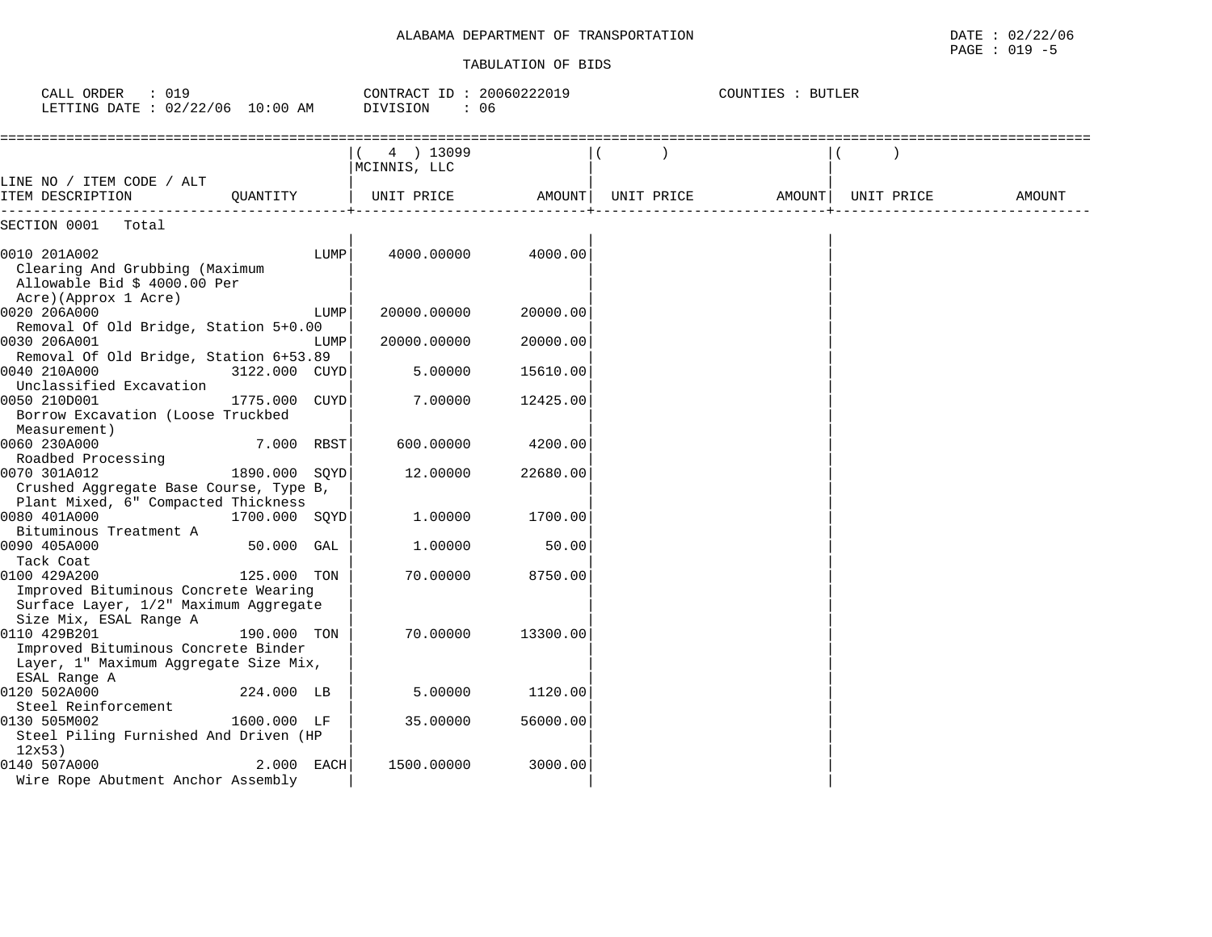#### TABULATION OF BIDS

PAGE : 019 -5

| : 019<br>CALL ORDER<br>LETTING DATE : 02/22/06 10:00 AM                                                |               | CONTRACT ID: 20060222019<br>DIVISION<br>: 06 |                           | COUNTIES : BUTLER |            |        |            |               |
|--------------------------------------------------------------------------------------------------------|---------------|----------------------------------------------|---------------------------|-------------------|------------|--------|------------|---------------|
|                                                                                                        |               |                                              | 4 ) 13099<br>MCINNIS, LLC |                   |            |        |            |               |
| LINE NO / ITEM CODE / ALT<br>ITEM DESCRIPTION                                                          | OUANTITY      |                                              | UNIT PRICE                | AMOUNT            | UNIT PRICE | AMOUNT | UNIT PRICE | <b>AMOUNT</b> |
| SECTION 0001<br>Total                                                                                  |               |                                              |                           |                   |            |        |            |               |
| 0010 201A002<br>Clearing And Grubbing (Maximum<br>Allowable Bid \$ 4000.00 Per<br>Acre)(Approx 1 Acre) |               | LUMP                                         | 4000.00000                | 4000.00           |            |        |            |               |
| 0020 206A000                                                                                           |               | LUMP                                         | 20000.00000               | 20000.00          |            |        |            |               |
| Removal Of Old Bridge, Station 5+0.00                                                                  |               |                                              |                           |                   |            |        |            |               |
| 0030 206A001                                                                                           |               | LUMP                                         | 20000.00000               | 20000.00          |            |        |            |               |
| Removal Of Old Bridge, Station 6+53.89                                                                 |               |                                              |                           |                   |            |        |            |               |
| 0040 210A000<br>Unclassified Excavation                                                                | 3122.000 CUYD |                                              | 5.00000                   | 15610.00          |            |        |            |               |
| 0050 210D001<br>Borrow Excavation (Loose Truckbed<br>Measurement)                                      | 1775.000      | CUYD                                         | 7.00000                   | 12425.00          |            |        |            |               |
| 0060 230A000                                                                                           | 7.000 RBST    |                                              | 600.00000                 | 4200.00           |            |        |            |               |
| Roadbed Processing                                                                                     |               |                                              |                           |                   |            |        |            |               |
| 0070 301A012                                                                                           | 1890.000      | SOYD                                         | 12.00000                  | 22680.00          |            |        |            |               |
| Crushed Aggregate Base Course, Type B,                                                                 |               |                                              |                           |                   |            |        |            |               |
| Plant Mixed, 6" Compacted Thickness<br>0080 401A000                                                    | 1700.000 SQYD |                                              | 1,00000                   | 1700.00           |            |        |            |               |
| Bituminous Treatment A                                                                                 |               |                                              |                           |                   |            |        |            |               |
| 0090 405A000                                                                                           | 50.000 GAL    |                                              | 1,00000                   | 50.00             |            |        |            |               |
| Tack Coat                                                                                              |               |                                              |                           |                   |            |        |            |               |
| 0100 429A200                                                                                           | 125.000 TON   |                                              | 70.00000                  | 8750.00           |            |        |            |               |
| Improved Bituminous Concrete Wearing                                                                   |               |                                              |                           |                   |            |        |            |               |
| Surface Layer, 1/2" Maximum Aggregate                                                                  |               |                                              |                           |                   |            |        |            |               |
| Size Mix, ESAL Range A                                                                                 |               |                                              |                           |                   |            |        |            |               |
| 0110 429B201                                                                                           | 190.000 TON   |                                              | 70.00000                  | 13300.00          |            |        |            |               |
| Improved Bituminous Concrete Binder                                                                    |               |                                              |                           |                   |            |        |            |               |
| Layer, 1" Maximum Aggregate Size Mix,                                                                  |               |                                              |                           |                   |            |        |            |               |
| ESAL Range A                                                                                           |               |                                              |                           |                   |            |        |            |               |
| 0120 502A000                                                                                           | 224.000 LB    |                                              | 5.00000                   | 1120.00           |            |        |            |               |
| Steel Reinforcement                                                                                    |               |                                              |                           |                   |            |        |            |               |
| 0130 505M002                                                                                           | 1600.000 LF   |                                              | 35.00000                  | 56000.00          |            |        |            |               |
| Steel Piling Furnished And Driven (HP                                                                  |               |                                              |                           |                   |            |        |            |               |
| 12x53)                                                                                                 |               |                                              |                           |                   |            |        |            |               |
| 0140 507A000<br>Wire Rope Abutment Anchor Assembly                                                     | 2.000 EACH    |                                              | 1500.00000                | 3000.00           |            |        |            |               |
|                                                                                                        |               |                                              |                           |                   |            |        |            |               |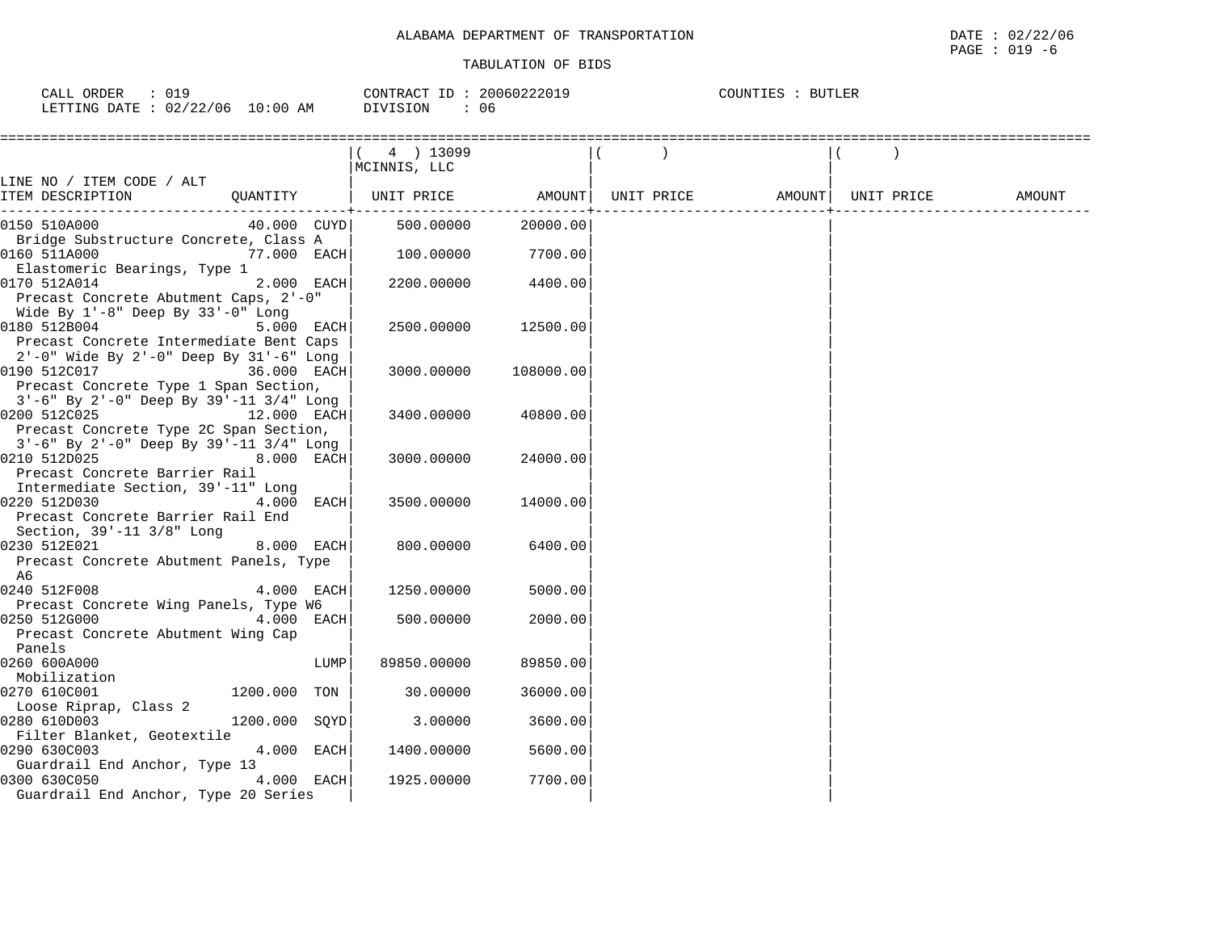| CALL ORDER<br>: 019              | CONTRACT ID: 20060222019 |    | COUNTIES : BUTLER |
|----------------------------------|--------------------------|----|-------------------|
| LETTING DATE : 02/22/06 10:00 AM | DIVISION                 | 06 |                   |

|                                                                                                                                                | $(4)$ 13099<br>MCINNIS, LLC                     |           |            |                    |        |
|------------------------------------------------------------------------------------------------------------------------------------------------|-------------------------------------------------|-----------|------------|--------------------|--------|
| LINE NO / ITEM CODE / ALT<br>ITEM DESCRIPTION                                                                                                  | QUANTITY   UNIT PRICE AMOUNT                    |           | UNIT PRICE | AMOUNT  UNIT PRICE | AMOUNT |
| 0150 510A000                                                                                                                                   | -----+------------<br>$40.000$ $CUYD$ 500.00000 | 20000.00  |            |                    |        |
| Bridge Substructure Concrete, Class A<br>0160 511A000<br>77.000 EACH                                                                           | 100.00000                                       | 7700.00   |            |                    |        |
| Elastomeric Bearings, Type 1<br>0170 512A014<br>2.000 EACH<br>Precast Concrete Abutment Caps, 2'-0"<br>Wide By $1'-8$ " Deep By $33'-0$ " Long | 2200.00000                                      | 4400.00   |            |                    |        |
| 0180 512B004<br>5.000 EACH<br>Precast Concrete Intermediate Bent Caps<br>$2'-0$ " Wide By $2'-0$ " Deep By $31'-6$ " Long                      | 2500.00000                                      | 12500.00  |            |                    |        |
| <b>36.000 EACH</b><br>0190 512C017<br>Precast Concrete Type 1 Span Section,                                                                    | 3000.00000                                      | 108000.00 |            |                    |        |
| $3'-6$ " By $2'-0$ " Deep By $39'-11$ $3/4$ " Long<br>0200 512C025<br>12.000 EACH<br>Precast Concrete Type 2C Span Section,                    | 3400.00000                                      | 40800.00  |            |                    |        |
| $3'-6$ " By $2'-0$ " Deep By $39'-11$ $3/4$ " Long<br>0210 512D025<br>8.000 EACH<br>Precast Concrete Barrier Rail                              | 3000.00000                                      | 24000.00  |            |                    |        |
| Intermediate Section, 39'-11" Long<br>0220 512D030<br>4.000 EACH<br>Precast Concrete Barrier Rail End                                          | 3500.00000                                      | 14000.00  |            |                    |        |
| Section, 39'-11 3/8" Long<br>8.000 EACH<br>0230 512E021<br>Precast Concrete Abutment Panels, Type<br>A6                                        | 800.00000                                       | 6400.00   |            |                    |        |
| 0240 512F008<br>4.000 EACH                                                                                                                     | 1250.00000                                      | 5000.00   |            |                    |        |
| Precast Concrete Wing Panels, Type W6<br>0250 512G000<br>4.000 EACH<br>Precast Concrete Abutment Wing Cap<br>Panels                            | 500.00000                                       | 2000.00   |            |                    |        |
| 0260 600A000<br>LUMP<br>Mobilization                                                                                                           | 89850.00000                                     | 89850.00  |            |                    |        |
| 0270 610C001<br>1200.000 TON                                                                                                                   | 30.00000                                        | 36000.00  |            |                    |        |
| Loose Riprap, Class 2<br>0280 610D003<br>1200.000 SOYD                                                                                         | 3.00000                                         | 3600.00   |            |                    |        |
| Filter Blanket, Geotextile<br>0290 630C003<br>4.000 EACH                                                                                       | 1400.00000                                      | 5600.00   |            |                    |        |
| Guardrail End Anchor, Type 13<br>4.000 EACH<br>0300 630C050<br>Guardrail End Anchor, Type 20 Series                                            | 1925.00000                                      | 7700.00   |            |                    |        |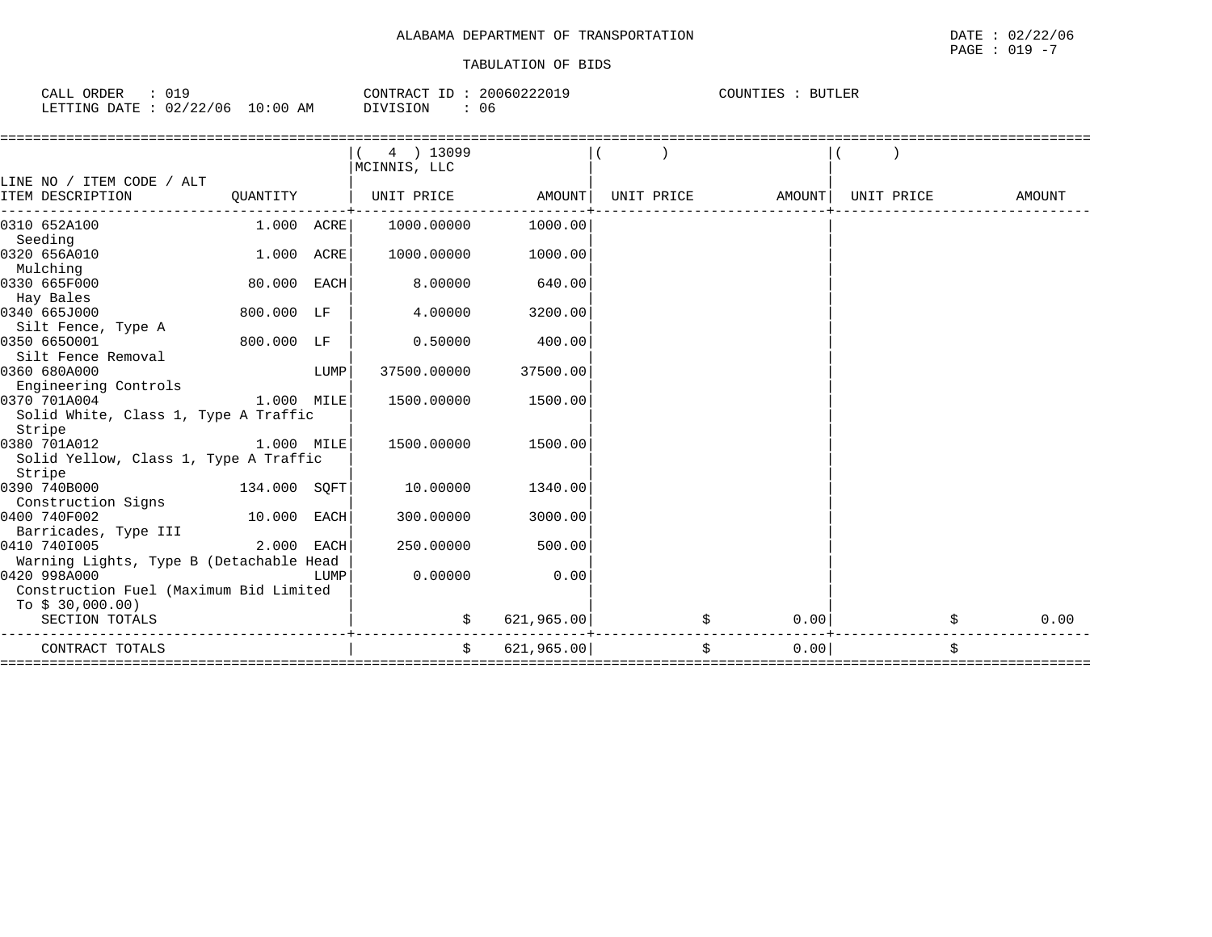| CALL ORDER<br>: 019              | CONTRACT ID: 20060222019 | COUNTIES :<br>BUTLER |
|----------------------------------|--------------------------|----------------------|
| LETTING DATE : 02/22/06 10:00 AM | DIVISION<br>06           |                      |

|                                         |              |      | 4 ) 13099    |            |            |            |            |            |
|-----------------------------------------|--------------|------|--------------|------------|------------|------------|------------|------------|
|                                         |              |      | MCINNIS, LLC |            |            |            |            |            |
| LINE NO / ITEM CODE / ALT               |              |      |              |            |            |            |            |            |
| ITEM DESCRIPTION                        | QUANTITY     |      | UNIT PRICE   | AMOUNT     | UNIT PRICE | AMOUNT     | UNIT PRICE | AMOUNT     |
|                                         |              |      |              | 1000.00    |            |            |            |            |
| 0310 652A100                            | 1.000 ACRE   |      | 1000.00000   |            |            |            |            |            |
| Seeding                                 |              |      | 1000.00000   |            |            |            |            |            |
| 0320 656A010                            | 1.000        | ACRE |              | 1000.00    |            |            |            |            |
| Mulching                                |              |      |              |            |            |            |            |            |
| 0330 665F000                            | 80.000 EACH  |      | 8.00000      | 640.00     |            |            |            |            |
| Hay Bales                               |              |      |              |            |            |            |            |            |
| 0340 665J000                            | 800.000 LF   |      | 4.00000      | 3200.00    |            |            |            |            |
| Silt Fence, Type A                      |              |      |              |            |            |            |            |            |
| 0350 6650001                            | 800.000 LF   |      | 0.50000      | 400.00     |            |            |            |            |
| Silt Fence Removal                      |              |      |              |            |            |            |            |            |
| 0360 680A000                            |              | LUMP | 37500.00000  | 37500.00   |            |            |            |            |
| Engineering Controls                    |              |      |              |            |            |            |            |            |
| 0370 701A004                            | 1.000 MILE   |      | 1500.00000   | 1500.00    |            |            |            |            |
| Solid White, Class 1, Type A Traffic    |              |      |              |            |            |            |            |            |
| Stripe                                  |              |      |              |            |            |            |            |            |
| 0380 701A012                            | 1.000 MILE   |      | 1500.00000   | 1500.00    |            |            |            |            |
| Solid Yellow, Class 1, Type A Traffic   |              |      |              |            |            |            |            |            |
| Stripe                                  |              |      |              |            |            |            |            |            |
| 0390 740B000                            | 134.000 SQFT |      | 10.00000     | 1340.00    |            |            |            |            |
| Construction Signs                      |              |      |              |            |            |            |            |            |
| 0400 740F002                            | 10.000 EACH  |      | 300.00000    | 3000.00    |            |            |            |            |
| Barricades, Type III                    |              |      |              |            |            |            |            |            |
| 0410 7401005                            | 2.000        | EACH | 250.00000    | 500.00     |            |            |            |            |
| Warning Lights, Type B (Detachable Head |              |      |              |            |            |            |            |            |
| 0420 998A000                            |              | LUMP | 0.00000      | 0.00       |            |            |            |            |
| Construction Fuel (Maximum Bid Limited  |              |      |              |            |            |            |            |            |
| To $$30,000.00)$                        |              |      |              |            |            |            |            |            |
| SECTION TOTALS                          |              |      | \$           | 621,965.00 |            | 0.00       |            | \$<br>0.00 |
| CONTRACT TOTALS                         |              |      | Ŝ.           | 621,965.00 |            | \$<br>0.00 |            | \$         |
|                                         |              |      |              |            |            |            |            |            |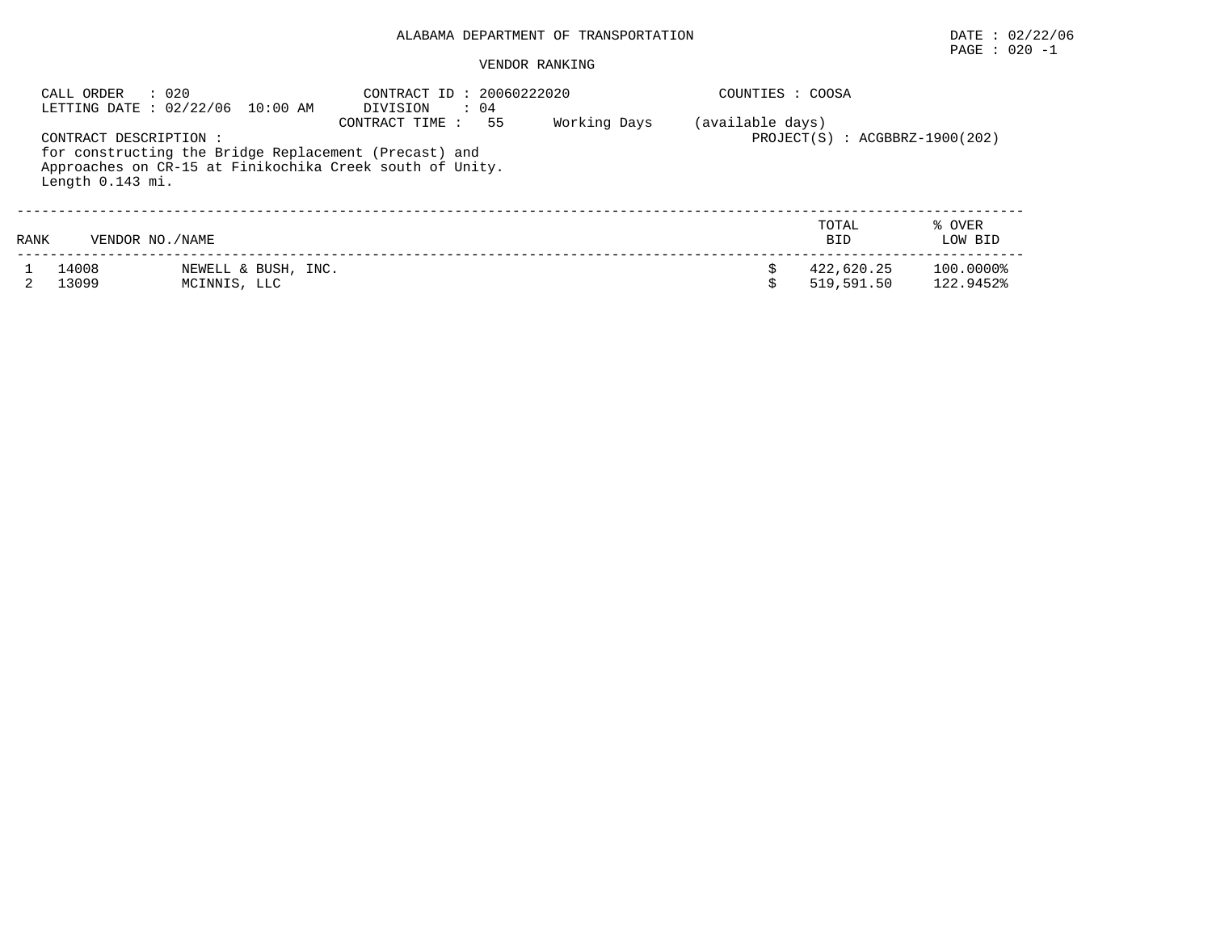## PAGE : 020 -1

#### VENDOR RANKING

| CALL ORDER                                 | : 020<br>LETTING DATE : 02/22/06 10:00 AM                                                                         | CONTRACT ID: 20060222020<br>DIVISION<br>$\therefore$ 04 |  | COUNTIES : COOSA |                          |                        |
|--------------------------------------------|-------------------------------------------------------------------------------------------------------------------|---------------------------------------------------------|--|------------------|--------------------------|------------------------|
| CONTRACT DESCRIPTION :<br>Length 0.143 mi. | for constructing the Bridge Replacement (Precast) and<br>Approaches on CR-15 at Finikochika Creek south of Unity. | (available days)<br>$PROJECT(S) : ACGBBRZ-1900(202)$    |  |                  |                          |                        |
| RANK                                       | VENDOR NO. / NAME                                                                                                 |                                                         |  |                  | TOTAL<br><b>BID</b>      | % OVER<br>LOW BID      |
| 14008<br>13099                             | NEWELL & BUSH, INC.<br>MCINNIS, LLC                                                                               |                                                         |  |                  | 422,620.25<br>519,591.50 | 100.0000%<br>122.9452% |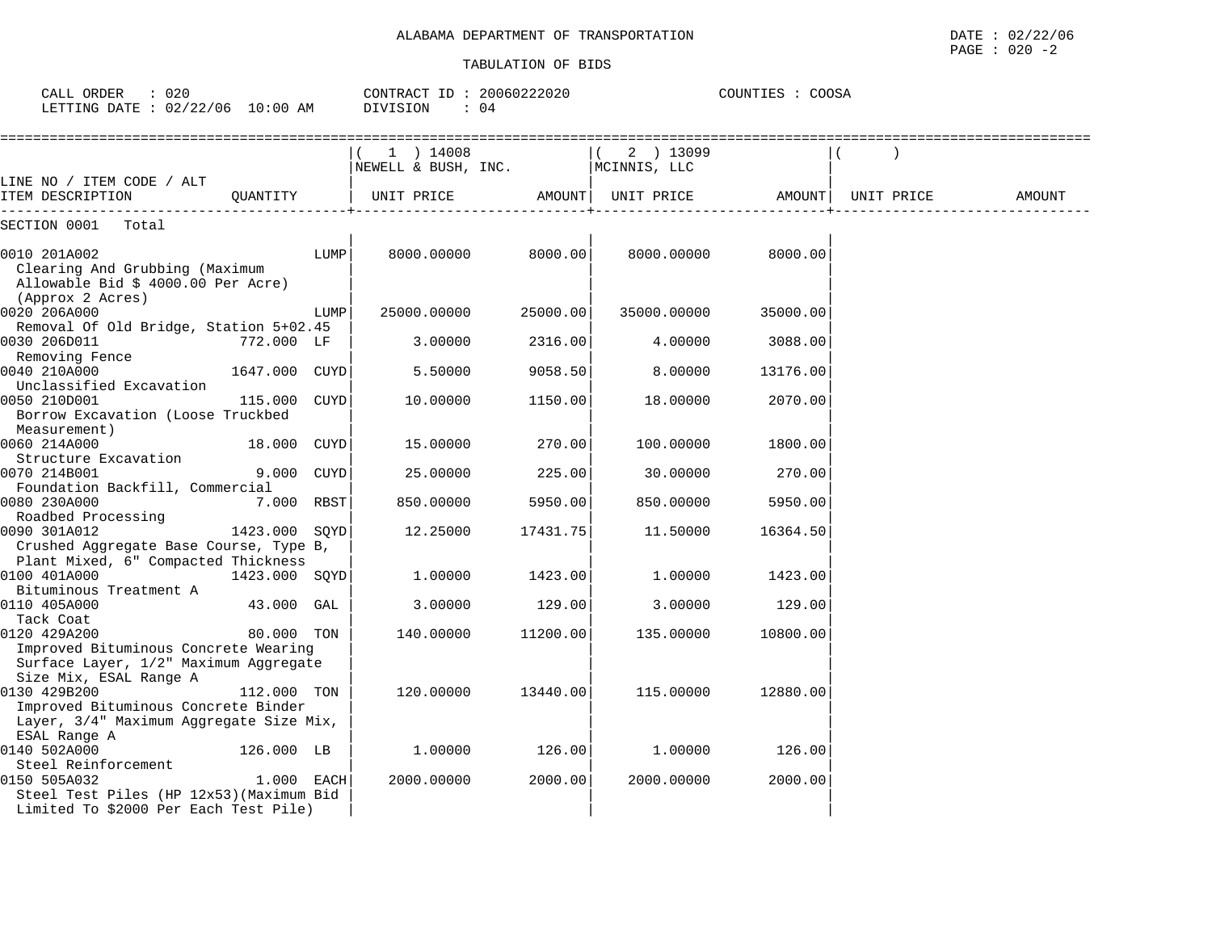| CALL ORDER : 020<br>LETTING DATE: 02/22/06 10:00 AM DIVISION                                  |               | CONTRACT ID: 20060222020<br>$\therefore$ 04 |                                                                 | COUNTIES : COOSA |             |          |            |        |
|-----------------------------------------------------------------------------------------------|---------------|---------------------------------------------|-----------------------------------------------------------------|------------------|-------------|----------|------------|--------|
|                                                                                               |               |                                             | $1$ ) 14008<br>$N$ EWELL & BUSH, INC. $N$ $N$ $N$ $N$ $N$       |                  | 2 ) 13099   |          |            |        |
| LINE NO / ITEM CODE / ALT<br>ITEM DESCRIPTION                                                 |               |                                             | QUANTITY   UNIT PRICE         AMOUNT  UNIT PRICE         AMOUNT |                  |             |          | UNIT PRICE | AMOUNT |
| SECTION 0001 Total                                                                            |               |                                             |                                                                 |                  |             |          |            |        |
| 0010 201A002<br>Clearing And Grubbing (Maximum<br>Allowable Bid \$ 4000.00 Per Acre)          |               | LUMP                                        | 8000.00000                                                      | 8000.001         | 8000.00000  | 8000.00  |            |        |
| (Approx 2 Acres)<br>0020 206A000                                                              |               | LUMP                                        | 25000.00000                                                     | 25000.00         | 35000.00000 | 35000.00 |            |        |
| Removal Of Old Bridge, Station 5+02.45<br>0030 206D011<br>Removing Fence                      | 772.000 LF    |                                             | 3.00000                                                         | 2316.00          | 4.00000     | 3088.00  |            |        |
| 0040 210A000<br>Unclassified Excavation                                                       | 1647.000 CUYD |                                             | 5.50000                                                         | 9058.50          | 8.00000     | 13176.00 |            |        |
| 0050 210D001<br>Borrow Excavation (Loose Truckbed<br>Measurement)                             | 115.000 CUYD  |                                             | 10.00000                                                        | 1150.00          | 18,00000    | 2070.00  |            |        |
| 0060 214A000<br>Structure Excavation                                                          | 18.000 CUYD   |                                             | 15.00000                                                        | 270.00           | 100.00000   | 1800.00  |            |        |
| 0070 214B001<br>Foundation Backfill, Commercial                                               | 9.000 CUYD    |                                             | 25,00000                                                        | 225.00           | 30.00000    | 270.00   |            |        |
| 0080 230A000<br>Roadbed Processing                                                            | 7.000 RBST    |                                             | 850.00000                                                       | 5950.00          | 850,00000   | 5950.00  |            |        |
| 0090 301A012<br>Crushed Aggregate Base Course, Type B,<br>Plant Mixed, 6" Compacted Thickness | 1423.000 SOYD |                                             | 12.25000                                                        | 17431.75         | 11.50000    | 16364.50 |            |        |
| 0100 401A000<br>Bituminous Treatment A                                                        | 1423.000 SQYD |                                             | 1,00000                                                         | 1423.00          | 1.00000     | 1423.00  |            |        |
| 0110 405A000<br>Tack Coat                                                                     | 43.000 GAL    |                                             | 3.00000                                                         | 129.00           | 3.00000     | 129.00   |            |        |
| 0120 429A200<br>Improved Bituminous Concrete Wearing                                          | 80.000 TON    |                                             | 140.00000 11200.00                                              |                  | 135.00000   | 10800.00 |            |        |

Size Mix, ESAL Range A |<br>0130 429B200 112.000 TON | 120.00000 13440.00| 115.00000 12880.00 0130 429B200 112.000 TON | 120.00000 13440.00| 115.00000 12880.00|

ESAL Range A | | |

 Steel Reinforcement | | | 0150 505A032 1.000 EACH| 2000.00000 2000.00| 2000.00000 2000.00|

Steel Test Piles (HP 12x53) (Maximum Bid Limited To \$2000 Per Each Test Pile)

126.000 LB

Surface Layer, 1/2" Maximum Aggregate

Improved Bituminous Concrete Binder Layer, 3/4" Maximum Aggregate Size Mix,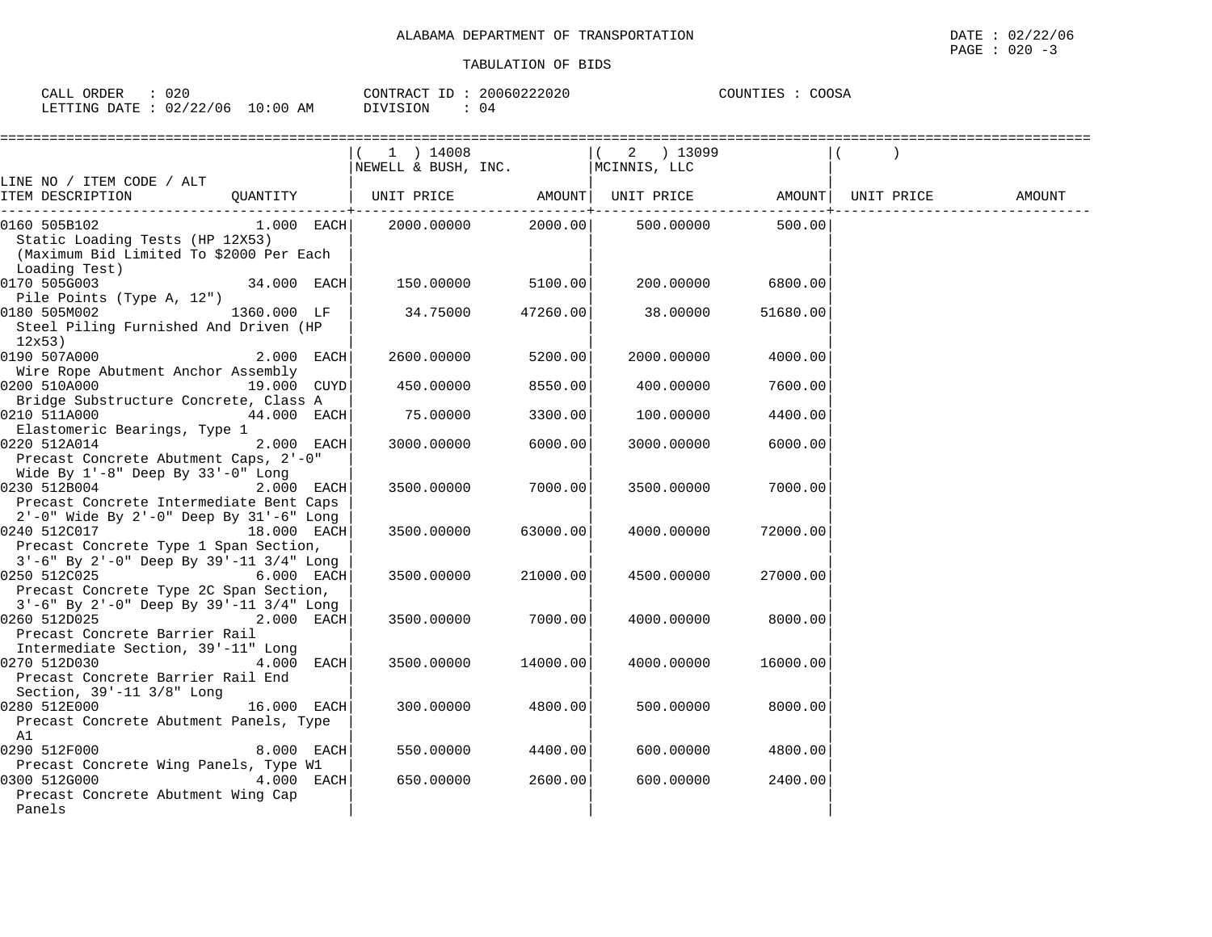| CALL ORDER                      | 020 | CONTRACT ID: 20060222020 | COUNTIES : COOSA |
|---------------------------------|-----|--------------------------|------------------|
| LETTING DATE: 02/22/06 10:00 AM |     | DIVISION<br>04           |                  |

|                                                                                                       |              | 1 ) 14008<br>NEWELL & BUSH, INC. MCINNIS, LLC                                                                             |          | ( 2 ) 13099 |          |  |
|-------------------------------------------------------------------------------------------------------|--------------|---------------------------------------------------------------------------------------------------------------------------|----------|-------------|----------|--|
| LINE NO / ITEM CODE / ALT                                                                             |              |                                                                                                                           |          |             |          |  |
| ITEM DESCRIPTION                                                                                      |              | QUANTITY   UNIT PRICE                 AMOUNT    UNIT PRICE                  AMOUNT    UNIT PRICE                   AMOUNT |          |             |          |  |
| 0160 505B102<br>Static Loading Tests (HP 12X53)                                                       | $1.000$ EACH | 2000.00000                                                                                                                | 2000.00  | 500.00000   | 500.00   |  |
| (Maximum Bid Limited To \$2000 Per Each<br>Loading Test)                                              |              |                                                                                                                           |          |             |          |  |
| 0170 505G003<br>Pile Points (Type A, 12")                                                             | 34.000 EACH  | 150.00000                                                                                                                 | 5100.00  | 200.00000   | 6800.00  |  |
| 0180 505M002<br>Steel Piling Furnished And Driven (HP<br>12x53)                                       | 1360.000 LF  | 34.75000                                                                                                                  | 47260.00 | 38.00000    | 51680.00 |  |
| 0190 507A000<br>Wire Rope Abutment Anchor Assembly                                                    | 2.000 EACH   | 2600.00000                                                                                                                | 5200.00  | 2000.00000  | 4000.00  |  |
| 0200 510A000                                                                                          | 19.000 CUYD  | 450.00000                                                                                                                 | 8550.00  | 400.00000   | 7600.00  |  |
| Bridge Substructure Concrete, Class A<br>0210 511A000                                                 | 44.000 EACH  | 75.00000                                                                                                                  | 3300.00  | 100.00000   | 4400.00  |  |
| Elastomeric Bearings, Type 1<br>0220 512A014<br>Precast Concrete Abutment Caps, 2'-0"                 | 2.000 EACH   | 3000.00000                                                                                                                | 6000.00  | 3000.00000  | 6000.00  |  |
| Wide By $1'-8$ " Deep By $33'-0$ " Long<br>0230 512B004<br>Precast Concrete Intermediate Bent Caps    | 2.000 EACH   | 3500.00000                                                                                                                | 7000.00  | 3500.00000  | 7000.00  |  |
| 2'-0" Wide By 2'-0" Deep By 31'-6" Long<br>0240 512C017<br>Precast Concrete Type 1 Span Section,      | 18.000 EACH  | 3500.00000                                                                                                                | 63000.00 | 4000.00000  | 72000.00 |  |
| 3'-6" By 2'-0" Deep By 39'-11 3/4" Long<br>0250 512C025<br>Precast Concrete Type 2C Span Section,     | 6.000 EACH   | 3500.00000                                                                                                                | 21000.00 | 4500.00000  | 27000.00 |  |
| 3'-6" By 2'-0" Deep By 39'-11 3/4" Long<br>0260 512D025<br>Precast Concrete Barrier Rail              | 2.000 EACH   | 3500.00000                                                                                                                | 7000.00  | 4000.00000  | 8000.00  |  |
| Intermediate Section, 39'-11" Long<br>0270 512D030<br>Precast Concrete Barrier Rail End               | 4.000 EACH   | 3500.00000                                                                                                                | 14000.00 | 4000.00000  | 16000.00 |  |
| Section, $39' - 11$ $3/8"$ Long<br>0280 512E000<br>Precast Concrete Abutment Panels, Type             | 16.000 EACH  | 300.00000                                                                                                                 | 4800.00  | 500.00000   | 8000.00  |  |
| A1<br>0290 512F000                                                                                    | 8.000 EACH   | 550.00000                                                                                                                 | 4400.00  | 600,00000   | 4800.00  |  |
| Precast Concrete Wing Panels, Type W1<br>0300 512G000<br>Precast Concrete Abutment Wing Cap<br>Panels | 4.000 EACH   | 650.00000                                                                                                                 | 2600.00  | 600.00000   | 2400.00  |  |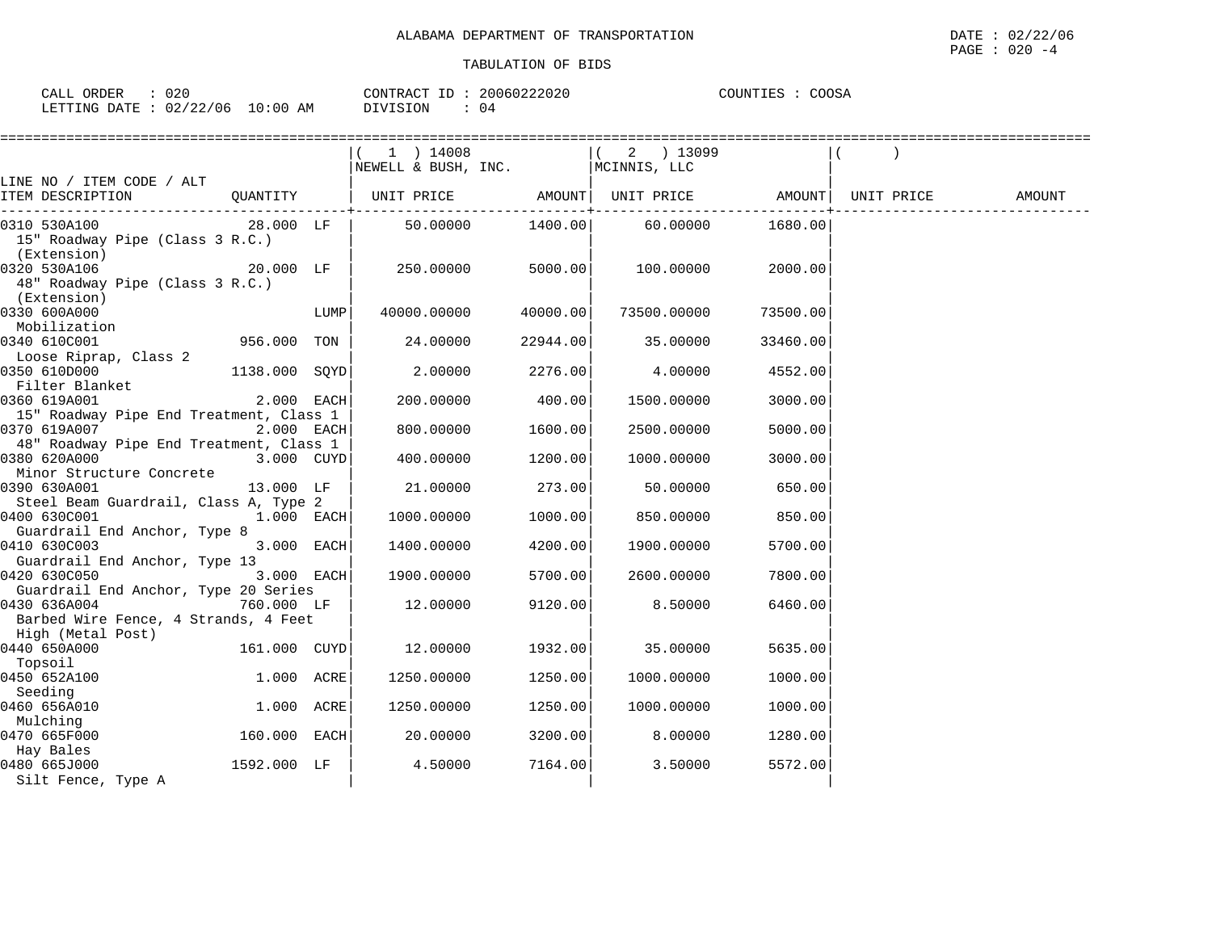| CALL | ORDER        | 020      |            | CONTRACT ID | 20060222020 | COUNTIES | COOSA |  |
|------|--------------|----------|------------|-------------|-------------|----------|-------|--|
|      | LETTING DATE | 02/22/06 | $10:00$ AM | DIVISION    |             |          |       |  |

|                                         |               |      | 1 ) 14008                        |          | ( 2 ) 13099       |          |            |        |
|-----------------------------------------|---------------|------|----------------------------------|----------|-------------------|----------|------------|--------|
|                                         |               |      | NEWELL & BUSH, INC. MCINNIS, LLC |          |                   |          |            |        |
| LINE NO / ITEM CODE / ALT               |               |      |                                  |          |                   |          |            |        |
| ITEM DESCRIPTION                        | QUANTITY      |      | UNIT PRICE AMOUNT                |          | UNIT PRICE AMOUNT |          | UNIT PRICE | AMOUNT |
| 0310 530A100                            |               |      | 50.00000                         |          | 1400.00 60.00000  | 1680.00  |            |        |
| 15" Roadway Pipe (Class 3 R.C.)         |               |      |                                  |          |                   |          |            |        |
| (Extension)                             |               |      |                                  |          |                   |          |            |        |
| 0320 530A106                            | 20.000 LF     |      | 250.00000                        | 5000.00  | 100.00000         | 2000.00  |            |        |
| 48" Roadway Pipe (Class 3 R.C.)         |               |      |                                  |          |                   |          |            |        |
| (Extension)                             |               |      |                                  |          |                   |          |            |        |
| 0330 600A000                            |               | LUMP | 40000.00000                      | 40000.00 | 73500.00000       | 73500.00 |            |        |
| Mobilization                            |               |      |                                  |          |                   |          |            |        |
| 0340 610C001                            | 956.000 TON   |      | 24.00000                         | 22944.00 | 35.00000          | 33460.00 |            |        |
| Loose Riprap, Class 2                   |               |      |                                  |          |                   |          |            |        |
| 0350 610D000                            | 1138.000 SQYD |      | 2.00000                          | 2276.00  | 4.00000           | 4552.00  |            |        |
| Filter Blanket                          |               |      |                                  |          |                   |          |            |        |
| 0360 619A001                            | 2.000 EACH    |      | 200,00000                        | 400.00   | 1500.00000        | 3000.00  |            |        |
| 15" Roadway Pipe End Treatment, Class 1 |               |      |                                  |          |                   |          |            |        |
| 0370 619A007                            | 2.000 EACH    |      | 800.00000                        | 1600.00  | 2500.00000        | 5000.00  |            |        |
| 48" Roadway Pipe End Treatment, Class 1 |               |      |                                  |          |                   |          |            |        |
| 0380 620A000                            | 3.000 CUYD    |      | 400.00000                        | 1200.00  | 1000.00000        | 3000.00  |            |        |
| Minor Structure Concrete                |               |      |                                  |          |                   |          |            |        |
| 0390 630A001                            | 13.000 LF     |      | 21,00000                         | 273.00   | 50.00000          | 650.00   |            |        |
| Steel Beam Guardrail, Class A, Type 2   |               |      |                                  |          |                   |          |            |        |
| 0400 630C001                            | 1.000 EACH    |      | 1000.00000                       | 1000.00  | 850.00000         | 850.00   |            |        |
| Guardrail End Anchor, Type 8            |               |      |                                  |          |                   |          |            |        |
| 0410 630C003                            | 3.000 EACH    |      | 1400.00000                       | 4200.00  | 1900.00000        | 5700.00  |            |        |
| Guardrail End Anchor, Type 13           |               |      |                                  |          |                   |          |            |        |
| 0420 630C050                            | 3.000 EACH    |      | 1900.00000                       | 5700.00  | 2600.00000        | 7800.00  |            |        |
| Guardrail End Anchor, Type 20 Series    |               |      |                                  |          |                   |          |            |        |
| 0430 636A004                            | 760.000 LF    |      | 12.00000                         | 9120.00  | 8.50000           | 6460.00  |            |        |
| Barbed Wire Fence, 4 Strands, 4 Feet    |               |      |                                  |          |                   |          |            |        |
| High (Metal Post)<br>0440 650A000       | 161.000 CUYD  |      | 12.00000                         | 1932.00  | 35,00000          | 5635.00  |            |        |
| Topsoil                                 |               |      |                                  |          |                   |          |            |        |
| 0450 652A100                            | 1.000 ACRE    |      | 1250.00000                       | 1250.00  | 1000.00000        | 1000.00  |            |        |
| Seeding                                 |               |      |                                  |          |                   |          |            |        |
| 0460 656A010                            | 1.000 ACRE    |      | 1250.00000                       | 1250.00  | 1000.00000        | 1000.00  |            |        |
| Mulching                                |               |      |                                  |          |                   |          |            |        |
| 0470 665F000                            | 160.000 EACH  |      | 20.00000                         | 3200.00  | 8.00000           | 1280.00  |            |        |
| Hay Bales                               |               |      |                                  |          |                   |          |            |        |
| 0480 665J000                            | 1592.000 LF   |      | 4.50000                          | 7164.00  | 3.50000           | 5572.00  |            |        |
| Silt Fence, Type A                      |               |      |                                  |          |                   |          |            |        |
|                                         |               |      |                                  |          |                   |          |            |        |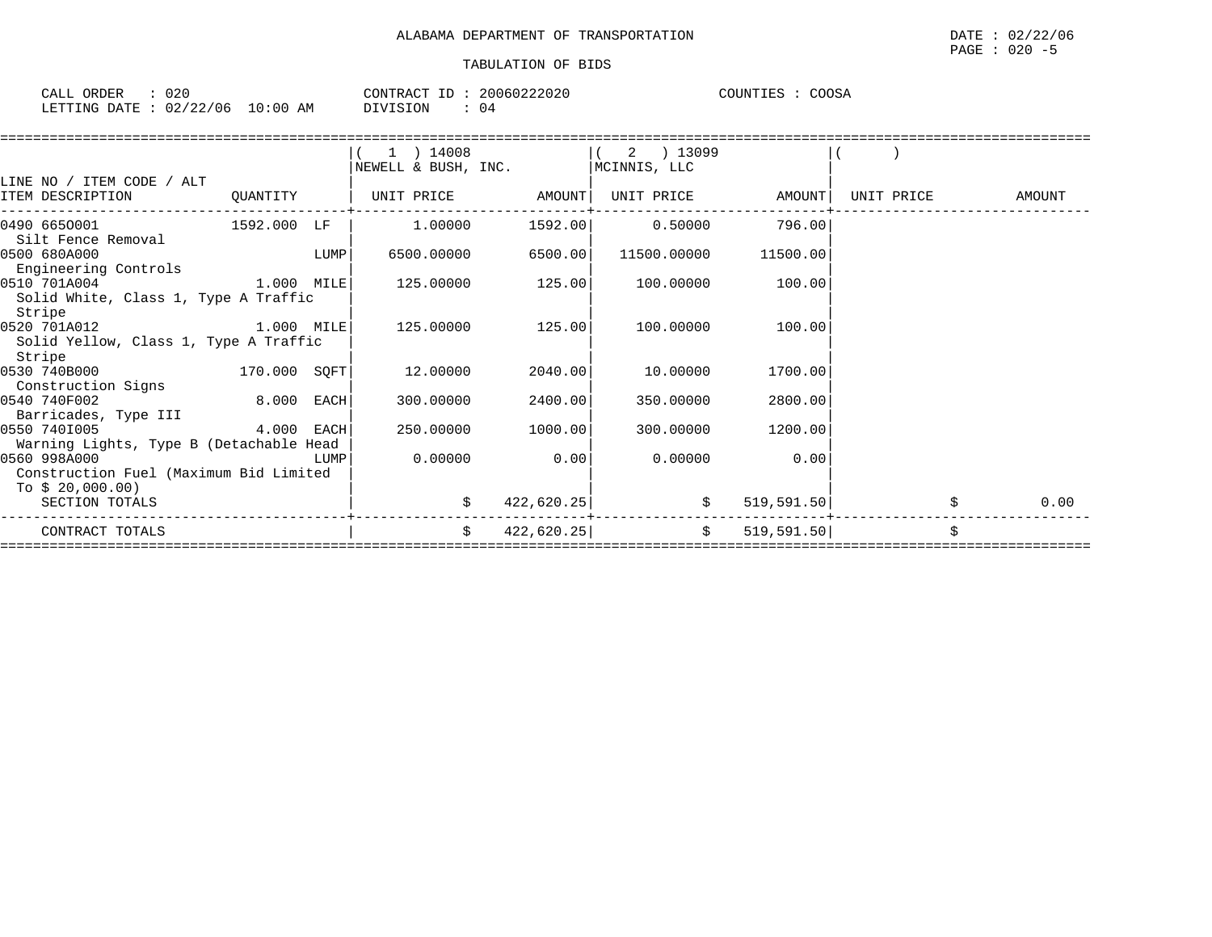| CALL ORDER                       | 020 | CONTRACT ID: | 20060222020 | COUNTIES : COOSA |  |
|----------------------------------|-----|--------------|-------------|------------------|--|
| LETTING DATE : 02/22/06 10:00 AM |     | DIVISION     | 04          |                  |  |

| AMOUNT |
|--------|
|        |
|        |
|        |
|        |
|        |
|        |
|        |
|        |
|        |
|        |
|        |
|        |
|        |
|        |
|        |
|        |
|        |
|        |
|        |
| 0.00   |
|        |
|        |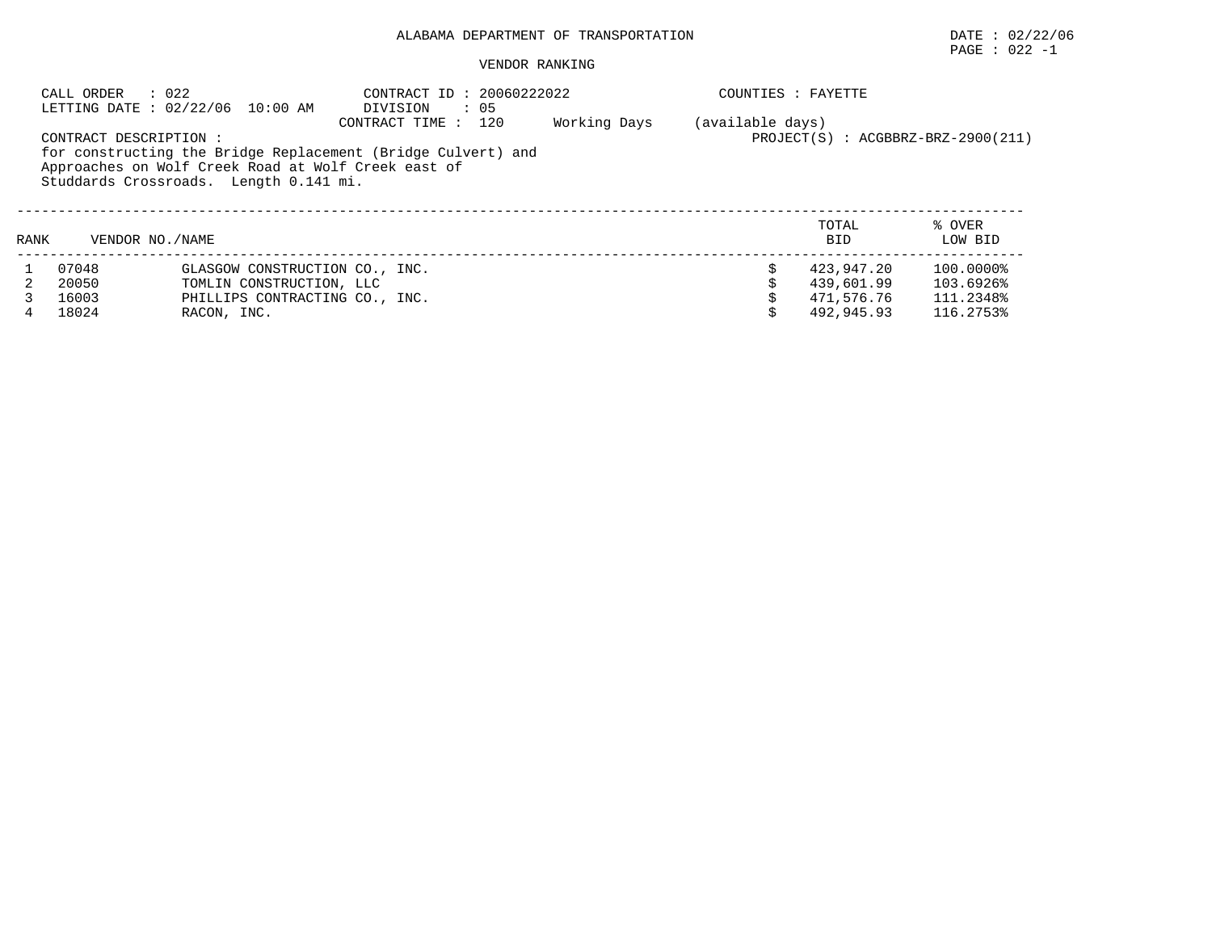# $\texttt{PAGE}$  : 022 -1

#### VENDOR RANKING

|      | CALL ORDER             | $\therefore$ 022<br>LETTING DATE: 02/22/06 10:00 AM                                           | CONTRACT ID: 20060222022<br>$\therefore$ 05<br>DIVISION      |              | COUNTIES : FAYETTE |                     |                                        |
|------|------------------------|-----------------------------------------------------------------------------------------------|--------------------------------------------------------------|--------------|--------------------|---------------------|----------------------------------------|
|      | CONTRACT DESCRIPTION : |                                                                                               | CONTRACT TIME :<br>120                                       | Working Days | (available days)   |                     | $PROJECT(S)$ : $ACGBBRZ-BRZ-2900(211)$ |
|      |                        | Approaches on Wolf Creek Road at Wolf Creek east of<br>Studdards Crossroads. Length 0.141 mi. | for constructing the Bridge Replacement (Bridge Culvert) and |              |                    |                     |                                        |
| RANK | VENDOR NO. / NAME      |                                                                                               |                                                              |              |                    | TOTAL<br><b>BID</b> | % OVER<br>LOW BID                      |
|      | 07048                  | GLASGOW CONSTRUCTION CO., INC.                                                                |                                                              |              |                    | 423,947.20          | 100.0000%                              |
|      | 20050                  | TOMLIN CONSTRUCTION, LLC                                                                      |                                                              |              |                    | 439,601.99          | 103.6926%                              |
|      | 16003                  | PHILLIPS CONTRACTING CO., INC.                                                                |                                                              |              |                    | 471,576.76          | 111.2348%                              |
|      | 18024                  | RACON, INC.                                                                                   |                                                              |              |                    | 492,945.93          | 116.2753%                              |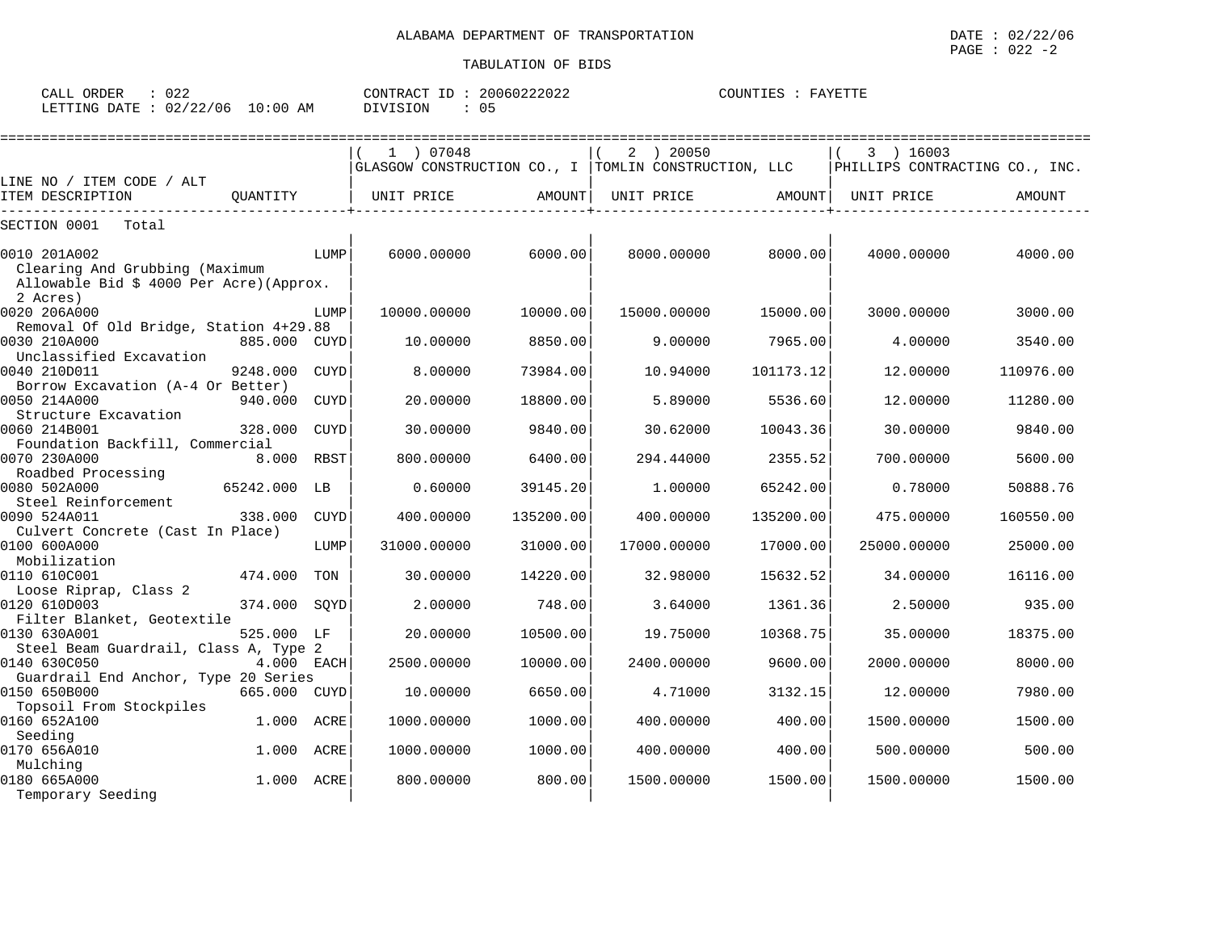| CALL<br>ORDER  | へっぺ<br>U 4. |               | CONTRACT<br>ID | 20060222022 | COUNTIES | FAYETTE |
|----------------|-------------|---------------|----------------|-------------|----------|---------|
| LETTING DATE : | 02/22/06    | LO : 00<br>AM | DIVISION       | ◡ ◡         |          |         |

|                                                  |              |      | 1 07048                                              |           | 2 ) 20050   |           | 3 ) 16003                      |           |
|--------------------------------------------------|--------------|------|------------------------------------------------------|-----------|-------------|-----------|--------------------------------|-----------|
|                                                  |              |      | GLASGOW CONSTRUCTION CO., I TOMLIN CONSTRUCTION, LLC |           |             |           | PHILLIPS CONTRACTING CO., INC. |           |
| LINE NO / ITEM CODE / ALT<br>ITEM DESCRIPTION    | OUANTITY     |      | UNIT PRICE                                           | AMOUNT    | UNIT PRICE  | AMOUNT    | UNIT PRICE                     | AMOUNT    |
|                                                  |              |      |                                                      |           |             |           |                                |           |
| SECTION 0001<br>Total                            |              |      |                                                      |           |             |           |                                |           |
| 0010 201A002<br>Clearing And Grubbing (Maximum   |              | LUMP | 6000.00000                                           | 6000.00   | 8000.00000  | 8000.00   | 4000.00000                     | 4000.00   |
| Allowable Bid \$ 4000 Per Acre) (Approx.         |              |      |                                                      |           |             |           |                                |           |
| 2 Acres)<br>0020 206A000                         |              | LUMP | 10000.00000                                          | 10000.00  | 15000.00000 | 15000.00  | 3000.00000                     | 3000.00   |
| Removal Of Old Bridge, Station 4+29.88           |              |      |                                                      |           |             |           |                                |           |
| 0030 210A000                                     | 885.000 CUYD |      | 10.00000                                             | 8850.00   | 9.00000     | 7965.00   | 4.00000                        | 3540.00   |
| Unclassified Excavation<br>0040 210D011          | 9248.000     | CUYD | 8.00000                                              | 73984.00  | 10.94000    | 101173.12 | 12.00000                       | 110976.00 |
| Borrow Excavation (A-4 Or Better)                |              |      |                                                      |           |             |           |                                |           |
| 0050 214A000                                     | 940.000      | CUYD | 20.00000                                             | 18800.00  | 5.89000     | 5536.60   | 12.00000                       | 11280.00  |
| Structure Excavation                             |              |      |                                                      |           |             |           |                                |           |
| 0060 214B001                                     | 328,000      | CUYD | 30.00000                                             | 9840.00   | 30.62000    | 10043.36  | 30.00000                       | 9840.00   |
| Foundation Backfill, Commercial                  |              |      |                                                      |           |             |           |                                |           |
| 0070 230A000                                     | 8.000        | RBST | 800.00000                                            | 6400.00   | 294.44000   | 2355.52   | 700.00000                      | 5600.00   |
| Roadbed Processing                               |              |      |                                                      |           |             |           |                                |           |
| 0080 502A000                                     | 65242.000    | LB   | 0.60000                                              | 39145.20  | 1,00000     | 65242.00  | 0.78000                        | 50888.76  |
| Steel Reinforcement                              |              |      |                                                      |           |             |           |                                |           |
| 0090 524A011                                     | 338.000      | CUYD | 400.00000                                            | 135200.00 | 400.00000   | 135200.00 | 475.00000                      | 160550.00 |
| Culvert Concrete (Cast In Place)<br>0100 600A000 |              | LUMP | 31000.00000                                          | 31000.00  | 17000.00000 | 17000.00  | 25000.00000                    | 25000.00  |
| Mobilization                                     |              |      |                                                      |           |             |           |                                |           |
| 0110 610C001                                     | 474.000      | TON  | 30,00000                                             | 14220.00  | 32.98000    | 15632.52  | 34,00000                       | 16116.00  |
| Loose Riprap, Class 2                            |              |      |                                                      |           |             |           |                                |           |
| 0120 610D003                                     | 374.000      | SOYD | 2.00000                                              | 748.00    | 3.64000     | 1361.36   | 2.50000                        | 935.00    |
| Filter Blanket, Geotextile                       |              |      |                                                      |           |             |           |                                |           |
| 0130 630A001                                     | 525.000 LF   |      | 20,00000                                             | 10500.00  | 19.75000    | 10368.75  | 35,00000                       | 18375.00  |
| Steel Beam Guardrail, Class A, Type 2            |              |      |                                                      |           |             |           |                                |           |
| 0140 630C050                                     | 4.000 EACH   |      | 2500.00000                                           | 10000.00  | 2400.00000  | 9600.00   | 2000.00000                     | 8000.00   |
| Guardrail End Anchor, Type 20 Series             |              |      |                                                      |           |             |           |                                |           |
| 0150 650B000                                     | 665.000 CUYD |      | 10.00000                                             | 6650.00   | 4.71000     | 3132.15   | 12.00000                       | 7980.00   |
| Topsoil From Stockpiles<br>0160 652A100          | 1.000        | ACRE | 1000.00000                                           | 1000.00   | 400.00000   | 400.00    | 1500.00000                     | 1500.00   |
| Seeding                                          |              |      |                                                      |           |             |           |                                |           |
| 0170 656A010                                     | 1.000        | ACRE | 1000.00000                                           | 1000.00   | 400.00000   | 400.00    | 500.00000                      | 500.00    |
| Mulching                                         |              |      |                                                      |           |             |           |                                |           |
| 0180 665A000                                     | 1.000 ACRE   |      | 800,00000                                            | 800.00    | 1500.00000  | 1500.00   | 1500.00000                     | 1500.00   |
| Temporary Seeding                                |              |      |                                                      |           |             |           |                                |           |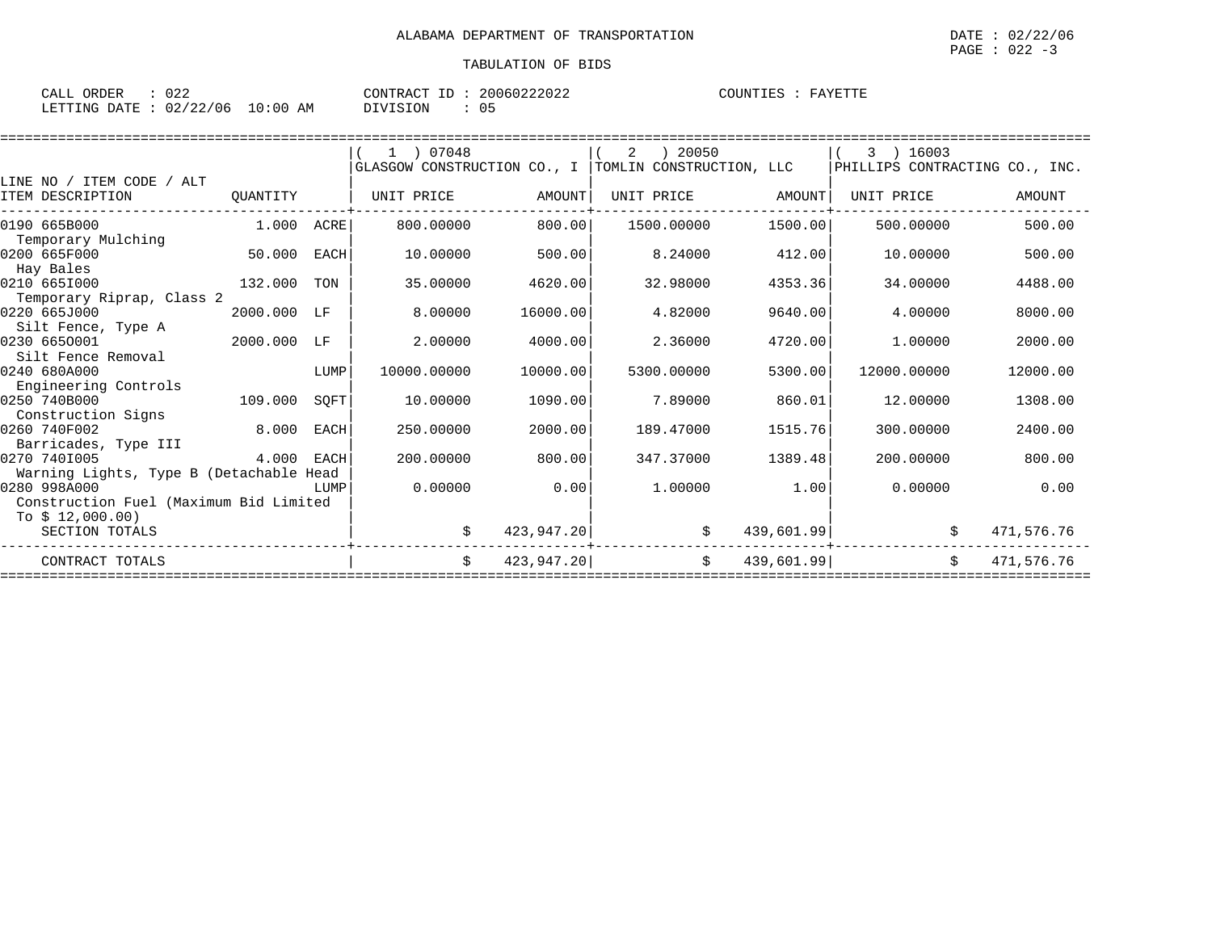| 022<br>ORDER<br>CALL     |             | CONTRACT<br>$  -$<br>ΤD | 20060222022 | <b>COUNTIFS</b><br>FAYETTE<br>---------- |
|--------------------------|-------------|-------------------------|-------------|------------------------------------------|
| 02/22/06<br>LETTING DATE | 10:00<br>AΜ | DIVISION                | ັບ -        |                                          |

|                                         |             |             | $1$ ) 07048                 |            | 2          | 20050                    |            | 3 ) 16003                      |            |
|-----------------------------------------|-------------|-------------|-----------------------------|------------|------------|--------------------------|------------|--------------------------------|------------|
|                                         |             |             | GLASGOW CONSTRUCTION CO., I |            |            | TOMLIN CONSTRUCTION, LLC |            | PHILLIPS CONTRACTING CO., INC. |            |
| LINE NO / ITEM CODE / ALT               |             |             |                             |            |            |                          |            |                                |            |
| ITEM DESCRIPTION                        | QUANTITY    |             | UNIT PRICE                  | AMOUNT     | UNIT PRICE |                          | AMOUNT     | UNIT PRICE                     | AMOUNT     |
| 0190 665B000                            | 1.000 ACRE  |             | 800,00000                   | 800.00     |            | 1500.00000               | 1500.00    | 500.00000                      | 500.00     |
| Temporary Mulching                      |             |             |                             |            |            |                          |            |                                |            |
| 0200 665F000                            | 50.000      | EACH        | 10.00000                    | 500.00     |            | 8.24000                  | 412.00     | 10.00000                       | 500.00     |
| Hay Bales<br>0210 6651000               | 132.000     | TON         | 35.00000                    | 4620.00    |            | 32.98000                 | 4353.36    | 34,00000                       | 4488.00    |
| Temporary Riprap, Class 2               |             |             |                             |            |            |                          |            |                                |            |
| 0220 665J000                            | 2000.000 LF |             | 8.00000                     | 16000.00   |            | 4.82000                  | 9640.00    | 4.00000                        | 8000.00    |
| Silt Fence, Type A                      |             |             |                             |            |            |                          |            |                                |            |
| 0230 6650001                            | 2000.000    | LF          | 2.00000                     | 4000.00    |            | 2.36000                  | 4720.00    | 1,00000                        | 2000.00    |
| Silt Fence Removal                      |             |             |                             |            |            |                          |            |                                |            |
| 0240 680A000                            |             | LUMP        | 10000.00000                 | 10000.00   |            | 5300.00000               | 5300.00    | 12000.00000                    | 12000.00   |
| Engineering Controls                    |             |             |                             |            |            |                          |            |                                |            |
| 0250 740B000                            | 109.000     | SQFT        | 10.00000                    | 1090.00    |            | 7.89000                  | 860.01     | 12.00000                       | 1308.00    |
| Construction Signs                      |             |             |                             |            |            |                          |            |                                |            |
| 0260 740F002<br>Barricades, Type III    | 8.000       | <b>EACH</b> | 250.00000                   | 2000.00    |            | 189.47000                | 1515.76    | 300.00000                      | 2400.00    |
| 0270 7401005                            | 4.000       | EACH        | 200,00000                   | 800.00     |            | 347.37000                | 1389.48    | 200.00000                      | 800.00     |
| Warning Lights, Type B (Detachable Head |             |             |                             |            |            |                          |            |                                |            |
| 0280 998A000                            |             | LUMP        | 0.00000                     | 0.00       |            | 1.00000                  | 1.00       | 0.00000                        | 0.00       |
| Construction Fuel (Maximum Bid Limited  |             |             |                             |            |            |                          |            |                                |            |
| To $$12,000.00)$                        |             |             |                             |            |            |                          |            |                                |            |
| SECTION TOTALS                          |             |             |                             | 423,947.20 |            | \$                       | 439,601.99 | Ŝ.                             | 471,576.76 |
| CONTRACT TOTALS                         |             |             | Ŝ.                          | 423,947.20 |            | Ŝ.                       | 439,601.99 | Ŝ.                             | 471,576.76 |
|                                         |             |             |                             |            |            |                          |            |                                |            |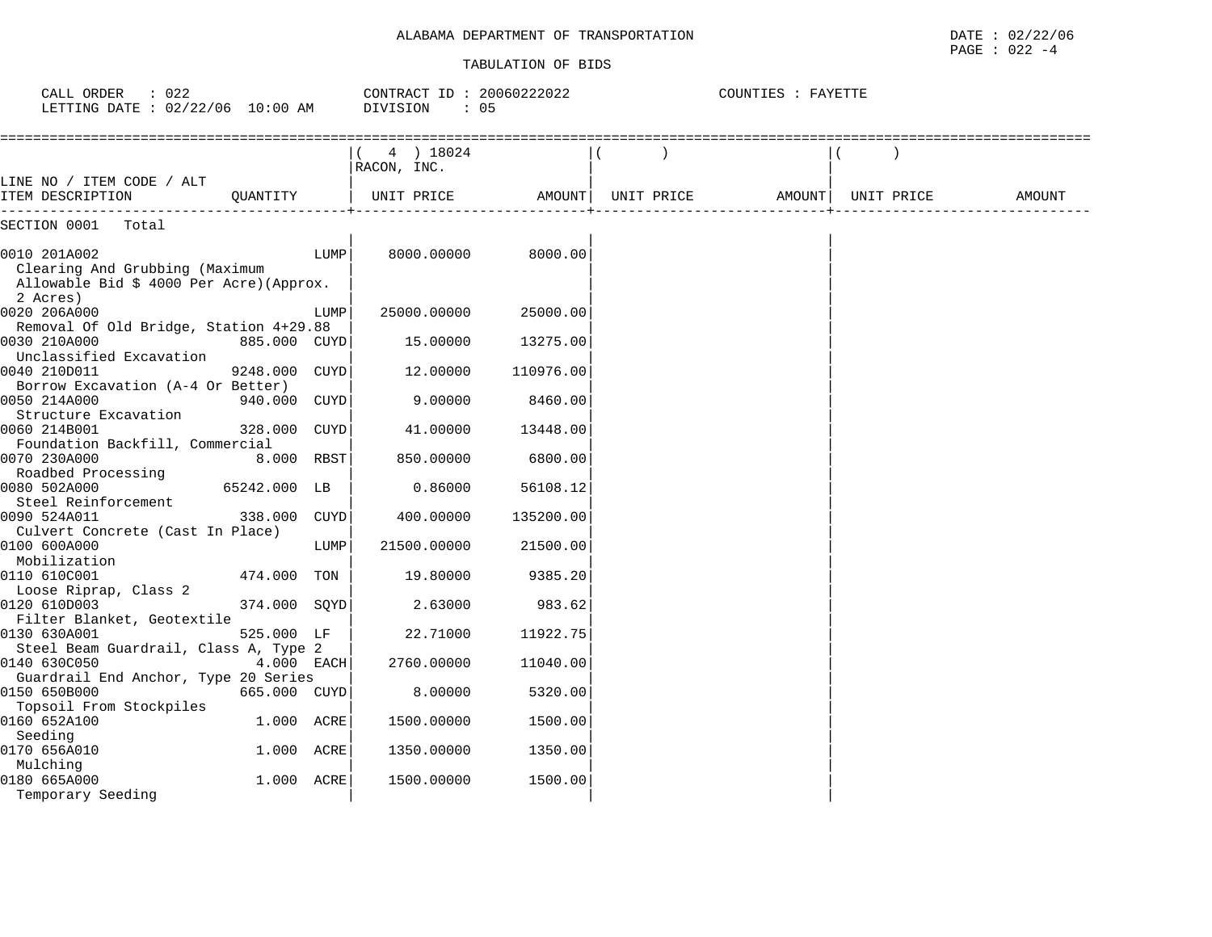#### TABULATION OF BIDS

PAGE : 022 -4

| 4) 18024<br>RACON, INC.<br>LINE NO / ITEM CODE / ALT<br>OUANTITY<br>UNIT PRICE<br>AMOUNT<br>UNIT PRICE AMOUNT<br>UNIT PRICE<br>ITEM DESCRIPTION<br>AMOUNT<br>SECTION 0001<br>Total<br>LUMP<br>8000.00<br>0010 201A002<br>8000.00000<br>Clearing And Grubbing (Maximum<br>Allowable Bid \$ 4000 Per Acre) (Approx.<br>2 Acres)<br>0020 206A000<br>25000.00000<br>25000.00<br>LUMP<br>Removal Of Old Bridge, Station 4+29.88<br>0030 210A000<br>885.000 CUYD<br>15.00000<br>13275.00<br>Unclassified Excavation<br>0040 210D011<br>9248.000 CUYD<br>12.00000<br>110976.00<br>Borrow Excavation (A-4 Or Better)<br>0050 214A000<br>9,00000<br>940.000 CUYD<br>8460.00<br>Structure Excavation<br>0060 214B001<br>328.000 CUYD<br>41.00000<br>13448.00<br>Foundation Backfill, Commercial<br>0070 230A000<br>8.000 RBST<br>850.00000<br>6800.00<br>Roadbed Processing<br>65242.000 LB<br>0080 502A000<br>0.86000<br>56108.12<br>Steel Reinforcement<br>338.000 CUYD<br>0090 524A011<br>400.00000<br>135200.00<br>Culvert Concrete (Cast In Place)<br>0100 600A000<br>LUMP<br>21500.00000<br>21500.00<br>Mobilization<br>0110 610C001<br>474.000 TON<br>19.80000<br>9385.20<br>Loose Riprap, Class 2<br>0120 610D003<br>374.000 SOYD<br>983.62<br>2.63000<br>Filter Blanket, Geotextile<br>0130 630A001<br>525.000 LF<br>22.71000<br>11922.75<br>Steel Beam Guardrail, Class A, Type 2<br>0140 630C050<br>4.000 EACH<br>2760.00000<br>11040.00<br>Guardrail End Anchor, Type 20 Series<br>0150 650B000<br>665.000 CUYD<br>8.00000<br>5320.00<br>Topsoil From Stockpiles<br>0160 652A100<br>1.000 ACRE<br>1500.00000<br>1500.00<br>Seeding<br>0170 656A010<br>1.000 ACRE<br>1350.00<br>1350.00000<br>Mulching<br>0180 665A000<br>1.000 ACRE<br>1500.00000<br>1500.00 | CALL ORDER : 022<br>LETTING DATE : 02/22/06 10:00 AM |  | CONTRACT ID: 20060222022<br>DIVISION<br>$\therefore$ 05 |  | COUNTIES : FAYETTE |  |  |
|----------------------------------------------------------------------------------------------------------------------------------------------------------------------------------------------------------------------------------------------------------------------------------------------------------------------------------------------------------------------------------------------------------------------------------------------------------------------------------------------------------------------------------------------------------------------------------------------------------------------------------------------------------------------------------------------------------------------------------------------------------------------------------------------------------------------------------------------------------------------------------------------------------------------------------------------------------------------------------------------------------------------------------------------------------------------------------------------------------------------------------------------------------------------------------------------------------------------------------------------------------------------------------------------------------------------------------------------------------------------------------------------------------------------------------------------------------------------------------------------------------------------------------------------------------------------------------------------------------------------------------------------------------------------------------------------------------------------------------------------------------------|------------------------------------------------------|--|---------------------------------------------------------|--|--------------------|--|--|
|                                                                                                                                                                                                                                                                                                                                                                                                                                                                                                                                                                                                                                                                                                                                                                                                                                                                                                                                                                                                                                                                                                                                                                                                                                                                                                                                                                                                                                                                                                                                                                                                                                                                                                                                                                |                                                      |  |                                                         |  |                    |  |  |
|                                                                                                                                                                                                                                                                                                                                                                                                                                                                                                                                                                                                                                                                                                                                                                                                                                                                                                                                                                                                                                                                                                                                                                                                                                                                                                                                                                                                                                                                                                                                                                                                                                                                                                                                                                |                                                      |  |                                                         |  |                    |  |  |
|                                                                                                                                                                                                                                                                                                                                                                                                                                                                                                                                                                                                                                                                                                                                                                                                                                                                                                                                                                                                                                                                                                                                                                                                                                                                                                                                                                                                                                                                                                                                                                                                                                                                                                                                                                |                                                      |  |                                                         |  |                    |  |  |
|                                                                                                                                                                                                                                                                                                                                                                                                                                                                                                                                                                                                                                                                                                                                                                                                                                                                                                                                                                                                                                                                                                                                                                                                                                                                                                                                                                                                                                                                                                                                                                                                                                                                                                                                                                |                                                      |  |                                                         |  |                    |  |  |
|                                                                                                                                                                                                                                                                                                                                                                                                                                                                                                                                                                                                                                                                                                                                                                                                                                                                                                                                                                                                                                                                                                                                                                                                                                                                                                                                                                                                                                                                                                                                                                                                                                                                                                                                                                |                                                      |  |                                                         |  |                    |  |  |
|                                                                                                                                                                                                                                                                                                                                                                                                                                                                                                                                                                                                                                                                                                                                                                                                                                                                                                                                                                                                                                                                                                                                                                                                                                                                                                                                                                                                                                                                                                                                                                                                                                                                                                                                                                |                                                      |  |                                                         |  |                    |  |  |
|                                                                                                                                                                                                                                                                                                                                                                                                                                                                                                                                                                                                                                                                                                                                                                                                                                                                                                                                                                                                                                                                                                                                                                                                                                                                                                                                                                                                                                                                                                                                                                                                                                                                                                                                                                |                                                      |  |                                                         |  |                    |  |  |
|                                                                                                                                                                                                                                                                                                                                                                                                                                                                                                                                                                                                                                                                                                                                                                                                                                                                                                                                                                                                                                                                                                                                                                                                                                                                                                                                                                                                                                                                                                                                                                                                                                                                                                                                                                |                                                      |  |                                                         |  |                    |  |  |
|                                                                                                                                                                                                                                                                                                                                                                                                                                                                                                                                                                                                                                                                                                                                                                                                                                                                                                                                                                                                                                                                                                                                                                                                                                                                                                                                                                                                                                                                                                                                                                                                                                                                                                                                                                |                                                      |  |                                                         |  |                    |  |  |
|                                                                                                                                                                                                                                                                                                                                                                                                                                                                                                                                                                                                                                                                                                                                                                                                                                                                                                                                                                                                                                                                                                                                                                                                                                                                                                                                                                                                                                                                                                                                                                                                                                                                                                                                                                |                                                      |  |                                                         |  |                    |  |  |
|                                                                                                                                                                                                                                                                                                                                                                                                                                                                                                                                                                                                                                                                                                                                                                                                                                                                                                                                                                                                                                                                                                                                                                                                                                                                                                                                                                                                                                                                                                                                                                                                                                                                                                                                                                |                                                      |  |                                                         |  |                    |  |  |
|                                                                                                                                                                                                                                                                                                                                                                                                                                                                                                                                                                                                                                                                                                                                                                                                                                                                                                                                                                                                                                                                                                                                                                                                                                                                                                                                                                                                                                                                                                                                                                                                                                                                                                                                                                |                                                      |  |                                                         |  |                    |  |  |
|                                                                                                                                                                                                                                                                                                                                                                                                                                                                                                                                                                                                                                                                                                                                                                                                                                                                                                                                                                                                                                                                                                                                                                                                                                                                                                                                                                                                                                                                                                                                                                                                                                                                                                                                                                |                                                      |  |                                                         |  |                    |  |  |
|                                                                                                                                                                                                                                                                                                                                                                                                                                                                                                                                                                                                                                                                                                                                                                                                                                                                                                                                                                                                                                                                                                                                                                                                                                                                                                                                                                                                                                                                                                                                                                                                                                                                                                                                                                |                                                      |  |                                                         |  |                    |  |  |
|                                                                                                                                                                                                                                                                                                                                                                                                                                                                                                                                                                                                                                                                                                                                                                                                                                                                                                                                                                                                                                                                                                                                                                                                                                                                                                                                                                                                                                                                                                                                                                                                                                                                                                                                                                |                                                      |  |                                                         |  |                    |  |  |
|                                                                                                                                                                                                                                                                                                                                                                                                                                                                                                                                                                                                                                                                                                                                                                                                                                                                                                                                                                                                                                                                                                                                                                                                                                                                                                                                                                                                                                                                                                                                                                                                                                                                                                                                                                |                                                      |  |                                                         |  |                    |  |  |
|                                                                                                                                                                                                                                                                                                                                                                                                                                                                                                                                                                                                                                                                                                                                                                                                                                                                                                                                                                                                                                                                                                                                                                                                                                                                                                                                                                                                                                                                                                                                                                                                                                                                                                                                                                |                                                      |  |                                                         |  |                    |  |  |
|                                                                                                                                                                                                                                                                                                                                                                                                                                                                                                                                                                                                                                                                                                                                                                                                                                                                                                                                                                                                                                                                                                                                                                                                                                                                                                                                                                                                                                                                                                                                                                                                                                                                                                                                                                |                                                      |  |                                                         |  |                    |  |  |
|                                                                                                                                                                                                                                                                                                                                                                                                                                                                                                                                                                                                                                                                                                                                                                                                                                                                                                                                                                                                                                                                                                                                                                                                                                                                                                                                                                                                                                                                                                                                                                                                                                                                                                                                                                |                                                      |  |                                                         |  |                    |  |  |
|                                                                                                                                                                                                                                                                                                                                                                                                                                                                                                                                                                                                                                                                                                                                                                                                                                                                                                                                                                                                                                                                                                                                                                                                                                                                                                                                                                                                                                                                                                                                                                                                                                                                                                                                                                |                                                      |  |                                                         |  |                    |  |  |
|                                                                                                                                                                                                                                                                                                                                                                                                                                                                                                                                                                                                                                                                                                                                                                                                                                                                                                                                                                                                                                                                                                                                                                                                                                                                                                                                                                                                                                                                                                                                                                                                                                                                                                                                                                | Temporary Seeding                                    |  |                                                         |  |                    |  |  |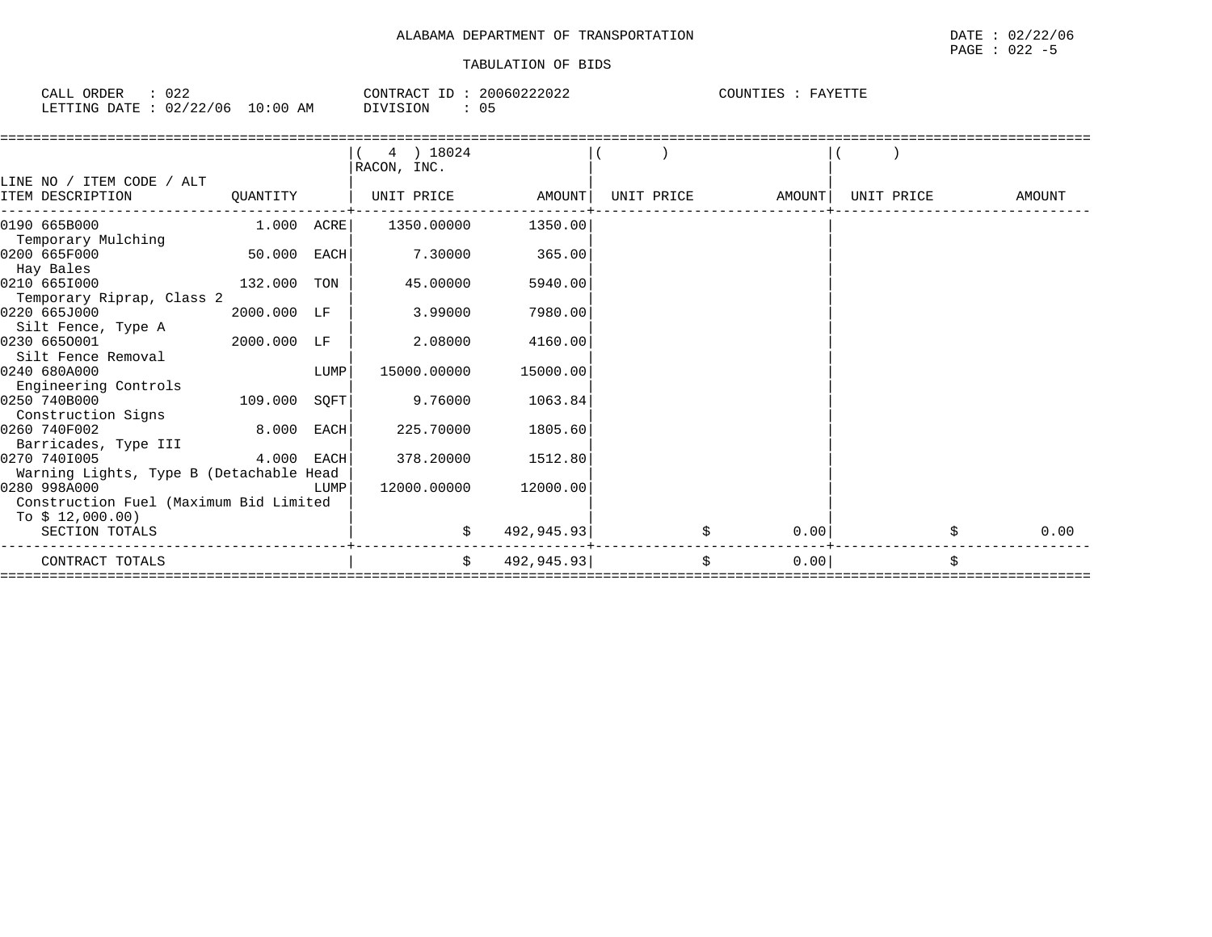| 022<br>ORDER<br>CALL |                      | CONTRACT<br>ID | 20060222022 | COUNTIES<br>FAYETTE |
|----------------------|----------------------|----------------|-------------|---------------------|
| LETTING DATE         | 02/22/06<br>10:00 AM | DIVISION       | 05          |                     |

|                                         |              |             | 4 ) 18024<br>RACON, INC. |            |            |        |            |    |        |
|-----------------------------------------|--------------|-------------|--------------------------|------------|------------|--------|------------|----|--------|
| LINE NO / ITEM CODE / ALT               |              |             |                          |            |            |        |            |    |        |
| ITEM DESCRIPTION                        | QUANTITY     |             | UNIT PRICE               | AMOUNT     | UNIT PRICE | AMOUNT | UNIT PRICE |    | AMOUNT |
| 0190 665B000                            | $1.000$ ACRE |             | 1350.00000               | 1350.00    |            |        |            |    |        |
| Temporary Mulching                      |              |             |                          |            |            |        |            |    |        |
| 0200 665F000                            | 50.000       | EACH        | 7.30000                  | 365.00     |            |        |            |    |        |
| Hay Bales                               |              |             |                          |            |            |        |            |    |        |
| 0210 6651000                            | 132.000      | TON         | 45.00000                 | 5940.00    |            |        |            |    |        |
| Temporary Riprap, Class 2               |              |             |                          |            |            |        |            |    |        |
| 0220 665J000                            | 2000.000 LF  |             | 3.99000                  | 7980.00    |            |        |            |    |        |
| Silt Fence, Type A                      |              |             |                          |            |            |        |            |    |        |
| 0230 6650001                            | 2000.000 LF  |             | 2.08000                  | 4160.00    |            |        |            |    |        |
| Silt Fence Removal                      |              |             |                          |            |            |        |            |    |        |
| 0240 680A000                            |              | LUMP        | 15000.00000              | 15000.00   |            |        |            |    |        |
| Engineering Controls                    |              |             |                          |            |            |        |            |    |        |
| 0250 740B000                            | 109.000      | SQFT        | 9.76000                  | 1063.84    |            |        |            |    |        |
| Construction Signs                      |              |             |                          |            |            |        |            |    |        |
| 0260 740F002                            | 8.000        | <b>EACH</b> | 225.70000                | 1805.60    |            |        |            |    |        |
| Barricades, Type III                    |              |             |                          |            |            |        |            |    |        |
| 0270 7401005                            | 4.000        | EACH        | 378.20000                | 1512.80    |            |        |            |    |        |
| Warning Lights, Type B (Detachable Head |              |             |                          |            |            |        |            |    |        |
| 0280 998A000                            |              | LUMP        | 12000.00000              | 12000.00   |            |        |            |    |        |
| Construction Fuel (Maximum Bid Limited  |              |             |                          |            |            |        |            |    |        |
| To $$12,000.00)$                        |              |             |                          |            |            |        |            |    |        |
| SECTION TOTALS                          |              |             |                          | 492,945.93 |            | 0.00   |            | Ŝ. | 0.00   |
| CONTRACT TOTALS                         |              |             | Ŝ.                       | 492,945.93 | \$         | 0.00   |            | \$ |        |
|                                         |              |             |                          |            |            |        |            |    |        |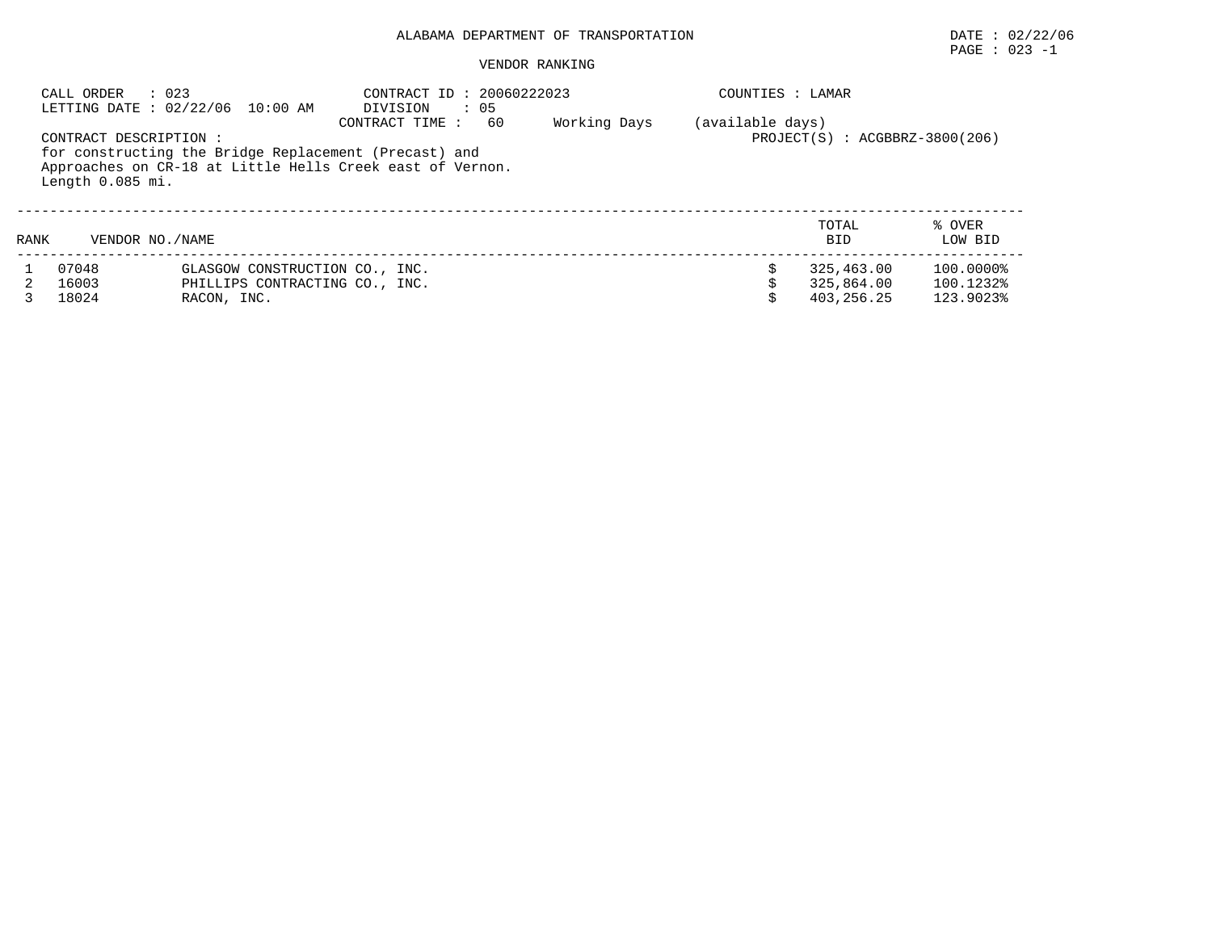#### VENDOR RANKING

|      | : 023<br>CALL ORDER                       | LETTING DATE : 02/22/06 10:00 AM | CONTRACT ID: 20060222023<br>DIVISION<br>$\cdot$ 05                                                                                         |              | COUNTIES : LAMAR |                                    |                   |
|------|-------------------------------------------|----------------------------------|--------------------------------------------------------------------------------------------------------------------------------------------|--------------|------------------|------------------------------------|-------------------|
|      | CONTRACT DESCRIPTION:<br>Length 0.085 mi. |                                  | 60<br>CONTRACT TIME:<br>for constructing the Bridge Replacement (Precast) and<br>Approaches on CR-18 at Little Hells Creek east of Vernon. | Working Days | (available days) | $PROJECT(S)$ : $ACGBBRZ-3800(206)$ |                   |
| RANK | VENDOR NO. / NAME                         |                                  |                                                                                                                                            |              |                  | TOTAL<br><b>BID</b>                | % OVER<br>LOW BID |
|      | 07048                                     | GLASGOW CONSTRUCTION CO., INC.   |                                                                                                                                            |              |                  | 325,463.00                         | 100.0000%         |
|      | 16003                                     | PHILLIPS CONTRACTING CO., INC.   |                                                                                                                                            |              |                  | 325,864.00                         | 100.1232%         |
|      | 18024                                     | RACON, INC.                      |                                                                                                                                            |              |                  | 403,256.25                         | 123.9023%         |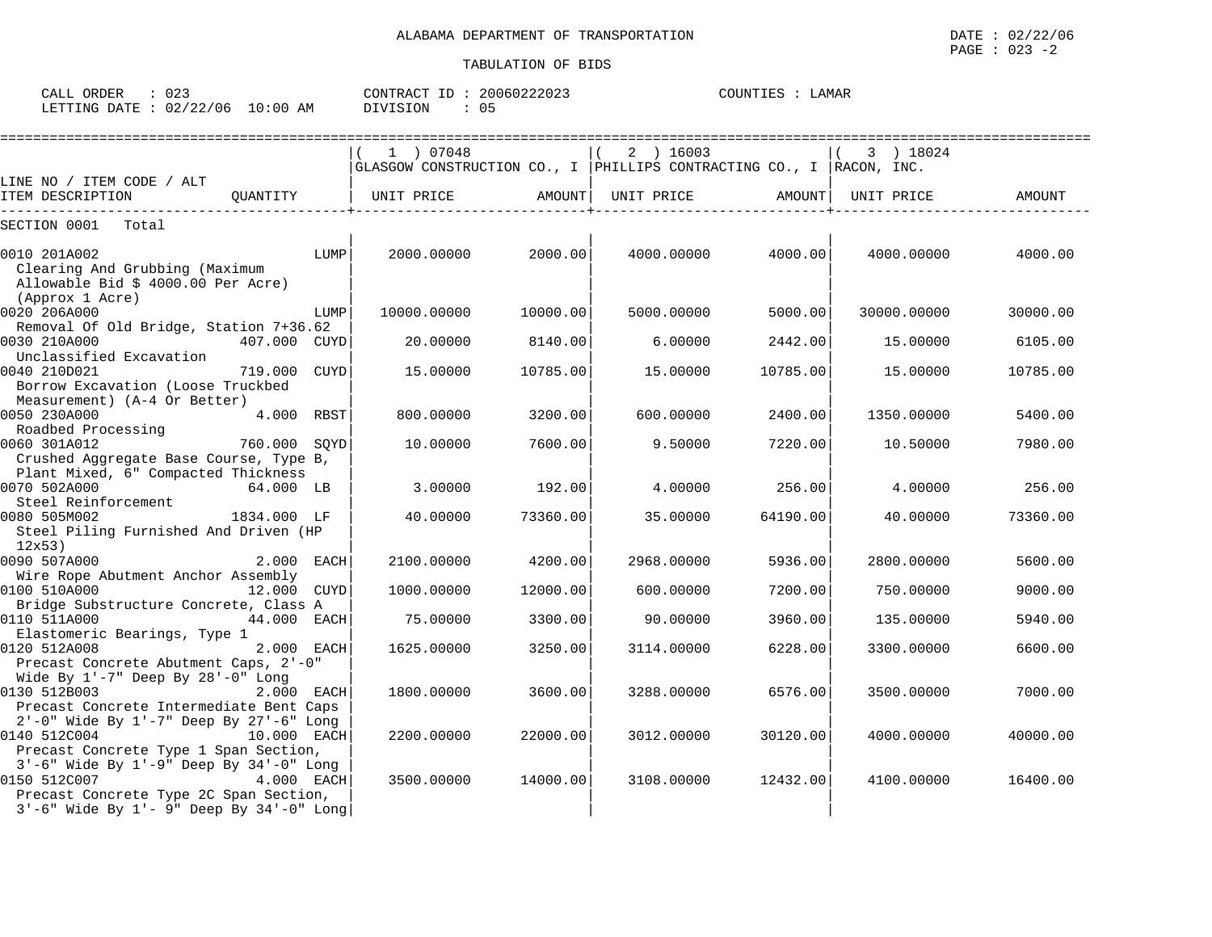| CALL ORDER                      | : 023 |          | CONTRACT ID: 20060222023 | COUNTIES : LAMAR |  |  |
|---------------------------------|-------|----------|--------------------------|------------------|--|--|
| LETTING DATE: 02/22/06 10:00 AM |       | DIVISION | 05                       |                  |  |  |

|                                                                                                                                                                     | ================================                                    |          |            |          |             |          |
|---------------------------------------------------------------------------------------------------------------------------------------------------------------------|---------------------------------------------------------------------|----------|------------|----------|-------------|----------|
|                                                                                                                                                                     | 1 ) 07048                                                           |          | 2 ) 16003  |          | 3 ) 18024   |          |
|                                                                                                                                                                     | GLASGOW CONSTRUCTION CO., I PHILLIPS CONTRACTING CO., I RACON, INC. |          |            |          |             |          |
| LINE NO / ITEM CODE / ALT                                                                                                                                           |                                                                     |          |            |          |             |          |
| ITEM DESCRIPTION<br>OUANTITY                                                                                                                                        | UNIT PRICE                                                          | AMOUNT   | UNIT PRICE | AMOUNT   | UNIT PRICE  | AMOUNT   |
| SECTION 0001<br>Total                                                                                                                                               |                                                                     |          |            |          |             |          |
| 0010 201A002<br>LUMP<br>Clearing And Grubbing (Maximum                                                                                                              | 2000.00000                                                          | 2000.00  | 4000.00000 | 4000.00  | 4000.00000  | 4000.00  |
| Allowable Bid \$ 4000.00 Per Acre)<br>(Approx 1 Acre)                                                                                                               |                                                                     |          |            |          |             |          |
| 0020 206A000<br>LUMP<br>Removal Of Old Bridge, Station 7+36.62                                                                                                      | 10000.00000                                                         | 10000.00 | 5000.00000 | 5000.00  | 30000.00000 | 30000.00 |
| 0030 210A000<br>407.000 CUYD<br>Unclassified Excavation                                                                                                             | 20.00000                                                            | 8140.00  | 6.00000    | 2442.00  | 15.00000    | 6105.00  |
| 0040 210D021<br>719.000 CUYD<br>Borrow Excavation (Loose Truckbed                                                                                                   | 15.00000                                                            | 10785.00 | 15.00000   | 10785.00 | 15,00000    | 10785.00 |
| Measurement) (A-4 Or Better)<br>0050 230A000<br>4.000 RBST                                                                                                          | 800.00000                                                           | 3200.00  | 600,00000  | 2400.00  | 1350.00000  | 5400.00  |
| Roadbed Processing<br>0060 301A012<br>760.000 SOYD<br>Crushed Aggregate Base Course, Type B,                                                                        | 10.00000                                                            | 7600.00  | 9.50000    | 7220.00  | 10.50000    | 7980.00  |
| Plant Mixed, 6" Compacted Thickness<br>0070 502A000<br>64.000 LB<br>Steel Reinforcement                                                                             | 3.00000                                                             | 192.00   | 4.00000    | 256.00   | 4.00000     | 256.00   |
| 0080 505M002<br>1834.000 LF<br>Steel Piling Furnished And Driven (HP<br>12x53                                                                                       | 40.00000                                                            | 73360.00 | 35.00000   | 64190.00 | 40.00000    | 73360.00 |
| 0090 507A000<br>2.000 EACH<br>Wire Rope Abutment Anchor Assembly                                                                                                    | 2100.00000                                                          | 4200.00  | 2968.00000 | 5936.00  | 2800.00000  | 5600.00  |
| 0100 510A000<br>12.000 CUYD                                                                                                                                         | 1000.00000                                                          | 12000.00 | 600,00000  | 7200.00  | 750.00000   | 9000.00  |
| Bridge Substructure Concrete, Class A<br>0110 511A000<br>44.000 EACH                                                                                                | 75.00000                                                            | 3300.00  | 90.00000   | 3960.00  | 135.00000   | 5940.00  |
| Elastomeric Bearings, Type 1<br>0120 512A008<br>2.000 EACH<br>Precast Concrete Abutment Caps, 2'-0"                                                                 | 1625.00000                                                          | 3250.00  | 3114.00000 | 6228.00  | 3300.00000  | 6600.00  |
| Wide By 1'-7" Deep By 28'-0" Long<br>0130 512B003<br>2.000 EACH<br>Precast Concrete Intermediate Bent Caps                                                          | 1800.00000                                                          | 3600.00  | 3288.00000 | 6576.00  | 3500.00000  | 7000.00  |
| 2'-0" Wide By 1'-7" Deep By 27'-6" Long<br>0140 512C004<br>10.000 EACH<br>Precast Concrete Type 1 Span Section,                                                     | 2200.00000                                                          | 22000.00 | 3012.00000 | 30120.00 | 4000.00000  | 40000.00 |
| 3'-6" Wide By 1'-9" Deep By 34'-0" Long<br>0150 512C007<br>4.000 EACH<br>Precast Concrete Type 2C Span Section,<br>$3'-6$ " Wide By $1'-9$ " Deep By $34'-0$ " Long | 3500.00000                                                          | 14000.00 | 3108,00000 | 12432.00 | 4100.00000  | 16400.00 |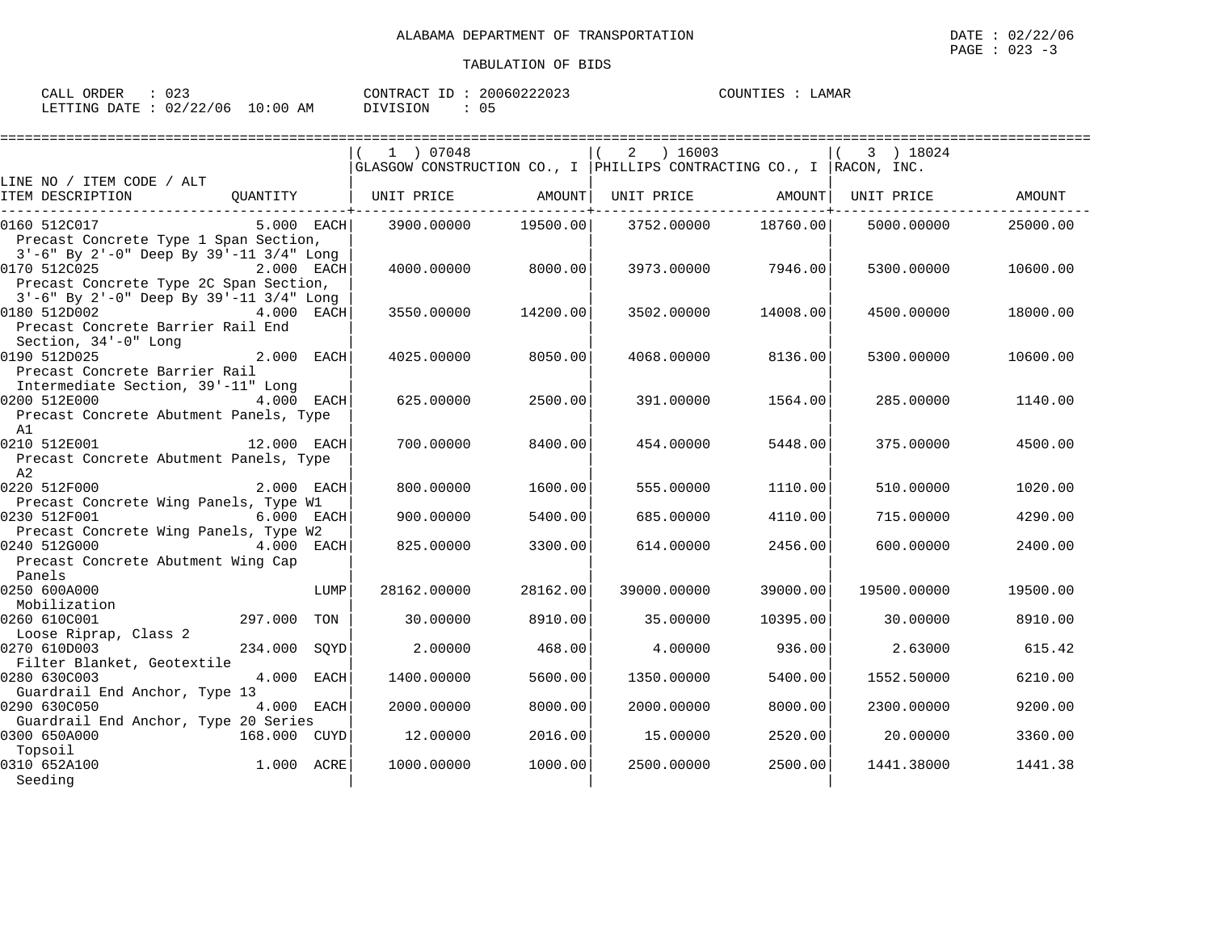| CALL ORDER                      | 023 |          | CONTRACT ID: 20060222023 | COUNTIES : LAMAR |  |
|---------------------------------|-----|----------|--------------------------|------------------|--|
| LETTING DATE: 02/22/06 10:00 AM |     | DIVISION |                          |                  |  |

|                                                        |                | 1 07048<br>$ GLASGOW$ CONSTRUCTION CO., I $ PHILLIPS$ CONTRACTING CO., I $ RACON$ , INC. |          | $2 \t16003$ |          | 3 ) 18024   |          |
|--------------------------------------------------------|----------------|------------------------------------------------------------------------------------------|----------|-------------|----------|-------------|----------|
| LINE NO / ITEM CODE / ALT                              |                |                                                                                          |          |             |          |             |          |
| ITEM DESCRIPTION                                       |                | QUANTITY   UNIT PRICE AMOUNT  UNIT PRICE AMOUNT                                          |          |             |          | UNIT PRICE  | AMOUNT   |
| 0160 512C017                                           | $5.000$ EACH   | 3900.00000                                                                               | 19500.00 | 3752.00000  | 18760.00 | 5000.00000  | 25000.00 |
| Precast Concrete Type 1 Span Section,                  |                |                                                                                          |          |             |          |             |          |
| 3'-6" By 2'-0" Deep By 39'-11 3/4" Long                |                |                                                                                          |          |             |          |             |          |
| 0170 512C025<br>Precast Concrete Type 2C Span Section, | 2.000 EACH     | 4000.00000                                                                               | 8000.00  | 3973.00000  | 7946.00  | 5300.00000  | 10600.00 |
| 3'-6" By 2'-0" Deep By 39'-11 3/4" Long                |                |                                                                                          |          |             |          |             |          |
| 0180 512D002                                           | 4.000 EACH     | 3550.00000                                                                               | 14200.00 | 3502.00000  | 14008.00 | 4500.00000  | 18000.00 |
| Precast Concrete Barrier Rail End                      |                |                                                                                          |          |             |          |             |          |
| Section, 34'-0" Long                                   |                |                                                                                          |          |             |          |             |          |
| 0190 512D025                                           | 2.000 EACH     | 4025,00000                                                                               | 8050.00  | 4068,00000  | 8136.00  | 5300.00000  | 10600.00 |
| Precast Concrete Barrier Rail                          |                |                                                                                          |          |             |          |             |          |
| Intermediate Section, 39'-11" Long                     |                |                                                                                          |          |             |          |             |          |
| 0200 512E000                                           | 4.000 EACH     | 625,00000                                                                                | 2500.00  | 391,00000   | 1564.00  | 285,00000   | 1140.00  |
| Precast Concrete Abutment Panels, Type                 |                |                                                                                          |          |             |          |             |          |
| A1                                                     |                |                                                                                          |          |             |          |             |          |
| 0210 512E001                                           | 12.000 EACH    | 700.00000                                                                                | 8400.00  | 454.00000   | 5448.00  | 375,00000   | 4500.00  |
| Precast Concrete Abutment Panels, Type                 |                |                                                                                          |          |             |          |             |          |
| A2                                                     |                |                                                                                          |          |             |          |             |          |
| 0220 512F000                                           | 2.000 EACH     | 800,00000                                                                                | 1600.00  | 555.00000   | 1110.00  | 510.00000   | 1020.00  |
| Precast Concrete Wing Panels, Type W1<br>0230 512F001  |                | 900.00000                                                                                | 5400.00  |             |          |             |          |
| Precast Concrete Wing Panels, Type W2                  | 6.000 EACH     |                                                                                          |          | 685.00000   | 4110.00  | 715,00000   | 4290.00  |
| 0240 512G000                                           | 4.000 EACH     | 825,00000                                                                                | 3300.00  | 614.00000   | 2456.00  | 600,00000   | 2400.00  |
| Precast Concrete Abutment Wing Cap                     |                |                                                                                          |          |             |          |             |          |
| Panels                                                 |                |                                                                                          |          |             |          |             |          |
| 0250 600A000                                           | LUMP           | 28162.00000                                                                              | 28162.00 | 39000.00000 | 39000.00 | 19500.00000 | 19500.00 |
| Mobilization                                           |                |                                                                                          |          |             |          |             |          |
| 0260 610C001                                           | 297.000<br>TON | 30.00000                                                                                 | 8910.00  | 35.00000    | 10395.00 | 30,00000    | 8910.00  |
| Loose Riprap, Class 2                                  |                |                                                                                          |          |             |          |             |          |
| 0270 610D003                                           | 234.000 SOYD   | 2.00000                                                                                  | 468.00   | 4.00000     | 936.00   | 2.63000     | 615.42   |
| Filter Blanket, Geotextile                             |                |                                                                                          |          |             |          |             |          |
| 0280 630C003                                           | 4.000 EACH     | 1400.00000                                                                               | 5600.00  | 1350.00000  | 5400.00  | 1552.50000  | 6210.00  |
| Guardrail End Anchor, Type 13                          |                |                                                                                          |          |             |          |             |          |
| 0290 630C050                                           | 4.000 EACH     | 2000.00000                                                                               | 8000.00  | 2000.00000  | 8000.00  | 2300.00000  | 9200.00  |
| Guardrail End Anchor, Type 20 Series                   |                |                                                                                          |          |             |          |             |          |
| 0300 650A000<br>Topsoil                                | 168.000 CUYD   | 12.00000                                                                                 | 2016.00  | 15.00000    | 2520.00  | 20.00000    | 3360.00  |
| 0310 652A100                                           | 1.000 ACRE     | 1000.00000                                                                               | 1000.00  | 2500.00000  | 2500.00  | 1441.38000  | 1441.38  |
| Seeding                                                |                |                                                                                          |          |             |          |             |          |
|                                                        |                |                                                                                          |          |             |          |             |          |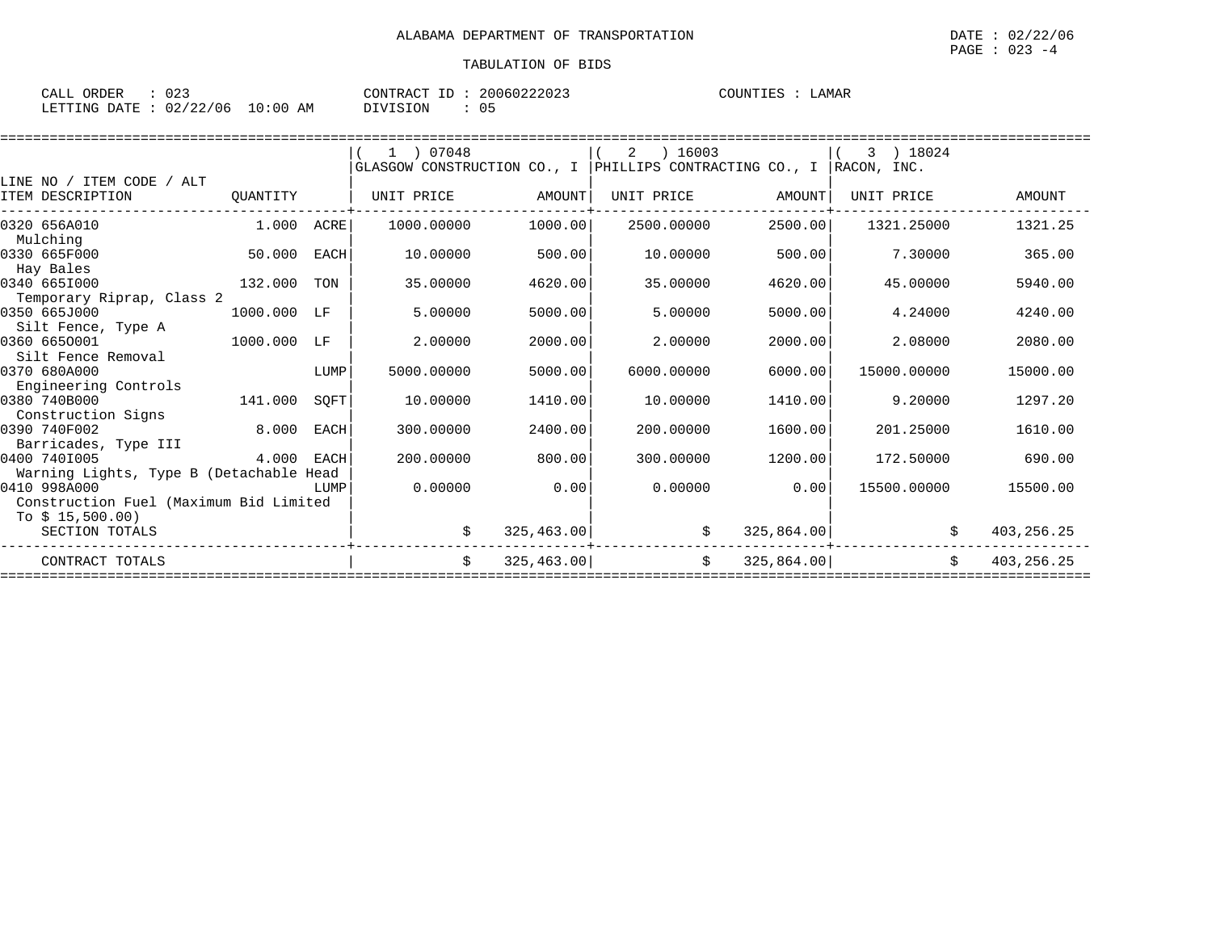| CALL ORDER                      |  |          | CONTRACT ID: 20060222023 | COUNTIES : LAMAR |  |
|---------------------------------|--|----------|--------------------------|------------------|--|
| LETTING DATE: 02/22/06 10:00 AM |  | DIVISION |                          |                  |  |

|                                                                        | 1 07048                                                                                                                                                                     |                                                             | 16003<br>2                                                                        |                                                             | 18024                       |                                                                                                                                                                                       |
|------------------------------------------------------------------------|-----------------------------------------------------------------------------------------------------------------------------------------------------------------------------|-------------------------------------------------------------|-----------------------------------------------------------------------------------|-------------------------------------------------------------|-----------------------------|---------------------------------------------------------------------------------------------------------------------------------------------------------------------------------------|
|                                                                        |                                                                                                                                                                             |                                                             |                                                                                   |                                                             | RACON, INC.                 |                                                                                                                                                                                       |
|                                                                        |                                                                                                                                                                             |                                                             |                                                                                   |                                                             |                             |                                                                                                                                                                                       |
|                                                                        | UNIT PRICE                                                                                                                                                                  | AMOUNT                                                      | UNIT PRICE                                                                        |                                                             | UNIT PRICE                  | AMOUNT                                                                                                                                                                                |
|                                                                        | 1000.00000                                                                                                                                                                  | 1000.00                                                     | 2500.00000                                                                        |                                                             | 1321.25000                  | 1321.25                                                                                                                                                                               |
|                                                                        | 10.00000                                                                                                                                                                    | 500.00                                                      | 10.00000                                                                          |                                                             | 7.30000                     | 365.00                                                                                                                                                                                |
|                                                                        | 35.00000                                                                                                                                                                    | 4620.00                                                     | 35.00000                                                                          | 4620.00                                                     | 45.00000                    | 5940.00                                                                                                                                                                               |
|                                                                        |                                                                                                                                                                             |                                                             |                                                                                   |                                                             |                             | 4240.00                                                                                                                                                                               |
|                                                                        |                                                                                                                                                                             |                                                             |                                                                                   |                                                             |                             |                                                                                                                                                                                       |
|                                                                        | 2.00000                                                                                                                                                                     | 2000.00                                                     | 2.00000                                                                           | 2000.00                                                     | 2.08000                     | 2080.00                                                                                                                                                                               |
|                                                                        |                                                                                                                                                                             |                                                             |                                                                                   |                                                             |                             |                                                                                                                                                                                       |
|                                                                        |                                                                                                                                                                             |                                                             |                                                                                   |                                                             |                             | 15000.00                                                                                                                                                                              |
|                                                                        |                                                                                                                                                                             |                                                             |                                                                                   |                                                             |                             |                                                                                                                                                                                       |
|                                                                        |                                                                                                                                                                             |                                                             |                                                                                   |                                                             |                             | 1297.20                                                                                                                                                                               |
|                                                                        |                                                                                                                                                                             |                                                             |                                                                                   |                                                             |                             | 1610.00                                                                                                                                                                               |
|                                                                        |                                                                                                                                                                             |                                                             |                                                                                   |                                                             |                             |                                                                                                                                                                                       |
|                                                                        |                                                                                                                                                                             |                                                             |                                                                                   |                                                             |                             | 690.00                                                                                                                                                                                |
|                                                                        |                                                                                                                                                                             |                                                             |                                                                                   |                                                             |                             |                                                                                                                                                                                       |
|                                                                        | 0.00000                                                                                                                                                                     | 0.00                                                        | 0.00000                                                                           |                                                             | 15500.00000                 | 15500.00                                                                                                                                                                              |
|                                                                        |                                                                                                                                                                             |                                                             |                                                                                   |                                                             |                             |                                                                                                                                                                                       |
|                                                                        |                                                                                                                                                                             |                                                             |                                                                                   |                                                             |                             |                                                                                                                                                                                       |
|                                                                        | \$                                                                                                                                                                          | 325, 463.00                                                 | \$                                                                                |                                                             | \$                          | 403,256.25                                                                                                                                                                            |
|                                                                        | Ŝ.                                                                                                                                                                          | 325, 463.00                                                 | \$                                                                                |                                                             | Ŝ.                          | 403, 256. 25                                                                                                                                                                          |
| QUANTITY<br>50.000<br>132.000<br>1000.000<br>141.000<br>8.000<br>4.000 | 1.000 ACRE<br>EACH<br>TON<br>1000.000 LF<br>LF<br>LUMP<br>SQFT<br>EACH<br>EACH<br>Warning Lights, Type B (Detachable Head<br>LUMP<br>Construction Fuel (Maximum Bid Limited | 5.00000<br>5000.00000<br>10,00000<br>300.00000<br>200.00000 | GLASGOW CONSTRUCTION CO., I<br>5000.00<br>5000.00<br>1410.00<br>2400.00<br>800.00 | 5.00000<br>6000.00000<br>10.00000<br>200.00000<br>300.00000 | PHILLIPS CONTRACTING CO., I | AMOUNT<br>2500.00<br>500.00<br>5000.00<br>4.24000<br>6000.00<br>15000.00000<br>1410.00<br>9.20000<br>1600.00<br>201.25000<br>1200.00<br>172.50000<br>0.00<br>325,864.00<br>325,864.00 |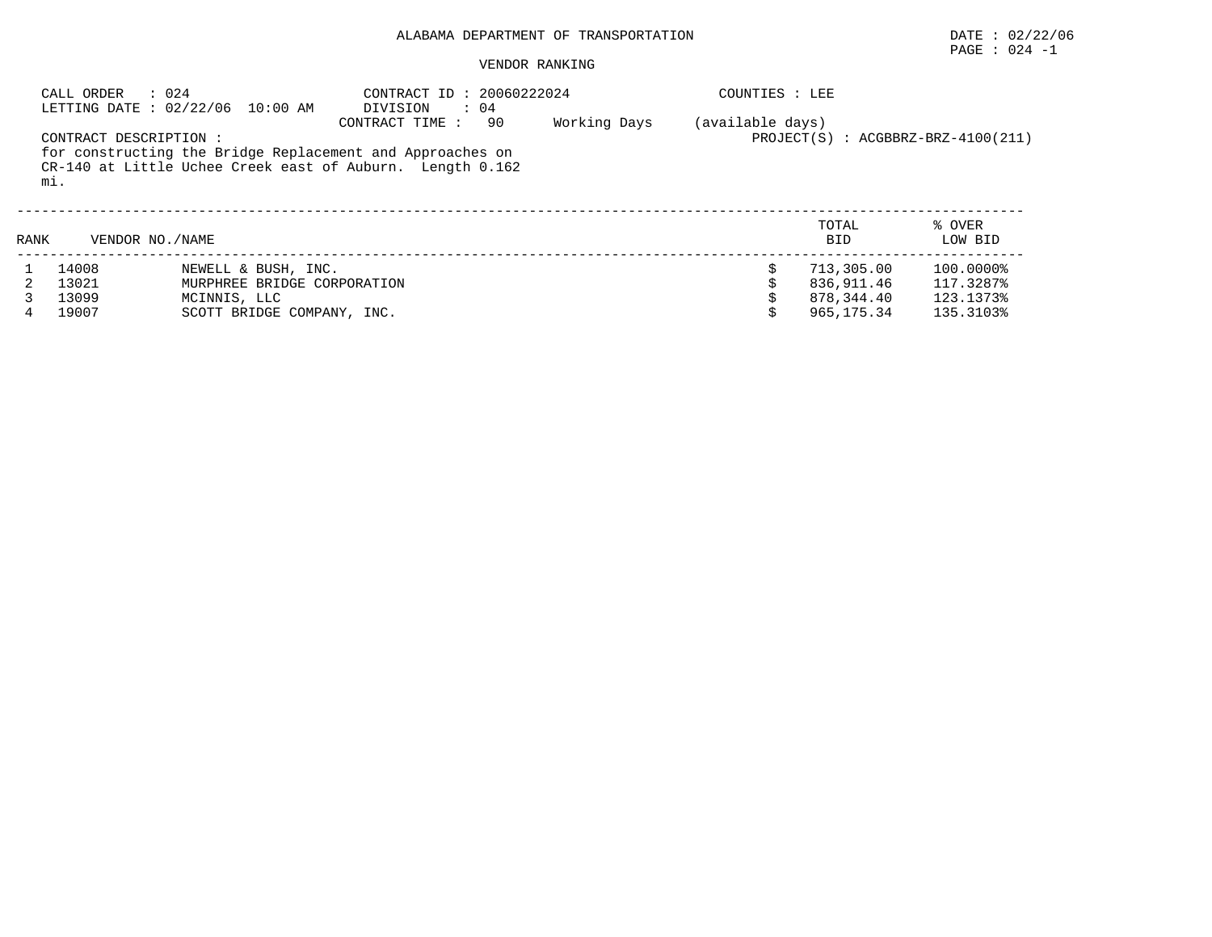## PAGE : 024 -1

#### VENDOR RANKING

|      | : 024<br>CALL ORDER              | LETTING DATE : 02/22/06 10:00 AM                                                                 | CONTRACT ID: 20060222024<br>$\therefore$ 04<br>DIVISION                                                                                        |              | COUNTIES : LEE   |                                                      |                                                  |
|------|----------------------------------|--------------------------------------------------------------------------------------------------|------------------------------------------------------------------------------------------------------------------------------------------------|--------------|------------------|------------------------------------------------------|--------------------------------------------------|
|      | CONTRACT DESCRIPTION :<br>mi.    |                                                                                                  | 90<br>CONTRACT TIME:<br>for constructing the Bridge Replacement and Approaches on<br>CR-140 at Little Uchee Creek east of Auburn. Length 0.162 | Working Days | (available days) |                                                      | $PROJECT(S)$ : $ACGBBRZ-BRZ-4100(211)$           |
| RANK | VENDOR NO. / NAME                |                                                                                                  |                                                                                                                                                |              |                  | TOTAL<br><b>BID</b>                                  | % OVER<br>LOW BID                                |
|      | 14008<br>13021<br>13099<br>19007 | NEWELL & BUSH, INC.<br>MURPHREE BRIDGE CORPORATION<br>MCINNIS, LLC<br>SCOTT BRIDGE COMPANY, INC. |                                                                                                                                                |              | \$               | 713,305.00<br>836,911.46<br>878,344.40<br>965,175.34 | 100.0000%<br>117.3287%<br>123.1373%<br>135.3103% |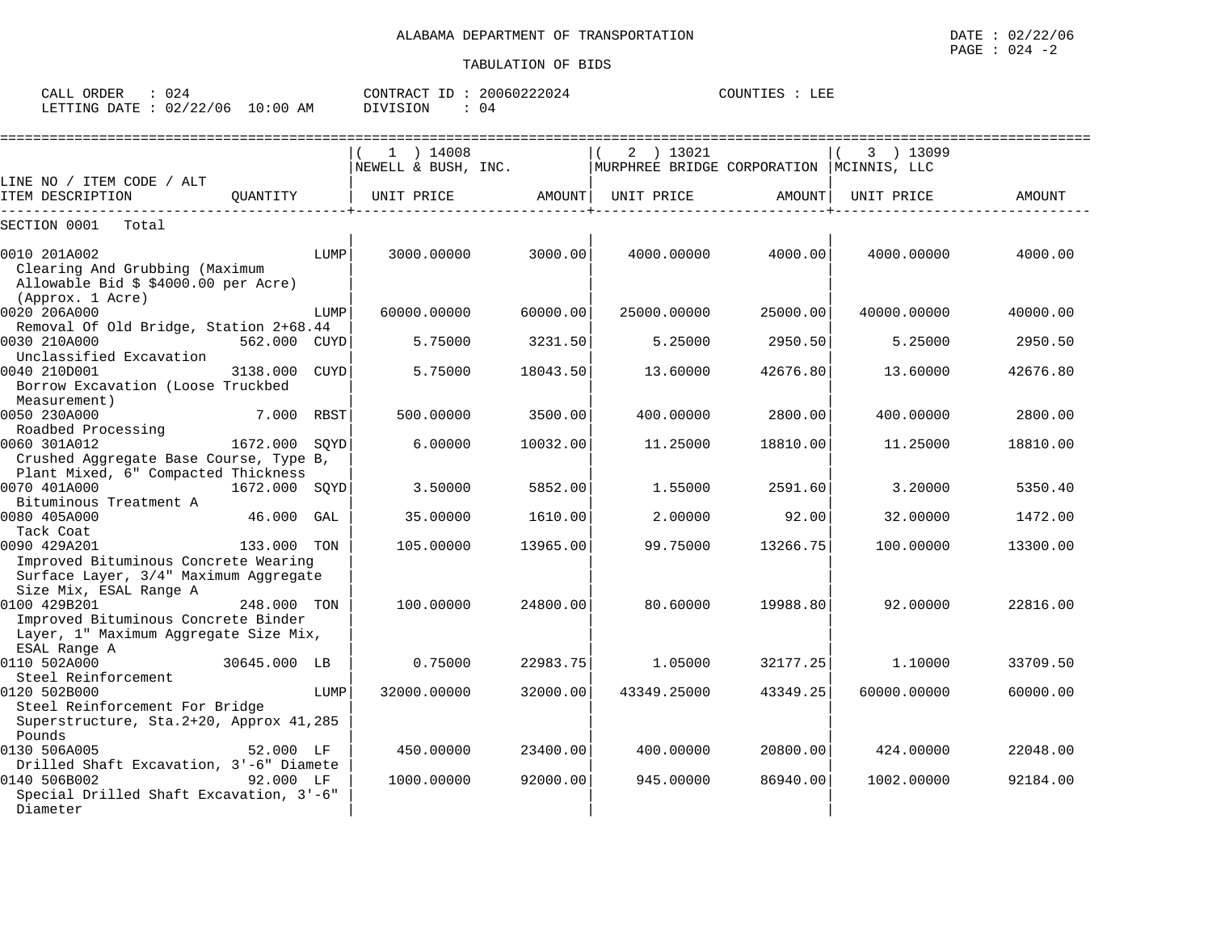| ORDER<br>CALL    | J 24     |             | CONTRACT | 20060222024 | <b>TOTINTT</b> | . <del>13 IS</del><br>ചാച് |
|------------------|----------|-------------|----------|-------------|----------------|----------------------------|
| LETTING<br>DATE. | 02/22/06 | 10:00<br>ΑM | DIVISION | 04          |                |                            |

|                                                   |               |      | $1$ ) 14008         |          | 2 ) 13021   |                                            | 3 ) 13099   |          |
|---------------------------------------------------|---------------|------|---------------------|----------|-------------|--------------------------------------------|-------------|----------|
|                                                   |               |      | NEWELL & BUSH, INC. |          |             | MURPHREE BRIDGE CORPORATION   MCINNIS, LLC |             |          |
| LINE NO / ITEM CODE / ALT<br>ITEM DESCRIPTION     | OUANTITY      |      | UNIT PRICE          | AMOUNT   | UNIT PRICE  | AMOUNT                                     | UNIT PRICE  | AMOUNT   |
|                                                   |               |      |                     |          |             |                                            |             |          |
| SECTION 0001<br>Total                             |               |      |                     |          |             |                                            |             |          |
| 0010 201A002                                      |               | LUMP | 3000.00000          | 3000.00  | 4000.00000  | 4000.00                                    | 4000.00000  | 4000.00  |
| Clearing And Grubbing (Maximum                    |               |      |                     |          |             |                                            |             |          |
| Allowable Bid \$ \$4000.00 per Acre)              |               |      |                     |          |             |                                            |             |          |
| (Approx. 1 Acre)                                  |               |      |                     |          |             |                                            |             |          |
| 0020 206A000                                      |               | LUMP | 60000.00000         | 60000.00 | 25000.00000 | 25000.00                                   | 40000.00000 | 40000.00 |
| Removal Of Old Bridge, Station 2+68.44            |               |      |                     |          |             |                                            |             |          |
| 0030 210A000                                      | 562.000 CUYD  |      | 5.75000             | 3231.50  | 5.25000     | 2950.50                                    | 5.25000     | 2950.50  |
| Unclassified Excavation                           |               |      |                     |          |             |                                            |             |          |
| 0040 210D001                                      | 3138.000      | CUYD | 5.75000             | 18043.50 | 13.60000    | 42676.80                                   | 13.60000    | 42676.80 |
| Borrow Excavation (Loose Truckbed<br>Measurement) |               |      |                     |          |             |                                            |             |          |
| 0050 230A000                                      | 7.000         | RBST | 500.00000           | 3500.00  | 400.00000   | 2800.00                                    | 400.00000   | 2800.00  |
| Roadbed Processing                                |               |      |                     |          |             |                                            |             |          |
| 0060 301A012                                      | 1672.000      | SOYD | 6.00000             | 10032.00 | 11.25000    | 18810.00                                   | 11.25000    | 18810.00 |
| Crushed Aggregate Base Course, Type B,            |               |      |                     |          |             |                                            |             |          |
| Plant Mixed, 6" Compacted Thickness               |               |      |                     |          |             |                                            |             |          |
| 0070 401A000                                      | 1672.000 SQYD |      | 3.50000             | 5852.00  | 1.55000     | 2591.60                                    | 3.20000     | 5350.40  |
| Bituminous Treatment A                            |               |      |                     |          |             |                                            |             |          |
| 0080 405A000                                      | 46.000        | GAL  | 35.00000            | 1610.00  | 2.00000     | 92.00                                      | 32.00000    | 1472.00  |
| Tack Coat<br>0090 429A201                         | 133.000 TON   |      | 105.00000           | 13965.00 | 99.75000    | 13266.75                                   | 100.00000   | 13300.00 |
| Improved Bituminous Concrete Wearing              |               |      |                     |          |             |                                            |             |          |
| Surface Layer, 3/4" Maximum Aggregate             |               |      |                     |          |             |                                            |             |          |
| Size Mix, ESAL Range A                            |               |      |                     |          |             |                                            |             |          |
| 0100 429B201                                      | 248.000 TON   |      | 100.00000           | 24800.00 | 80.60000    | 19988.80                                   | 92.00000    | 22816.00 |
| Improved Bituminous Concrete Binder               |               |      |                     |          |             |                                            |             |          |
| Layer, 1" Maximum Aggregate Size Mix,             |               |      |                     |          |             |                                            |             |          |
| ESAL Range A                                      |               |      |                     |          |             |                                            |             |          |
| 0110 502A000<br>Steel Reinforcement               | 30645.000 LB  |      | 0.75000             | 22983.75 | 1.05000     | 32177.25                                   | 1,10000     | 33709.50 |
| 0120 502B000                                      |               | LUMP | 32000.00000         | 32000.00 | 43349.25000 | 43349.25                                   | 60000.00000 | 60000.00 |
| Steel Reinforcement For Bridge                    |               |      |                     |          |             |                                            |             |          |
| Superstructure, Sta. 2+20, Approx 41, 285         |               |      |                     |          |             |                                            |             |          |
| Pounds                                            |               |      |                     |          |             |                                            |             |          |
| 0130 506A005                                      | 52.000 LF     |      | 450.00000           | 23400.00 | 400.00000   | 20800.00                                   | 424.00000   | 22048.00 |
| Drilled Shaft Excavation, 3'-6" Diamete           |               |      |                     |          |             |                                            |             |          |
| 0140 506B002                                      | 92.000 LF     |      | 1000.00000          | 92000.00 | 945.00000   | 86940.00                                   | 1002.00000  | 92184.00 |
| Special Drilled Shaft Excavation, 3'-6"           |               |      |                     |          |             |                                            |             |          |
| Diameter                                          |               |      |                     |          |             |                                            |             |          |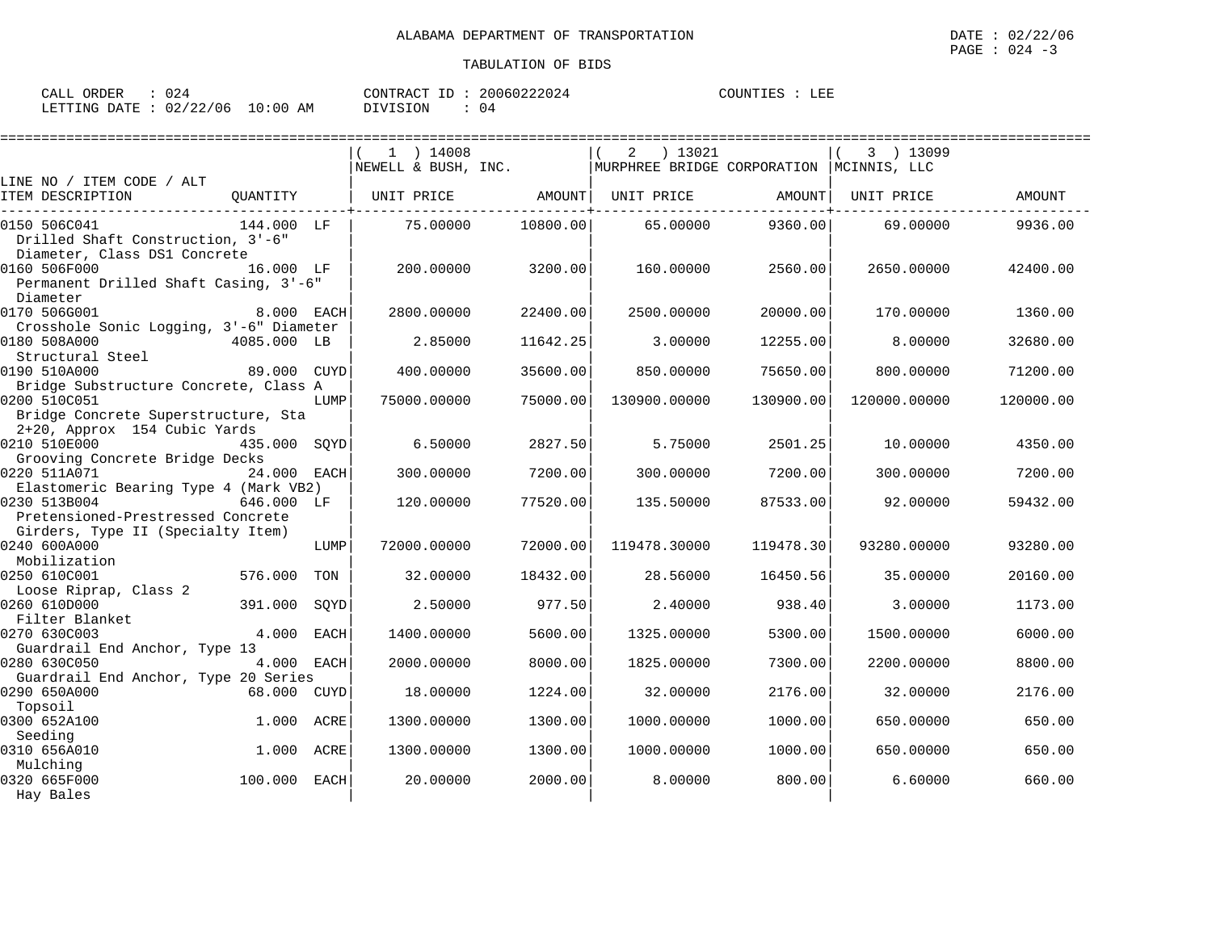| ORDER<br>CALL | J 24       |             | CONTRACT | ID | 20060222024 | COUNTIES | הדרה ז<br>ᅭᅖ |
|---------------|------------|-------------|----------|----|-------------|----------|--------------|
| LETTING DATE  | : 02/22/06 | 10:00<br>AM | DIVISION |    | 4 ل         |          |              |

|                                                         |              |      | $1$ ) 14008         | ================ | ) 13021<br>2                             |           | 3 ) 13099    | ================== |
|---------------------------------------------------------|--------------|------|---------------------|------------------|------------------------------------------|-----------|--------------|--------------------|
| LINE NO / ITEM CODE / ALT                               |              |      | NEWELL & BUSH, INC. |                  | MURPHREE BRIDGE CORPORATION MCINNIS, LLC |           |              |                    |
| ITEM DESCRIPTION                                        | QUANTITY     |      | UNIT PRICE AMOUNT   |                  | UNIT PRICE                               | AMOUNT    | UNIT PRICE   | <b>AMOUNT</b>      |
| 0150 506C041                                            | 144.000 LF   |      | 75.00000            | 10800.00         | 65.00000                                 | 9360.00   | 69.00000     | 9936.00            |
| Drilled Shaft Construction, 3'-6"                       |              |      |                     |                  |                                          |           |              |                    |
| Diameter, Class DS1 Concrete                            |              |      |                     |                  |                                          |           |              |                    |
| 0160 506F000                                            | 16.000 LF    |      | 200,00000           | 3200.00          | 160.00000                                | 2560.00   | 2650.00000   | 42400.00           |
| Permanent Drilled Shaft Casing, 3'-6"                   |              |      |                     |                  |                                          |           |              |                    |
| Diameter<br>0170 506G001                                |              |      |                     |                  |                                          |           |              |                    |
|                                                         | 8.000 EACH   |      | 2800.00000          | 22400.00         | 2500.00000                               | 20000.00  | 170.00000    | 1360.00            |
| Crosshole Sonic Logging, 3'-6" Diameter<br>0180 508A000 | 4085.000 LB  |      | 2.85000             | 11642.25         | 3.00000                                  | 12255.00  | 8,00000      | 32680.00           |
| Structural Steel                                        |              |      |                     |                  |                                          |           |              |                    |
| 0190 510A000                                            | 89.000 CUYD  |      | 400.00000           | 35600.00         | 850.00000                                | 75650.00  | 800,00000    | 71200.00           |
| Bridge Substructure Concrete, Class A                   |              |      |                     |                  |                                          |           |              |                    |
| 0200 510C051                                            |              | LUMP | 75000.00000         | 75000.00         | 130900.00000                             | 130900.00 | 120000.00000 | 120000.00          |
| Bridge Concrete Superstructure, Sta                     |              |      |                     |                  |                                          |           |              |                    |
| 2+20, Approx 154 Cubic Yards                            |              |      |                     |                  |                                          |           |              |                    |
| 0210 510E000                                            | 435.000 SOYD |      | 6.50000             | 2827.50          | 5.75000                                  | 2501.25   | 10.00000     | 4350.00            |
| Grooving Concrete Bridge Decks                          |              |      |                     |                  |                                          |           |              |                    |
| 0220 511A071                                            | 24.000 EACH  |      | 300.00000           | 7200.00          | 300.00000                                | 7200.00   | 300.00000    | 7200.00            |
| Elastomeric Bearing Type 4 (Mark VB2)                   |              |      |                     |                  |                                          |           |              |                    |
| 0230 513B004                                            | 646.000 LF   |      | 120.00000           | 77520.00         | 135.50000                                | 87533.00  | 92.00000     | 59432.00           |
| Pretensioned-Prestressed Concrete                       |              |      |                     |                  |                                          |           |              |                    |
| Girders, Type II (Specialty Item)                       |              |      |                     |                  |                                          |           |              |                    |
| 0240 600A000                                            |              | LUMP | 72000.00000         | 72000.00         | 119478.30000                             | 119478.30 | 93280.00000  | 93280.00           |
| Mobilization                                            |              |      |                     |                  |                                          |           |              |                    |
| 0250 610C001                                            | 576.000      | TON  | 32.00000            | 18432.00         | 28.56000                                 | 16450.56  | 35,00000     | 20160.00           |
| Loose Riprap, Class 2                                   |              |      |                     |                  |                                          |           |              |                    |
| 0260 610D000                                            | 391.000      | SOYD | 2.50000             | 977.50           | 2.40000                                  | 938.40    | 3.00000      | 1173.00            |
| Filter Blanket                                          |              |      |                     |                  |                                          |           |              |                    |
| 0270 630C003                                            | 4.000        | EACH | 1400.00000          | 5600.00          | 1325.00000                               | 5300.00   | 1500.00000   | 6000.00            |
| Guardrail End Anchor, Type 13                           |              |      |                     |                  |                                          |           |              |                    |
| 0280 630C050                                            | 4.000 EACH   |      | 2000.00000          | 8000.00          | 1825.00000                               | 7300.00   | 2200.00000   | 8800.00            |
| Guardrail End Anchor, Type 20 Series                    |              |      |                     |                  |                                          |           |              |                    |
| 0290 650A000                                            | 68.000 CUYD  |      | 18,00000            | 1224.00          | 32,00000                                 | 2176.00   | 32,00000     | 2176.00            |
| Topsoil<br>0300 652A100                                 | 1.000        | ACRE | 1300.00000          | 1300.00          | 1000.00000                               | 1000.00   | 650.00000    | 650.00             |
| Seeding                                                 |              |      |                     |                  |                                          |           |              |                    |
| 0310 656A010                                            | 1.000        | ACRE | 1300.00000          | 1300.00          | 1000.00000                               | 1000.00   | 650.00000    | 650.00             |
| Mulching                                                |              |      |                     |                  |                                          |           |              |                    |
| 0320 665F000                                            | 100.000 EACH |      | 20,00000            | 2000.00          | 8,00000                                  | 800.00    | 6.60000      | 660.00             |
| Hay Bales                                               |              |      |                     |                  |                                          |           |              |                    |
|                                                         |              |      |                     |                  |                                          |           |              |                    |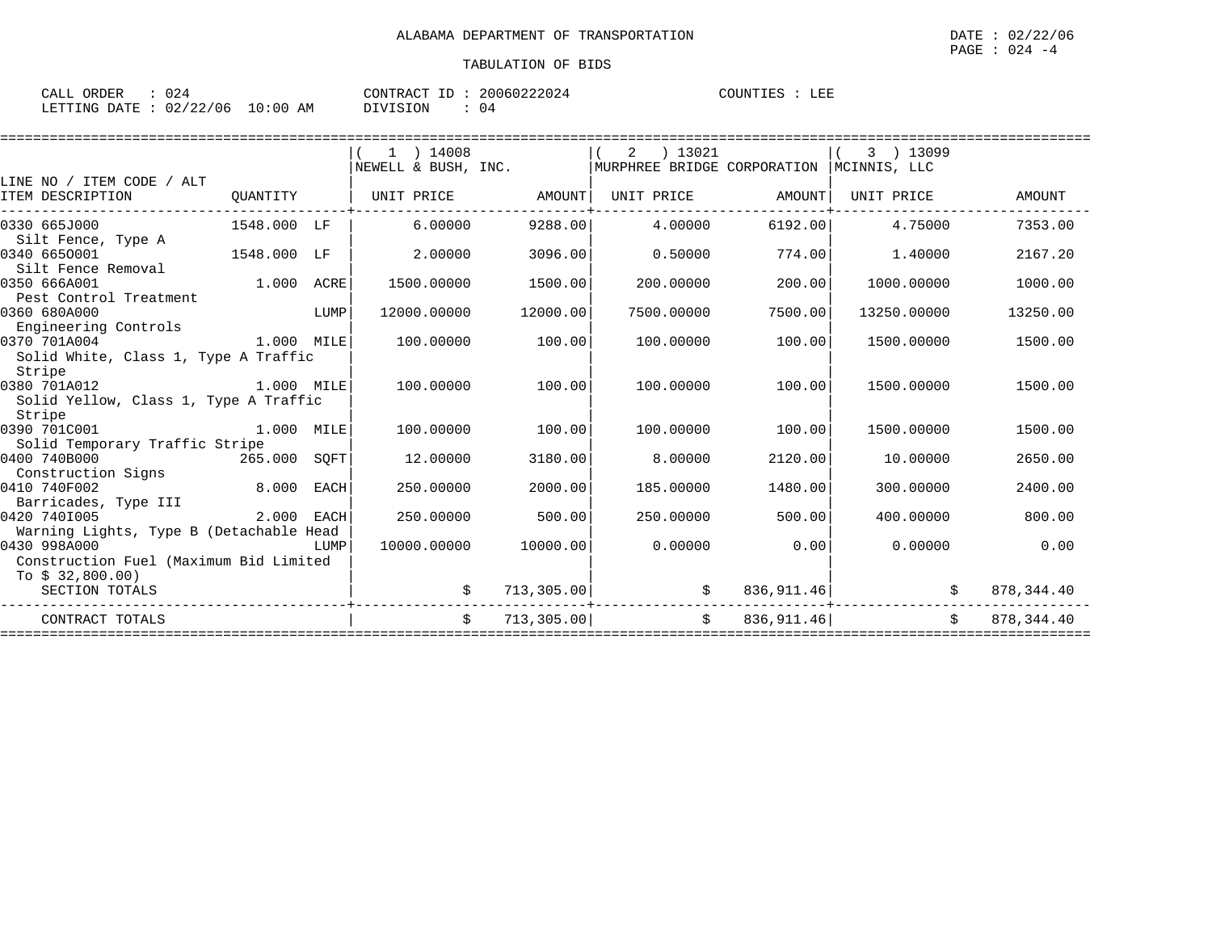| ORDER<br>CALL | 124      |             | CONTRACT<br>ID | 20060222024 | COUNTIES | LEE |
|---------------|----------|-------------|----------------|-------------|----------|-----|
| LETTING DATE  | 02/22/06 | 10:00<br>AM | DIVISION       | 04          |          |     |

|                                         |             |      | 14008               |             | 2<br>) 13021                |             | 3 ) 13099                       |              |
|-----------------------------------------|-------------|------|---------------------|-------------|-----------------------------|-------------|---------------------------------|--------------|
|                                         |             |      | NEWELL & BUSH, INC. |             | MURPHREE BRIDGE CORPORATION |             | MCINNIS, LLC                    |              |
| LINE NO / ITEM CODE / ALT               |             |      |                     |             |                             |             |                                 |              |
| ITEM DESCRIPTION                        | QUANTITY    |      | UNIT PRICE          | AMOUNT      | UNIT PRICE                  | AMOUNT      | UNIT PRICE                      | AMOUNT       |
| 0330 665J000                            | 1548.000 LF |      | 6.00000             | 9288.00     | 4,00000                     | 6192.00     | 4.75000                         | 7353.00      |
| Silt Fence, Type A                      |             |      |                     |             |                             |             |                                 |              |
| 0340 6650001                            | 1548.000 LF |      | 2.00000             | 3096.00     | 0.50000                     | 774.00      | 1,40000                         | 2167.20      |
| Silt Fence Removal                      |             |      |                     |             |                             |             |                                 |              |
| 0350 666A001                            | 1.000       | ACRE | 1500.00000          | 1500.00     | 200.00000                   | 200.00      | 1000.00000                      | 1000.00      |
| Pest Control Treatment                  |             |      |                     |             |                             |             |                                 |              |
| 0360 680A000                            |             | LUMP | 12000.00000         | 12000.00    | 7500.00000                  | 7500.00     | 13250.00000                     | 13250.00     |
| Engineering Controls                    |             |      |                     |             |                             |             |                                 |              |
| 0370 701A004                            | 1.000 MILE  |      | 100.00000           | 100.00      | 100,00000                   | 100.00      | 1500.00000                      | 1500.00      |
| Solid White, Class 1, Type A Traffic    |             |      |                     |             |                             |             |                                 |              |
| Stripe                                  |             |      |                     |             |                             |             |                                 |              |
| 0380 701A012                            | 1.000 MILE  |      | 100,00000           | 100.00      | 100.00000                   | 100.00      | 1500.00000                      | 1500.00      |
| Solid Yellow, Class 1, Type A Traffic   |             |      |                     |             |                             |             |                                 |              |
| Stripe                                  |             |      |                     |             |                             |             |                                 |              |
| 0390 701C001                            | 1.000       | MILE | 100,00000           | 100.00      | 100.00000                   | 100.00      | 1500.00000                      | 1500.00      |
| Solid Temporary Traffic Stripe          |             |      |                     |             |                             |             |                                 |              |
| 0400 740B000<br>265.000                 |             | SOFT | 12.00000            | 3180.00     | 8.00000                     | 2120.00     | 10.00000                        | 2650.00      |
| Construction Signs                      |             |      |                     |             |                             |             |                                 |              |
| 0410 740F002                            | 8.000       | EACH | 250.00000           | 2000.00     | 185,00000                   | 1480.00     | 300,00000                       | 2400.00      |
| Barricades, Type III                    |             |      |                     |             |                             |             |                                 |              |
| 0420 7401005                            | 2.000       | EACH | 250.00000           | 500.00      | 250.00000                   | 500.00      | 400.00000                       | 800.00       |
| Warning Lights, Type B (Detachable Head |             |      |                     |             |                             |             |                                 |              |
| 0430 998A000                            |             | LUMP | 10000.00000         | 10000.00    | 0.00000                     | 0.00        | 0.00000                         | 0.00         |
| Construction Fuel (Maximum Bid Limited  |             |      |                     |             |                             |             |                                 |              |
| To $$32,800.00)$                        |             |      |                     |             |                             |             |                                 |              |
| SECTION TOTALS                          |             |      |                     | 713, 305.00 | \$                          | 836, 911.46 |                                 | 878, 344.40  |
| CONTRACT TOTALS                         |             |      | $\mathsf{S}$        | 713, 305.00 | Ŝ.                          | 836, 911.46 | Ŝ.                              | 878, 344, 40 |
|                                         |             |      |                     |             |                             |             | =============================== |              |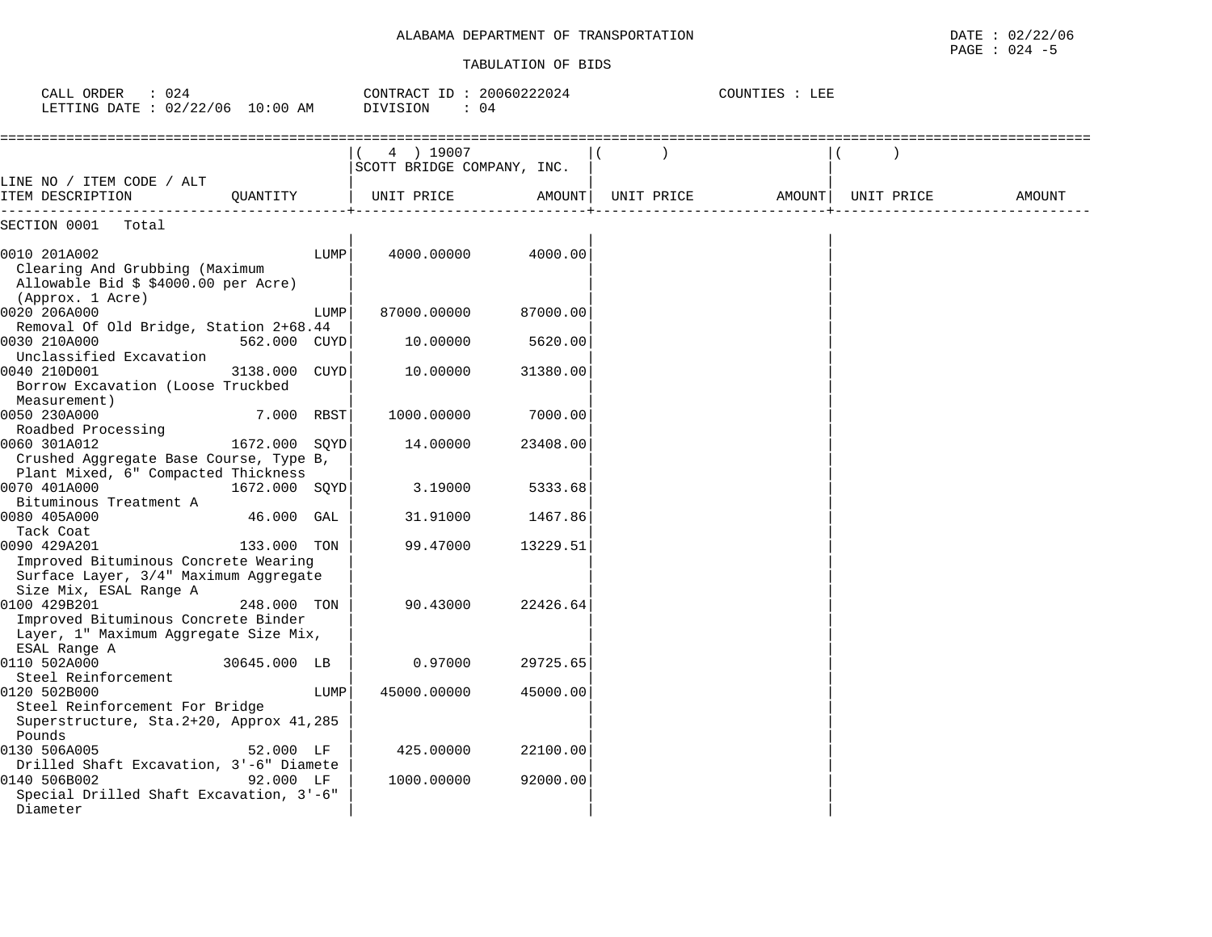## ALABAMA DEPARTMENT OF TRANSPORTATION **Example 2012 12 and 2012** to 02/22/06

#### TABULATION OF BIDS

PAGE : 024 -5

| CALL ORDER<br>: 024<br>LETTING DATE : 02/22/06 10:00 AM                                                                                |               |      | CONTRACT ID: 20060222024<br>DIVISION<br>$\therefore$ 04 |          |            | COUNTIES : LEE |            |        |
|----------------------------------------------------------------------------------------------------------------------------------------|---------------|------|---------------------------------------------------------|----------|------------|----------------|------------|--------|
|                                                                                                                                        |               |      | 4 ) 19007<br>SCOTT BRIDGE COMPANY, INC.                 |          |            |                |            |        |
| LINE NO / ITEM CODE / ALT<br>ITEM DESCRIPTION<br>-----------                                                                           | QUANTITY      |      | UNIT PRICE                                              | AMOUNT   | UNIT PRICE | AMOUNT         | UNIT PRICE | AMOUNT |
| SECTION 0001<br>Total                                                                                                                  |               |      |                                                         |          |            |                |            |        |
| 0010 201A002<br>Clearing And Grubbing (Maximum<br>Allowable Bid \$ \$4000.00 per Acre)<br>(Approx. 1 Acre)                             |               | LUMP | 4000.00000                                              | 4000.00  |            |                |            |        |
| 0020 206A000<br>Removal Of Old Bridge, Station 2+68.44                                                                                 |               | LUMP | 87000.00000                                             | 87000.00 |            |                |            |        |
| 0030 210A000<br>Unclassified Excavation                                                                                                | 562.000 CUYD  |      | 10.00000                                                | 5620.00  |            |                |            |        |
| 0040 210D001<br>Borrow Excavation (Loose Truckbed<br>Measurement)                                                                      | 3138.000 CUYD |      | 10.00000                                                | 31380.00 |            |                |            |        |
| 0050 230A000<br>Roadbed Processing                                                                                                     | 7.000 RBST    |      | 1000.00000                                              | 7000.00  |            |                |            |        |
| 0060 301A012<br>Crushed Aggregate Base Course, Type B,<br>Plant Mixed, 6" Compacted Thickness                                          | 1672.000 SOYD |      | 14.00000                                                | 23408.00 |            |                |            |        |
| 0070 401A000<br>Bituminous Treatment A                                                                                                 | 1672.000 SQYD |      | 3.19000                                                 | 5333.68  |            |                |            |        |
| 0080 405A000<br>Tack Coat                                                                                                              | 46.000 GAL    |      | 31.91000                                                | 1467.86  |            |                |            |        |
| 0090 429A201<br>Improved Bituminous Concrete Wearing<br>Surface Layer, 3/4" Maximum Aggregate                                          | 133.000 TON   |      | 99.47000                                                | 13229.51 |            |                |            |        |
| Size Mix, ESAL Range A<br>0100 429B201<br>Improved Bituminous Concrete Binder<br>Layer, 1" Maximum Aggregate Size Mix,<br>ESAL Range A | 248.000 TON   |      | 90.43000                                                | 22426.64 |            |                |            |        |
| 0110 502A000<br>Steel Reinforcement                                                                                                    | 30645.000 LB  |      | 0.97000                                                 | 29725.65 |            |                |            |        |
| 0120 502B000<br>Steel Reinforcement For Bridge<br>Superstructure, Sta. 2+20, Approx 41, 285<br>Pounds                                  |               | LUMP | 45000.00000                                             | 45000.00 |            |                |            |        |
| 0130 506A005<br>Drilled Shaft Excavation, 3'-6" Diamete                                                                                | 52.000 LF     |      | 425.00000                                               | 22100.00 |            |                |            |        |
| 0140 506B002<br>Special Drilled Shaft Excavation, 3'-6"<br>Diameter                                                                    | 92.000 LF     |      | 1000.00000                                              | 92000.00 |            |                |            |        |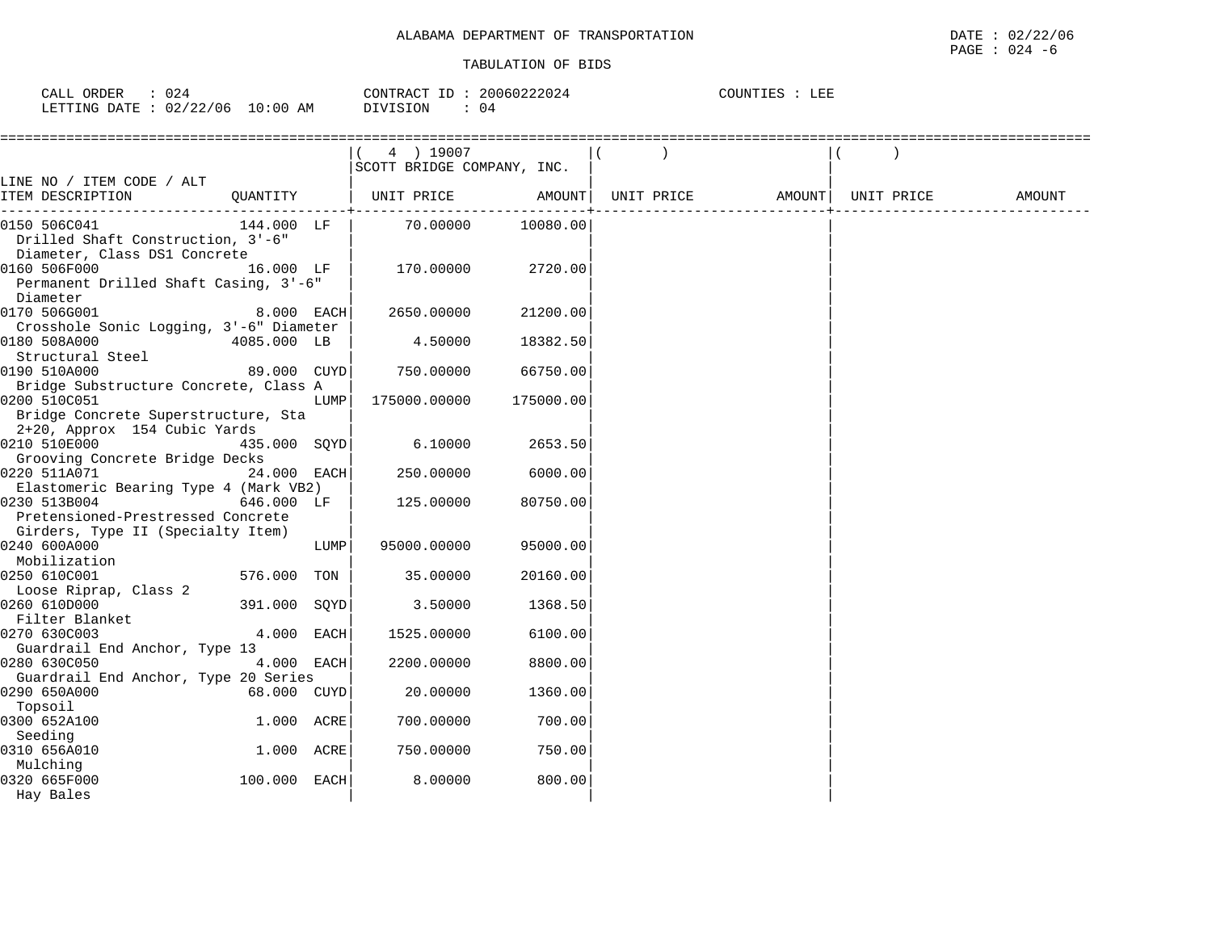| 024<br>CALL ORDER               | CONTRACT ID: 20060222024 | COUNTIES : LEE |
|---------------------------------|--------------------------|----------------|
| LETTING DATE: 02/22/06 10:00 AM | DIVISION                 |                |

|                                                                                        |               |      | 4 ) 19007                  |           |            |                     |        |
|----------------------------------------------------------------------------------------|---------------|------|----------------------------|-----------|------------|---------------------|--------|
|                                                                                        |               |      | SCOTT BRIDGE COMPANY, INC. |           |            |                     |        |
| LINE NO / ITEM CODE / ALT<br>ITEM DESCRIPTION                                          | QUANTITY      |      | UNIT PRICE                 | AMOUNT    | UNIT PRICE | AMOUNT   UNIT PRICE | AMOUNT |
| 0150 506C041<br>Drilled Shaft Construction, 3'-6"<br>Diameter, Class DS1 Concrete      | 144.000 LF    |      | 70.00000                   | 10080.00  |            |                     |        |
| 0160 506F000<br>16.000 LF<br>Permanent Drilled Shaft Casing, 3'-6"<br>Diameter         |               |      | 170.00000                  | 2720.00   |            |                     |        |
| 0170 506G001<br>Crosshole Sonic Logging, 3'-6" Diameter                                | 8.000 EACH    |      | 2650.00000                 | 21200.00  |            |                     |        |
| 0180 508A000<br>Structural Steel                                                       | 4085.000 LB   |      | 4.50000                    | 18382.50  |            |                     |        |
| 0190 510A000<br>Bridge Substructure Concrete, Class A                                  | 89.000 CUYD   |      | 750.00000                  | 66750.00  |            |                     |        |
| 0200 510C051<br>Bridge Concrete Superstructure, Sta<br>2+20, Approx 154 Cubic Yards    |               | LUMP | 175000.00000               | 175000.00 |            |                     |        |
| 0210 510E000<br>Grooving Concrete Bridge Decks                                         | 435.000 SOYD  |      | 6.10000                    | 2653.50   |            |                     |        |
| 0220 511A071<br>Elastomeric Bearing Type 4 (Mark VB2)                                  | $24.000$ EACH |      | 250.00000                  | 6000.00   |            |                     |        |
| 0230 513B004<br>Pretensioned-Prestressed Concrete<br>Girders, Type II (Specialty Item) | 646.000 LF    |      | 125.00000                  | 80750.00  |            |                     |        |
| 0240 600A000<br>Mobilization                                                           |               | LUMP | 95000.00000                | 95000.00  |            |                     |        |
| 0250 610C001<br>Loose Riprap, Class 2                                                  | 576.000 TON   |      | 35.00000                   | 20160.00  |            |                     |        |
| 0260 610D000<br>Filter Blanket                                                         | 391.000 SQYD  |      | 3.50000                    | 1368.50   |            |                     |        |
| 0270 630C003<br>Guardrail End Anchor, Type 13                                          | 4.000 EACH    |      | 1525.00000                 | 6100.00   |            |                     |        |
| 0280 630C050<br>Guardrail End Anchor, Type 20 Series                                   | 4.000 EACH    |      | 2200.00000                 | 8800.00   |            |                     |        |
| 0290 650A000<br>Topsoil                                                                | 68.000 CUYD   |      | 20.00000                   | 1360.00   |            |                     |        |
| 0300 652A100<br>Seeding                                                                | 1.000 ACRE    |      | 700.00000                  | 700.00    |            |                     |        |
| 0310 656A010<br>Mulching                                                               | 1.000 ACRE    |      | 750.00000                  | 750.00    |            |                     |        |
| 0320 665F000<br>Hay Bales                                                              | 100.000 EACH  |      | 8.00000                    | 800.00    |            |                     |        |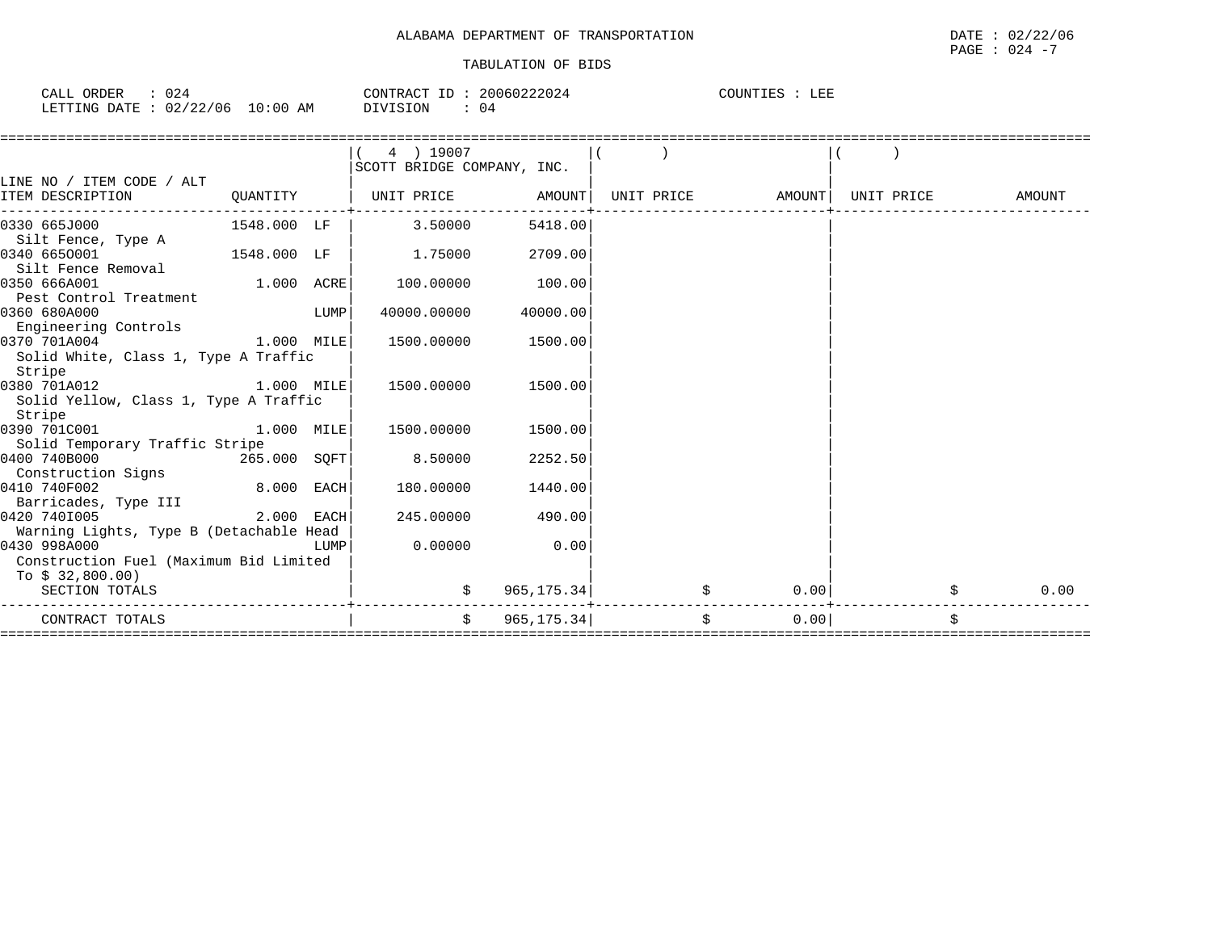| CALL ORDER                       | 024 | 20060222024<br>CONTRACT ID: | COUNTIES<br>LEF |
|----------------------------------|-----|-----------------------------|-----------------|
| LETTING DATE : 02/22/06 10:00 AM |     | DIVISION<br>04              |                 |

|                                         |              |      | 4 ) 19007                  |             |    |                   |            |            |
|-----------------------------------------|--------------|------|----------------------------|-------------|----|-------------------|------------|------------|
|                                         |              |      | SCOTT BRIDGE COMPANY, INC. |             |    |                   |            |            |
| LINE NO / ITEM CODE / ALT               |              |      |                            |             |    |                   |            |            |
| ITEM DESCRIPTION                        | QUANTITY     |      | UNIT PRICE AMOUNT          |             |    | UNIT PRICE AMOUNT | UNIT PRICE | AMOUNT     |
|                                         |              |      |                            |             |    |                   |            |            |
| 0330 665J000                            | 1548.000 LF  |      | 3.50000                    | 5418.00     |    |                   |            |            |
| Silt Fence, Type A                      |              |      |                            |             |    |                   |            |            |
| 0340 6650001                            | 1548.000 LF  |      | 1.75000                    | 2709.00     |    |                   |            |            |
| Silt Fence Removal                      |              |      |                            |             |    |                   |            |            |
| 0350 666A001                            | $1.000$ ACRE |      | 100.00000                  | 100.00      |    |                   |            |            |
| Pest Control Treatment                  |              |      |                            |             |    |                   |            |            |
| 0360 680A000                            |              | LUMP | 40000.00000                | 40000.00    |    |                   |            |            |
| Engineering Controls                    |              |      |                            |             |    |                   |            |            |
| 0370 701A004                            | $1.000$ MILE |      | 1500.00000                 | 1500.00     |    |                   |            |            |
| Solid White, Class 1, Type A Traffic    |              |      |                            |             |    |                   |            |            |
| Stripe                                  |              |      |                            |             |    |                   |            |            |
| 1.000 MILE<br>0380 701A012              |              |      | 1500.00000                 | 1500.00     |    |                   |            |            |
| Solid Yellow, Class 1, Type A Traffic   |              |      |                            |             |    |                   |            |            |
| Stripe                                  |              |      |                            |             |    |                   |            |            |
| 0390 701C001                            | 1.000 MILE   |      | 1500.00000                 | 1500.00     |    |                   |            |            |
| Solid Temporary Traffic Stripe          |              |      |                            |             |    |                   |            |            |
| 0400 740B000<br>265.000 SOFT            |              |      | 8.50000                    | 2252.50     |    |                   |            |            |
| Construction Signs                      |              |      |                            |             |    |                   |            |            |
| 0410 740F002                            | 8.000 EACH   |      | 180.00000                  | 1440.00     |    |                   |            |            |
| Barricades, Type III                    |              |      |                            |             |    |                   |            |            |
| 0420 7401005                            | 2.000 EACH   |      | 245.00000                  | 490.00      |    |                   |            |            |
| Warning Lights, Type B (Detachable Head |              |      |                            |             |    |                   |            |            |
| 0430 998A000                            |              | LUMP | 0.00000                    | 0.00        |    |                   |            |            |
| Construction Fuel (Maximum Bid Limited  |              |      |                            |             |    |                   |            |            |
| To \$ 32,800.00)                        |              |      |                            |             |    |                   |            |            |
| SECTION TOTALS                          |              |      |                            | 965, 175.34 |    | 0.00              |            | \$<br>0.00 |
| CONTRACT TOTALS                         |              |      | $\ddot{s}$                 | 965, 175.34 | \$ | 0.00              |            | Ŝ.         |
|                                         |              |      |                            |             |    |                   |            |            |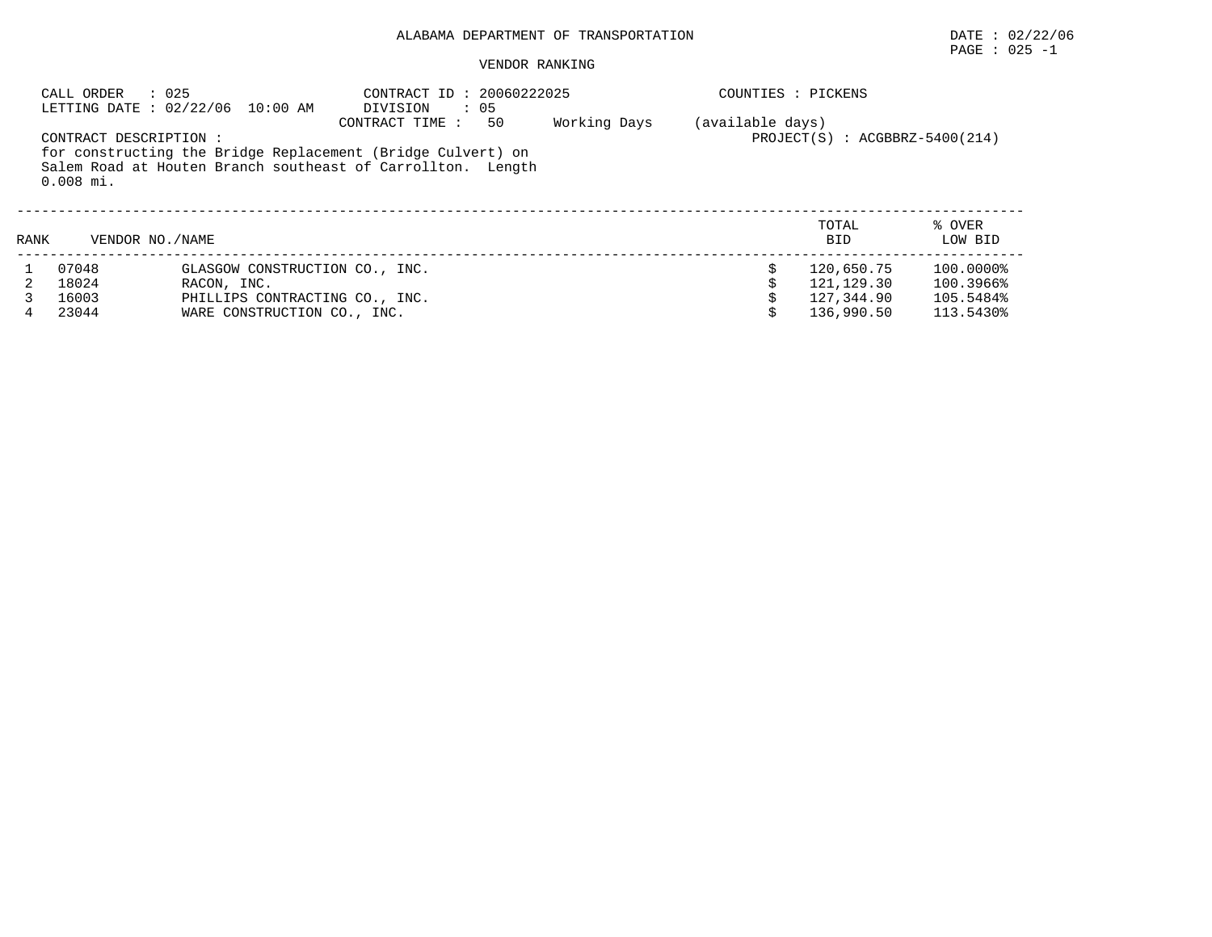# $\texttt{PAGE}$  : 025 -1

#### VENDOR RANKING

|      | CALL ORDER                            | : 025<br>LETTING DATE: 02/22/06 10:00 AM | CONTRACT ID: 20060222025<br>DIVISION<br>$\therefore$ 05                                                                                            |              | COUNTIES : PICKENS |                                    |                   |
|------|---------------------------------------|------------------------------------------|----------------------------------------------------------------------------------------------------------------------------------------------------|--------------|--------------------|------------------------------------|-------------------|
|      | CONTRACT DESCRIPTION :<br>$0.008$ mi. |                                          | CONTRACT TIME:<br>50<br>for constructing the Bridge Replacement (Bridge Culvert) on<br>Salem Road at Houten Branch southeast of Carrollton. Length | Working Days | (available days)   | $PROJECT(S)$ : $ACGBBRZ-5400(214)$ |                   |
| RANK | VENDOR NO. / NAME                     |                                          |                                                                                                                                                    |              |                    | TOTAL<br><b>BID</b>                | % OVER<br>LOW BID |
|      | 07048                                 | GLASGOW CONSTRUCTION CO., INC.           |                                                                                                                                                    |              |                    | 120,650.75                         | 100.0000%         |
|      | 18024                                 | RACON, INC.                              |                                                                                                                                                    |              |                    | 121,129.30                         | 100.3966%         |
|      | 16003                                 | PHILLIPS CONTRACTING CO., INC.           |                                                                                                                                                    |              |                    | 127.344.90                         | 105.5484%         |
|      | 23044                                 | WARE CONSTRUCTION CO., INC.              |                                                                                                                                                    |              |                    | 136,990.50                         | 113.5430%         |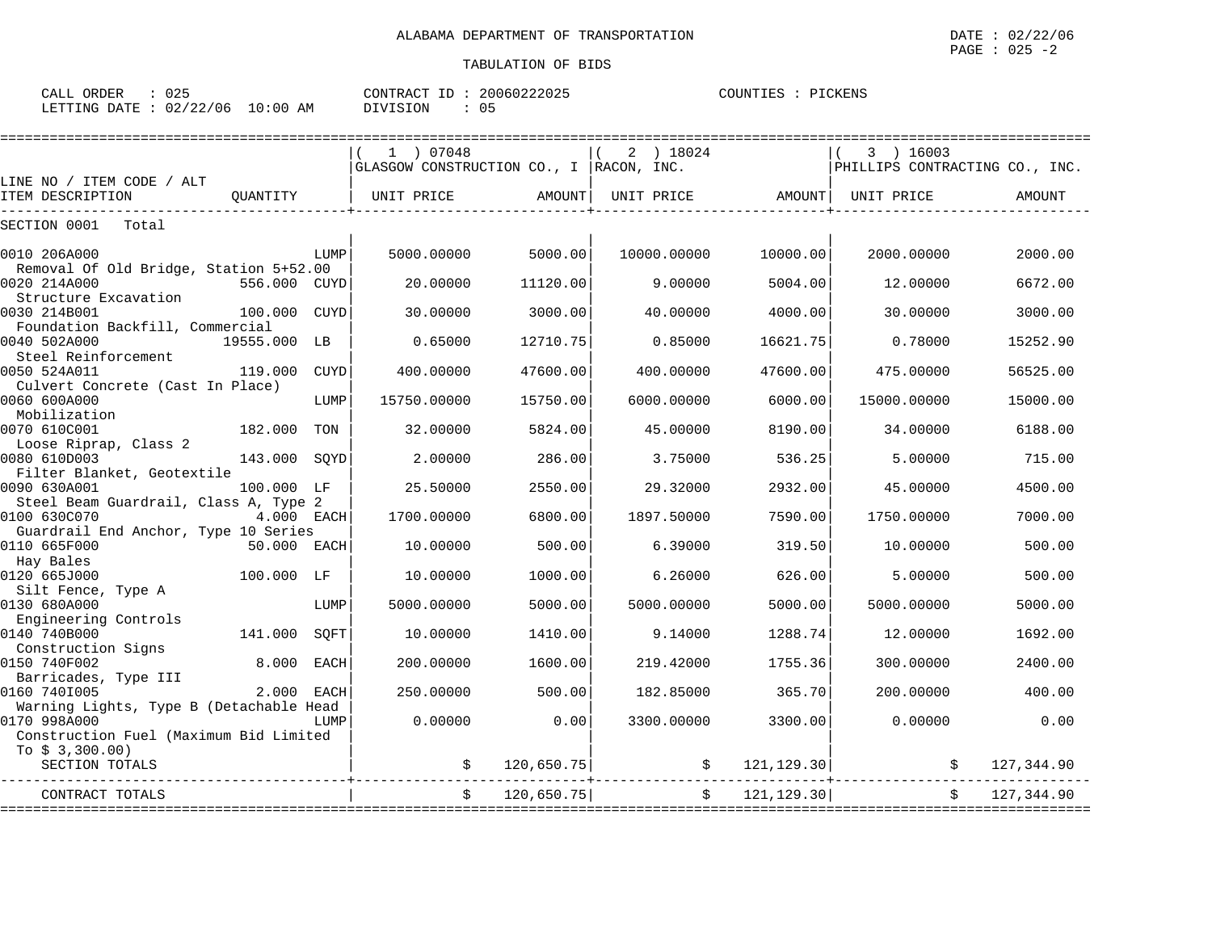| 025<br>ORDER<br>CALL     |             | 20060222025<br>CONTRACT<br>TD. | COUNTIES<br>PICKENS |
|--------------------------|-------------|--------------------------------|---------------------|
| 02/22/06<br>LETTING DATE | 10:00<br>AΜ | DIVISION                       |                     |

|                                                         |              |             | 1 07048                                         |            | 2 ) 18024   |                   | 3 ) 16003                      |            |
|---------------------------------------------------------|--------------|-------------|-------------------------------------------------|------------|-------------|-------------------|--------------------------------|------------|
|                                                         |              |             | $ $ GLASGOW CONSTRUCTION CO., I $ $ RACON, INC. |            |             |                   | PHILLIPS CONTRACTING CO., INC. |            |
| LINE NO / ITEM CODE / ALT<br>ITEM DESCRIPTION           | OUANTITY     |             | UNIT PRICE                                      | AMOUNT     |             | UNIT PRICE AMOUNT | UNIT PRICE                     | AMOUNT     |
|                                                         |              |             |                                                 |            |             |                   |                                |            |
| SECTION 0001<br>Total                                   |              |             |                                                 |            |             |                   |                                |            |
| 0010 206A000                                            |              | LUMP        | 5000.00000                                      | 5000.00    | 10000.00000 | 10000.00          | 2000.00000                     | 2000.00    |
| Removal Of Old Bridge, Station 5+52.00                  |              |             |                                                 |            |             |                   |                                |            |
| 0020 214A000<br>Structure Excavation                    | 556.000 CUYD |             | 20.00000                                        | 11120.00   | 9.00000     | 5004.00           | 12.00000                       | 6672.00    |
| 0030 214B001                                            | 100.000      | <b>CUYD</b> | 30,00000                                        | 3000.00    | 40.00000    | 4000.00           | 30.00000                       | 3000.00    |
| Foundation Backfill, Commercial                         |              |             |                                                 |            |             |                   |                                |            |
| 0040 502A000                                            | 19555.000 LB |             | 0.65000                                         | 12710.75   | 0.85000     | 16621.75          | 0.78000                        | 15252.90   |
| Steel Reinforcement                                     |              |             |                                                 |            |             |                   |                                |            |
| 0050 524A011<br>Culvert Concrete (Cast In Place)        | 119.000      | CUYD        | 400.00000                                       | 47600.00   | 400.00000   | 47600.00          | 475.00000                      | 56525.00   |
| 0060 600A000                                            |              | LUMP        | 15750.00000                                     | 15750.00   | 6000.00000  | 6000.00           | 15000.00000                    | 15000.00   |
| Mobilization                                            |              |             |                                                 |            |             |                   |                                |            |
| 0070 610C001                                            | 182.000      | TON         | 32.00000                                        | 5824.00    | 45.00000    | 8190.00           | 34.00000                       | 6188.00    |
| Loose Riprap, Class 2<br>0080 610D003                   | 143.000      | SOYD        | 2.00000                                         | 286.00     | 3.75000     | 536.25            | 5.00000                        | 715.00     |
| Filter Blanket, Geotextile                              |              |             |                                                 |            |             |                   |                                |            |
| 0090 630A001                                            | 100.000 LF   |             | 25.50000                                        | 2550.00    | 29.32000    | 2932.00           | 45.00000                       | 4500.00    |
| Steel Beam Guardrail, Class A, Type 2                   |              |             |                                                 |            |             |                   |                                |            |
| 0100 630C070                                            | 4.000 EACH   |             | 1700.00000                                      | 6800.00    | 1897.50000  | 7590.00           | 1750.00000                     | 7000.00    |
| Guardrail End Anchor, Type 10 Series<br>0110 665F000    | 50.000 EACH  |             | 10.00000                                        | 500.00     | 6.39000     | 319.50            | 10.00000                       | 500.00     |
| Hay Bales                                               |              |             |                                                 |            |             |                   |                                |            |
| 0120 665J000                                            | 100.000 LF   |             | 10.00000                                        | 1000.00    | 6.26000     | 626.00            | 5.00000                        | 500.00     |
| Silt Fence, Type A                                      |              |             |                                                 |            |             |                   |                                |            |
| 0130 680A000<br>Engineering Controls                    |              | LUMP        | 5000.00000                                      | 5000.00    | 5000.00000  | 5000.00           | 5000.00000                     | 5000.00    |
| 0140 740B000                                            | 141.000      | SOFT        | 10.00000                                        | 1410.00    | 9.14000     | 1288.74           | 12.00000                       | 1692.00    |
| Construction Signs                                      |              |             |                                                 |            |             |                   |                                |            |
| 0150 740F002                                            | 8,000        | EACH        | 200.00000                                       | 1600.00    | 219.42000   | 1755.36           | 300.00000                      | 2400.00    |
| Barricades, Type III                                    |              |             |                                                 |            |             |                   |                                |            |
| 0160 7401005<br>Warning Lights, Type B (Detachable Head | 2.000        | <b>EACH</b> | 250.00000                                       | 500.00     | 182.85000   | 365.70            | 200.00000                      | 400.00     |
| 0170 998A000                                            |              | LUMP        | 0.00000                                         | 0.00       | 3300.00000  | 3300.00           | 0.00000                        | 0.00       |
| Construction Fuel (Maximum Bid Limited                  |              |             |                                                 |            |             |                   |                                |            |
| To $$3,300.00)$                                         |              |             |                                                 |            |             |                   |                                |            |
| SECTION TOTALS                                          |              |             |                                                 | 120,650.75 | \$          | 121,129.30        |                                | 127,344.90 |
| CONTRACT TOTALS                                         |              |             |                                                 | 120,650.75 | \$          | 121, 129.30       |                                | 127,344.90 |
|                                                         |              |             |                                                 |            |             |                   |                                |            |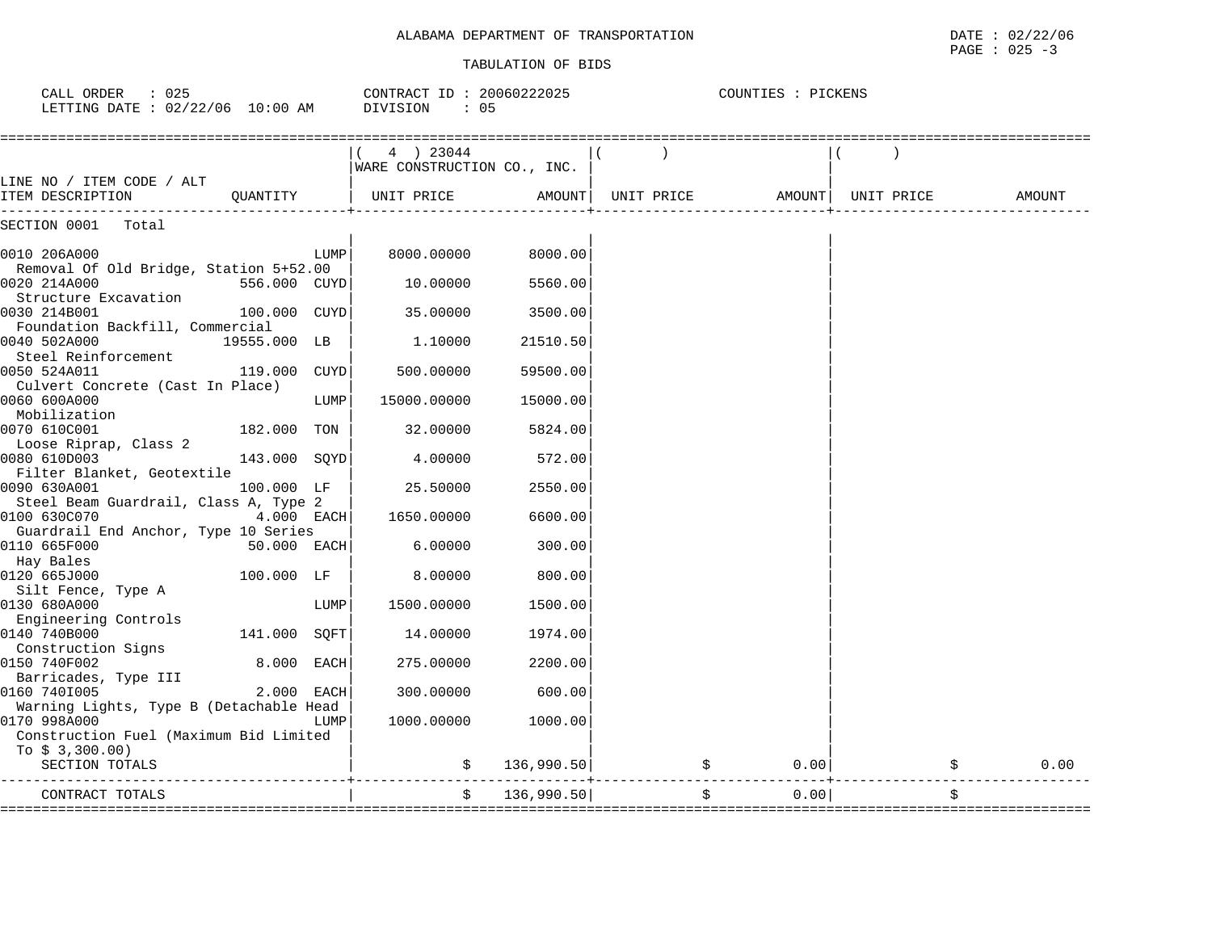COUNTIES : PICKENS

### TABULATION OF BIDS

CALL ORDER : 025 CONTRACT ID : 20060222025 COUNTIES : PICKENS

| LETTING DATE : $02/22/06$ 10:00 AM                                        |              |      | DIVISION<br>: 05                         |            |            |        |            |        |
|---------------------------------------------------------------------------|--------------|------|------------------------------------------|------------|------------|--------|------------|--------|
|                                                                           |              |      | 4 ) 23044<br>WARE CONSTRUCTION CO., INC. |            |            |        |            |        |
| LINE NO / ITEM CODE / ALT<br>ITEM DESCRIPTION                             | OUANTITY     |      | UNIT PRICE                               | AMOUNT     | UNIT PRICE | AMOUNT | UNIT PRICE | AMOUNT |
| SECTION 0001<br>Total                                                     |              |      |                                          |            |            |        |            |        |
| 0010 206A000                                                              |              | LUMP | 8000.00000                               | 8000.00    |            |        |            |        |
| Removal Of Old Bridge, Station 5+52.00<br>0020 214A000                    | 556.000 CUYD |      | 10.00000                                 | 5560.00    |            |        |            |        |
| Structure Excavation<br>0030 214B001<br>Foundation Backfill, Commercial   | 100.000 CUYD |      | 35.00000                                 | 3500.00    |            |        |            |        |
| 0040 502A000<br>Steel Reinforcement                                       | 19555.000 LB |      | 1,10000                                  | 21510.50   |            |        |            |        |
| 0050 524A011<br>Culvert Concrete (Cast In Place)                          | 119.000 CUYD |      | 500.00000                                | 59500.00   |            |        |            |        |
| 0060 600A000<br>Mobilization                                              |              | LUMP | 15000.00000                              | 15000.00   |            |        |            |        |
| 0070 610C001<br>Loose Riprap, Class 2                                     | 182.000 TON  |      | 32.00000                                 | 5824.00    |            |        |            |        |
| 0080 610D003<br>Filter Blanket, Geotextile                                | 143.000 SQYD |      | 4.00000                                  | 572.00     |            |        |            |        |
| 0090 630A001<br>Steel Beam Guardrail, Class A, Type 2                     | 100.000 LF   |      | 25.50000                                 | 2550.00    |            |        |            |        |
| 0100 630C070<br>Guardrail End Anchor, Type 10 Series                      | $4.000$ EACH |      | 1650.00000                               | 6600.00    |            |        |            |        |
| 0110 665F000<br>Hay Bales                                                 | 50.000 EACH  |      | 6.00000                                  | 300.00     |            |        |            |        |
| 0120 665J000<br>Silt Fence, Type A                                        | 100.000 LF   |      | 8.00000                                  | 800.00     |            |        |            |        |
| 0130 680A000<br>Engineering Controls                                      |              | LUMP | 1500.00000                               | 1500.00    |            |        |            |        |
| 0140 740B000<br>Construction Signs                                        | 141.000 SQFT |      | 14.00000                                 | 1974.00    |            |        |            |        |
| 0150 740F002<br>Barricades, Type III                                      | 8.000 EACH   |      | 275.00000                                | 2200.00    |            |        |            |        |
| 0160 7401005<br>Warning Lights, Type B (Detachable Head                   | 2.000 EACH   |      | 300.00000                                | 600.00     |            |        |            |        |
| 0170 998A000<br>Construction Fuel (Maximum Bid Limited<br>To $$3,300.00)$ |              | LUMP | 1000.00000                               | 1000.00    |            |        |            |        |
| SECTION TOTALS                                                            |              |      |                                          | 136,990.50 |            | 0.00   |            | 0.00   |
| CONTRACT TOTALS                                                           |              |      | \$                                       | 136,990.50 | \$         | 0.00   | \$         |        |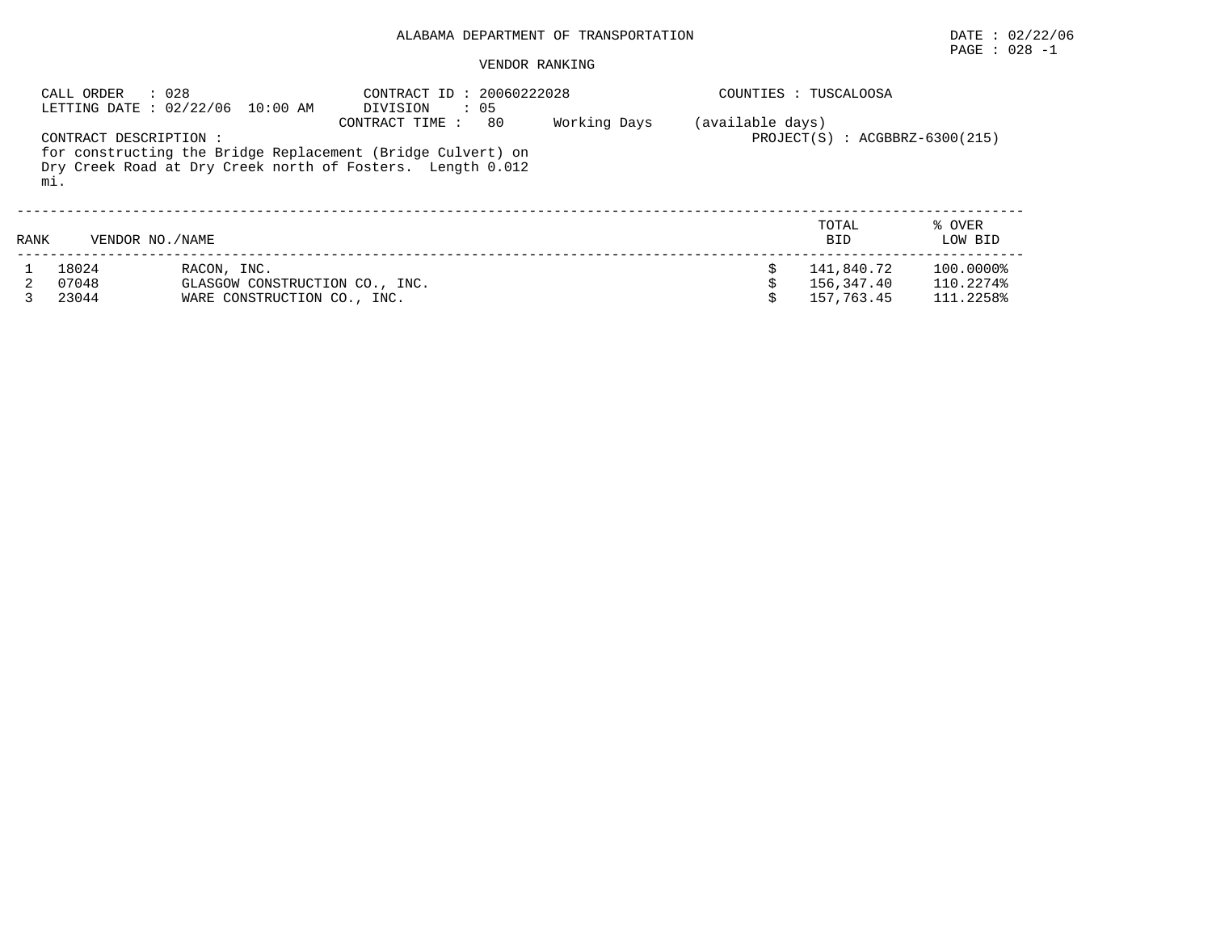# PAGE : 028 -1

### VENDOR RANKING

| : 028<br>CALL ORDER<br>LETTING DATE: 02/22/06 10:00 AM |                               | CONTRACT ID: 20060222028<br>DIVISION<br>$\therefore$ 05                                                                   |                |    | COUNTIES :<br>TUSCALOOSA |                  |                                        |                                     |
|--------------------------------------------------------|-------------------------------|---------------------------------------------------------------------------------------------------------------------------|----------------|----|--------------------------|------------------|----------------------------------------|-------------------------------------|
|                                                        | CONTRACT DESCRIPTION :<br>mi. | for constructing the Bridge Replacement (Bridge Culvert) on<br>Dry Creek Road at Dry Creek north of Fosters. Length 0.012 | CONTRACT TIME: | 80 | Working Days             | (available days) | $PROJECT(S)$ : $ACGBBRZ-6300(215)$     |                                     |
| RANK                                                   | VENDOR NO. / NAME             |                                                                                                                           |                |    |                          |                  | TOTAL<br><b>BID</b>                    | % OVER<br>LOW BID                   |
|                                                        | 18024<br>07048<br>23044       | RACON, INC.<br>GLASGOW CONSTRUCTION CO., INC.<br>WARE CONSTRUCTION CO., INC.                                              |                |    |                          | Ŝ                | 141,840.72<br>156,347.40<br>157,763.45 | 100.0000%<br>110.2274%<br>111.2258% |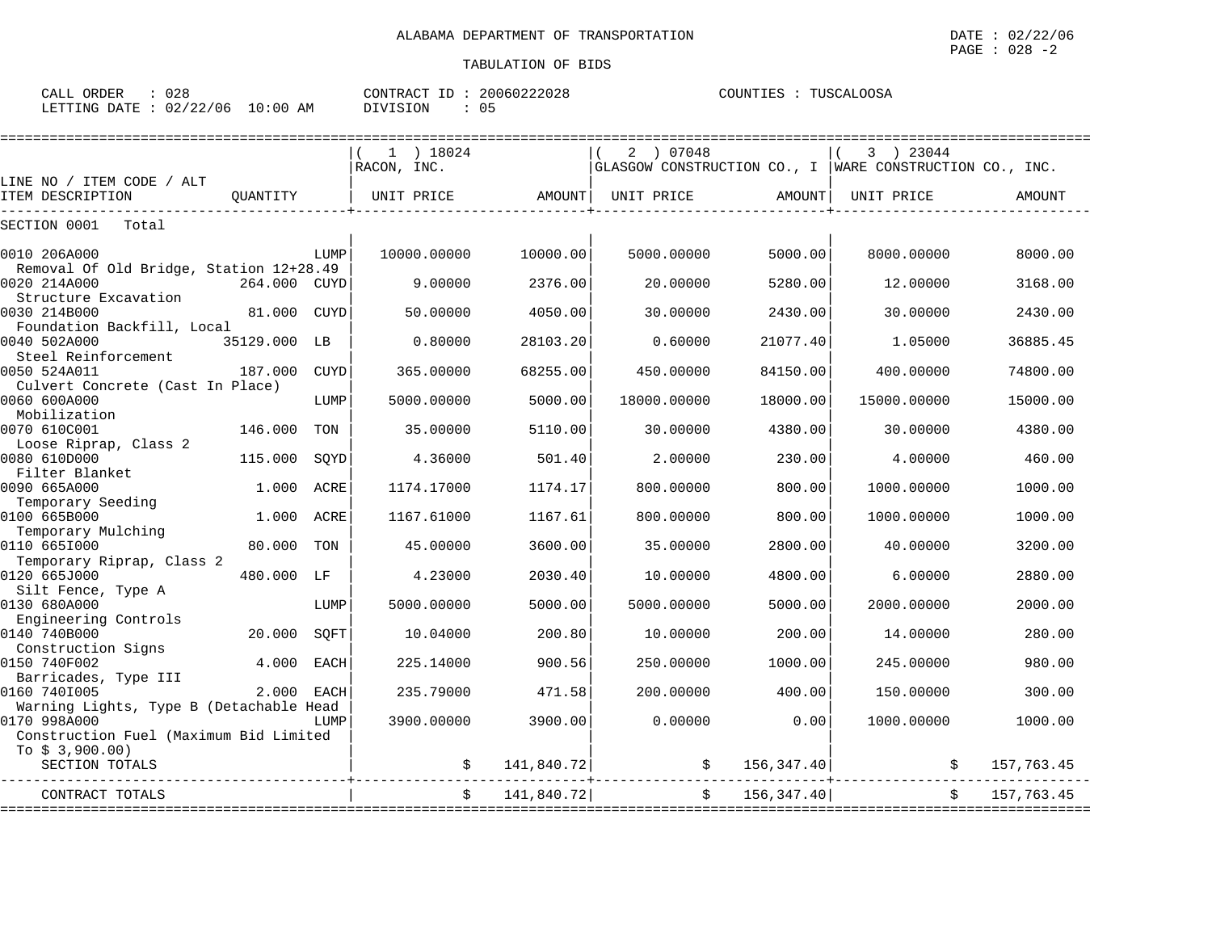PAGE : 028 -2

| 028<br>ORDEF<br>CALL                                       | ID<br>CONTRACT                                  | ົດ ດ<br><u>- ^ · </u><br>. ) h (<br>ZU'<br>: U Z 8 | .00SA<br>COUNTIES<br>' ∆<br>$\mathbf{U}$ |
|------------------------------------------------------------|-------------------------------------------------|----------------------------------------------------|------------------------------------------|
| $\cap$<br>1つつ<br>'06<br>LETTING<br><b>DATE</b><br>∪∠<br>∠∠ | $\textcolor{red}{\textbf{10:00}}$<br>SION<br>ΑM | 05                                                 |                                          |

|                                                         |              |             | $1$ ) 18024 |            | 07048<br>2  |                                   | 3 ) 23044                                               |            |
|---------------------------------------------------------|--------------|-------------|-------------|------------|-------------|-----------------------------------|---------------------------------------------------------|------------|
|                                                         |              |             | RACON, INC. |            |             |                                   | GLASGOW CONSTRUCTION CO., I WARE CONSTRUCTION CO., INC. |            |
| LINE NO / ITEM CODE / ALT<br>ITEM DESCRIPTION           | OUANTITY     |             | UNIT PRICE  | AMOUNT     | UNIT PRICE  | AMOUNT                            | UNIT PRICE                                              | AMOUNT     |
|                                                         |              |             |             |            |             |                                   |                                                         |            |
| SECTION 0001<br>Total                                   |              |             |             |            |             |                                   |                                                         |            |
| 0010 206A000                                            |              | LUMP        | 10000.00000 | 10000.00   | 5000.00000  | 5000.00                           | 8000.00000                                              | 8000.00    |
| Removal Of Old Bridge, Station 12+28.49                 |              |             |             |            |             |                                   |                                                         |            |
| 0020 214A000                                            | 264.000 CUYD |             | 9.00000     | 2376.00    | 20.00000    | 5280.00                           | 12,00000                                                | 3168.00    |
| Structure Excavation                                    |              |             |             |            |             |                                   |                                                         |            |
| 0030 214B000                                            | 81.000       | <b>CUYD</b> | 50.00000    | 4050.00    | 30.00000    | 2430.00                           | 30.00000                                                | 2430.00    |
| Foundation Backfill, Local<br>0040 502A000              | 35129.000 LB |             | 0.80000     | 28103.20   | 0.60000     | 21077.40                          | 1.05000                                                 | 36885.45   |
| Steel Reinforcement                                     |              |             |             |            |             |                                   |                                                         |            |
| 0050 524A011                                            | 187.000      | <b>CUYD</b> | 365,00000   | 68255.00   | 450.00000   | 84150.00                          | 400.00000                                               | 74800.00   |
| Culvert Concrete (Cast In Place)                        |              |             |             |            |             |                                   |                                                         |            |
| 0060 600A000                                            |              | LUMP        | 5000.00000  | 5000.00    | 18000.00000 | 18000.00                          | 15000.00000                                             | 15000.00   |
| Mobilization<br>0070 610C001                            | 146.000      | TON         | 35.00000    | 5110.00    | 30.00000    | 4380.00                           | 30.00000                                                | 4380.00    |
| Loose Riprap, Class 2                                   |              |             |             |            |             |                                   |                                                         |            |
| 0080 610D000                                            | 115.000      | SQYD        | 4.36000     | 501.40     | 2.00000     | 230.00                            | 4.00000                                                 | 460.00     |
| Filter Blanket                                          |              |             |             |            |             |                                   |                                                         |            |
| 0090 665A000                                            | 1,000        | ACRE        | 1174.17000  | 1174.17    | 800,00000   | 800.00                            | 1000.00000                                              | 1000.00    |
| Temporary Seeding<br>0100 665B000                       |              |             |             |            |             |                                   |                                                         |            |
| Temporary Mulching                                      | 1.000        | ACRE        | 1167.61000  | 1167.61    | 800.00000   | 800.00                            | 1000.00000                                              | 1000.00    |
| 0110 6651000                                            | 80.000       | TON         | 45.00000    | 3600.00    | 35.00000    | 2800.00                           | 40.00000                                                | 3200.00    |
| Temporary Riprap, Class 2                               |              |             |             |            |             |                                   |                                                         |            |
| 0120 665J000                                            | 480.000      | LF          | 4.23000     | 2030.40    | 10,00000    | 4800.00                           | 6.00000                                                 | 2880.00    |
| Silt Fence, Type A                                      |              |             |             |            |             |                                   |                                                         |            |
| 0130 680A000<br>Engineering Controls                    |              | LUMP        | 5000.00000  | 5000.00    | 5000.00000  | 5000.00                           | 2000.00000                                              | 2000.00    |
| 0140 740B000                                            | 20.000       | SOFT        | 10.04000    | 200.80     | 10.00000    | 200.00                            | 14.00000                                                | 280.00     |
| Construction Signs                                      |              |             |             |            |             |                                   |                                                         |            |
| 0150 740F002                                            | 4.000        | <b>EACH</b> | 225.14000   | 900.56     | 250.00000   | 1000.00                           | 245.00000                                               | 980.00     |
| Barricades, Type III                                    |              |             |             |            |             |                                   |                                                         |            |
| 0160 7401005                                            | 2,000        | <b>EACH</b> | 235.79000   | 471.58     | 200.00000   | 400.00                            | 150.00000                                               | 300.00     |
| Warning Lights, Type B (Detachable Head<br>0170 998A000 |              | LUMP        | 3900.00000  | 3900.00    | 0.00000     | 0.00                              | 1000.00000                                              | 1000.00    |
| Construction Fuel (Maximum Bid Limited                  |              |             |             |            |             |                                   |                                                         |            |
| To $$3,900.00)$                                         |              |             |             |            |             |                                   |                                                         |            |
| SECTION TOTALS                                          |              |             |             | 141,840.72 |             | \$156, 347.40]                    |                                                         | 157,763.45 |
| CONTRACT TOTALS                                         |              |             |             | 141,840.72 |             | $\ddot{\mathsf{S}}$<br>156,347.40 |                                                         | 157,763.45 |
|                                                         |              |             |             |            |             |                                   |                                                         |            |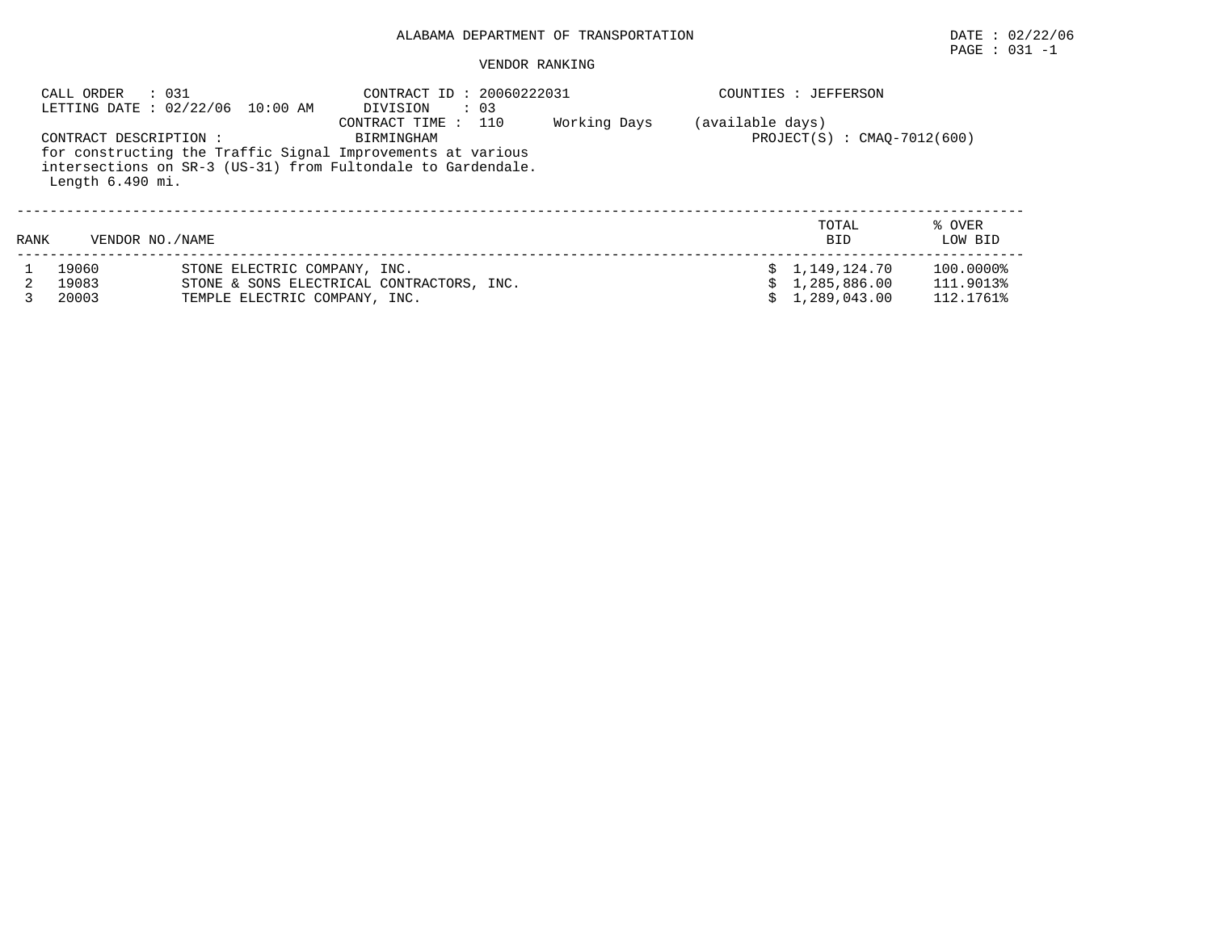# PAGE : 031 -1

#### VENDOR RANKING

|      | CALL ORDER<br>: 031                       | LETTING DATE: 02/22/06 10:00 AM                                                                                             | CONTRACT ID: 20060222031<br>$\therefore$ 03<br>DIVISION |  | COUNTIES : JEFFERSON |                                                  |                                     |  |
|------|-------------------------------------------|-----------------------------------------------------------------------------------------------------------------------------|---------------------------------------------------------|--|----------------------|--------------------------------------------------|-------------------------------------|--|
|      | CONTRACT DESCRIPTION:<br>Length 6.490 mi. | for constructing the Traffic Signal Improvements at various<br>intersections on SR-3 (US-31) from Fultondale to Gardendale. | (available days)<br>$PROJECT(S) : CMAO-7012(600)$       |  |                      |                                                  |                                     |  |
| RANK | VENDOR NO. / NAME                         |                                                                                                                             |                                                         |  |                      | TOTAL<br><b>BID</b>                              | % OVER<br>LOW BID                   |  |
|      | 19060<br>19083<br>20003                   | STONE ELECTRIC COMPANY, INC.<br>TEMPLE ELECTRIC COMPANY, INC.                                                               | STONE & SONS ELECTRICAL CONTRACTORS, INC.               |  |                      | \$1,149,124.70<br>\$1,285,886.00<br>1,289,043.00 | 100.0000%<br>111.9013%<br>112.1761% |  |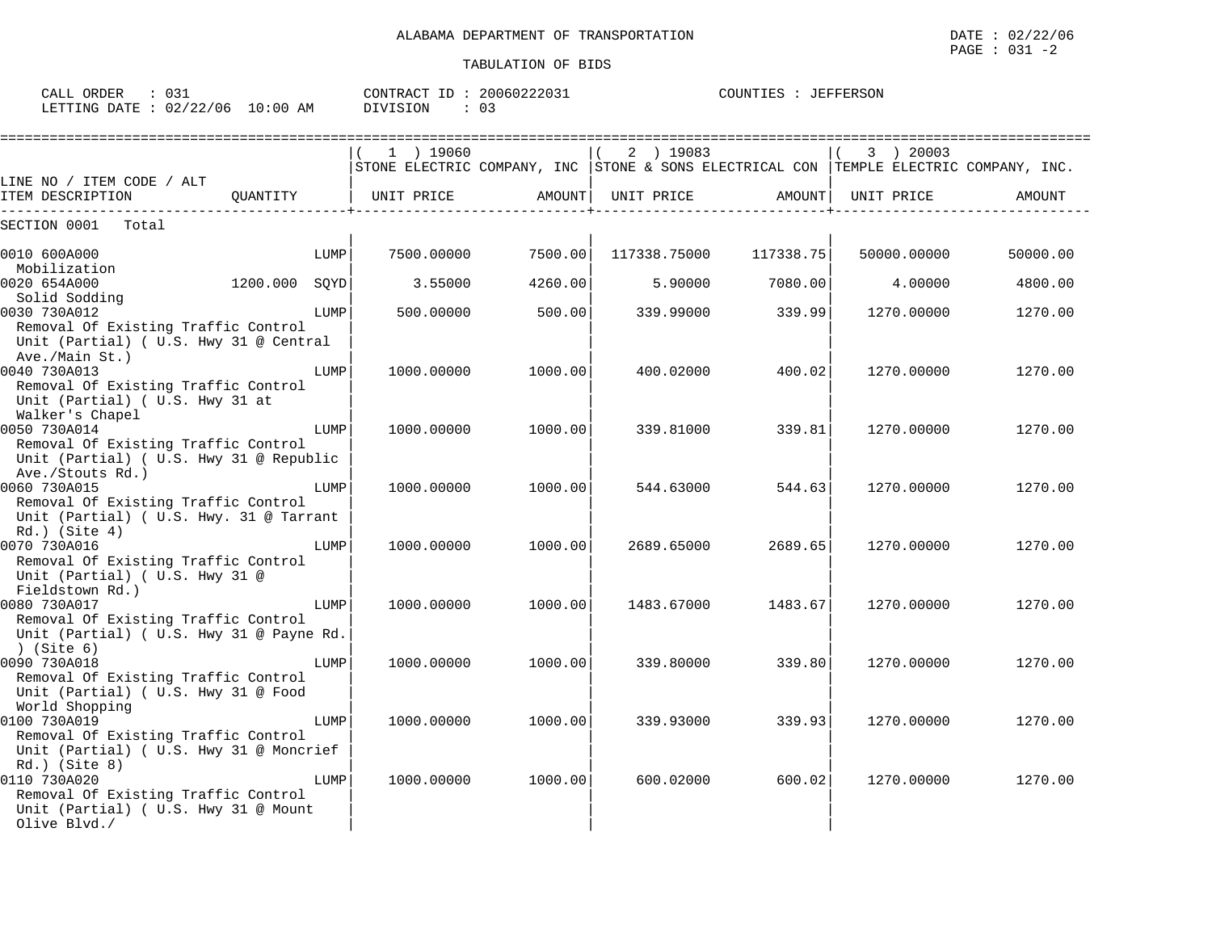| ົດ ລ້<br>ORDER<br>CALL<br>∪3⊥ |            | CONTRACT<br>ID | 20060222031 | <b>JEFFERSON</b><br>COUNTIES |
|-------------------------------|------------|----------------|-------------|------------------------------|
| 02/22/06<br>LETTING DATE      | $10:00$ AM | DIVISION       | ັບ          |                              |

|                                                                                                    |      | $(1)$ 19060 |         |            | 2 ) 19083                  | 3 ) 20003                                                                             |          |
|----------------------------------------------------------------------------------------------------|------|-------------|---------|------------|----------------------------|---------------------------------------------------------------------------------------|----------|
|                                                                                                    |      |             |         |            |                            | STONE ELECTRIC COMPANY, INC STONE & SONS ELECTRICAL CON TEMPLE ELECTRIC COMPANY, INC. |          |
| LINE NO / ITEM CODE / ALT                                                                          |      |             |         |            |                            |                                                                                       |          |
|                                                                                                    |      |             |         |            |                            |                                                                                       | AMOUNT   |
| SECTION 0001<br>Total                                                                              |      |             |         |            |                            |                                                                                       |          |
| 0010 600A000                                                                                       | LUMP | 7500.00000  | 7500.00 |            | $117338.75000$ $117338.75$ | 50000.00000                                                                           | 50000.00 |
| Mobilization<br>$1200.000$ SQYD<br>0020 654A000                                                    |      | 3.55000     | 4260.00 | 5.90000    | 7080.00                    | 4.00000                                                                               | 4800.00  |
| Solid Sodding                                                                                      |      |             |         |            |                            |                                                                                       |          |
| 0030 730A012                                                                                       | LUMP | 500,00000   | 500.00  | 339.99000  | 339.99                     | 1270.00000                                                                            | 1270.00  |
| Removal Of Existing Traffic Control<br>Unit (Partial) ( U.S. Hwy 31 @ Central<br>Ave./Main St.)    |      |             |         |            |                            |                                                                                       |          |
| 0040 730A013                                                                                       | LUMP | 1000.00000  | 1000.00 | 400.02000  | 400.02                     | 1270.00000                                                                            | 1270.00  |
| Removal Of Existing Traffic Control<br>Unit (Partial) ( U.S. Hwy 31 at<br>Walker's Chapel          |      |             |         |            |                            |                                                                                       |          |
| 0050 730A014                                                                                       | LUMP | 1000.00000  | 1000.00 | 339.81000  | 339.81                     | 1270.00000                                                                            | 1270.00  |
| Removal Of Existing Traffic Control<br>Unit (Partial) ( U.S. Hwy 31 @ Republic<br>Ave./Stouts Rd.) |      |             |         |            |                            |                                                                                       |          |
| 0060 730A015                                                                                       | LUMP | 1000.00000  | 1000.00 | 544.63000  | 544.63                     | 1270.00000                                                                            | 1270.00  |
| Removal Of Existing Traffic Control<br>Unit (Partial) ( U.S. Hwy. 31 @ Tarrant<br>$Rd.$ ) (Site 4) |      |             |         |            |                            |                                                                                       |          |
| 0070 730A016                                                                                       | LUMP | 1000.00000  | 1000.00 | 2689.65000 | 2689.65                    | 1270.00000                                                                            | 1270.00  |
| Removal Of Existing Traffic Control<br>Unit (Partial) ( U.S. Hwy 31 @<br>Fieldstown Rd.)           |      |             |         |            |                            |                                                                                       |          |
| 0080 730A017                                                                                       | LUMP | 1000.00000  | 1000.00 | 1483.67000 | 1483.67                    | 1270.00000                                                                            | 1270.00  |
| Removal Of Existing Traffic Control<br>Unit (Partial) ( U.S. Hwy 31 @ Payne Rd.<br>) (Site 6)      |      |             |         |            |                            |                                                                                       |          |
| 0090 730A018                                                                                       | LUMP | 1000.00000  | 1000.00 | 339.80000  | 339.80                     | 1270.00000                                                                            | 1270.00  |
| Removal Of Existing Traffic Control<br>Unit (Partial) ( U.S. Hwy 31 @ Food<br>World Shopping       |      |             |         |            |                            |                                                                                       |          |
| 0100 730A019                                                                                       | LUMP | 1000.00000  | 1000.00 | 339.93000  | 339.93                     | 1270.00000                                                                            | 1270.00  |
| Removal Of Existing Traffic Control<br>Unit (Partial) ( U.S. Hwy 31 @ Moncrief<br>$Rd.$ ) (Site 8) |      |             |         |            |                            |                                                                                       |          |
| 0110 730A020                                                                                       | LUMP | 1000.00000  | 1000.00 | 600.02000  | 600.02                     | 1270.00000                                                                            | 1270.00  |
| Removal Of Existing Traffic Control<br>Unit (Partial) ( U.S. Hwy 31 @ Mount<br>Olive Blvd./        |      |             |         |            |                            |                                                                                       |          |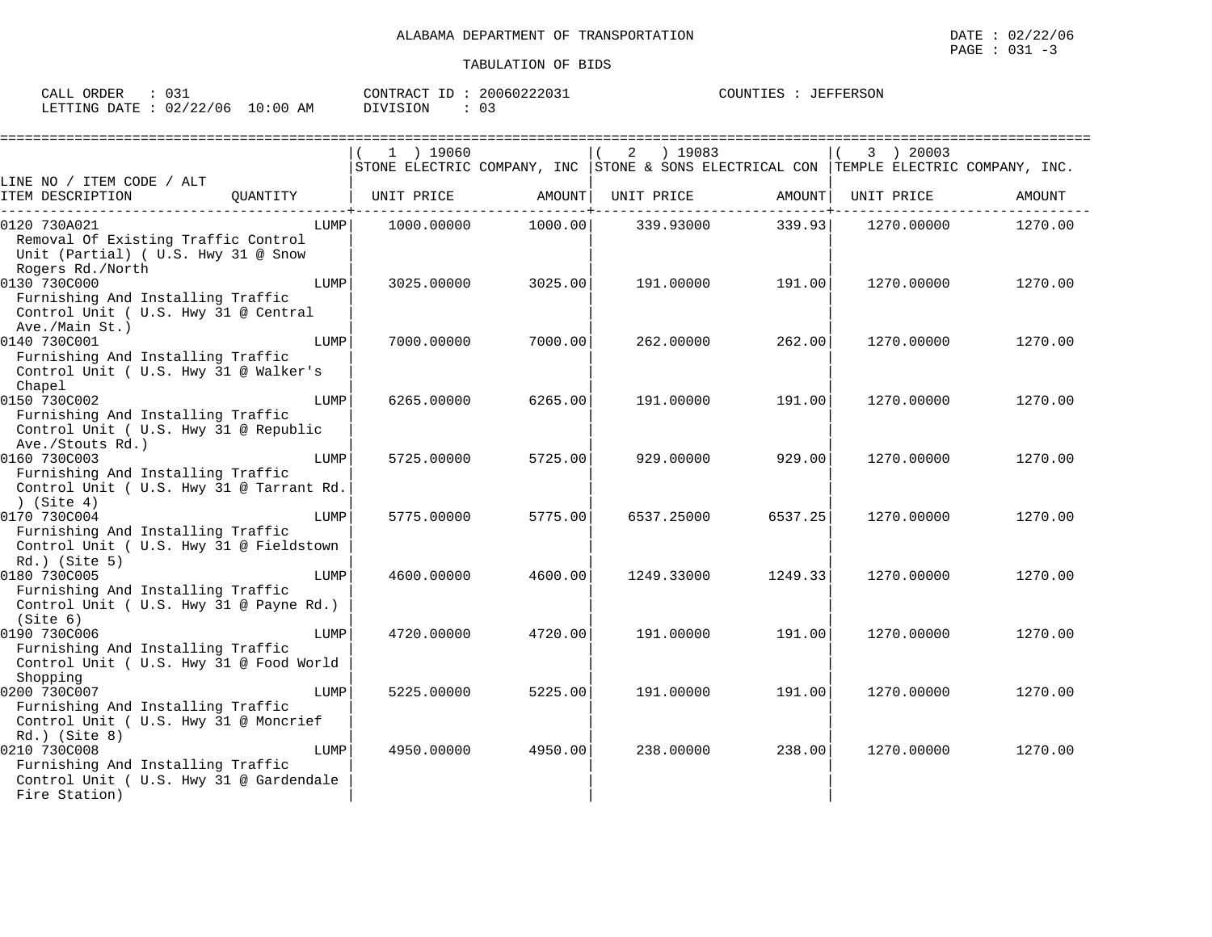| ORDER<br>$\sim$ $\sim$ $\sim$<br>لىلەك |                 | 20060222031<br>CONTRACT ID                     | JEFFERSON<br>COUNTIES |
|----------------------------------------|-----------------|------------------------------------------------|-----------------------|
| 02/22/06<br><b>DATE</b><br>LETTING     | ! 0 : 0 0<br>AM | <b>DIVISION</b><br>$\sim$ $\sim$<br>ັັ<br>ᄔ노ᇰᅩ |                       |

|                                                   |      | 1 ) 19060  |         | ) 19083<br>2 |                                     | 3 ) 20003                                                                             |         |
|---------------------------------------------------|------|------------|---------|--------------|-------------------------------------|---------------------------------------------------------------------------------------|---------|
|                                                   |      |            |         |              |                                     | STONE ELECTRIC COMPANY, INC STONE & SONS ELECTRICAL CON TEMPLE ELECTRIC COMPANY, INC. |         |
| LINE NO / ITEM CODE / ALT                         |      |            |         |              |                                     |                                                                                       |         |
| ITEM DESCRIPTION<br>OUANTITY                      |      | UNIT PRICE | AMOUNT  | UNIT PRICE   | AMOUNT  <br>. _ _ _ _ _ _ _ _ _ _ 1 | UNIT PRICE                                                                            | AMOUNT  |
| 0120 730A021                                      | LUMP | 1000.00000 | 1000.00 | 339.93000    | 339.93                              | 1270.00000                                                                            | 1270.00 |
| Removal Of Existing Traffic Control               |      |            |         |              |                                     |                                                                                       |         |
| Unit (Partial) ( U.S. Hwy 31 @ Snow               |      |            |         |              |                                     |                                                                                       |         |
| Rogers Rd./North                                  |      |            |         |              |                                     |                                                                                       |         |
| 0130 730C000                                      | LUMP | 3025.00000 | 3025.00 | 191.00000    | 191.00                              | 1270.00000                                                                            | 1270.00 |
| Furnishing And Installing Traffic                 |      |            |         |              |                                     |                                                                                       |         |
| Control Unit ( U.S. Hwy 31 @ Central              |      |            |         |              |                                     |                                                                                       |         |
| Ave./Main St.)                                    | LUMP |            |         |              |                                     |                                                                                       |         |
| 0140 730C001<br>Furnishing And Installing Traffic |      | 7000.00000 | 7000.00 | 262.00000    | 262.00                              | 1270.00000                                                                            | 1270.00 |
| Control Unit ( U.S. Hwy 31 @ Walker's             |      |            |         |              |                                     |                                                                                       |         |
| Chapel                                            |      |            |         |              |                                     |                                                                                       |         |
| 0150 730C002                                      | LUMP | 6265.00000 | 6265.00 | 191.00000    | 191.00                              | 1270.00000                                                                            | 1270.00 |
| Furnishing And Installing Traffic                 |      |            |         |              |                                     |                                                                                       |         |
| Control Unit ( U.S. Hwy 31 @ Republic             |      |            |         |              |                                     |                                                                                       |         |
| Ave./Stouts Rd.)                                  |      |            |         |              |                                     |                                                                                       |         |
| 0160 730C003                                      | LUMP | 5725.00000 | 5725.00 | 929.00000    | 929.00                              | 1270.00000                                                                            | 1270.00 |
| Furnishing And Installing Traffic                 |      |            |         |              |                                     |                                                                                       |         |
| Control Unit ( U.S. Hwy 31 @ Tarrant Rd.          |      |            |         |              |                                     |                                                                                       |         |
| )(Site 4)                                         |      |            |         |              |                                     |                                                                                       |         |
| 0170 730C004                                      | LUMP | 5775.00000 | 5775.00 | 6537.25000   | 6537.25                             | 1270.00000                                                                            | 1270.00 |
| Furnishing And Installing Traffic                 |      |            |         |              |                                     |                                                                                       |         |
| Control Unit ( U.S. Hwy 31 @ Fieldstown           |      |            |         |              |                                     |                                                                                       |         |
| $Rd.$ ) (Site 5)<br>0180 730C005                  | LUMP | 4600.00000 | 4600.00 | 1249.33000   | 1249.33                             | 1270.00000                                                                            | 1270.00 |
| Furnishing And Installing Traffic                 |      |            |         |              |                                     |                                                                                       |         |
| Control Unit ( U.S. Hwy 31 @ Payne Rd.)           |      |            |         |              |                                     |                                                                                       |         |
| (Site 6)                                          |      |            |         |              |                                     |                                                                                       |         |
| 0190 730C006                                      | LUMP | 4720.00000 | 4720.00 | 191.00000    | 191.00                              | 1270.00000                                                                            | 1270.00 |
| Furnishing And Installing Traffic                 |      |            |         |              |                                     |                                                                                       |         |
| Control Unit ( U.S. Hwy 31 @ Food World           |      |            |         |              |                                     |                                                                                       |         |
| Shopping                                          |      |            |         |              |                                     |                                                                                       |         |
| 0200 730C007                                      | LUMP | 5225.00000 | 5225.00 | 191.00000    | 191.00                              | 1270.00000                                                                            | 1270.00 |
| Furnishing And Installing Traffic                 |      |            |         |              |                                     |                                                                                       |         |
| Control Unit ( U.S. Hwy 31 @ Moncrief             |      |            |         |              |                                     |                                                                                       |         |
| $Rd.$ ) (Site 8)                                  |      |            |         |              |                                     |                                                                                       |         |
| 0210 730C008                                      | LUMP | 4950.00000 | 4950.00 | 238.00000    | 238.00                              | 1270.00000                                                                            | 1270.00 |
| Furnishing And Installing Traffic                 |      |            |         |              |                                     |                                                                                       |         |
| Control Unit ( U.S. Hwy 31 @ Gardendale           |      |            |         |              |                                     |                                                                                       |         |
| Fire Station)                                     |      |            |         |              |                                     |                                                                                       |         |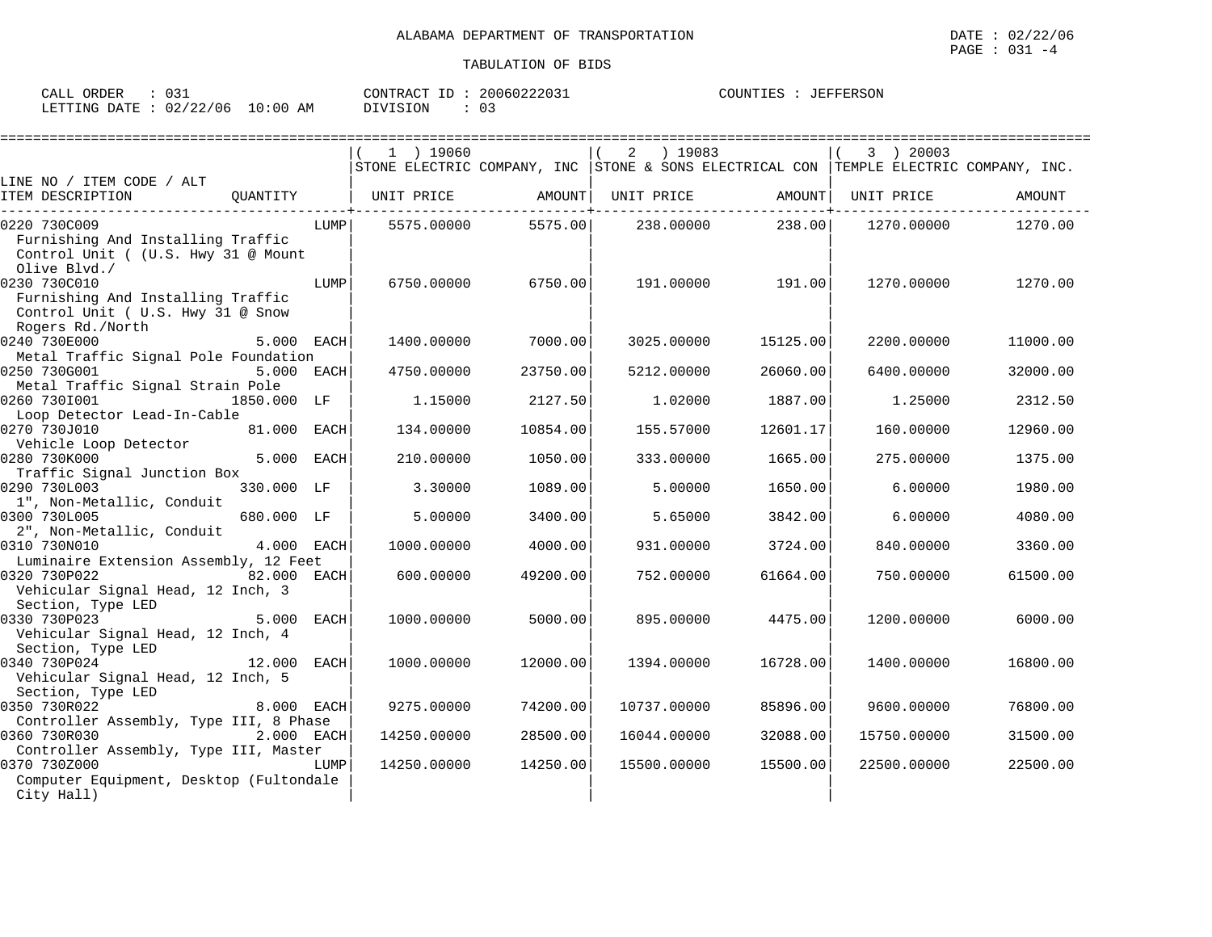| ORDER<br>CALL | ~ ~<br>◡◡∸             | 20060222031<br>CONTRACT ID | JEFFERSON<br>COUNTIES |
|---------------|------------------------|----------------------------|-----------------------|
| LETTING DATE  | $10:00$ AM<br>02/22/06 | 03<br>DIVISION             |                       |

|                                                                                                            |            | $1$ ) 19060 |          | 2<br>) 19083 |          | 3 ) 20003<br>STONE ELECTRIC COMPANY, INC STONE & SONS ELECTRICAL CON TEMPLE ELECTRIC COMPANY, INC. |          |
|------------------------------------------------------------------------------------------------------------|------------|-------------|----------|--------------|----------|----------------------------------------------------------------------------------------------------|----------|
| LINE NO / ITEM CODE / ALT<br>OUANTITY<br>ITEM DESCRIPTION                                                  |            | UNIT PRICE  | AMOUNT   | UNIT PRICE   | AMOUNT   | UNIT PRICE                                                                                         | AMOUNT   |
| 0220 730C009<br>Furnishing And Installing Traffic<br>Control Unit ( (U.S. Hwy 31 @ Mount<br>Olive Blvd./   | LUMPI      | 5575.00000  | 5575.00  | 238.00000    | 238.00   | 1270.00000                                                                                         | 1270.00  |
| 0230 730C010<br>Furnishing And Installing Traffic<br>Control Unit ( U.S. Hwy 31 @ Snow<br>Rogers Rd./North | LUMP       | 6750.00000  | 6750.00  | 191.00000    | 191.00   | 1270.00000                                                                                         | 1270.00  |
| 0240 730E000                                                                                               | 5.000 EACH | 1400.00000  | 7000.00  | 3025.00000   | 15125.00 | 2200.00000                                                                                         | 11000.00 |
| Metal Traffic Signal Pole Foundation<br>0250 730G001<br>Metal Traffic Signal Strain Pole                   | 5.000 EACH | 4750.00000  | 23750.00 | 5212.00000   | 26060.00 | 6400.00000                                                                                         | 32000.00 |
| 0260 7301001<br>1850.000 LF<br>Loop Detector Lead-In-Cable                                                 |            | 1.15000     | 2127.50  | 1,02000      | 1887.00  | 1.25000                                                                                            | 2312.50  |
| 0270 730J010<br>81.000 EACH<br>Vehicle Loop Detector                                                       |            | 134.00000   | 10854.00 | 155.57000    | 12601.17 | 160.00000                                                                                          | 12960.00 |
| 0280 730K000<br>Traffic Signal Junction Box                                                                | 5.000 EACH | 210.00000   | 1050.00  | 333.00000    | 1665.00  | 275.00000                                                                                          | 1375.00  |
| 0290 730L003<br>330.000 LF<br>1", Non-Metallic, Conduit                                                    |            | 3.30000     | 1089.00  | 5.00000      | 1650.00  | 6.00000                                                                                            | 1980.00  |
| 0300 730L005<br>680.000 LF<br>2", Non-Metallic, Conduit                                                    |            | 5.00000     | 3400.00  | 5.65000      | 3842.00  | 6,00000                                                                                            | 4080.00  |
| 0310 730N010<br>Luminaire Extension Assembly, 12 Feet                                                      | 4.000 EACH | 1000.00000  | 4000.00  | 931.00000    | 3724.00  | 840.00000                                                                                          | 3360.00  |
| 0320 730P022<br>82.000 EACH<br>Vehicular Signal Head, 12 Inch, 3<br>Section, Type LED                      |            | 600.00000   | 49200.00 | 752.00000    | 61664.00 | 750.00000                                                                                          | 61500.00 |
| 0330 730P023<br>Vehicular Signal Head, 12 Inch, 4<br>Section, Type LED                                     | 5.000 EACH | 1000.00000  | 5000.00  | 895.00000    | 4475.00  | 1200.00000                                                                                         | 6000.00  |
| 0340 730P024<br>12.000 EACH<br>Vehicular Signal Head, 12 Inch, 5<br>Section, Type LED                      |            | 1000.00000  | 12000.00 | 1394.00000   | 16728.00 | 1400.00000                                                                                         | 16800.00 |
| 0350 730R022<br>Controller Assembly, Type III, 8 Phase                                                     | 8.000 EACH | 9275.00000  | 74200.00 | 10737.00000  | 85896.00 | 9600.00000                                                                                         | 76800.00 |
| 0360 730R030<br>Controller Assembly, Type III, Master                                                      | 2.000 EACH | 14250.00000 | 28500.00 | 16044.00000  | 32088.00 | 15750.00000                                                                                        | 31500.00 |
| 0370 730Z000<br>Computer Equipment, Desktop (Fultondale<br>City Hall)                                      | LUMP       | 14250.00000 | 14250.00 | 15500.00000  | 15500.00 | 22500.00000                                                                                        | 22500.00 |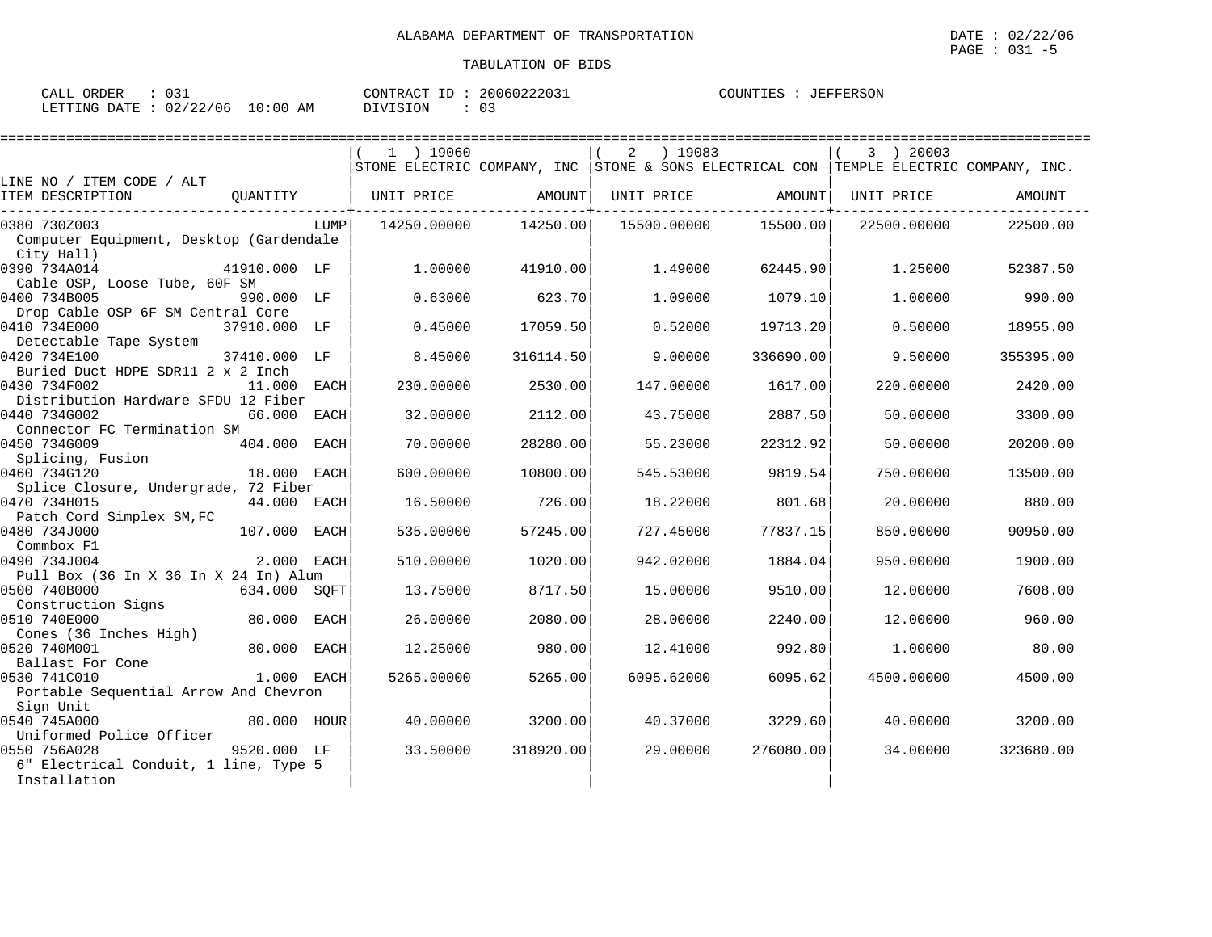| $\sim$ $\sim$ $\sim$<br>ORDER<br>CALI<br>ب- ≀<br>◡◡∸      |                   | סידיזו∩ר<br>$H \times \Delta$ CIT<br>$-1$ | $\sim$ $\sim$ $\sim$ $\sim$ $\sim$ $\sim$<br>20060<br>13<br>3 Z U 3 T | $\bigcap$ $\bigcap$ $\bigcap$ $\bigcap$ $\bigcap$ $\bigcap$ $\bigcap$ $\bigcap$<br>:FFERSON<br>-- |
|-----------------------------------------------------------|-------------------|-------------------------------------------|-----------------------------------------------------------------------|---------------------------------------------------------------------------------------------------|
| $\sim$ $\sim$<br>06<br>02<br>LETTING<br><b>DATE</b><br>∠∠ | AΜ<br>:00<br>- 11 | SION                                      | $\sim$<br>. U                                                         |                                                                                                   |

|                                                       |              |      | $1$ ) 19060 |           | ) 19083<br>2 |           | 3 ) 20003                                                                             |           |
|-------------------------------------------------------|--------------|------|-------------|-----------|--------------|-----------|---------------------------------------------------------------------------------------|-----------|
|                                                       |              |      |             |           |              |           | STONE ELECTRIC COMPANY, INC STONE & SONS ELECTRICAL CON TEMPLE ELECTRIC COMPANY, INC. |           |
| LINE NO / ITEM CODE / ALT<br>ITEM DESCRIPTION         | OUANTITY     |      | UNIT PRICE  | AMOUNT    | UNIT PRICE   | AMOUNT    | UNIT PRICE                                                                            | AMOUNT    |
|                                                       |              |      |             |           |              |           |                                                                                       |           |
| 0380 730Z003                                          |              | LUMP | 14250.00000 | 14250.00  | 15500.00000  | 15500.00  | 22500.00000                                                                           | 22500.00  |
| Computer Equipment, Desktop (Gardendale               |              |      |             |           |              |           |                                                                                       |           |
| City Hall)                                            |              |      |             |           |              |           |                                                                                       |           |
| 0390 734A014<br>Cable OSP, Loose Tube, 60F SM         | 41910.000 LF |      | 1,00000     | 41910.00  | 1.49000      | 62445.90  | 1,25000                                                                               | 52387.50  |
| 0400 734B005                                          | 990.000 LF   |      | 0.63000     | 623.70    | 1,09000      | 1079.10   | 1,00000                                                                               | 990.00    |
| Drop Cable OSP 6F SM Central Core                     |              |      |             |           |              |           |                                                                                       |           |
| 0410 734E000                                          | 37910.000 LF |      | 0.45000     | 17059.50  | 0.52000      | 19713.20  | 0.50000                                                                               | 18955.00  |
| Detectable Tape System                                |              |      |             |           |              |           |                                                                                       |           |
| 0420 734E100                                          | 37410.000 LF |      | 8.45000     | 316114.50 | 9.00000      | 336690.00 | 9.50000                                                                               | 355395.00 |
| Buried Duct HDPE SDR11 2 x 2 Inch                     |              |      |             |           |              |           |                                                                                       |           |
| 0430 734F002                                          | 11,000       | EACH | 230.00000   | 2530.00   | 147.00000    | 1617.00   | 220,00000                                                                             | 2420.00   |
| Distribution Hardware SFDU 12 Fiber<br>0440 734G002   | 66.000       | EACH | 32.00000    | 2112.00   | 43.75000     | 2887.50   | 50.00000                                                                              | 3300.00   |
| Connector FC Termination SM                           |              |      |             |           |              |           |                                                                                       |           |
| 0450 734G009                                          | 404.000      | EACH | 70.00000    | 28280.00  | 55.23000     | 22312.92  | 50.00000                                                                              | 20200.00  |
| Splicing, Fusion                                      |              |      |             |           |              |           |                                                                                       |           |
| 0460 734G120                                          | 18.000 EACH  |      | 600.00000   | 10800.00  | 545.53000    | 9819.54   | 750.00000                                                                             | 13500.00  |
| Splice Closure, Undergrade, 72 Fiber                  |              |      |             |           |              |           |                                                                                       |           |
| 0470 734H015                                          | 44.000 EACH  |      | 16.50000    | 726.00    | 18.22000     | 801.68    | 20.00000                                                                              | 880.00    |
| Patch Cord Simplex SM, FC<br>0480 734J000             | 107.000      | EACH | 535.00000   | 57245.00  | 727.45000    | 77837.15  | 850.00000                                                                             | 90950.00  |
| Commbox F1                                            |              |      |             |           |              |           |                                                                                       |           |
| 0490 734J004                                          | 2.000 EACH   |      | 510.00000   | 1020.00   | 942.02000    | 1884.04   | 950.00000                                                                             | 1900.00   |
| Pull Box (36 In X 36 In X 24 In) Alum                 |              |      |             |           |              |           |                                                                                       |           |
| 0500 740B000                                          | 634.000 SQFT |      | 13.75000    | 8717.50   | 15,00000     | 9510.00   | 12.00000                                                                              | 7608.00   |
| Construction Signs                                    |              |      |             |           |              |           |                                                                                       |           |
| 0510 740E000                                          | 80.000       | EACH | 26.00000    | 2080.00   | 28.00000     | 2240.00   | 12.00000                                                                              | 960.00    |
| Cones (36 Inches High)<br>0520 740M001                | 80.000 EACH  |      | 12.25000    | 980.00    | 12.41000     | 992.80    | 1,00000                                                                               | 80.00     |
| Ballast For Cone                                      |              |      |             |           |              |           |                                                                                       |           |
| 0530 741C010                                          | 1.000 EACH   |      | 5265.00000  | 5265.00   | 6095.62000   | 6095.62   | 4500.00000                                                                            | 4500.00   |
| Portable Sequential Arrow And Chevron                 |              |      |             |           |              |           |                                                                                       |           |
| Sign Unit                                             |              |      |             |           |              |           |                                                                                       |           |
| 0540 745A000                                          | 80.000 HOUR  |      | 40.00000    | 3200.00   | 40.37000     | 3229.60   | 40.00000                                                                              | 3200.00   |
| Uniformed Police Officer                              |              |      |             |           |              |           |                                                                                       |           |
| 0550 756A028                                          | 9520.000 LF  |      | 33.50000    | 318920.00 | 29,00000     | 276080.00 | 34.00000                                                                              | 323680.00 |
| 6" Electrical Conduit, 1 line, Type 5<br>Installation |              |      |             |           |              |           |                                                                                       |           |
|                                                       |              |      |             |           |              |           |                                                                                       |           |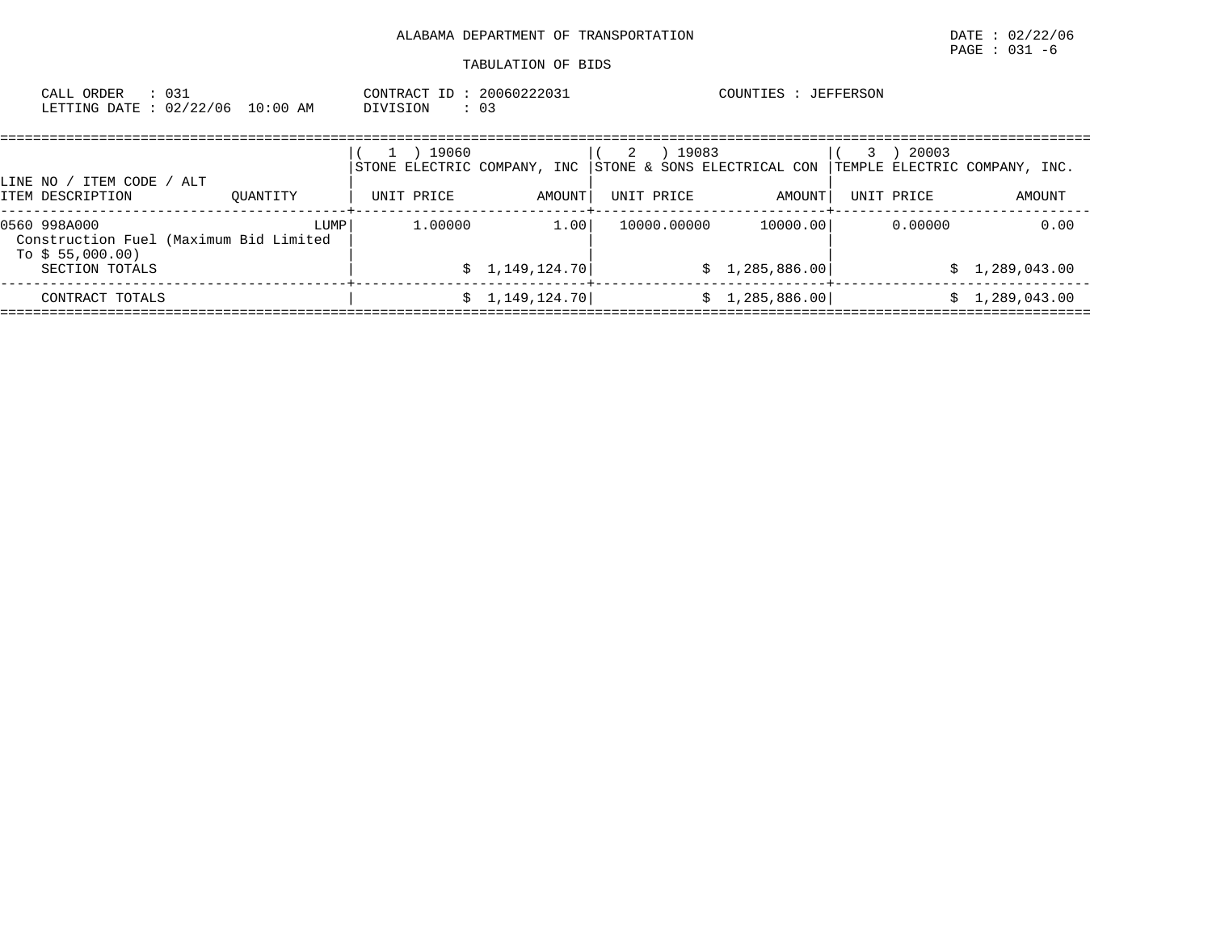|              | CALL ORDER<br>LETTING DATE: 02/22/06 10:00 AM                                | : 031 |          |      | CONTRACT ID: 20060222031<br>DIVISION               | $\cdot$ 03              |                 |             | COUNTIES : JEFFERSON                  |   |                                                      |                |        |
|--------------|------------------------------------------------------------------------------|-------|----------|------|----------------------------------------------------|-------------------------|-----------------|-------------|---------------------------------------|---|------------------------------------------------------|----------------|--------|
|              | LINE NO / ITEM CODE<br>ITEM DESCRIPTION                                      | / ALT | OUANTITY |      | 19060<br>STONE ELECTRIC COMPANY, INC<br>UNIT PRICE | AMOUNT                  | 2<br>UNIT PRICE | 19083       | STONE & SONS ELECTRICAL CON<br>AMOUNT | 3 | 20003<br>TEMPLE ELECTRIC COMPANY, INC.<br>UNIT PRICE |                | AMOUNT |
| 0560 998A000 | Construction Fuel (Maximum Bid Limited<br>To $$55,000.00)$<br>SECTION TOTALS |       |          | LUMP | 1,00000                                            | 1.00<br>\$1,149,124.70] |                 | 10000.00000 | 10000.00<br>\$1,285,886.00            |   | 0.00000                                              | \$1,289,043.00 | 0.00   |
|              | CONTRACT TOTALS                                                              |       |          |      |                                                    | \$1,149,124.70]         |                 |             | \$1,285,886.00]                       |   |                                                      | \$1,289,043.00 |        |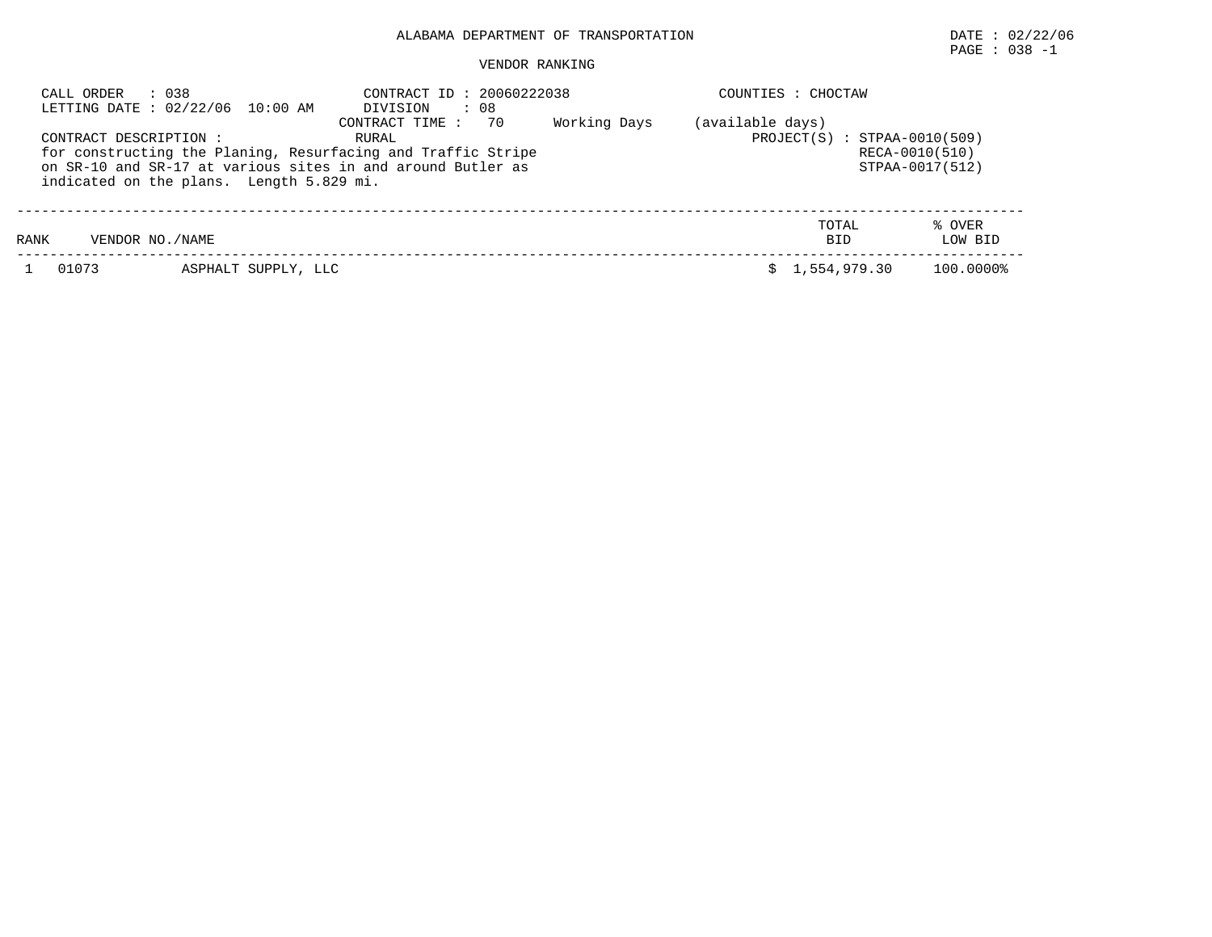# $\texttt{PAGE}$  : 038 -1

#### VENDOR RANKING

| CALL ORDER            | : 038<br>LETTING DATE: 02/22/06 10:00 AM                                                                                                                                | CONTRACT ID: 20060222038<br>$\therefore$ 08<br>DIVISION                                 |  | COUNTIES : CHOCTAW |                     |                   |
|-----------------------|-------------------------------------------------------------------------------------------------------------------------------------------------------------------------|-----------------------------------------------------------------------------------------|--|--------------------|---------------------|-------------------|
| CONTRACT DESCRIPTION: | for constructing the Planing, Resurfacing and Traffic Stripe<br>on SR-10 and SR-17 at various sites in and around Butler as<br>indicated on the plans. Length 5.829 mi. | (available days)<br>$PROJECT(S) : STPAA-0010(509)$<br>RECA-0010(510)<br>STPAA-0017(512) |  |                    |                     |                   |
| RANK                  | VENDOR NO./NAME                                                                                                                                                         |                                                                                         |  |                    | TOTAL<br><b>BID</b> | % OVER<br>LOW BID |
| 01073                 | ASPHALT SUPPLY, LLC                                                                                                                                                     |                                                                                         |  |                    | \$1.554.979.30      | 100.0000%         |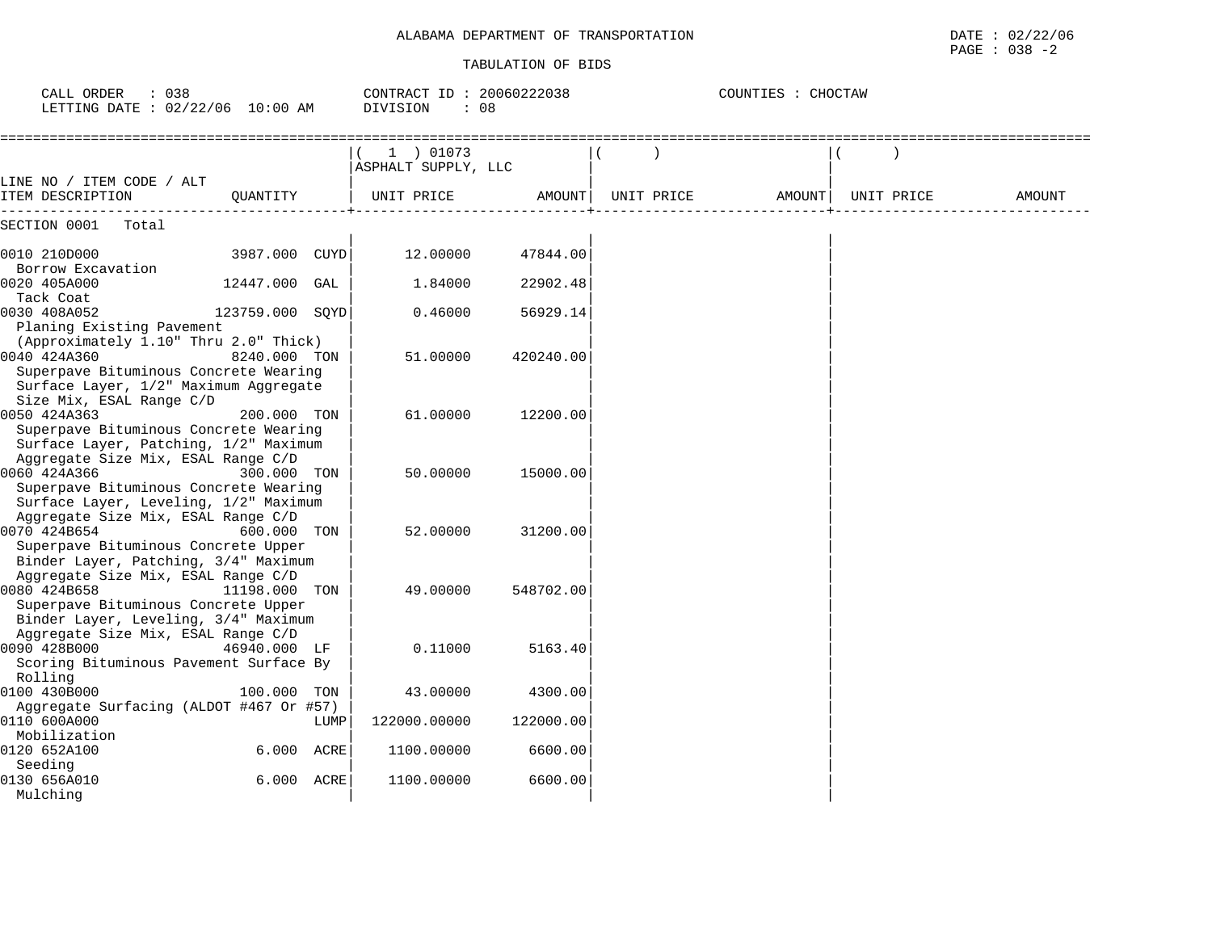| : 038<br>CALL ORDER<br>LETTING DATE : 02/22/06 10:00 AM                                                              |                 |      | CONTRACT ID: 20060222038<br><b>DIVISION</b><br>: 08 |           |            | COUNTIES : CHOCTAW |            |        |
|----------------------------------------------------------------------------------------------------------------------|-----------------|------|-----------------------------------------------------|-----------|------------|--------------------|------------|--------|
|                                                                                                                      |                 |      | 1 ) 01073<br>ASPHALT SUPPLY, LLC                    |           |            |                    |            |        |
| LINE NO / ITEM CODE / ALT<br>ITEM DESCRIPTION                                                                        | OUANTITY        |      | UNIT PRICE                                          | AMOUNT    | UNIT PRICE | AMOUNT             | UNIT PRICE | AMOUNT |
| SECTION 0001<br>Total                                                                                                |                 |      |                                                     |           |            |                    |            |        |
| 0010 210D000                                                                                                         | 3987.000 CUYD   |      | 12.00000                                            | 47844.00  |            |                    |            |        |
| Borrow Excavation<br>0020 405A000                                                                                    | 12447.000       | GAL  | 1.84000                                             | 22902.48  |            |                    |            |        |
| Tack Coat<br>0030 408A052<br>Planing Existing Pavement                                                               | 123759.000 SQYD |      | 0.46000                                             | 56929.14  |            |                    |            |        |
| (Approximately 1.10" Thru 2.0" Thick)<br>0040 424A360<br>Superpave Bituminous Concrete Wearing                       | 8240.000 TON    |      | 51,00000                                            | 420240.00 |            |                    |            |        |
| Surface Layer, 1/2" Maximum Aggregate<br>Size Mix, ESAL Range C/D<br>0050 424A363                                    | 200.000 TON     |      | 61.00000                                            | 12200.00  |            |                    |            |        |
| Superpave Bituminous Concrete Wearing<br>Surface Layer, Patching, 1/2" Maximum<br>Aggregate Size Mix, ESAL Range C/D |                 |      |                                                     |           |            |                    |            |        |
| 0060 424A366<br>Superpave Bituminous Concrete Wearing                                                                | 300.000 TON     |      | 50.00000                                            | 15000.00  |            |                    |            |        |
| Surface Layer, Leveling, 1/2" Maximum<br>Aggregate Size Mix, ESAL Range C/D<br>0070 424B654                          | 600.000 TON     |      | 52.00000                                            | 31200.00  |            |                    |            |        |
| Superpave Bituminous Concrete Upper<br>Binder Layer, Patching, 3/4" Maximum<br>Aggregate Size Mix, ESAL Range C/D    |                 |      |                                                     |           |            |                    |            |        |
| 0080 424B658<br>Superpave Bituminous Concrete Upper<br>Binder Layer, Leveling, 3/4" Maximum                          | 11198.000 TON   |      | 49,00000                                            | 548702.00 |            |                    |            |        |
| Aggregate Size Mix, ESAL Range C/D<br>0090 428B000<br>Scoring Bituminous Pavement Surface By                         | 46940.000 LF    |      | 0.11000                                             | 5163.40   |            |                    |            |        |
| Rolling<br>0100 430B000<br>Aggregate Surfacing (ALDOT #467 Or #57)                                                   | 100.000 TON     |      | 43.00000                                            | 4300.00   |            |                    |            |        |
| 0110 600A000<br>Mobilization                                                                                         |                 | LUMP | 122000.00000                                        | 122000.00 |            |                    |            |        |
| 0120 652A100<br>Seeding                                                                                              | 6.000 ACRE      |      | 1100.00000                                          | 6600.00   |            |                    |            |        |
| 0130 656A010<br>Mulching                                                                                             | 6.000 ACRE      |      | 1100.00000                                          | 6600.00   |            |                    |            |        |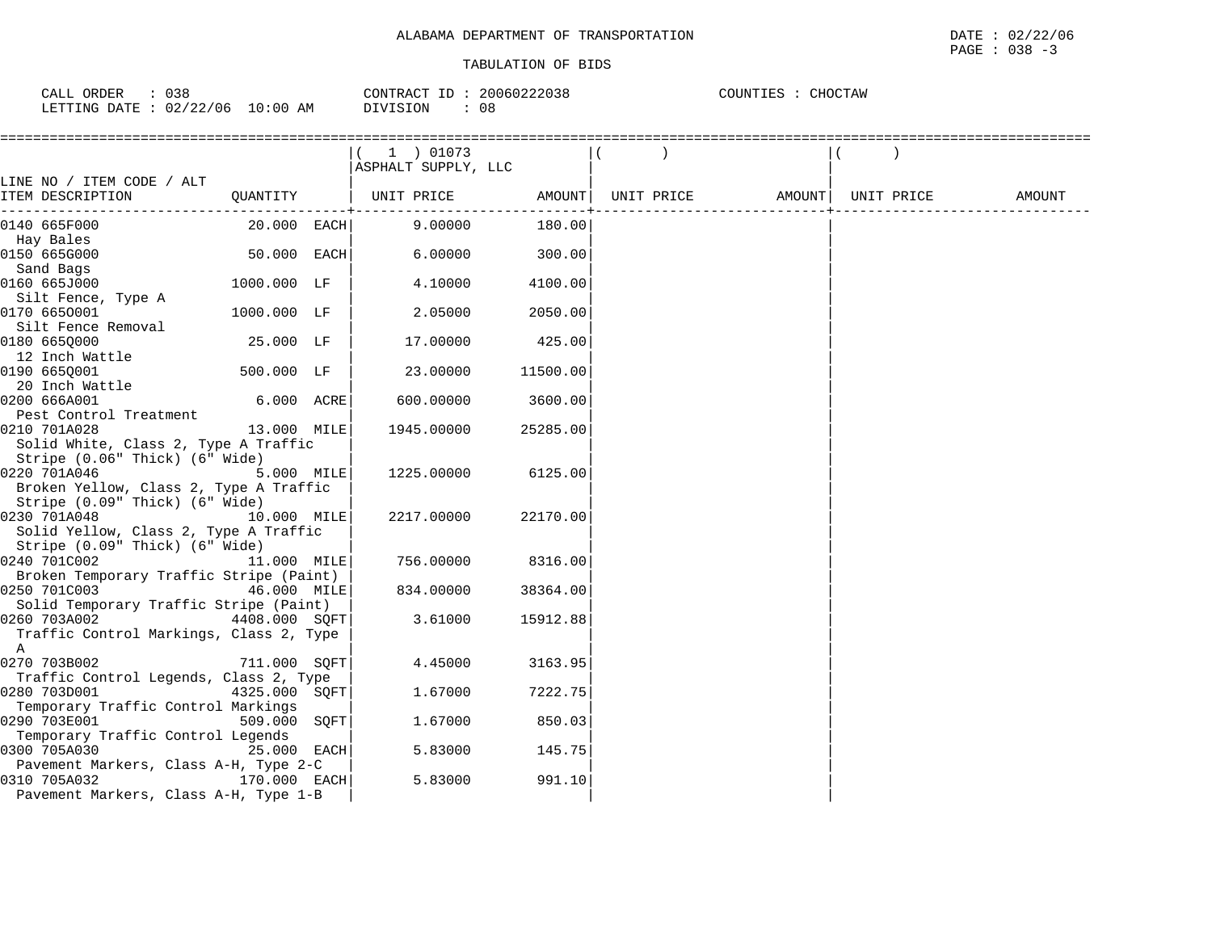| CALL ORDER                      | : 038 |          | CONTRACT ID: 20060222038 | COUNTIES : CHOCTAW |
|---------------------------------|-------|----------|--------------------------|--------------------|
| LETTING DATE: 02/22/06 10:00 AM |       | DIVISION | 08                       |                    |

|                                                    |               | $(1)$ 01073                  |          |                                |        |
|----------------------------------------------------|---------------|------------------------------|----------|--------------------------------|--------|
|                                                    |               | ASPHALT SUPPLY, LLC          |          |                                |        |
| LINE NO / ITEM CODE / ALT                          |               |                              |          |                                |        |
| ITEM DESCRIPTION                                   |               | QUANTITY   UNIT PRICE AMOUNT |          | UNIT PRICE AMOUNT   UNIT PRICE | AMOUNT |
| 0140 665F000                                       | 20.000 EACH   | 9.00000                      | 180.00   |                                |        |
| Hay Bales                                          |               |                              |          |                                |        |
| 0150 665G000                                       | 50.000 EACH   | 6.00000                      | 300.00   |                                |        |
| Sand Bags<br>0160 665J000                          | 1000.000 LF   | 4.10000                      | 4100.00  |                                |        |
| Silt Fence, Type A                                 |               |                              |          |                                |        |
| 0170 6650001                                       | 1000.000 LF   | 2.05000                      | 2050.00  |                                |        |
| Silt Fence Removal                                 |               |                              |          |                                |        |
| 0180 6650000                                       | 25.000 LF     | 17.00000                     | 425.00   |                                |        |
| 12 Inch Wattle                                     |               |                              |          |                                |        |
| 0190 665Q001                                       | 500.000 LF    | 23.00000                     | 11500.00 |                                |        |
| 20 Inch Wattle                                     |               |                              |          |                                |        |
| 0200 666A001                                       | 6.000 ACRE    | 600.00000                    | 3600.00  |                                |        |
| Pest Control Treatment                             |               |                              |          |                                |        |
| 0210 701A028                                       | 13.000 MILE   | 1945.00000                   | 25285.00 |                                |        |
| Solid White, Class 2, Type A Traffic               |               |                              |          |                                |        |
| Stripe (0.06" Thick) (6" Wide)                     |               |                              |          |                                |        |
| 0220 701A046                                       | 5.000 MILE    | 1225.00000                   | 6125.00  |                                |        |
| Broken Yellow, Class 2, Type A Traffic             |               |                              |          |                                |        |
| Stripe (0.09" Thick) (6" Wide)                     |               |                              |          |                                |        |
| 0230 701A048                                       | 10.000 MILE   | 2217.00000                   | 22170.00 |                                |        |
| Solid Yellow, Class 2, Type A Traffic              |               |                              |          |                                |        |
| Stripe (0.09" Thick) (6" Wide)                     |               |                              |          |                                |        |
| 0240 701C002                                       | 11.000 MILE   | 756.00000                    | 8316.00  |                                |        |
| Broken Temporary Traffic Stripe (Paint)            |               |                              |          |                                |        |
| 0250 701C003                                       | 46.000 MILE   | 834.00000                    | 38364.00 |                                |        |
| Solid Temporary Traffic Stripe (Paint)             |               |                              |          |                                |        |
| 0260 703A002<br>4408.000 SQFT                      |               | 3.61000                      | 15912.88 |                                |        |
| Traffic Control Markings, Class 2, Type            |               |                              |          |                                |        |
| A                                                  |               |                              |          |                                |        |
| 0270 703B002                                       | 711.000 SOFT  | 4.45000                      | 3163.95  |                                |        |
| Traffic Control Legends, Class 2, Type             |               |                              |          |                                |        |
| 0280 703D001<br>Temporary Traffic Control Markings | 4325.000 SQFT | 1.67000                      | 7222.75  |                                |        |
| 0290 703E001                                       | 509.000 SQFT  | 1.67000                      | 850.03   |                                |        |
| Temporary Traffic Control Legends                  |               |                              |          |                                |        |
| 0300 705A030                                       | 25.000 EACH   | 5.83000                      | 145.75   |                                |        |
| Pavement Markers, Class A-H, Type 2-C              |               |                              |          |                                |        |
| 170.000 EACH<br>0310 705A032                       |               | 5.83000                      | 991.10   |                                |        |
| Pavement Markers, Class A-H, Type 1-B              |               |                              |          |                                |        |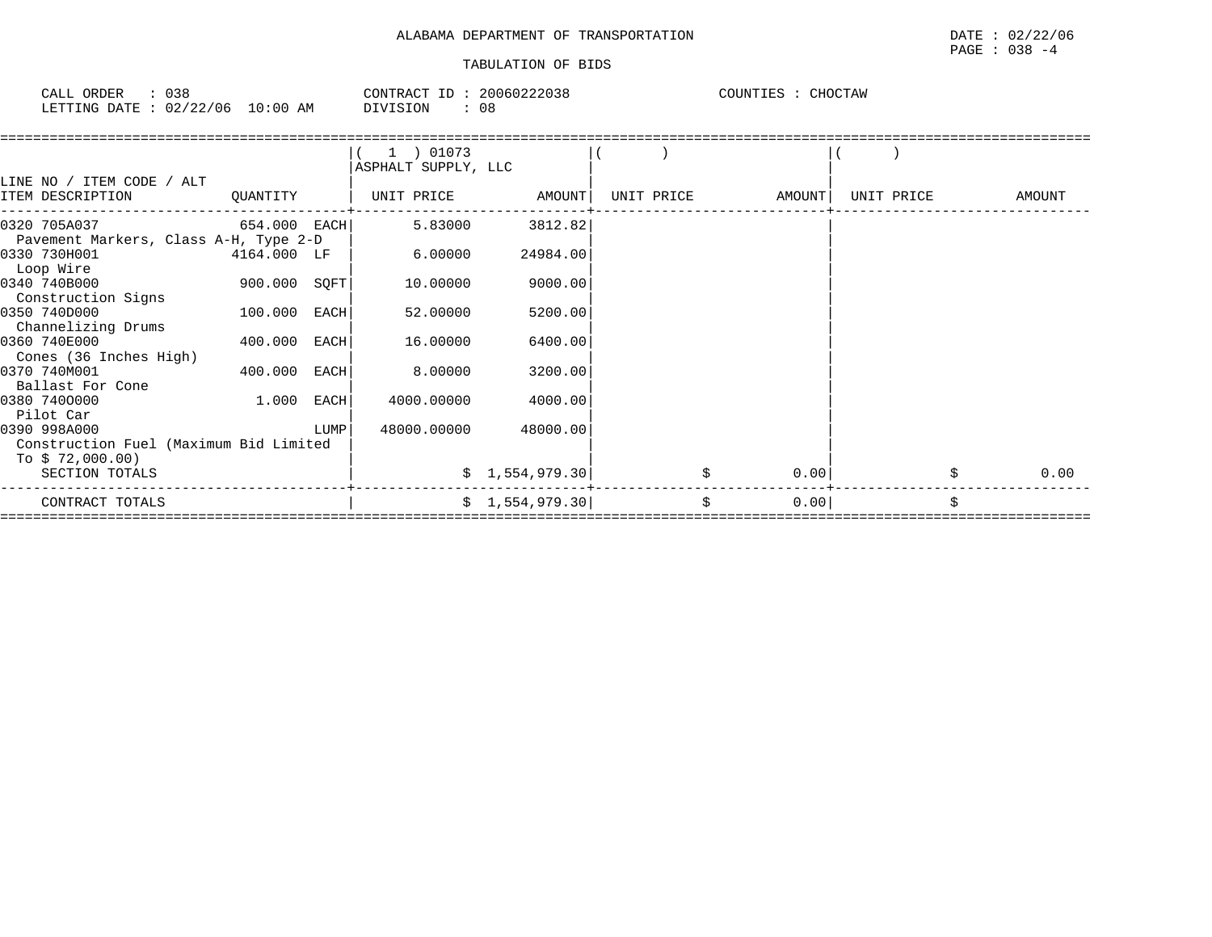| 038<br>CALL ORDER               |          | CONTRACT ID: 20060222038 | COUNTIES : CHOCTAW |
|---------------------------------|----------|--------------------------|--------------------|
| LETTING DATE: 02/22/06 10:00 AM | DIVISION | 08                       |                    |

|                                                                           |                |      | 1 ) 01073<br>ASPHALT SUPPLY, LLC |                 |            |        |            |            |
|---------------------------------------------------------------------------|----------------|------|----------------------------------|-----------------|------------|--------|------------|------------|
| LINE NO / ITEM CODE / ALT<br>ITEM DESCRIPTION                             | QUANTITY       |      | UNIT PRICE AMOUNT                |                 | UNIT PRICE | AMOUNT | UNIT PRICE | AMOUNT     |
| 0320 705A037<br>Pavement Markers, Class A-H, Type 2-D                     | $654.000$ EACH |      | 5.83000                          | 3812.82         |            |        |            |            |
| 0330 730H001<br>Loop Wire                                                 | 4164.000 LF    |      | 6.00000                          | 24984.00        |            |        |            |            |
| 0340 740B000<br>Construction Signs                                        | 900.000 SQFT   |      | 10.00000                         | 9000.00         |            |        |            |            |
| 0350 740D000<br>Channelizing Drums                                        | 100.000 EACH   |      | 52.00000                         | 5200.00         |            |        |            |            |
| 0360 740E000<br>Cones (36 Inches High)                                    | 400.000 EACH   |      | 16.00000                         | 6400.00         |            |        |            |            |
| 0370 740M001<br>Ballast For Cone                                          | 400.000 EACH   |      | 8.00000                          | 3200.00         |            |        |            |            |
| 0380 7400000<br>Pilot Car                                                 | $1.000$ EACH   |      | 4000.00000                       | 4000.00         |            |        |            |            |
| 0390 998A000<br>Construction Fuel (Maximum Bid Limited<br>To \$72,000.00) |                | LUMP | 48000.00000                      | 48000.00        |            |        |            |            |
| SECTION TOTALS                                                            |                |      |                                  | \$1,554,979.30] | \$         | 0.00   |            | \$<br>0.00 |
| CONTRACT TOTALS                                                           |                |      |                                  | \$1,554,979.30] | \$         | 0.00   |            |            |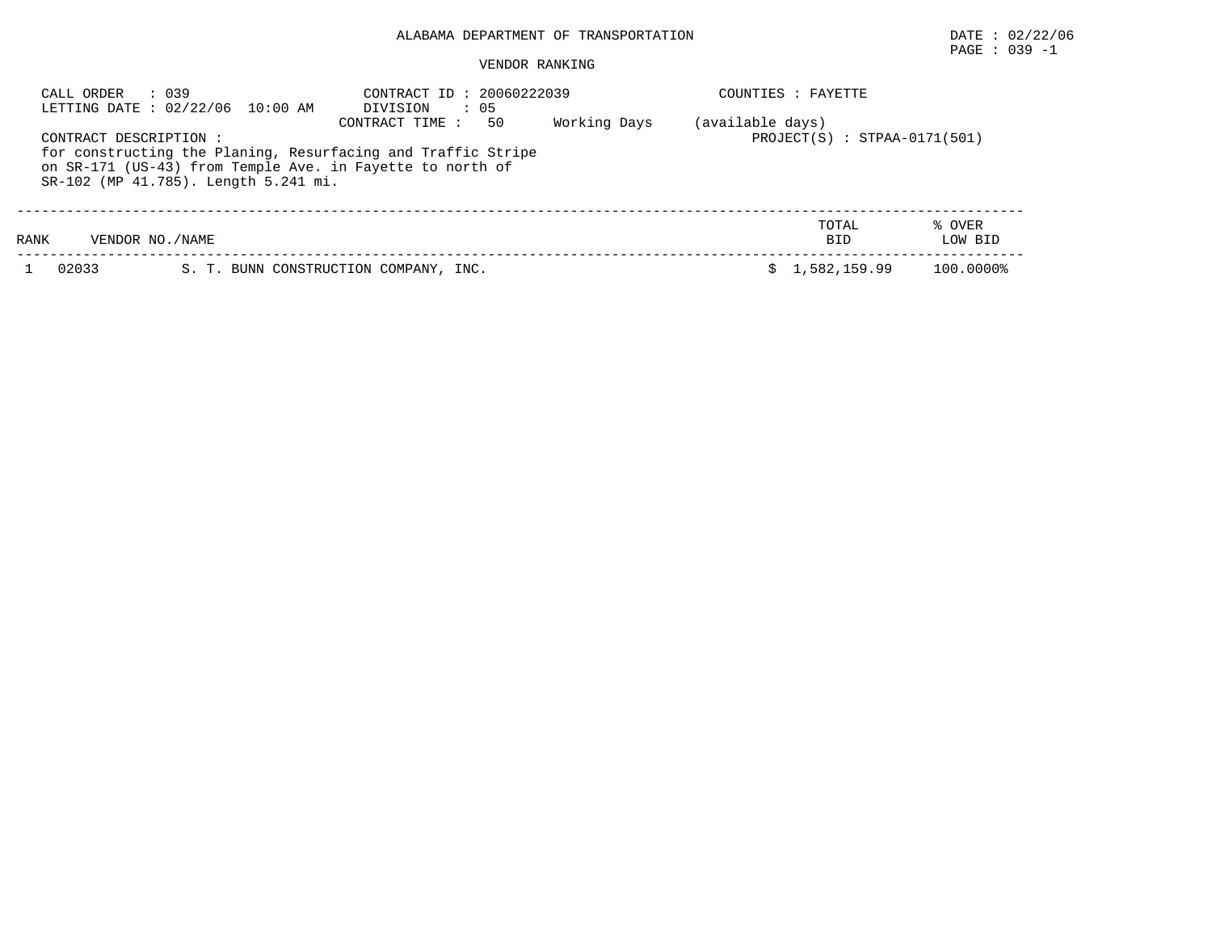# PAGE : 039 -1

#### VENDOR RANKING

| CALL ORDER             | : 039<br>LETTING DATE: 02/22/06 10:00 AM | CONTRACT ID: 20060222039<br>$\therefore$ 05<br>DIVISION                                                                                            |              |                  | COUNTIES : FAYETTE             |                   |
|------------------------|------------------------------------------|----------------------------------------------------------------------------------------------------------------------------------------------------|--------------|------------------|--------------------------------|-------------------|
| CONTRACT DESCRIPTION : | SR-102 (MP 41.785). Length 5.241 mi.     | 50<br>CONTRACT TIME :<br>for constructing the Planing, Resurfacing and Traffic Stripe<br>on SR-171 (US-43) from Temple Ave. in Fayette to north of | Working Days | (available days) | $PROJECT(S) : STPAA-0171(501)$ |                   |
| RANK                   | VENDOR NO. / NAME                        |                                                                                                                                                    |              |                  | TOTAL<br><b>BID</b>            | % OVER<br>LOW BID |
| 02033                  |                                          | S. T. BUNN CONSTRUCTION COMPANY, INC.                                                                                                              |              |                  | 1,582,159.99                   | 100.0000%         |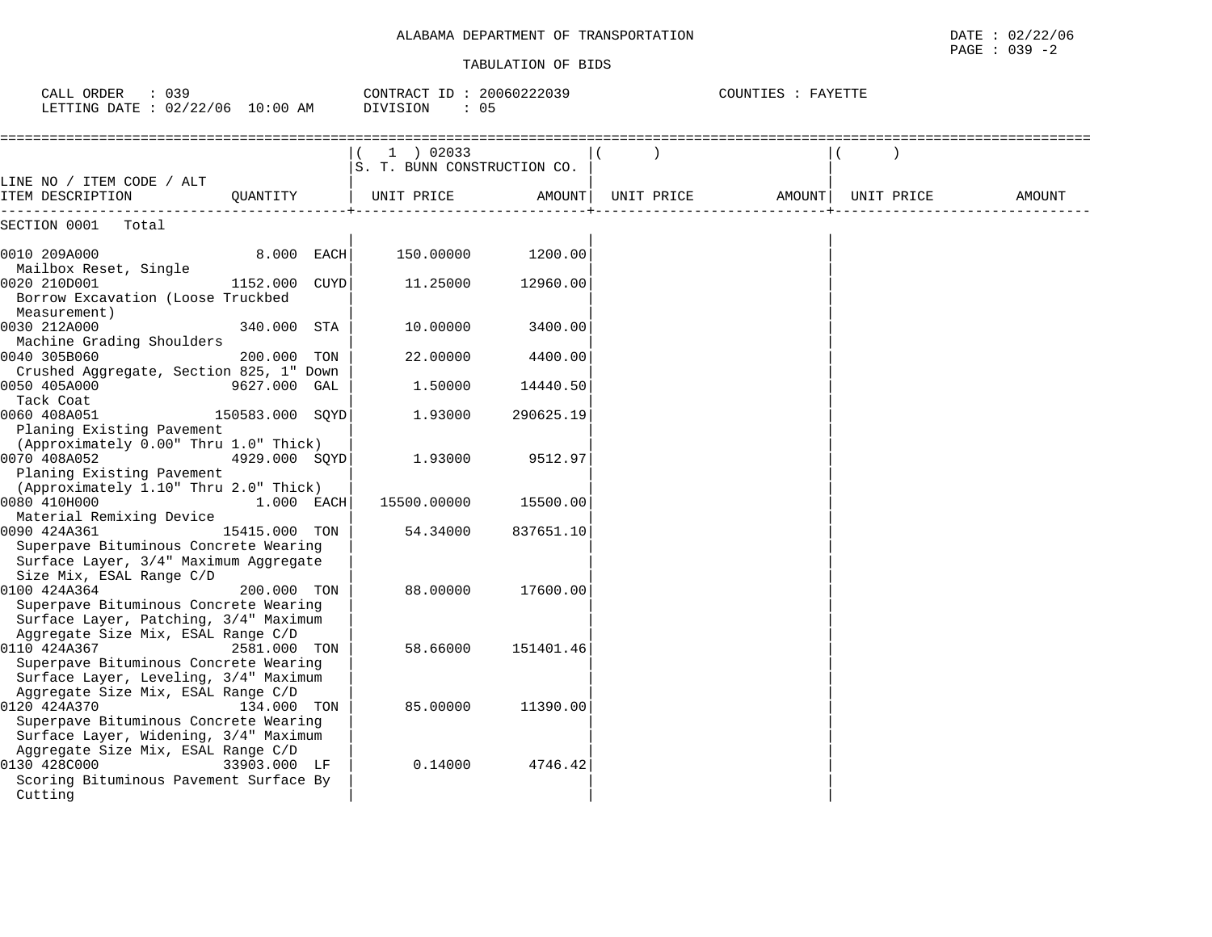#### TABULATION OF BIDS

PAGE : 039 -2

| $\therefore$ 039<br>CALL ORDER<br>LETTING DATE : 02/22/06 10:00 AM                                                                                               | CONTRACT ID: 20060222039<br>DIVISION<br>$\therefore$ 05 |                   | COUNTIES : FAYETTE             |        |
|------------------------------------------------------------------------------------------------------------------------------------------------------------------|---------------------------------------------------------|-------------------|--------------------------------|--------|
|                                                                                                                                                                  | $1$ ) 02033<br>S. T. BUNN CONSTRUCTION CO.              |                   |                                |        |
| LINE NO / ITEM CODE / ALT<br>ITEM DESCRIPTION<br>OUANTITY                                                                                                        | UNIT PRICE                                              | AMOUNT            | UNIT PRICE AMOUNT   UNIT PRICE | AMOUNT |
| SECTION 0001 Total                                                                                                                                               |                                                         |                   |                                |        |
| 8.000 EACH<br>0010 209A000                                                                                                                                       |                                                         | 150.00000 1200.00 |                                |        |
| Mailbox Reset, Single<br>0020 210D001<br>1152.000 CUYD<br>Borrow Excavation (Loose Truckbed                                                                      | 11.25000                                                | 12960.00          |                                |        |
| Measurement)<br>0030 212A000<br>340.000 STA<br>Machine Grading Shoulders                                                                                         | 10.00000                                                | 3400.00           |                                |        |
| 0040 305B060<br>200.000 TON                                                                                                                                      | 22.00000                                                | 4400.00           |                                |        |
| Crushed Aggregate, Section 825, 1" Down<br>0050 405A000<br>9627.000 GAL                                                                                          | 1.50000                                                 | 14440.50          |                                |        |
| Tack Coat<br>0060 408A051<br>150583.000 SQYD                                                                                                                     | 1.93000                                                 | 290625.19         |                                |        |
| Planing Existing Pavement<br>(Approximately 0.00" Thru 1.0" Thick)<br>0070 408A052<br>4929.000 SQYD<br>Planing Existing Pavement                                 | 1.93000                                                 | 9512.97           |                                |        |
| (Approximately 1.10" Thru 2.0" Thick)<br>0080 410H000<br>1.000 EACH                                                                                              | 15500.00000                                             | 15500.00          |                                |        |
| Material Remixing Device<br>0090 424A361<br>15415.000 TON<br>Superpave Bituminous Concrete Wearing<br>Surface Layer, 3/4" Maximum Aggregate                      | 54.34000                                                | 837651.10         |                                |        |
| Size Mix, ESAL Range C/D<br>0100 424A364<br>200.000 TON<br>Superpave Bituminous Concrete Wearing<br>Surface Layer, Patching, 3/4" Maximum                        | 88,00000                                                | 17600.00          |                                |        |
| Aggregate Size Mix, ESAL Range C/D<br>0110 424A367<br>2581.000 TON<br>Superpave Bituminous Concrete Wearing                                                      | 58.66000                                                | 151401.46         |                                |        |
| Surface Layer, Leveling, 3/4" Maximum<br>Aggregate Size Mix, ESAL Range C/D<br>0120 424A370<br>134.000 TON<br>Superpave Bituminous Concrete Wearing              | 85.00000                                                | 11390.00          |                                |        |
| Surface Layer, Widening, 3/4" Maximum<br>Aggregate Size Mix, ESAL Range C/D<br>0130 428C000<br>33903.000 LF<br>Scoring Bituminous Pavement Surface By<br>Cutting | 0.14000                                                 | 4746.42           |                                |        |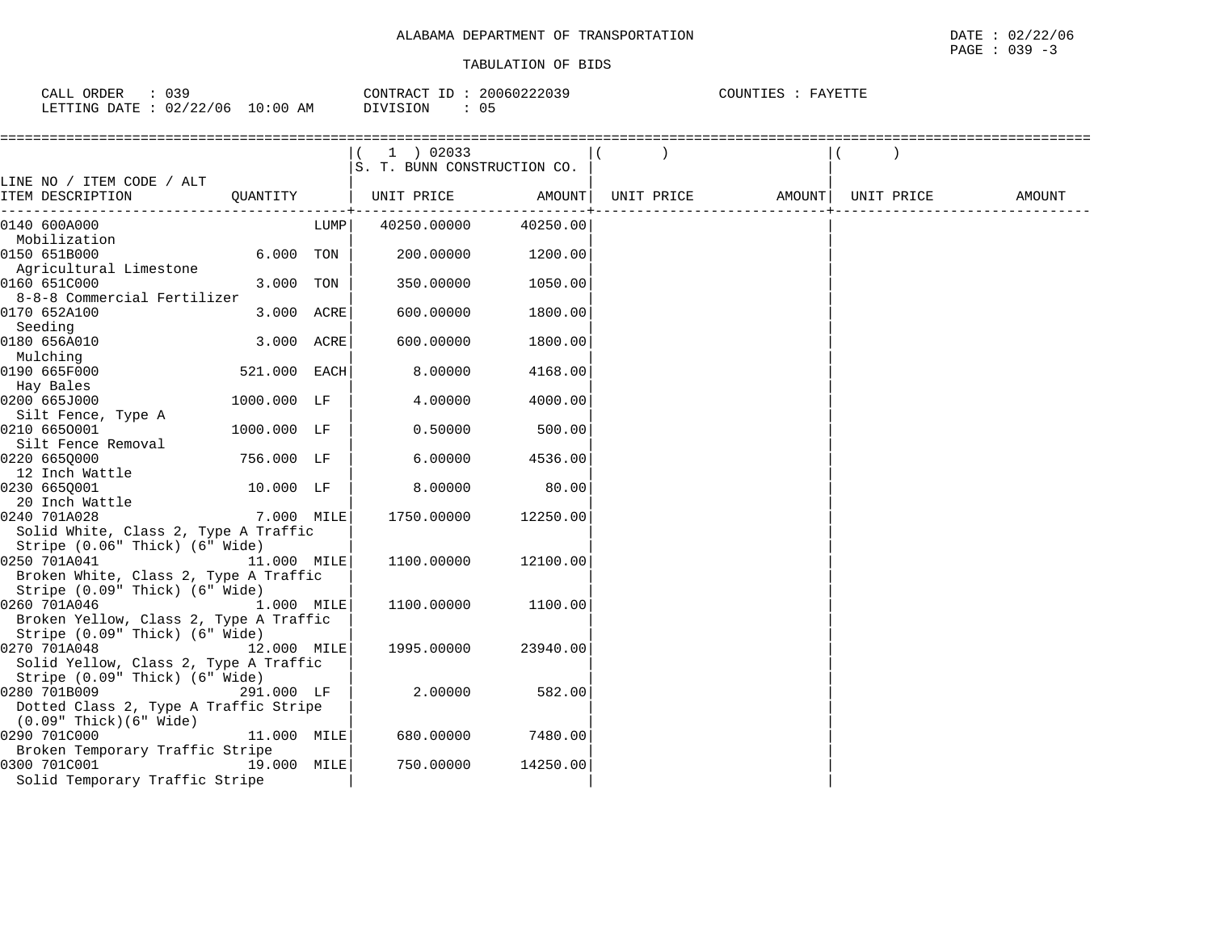| CALL ORDER                      | : 039 |          | CONTRACT ID: 20060222039 | COUNTIES : FAYETTE |  |
|---------------------------------|-------|----------|--------------------------|--------------------|--|
| LETTING DATE: 02/22/06 10:00 AM |       | DIVISION | 05                       |                    |  |

|                                        |              |      | $(1)$ 02033<br>S. T. BUNN CONSTRUCTION CO. |          |                   |            |        |
|----------------------------------------|--------------|------|--------------------------------------------|----------|-------------------|------------|--------|
| LINE NO / ITEM CODE / ALT              |              |      |                                            |          |                   |            |        |
| ITEM DESCRIPTION                       | OUANTITY     |      | UNIT PRICE                                 | AMOUNT   | UNIT PRICE AMOUNT | UNIT PRICE | AMOUNT |
| 0140 600A000                           |              | LUMP | 40250.00000                                | 40250.00 |                   |            |        |
| Mobilization                           |              |      |                                            |          |                   |            |        |
| 0150 651B000                           | 6.000 TON    |      | 200.00000                                  | 1200.00  |                   |            |        |
| Agricultural Limestone                 |              |      |                                            |          |                   |            |        |
| 0160 651C000                           | 3.000 TON    |      | 350.00000                                  | 1050.00  |                   |            |        |
| 8-8-8 Commercial Fertilizer            |              |      |                                            |          |                   |            |        |
| 0170 652A100                           | 3.000 ACRE   |      | 600.00000                                  | 1800.00  |                   |            |        |
| Seeding                                |              |      |                                            |          |                   |            |        |
| 0180 656A010                           | 3.000 ACRE   |      | 600.00000                                  | 1800.00  |                   |            |        |
| Mulching                               |              |      |                                            |          |                   |            |        |
| 0190 665F000                           | 521.000 EACH |      | 8.00000                                    | 4168.00  |                   |            |        |
| Hay Bales<br>0200 665J000              | 1000.000 LF  |      | 4.00000                                    | 4000.00  |                   |            |        |
| Silt Fence, Type A                     |              |      |                                            |          |                   |            |        |
| 0210 6650001                           | 1000.000 LF  |      | 0.50000                                    | 500.00   |                   |            |        |
| Silt Fence Removal                     |              |      |                                            |          |                   |            |        |
| 0220 6650000                           | 756.000 LF   |      | 6.00000                                    | 4536.00  |                   |            |        |
| 12 Inch Wattle                         |              |      |                                            |          |                   |            |        |
| 0230 665Q001                           | 10.000 LF    |      | 8.00000                                    | 80.00    |                   |            |        |
| 20 Inch Wattle                         |              |      |                                            |          |                   |            |        |
| 0240 701A028                           | 7.000 MILE   |      | 1750.00000                                 | 12250.00 |                   |            |        |
| Solid White, Class 2, Type A Traffic   |              |      |                                            |          |                   |            |        |
| Stripe (0.06" Thick) (6" Wide)         |              |      |                                            |          |                   |            |        |
| 0250 701A041                           | 11.000 MILE  |      | 1100.00000                                 | 12100.00 |                   |            |        |
| Broken White, Class 2, Type A Traffic  |              |      |                                            |          |                   |            |        |
| Stripe (0.09" Thick) (6" Wide)         |              |      |                                            |          |                   |            |        |
| 1.000 MILE<br>0260 701A046             |              |      | 1100.00000                                 | 1100.00  |                   |            |        |
| Broken Yellow, Class 2, Type A Traffic |              |      |                                            |          |                   |            |        |
| Stripe (0.09" Thick) (6" Wide)         |              |      |                                            |          |                   |            |        |
| 0270 701A048                           | 12.000 MILE  |      | 1995.00000                                 | 23940.00 |                   |            |        |
| Solid Yellow, Class 2, Type A Traffic  |              |      |                                            |          |                   |            |        |
| Stripe (0.09" Thick) (6" Wide)         |              |      |                                            |          |                   |            |        |
| 0280 701B009                           | 291.000 LF   |      | 2.00000                                    | 582.00   |                   |            |        |
| Dotted Class 2, Type A Traffic Stripe  |              |      |                                            |          |                   |            |        |
| $(0.09"$ Thick $)(6"$ Wide             |              |      |                                            |          |                   |            |        |
| 0290 701C000                           | 11.000 MILE  |      | 680.00000                                  | 7480.00  |                   |            |        |
| Broken Temporary Traffic Stripe        |              |      |                                            |          |                   |            |        |
| 0300 701C001                           | 19.000 MILE  |      | 750.00000                                  | 14250.00 |                   |            |        |
| Solid Temporary Traffic Stripe         |              |      |                                            |          |                   |            |        |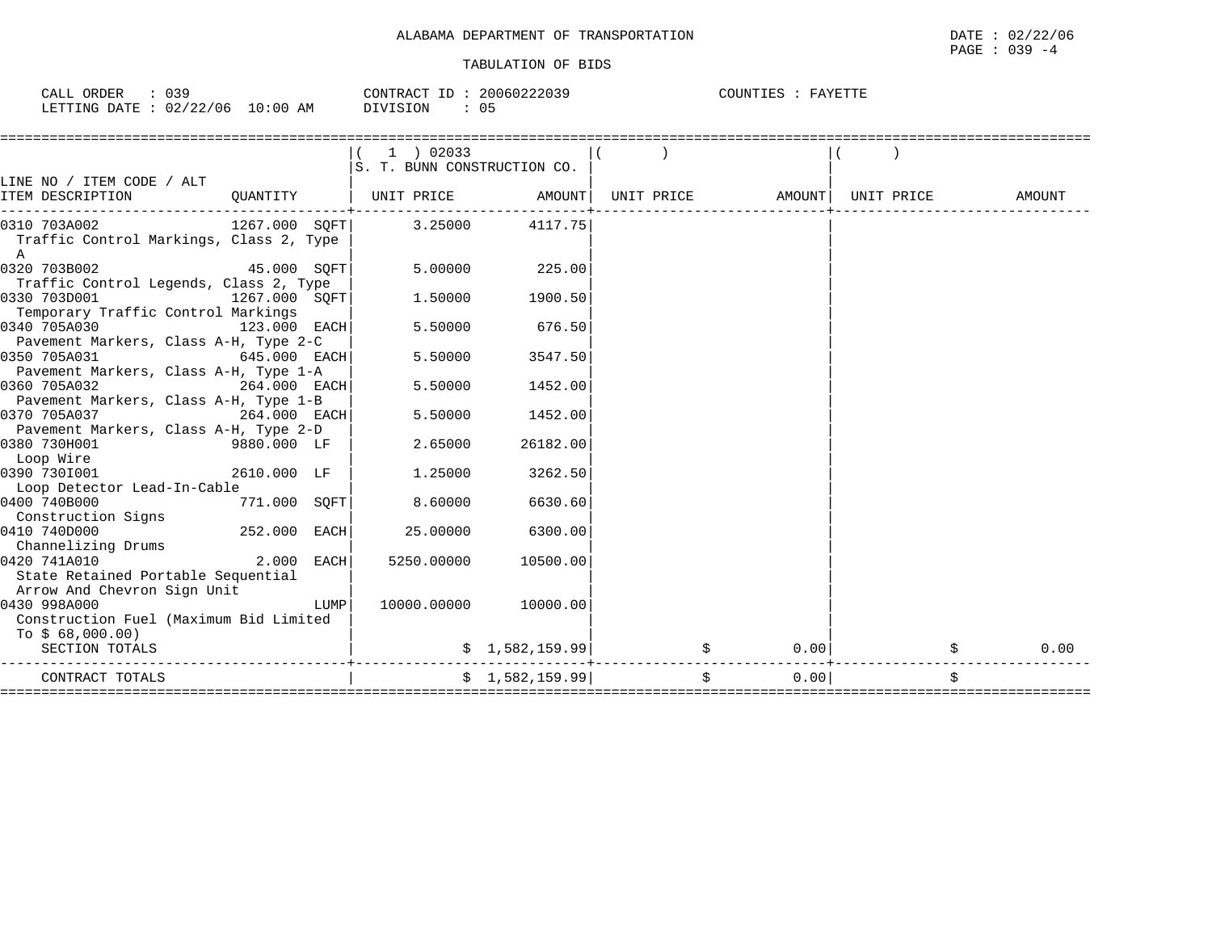| ORDER<br>039<br>CALL                   | 20060222039<br>CONTRACT TT          | COUNTIES<br>FAVETTE |
|----------------------------------------|-------------------------------------|---------------------|
| 10:00 AM<br>: 02/22/06<br>LETTING DATE | -05<br>$ \sim$ $\sim$ $\sim$ $\sim$ |                     |

|                                                                         |                   |      | 1 ) 02033<br>S. T. BUNN CONSTRUCTION CO.                                                       |                              |    |      |  |        |
|-------------------------------------------------------------------------|-------------------|------|------------------------------------------------------------------------------------------------|------------------------------|----|------|--|--------|
| LINE NO / ITEM CODE / ALT                                               |                   |      |                                                                                                |                              |    |      |  |        |
| ITEM DESCRIPTION                                                        |                   |      | $\texttt{QUANTITY}$   UNIT PRICE $\texttt{AMOUNT}$   UNIT PRICE $\texttt{AMOUNT}$   UNIT PRICE |                              |    |      |  | AMOUNT |
| 0310 703A002 1267.000 SQFT 3.25000                                      |                   |      |                                                                                                | 4117.75                      |    |      |  |        |
| Traffic Control Markings, Class 2, Type<br>A                            |                   |      |                                                                                                |                              |    |      |  |        |
| $45.000$ SQFT<br>0320 703B002<br>Traffic Control Legends, Class 2, Type |                   |      | 5.00000                                                                                        | 225.00                       |    |      |  |        |
| 0330 703D001<br>$1267.000$ SQFT                                         |                   |      | 1,50000                                                                                        | 1900.50                      |    |      |  |        |
| Temporary Traffic Control Markings                                      |                   |      |                                                                                                |                              |    |      |  |        |
| 0340 705A030                                                            | 123.000 EACH      |      | 5.50000                                                                                        | 676.50                       |    |      |  |        |
| Pavement Markers, Class A-H, Type 2-C                                   |                   |      |                                                                                                |                              |    |      |  |        |
| 0350 705A031<br>$645.000$ EACH                                          |                   |      | 5.50000                                                                                        | 3547.50                      |    |      |  |        |
| Pavement Markers, Class A-H, Type 1-A<br>0360 705A032                   |                   |      | 5.50000                                                                                        |                              |    |      |  |        |
| $264.000$ EACH                                                          |                   |      |                                                                                                | 1452.00                      |    |      |  |        |
| Pavement Markers, Class A-H, Type 1-B<br>$264.000$ EACH<br>0370 705A037 |                   |      | 5.50000                                                                                        | 1452.00                      |    |      |  |        |
| Pavement Markers, Class A-H, Type 2-D                                   |                   |      |                                                                                                |                              |    |      |  |        |
| 0380 730H001                                                            | 9880.000 LF       |      | 2.65000                                                                                        | 26182.00                     |    |      |  |        |
| Loop Wire                                                               |                   |      |                                                                                                |                              |    |      |  |        |
| 0390 7301001                                                            | $2610.000$ LF $ $ |      | 1.25000                                                                                        | 3262.50                      |    |      |  |        |
| Loop Detector Lead-In-Cable                                             |                   |      |                                                                                                |                              |    |      |  |        |
| 0400 740B000                                                            | 771.000 SQFT      |      | 8.60000                                                                                        | 6630.60                      |    |      |  |        |
| Construction Signs                                                      |                   |      |                                                                                                |                              |    |      |  |        |
| 0410 740D000                                                            | 252.000 EACH      |      | 25,00000                                                                                       | 6300.00                      |    |      |  |        |
| Channelizing Drums                                                      |                   |      |                                                                                                |                              |    |      |  |        |
| 0420 741A010                                                            | $2.000$ EACH      |      | 5250.00000                                                                                     | 10500.00                     |    |      |  |        |
| State Retained Portable Sequential                                      |                   |      |                                                                                                |                              |    |      |  |        |
| Arrow And Chevron Sign Unit                                             |                   |      |                                                                                                |                              |    |      |  |        |
| 0430 998A000<br>Construction Fuel (Maximum Bid Limited                  |                   | LUMP |                                                                                                | 10000.00000 10000.00         |    |      |  |        |
|                                                                         |                   |      |                                                                                                |                              |    |      |  |        |
| To $$68,000.00)$<br>SECTION TOTALS                                      |                   |      |                                                                                                |                              | \$ | 0.00 |  | 0.00   |
|                                                                         |                   |      |                                                                                                | $\vert 1, 582, 159.99 \vert$ |    |      |  |        |
| CONTRACT TOTALS                                                         |                   |      |                                                                                                | \$1,582,159.99]              | \$ | 0.00 |  |        |
|                                                                         |                   |      |                                                                                                |                              |    |      |  |        |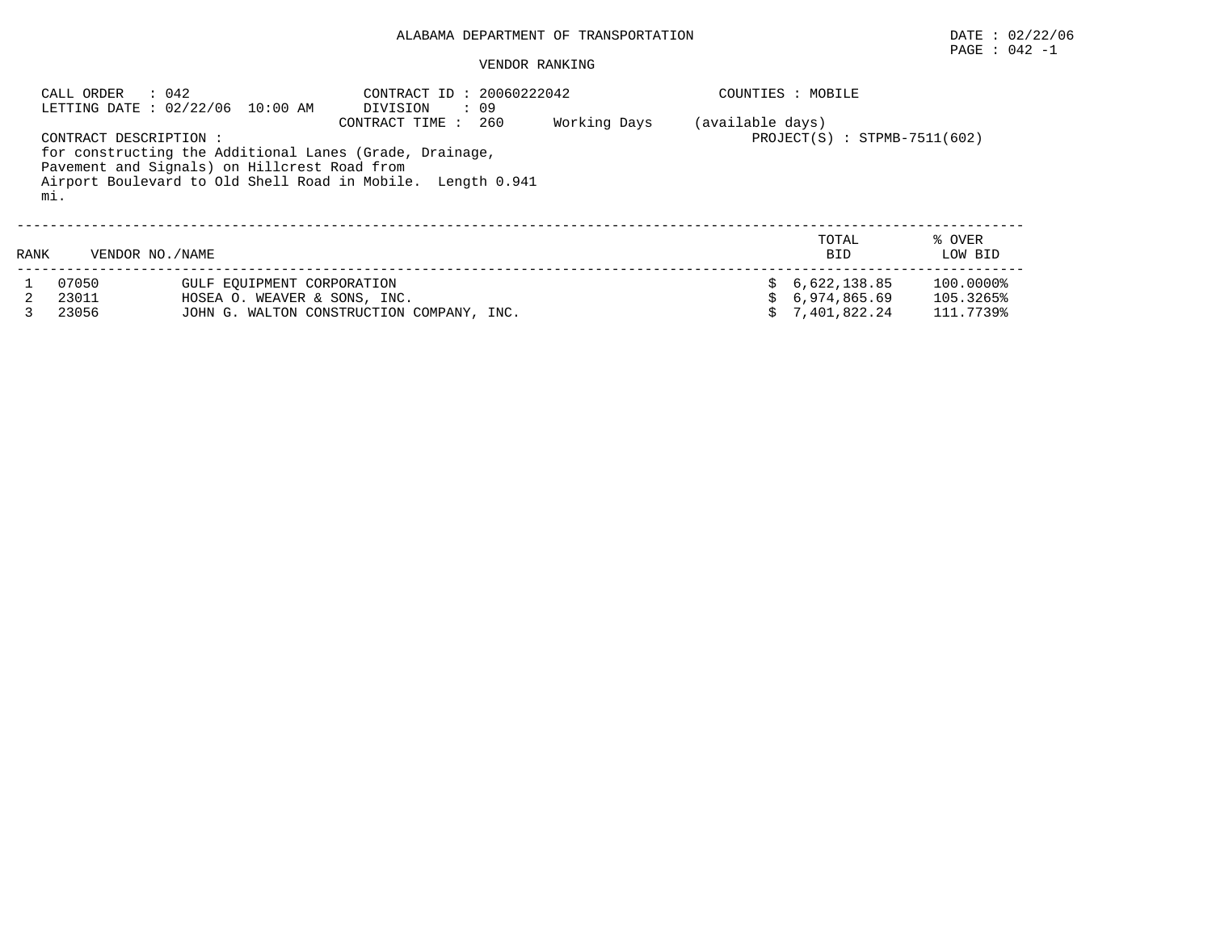#### VENDOR RANKING

|      | : 042<br>CALL ORDER          | LETTING DATE : 02/22/06 10:00 AM                                                                        | CONTRACT ID: 20060222042<br>: 09<br>DIVISION                                         |              |                  | COUNTIES : MOBILE                            |                                     |
|------|------------------------------|---------------------------------------------------------------------------------------------------------|--------------------------------------------------------------------------------------|--------------|------------------|----------------------------------------------|-------------------------------------|
|      | CONTRACT DESCRIPTION:<br>mi. | for constructing the Additional Lanes (Grade, Drainage,<br>Pavement and Signals) on Hillcrest Road from | CONTRACT TIME:<br>260<br>Airport Boulevard to Old Shell Road in Mobile. Length 0.941 | Working Days | (available days) | $PROJECT(S) : STPMB-7511(602)$               |                                     |
| RANK | VENDOR NO./NAME              |                                                                                                         |                                                                                      |              |                  | TOTAL<br><b>BID</b>                          | % OVER<br>LOW BID                   |
|      | 07050<br>23011<br>23056      | GULF EOUIPMENT CORPORATION<br>HOSEA O. WEAVER & SONS, INC.                                              | JOHN G. WALTON CONSTRUCTION COMPANY, INC.                                            |              |                  | 6,622,138.85<br>6,974,865.69<br>7,401,822.24 | 100.0000%<br>105.3265%<br>111.7739% |

PAGE : 042 -1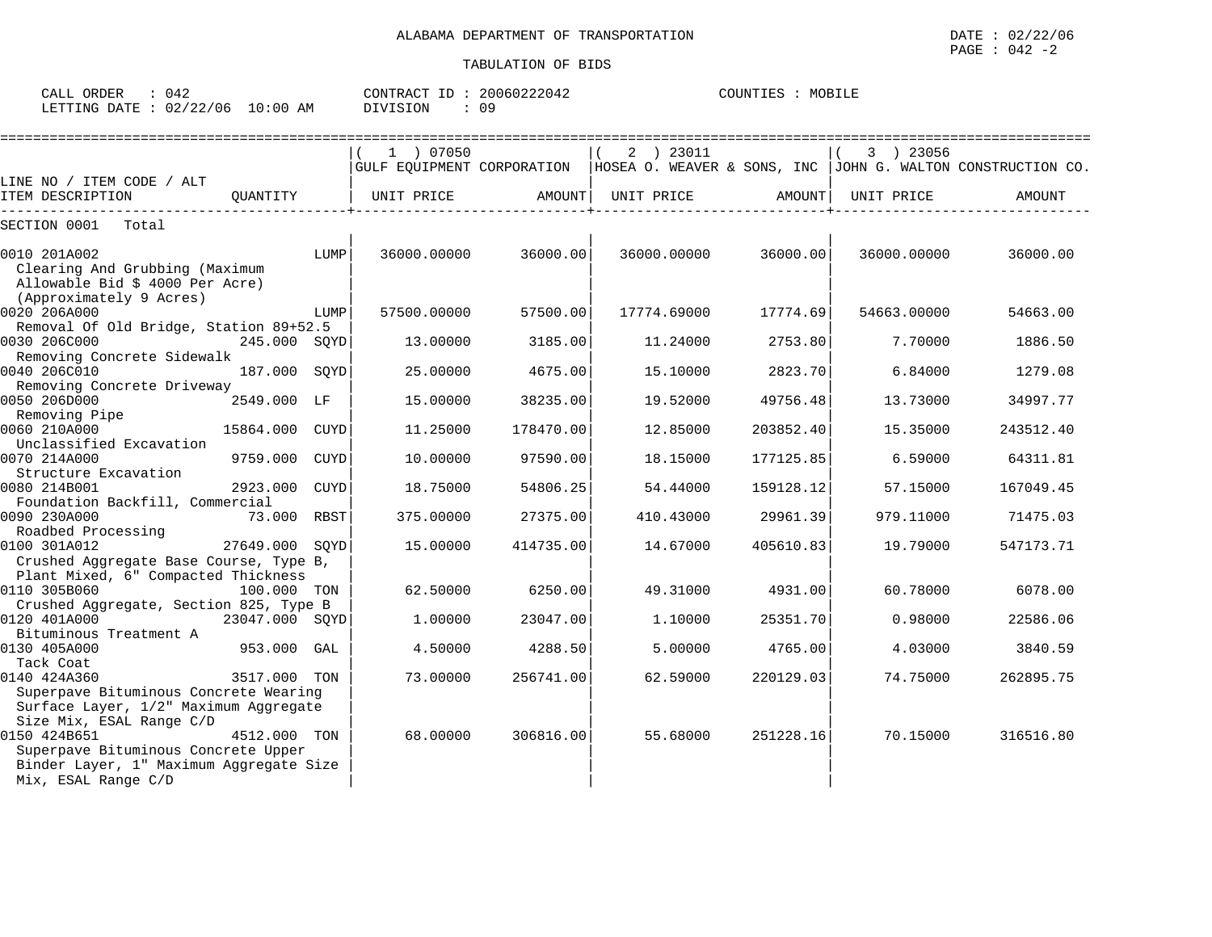| CALL ORDER                       | 042 |  |          |  | CONTRACT ID: 20060222042 | COUNTIES | <b>MOBILE</b> |  |
|----------------------------------|-----|--|----------|--|--------------------------|----------|---------------|--|
| LETTING DATE : 02/22/06 10:00 AM |     |  | DIVISION |  | 09                       |          |               |  |

|                                                                                                              |                |             |             | ================================ |             |           |             |                                                                                            |
|--------------------------------------------------------------------------------------------------------------|----------------|-------------|-------------|----------------------------------|-------------|-----------|-------------|--------------------------------------------------------------------------------------------|
|                                                                                                              |                |             | 1 ) 07050   |                                  | 2 ) 23011   |           | 3 ) 23056   |                                                                                            |
|                                                                                                              |                |             |             |                                  |             |           |             | GULF EOUIPMENT CORPORATION   HOSEA O. WEAVER & SONS, INC   JOHN G. WALTON CONSTRUCTION CO. |
| LINE NO / ITEM CODE / ALT<br>ITEM DESCRIPTION                                                                | OUANTITY       |             | UNIT PRICE  | AMOUNT                           | UNIT PRICE  |           | UNIT PRICE  | AMOUNT                                                                                     |
|                                                                                                              |                |             |             |                                  |             | AMOUNT    |             |                                                                                            |
| SECTION 0001<br>Total                                                                                        |                |             |             |                                  |             |           |             |                                                                                            |
| 0010 201A002<br>Clearing And Grubbing (Maximum<br>Allowable Bid \$ 4000 Per Acre)<br>(Approximately 9 Acres) |                | LUMP        | 36000.00000 | 36000.00                         | 36000.00000 | 36000.00  | 36000.00000 | 36000.00                                                                                   |
| 0020 206A000                                                                                                 |                | LUMP        | 57500.00000 | 57500.00                         | 17774.69000 | 17774.69  | 54663.00000 | 54663.00                                                                                   |
| Removal Of Old Bridge, Station 89+52.5<br>0030 206C000                                                       | 245.000 SOYD   |             | 13,00000    | 3185.00                          | 11,24000    | 2753.80   | 7.70000     | 1886.50                                                                                    |
| Removing Concrete Sidewalk<br>0040 206C010                                                                   | 187.000 SOYD   |             | 25.00000    | 4675.00                          | 15.10000    | 2823.70   | 6.84000     | 1279.08                                                                                    |
| Removing Concrete Driveway                                                                                   |                |             |             |                                  |             |           |             |                                                                                            |
| 0050 206D000<br>Removing Pipe                                                                                | 2549.000 LF    |             | 15.00000    | 38235.00                         | 19.52000    | 49756.48  | 13.73000    | 34997.77                                                                                   |
| 0060 210A000                                                                                                 | 15864.000      | CUYD        | 11.25000    | 178470.00                        | 12.85000    | 203852.40 | 15.35000    | 243512.40                                                                                  |
| Unclassified Excavation                                                                                      |                |             |             |                                  |             |           |             |                                                                                            |
| 0070 214A000                                                                                                 | 9759.000       | CUYD        | 10.00000    | 97590.00                         | 18.15000    | 177125.85 | 6.59000     | 64311.81                                                                                   |
| Structure Excavation<br>0080 214B001                                                                         | 2923.000       | <b>CUYD</b> | 18.75000    | 54806.25                         | 54.44000    | 159128.12 | 57.15000    | 167049.45                                                                                  |
| Foundation Backfill, Commercial                                                                              |                |             |             |                                  |             |           |             |                                                                                            |
| 0090 230A000                                                                                                 | 73.000 RBST    |             | 375.00000   | 27375.00                         | 410.43000   | 29961.39  | 979.11000   | 71475.03                                                                                   |
| Roadbed Processing<br>0100 301A012                                                                           | 27649.000 SOYD |             | 15,00000    | 414735.00                        | 14.67000    | 405610.83 | 19.79000    | 547173.71                                                                                  |
| Crushed Aggregate Base Course, Type B,<br>Plant Mixed, 6" Compacted Thickness                                |                |             |             |                                  |             |           |             |                                                                                            |
| 0110 305B060                                                                                                 | 100.000 TON    |             | 62.50000    | 6250.00                          | 49.31000    | 4931.00   | 60.78000    | 6078.00                                                                                    |
| Crushed Aggregate, Section 825, Type B                                                                       |                |             |             |                                  |             |           |             |                                                                                            |
| 0120 401A000                                                                                                 | 23047.000 SOYD |             | 1.00000     | 23047.00                         | 1.10000     | 25351.70  | 0.98000     | 22586.06                                                                                   |
| Bituminous Treatment A                                                                                       |                |             |             |                                  |             |           |             |                                                                                            |
| 0130 405A000                                                                                                 | 953.000 GAL    |             | 4.50000     | 4288.50                          | 5.00000     | 4765.00   | 4.03000     | 3840.59                                                                                    |
| Tack Coat<br>0140 424A360                                                                                    | 3517.000 TON   |             | 73.00000    | 256741.00                        | 62.59000    | 220129.03 | 74.75000    | 262895.75                                                                                  |
| Superpave Bituminous Concrete Wearing                                                                        |                |             |             |                                  |             |           |             |                                                                                            |
| Surface Layer, 1/2" Maximum Aggregate<br>Size Mix, ESAL Range C/D                                            |                |             |             |                                  |             |           |             |                                                                                            |
| 0150 424B651                                                                                                 | 4512.000 TON   |             | 68,00000    | 306816.00                        | 55.68000    | 251228.16 | 70.15000    | 316516.80                                                                                  |
| Superpave Bituminous Concrete Upper<br>Binder Layer, 1" Maximum Aggregate Size<br>Mix, ESAL Range C/D        |                |             |             |                                  |             |           |             |                                                                                            |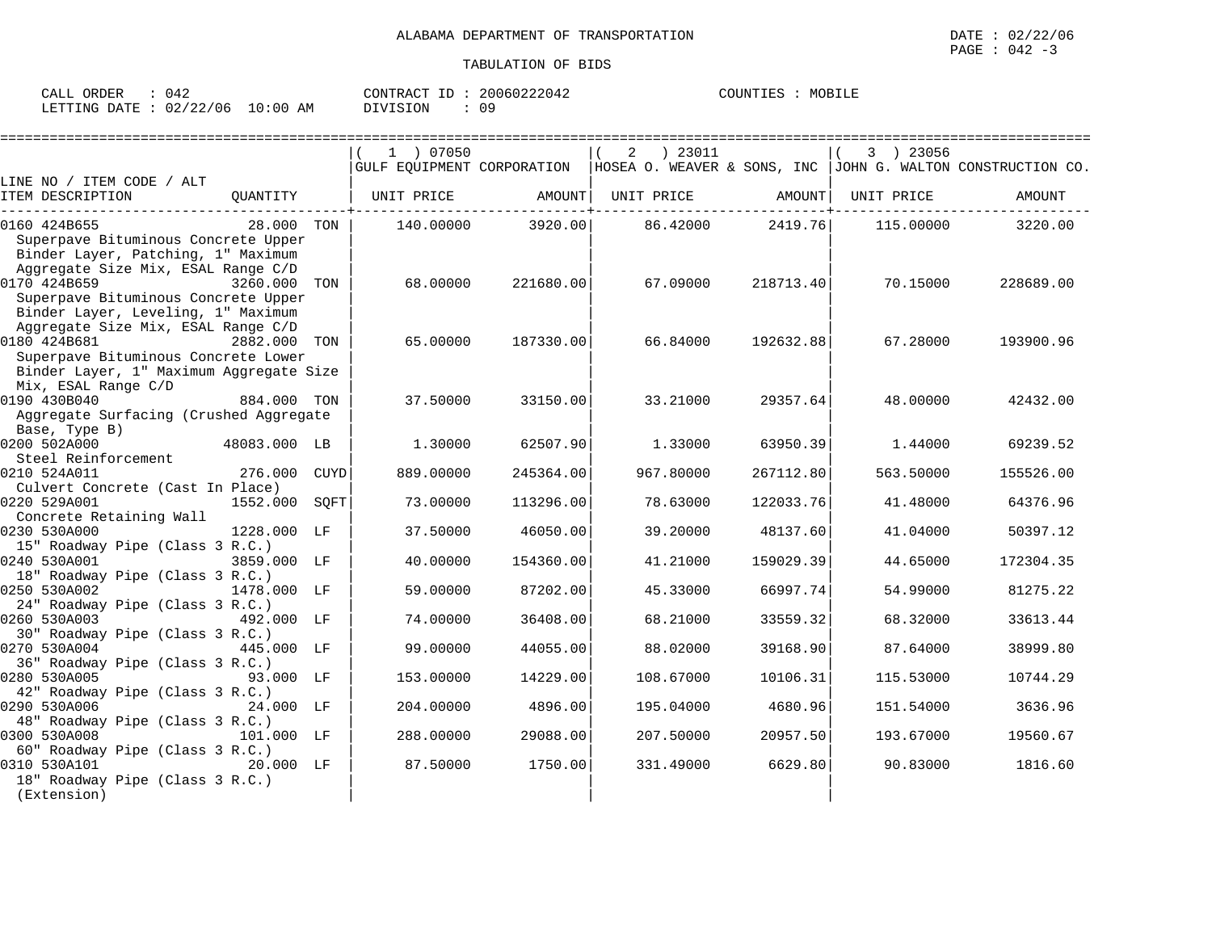| CALL ORDER                      | 042 |          | CONTRACT ID: 20060222042 | COUNTIES : | MOBILE |
|---------------------------------|-----|----------|--------------------------|------------|--------|
| LETTING DATE: 02/22/06 10:00 AM |     | DIVISION | 09                       |            |        |

|                                                                                                                                 |              |             | 1 ) 07050  |           | ) 23011<br>2 |           | 3 ) 23056  |                                                                                            |
|---------------------------------------------------------------------------------------------------------------------------------|--------------|-------------|------------|-----------|--------------|-----------|------------|--------------------------------------------------------------------------------------------|
|                                                                                                                                 |              |             |            |           |              |           |            | GULF EQUIPMENT CORPORATION   HOSEA O. WEAVER & SONS, INC   JOHN G. WALTON CONSTRUCTION CO. |
| LINE NO / ITEM CODE / ALT<br>ITEM DESCRIPTION                                                                                   | OUANTITY     |             | UNIT PRICE | AMOUNT    | UNIT PRICE   | AMOUNT    | UNIT PRICE | AMOUNT                                                                                     |
| 0160 424B655<br>Superpave Bituminous Concrete Upper<br>Binder Layer, Patching, 1" Maximum                                       | 28.000 TON   |             | 140.00000  | 3920.00   | 86.42000     | 2419.76   | 115.00000  | 3220.00                                                                                    |
| Aggregate Size Mix, ESAL Range C/D<br>0170 424B659<br>Superpave Bituminous Concrete Upper<br>Binder Layer, Leveling, 1" Maximum | 3260.000     | TON         | 68.00000   | 221680.00 | 67.09000     | 218713.40 | 70.15000   | 228689.00                                                                                  |
| Aggregate Size Mix, ESAL Range C/D<br>0180 424B681<br>Superpave Bituminous Concrete Lower                                       | 2882.000 TON |             | 65.00000   | 187330.00 | 66.84000     | 192632.88 | 67.28000   | 193900.96                                                                                  |
| Binder Layer, 1" Maximum Aggregate Size<br>Mix, ESAL Range C/D<br>0190 430B040<br>Aggregate Surfacing (Crushed Aggregate        | 884.000 TON  |             | 37.50000   | 33150.00  | 33.21000     | 29357.64  | 48,00000   | 42432.00                                                                                   |
| Base, Type B)<br>0200 502A000<br>Steel Reinforcement                                                                            | 48083.000 LB |             | 1.30000    | 62507.90  | 1.33000      | 63950.39  | 1.44000    | 69239.52                                                                                   |
| 0210 524A011<br>Culvert Concrete (Cast In Place)                                                                                | 276.000      | <b>CUYD</b> | 889.00000  | 245364.00 | 967.80000    | 267112.80 | 563.50000  | 155526.00                                                                                  |
| 0220 529A001<br>Concrete Retaining Wall                                                                                         | 1552.000     | SQFT        | 73.00000   | 113296.00 | 78.63000     | 122033.76 | 41.48000   | 64376.96                                                                                   |
| 0230 530A000<br>15" Roadway Pipe (Class 3 R.C.)                                                                                 | 1228.000 LF  |             | 37.50000   | 46050.00  | 39.20000     | 48137.60  | 41.04000   | 50397.12                                                                                   |
| 0240 530A001<br>18" Roadway Pipe (Class 3 R.C.)                                                                                 | 3859.000 LF  |             | 40.00000   | 154360.00 | 41.21000     | 159029.39 | 44.65000   | 172304.35                                                                                  |
| 0250 530A002<br>24" Roadway Pipe (Class 3 R.C.)                                                                                 | 1478.000 LF  |             | 59.00000   | 87202.00  | 45.33000     | 66997.74  | 54.99000   | 81275.22                                                                                   |
| 0260 530A003<br>30" Roadway Pipe (Class 3 R.C.)                                                                                 | 492.000 LF   |             | 74.00000   | 36408.00  | 68.21000     | 33559.32  | 68.32000   | 33613.44                                                                                   |
| 0270 530A004<br>36" Roadway Pipe (Class 3 R.C.)                                                                                 | 445.000 LF   |             | 99.00000   | 44055.00  | 88.02000     | 39168.90  | 87.64000   | 38999.80                                                                                   |
| 0280 530A005<br>42" Roadway Pipe (Class 3 R.C.)                                                                                 | 93.000 LF    |             | 153.00000  | 14229.00  | 108.67000    | 10106.31  | 115.53000  | 10744.29                                                                                   |
| 0290 530A006<br>48" Roadway Pipe (Class 3 R.C.)                                                                                 | 24.000 LF    |             | 204.00000  | 4896.00   | 195.04000    | 4680.96   | 151.54000  | 3636.96                                                                                    |
| 0300 530A008                                                                                                                    | 101.000 LF   |             | 288.00000  | 29088.00  | 207.50000    | 20957.50  | 193.67000  | 19560.67                                                                                   |
| 60" Roadway Pipe (Class 3 R.C.)<br>0310 530A101<br>18" Roadway Pipe (Class 3 R.C.)<br>(Extension)                               | 20.000 LF    |             | 87.50000   | 1750.00   | 331.49000    | 6629.80   | 90.83000   | 1816.60                                                                                    |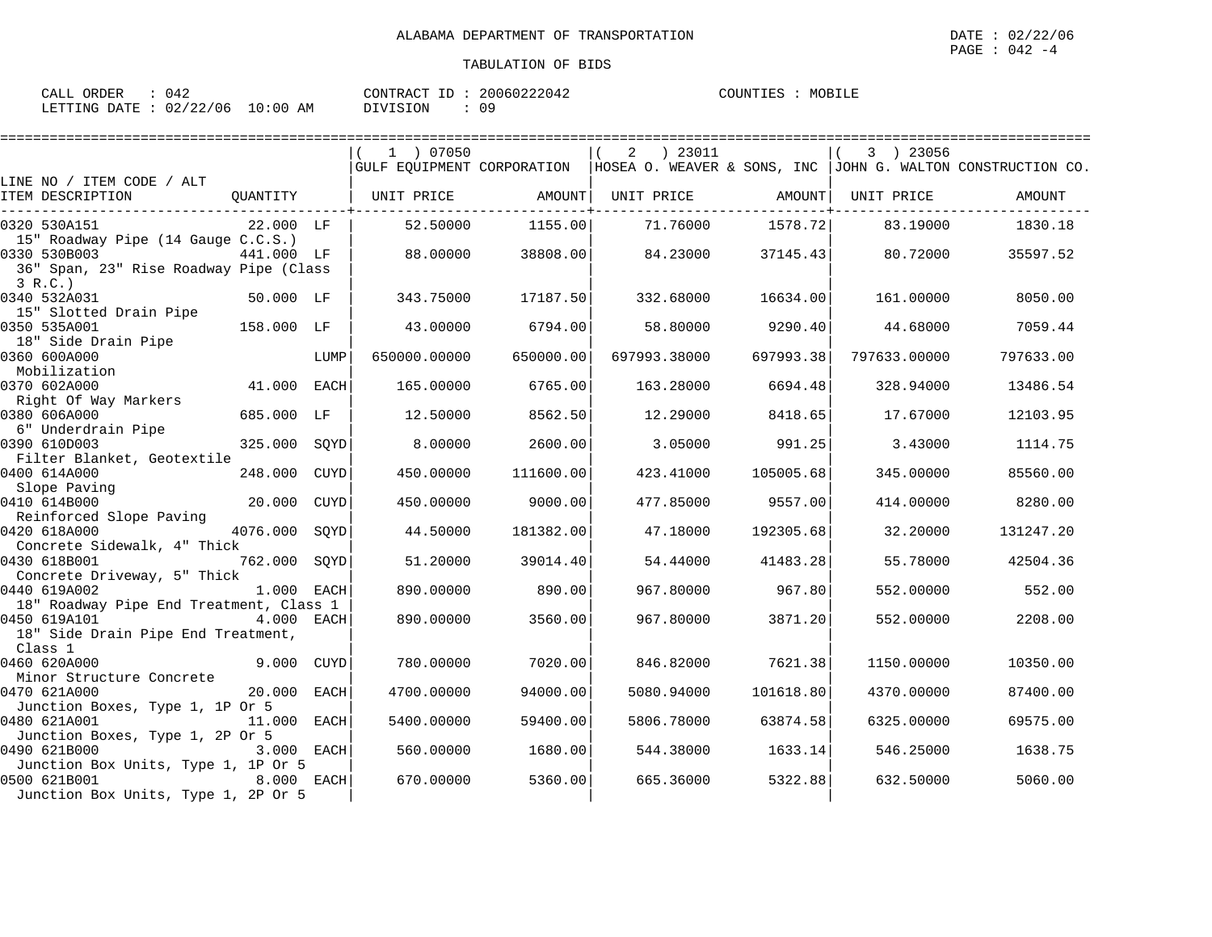| ORDER<br>CALL          | 042 |            | CONTRACT ID | 20060222042 | MOBILE<br>COUNTIES |
|------------------------|-----|------------|-------------|-------------|--------------------|
| LETTING DATE: 02/22/06 |     | $10:00$ AM | DIVISION    | 09          |                    |

|                                                                                                     |            |             | 1 ) 07050    |           | ) 23011<br>2 |           | 3 ) 23056    |                                                                                            |
|-----------------------------------------------------------------------------------------------------|------------|-------------|--------------|-----------|--------------|-----------|--------------|--------------------------------------------------------------------------------------------|
|                                                                                                     |            |             |              |           |              |           |              | GULF EOUIPMENT CORPORATION   HOSEA O. WEAVER & SONS, INC   JOHN G. WALTON CONSTRUCTION CO. |
| LINE NO / ITEM CODE / ALT<br>ITEM DESCRIPTION                                                       | OUANTITY   |             | UNIT PRICE   | AMOUNT    | UNIT PRICE   | AMOUNT    | UNIT PRICE   | AMOUNT                                                                                     |
| 0320 530A151<br>15" Roadway Pipe (14 Gauge C.C.S.)                                                  | 22.000 LF  |             | 52.50000     | 1155.00   | 71.76000     | 1578.72   | 83.19000     | 1830.18                                                                                    |
| 0330 530B003<br>36" Span, 23" Rise Roadway Pipe (Class<br>3 R.C.                                    | 441.000 LF |             | 88.00000     | 38808.00  | 84.23000     | 37145.43  | 80.72000     | 35597.52                                                                                   |
| 0340 532A031<br>15" Slotted Drain Pipe                                                              | 50.000 LF  |             | 343.75000    | 17187.50  | 332.68000    | 16634.00  | 161.00000    | 8050.00                                                                                    |
| 0350 535A001<br>18" Side Drain Pipe                                                                 | 158.000 LF |             | 43.00000     | 6794.00   | 58.80000     | 9290.40   | 44.68000     | 7059.44                                                                                    |
| 0360 600A000<br>Mobilization                                                                        |            | LUMP        | 650000.00000 | 650000.00 | 697993.38000 | 697993.38 | 797633.00000 | 797633.00                                                                                  |
| 0370 602A000<br>Right Of Way Markers                                                                | 41.000     | <b>EACH</b> | 165.00000    | 6765.00   | 163.28000    | 6694.48   | 328.94000    | 13486.54                                                                                   |
| 0380 606A000<br>6" Underdrain Pipe                                                                  | 685.000 LF |             | 12.50000     | 8562.50   | 12,29000     | 8418.65   | 17.67000     | 12103.95                                                                                   |
| 0390 610D003<br>Filter Blanket, Geotextile                                                          | 325,000    | SQYD        | 8,00000      | 2600.00   | 3.05000      | 991.25    | 3.43000      | 1114.75                                                                                    |
| 0400 614A000<br>Slope Paving                                                                        | 248.000    | <b>CUYD</b> | 450.00000    | 111600.00 | 423.41000    | 105005.68 | 345.00000    | 85560.00                                                                                   |
| 0410 614B000                                                                                        | 20.000     | CUYD        | 450.00000    | 9000.00   | 477.85000    | 9557.00   | 414.00000    | 8280.00                                                                                    |
| Reinforced Slope Paving<br>0420 618A000<br>Concrete Sidewalk, 4" Thick                              | 4076.000   | SOYD        | 44.50000     | 181382.00 | 47.18000     | 192305.68 | 32.20000     | 131247.20                                                                                  |
| 0430 618B001<br>Concrete Driveway, 5" Thick                                                         | 762.000    | SOYD        | 51.20000     | 39014.40  | 54.44000     | 41483.28  | 55.78000     | 42504.36                                                                                   |
| 0440 619A002<br>18" Roadway Pipe End Treatment, Class 1                                             | 1.000 EACH |             | 890,00000    | 890.00    | 967.80000    | 967.80    | 552.00000    | 552.00                                                                                     |
| 0450 619A101<br>4.000 EACH<br>18" Side Drain Pipe End Treatment,<br>Class 1                         |            |             | 890.00000    | 3560.00   | 967.80000    | 3871.20   | 552.00000    | 2208.00                                                                                    |
| 0460 620A000<br>Minor Structure Concrete                                                            | 9.000      | CUYD        | 780.00000    | 7020.00   | 846.82000    | 7621.38   | 1150.00000   | 10350.00                                                                                   |
| 0470 621A000                                                                                        | 20.000     | <b>EACH</b> | 4700.00000   | 94000.00  | 5080.94000   | 101618.80 | 4370.00000   | 87400.00                                                                                   |
| Junction Boxes, Type 1, 1P Or 5<br>0480 621A001                                                     | 11.000     | <b>EACH</b> | 5400.00000   | 59400.00  | 5806.78000   | 63874.58  | 6325.00000   | 69575.00                                                                                   |
| Junction Boxes, Type 1, 2P Or 5<br>0490 621B000                                                     | 3.000      | <b>EACH</b> | 560.00000    | 1680.00   | 544.38000    | 1633.14   | 546.25000    | 1638.75                                                                                    |
| Junction Box Units, Type 1, 1P Or 5<br>0500 621B001<br>8.000<br>Junction Box Units, Type 1, 2P Or 5 |            | EACH        | 670.00000    | 5360.00   | 665.36000    | 5322.88   | 632.50000    | 5060.00                                                                                    |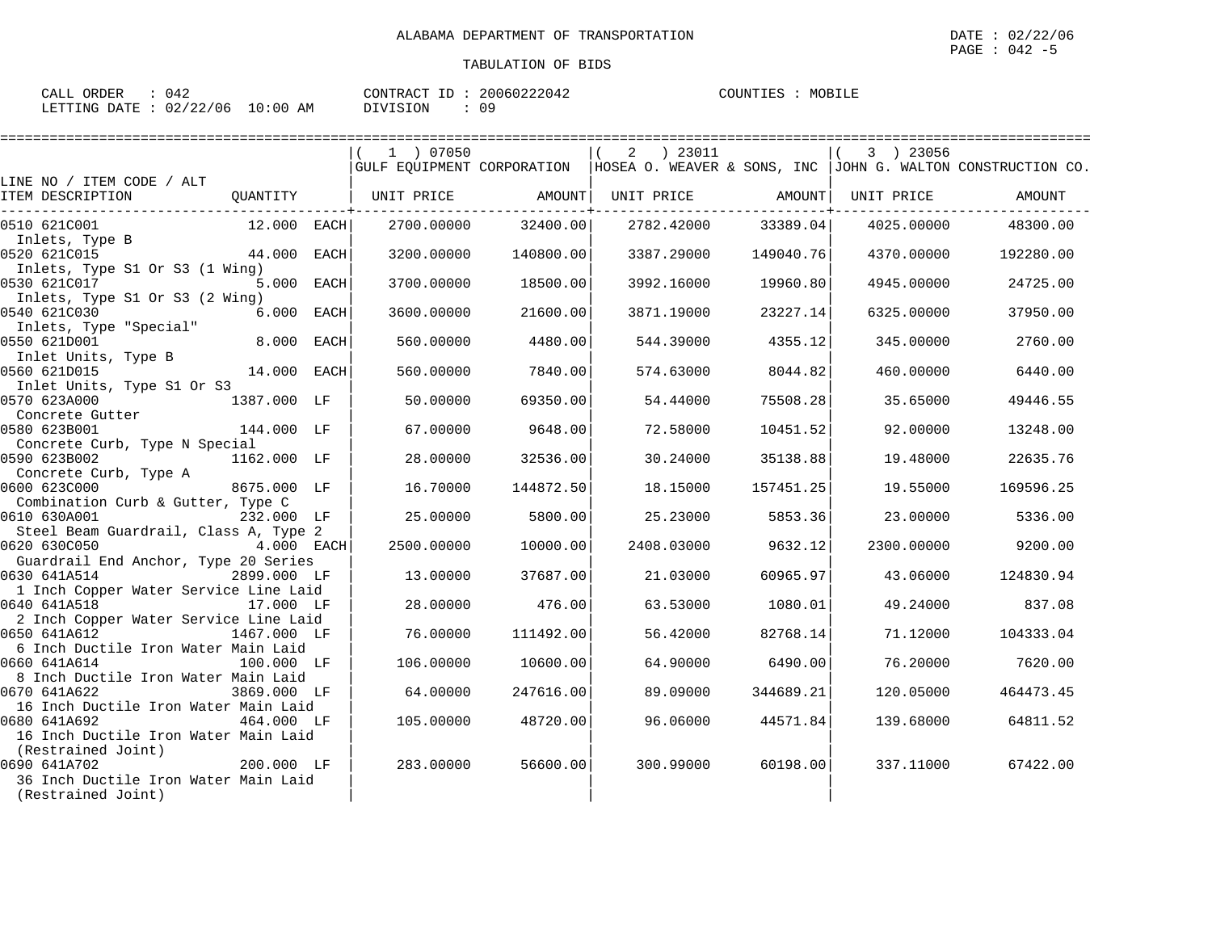| CALL ORDER : 042 |                                 |               | CONTRACT ID: 20060222042 | COUNTIES : MOBILE |
|------------------|---------------------------------|---------------|--------------------------|-------------------|
|                  | LETTING DATE: 02/22/06 10:00 AM | DIVISION : 09 |                          |                   |

|                                                     |             |      | 1 ) 07050         |           | 2 ) 23011  |                     | 3 ) 23056  |                                                                                            |
|-----------------------------------------------------|-------------|------|-------------------|-----------|------------|---------------------|------------|--------------------------------------------------------------------------------------------|
|                                                     |             |      |                   |           |            |                     |            | GULF EQUIPMENT CORPORATION   HOSEA O. WEAVER & SONS, INC   JOHN G. WALTON CONSTRUCTION CO. |
| LINE NO / ITEM CODE / ALT<br>ITEM DESCRIPTION       | OUANTITY    |      | UNIT PRICE AMOUNT |           |            |                     | UNIT PRICE | AMOUNT                                                                                     |
|                                                     |             |      |                   |           |            | UNIT PRICE AMOUNT   |            |                                                                                            |
| 0510 621C001                                        | 12.000 EACH |      | 2700.00000        | 32400.00  |            | 2782.42000 33389.04 | 4025.00000 | 48300.00                                                                                   |
| Inlets, Type B                                      |             |      |                   |           |            |                     |            |                                                                                            |
| 0520 621C015                                        | 44.000 EACH |      | 3200.00000        | 140800.00 | 3387.29000 | 149040.76           | 4370.00000 | 192280.00                                                                                  |
| Inlets, Type S1 Or S3 (1 Wing)                      |             |      |                   |           |            |                     |            |                                                                                            |
| 0530 621C017                                        | 5.000 EACH  |      | 3700.00000        | 18500.00  | 3992.16000 | 19960.80            | 4945.00000 | 24725.00                                                                                   |
| Inlets, Type S1 Or S3 (2 Wing)                      |             |      |                   |           |            |                     |            |                                                                                            |
| 0540 621C030<br>Inlets, Type "Special"              | 6.000       | EACH | 3600.00000        | 21600.00  | 3871.19000 | 23227.14            | 6325.00000 | 37950.00                                                                                   |
| 0550 621D001                                        | 8.000 EACH  |      | 560.00000         | 4480.00   | 544.39000  | 4355.12             | 345,00000  | 2760.00                                                                                    |
| Inlet Units, Type B                                 |             |      |                   |           |            |                     |            |                                                                                            |
| 0560 621D015                                        | 14.000      | EACH | 560.00000         | 7840.00   | 574.63000  | 8044.82             | 460.00000  | 6440.00                                                                                    |
| Inlet Units, Type S1 Or S3                          |             |      |                   |           |            |                     |            |                                                                                            |
| 0570 623A000                                        | 1387.000 LF |      | 50.00000          | 69350.00  | 54.44000   | 75508.28            | 35.65000   | 49446.55                                                                                   |
| Concrete Gutter                                     |             |      |                   |           |            |                     |            |                                                                                            |
| 0580 623B001                                        | 144.000 LF  |      | 67.00000          | 9648.00   | 72.58000   | 10451.52            | 92.00000   | 13248.00                                                                                   |
| Concrete Curb, Type N Special                       |             |      |                   |           |            |                     |            |                                                                                            |
| 0590 623B002                                        | 1162.000 LF |      | 28.00000          | 32536.00  | 30.24000   | 35138.88            | 19.48000   | 22635.76                                                                                   |
| Concrete Curb, Type A<br>0600 623C000               | 8675.000 LF |      | 16.70000          | 144872.50 | 18.15000   | 157451.25           | 19.55000   | 169596.25                                                                                  |
| Combination Curb & Gutter, Type C                   |             |      |                   |           |            |                     |            |                                                                                            |
| 0610 630A001                                        | 232.000 LF  |      | 25.00000          | 5800.00   | 25.23000   | 5853.36             | 23.00000   | 5336.00                                                                                    |
| Steel Beam Guardrail, Class A, Type 2               |             |      |                   |           |            |                     |            |                                                                                            |
| 4.000 EACH<br>0620 630C050                          |             |      | 2500.00000        | 10000.00  | 2408.03000 | 9632.12             | 2300.00000 | 9200.00                                                                                    |
| Guardrail End Anchor, Type 20 Series                |             |      |                   |           |            |                     |            |                                                                                            |
| 0630 641A514                                        | 2899.000 LF |      | 13,00000          | 37687.00  | 21.03000   | 60965.97            | 43.06000   | 124830.94                                                                                  |
| 1 Inch Copper Water Service Line Laid               |             |      |                   |           |            |                     |            |                                                                                            |
| 0640 641A518                                        | 17.000 LF   |      | 28,00000          | 476.00    | 63.53000   | 1080.01             | 49.24000   | 837.08                                                                                     |
| 2 Inch Copper Water Service Line Laid               |             |      |                   |           |            |                     |            |                                                                                            |
| 0650 641A612                                        | 1467.000 LF |      | 76.00000          | 111492.00 | 56.42000   | 82768.14            | 71.12000   | 104333.04                                                                                  |
| 6 Inch Ductile Iron Water Main Laid<br>0660 641A614 | 100.000 LF  |      | 106,00000         | 10600.00  | 64.90000   | 6490.00             | 76.20000   | 7620.00                                                                                    |
| 8 Inch Ductile Iron Water Main Laid                 |             |      |                   |           |            |                     |            |                                                                                            |
| 0670 641A622                                        | 3869.000 LF |      | 64.00000          | 247616.00 | 89.09000   | 344689.21           | 120.05000  | 464473.45                                                                                  |
| 16 Inch Ductile Iron Water Main Laid                |             |      |                   |           |            |                     |            |                                                                                            |
| 0680 641A692                                        | 464.000 LF  |      | 105.00000         | 48720.00  | 96.06000   | 44571.84            | 139.68000  | 64811.52                                                                                   |
| 16 Inch Ductile Iron Water Main Laid                |             |      |                   |           |            |                     |            |                                                                                            |
| (Restrained Joint)                                  |             |      |                   |           |            |                     |            |                                                                                            |
| 0690 641A702                                        | 200.000 LF  |      | 283.00000         | 56600.00  | 300.99000  | 60198.00            | 337.11000  | 67422.00                                                                                   |
| 36 Inch Ductile Iron Water Main Laid                |             |      |                   |           |            |                     |            |                                                                                            |
| (Restrained Joint)                                  |             |      |                   |           |            |                     |            |                                                                                            |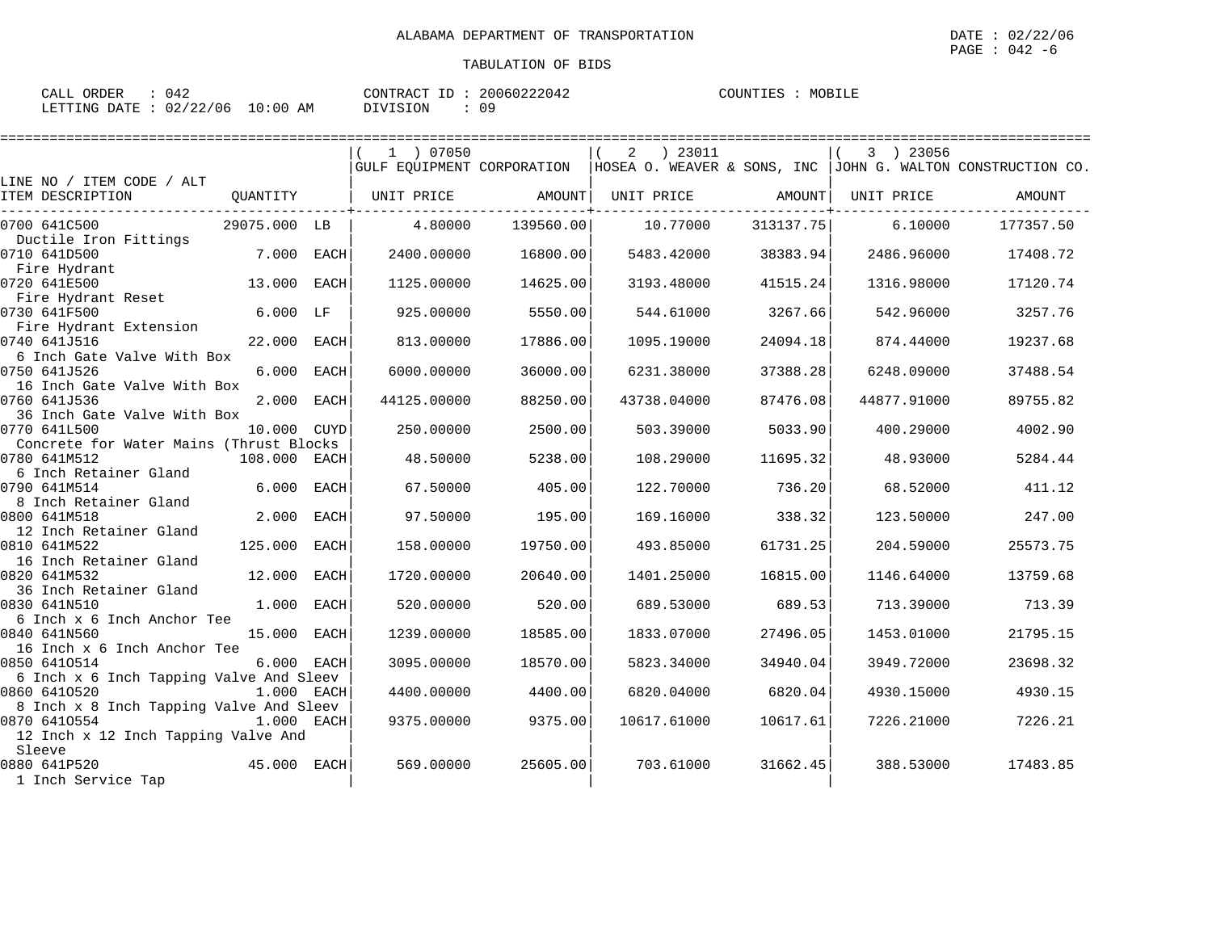| CALL ORDER                      | 042 |          | CONTRACT ID: 20060222042 | COUNTIES : | MOBILE |
|---------------------------------|-----|----------|--------------------------|------------|--------|
| LETTING DATE: 02/22/06 10:00 AM |     | DIVISION | Ωq                       |            |        |

|                                               |              |             | 1 ) 07050         |           | $2 \t) 23011$     |           | 3 ) 23056   |                                                                                            |
|-----------------------------------------------|--------------|-------------|-------------------|-----------|-------------------|-----------|-------------|--------------------------------------------------------------------------------------------|
|                                               |              |             |                   |           |                   |           |             | GULF EQUIPMENT CORPORATION   HOSEA O. WEAVER & SONS, INC   JOHN G. WALTON CONSTRUCTION CO. |
| LINE NO / ITEM CODE / ALT<br>ITEM DESCRIPTION | QUANTITY     |             |                   |           |                   |           | UNIT PRICE  | AMOUNT                                                                                     |
|                                               |              |             | UNIT PRICE AMOUNT |           | UNIT PRICE AMOUNT |           |             |                                                                                            |
| 0700 641C500                                  | 29075.000 LB |             | 4.80000           | 139560.00 | 10.77000          | 313137.75 | 6.10000     | 177357.50                                                                                  |
| Ductile Iron Fittings                         |              |             |                   |           |                   |           |             |                                                                                            |
| 0710 641D500                                  | 7.000        | EACH        | 2400.00000        | 16800.00  | 5483.42000        | 38383.94  | 2486.96000  | 17408.72                                                                                   |
| Fire Hydrant                                  |              |             |                   |           |                   |           |             |                                                                                            |
| 0720 641E500                                  | 13.000       | EACH        | 1125,00000        | 14625.00  | 3193.48000        | 41515.24  | 1316.98000  | 17120.74                                                                                   |
| Fire Hydrant Reset<br>0730 641F500            | $6.000$ LF   |             | 925.00000         | 5550.00   | 544.61000         | 3267.66   | 542.96000   | 3257.76                                                                                    |
| Fire Hydrant Extension                        |              |             |                   |           |                   |           |             |                                                                                            |
| 0740 641J516                                  | 22.000       | EACH        | 813.00000         | 17886.00  | 1095.19000        | 24094.18  | 874.44000   | 19237.68                                                                                   |
| 6 Inch Gate Valve With Box                    |              |             |                   |           |                   |           |             |                                                                                            |
| 0750 641J526                                  | 6.000 EACH   |             | 6000.00000        | 36000.00  | 6231.38000        | 37388.28  | 6248.09000  | 37488.54                                                                                   |
| 16 Inch Gate Valve With Box                   |              |             |                   |           |                   |           |             |                                                                                            |
| 0760 641J536                                  | 2.000 EACH   |             | 44125.00000       | 88250.00  | 43738.04000       | 87476.08  | 44877.91000 | 89755.82                                                                                   |
| 36 Inch Gate Valve With Box                   |              |             |                   |           |                   |           |             |                                                                                            |
| 0770 641L500                                  | 10.000 CUYD  |             | 250.00000         | 2500.00   | 503.39000         | 5033.90   | 400.29000   | 4002.90                                                                                    |
| Concrete for Water Mains (Thrust Blocks       |              |             |                   |           |                   |           |             |                                                                                            |
| 0780 641M512                                  | 108.000 EACH |             | 48.50000          | 5238.00   | 108.29000         | 11695.32  | 48.93000    | 5284.44                                                                                    |
| 6 Inch Retainer Gland<br>0790 641M514         | 6.000        | EACH        | 67.50000          | 405.00    | 122.70000         | 736.20    | 68.52000    | 411.12                                                                                     |
| 8 Inch Retainer Gland                         |              |             |                   |           |                   |           |             |                                                                                            |
| 0800 641M518                                  | 2.000        | <b>EACH</b> | 97.50000          | 195.00    | 169.16000         | 338.32    | 123.50000   | 247.00                                                                                     |
| 12 Inch Retainer Gland                        |              |             |                   |           |                   |           |             |                                                                                            |
| 0810 641M522                                  | 125.000      | EACH        | 158.00000         | 19750.00  | 493.85000         | 61731.25  | 204.59000   | 25573.75                                                                                   |
| 16 Inch Retainer Gland                        |              |             |                   |           |                   |           |             |                                                                                            |
| 0820 641M532                                  | 12.000       | <b>EACH</b> | 1720.00000        | 20640.00  | 1401.25000        | 16815.00  | 1146.64000  | 13759.68                                                                                   |
| 36 Inch Retainer Gland                        |              |             |                   |           |                   |           |             |                                                                                            |
| 0830 641N510                                  | 1.000        | EACH        | 520.00000         | 520.00    | 689.53000         | 689.53    | 713.39000   | 713.39                                                                                     |
| 6 Inch x 6 Inch Anchor Tee                    |              |             |                   |           |                   |           |             |                                                                                            |
| 0840 641N560<br>16 Inch x 6 Inch Anchor Tee   | 15.000       | EACH        | 1239.00000        | 18585.00  | 1833.07000        | 27496.05  | 1453.01000  | 21795.15                                                                                   |
| 0850 6410514                                  | 6.000 EACH   |             | 3095.00000        | 18570.00  | 5823.34000        | 34940.04  | 3949.72000  | 23698.32                                                                                   |
| 6 Inch x 6 Inch Tapping Valve And Sleev       |              |             |                   |           |                   |           |             |                                                                                            |
| 0860 6410520                                  | 1.000 EACH   |             | 4400.00000        | 4400.00   | 6820.04000        | 6820.04   | 4930.15000  | 4930.15                                                                                    |
| 8 Inch x 8 Inch Tapping Valve And Sleev       |              |             |                   |           |                   |           |             |                                                                                            |
| 0870 6410554                                  | 1.000 EACH   |             | 9375.00000        | 9375.00   | 10617.61000       | 10617.61  | 7226.21000  | 7226.21                                                                                    |
| 12 Inch x 12 Inch Tapping Valve And           |              |             |                   |           |                   |           |             |                                                                                            |
| Sleeve                                        |              |             |                   |           |                   |           |             |                                                                                            |
| 0880 641P520                                  | 45.000 EACH  |             | 569.00000         | 25605.00  | 703.61000         | 31662.45  | 388.53000   | 17483.85                                                                                   |
| 1 Inch Service Tap                            |              |             |                   |           |                   |           |             |                                                                                            |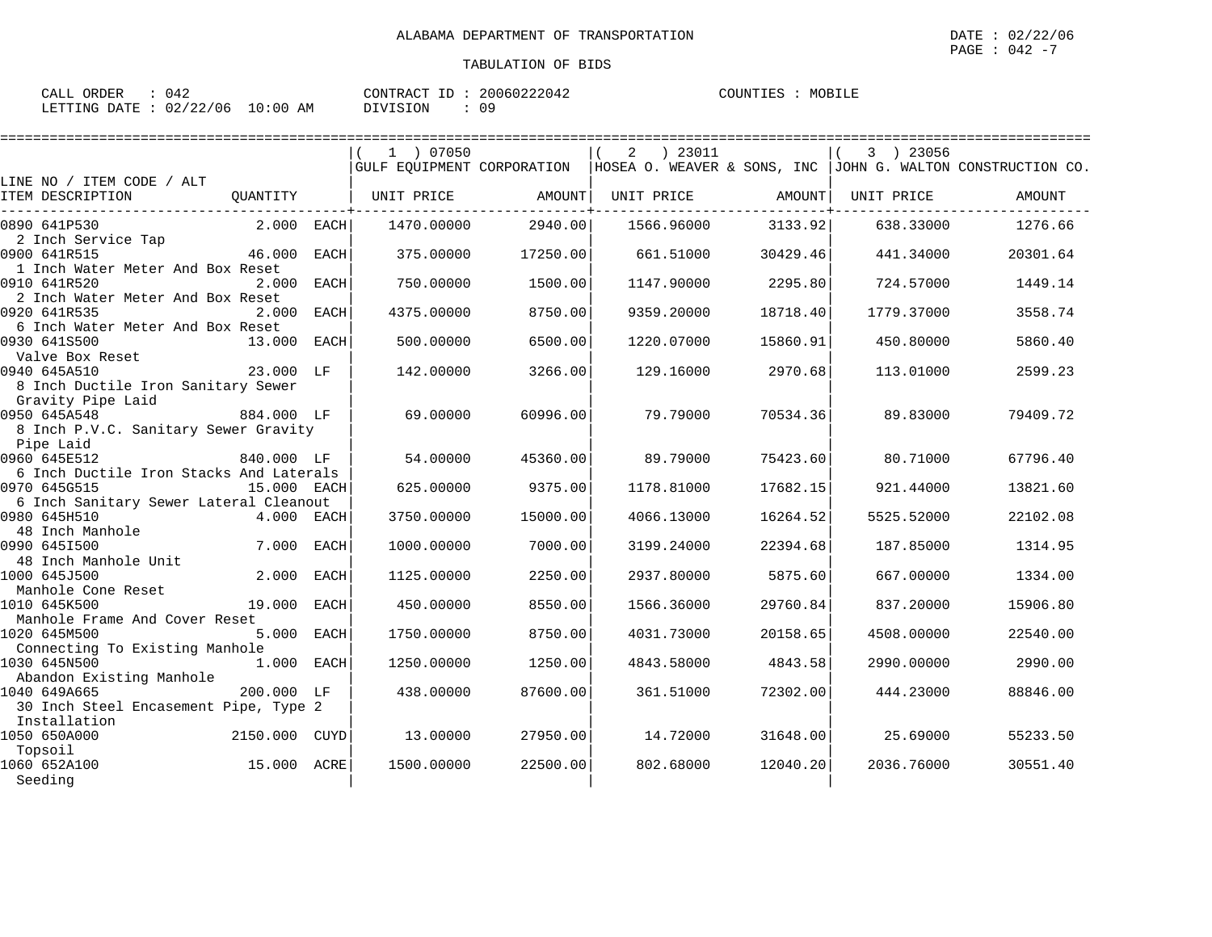| ORDER<br>CALL    |                |             | CONTRACT | TD | 20060222042 | COUNTIES | MOB |
|------------------|----------------|-------------|----------|----|-------------|----------|-----|
| LETTING<br>DATE. | 02/22<br>22/06 | 10:00<br>AΜ | DIVISION |    | n a<br>◡ -  |          |     |

|                                                                        |               |             | 1 ) 07050         |          | $2 \t) 23011$     |          | 3 ) 23056  |                                                                                            |
|------------------------------------------------------------------------|---------------|-------------|-------------------|----------|-------------------|----------|------------|--------------------------------------------------------------------------------------------|
| LINE NO / ITEM CODE / ALT                                              |               |             |                   |          |                   |          |            | GULF EQUIPMENT CORPORATION   HOSEA O. WEAVER & SONS, INC   JOHN G. WALTON CONSTRUCTION CO. |
| ITEM DESCRIPTION                                                       | QUANTITY      |             | UNIT PRICE AMOUNT |          | UNIT PRICE AMOUNT |          | UNIT PRICE | AMOUNT                                                                                     |
| 0890 641P530                                                           | $2.000$ EACH  |             | 1470.00000        | 2940.00  | 1566.96000        | 3133.92  | 638.33000  | 1276.66                                                                                    |
| 2 Inch Service Tap<br>0900 641R515                                     | 46.000 EACH   |             | 375.00000         | 17250.00 | 661.51000         | 30429.46 | 441.34000  | 20301.64                                                                                   |
| 1 Inch Water Meter And Box Reset<br>0910 641R520                       | 2.000         | EACH        | 750.00000         | 1500.00  | 1147.90000        | 2295.80  | 724.57000  | 1449.14                                                                                    |
| 2 Inch Water Meter And Box Reset<br>0920 641R535                       | 2.000         | <b>EACH</b> | 4375.00000        | 8750.00  | 9359.20000        | 18718.40 | 1779.37000 | 3558.74                                                                                    |
| 6 Inch Water Meter And Box Reset<br>0930 641S500                       | 13.000 EACH   |             | 500.00000         | 6500.00  | 1220.07000        | 15860.91 | 450.80000  | 5860.40                                                                                    |
| Valve Box Reset<br>0940 645A510                                        | 23.000 LF     |             | 142,00000         | 3266.00  | 129.16000         | 2970.68  | 113.01000  | 2599.23                                                                                    |
| 8 Inch Ductile Iron Sanitary Sewer<br>Gravity Pipe Laid                |               |             |                   |          |                   |          |            |                                                                                            |
| 0950 645A548<br>884.000 LF<br>8 Inch P.V.C. Sanitary Sewer Gravity     |               |             | 69.00000          | 60996.00 | 79.79000          | 70534.36 | 89.83000   | 79409.72                                                                                   |
| Pipe Laid<br>0960 645E512                                              | 840.000 LF    |             | 54.00000          | 45360.00 | 89.79000          | 75423.60 | 80.71000   | 67796.40                                                                                   |
| 6 Inch Ductile Iron Stacks And Laterals<br>0970 645G515                | 15.000 EACH   |             | 625.00000         | 9375.00  | 1178.81000        | 17682.15 | 921.44000  | 13821.60                                                                                   |
| 6 Inch Sanitary Sewer Lateral Cleanout<br>0980 645H510<br>$4.000$ EACH |               |             | 3750.00000        | 15000.00 | 4066.13000        | 16264.52 | 5525.52000 | 22102.08                                                                                   |
| 48 Inch Manhole<br>0990 6451500                                        | 7.000 EACH    |             | 1000.00000        | 7000.00  | 3199.24000        | 22394.68 | 187.85000  | 1314.95                                                                                    |
| 48 Inch Manhole Unit<br>1000 645J500                                   | 2.000 EACH    |             | 1125.00000        | 2250.00  | 2937.80000        | 5875.60  | 667,00000  | 1334.00                                                                                    |
| Manhole Cone Reset<br>1010 645K500                                     | 19.000        | <b>EACH</b> | 450.00000         | 8550.00  | 1566.36000        | 29760.84 | 837.20000  | 15906.80                                                                                   |
| Manhole Frame And Cover Reset<br>1020 645M500                          | 5.000 EACH    |             | 1750.00000        | 8750.00  | 4031.73000        | 20158.65 | 4508.00000 | 22540.00                                                                                   |
| Connecting To Existing Manhole<br>1030 645N500                         | 1.000 EACH    |             | 1250.00000        | 1250.00  | 4843.58000        | 4843.58  | 2990.00000 | 2990.00                                                                                    |
| Abandon Existing Manhole<br>1040 649A665                               | 200.000 LF    |             | 438.00000         | 87600.00 | 361.51000         | 72302.00 | 444.23000  | 88846.00                                                                                   |
| 30 Inch Steel Encasement Pipe, Type 2<br>Installation                  |               |             |                   |          |                   |          |            |                                                                                            |
| 1050 650A000<br>Topsoil                                                | 2150.000 CUYD |             | 13.00000          | 27950.00 | 14.72000          | 31648.00 | 25.69000   | 55233.50                                                                                   |
| 15.000 ACRE<br>1060 652A100<br>Seeding                                 |               |             | 1500.00000        | 22500.00 | 802.68000         | 12040.20 | 2036.76000 | 30551.40                                                                                   |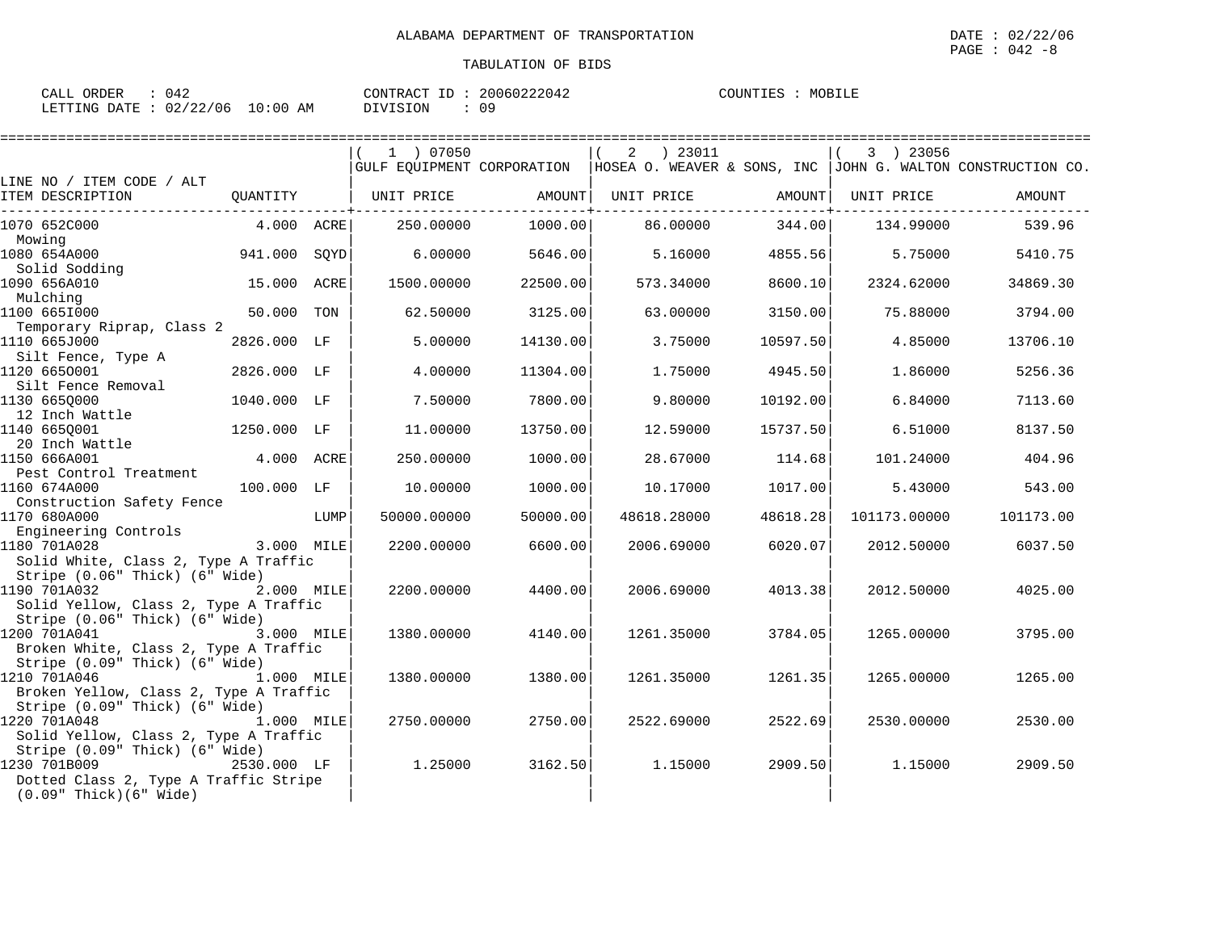| CALL ORDER | 042                              | CONTRACT ID: 20060222042 | MOBILE<br>COUNTIES |
|------------|----------------------------------|--------------------------|--------------------|
|            | LETTING DATE : 02/22/06 10:00 AM | DIVISION<br>09           |                    |

|                                                              |             |      | 1 ) 07050             |                          | 2 ) 23011   |                               | 3 ) 23056    |                                                                                            |
|--------------------------------------------------------------|-------------|------|-----------------------|--------------------------|-------------|-------------------------------|--------------|--------------------------------------------------------------------------------------------|
| LINE NO / ITEM CODE / ALT                                    |             |      |                       |                          |             |                               |              | GULF EQUIPMENT CORPORATION   HOSEA O. WEAVER & SONS, INC   JOHN G. WALTON CONSTRUCTION CO. |
| ITEM DESCRIPTION                                             |             |      | QUANTITY   UNIT PRICE | AMOUNT                   | UNIT PRICE  | AMOUNT                        | UNIT PRICE   | AMOUNT                                                                                     |
| 1070 652C000                                                 | 4.000 ACRE  |      | 250.00000             | ------------+<br>1000.00 | 86.00000    | --------------+----<br>344.00 | 134.99000    | 539.96                                                                                     |
| Mowing                                                       |             |      |                       |                          |             |                               |              |                                                                                            |
| 1080 654A000                                                 | 941.000     | SQYD | 6.00000               | 5646.00                  | 5.16000     | 4855.56                       | 5.75000      | 5410.75                                                                                    |
| Solid Sodding                                                |             |      |                       |                          |             |                               |              |                                                                                            |
| 1090 656A010                                                 | 15.000 ACRE |      | 1500.00000            | 22500.00                 | 573.34000   | 8600.10                       | 2324.62000   | 34869.30                                                                                   |
| Mulching                                                     |             |      |                       |                          |             |                               |              |                                                                                            |
| 1100 6651000                                                 | 50.000      | TON  | 62.50000              | 3125.00                  | 63.00000    | 3150.00                       | 75.88000     | 3794.00                                                                                    |
| Temporary Riprap, Class 2                                    |             |      |                       |                          |             |                               |              |                                                                                            |
| 1110 665J000<br>Silt Fence, Type A                           | 2826.000 LF |      | 5.00000               | 14130.00                 | 3.75000     | 10597.50                      | 4.85000      | 13706.10                                                                                   |
| 1120 6650001                                                 | 2826.000 LF |      | 4.00000               | 11304.00                 | 1.75000     | 4945.50                       | 1.86000      | 5256.36                                                                                    |
| Silt Fence Removal                                           |             |      |                       |                          |             |                               |              |                                                                                            |
| 1130 6650000                                                 | 1040.000 LF |      | 7.50000               | 7800.00                  | 9.80000     | 10192.00                      | 6.84000      | 7113.60                                                                                    |
| 12 Inch Wattle                                               |             |      |                       |                          |             |                               |              |                                                                                            |
| 1140 6650001                                                 | 1250.000 LF |      | 11,00000              | 13750.00                 | 12.59000    | 15737.50                      | 6.51000      | 8137.50                                                                                    |
| 20 Inch Wattle                                               |             |      |                       |                          |             |                               |              |                                                                                            |
| 1150 666A001                                                 | 4.000 ACRE  |      | 250.00000             | 1000.00                  | 28.67000    | 114.68                        | 101.24000    | 404.96                                                                                     |
| Pest Control Treatment                                       |             |      |                       |                          |             |                               |              |                                                                                            |
| 1160 674A000                                                 | 100.000 LF  |      | 10.00000              | 1000.00                  | 10.17000    | 1017.00                       | 5.43000      | 543.00                                                                                     |
| Construction Safety Fence                                    |             |      |                       |                          |             |                               |              |                                                                                            |
| 1170 680A000                                                 |             | LUMP | 50000.00000           | 50000.00                 | 48618.28000 | 48618.28                      | 101173.00000 | 101173.00                                                                                  |
| Engineering Controls<br>1180 701A028                         | 3.000 MILE  |      | 2200.00000            | 6600.00                  | 2006.69000  | 6020.07                       | 2012.50000   | 6037.50                                                                                    |
| Solid White, Class 2, Type A Traffic                         |             |      |                       |                          |             |                               |              |                                                                                            |
| Stripe (0.06" Thick) (6" Wide)                               |             |      |                       |                          |             |                               |              |                                                                                            |
| 1190 701A032                                                 | 2.000 MILE  |      | 2200.00000            | 4400.00                  | 2006.69000  | 4013.38                       | 2012.50000   | 4025.00                                                                                    |
| Solid Yellow, Class 2, Type A Traffic                        |             |      |                       |                          |             |                               |              |                                                                                            |
| Stripe (0.06" Thick) (6" Wide)                               |             |      |                       |                          |             |                               |              |                                                                                            |
| 1200 701A041<br>3.000 MILE                                   |             |      | 1380.00000            | 4140.00                  | 1261.35000  | 3784.05                       | 1265.00000   | 3795.00                                                                                    |
| Broken White, Class 2, Type A Traffic                        |             |      |                       |                          |             |                               |              |                                                                                            |
| Stripe (0.09" Thick) (6" Wide)                               |             |      |                       |                          |             |                               |              |                                                                                            |
| 1210 701A046                                                 | 1.000 MILE  |      | 1380.00000            | 1380.00                  | 1261.35000  | 1261.35                       | 1265.00000   | 1265.00                                                                                    |
| Broken Yellow, Class 2, Type A Traffic                       |             |      |                       |                          |             |                               |              |                                                                                            |
| Stripe (0.09" Thick) (6" Wide)<br>1220 701A048<br>1.000 MILE |             |      | 2750.00000            | 2750.00                  | 2522.69000  | 2522.69                       | 2530.00000   | 2530.00                                                                                    |
| Solid Yellow, Class 2, Type A Traffic                        |             |      |                       |                          |             |                               |              |                                                                                            |
| Stripe (0.09" Thick) (6" Wide)                               |             |      |                       |                          |             |                               |              |                                                                                            |
| 1230 701B009                                                 | 2530.000 LF |      | 1.25000               | 3162.50                  | 1.15000     | 2909.50                       | 1.15000      | 2909.50                                                                                    |
| Dotted Class 2, Type A Traffic Stripe                        |             |      |                       |                          |             |                               |              |                                                                                            |
| $(0.09"$ Thick $)(6"$ Wide)                                  |             |      |                       |                          |             |                               |              |                                                                                            |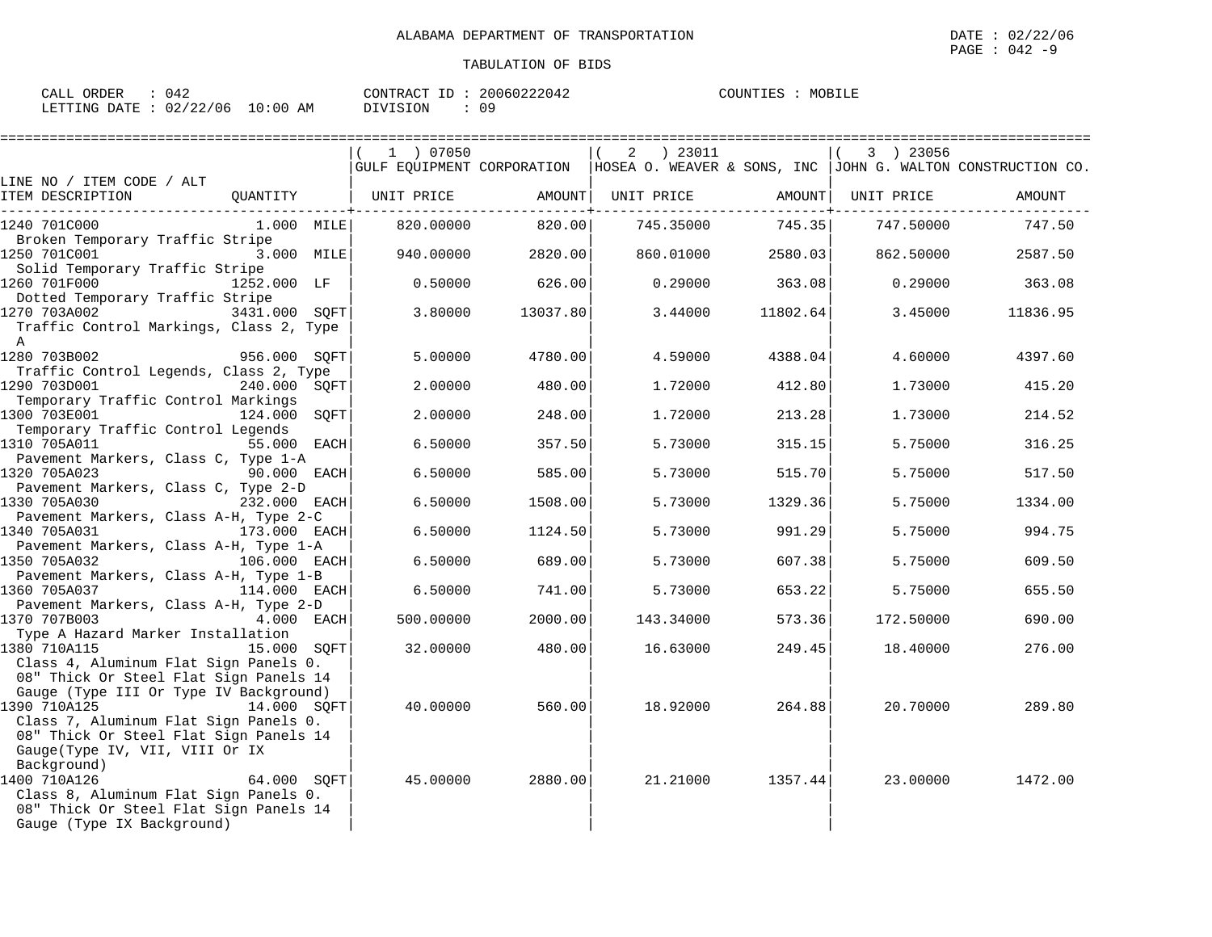| CALL ORDER                      | : 042 |          | CONTRACT ID: 20060222042 | COUNTIES : MOBILE |  |
|---------------------------------|-------|----------|--------------------------|-------------------|--|
| LETTING DATE: 02/22/06 10:00 AM |       | DIVISION | : 09                     |                   |  |

|                                                                                 |               | 1 ) 07050  |          | ) 23011<br>2 |          | 3 ) 23056  |                                                                                            |
|---------------------------------------------------------------------------------|---------------|------------|----------|--------------|----------|------------|--------------------------------------------------------------------------------------------|
| LINE NO / ITEM CODE / ALT                                                       |               |            |          |              |          |            | GULF EQUIPMENT CORPORATION   HOSEA O. WEAVER & SONS, INC   JOHN G. WALTON CONSTRUCTION CO. |
| ITEM DESCRIPTION                                                                | QUANTITY      | UNIT PRICE | AMOUNT   | UNIT PRICE   | AMOUNT   | UNIT PRICE | AMOUNT                                                                                     |
| 1240 701C000                                                                    | $1.000$ MILE  | 820.00000  | 820.00   | 745.35000    | 745.35   | 747.50000  | 747.50                                                                                     |
| Broken Temporary Traffic Stripe<br>1250 701C001                                 | 3.000 MILE    | 940.00000  | 2820.00  | 860.01000    | 2580.03  | 862.50000  | 2587.50                                                                                    |
| Solid Temporary Traffic Stripe<br>1260 701F000                                  | 1252.000 LF   | 0.50000    | 626.00   | 0.29000      | 363.08   | 0.29000    | 363.08                                                                                     |
| Dotted Temporary Traffic Stripe                                                 |               |            |          |              |          |            |                                                                                            |
| 1270 703A002                                                                    | 3431.000 SQFT | 3.80000    | 13037.80 | 3.44000      | 11802.64 | 3.45000    | 11836.95                                                                                   |
| Traffic Control Markings, Class 2, Type<br>$\mathbb A$                          |               |            |          |              |          |            |                                                                                            |
| 1280 703B002                                                                    | 956.000 SOFT  | 5.00000    | 4780.00  | 4.59000      | 4388.04  | 4.60000    | 4397.60                                                                                    |
| Traffic Control Legends, Class 2, Type                                          |               |            |          |              |          |            |                                                                                            |
| 1290 703D001                                                                    | 240.000 SOFT  | 2.00000    | 480.00   | 1.72000      | 412.80   | 1.73000    | 415.20                                                                                     |
| Temporary Traffic Control Markings<br>1300 703E001                              | 124.000 SQFT  | 2.00000    | 248.00   | 1.72000      | 213.28   | 1.73000    | 214.52                                                                                     |
| Temporary Traffic Control Legends                                               |               |            |          |              |          |            |                                                                                            |
| 1310 705A011                                                                    | 55.000 EACH   | 6.50000    | 357.50   | 5.73000      | 315.15   | 5.75000    | 316.25                                                                                     |
| Pavement Markers, Class C, Type 1-A<br>1320 705A023                             | 90.000 EACH   | 6.50000    | 585.00   | 5.73000      | 515.70   | 5.75000    | 517.50                                                                                     |
| Pavement Markers, Class C, Type 2-D                                             |               |            |          |              |          |            |                                                                                            |
| 1330 705A030                                                                    | 232.000 EACH  | 6.50000    | 1508.00  | 5.73000      | 1329.36  | 5.75000    | 1334.00                                                                                    |
| Pavement Markers, Class A-H, Type 2-C                                           |               |            |          |              |          |            |                                                                                            |
| 1340 705A031<br>Pavement Markers, Class A-H, Type 1-A                           | 173.000 EACH  | 6.50000    | 1124.50  | 5.73000      | 991.29   | 5.75000    | 994.75                                                                                     |
| 1350 705A032                                                                    | 106.000 EACH  | 6.50000    | 689.00   | 5.73000      | 607.38   | 5.75000    | 609.50                                                                                     |
| Pavement Markers, Class A-H, Type 1-B                                           |               |            |          |              |          |            |                                                                                            |
| 1360 705A037                                                                    | 114.000 EACH  | 6.50000    | 741.00   | 5.73000      | 653.22   | 5.75000    | 655.50                                                                                     |
| Pavement Markers, Class A-H, Type 2-D                                           |               |            |          |              |          |            |                                                                                            |
| 1370 707B003                                                                    | 4.000 EACH    | 500.00000  | 2000.00  | 143.34000    | 573.36   | 172.50000  | 690.00                                                                                     |
| Type A Hazard Marker Installation<br>1380 710A115                               | 15.000 SOFT   |            | 480.00   | 16.63000     |          |            | 276.00                                                                                     |
| Class 4, Aluminum Flat Sign Panels 0.                                           |               | 32.00000   |          |              | 249.45   | 18.40000   |                                                                                            |
| 08" Thick Or Steel Flat Sign Panels 14                                          |               |            |          |              |          |            |                                                                                            |
| Gauge (Type III Or Type IV Background)                                          |               |            |          |              |          |            |                                                                                            |
| 1390 710A125                                                                    | 14.000 SOFT   | 40.00000   | 560.00   | 18.92000     | 264.88   | 20.70000   | 289.80                                                                                     |
| Class 7, Aluminum Flat Sign Panels 0.                                           |               |            |          |              |          |            |                                                                                            |
| 08" Thick Or Steel Flat Sign Panels 14                                          |               |            |          |              |          |            |                                                                                            |
| Gauge(Type IV, VII, VIII Or IX                                                  |               |            |          |              |          |            |                                                                                            |
| Background)                                                                     |               |            |          |              |          |            |                                                                                            |
| 1400 710A126                                                                    | 64.000 SOFT   | 45.00000   | 2880.00  | 21.21000     | 1357.44  | 23.00000   | 1472.00                                                                                    |
| Class 8, Aluminum Flat Sign Panels 0.<br>08" Thick Or Steel Flat Sign Panels 14 |               |            |          |              |          |            |                                                                                            |
| Gauge (Type IX Background)                                                      |               |            |          |              |          |            |                                                                                            |
|                                                                                 |               |            |          |              |          |            |                                                                                            |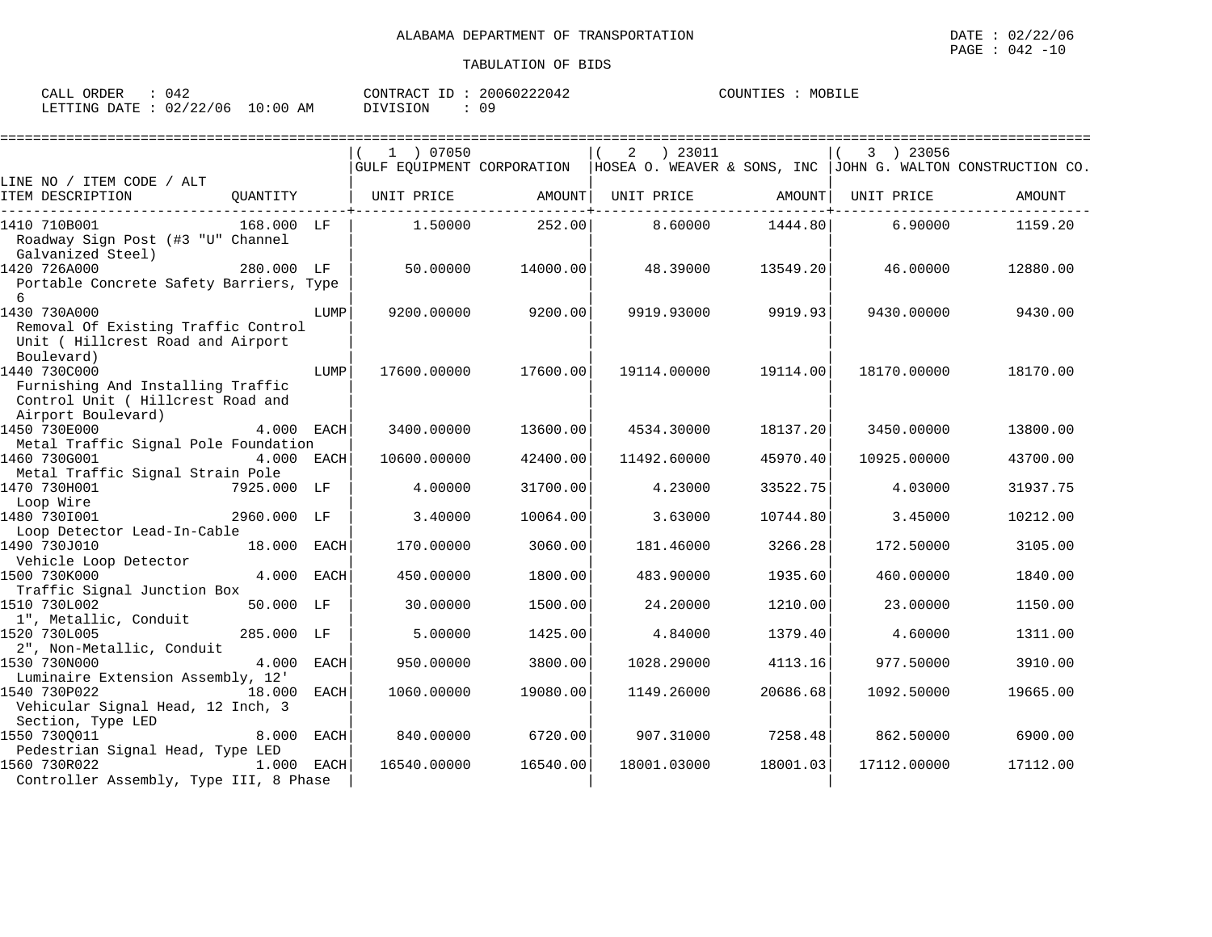| CALL ORDER                      | 042 |          | CONTRACT ID: 20060222042 | MOBILE<br>COUNTIES |
|---------------------------------|-----|----------|--------------------------|--------------------|
| LETTING DATE: 02/22/06 10:00 AM |     | DIVISION | Ωq                       |                    |

|                                                                                                              |             |             |             |          |                   | ====================== |             |                                                                                            |
|--------------------------------------------------------------------------------------------------------------|-------------|-------------|-------------|----------|-------------------|------------------------|-------------|--------------------------------------------------------------------------------------------|
|                                                                                                              |             |             | 1 ) 07050   |          | 2<br>) 23011      |                        | 3 ) 23056   | GULF EQUIPMENT CORPORATION   HOSEA O. WEAVER & SONS, INC   JOHN G. WALTON CONSTRUCTION CO. |
| LINE NO / ITEM CODE / ALT<br>ITEM DESCRIPTION                                                                | OUANTITY    |             | UNIT PRICE  | AMOUNT   | UNIT PRICE AMOUNT |                        | UNIT PRICE  | AMOUNT                                                                                     |
| 1410 710B001<br>Roadway Sign Post (#3 "U" Channel<br>Galvanized Steel)                                       | 168.000 LF  |             | 1.50000     | 252.00   | 8.60000           | 1444.80                | 6.90000     | 1159.20                                                                                    |
| 1420 726A000<br>Portable Concrete Safety Barriers, Type<br>6                                                 | 280.000 LF  |             | 50.00000    | 14000.00 | 48.39000          | 13549.20               | 46.00000    | 12880.00                                                                                   |
| 1430 730A000<br>Removal Of Existing Traffic Control<br>Unit ( Hillcrest Road and Airport<br>Boulevard)       |             | LUMP        | 9200.00000  | 9200.00  | 9919.93000        | 9919.93                | 9430.00000  | 9430.00                                                                                    |
| 1440 730C000<br>Furnishing And Installing Traffic<br>Control Unit ( Hillcrest Road and<br>Airport Boulevard) |             | LUMP        | 17600.00000 | 17600.00 | 19114.00000       | 19114.00               | 18170.00000 | 18170.00                                                                                   |
| 1450 730E000                                                                                                 |             | 4.000 EACH  | 3400.00000  | 13600.00 | 4534.30000        | 18137.20               | 3450.00000  | 13800.00                                                                                   |
| Metal Traffic Signal Pole Foundation<br>1460 730G001<br>Metal Traffic Signal Strain Pole                     |             | 4.000 EACH  | 10600.00000 | 42400.00 | 11492.60000       | 45970.40               | 10925.00000 | 43700.00                                                                                   |
| 1470 730H001                                                                                                 | 7925.000 LF |             | 4.00000     | 31700.00 | 4.23000           | 33522.75               | 4.03000     | 31937.75                                                                                   |
| Loop Wire<br>1480 7301001<br>Loop Detector Lead-In-Cable                                                     | 2960.000 LF |             | 3.40000     | 10064.00 | 3.63000           | 10744.80               | 3.45000     | 10212.00                                                                                   |
| 1490 730J010<br>Vehicle Loop Detector                                                                        | 18.000 EACH |             | 170.00000   | 3060.00  | 181.46000         | 3266.28                | 172.50000   | 3105.00                                                                                    |
| 1500 730K000<br>Traffic Signal Junction Box                                                                  | 4.000       | <b>EACH</b> | 450.00000   | 1800.00  | 483.90000         | 1935.60                | 460.00000   | 1840.00                                                                                    |
| 1510 730L002<br>1", Metallic, Conduit                                                                        | 50.000 LF   |             | 30.00000    | 1500.00  | 24.20000          | 1210.00                | 23.00000    | 1150.00                                                                                    |
| 1520 730L005<br>2", Non-Metallic, Conduit                                                                    | 285.000 LF  |             | 5.00000     | 1425.00  | 4.84000           | 1379.40                | 4.60000     | 1311.00                                                                                    |
| 1530 730N000<br>Luminaire Extension Assembly, 12'                                                            | 4.000       | EACH        | 950.00000   | 3800.00  | 1028.29000        | 4113.16                | 977.50000   | 3910.00                                                                                    |
| 1540 730P022<br>Vehicular Signal Head, 12 Inch, 3<br>Section, Type LED                                       | 18.000      | EACH        | 1060.00000  | 19080.00 | 1149.26000        | 20686.68               | 1092.50000  | 19665.00                                                                                   |
| 1550 7300011<br>Pedestrian Signal Head, Type LED                                                             | 8.000 EACH  |             | 840.00000   | 6720.00  | 907.31000         | 7258.48                | 862.50000   | 6900.00                                                                                    |
| 1560 730R022<br>Controller Assembly, Type III, 8 Phase                                                       | 1.000 EACH  |             | 16540.00000 | 16540.00 | 18001.03000       | 18001.03               | 17112.00000 | 17112.00                                                                                   |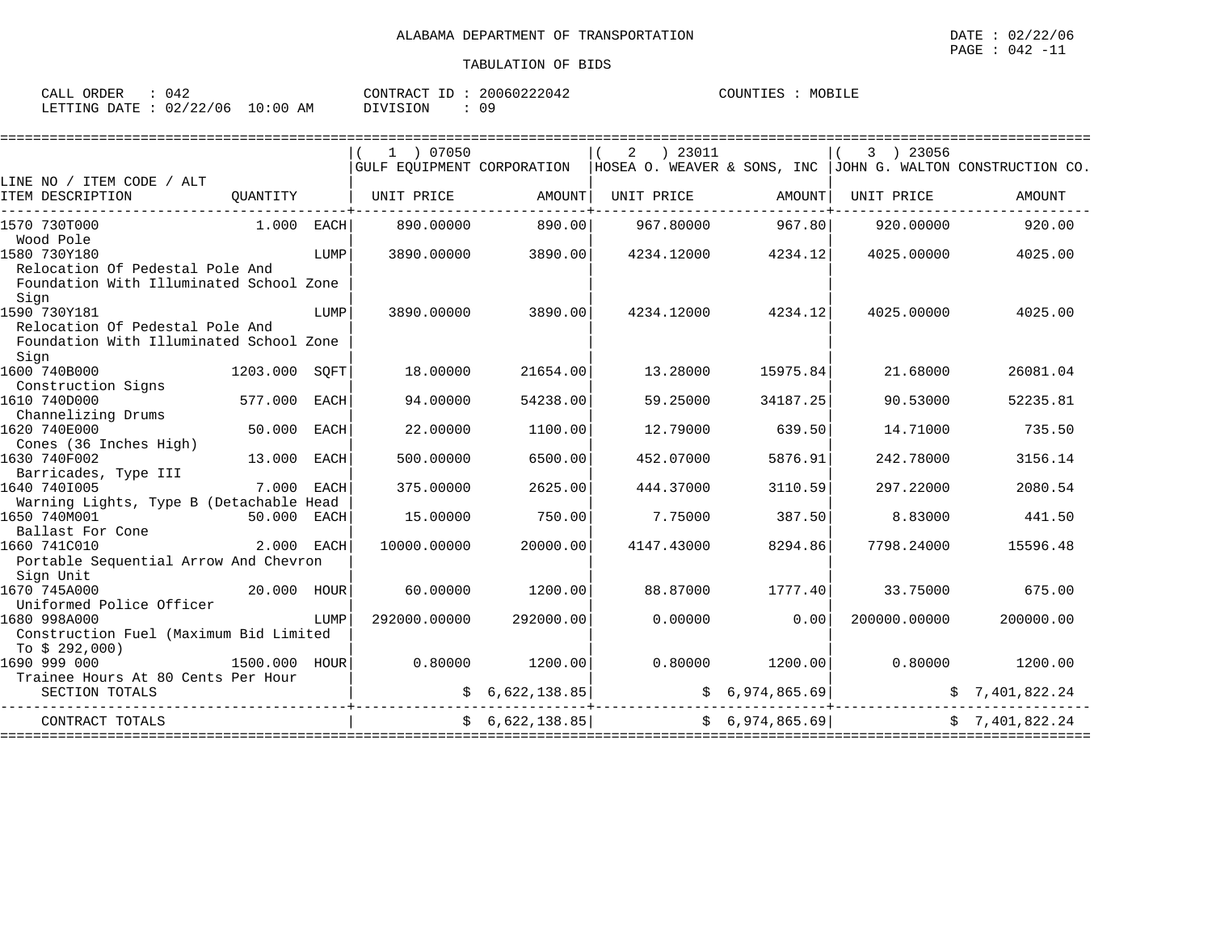| CALL ORDER | 042                             | CONTRACT ID: 20060222042 | MOBILE<br>COUNTIES |
|------------|---------------------------------|--------------------------|--------------------|
|            | LETTING DATE: 02/22/06 10:00 AM | DIVISION<br>09           |                    |

|                                                    |               |      |                   |                 |                  | ================   |                             | ==========================                                                                 |
|----------------------------------------------------|---------------|------|-------------------|-----------------|------------------|--------------------|-----------------------------|--------------------------------------------------------------------------------------------|
|                                                    |               |      | 1 ) 07050         |                 | 2 ) 23011        |                    | 3 ) 23056                   |                                                                                            |
|                                                    |               |      |                   |                 |                  |                    |                             | GULF EOUIPMENT CORPORATION   HOSEA O. WEAVER & SONS, INC   JOHN G. WALTON CONSTRUCTION CO. |
| LINE NO / ITEM CODE / ALT                          |               |      |                   |                 |                  |                    |                             |                                                                                            |
| ITEM DESCRIPTION                                   | OUANTITY      |      | UNIT PRICE AMOUNT |                 |                  | UNIT PRICE AMOUNT  | UNIT PRICE                  | AMOUNT                                                                                     |
|                                                    |               |      |                   |                 |                  |                    |                             |                                                                                            |
| 1570 730T000<br>$1.000$ EACH                       |               |      | 890.00000         | 890.00          |                  | 967.80000 967.80   | 920.00000                   | 920.00                                                                                     |
| Wood Pole                                          |               |      |                   |                 |                  |                    |                             |                                                                                            |
| 1580 730Y180                                       |               | LUMP | 3890.00000        | 3890.00         |                  | 4234.12000 4234.12 | 4025.00000                  | 4025.00                                                                                    |
| Relocation Of Pedestal Pole And                    |               |      |                   |                 |                  |                    |                             |                                                                                            |
| Foundation With Illuminated School Zone            |               |      |                   |                 |                  |                    |                             |                                                                                            |
| Sign<br>1590 730Y181                               |               | LUMP | 3890.00000        | 3890.00         | 4234.12000       | 4234.12            | 4025.00000                  | 4025.00                                                                                    |
| Relocation Of Pedestal Pole And                    |               |      |                   |                 |                  |                    |                             |                                                                                            |
| Foundation With Illuminated School Zone            |               |      |                   |                 |                  |                    |                             |                                                                                            |
| Sign                                               |               |      |                   |                 |                  |                    |                             |                                                                                            |
| 1600 740B000                                       | 1203.000 SOFT |      | 18,00000          | 21654.00        | 13,28000         | 15975.84           | 21.68000                    | 26081.04                                                                                   |
| Construction Signs                                 |               |      |                   |                 |                  |                    |                             |                                                                                            |
| 1610 740D000                                       | 577.000 EACH  |      | 94.00000          | 54238.00        | 59.25000         | 34187.25           | 90.53000                    | 52235.81                                                                                   |
| Channelizing Drums                                 |               |      |                   |                 |                  |                    |                             |                                                                                            |
| 1620 740E000                                       | 50.000        | EACH | 22.00000          | 1100.00         | 12.79000         | 639.50             | 14.71000                    | 735.50                                                                                     |
| Cones (36 Inches High)                             |               |      |                   |                 |                  |                    |                             |                                                                                            |
| 1630 740F002                                       | 13.000 EACH   |      | 500.00000         | 6500.00         | 452.07000        | 5876.91            | 242.78000                   | 3156.14                                                                                    |
| Barricades, Type III                               |               |      |                   |                 |                  |                    |                             |                                                                                            |
| 1640 7401005                                       | 7.000 EACH    |      | 375.00000         | 2625.00         | 444.37000        | 3110.59            | 297.22000                   | 2080.54                                                                                    |
| Warning Lights, Type B (Detachable Head            |               |      |                   |                 |                  |                    |                             |                                                                                            |
| 1650 740M001                                       | 50.000 EACH   |      | 15,00000          | 750.00          | 7.75000          | 387.50             | 8.83000                     | 441.50                                                                                     |
| Ballast For Cone                                   |               |      |                   |                 |                  |                    |                             |                                                                                            |
| 1660 741C010                                       | 2.000 EACH    |      | 10000.00000       | 20000.00        | 4147.43000       | 8294.86            | 7798.24000                  | 15596.48                                                                                   |
| Portable Sequential Arrow And Chevron<br>Sign Unit |               |      |                   |                 |                  |                    |                             |                                                                                            |
| 20.000 HOUR<br>1670 745A000                        |               |      | 60,00000          | 1200.00         | 88.87000         | 1777.40            | 33.75000                    | 675.00                                                                                     |
| Uniformed Police Officer                           |               |      |                   |                 |                  |                    |                             |                                                                                            |
| 1680 998A000                                       |               | LUMP | 292000.00000      | 292000.00       | 0.00000          | 0.00               | 200000.00000                | 200000.00                                                                                  |
| Construction Fuel (Maximum Bid Limited             |               |      |                   |                 |                  |                    |                             |                                                                                            |
| To $$292,000$                                      |               |      |                   |                 |                  |                    |                             |                                                                                            |
| 1690 999 000                                       |               |      |                   |                 |                  | $0.80000$ 1200.00  | 0.80000                     | 1200.00                                                                                    |
| Trainee Hours At 80 Cents Per Hour                 |               |      |                   |                 |                  |                    |                             |                                                                                            |
| SECTION TOTALS                                     |               |      |                   | \$6,622,138.85] | \$6,974,865.69   |                    |                             | \$7,401,822.24                                                                             |
|                                                    |               |      |                   |                 |                  |                    |                             |                                                                                            |
| CONTRACT TOTALS                                    |               |      |                   | \$6,622,138.85  | ================ | \$6,974,865.69     | ,,,,,,,,,,,,,,,,,,,,,,,,,,, | \$7,401,822.24                                                                             |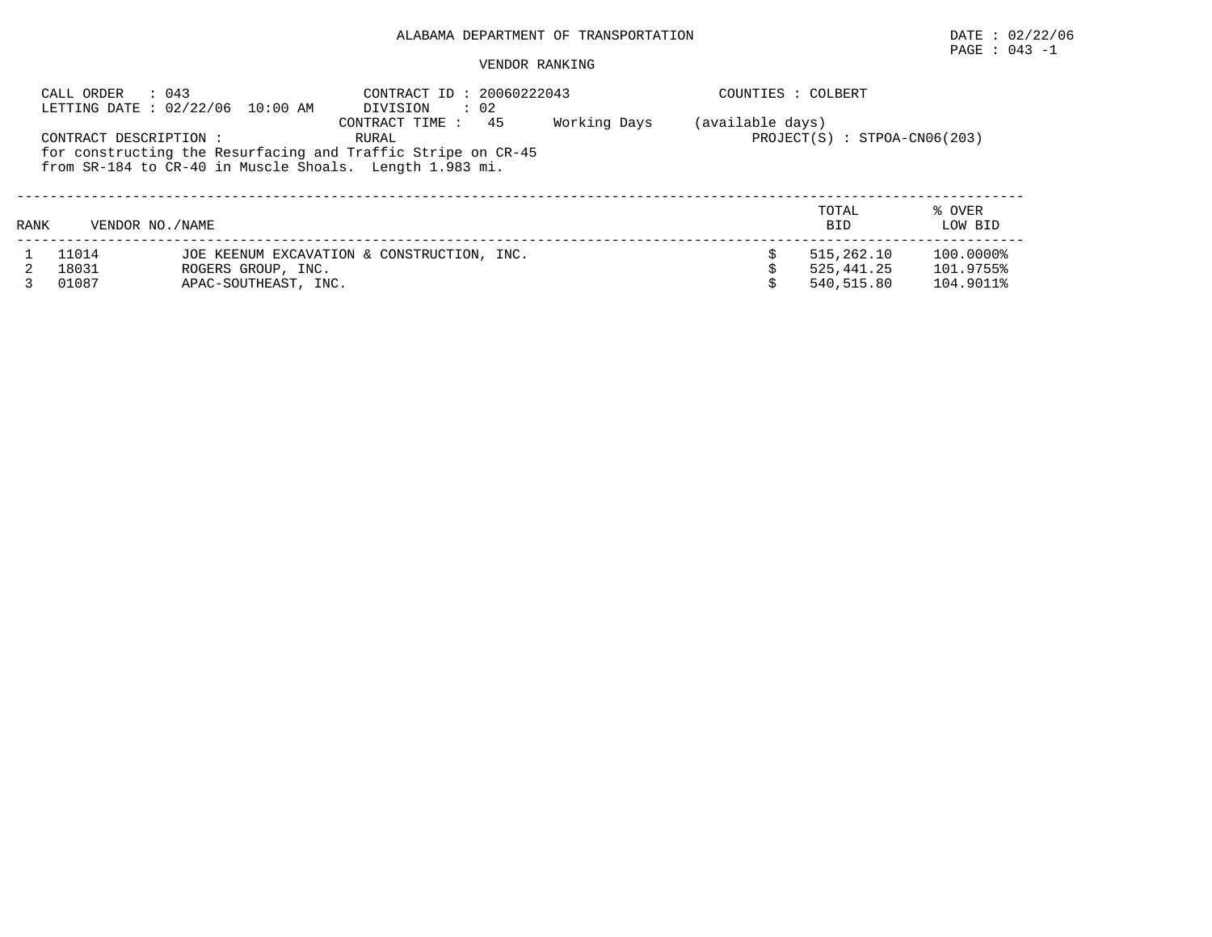# PAGE : 043 -1

## VENDOR RANKING

|      | : 043<br>CALL ORDER    | LETTING DATE: 02/22/06 10:00 AM | CONTRACT ID: 20060222043<br>$\therefore$ 02<br>DIVISION                                                                                                   |              | COUNTIES : COLBERT |                                |                        |
|------|------------------------|---------------------------------|-----------------------------------------------------------------------------------------------------------------------------------------------------------|--------------|--------------------|--------------------------------|------------------------|
|      | CONTRACT DESCRIPTION : |                                 | 45<br>CONTRACT TIME :<br>RURAL<br>for constructing the Resurfacing and Traffic Stripe on CR-45<br>from SR-184 to CR-40 in Muscle Shoals. Length 1.983 mi. | Working Days | (available days)   | $PROJECT(S) : STPOA-CN06(203)$ |                        |
| RANK | VENDOR NO. / NAME      |                                 |                                                                                                                                                           |              |                    | TOTAL<br><b>BID</b>            | % OVER<br>LOW BID      |
|      | 11014<br>18031         | ROGERS GROUP, INC.              | JOE KEENUM EXCAVATION & CONSTRUCTION, INC.                                                                                                                |              |                    | 515,262.10<br>525, 441, 25     | 100.0000%<br>101.9755% |

3 01087 APAC-SOUTHEAST, INC. \$ 540,515.80 104.9011%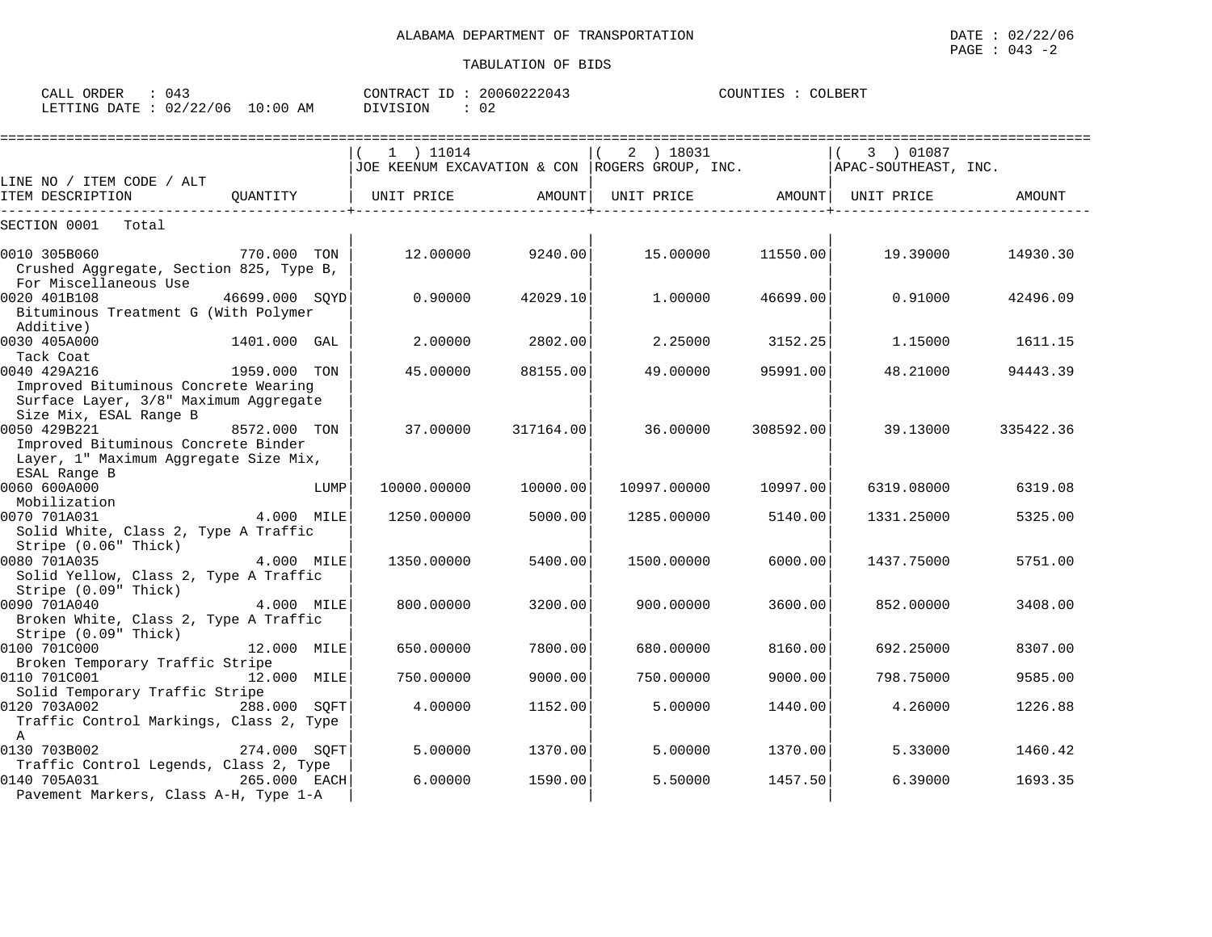| CALL<br>ORDER | 043      |             | CONTRACT ID | 20060222043 | COLBERT<br>COUNTIES |
|---------------|----------|-------------|-------------|-------------|---------------------|
| LETTING DATE  | 02/22/06 | 10:00<br>ΆM | DIVISION    | 02          |                     |

|                                                                                                                         |                |      | =======================      |           |                                                                                      | ====================== |            |           |
|-------------------------------------------------------------------------------------------------------------------------|----------------|------|------------------------------|-----------|--------------------------------------------------------------------------------------|------------------------|------------|-----------|
|                                                                                                                         |                |      | 1 ) 11014                    |           | 2 ) 18031<br>JOE KEENUM EXCAVATION & CON   ROGERS GROUP, INC.   APAC-SOUTHEAST, INC. |                        | 3 ) 01087  |           |
| LINE NO / ITEM CODE / ALT<br>ITEM DESCRIPTION                                                                           |                |      | QUANTITY   UNIT PRICE AMOUNT |           | UNIT PRICE AMOUNT UNIT PRICE                                                         |                        |            | AMOUNT    |
|                                                                                                                         |                |      |                              |           |                                                                                      |                        |            |           |
| SECTION 0001<br>Total                                                                                                   |                |      |                              |           |                                                                                      |                        |            |           |
| 0010 305B060<br>Crushed Aggregate, Section 825, Type B,<br>For Miscellaneous Use                                        | 770.000 TON    |      | 12.00000                     | 9240.00   | 15.00000                                                                             | 11550.00               | 19.39000   | 14930.30  |
| 0020 401B108<br>Bituminous Treatment G (With Polymer<br>Additive)                                                       | 46699.000 SOYD |      | 0.90000                      | 42029.10  | 1,00000                                                                              | 46699.00               | 0.91000    | 42496.09  |
| 0030 405A000<br>Tack Coat                                                                                               | 1401.000 GAL   |      | 2,00000                      | 2802.00   | 2.25000                                                                              | 3152.25                | 1.15000    | 1611.15   |
| 0040 429A216<br>Improved Bituminous Concrete Wearing<br>Surface Layer, 3/8" Maximum Aggregate<br>Size Mix, ESAL Range B | 1959.000 TON   |      | 45.00000                     | 88155.00  | 49.00000                                                                             | 95991.00               | 48.21000   | 94443.39  |
| 0050 429B221<br>Improved Bituminous Concrete Binder<br>Layer, 1" Maximum Aggregate Size Mix,<br>ESAL Range B            | 8572.000 TON   |      | 37.00000                     | 317164.00 | 36.00000                                                                             | 308592.00              | 39.13000   | 335422.36 |
| 0060 600A000<br>Mobilization                                                                                            |                | LUMP | 10000.00000                  | 10000.00  | 10997.00000                                                                          | 10997.00               | 6319.08000 | 6319.08   |
| 0070 701A031<br>Solid White, Class 2, Type A Traffic<br>Stripe (0.06" Thick)                                            | $4.000$ MILE   |      | 1250.00000                   | 5000.00   | 1285.00000                                                                           | 5140.00                | 1331.25000 | 5325.00   |
| 0080 701A035<br>Solid Yellow, Class 2, Type A Traffic<br>Stripe (0.09" Thick)                                           | 4.000 MILE     |      | 1350.00000                   | 5400.00   | 1500.00000                                                                           | 6000.00                | 1437.75000 | 5751.00   |
| 0090 701A040<br>Broken White, Class 2, Type A Traffic<br>Stripe (0.09" Thick)                                           | 4.000 MILE     |      | 800,00000                    | 3200.00   | 900.00000                                                                            | 3600.00                | 852,00000  | 3408.00   |
| 0100 701C000<br>Broken Temporary Traffic Stripe                                                                         | 12.000 MILE    |      | 650.00000                    | 7800.00   | 680.00000                                                                            | 8160.00                | 692.25000  | 8307.00   |
| 0110 701C001<br>Solid Temporary Traffic Stripe                                                                          | 12.000 MILE    |      | 750.00000                    | 9000.00   | 750.00000                                                                            | 9000.00                | 798.75000  | 9585.00   |
| 0120 703A002<br>Traffic Control Markings, Class 2, Type<br>$\mathbf{A}$                                                 | 288.000 SQFT   |      | 4.00000                      | 1152.00   | 5.00000                                                                              | 1440.00                | 4.26000    | 1226.88   |
| 0130 703B002                                                                                                            | 274.000 SOFT   |      | 5.00000                      | 1370.00   | 5.00000                                                                              | 1370.00                | 5.33000    | 1460.42   |
| Traffic Control Legends, Class 2, Type<br>0140 705A031<br>Pavement Markers, Class A-H, Type 1-A                         | 265.000 EACH   |      | 6.00000                      | 1590.00   | 5.50000                                                                              | 1457.50                | 6.39000    | 1693.35   |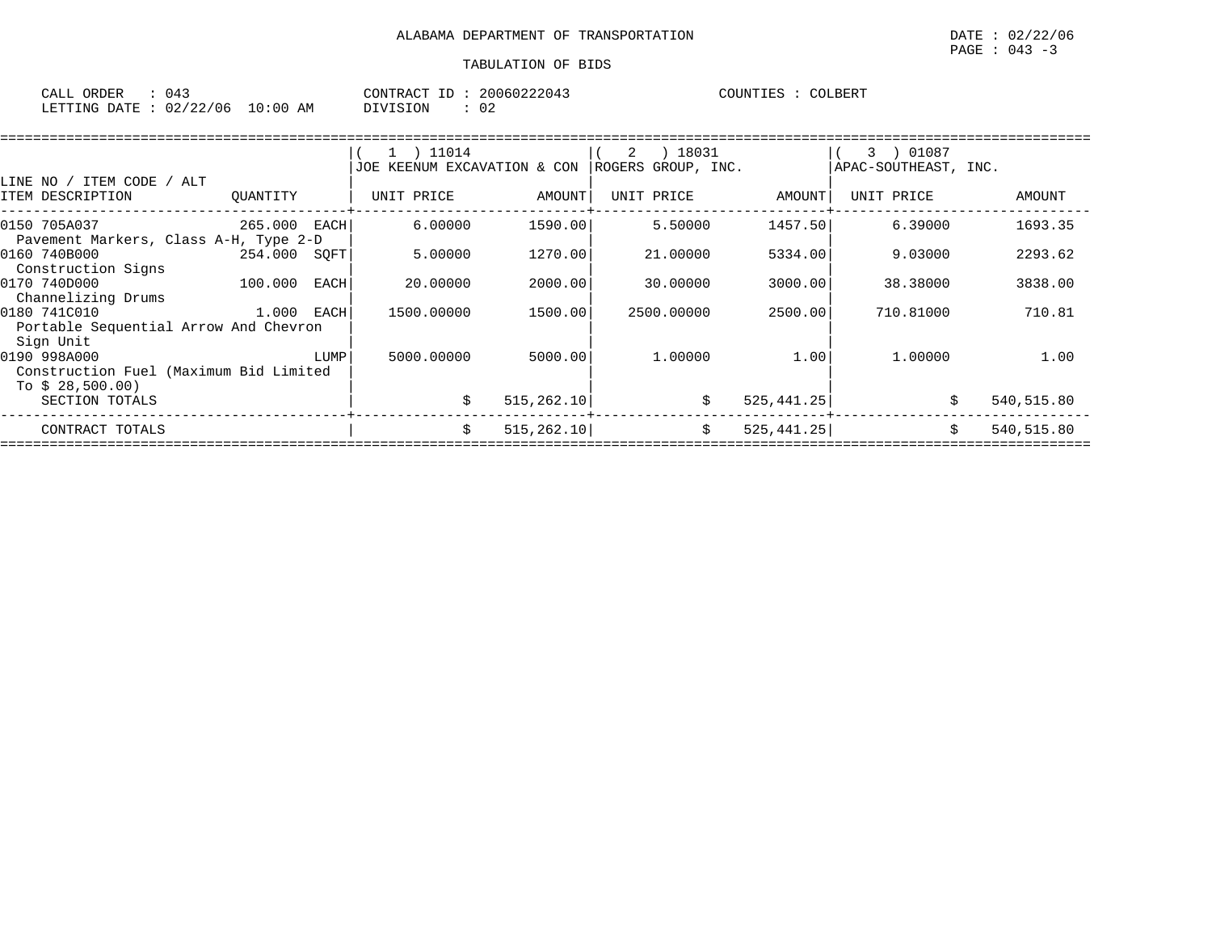| CALL<br>ORDER<br>(14) |                         | CONTRACT | 20060222043 | COLBERT<br>'OIINTTES |
|-----------------------|-------------------------|----------|-------------|----------------------|
| LETTING DATE :        | 02/22/06<br>10:00<br>ΆM | OIVISION | ົ<br>◡▵     |                      |

|                                                                           |              |      | $1$ ) 11014                 |             | 18031<br>2         |             | 01087<br>3           |            |
|---------------------------------------------------------------------------|--------------|------|-----------------------------|-------------|--------------------|-------------|----------------------|------------|
|                                                                           |              |      | JOE KEENUM EXCAVATION & CON |             | ROGERS GROUP, INC. |             | APAC-SOUTHEAST, INC. |            |
| LINE NO / ITEM CODE / ALT<br>ITEM DESCRIPTION                             | OUANTITY     |      | UNIT PRICE                  | AMOUNT      | UNIT PRICE         | AMOUNT      | UNIT PRICE           | AMOUNT     |
| 0150 705A037<br>Pavement Markers, Class A-H, Type 2-D                     | 265.000 EACH |      | 6.00000                     | 1590.00     | 5.50000            | 1457.50     | 6.39000              | 1693.35    |
| 0160 740B000<br>Construction Signs                                        | 254.000 SQFT |      | 5.00000                     | 1270.00     | 21.00000           | 5334.00     | 9.03000              | 2293.62    |
| 0170 740D000<br>Channelizing Drums                                        | 100.000      | EACH | 20,00000                    | 2000.00     | 30,00000           | 3000.00     | 38.38000             | 3838.00    |
| 0180 741C010<br>Portable Sequential Arrow And Chevron<br>Sign Unit        | 1.000 EACH   |      | 1500.00000                  | 1500.00     | 2500.00000         | 2500.00     | 710.81000            | 710.81     |
| 0190 998A000<br>Construction Fuel (Maximum Bid Limited<br>To $$28,500.00$ |              | LUMP | 5000.00000                  | 5000.00     | 1,00000            | 1.001       | 1,00000              | 1.00       |
| SECTION TOTALS                                                            |              |      | \$                          | 515, 262.10 | \$                 | 525, 441.25 | Ŝ.                   | 540,515.80 |
| CONTRACT TOTALS                                                           |              |      | Ŝ.                          | 515, 262.10 | \$                 | 525, 441.25 |                      | 540,515.80 |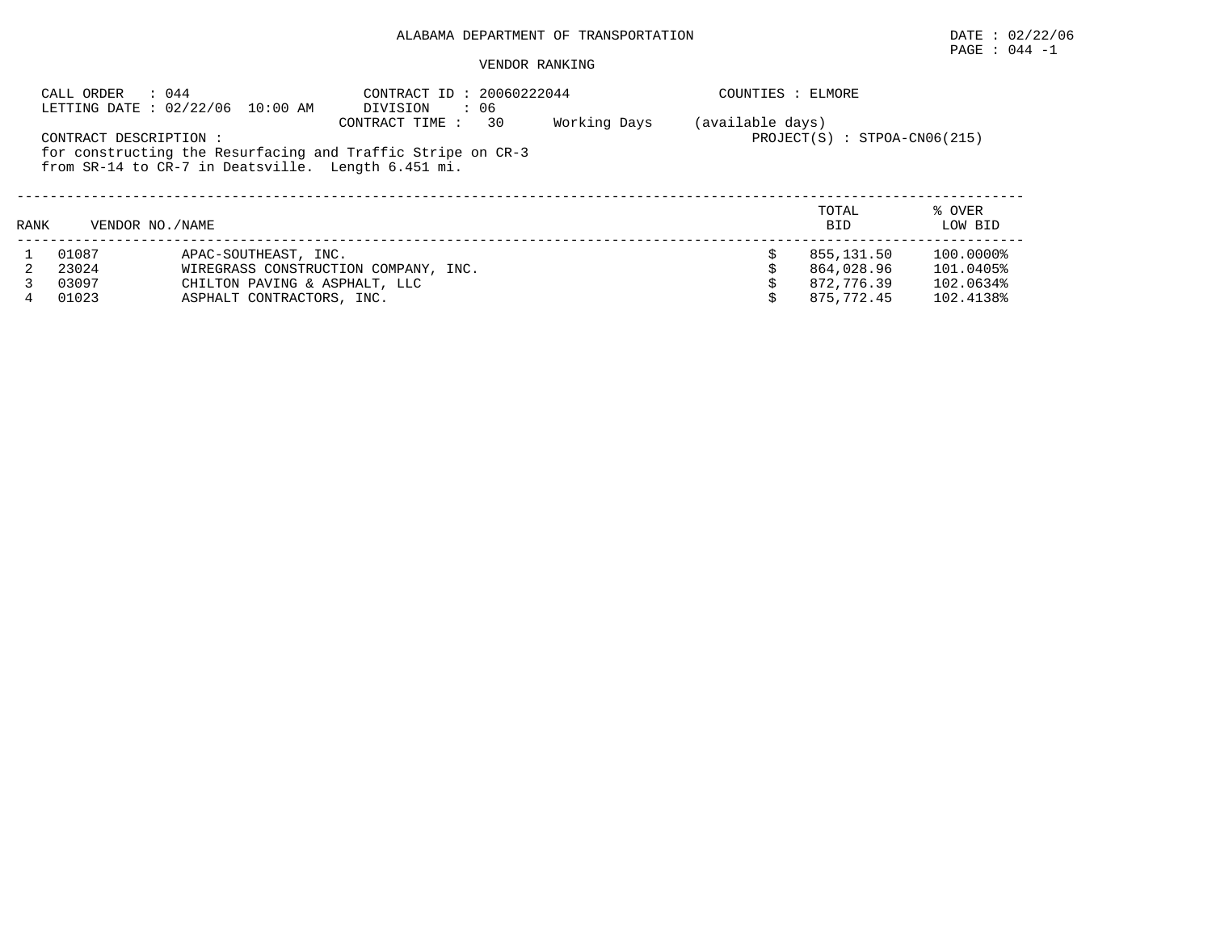# PAGE : 044 -1

#### VENDOR RANKING

|      | CALL ORDER                                                                                                                                  | : 044<br>LETTING DATE: 02/22/06 10:00 AM           | CONTRACT ID: 20060222044<br>DIVISION<br>$\cdot$ 06 | COUNTIES : ELMORE |                     |                   |
|------|---------------------------------------------------------------------------------------------------------------------------------------------|----------------------------------------------------|----------------------------------------------------|-------------------|---------------------|-------------------|
|      | CONTRACT DESCRIPTION :<br>for constructing the Resurfacing and Traffic Stripe on CR-3<br>from SR-14 to CR-7 in Deatsville. Length 6.451 mi. | (available days)<br>$PROJECT(S) : STPOA-CN06(215)$ |                                                    |                   |                     |                   |
| RANK | VENDOR NO. / NAME                                                                                                                           |                                                    |                                                    |                   | TOTAL<br><b>BID</b> | % OVER<br>LOW BID |
|      | 01087                                                                                                                                       | APAC-SOUTHEAST, INC.                               |                                                    |                   | 855,131.50          | 100.0000%         |
|      | 23024                                                                                                                                       |                                                    | WIREGRASS CONSTRUCTION COMPANY, INC.               |                   | 864,028.96          | 101.0405%         |
|      | 03097                                                                                                                                       | CHILTON PAVING & ASPHALT, LLC                      |                                                    |                   | 872,776.39          | 102.0634%         |
| 4    | 01023                                                                                                                                       | ASPHALT CONTRACTORS, INC.                          |                                                    |                   | 875,772.45          | 102.4138%         |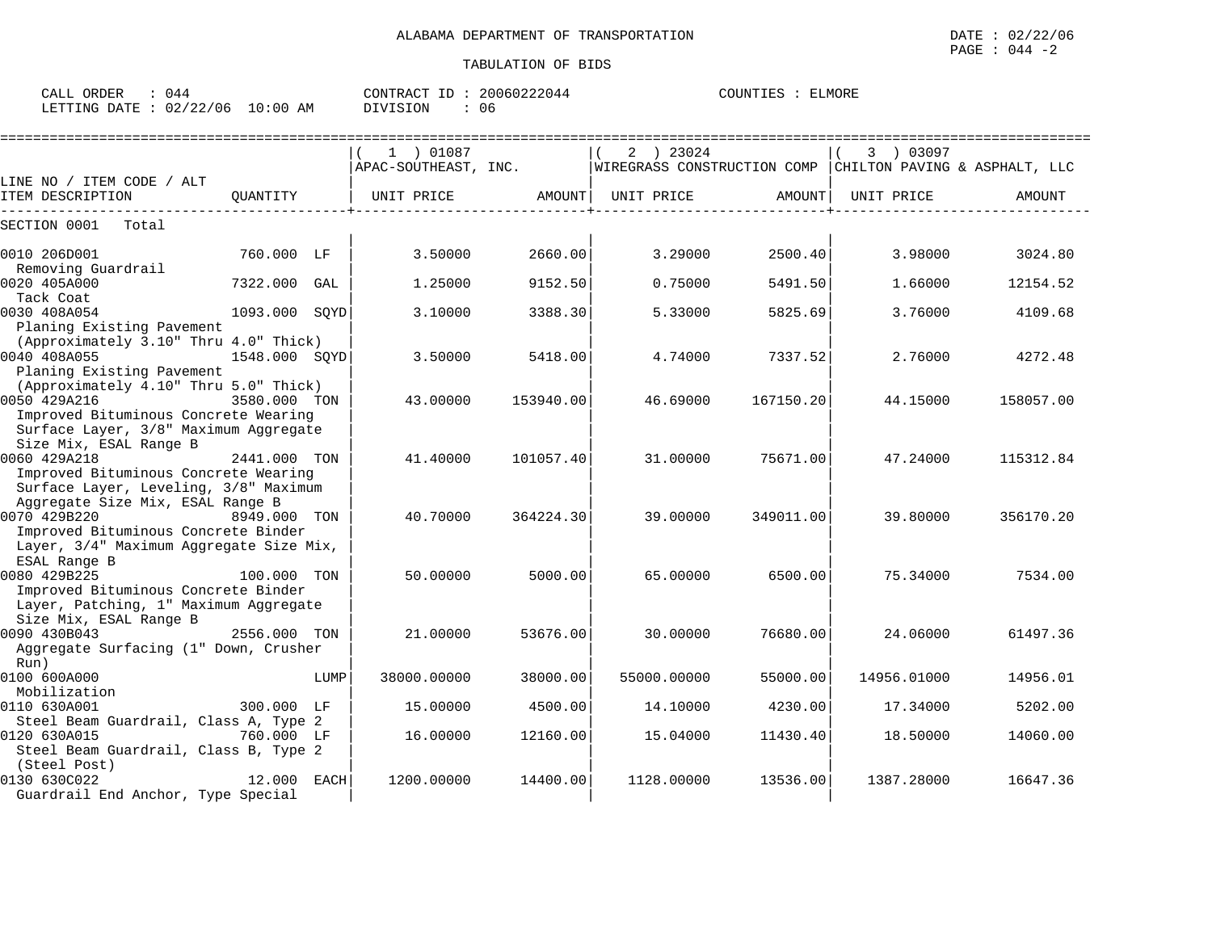| CALL<br>ORDER   |                         |             | CONTRACT<br>TD | 20060222044 | COUNTIES<br>. | ELMORE |
|-----------------|-------------------------|-------------|----------------|-------------|---------------|--------|
| LETTING<br>DATE | A ? / ? ?<br>2/06<br>◡▵ | 10:00<br>AΜ | DIVISION       | 06          |               |        |

|                                                                                                                                        |               |      | 1 ) 01087   |           | 2 ) 23024<br>APAC-SOUTHEAST, INC. WIREGRASS CONSTRUCTION COMP CHILTON PAVING & ASPHALT, LLC |           | 3 ) 03097   |           |
|----------------------------------------------------------------------------------------------------------------------------------------|---------------|------|-------------|-----------|---------------------------------------------------------------------------------------------|-----------|-------------|-----------|
| LINE NO / ITEM CODE / ALT                                                                                                              |               |      |             |           |                                                                                             |           |             |           |
| ITEM DESCRIPTION                                                                                                                       | OUANTITY      |      | UNIT PRICE  | AMOUNT    | UNIT PRICE                                                                                  | AMOUNT    | UNIT PRICE  | AMOUNT    |
| SECTION 0001<br>Total                                                                                                                  |               |      |             |           |                                                                                             |           |             |           |
| 0010 206D001<br>Removing Guardrail                                                                                                     | 760.000 LF    |      | 3.50000     | 2660.00   | 3.29000                                                                                     | 2500.40   | 3.98000     | 3024.80   |
| 0020 405A000<br>Tack Coat                                                                                                              | 7322.000 GAL  |      | 1.25000     | 9152.50   | 0.75000                                                                                     | 5491.50   | 1.66000     | 12154.52  |
| 0030 408A054<br>Planing Existing Pavement                                                                                              | 1093.000 SOYD |      | 3.10000     | 3388.30   | 5.33000                                                                                     | 5825.69   | 3.76000     | 4109.68   |
| (Approximately 3.10" Thru 4.0" Thick)<br>0040 408A055<br>Planing Existing Pavement                                                     | 1548.000 SOYD |      | 3.50000     | 5418.00   | 4.74000                                                                                     | 7337.521  | 2.76000     | 4272.48   |
| (Approximately 4.10" Thru 5.0" Thick)<br>0050 429A216<br>Improved Bituminous Concrete Wearing<br>Surface Layer, 3/8" Maximum Aggregate | 3580.000 TON  |      | 43.00000    | 153940.00 | 46.69000                                                                                    | 167150.20 | 44.15000    | 158057.00 |
| Size Mix, ESAL Range B<br>0060 429A218<br>Improved Bituminous Concrete Wearing<br>Surface Layer, Leveling, 3/8" Maximum                | 2441.000 TON  |      | 41.40000    | 101057.40 | 31.00000                                                                                    | 75671.00  | 47.24000    | 115312.84 |
| Aggregate Size Mix, ESAL Range B<br>0070 429B220<br>Improved Bituminous Concrete Binder<br>Layer, 3/4" Maximum Aggregate Size Mix,     | 8949.000 TON  |      | 40.70000    | 364224.30 | 39,00000                                                                                    | 349011.00 | 39.80000    | 356170.20 |
| ESAL Range B<br>0080 429B225<br>Improved Bituminous Concrete Binder<br>Layer, Patching, 1" Maximum Aggregate                           | 100.000 TON   |      | 50.00000    | 5000.00   | 65.00000                                                                                    | 6500.00   | 75.34000    | 7534.00   |
| Size Mix, ESAL Range B<br>0090 430B043<br>Aggregate Surfacing (1" Down, Crusher<br>Run)                                                | 2556.000 TON  |      | 21,00000    | 53676.00  | 30,00000                                                                                    | 76680.00  | 24.06000    | 61497.36  |
| 0100 600A000<br>Mobilization                                                                                                           |               | LUMP | 38000.00000 | 38000.00  | 55000.00000                                                                                 | 55000.00  | 14956.01000 | 14956.01  |
| 0110 630A001<br>Steel Beam Guardrail, Class A, Type 2                                                                                  | 300.000 LF    |      | 15.00000    | 4500.00   | 14.10000                                                                                    | 4230.00   | 17.34000    | 5202.00   |
| 0120 630A015<br>Steel Beam Guardrail, Class B, Type 2                                                                                  | 760.000 LF    |      | 16.00000    | 12160.00  | 15.04000                                                                                    | 11430.40  | 18.50000    | 14060.00  |
| (Steel Post)<br>0130 630C022<br>Guardrail End Anchor, Type Special                                                                     | 12.000 EACH   |      | 1200.00000  | 14400.00  | 1128.00000                                                                                  | 13536.00  | 1387.28000  | 16647.36  |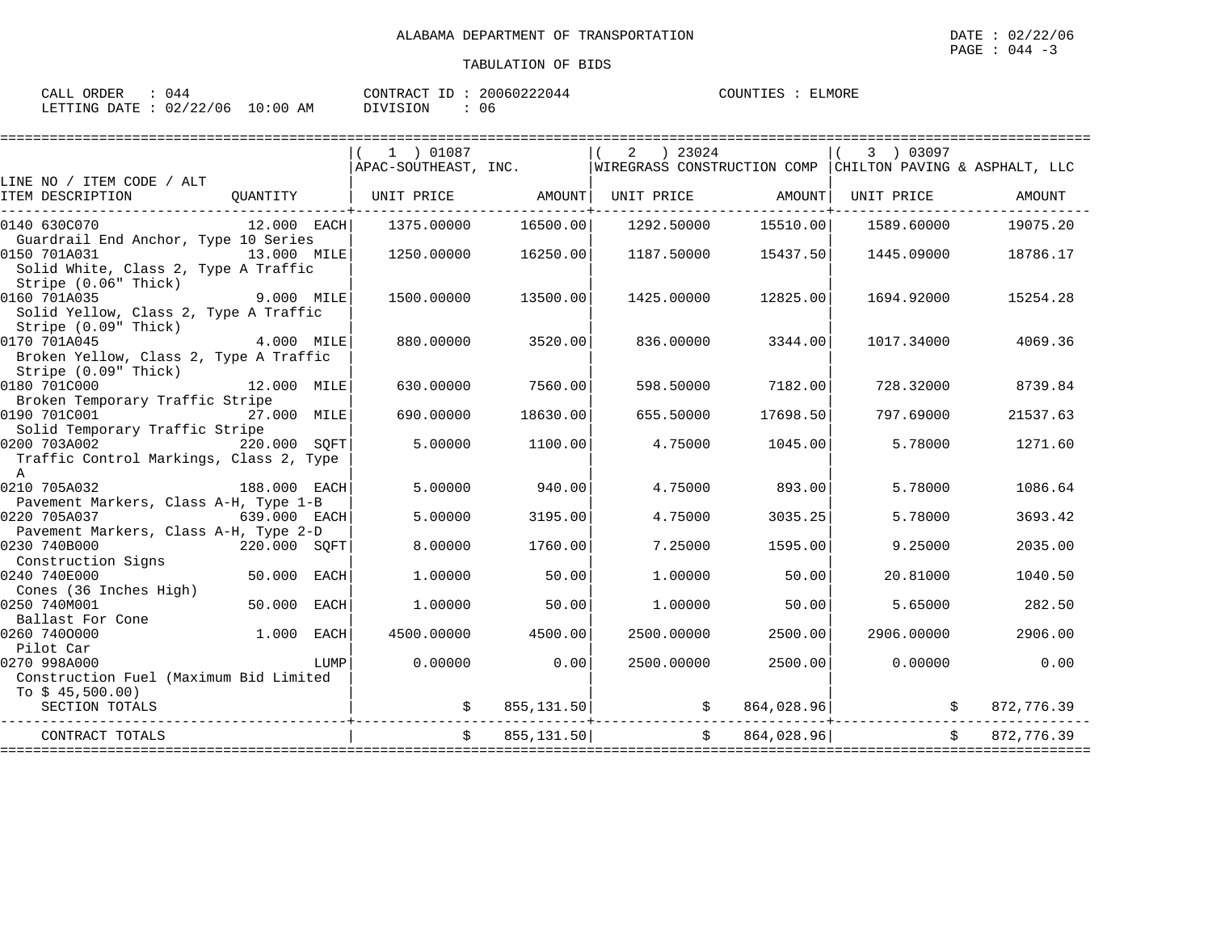| ORDER<br>CALL (        | 44 ٨ |            | CONTRACT ID | 20060222044 | COUNTIES | ELMORE |
|------------------------|------|------------|-------------|-------------|----------|--------|
| LETTING DATE: 02/22/06 |      | $10:00$ AM | DIVISION    | 06          |          |        |

|                                                                                             |               |             | 1 ) 01087         |            | $2 \t) 23024$                                                                  |              | 3 ) 03097  |            |
|---------------------------------------------------------------------------------------------|---------------|-------------|-------------------|------------|--------------------------------------------------------------------------------|--------------|------------|------------|
|                                                                                             |               |             |                   |            | APAC-SOUTHEAST, INC. WIREGRASS CONSTRUCTION COMP CHILTON PAVING & ASPHALT, LLC |              |            |            |
| LINE NO / ITEM CODE / ALT<br>ITEM DESCRIPTION                                               | QUANTITY      |             | UNIT PRICE AMOUNT |            | UNIT PRICE AMOUNT                                                              |              | UNIT PRICE | AMOUNT     |
| 0140 630C070<br>Guardrail End Anchor, Type 10 Series                                        | $12.000$ EACH |             | 1375.00000        | 16500.00   | 1292.50000                                                                     | 15510.00     | 1589.60000 | 19075.20   |
| 0150 701A031<br>13.000 MILE<br>Solid White, Class 2, Type A Traffic<br>Stripe (0.06" Thick) |               |             | 1250.00000        | 16250.00   | 1187.50000                                                                     | 15437.50     | 1445.09000 | 18786.17   |
| 0160 701A035<br>Solid Yellow, Class 2, Type A Traffic<br>Stripe (0.09" Thick)               | $9.000$ MILE  |             | 1500.00000        | 13500.00   | 1425.00000                                                                     | 12825.00     | 1694.92000 | 15254.28   |
| 0170 701A045<br>Broken Yellow, Class 2, Type A Traffic<br>Stripe (0.09" Thick)              | 4.000 MILE    |             | 880.00000         | 3520.00    | 836.00000                                                                      | 3344.00      | 1017.34000 | 4069.36    |
| 0180 701C000<br>12.000 MILE<br>Broken Temporary Traffic Stripe                              |               |             | 630.00000         | 7560.00    | 598.50000                                                                      | 7182.00      | 728.32000  | 8739.84    |
| 0190 701C001<br>Solid Temporary Traffic Stripe                                              | 27.000 MILE   |             | 690.00000         | 18630.00   | 655.50000                                                                      | 17698.50     | 797.69000  | 21537.63   |
| 0200 703A002<br>Traffic Control Markings, Class 2, Type<br>$\overline{A}$                   | 220.000 SOFT  |             | 5,00000           | 1100.00    | 4.75000                                                                        | 1045.00      | 5.78000    | 1271.60    |
| 0210 705A032<br>188.000 EACH<br>Pavement Markers, Class A-H, Type 1-B                       |               |             | 5.00000           | 940.00     | 4.75000                                                                        | 893.00       | 5.78000    | 1086.64    |
| 0220 705A037<br>$639.000$ EACH<br>Pavement Markers, Class A-H, Type 2-D                     |               |             | 5.00000           | 3195.00    | 4.75000                                                                        | 3035.25      | 5.78000    | 3693.42    |
| 0230 740B000<br>Construction Signs                                                          | 220.000 SOFT  |             | 8,00000           | 1760.00    | 7.25000                                                                        | 1595.00      | 9.25000    | 2035.00    |
| 0240 740E000<br>Cones (36 Inches High)                                                      | 50.000        | EACH        | 1,00000           | 50.00      | 1,00000                                                                        | 50.00        | 20.81000   | 1040.50    |
| 0250 740M001<br>Ballast For Cone                                                            | 50.000        | <b>EACH</b> | 1,00000           | 50.00      | 1,00000                                                                        | 50.00        | 5.65000    | 282.50     |
| 1.000<br>0260 7400000<br>Pilot Car                                                          |               | <b>EACH</b> | 4500.00000        | 4500.00    | 2500.00000                                                                     | 2500.00      | 2906.00000 | 2906.00    |
| 0270 998A000<br>Construction Fuel (Maximum Bid Limited<br>To $$45,500.00)$                  |               | LUMP        | 0.00000           | 0.00       | 2500.00000                                                                     | 2500.00      | 0.00000    | 0.00       |
| SECTION TOTALS                                                                              |               |             |                   |            |                                                                                |              |            | 872,776.39 |
| CONTRACT TOTALS                                                                             |               |             |                   | 855,131.50 |                                                                                | \$864,028.96 |            | 872,776.39 |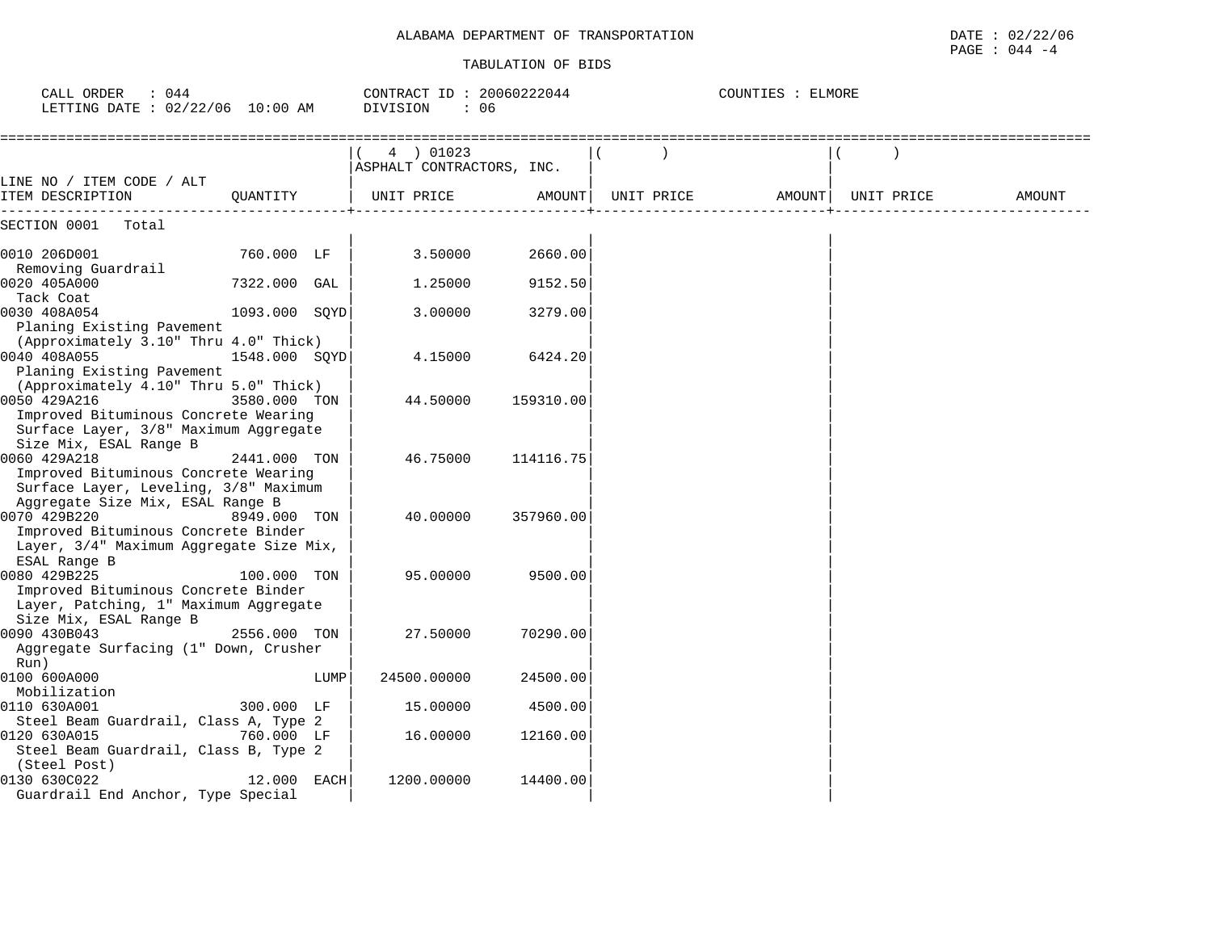| : 044<br>CALL ORDER<br>LETTING DATE : 02/22/06 10:00 AM                                                                                |               |      | CONTRACT ID: 20060222044<br>DIVISION<br>: 06 |           | COUNTIES : ELMORE |            |        |
|----------------------------------------------------------------------------------------------------------------------------------------|---------------|------|----------------------------------------------|-----------|-------------------|------------|--------|
|                                                                                                                                        |               |      | 4 ) 01023<br>ASPHALT CONTRACTORS, INC.       |           |                   |            |        |
| LINE NO / ITEM CODE / ALT<br>ITEM DESCRIPTION                                                                                          | QUANTITY      |      | UNIT PRICE                                   | AMOUNT    | UNIT PRICE AMOUNT | UNIT PRICE | AMOUNT |
| SECTION 0001<br>Total                                                                                                                  |               |      |                                              |           |                   |            |        |
| 0010 206D001                                                                                                                           | 760.000 LF    |      | 3.50000                                      | 2660.00   |                   |            |        |
| Removing Guardrail<br>0020 405A000                                                                                                     | 7322.000 GAL  |      | 1.25000                                      | 9152.50   |                   |            |        |
| Tack Coat<br>0030 408A054                                                                                                              | 1093.000 SQYD |      | 3.00000                                      | 3279.00   |                   |            |        |
| Planing Existing Pavement<br>(Approximately 3.10" Thru 4.0" Thick)<br>0040 408A055<br>Planing Existing Pavement                        | 1548.000 SOYD |      | 4.15000                                      | 6424.20   |                   |            |        |
| (Approximately 4.10" Thru 5.0" Thick)<br>0050 429A216<br>Improved Bituminous Concrete Wearing<br>Surface Layer, 3/8" Maximum Aggregate | 3580.000 TON  |      | 44.50000                                     | 159310.00 |                   |            |        |
| Size Mix, ESAL Range B<br>0060 429A218<br>Improved Bituminous Concrete Wearing<br>Surface Layer, Leveling, 3/8" Maximum                | 2441.000 TON  |      | 46.75000                                     | 114116.75 |                   |            |        |
| Aggregate Size Mix, ESAL Range B<br>0070 429B220<br>Improved Bituminous Concrete Binder<br>Layer, 3/4" Maximum Aggregate Size Mix,     | 8949.000 TON  |      | 40.00000                                     | 357960.00 |                   |            |        |
| ESAL Range B<br>0080 429B225<br>Improved Bituminous Concrete Binder<br>Layer, Patching, 1" Maximum Aggregate                           | 100.000 TON   |      | 95.00000                                     | 9500.00   |                   |            |        |
| Size Mix, ESAL Range B<br>0090 430B043<br>Aggregate Surfacing (1" Down, Crusher<br>Run)                                                | 2556.000 TON  |      | 27.50000                                     | 70290.00  |                   |            |        |
| 0100 600A000<br>Mobilization                                                                                                           |               | LUMP | 24500.00000                                  | 24500.00  |                   |            |        |
| 0110 630A001                                                                                                                           | 300.000 LF    |      | 15,00000                                     | 4500.00   |                   |            |        |
| Steel Beam Guardrail, Class A, Type 2<br>0120 630A015<br>Steel Beam Guardrail, Class B, Type 2<br>(Steel Post)                         | 760.000 LF    |      | 16.00000                                     | 12160.00  |                   |            |        |
| 0130 630C022<br>Guardrail End Anchor, Type Special                                                                                     | 12.000 EACH   |      | 1200.00000                                   | 14400.00  |                   |            |        |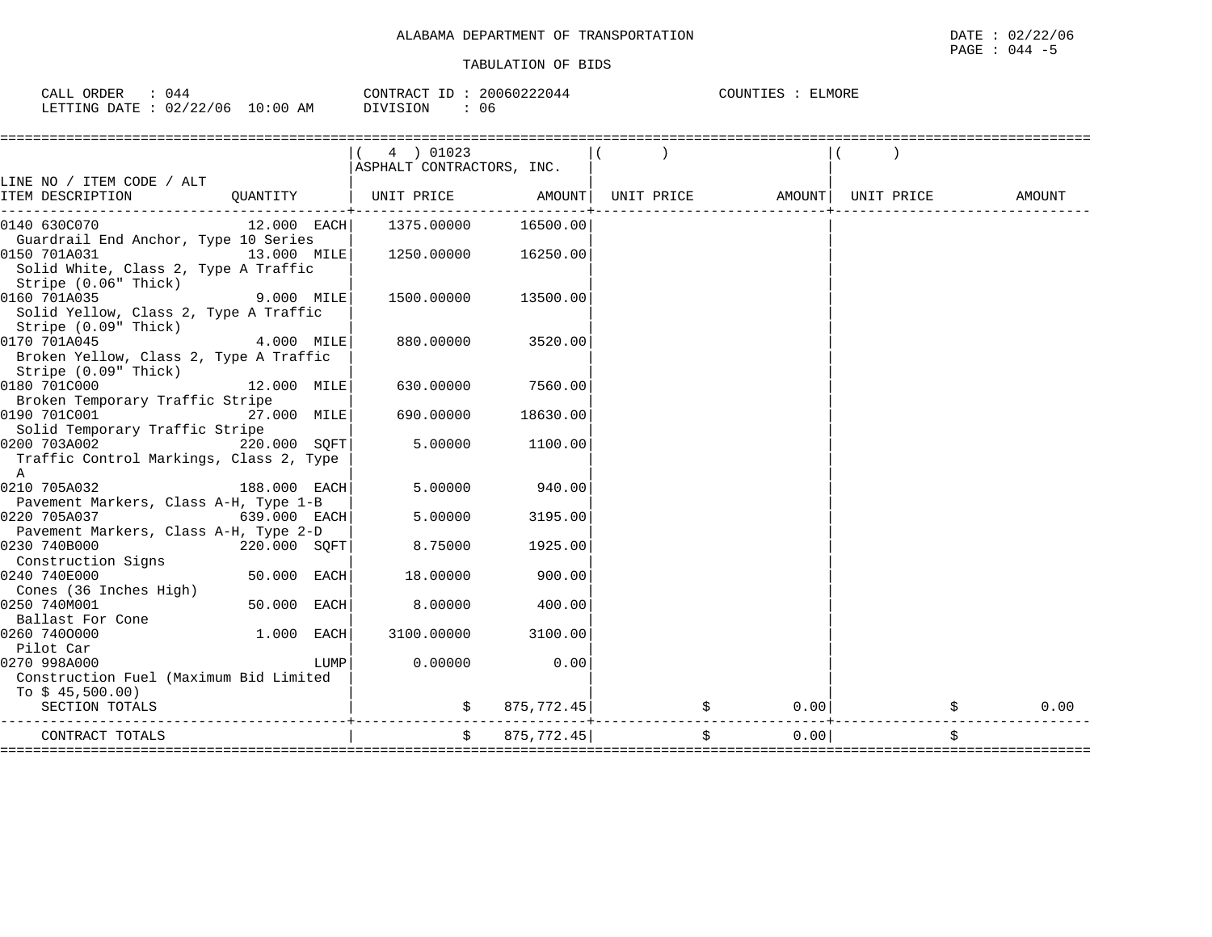| CALL | ORDER | 044                    |            | CONTRACT ID | 20060222044 | COUNTIES | ELMORE |
|------|-------|------------------------|------------|-------------|-------------|----------|--------|
|      |       | LETTING DATE: 02/22/06 | $10:00$ AM | DIVISION    | 06          |          |        |

|                                         |               |      | 4 ) 01023                 |            |                                |                             |            |                    |
|-----------------------------------------|---------------|------|---------------------------|------------|--------------------------------|-----------------------------|------------|--------------------|
|                                         |               |      | ASPHALT CONTRACTORS, INC. |            |                                |                             |            |                    |
| LINE NO / ITEM CODE / ALT               |               |      |                           |            |                                |                             |            |                    |
| ITEM DESCRIPTION                        |               |      | QUANTITY   UNIT PRICE     | AMOUNT     | UNIT PRICE AMOUNT              |                             | UNIT PRICE | AMOUNT             |
| 0140 630C070                            | $12.000$ EACH |      | 1375.00000                | 16500.00   |                                |                             |            |                    |
| Guardrail End Anchor, Type 10 Series    |               |      |                           |            |                                |                             |            |                    |
| 13.000 MILE<br>0150 701A031             |               |      | 1250.00000                | 16250.00   |                                |                             |            |                    |
| Solid White, Class 2, Type A Traffic    |               |      |                           |            |                                |                             |            |                    |
| Stripe (0.06" Thick)                    |               |      |                           |            |                                |                             |            |                    |
| 0160 701A035                            | $9.000$ MILE  |      | 1500.00000                | 13500.00   |                                |                             |            |                    |
| Solid Yellow, Class 2, Type A Traffic   |               |      |                           |            |                                |                             |            |                    |
| Stripe (0.09" Thick)                    |               |      |                           |            |                                |                             |            |                    |
| 0170 701A045                            | 4.000 MILE    |      | 880.00000                 | 3520.00    |                                |                             |            |                    |
| Broken Yellow, Class 2, Type A Traffic  |               |      |                           |            |                                |                             |            |                    |
| Stripe (0.09" Thick)<br>0180 701C000    |               |      |                           |            |                                |                             |            |                    |
| Broken Temporary Traffic Stripe         | 12.000 MILE   |      | 630.00000                 | 7560.00    |                                |                             |            |                    |
| 0190 701C001                            | 27.000 MILE   |      | 690.00000                 | 18630.00   |                                |                             |            |                    |
| Solid Temporary Traffic Stripe          |               |      |                           |            |                                |                             |            |                    |
| 220.000 SOFT<br>0200 703A002            |               |      | 5.00000                   | 1100.00    |                                |                             |            |                    |
| Traffic Control Markings, Class 2, Type |               |      |                           |            |                                |                             |            |                    |
| $\mathbb{A}$                            |               |      |                           |            |                                |                             |            |                    |
| 0210 705A032                            | 188.000 EACH  |      | 5,00000                   | 940.00     |                                |                             |            |                    |
| Pavement Markers, Class A-H, Type 1-B   |               |      |                           |            |                                |                             |            |                    |
| 0220 705A037                            | 639.000 EACH  |      | 5,00000                   | 3195.00    |                                |                             |            |                    |
| Pavement Markers, Class A-H, Type 2-D   |               |      |                           |            |                                |                             |            |                    |
| 0230 740B000                            | 220.000 SQFT  |      | 8.75000                   | 1925.00    |                                |                             |            |                    |
| Construction Signs                      |               |      |                           |            |                                |                             |            |                    |
| 0240 740E000                            | 50.000 EACH   |      | 18.00000                  | 900.00     |                                |                             |            |                    |
| Cones (36 Inches High)                  |               |      |                           |            |                                |                             |            |                    |
| 0250 740M001                            | 50.000 EACH   |      | 8,00000                   | 400.00     |                                |                             |            |                    |
| Ballast For Cone<br>0260 7400000        | 1.000 EACH    |      | 3100.00000                | 3100.00    |                                |                             |            |                    |
| Pilot Car                               |               |      |                           |            |                                |                             |            |                    |
| 0270 998A000                            |               | LUMP | 0.00000                   | 0.00       |                                |                             |            |                    |
| Construction Fuel (Maximum Bid Limited  |               |      |                           |            |                                |                             |            |                    |
| To $$45,500.00)$                        |               |      |                           |            |                                |                             |            |                    |
| SECTION TOTALS                          |               |      |                           | 875,772.45 |                                | $\ddot{\mathbf{S}}$<br>0.00 |            | 0.00<br>$\ddot{s}$ |
|                                         |               |      |                           |            |                                |                             |            |                    |
| CONTRACT TOTALS                         |               |      | $\ddot{s}$                | 875,772.45 | \$                             | 0.00                        |            | \$                 |
|                                         |               |      |                           |            | ______________________________ |                             |            |                    |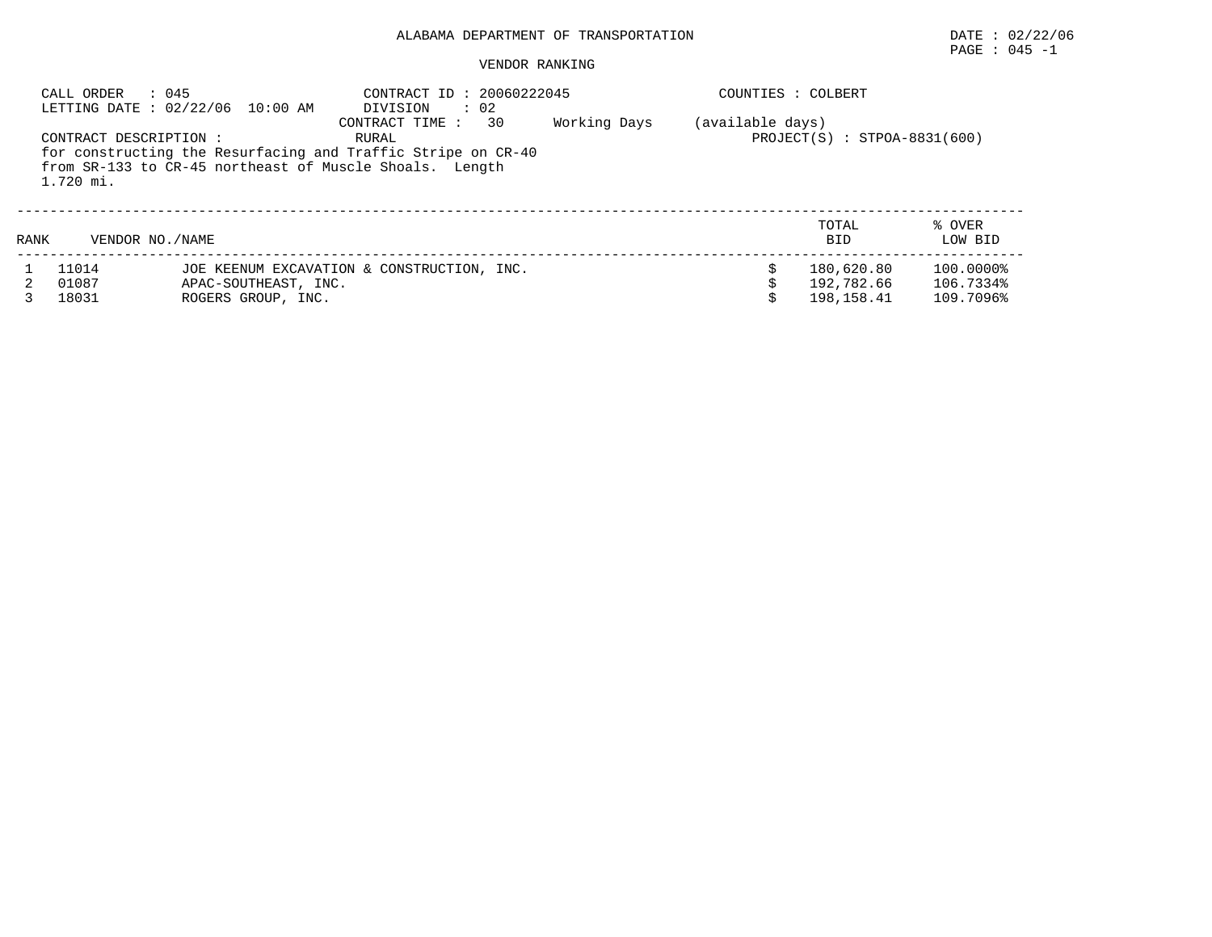# PAGE : 045 -1

#### VENDOR RANKING

|      | CALL ORDER<br>: 045                 | LETTING DATE : 02/22/06 10:00 AM           | CONTRACT ID: 20060222045<br>DIVISION<br>$\therefore$ 02                                                                                                  |              | COUNTIES : COLBERT |                                          |                                     |
|------|-------------------------------------|--------------------------------------------|----------------------------------------------------------------------------------------------------------------------------------------------------------|--------------|--------------------|------------------------------------------|-------------------------------------|
|      | CONTRACT DESCRIPTION :<br>1.720 mi. |                                            | 30<br>CONTRACT TIME:<br>RURAL<br>for constructing the Resurfacing and Traffic Stripe on CR-40<br>from SR-133 to CR-45 northeast of Muscle Shoals. Length | Working Days | (available days)   | $PROJECT(S) : STPOA-8831(600)$           |                                     |
| RANK | VENDOR NO. / NAME                   |                                            |                                                                                                                                                          |              |                    | TOTAL<br><b>BID</b>                      | % OVER<br>LOW BID                   |
|      | 11014<br>01087<br>18031             | APAC-SOUTHEAST, INC.<br>ROGERS GROUP, INC. | JOE KEENUM EXCAVATION & CONSTRUCTION, INC.                                                                                                               |              |                    | 180,620.80<br>192,782.66<br>198, 158. 41 | 100.0000%<br>106.7334%<br>109.7096% |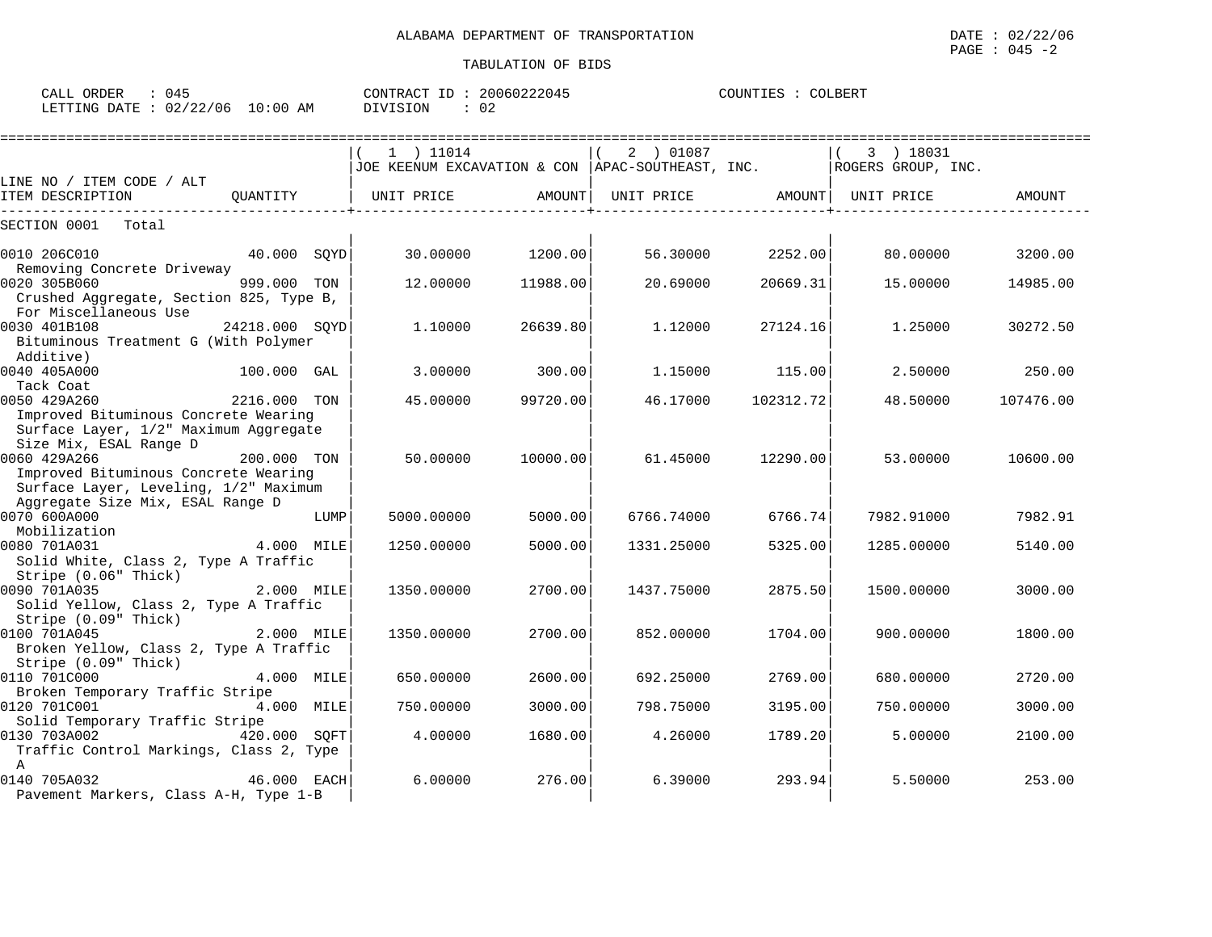| ORDER<br>CALL                   | 045 | CONTRACT ID | 20060222045 | COUNTIES | COLBERT |
|---------------------------------|-----|-------------|-------------|----------|---------|
| LETTING DATE: 02/22/06 10:00 AM |     | DIVISION    | 02          |          |         |

|                                                                               |                |      | --------------------------                                              |          |                   |           |            |           |
|-------------------------------------------------------------------------------|----------------|------|-------------------------------------------------------------------------|----------|-------------------|-----------|------------|-----------|
|                                                                               |                |      | 1 ) 11014                                                               |          | 2 ) 01087         |           | 3 ) 18031  |           |
|                                                                               |                |      | JOE KEENUM EXCAVATION & CON   APAC-SOUTHEAST, INC.   ROGERS GROUP, INC. |          |                   |           |            |           |
| LINE NO / ITEM CODE / ALT                                                     |                |      |                                                                         |          |                   |           |            |           |
| ITEM DESCRIPTION                                                              | OUANTITY       |      | UNIT PRICE                                                              | AMOUNT   | UNIT PRICE AMOUNT |           | UNIT PRICE | AMOUNT    |
| SECTION 0001<br>Total                                                         |                |      |                                                                         |          |                   |           |            |           |
| 0010 206C010                                                                  | 40.000 SOYD    |      | 30.00000                                                                | 1200.00  | 56.30000          | 2252.00   | 80.00000   | 3200.00   |
| Removing Concrete Driveway<br>0020 305B060                                    | 999.000 TON    |      | 12.00000                                                                |          | 20.69000          | 20669.31  | 15,00000   |           |
| Crushed Aggregate, Section 825, Type B,<br>For Miscellaneous Use              |                |      |                                                                         | 11988.00 |                   |           |            | 14985.00  |
| 0030 401B108                                                                  | 24218.000 SOYD |      | 1,10000                                                                 | 26639.80 | 1.12000           | 27124.16  | 1.25000    | 30272.50  |
| Bituminous Treatment G (With Polymer<br>Additive)                             |                |      |                                                                         |          |                   |           |            |           |
| 0040 405A000                                                                  | 100.000 GAL    |      | 3.00000                                                                 | 300.00   | 1.15000           | 115.00    | 2.50000    | 250.00    |
| Tack Coat                                                                     |                |      |                                                                         |          |                   |           |            |           |
| 0050 429A260                                                                  | 2216.000 TON   |      | 45,00000                                                                | 99720.00 | 46.17000          | 102312.72 | 48.50000   | 107476.00 |
| Improved Bituminous Concrete Wearing<br>Surface Layer, 1/2" Maximum Aggregate |                |      |                                                                         |          |                   |           |            |           |
| Size Mix, ESAL Range D                                                        |                |      |                                                                         |          |                   |           |            |           |
| 0060 429A266<br>Improved Bituminous Concrete Wearing                          | 200.000 TON    |      | 50.00000                                                                | 10000.00 | 61.45000          | 12290.00  | 53.00000   | 10600.00  |
| Surface Layer, Leveling, 1/2" Maximum                                         |                |      |                                                                         |          |                   |           |            |           |
| Aggregate Size Mix, ESAL Range D                                              |                |      |                                                                         |          |                   |           |            |           |
| 0070 600A000                                                                  |                | LUMP | 5000.00000                                                              | 5000.00  | 6766.74000        | 6766.74   | 7982.91000 | 7982.91   |
| Mobilization<br>0080 701A031                                                  | 4.000 MILE     |      | 1250.00000                                                              | 5000.00  |                   | 5325.00   |            |           |
| Solid White, Class 2, Type A Traffic                                          |                |      |                                                                         |          | 1331.25000        |           | 1285.00000 | 5140.00   |
| Stripe (0.06" Thick)                                                          |                |      |                                                                         |          |                   |           |            |           |
| 0090 701A035                                                                  | 2.000 MILE     |      | 1350.00000                                                              | 2700.00  | 1437.75000        | 2875.50   | 1500.00000 | 3000.00   |
| Solid Yellow, Class 2, Type A Traffic                                         |                |      |                                                                         |          |                   |           |            |           |
| Stripe (0.09" Thick)                                                          |                |      |                                                                         |          |                   |           |            |           |
| 0100 701A045                                                                  | 2.000 MILE     |      | 1350.00000                                                              | 2700.00  | 852,00000         | 1704.001  | 900.00000  | 1800.00   |
| Broken Yellow, Class 2, Type A Traffic                                        |                |      |                                                                         |          |                   |           |            |           |
| Stripe (0.09" Thick)<br>0110 701C000                                          | 4.000 MILE     |      | 650.00000                                                               | 2600.00  | 692.25000         | 2769.00   | 680.00000  | 2720.00   |
| Broken Temporary Traffic Stripe                                               |                |      |                                                                         |          |                   |           |            |           |
| 0120 701C001                                                                  | 4.000 MILE     |      | 750.00000                                                               | 3000.00  | 798.75000         | 3195.00   | 750.00000  | 3000.00   |
| Solid Temporary Traffic Stripe                                                |                |      |                                                                         |          |                   |           |            |           |
| 0130 703A002                                                                  | 420.000 SOFT   |      | 4.00000                                                                 | 1680.00  | 4.26000           | 1789.20   | 5.00000    | 2100.00   |
| Traffic Control Markings, Class 2, Type                                       |                |      |                                                                         |          |                   |           |            |           |
| $\mathbf{A}$                                                                  |                |      |                                                                         |          |                   |           |            |           |
| 0140 705A032                                                                  | 46.000 EACH    |      | 6,00000                                                                 | 276.00   | 6.39000           | 293.94    | 5.50000    | 253.00    |
| Pavement Markers, Class A-H, Type 1-B                                         |                |      |                                                                         |          |                   |           |            |           |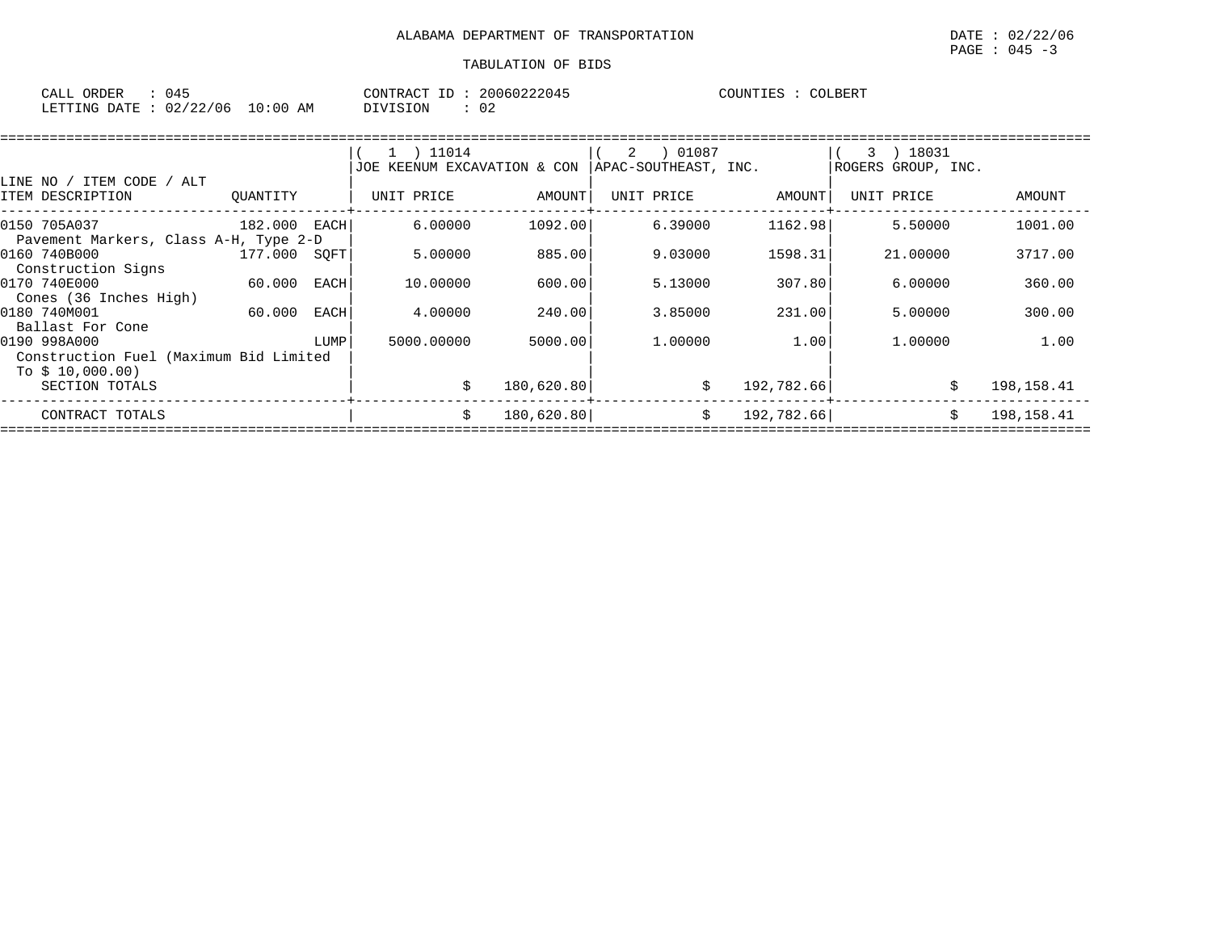| ORDER<br>CALL (         | 045 |            | CONTRACT ID : | 20060222045 | COUNTIES | COLBERT |
|-------------------------|-----|------------|---------------|-------------|----------|---------|
| LETTING DATE : 02/22/06 |     | $10:00$ AM | DIVISION      | ∪∠          |          |         |

|                                        |              |      | 1 ) 11014                      |            | 01087<br>2           |            | 18031<br>$\mathcal{R}$ |             |
|----------------------------------------|--------------|------|--------------------------------|------------|----------------------|------------|------------------------|-------------|
|                                        |              |      | KEENUM EXCAVATION & CON<br>JOE |            | APAC-SOUTHEAST, INC. |            | ROGERS GROUP, INC.     |             |
| ITEM CODE<br>ALT<br>LINE NO /          |              |      |                                |            |                      |            |                        |             |
| ITEM DESCRIPTION                       | OUANTITY     |      | UNIT PRICE                     | AMOUNT     | UNIT PRICE           | AMOUNT     | UNIT PRICE             | AMOUNT      |
| 0150 705A037                           | 182.000 EACH |      | 6.00000                        | 1092.00    | 6.39000              | 1162.98    | 5.50000                | 1001.00     |
| Pavement Markers, Class A-H, Type 2-D  |              |      |                                |            |                      |            |                        |             |
| 0160 740B000                           | 177.000      | SOFT | 5.00000                        | 885.00     | 9.03000              | 1598.31    | 21,00000               | 3717.00     |
| Construction Signs                     |              |      |                                |            |                      |            |                        |             |
| 0170 740E000                           | 60.000       | EACH | 10,00000                       | 600.00     | 5.13000              | 307.80     | 6.00000                | 360.00      |
| Cones (36 Inches High)                 |              |      |                                |            |                      |            |                        |             |
| 0180 740M001                           | 60.000       | EACH | 4.00000                        | 240.00     | 3.85000              | 231.00     | 5.00000                | 300.00      |
| Ballast For Cone                       |              |      |                                |            |                      |            |                        |             |
| 0190 998A000                           |              | LUMP | 5000,00000                     | 5000.00    | 1,00000              | 1.00       | 1,00000                | 1.00        |
| Construction Fuel (Maximum Bid Limited |              |      |                                |            |                      |            |                        |             |
| To $$10,000.00)$                       |              |      |                                |            |                      |            |                        |             |
| SECTION TOTALS                         |              |      |                                | 180,620.80 | \$                   | 192,782.66 |                        | 198,158.41  |
| CONTRACT TOTALS                        |              |      |                                | 180,620.80 | \$                   | 192,782.66 |                        | 198, 158.41 |
|                                        |              |      |                                |            |                      |            |                        |             |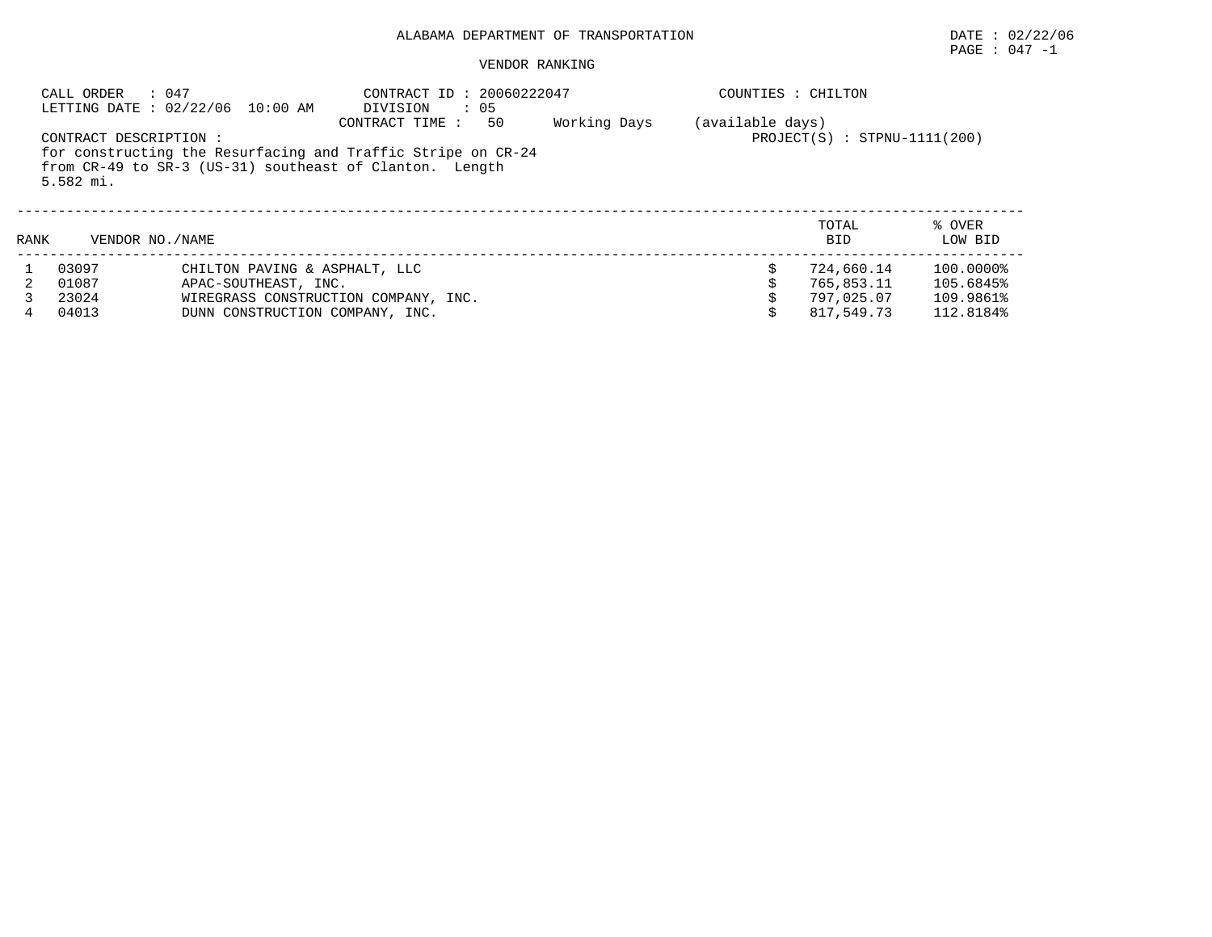# PAGE : 047 -1

|      | : 047<br>CALL ORDER                 | LETTING DATE : 02/22/06 10:00 AM                                                                                        | CONTRACT ID: 20060222047<br>DIVISION | $\cdot$ 05 |              | COUNTIES : CHILTON |                                |                   |
|------|-------------------------------------|-------------------------------------------------------------------------------------------------------------------------|--------------------------------------|------------|--------------|--------------------|--------------------------------|-------------------|
|      | CONTRACT DESCRIPTION :<br>5.582 mi. | for constructing the Resurfacing and Traffic Stripe on CR-24<br>from CR-49 to SR-3 (US-31) southeast of Clanton. Length | CONTRACT TIME:                       | 50         | Working Days | (available days)   | $PROJECT(S)$ : STPNU-1111(200) |                   |
| RANK | VENDOR NO. / NAME                   |                                                                                                                         |                                      |            |              |                    | TOTAL<br><b>BID</b>            | % OVER<br>LOW BID |
|      | 03097                               | CHILTON PAVING & ASPHALT, LLC                                                                                           |                                      |            |              |                    | 724,660.14                     | 100.0000%         |
|      | 01087                               | APAC-SOUTHEAST, INC.                                                                                                    |                                      |            |              |                    | 765,853.11                     | 105.6845%         |
|      | 23024                               | WIREGRASS CONSTRUCTION COMPANY, INC.                                                                                    |                                      |            |              |                    | 797.025.07                     | 109.9861%         |
|      | 04013                               | DUNN CONSTRUCTION COMPANY, INC.                                                                                         |                                      |            |              |                    | 817,549.73                     | 112.8184%         |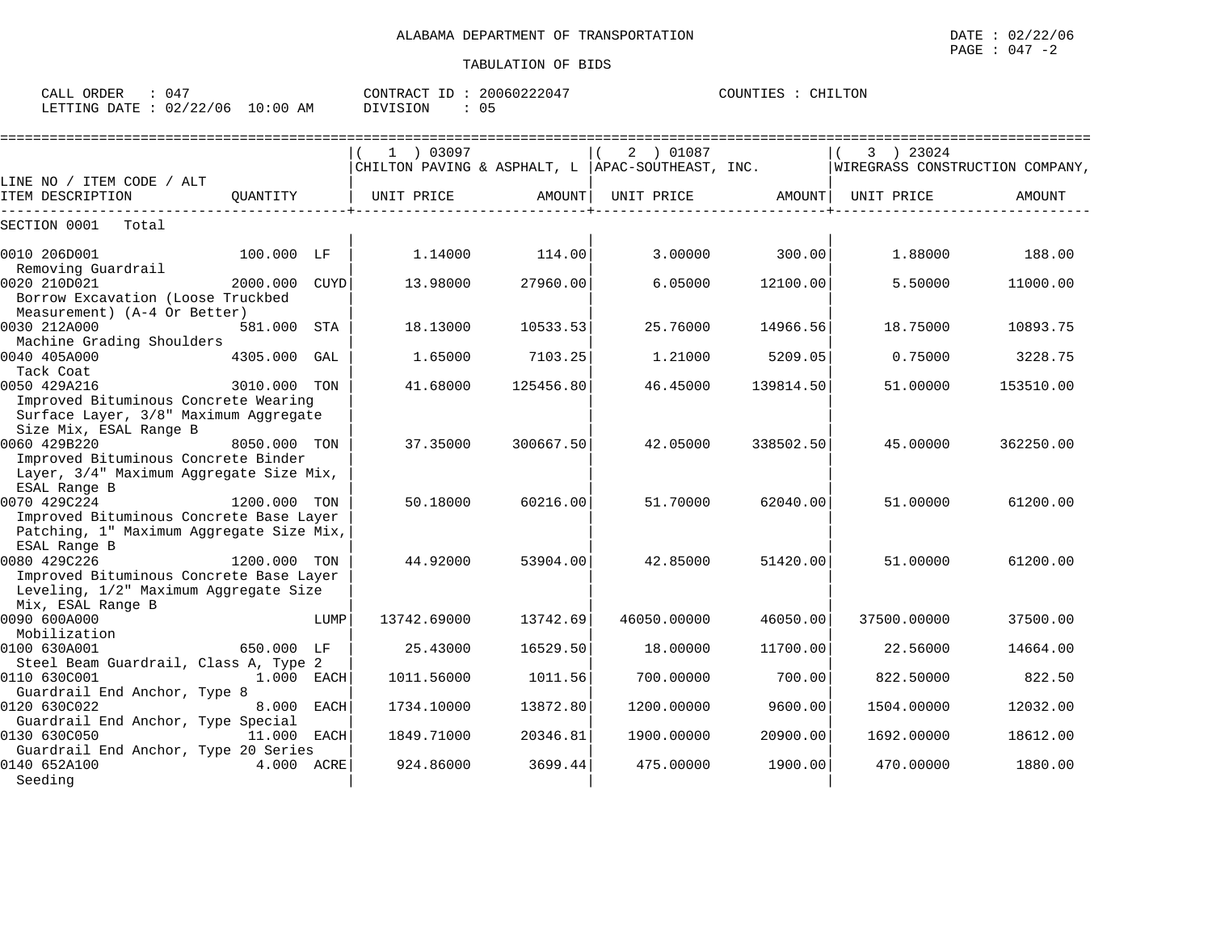| ORDER<br>047<br>CALL \ |             | 20060222047<br>CONTRACT<br>ID : | COUNTIES<br>CHILTON |
|------------------------|-------------|---------------------------------|---------------------|
| LETTING DATE: 02/22/06 | 10:00<br>AM | DIVISION<br>U٥                  |                     |

| $1$ ) 03097 |          | 2 ) 01087   |                                                                                             |                                                    |                                                                                                                                 |
|-------------|----------|-------------|---------------------------------------------------------------------------------------------|----------------------------------------------------|---------------------------------------------------------------------------------------------------------------------------------|
|             |          |             |                                                                                             | 3 ) 23024                                          |                                                                                                                                 |
|             |          |             |                                                                                             |                                                    |                                                                                                                                 |
| UNIT PRICE  | AMOUNT   | UNIT PRICE  |                                                                                             | UNIT PRICE                                         | AMOUNT                                                                                                                          |
|             |          |             |                                                                                             |                                                    |                                                                                                                                 |
| 1.14000     |          | 3.00000     |                                                                                             | 1,88000                                            | 188.00                                                                                                                          |
| 13.98000    | 27960.00 | 6.05000     | 12100.00                                                                                    | 5.50000                                            | 11000.00                                                                                                                        |
| 18.13000    | 10533.53 | 25.76000    | 14966.56                                                                                    | 18.75000                                           | 10893.75                                                                                                                        |
| 1.65000     | 7103.25  | 1,21000     | 5209.05                                                                                     | 0.75000                                            | 3228.75                                                                                                                         |
| 41.68000    |          | 46.45000    |                                                                                             | 51,00000                                           | 153510.00                                                                                                                       |
|             |          |             |                                                                                             |                                                    |                                                                                                                                 |
|             |          |             |                                                                                             |                                                    | 362250.00                                                                                                                       |
| 50.18000    | 60216.00 | 51.70000    | 62040.00                                                                                    | 51.00000                                           | 61200.00                                                                                                                        |
|             |          |             |                                                                                             |                                                    |                                                                                                                                 |
| 44.92000    |          | 42.85000    |                                                                                             | 51,00000                                           | 61200.00                                                                                                                        |
|             |          |             |                                                                                             |                                                    |                                                                                                                                 |
| 13742.69000 |          | 46050.00000 |                                                                                             | 37500.00000                                        | 37500.00                                                                                                                        |
| 25.43000    |          | 18.00000    |                                                                                             | 22.56000                                           | 14664.00                                                                                                                        |
| 1011.56000  | 1011.56  | 700.00000   | 700.00                                                                                      | 822.50000                                          | 822.50                                                                                                                          |
| 1734.10000  | 13872.80 | 1200.00000  | 9600.00                                                                                     | 1504.00000                                         | 12032.00                                                                                                                        |
| 1849.71000  | 20346.81 | 1900.00000  | 20900.00                                                                                    | 1692.00000                                         | 18612.00                                                                                                                        |
| 924.86000   |          | 475.00000   | 1900.00                                                                                     | 470.00000                                          | 1880.00                                                                                                                         |
|             | 37.35000 |             | 114.00<br>125456.80<br>300667.50<br>42.05000<br>53904.00<br>13742.69<br>16529.50<br>3699.44 | CHILTON PAVING & ASPHALT, L   APAC-SOUTHEAST, INC. | WIREGRASS CONSTRUCTION COMPANY,<br>AMOUNT  <br>300.00<br>139814.50<br>338502.50<br>45.00000<br>51420.00<br>46050.00<br>11700.00 |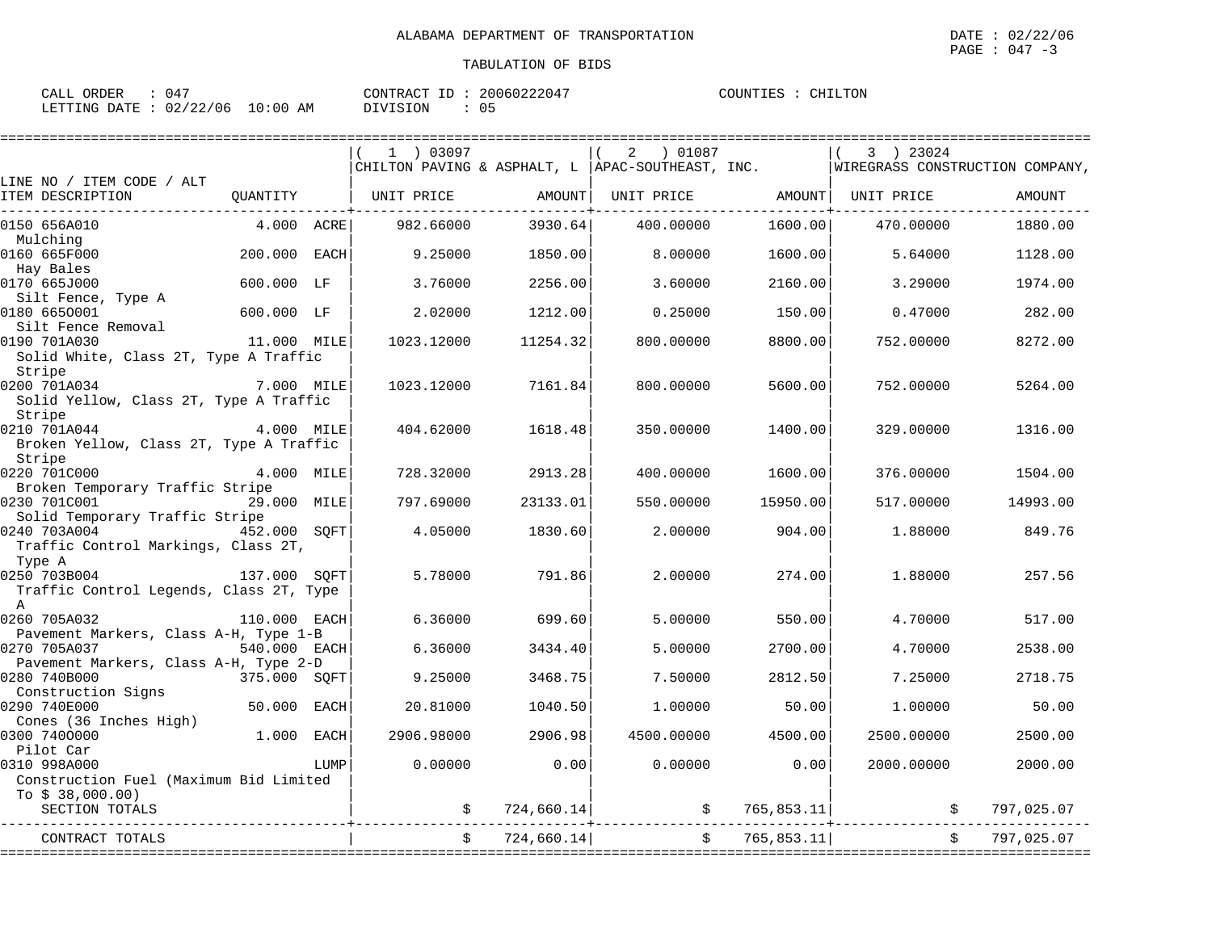| ORDER<br>$\sim$ $\sim$ $\sim$<br>$\mathbf{r}$<br>لمسلطات |             | CONTRACT<br>$ -$ | 20060222047 | COUNTIES<br>LTON<br>CHI |
|----------------------------------------------------------|-------------|------------------|-------------|-------------------------|
| 02/22/06<br><b>DATE</b><br>LETTING<br>UZ.<br>▵▵          | 10:00<br>AΜ | DIVISION         | ∩ г<br>ັບ   |                         |

|                                                         |              |      | 1 03097                                           |            | 2<br>01087 ( |               | 3 ) 23024                       |                                   |
|---------------------------------------------------------|--------------|------|---------------------------------------------------|------------|--------------|---------------|---------------------------------|-----------------------------------|
|                                                         |              |      | CHILTON PAVING & ASPHALT, L  APAC-SOUTHEAST, INC. |            |              |               | WIREGRASS CONSTRUCTION COMPANY, |                                   |
| LINE NO / ITEM CODE / ALT                               |              |      |                                                   |            |              |               |                                 |                                   |
| ITEM DESCRIPTION                                        | OUANTITY     |      | UNIT PRICE                                        | AMOUNT     | UNIT PRICE   |               | AMOUNT  UNIT PRICE              | AMOUNT                            |
|                                                         |              |      |                                                   |            |              |               |                                 |                                   |
| 0150 656A010                                            | 4.000 ACRE   |      | 982.66000                                         | 3930.64    | 400.00000    | 1600.00       | 470.00000                       | 1880.00                           |
| Mulching                                                |              |      |                                                   |            |              |               |                                 |                                   |
| 0160 665F000                                            | 200.000 EACH |      | 9.25000                                           | 1850.00    | 8.00000      | 1600.00       | 5.64000                         | 1128.00                           |
| Hay Bales                                               |              |      |                                                   |            |              |               |                                 |                                   |
| 0170 665J000                                            | 600.000 LF   |      | 3.76000                                           | 2256.00    | 3.60000      | 2160.00       | 3.29000                         | 1974.00                           |
| Silt Fence, Type A                                      |              |      |                                                   |            |              |               |                                 |                                   |
| 0180 6650001                                            | 600.000 LF   |      | 2.02000                                           | 1212.00    | 0.25000      | 150.00        | 0.47000                         | 282.00                            |
| Silt Fence Removal                                      |              |      |                                                   |            |              |               |                                 |                                   |
| 0190 701A030                                            | 11.000 MILE  |      | 1023.12000                                        | 11254.32   | 800.00000    | 8800.00       | 752.00000                       | 8272.00                           |
| Solid White, Class 2T, Type A Traffic                   |              |      |                                                   |            |              |               |                                 |                                   |
| Stripe                                                  |              |      |                                                   |            |              |               |                                 |                                   |
| 0200 701A034                                            | 7.000 MILE   |      | 1023.12000                                        | 7161.84    | 800.00000    | 5600.00       | 752.00000                       | 5264.00                           |
| Solid Yellow, Class 2T, Type A Traffic                  |              |      |                                                   |            |              |               |                                 |                                   |
| Stripe<br>4.000 MILE                                    |              |      |                                                   |            |              |               |                                 |                                   |
| 0210 701A044<br>Broken Yellow, Class 2T, Type A Traffic |              |      | 404.62000                                         | 1618.48    | 350.00000    | 1400.00       | 329.00000                       | 1316.00                           |
|                                                         |              |      |                                                   |            |              |               |                                 |                                   |
| Stripe<br>0220 701C000                                  | 4.000 MILE   |      | 728.32000                                         | 2913.28    | 400.00000    | 1600.00       | 376.00000                       | 1504.00                           |
| Broken Temporary Traffic Stripe                         |              |      |                                                   |            |              |               |                                 |                                   |
| 0230 701C001                                            | 29.000 MILE  |      | 797.69000                                         | 23133.01   | 550.00000    | 15950.00      | 517.00000                       | 14993.00                          |
| Solid Temporary Traffic Stripe                          |              |      |                                                   |            |              |               |                                 |                                   |
| 0240 703A004                                            | 452.000 SOFT |      | 4.05000                                           | 1830.60    | 2.00000      | 904.00        | 1.88000                         | 849.76                            |
| Traffic Control Markings, Class 2T,                     |              |      |                                                   |            |              |               |                                 |                                   |
| Type A                                                  |              |      |                                                   |            |              |               |                                 |                                   |
| 0250 703B004                                            | 137.000 SOFT |      | 5.78000                                           | 791.86     | 2,00000      | 274.00        | 1.88000                         | 257.56                            |
| Traffic Control Legends, Class 2T, Type                 |              |      |                                                   |            |              |               |                                 |                                   |
| $\mathbb{A}$                                            |              |      |                                                   |            |              |               |                                 |                                   |
| 0260 705A032                                            | 110.000 EACH |      | 6.36000                                           | 699.60     | 5.00000      | 550.00        | 4.70000                         | 517.00                            |
| Pavement Markers, Class A-H, Type 1-B                   |              |      |                                                   |            |              |               |                                 |                                   |
| 0270 705A037                                            | 540.000 EACH |      | 6.36000                                           | 3434.40    | 5.00000      | 2700.00       | 4.70000                         | 2538.00                           |
| Pavement Markers, Class A-H, Type 2-D                   |              |      |                                                   |            |              |               |                                 |                                   |
| 0280 740B000                                            | 375.000 SOFT |      | 9.25000                                           | 3468.75    | 7.50000      | 2812.50       | 7.25000                         | 2718.75                           |
| Construction Signs                                      |              |      |                                                   |            |              |               |                                 |                                   |
| 0290 740E000                                            | 50.000 EACH  |      | 20.81000                                          | 1040.50    | 1.00000      | 50.00         | 1,00000                         | 50.00                             |
| Cones (36 Inches High)                                  |              |      |                                                   |            |              |               |                                 |                                   |
| 0300 7400000                                            | 1.000 EACH   |      | 2906.98000                                        | 2906.98    | 4500.00000   | 4500.00       | 2500.00000                      | 2500.00                           |
| Pilot Car                                               |              |      |                                                   |            |              |               |                                 |                                   |
| 0310 998A000                                            |              | LUMP | 0.00000                                           | 0.00       | 0.00000      | 0.00          | 2000.00000                      | 2000.00                           |
| Construction Fuel (Maximum Bid Limited                  |              |      |                                                   |            |              |               |                                 |                                   |
| To $$38,000.00)$                                        |              |      |                                                   |            |              |               |                                 |                                   |
| SECTION TOTALS                                          |              |      |                                                   | 724,660.14 |              | \$765,853.11] |                                 | 797,025.07                        |
|                                                         |              |      |                                                   |            |              |               |                                 |                                   |
| CONTRACT TOTALS                                         |              |      | $\ddot{\rm S}$                                    | 724,660.14 |              | \$765,853.11] |                                 | 797,025.07<br>$\ddot{\mathsf{S}}$ |
|                                                         |              |      |                                                   |            |              |               |                                 |                                   |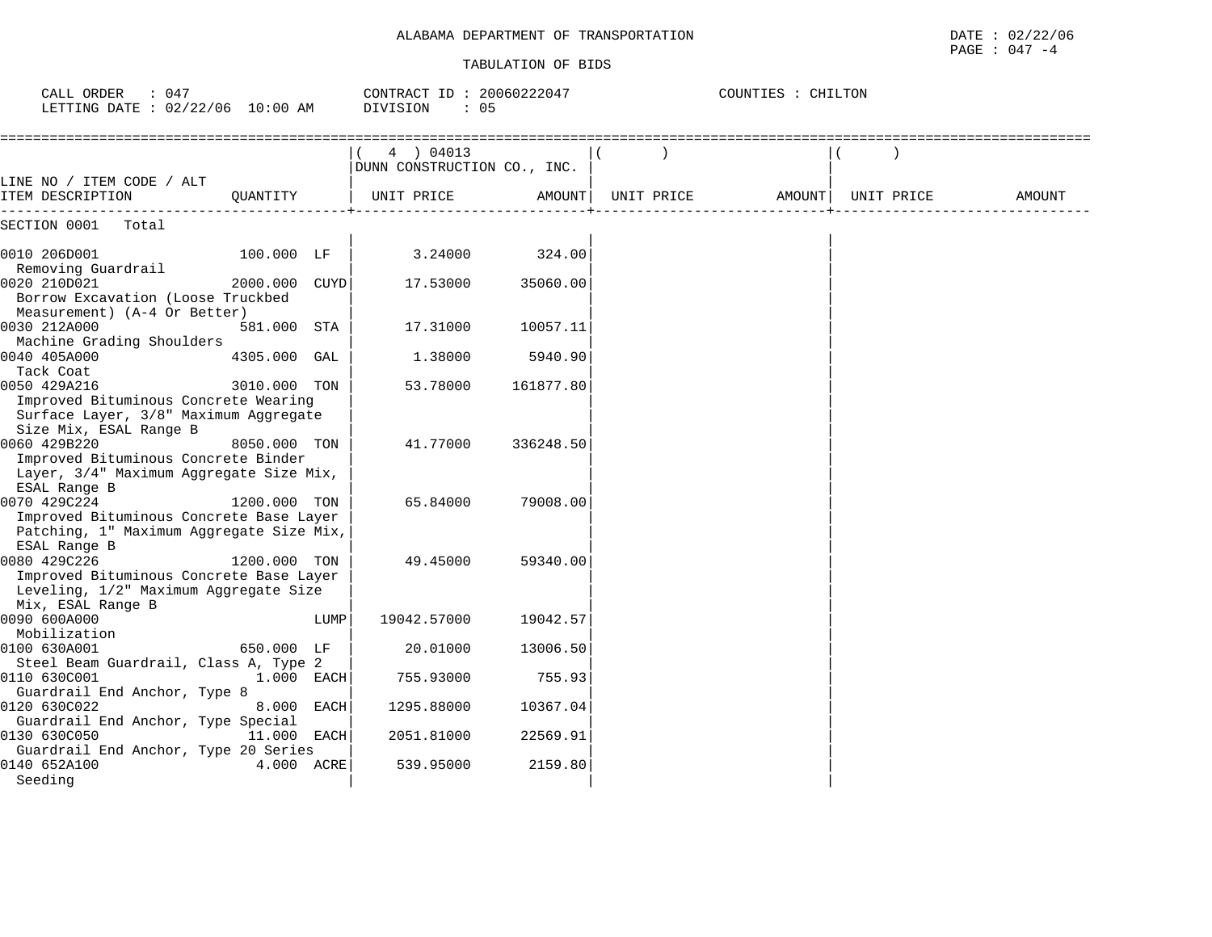## ALABAMA DEPARTMENT OF TRANSPORTATION

| ALABAMA DEPARTMENT OF<br>TRANSPORTATION | DATE<br>02/22/06<br>the contract of the contract of the contract of the contract of the contract of the contract of the contract of |
|-----------------------------------------|-------------------------------------------------------------------------------------------------------------------------------------|
|                                         | 047<br>PAGE<br>- 4                                                                                                                  |

| : 047<br>CALL ORDER<br>LETTING DATE : 02/22/06 10:00 AM                                                                 |               |      | CONTRACT ID: 20060222047<br>DIVISION<br>: 05 |           |            | COUNTIES : CHILTON |            |        |
|-------------------------------------------------------------------------------------------------------------------------|---------------|------|----------------------------------------------|-----------|------------|--------------------|------------|--------|
|                                                                                                                         |               |      | 4 ) 04013<br>DUNN CONSTRUCTION CO., INC.     |           |            |                    |            |        |
| LINE NO / ITEM CODE / ALT<br>ITEM DESCRIPTION                                                                           | OUANTITY      |      | UNIT PRICE                                   | AMOUNT    | UNIT PRICE | AMOUNT             | UNIT PRICE | AMOUNT |
| SECTION 0001<br>Total                                                                                                   |               |      |                                              |           |            |                    |            |        |
| 0010 206D001<br>Removing Guardrail                                                                                      | 100.000 LF    |      | 3.24000                                      | 324.00    |            |                    |            |        |
| 0020 210D021<br>Borrow Excavation (Loose Truckbed<br>Measurement) (A-4 Or Better)                                       | 2000.000 CUYD |      | 17.53000                                     | 35060.00  |            |                    |            |        |
| 0030 212A000<br>Machine Grading Shoulders                                                                               | 581.000 STA   |      | 17.31000                                     | 10057.11  |            |                    |            |        |
| 0040 405A000<br>Tack Coat                                                                                               | 4305.000 GAL  |      | 1.38000                                      | 5940.90   |            |                    |            |        |
| 0050 429A216<br>Improved Bituminous Concrete Wearing<br>Surface Layer, 3/8" Maximum Aggregate<br>Size Mix, ESAL Range B | 3010.000 TON  |      | 53.78000                                     | 161877.80 |            |                    |            |        |
| 0060 429B220<br>Improved Bituminous Concrete Binder<br>Layer, 3/4" Maximum Aggregate Size Mix,<br>ESAL Range B          | 8050.000 TON  |      | 41.77000                                     | 336248.50 |            |                    |            |        |
| 0070 429C224<br>Improved Bituminous Concrete Base Layer<br>Patching, 1" Maximum Aggregate Size Mix,<br>ESAL Range B     | 1200.000 TON  |      | 65.84000                                     | 79008.00  |            |                    |            |        |
| 0080 429C226<br>Improved Bituminous Concrete Base Layer<br>Leveling, 1/2" Maximum Aggregate Size<br>Mix, ESAL Range B   | 1200.000 TON  |      | 49.45000                                     | 59340.00  |            |                    |            |        |
| 0090 600A000<br>Mobilization                                                                                            |               | LUMP | 19042.57000                                  | 19042.57  |            |                    |            |        |
| 0100 630A001<br>Steel Beam Guardrail, Class A, Type 2                                                                   | 650.000 LF    |      | 20.01000                                     | 13006.50  |            |                    |            |        |
| 0110 630C001<br>Guardrail End Anchor, Type 8                                                                            | 1.000 EACH    |      | 755.93000                                    | 755.93    |            |                    |            |        |
| 0120 630C022<br>Guardrail End Anchor, Type Special                                                                      | 8.000 EACH    |      | 1295.88000                                   | 10367.04  |            |                    |            |        |
| 0130 630C050<br>Guardrail End Anchor, Type 20 Series                                                                    | 11.000 EACH   |      | 2051.81000                                   | 22569.91  |            |                    |            |        |
| 0140 652A100<br>Seeding                                                                                                 | 4.000 ACRE    |      | 539.95000                                    | 2159.80   |            |                    |            |        |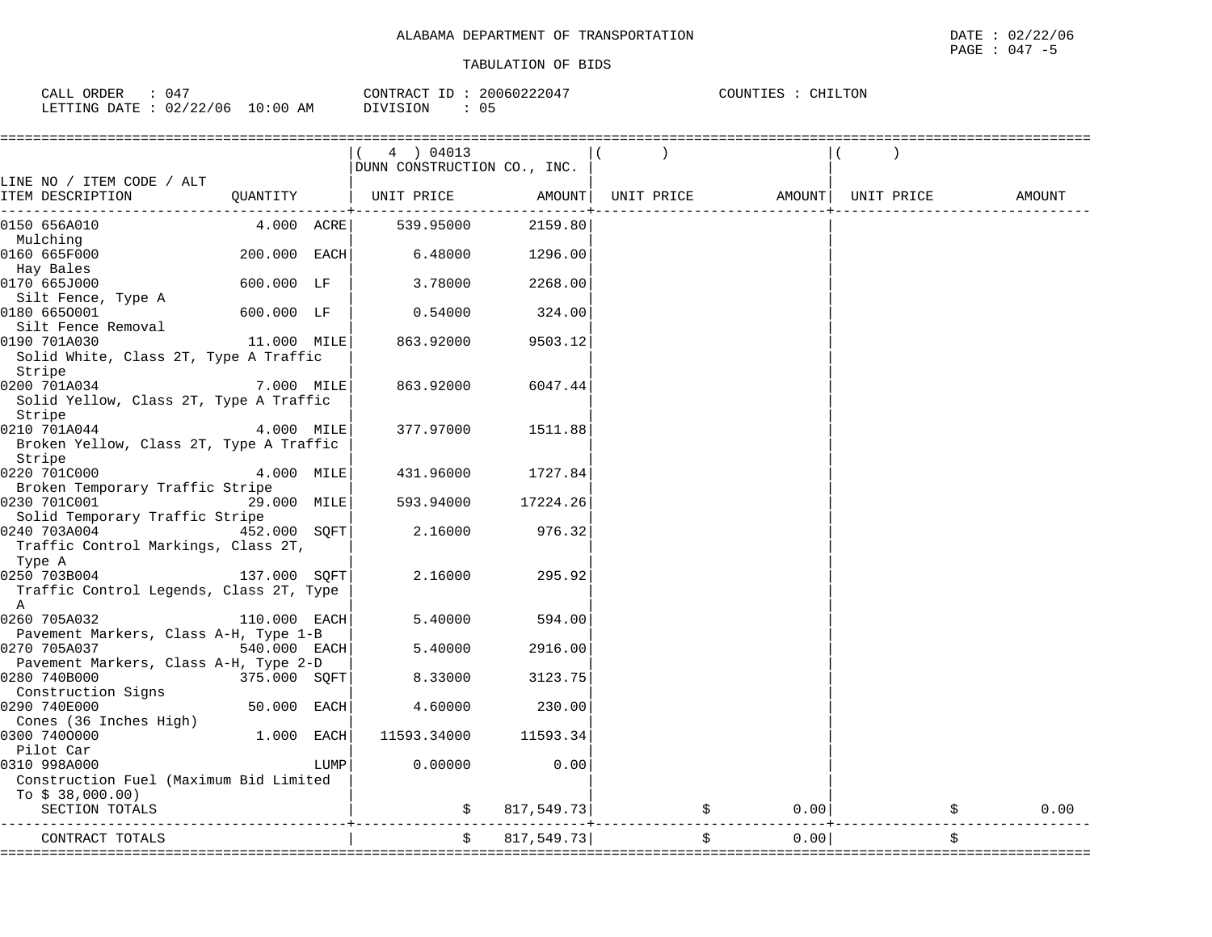| 047<br>ORDER<br>$\sim$ $\sim$ $\sim$ $\sim$<br>ىلىل |             | CONTRACT<br>ID. | 20060222047   | CHILTON<br>COUNTIES<br>TTES |
|-----------------------------------------------------|-------------|-----------------|---------------|-----------------------------|
| 22/06<br>02/22<br>LETTING<br>DATE                   | 10:00<br>ΆM | DIVISION        | $\cap$<br>ັບມ |                             |

|                                         |               |      | 4 ) 04013                   |             |                                |      |            |
|-----------------------------------------|---------------|------|-----------------------------|-------------|--------------------------------|------|------------|
|                                         |               |      | DUNN CONSTRUCTION CO., INC. |             |                                |      |            |
| LINE NO / ITEM CODE / ALT               |               |      |                             |             |                                |      |            |
| ITEM DESCRIPTION                        |               |      | QUANTITY   UNIT PRICE       | AMOUNT      | UNIT PRICE AMOUNT   UNIT PRICE |      | AMOUNT     |
|                                         | ------------+ |      |                             |             |                                |      |            |
| 0150 656A010                            | 4.000 ACRE    |      | 539.95000                   | 2159.80     |                                |      |            |
| Mulching                                |               |      |                             |             |                                |      |            |
| 0160 665F000                            | 200.000 EACH  |      | 6.48000                     | 1296.00     |                                |      |            |
| Hay Bales                               |               |      |                             |             |                                |      |            |
| 0170 665J000                            | 600.000 LF    |      | 3.78000                     | 2268.00     |                                |      |            |
| Silt Fence, Type A                      |               |      |                             |             |                                |      |            |
| 0180 6650001                            | 600.000 LF    |      | 0.54000                     | 324.00      |                                |      |            |
| Silt Fence Removal                      |               |      |                             |             |                                |      |            |
| 0190 701A030                            | 11.000 MILE   |      | 863.92000                   | 9503.12     |                                |      |            |
| Solid White, Class 2T, Type A Traffic   |               |      |                             |             |                                |      |            |
| Stripe                                  |               |      |                             |             |                                |      |            |
| 0200 701A034                            | $7.000$ MILE  |      | 863.92000                   | 6047.44     |                                |      |            |
| Solid Yellow, Class 2T, Type A Traffic  |               |      |                             |             |                                |      |            |
| Stripe                                  |               |      |                             |             |                                |      |            |
| 0210 701A044                            | $4.000$ MILE  |      | 377.97000                   | 1511.88     |                                |      |            |
| Broken Yellow, Class 2T, Type A Traffic |               |      |                             |             |                                |      |            |
| Stripe                                  |               |      |                             |             |                                |      |            |
| 0220 701C000                            | 4.000 MILE    |      | 431.96000                   | 1727.84     |                                |      |            |
| Broken Temporary Traffic Stripe         |               |      |                             |             |                                |      |            |
| 0230 701C001                            | 29.000 MILE   |      | 593.94000                   | 17224.26    |                                |      |            |
| Solid Temporary Traffic Stripe          |               |      |                             |             |                                |      |            |
| 0240 703A004                            | 452.000 SOFT  |      | 2.16000                     | 976.32      |                                |      |            |
| Traffic Control Markings, Class 2T,     |               |      |                             |             |                                |      |            |
| Type A                                  |               |      |                             |             |                                |      |            |
| 0250 703B004                            | 137.000 SQFT  |      | 2.16000                     | 295.92      |                                |      |            |
| Traffic Control Legends, Class 2T, Type |               |      |                             |             |                                |      |            |
| A                                       |               |      |                             |             |                                |      |            |
| 0260 705A032                            | 110.000 EACH  |      | 5.40000                     | 594.00      |                                |      |            |
| Pavement Markers, Class A-H, Type 1-B   |               |      |                             |             |                                |      |            |
| 0270 705A037                            | 540.000 EACH  |      | 5.40000                     | 2916.00     |                                |      |            |
| Pavement Markers, Class A-H, Type 2-D   |               |      |                             |             |                                |      |            |
| 0280 740B000                            | 375.000 SQFT  |      | 8.33000                     | 3123.75     |                                |      |            |
| Construction Signs                      |               |      |                             |             |                                |      |            |
| 0290 740E000                            | 50.000 EACH   |      | 4.60000                     | 230.00      |                                |      |            |
| Cones (36 Inches High)                  |               |      |                             |             |                                |      |            |
| 0300 7400000                            | 1.000 EACH    |      | 11593.34000                 | 11593.34    |                                |      |            |
| Pilot Car                               |               |      |                             |             |                                |      |            |
| 0310 998A000                            |               | LUMP | 0.00000                     | 0.00        |                                |      |            |
| Construction Fuel (Maximum Bid Limited  |               |      |                             |             |                                |      |            |
| To $$38,000.00)$                        |               |      |                             |             |                                |      |            |
| SECTION TOTALS                          |               |      | Ŝ.                          | 817,549.73  | \$                             | 0.00 | \$<br>0.00 |
|                                         |               |      |                             | ----------- |                                |      |            |
| CONTRACT TOTALS                         |               |      | \$                          | 817,549.73  | \$                             | 0.00 | \$         |
|                                         |               |      |                             |             |                                |      |            |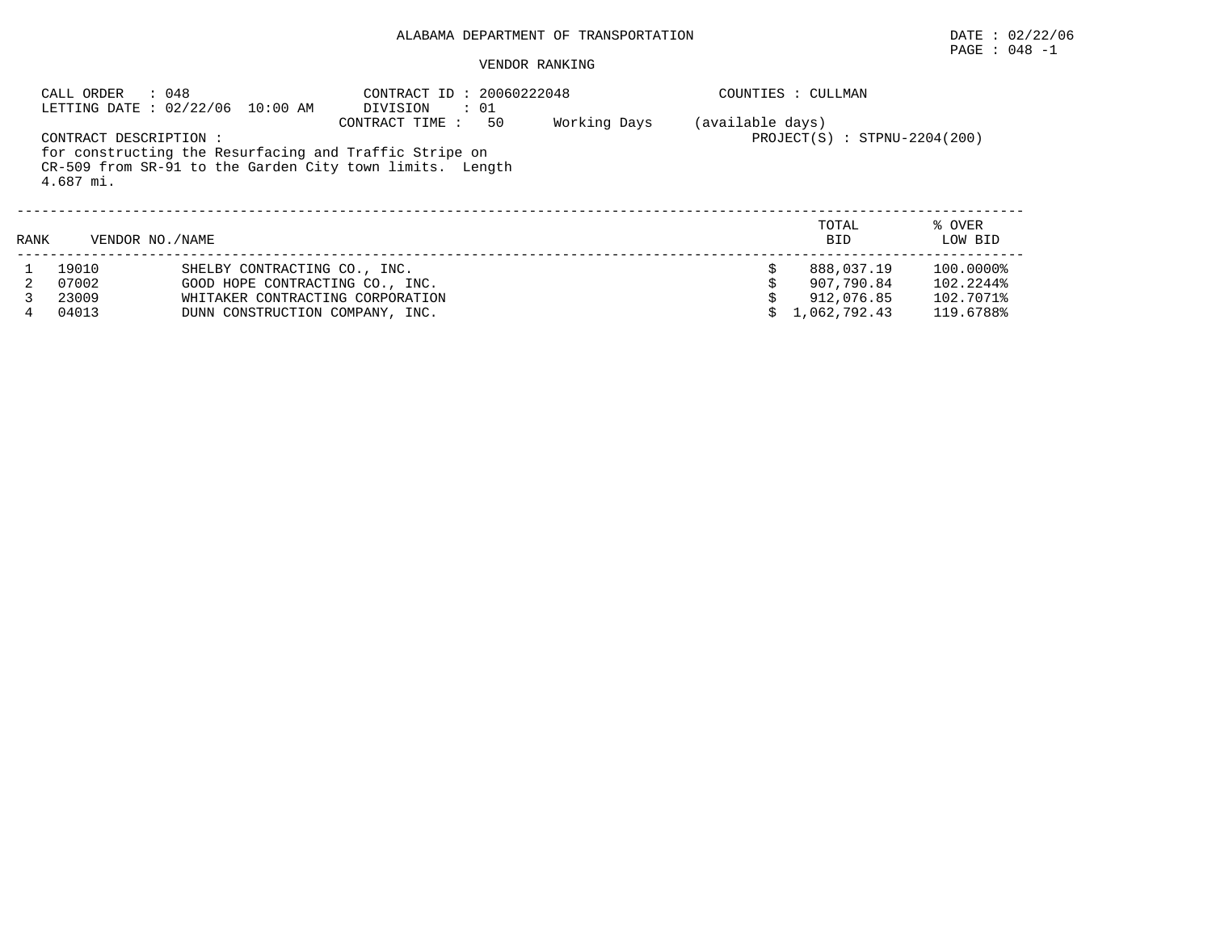# PAGE : 048 -1

|      | : 048<br>CALL ORDER                   | LETTING DATE : 02/22/06 10:00 AM                                                                                                       | CONTRACT ID: 20060222048<br>DIVISION<br>$\therefore$ 01                                                                                     |              | COUNTIES : CULLMAN |                                                        |                                                  |  |  |
|------|---------------------------------------|----------------------------------------------------------------------------------------------------------------------------------------|---------------------------------------------------------------------------------------------------------------------------------------------|--------------|--------------------|--------------------------------------------------------|--------------------------------------------------|--|--|
|      | CONTRACT DESCRIPTION :<br>$4.687$ mi. |                                                                                                                                        | 50<br>CONTRACT TIME :<br>for constructing the Resurfacing and Traffic Stripe on<br>CR-509 from SR-91 to the Garden City town limits. Length | Working Days | (available days)   | $PROJECT(S) : STPNU-2204(200)$                         |                                                  |  |  |
| RANK | VENDOR NO. / NAME                     |                                                                                                                                        |                                                                                                                                             |              |                    | TOTAL<br><b>BID</b>                                    | % OVER<br>LOW BID                                |  |  |
| 4    | 19010<br>07002<br>23009<br>04013      | SHELBY CONTRACTING CO., INC.<br>GOOD HOPE CONTRACTING CO., INC.<br>WHITAKER CONTRACTING CORPORATION<br>DUNN CONSTRUCTION COMPANY, INC. |                                                                                                                                             |              |                    | 888,037.19<br>907,790.84<br>912,076.85<br>1,062,792.43 | 100.0000%<br>102.2244%<br>102.7071%<br>119.6788% |  |  |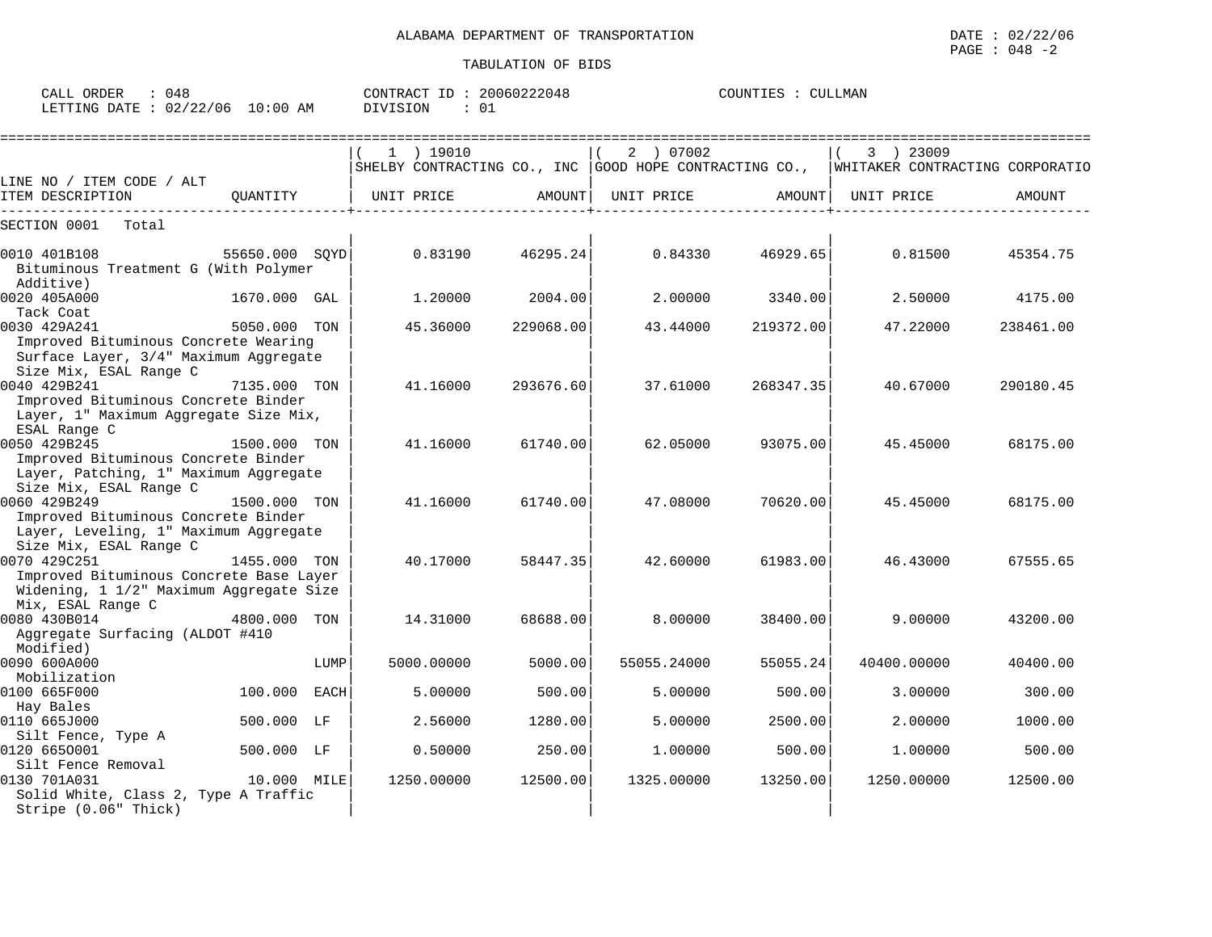| ORDER<br>CALL | 048      |             | T<br>CONTRACT     | 20060222048 | COUNTIES | LLMAN |
|---------------|----------|-------------|-------------------|-------------|----------|-------|
| LETTING DATE  | 02/22/06 | 10:00<br>AΜ | SION<br>$\lambda$ | ◡∸          |          |       |

|                                                                                                                         |                |      | =============================                                                           |           |             |           |             |           |
|-------------------------------------------------------------------------------------------------------------------------|----------------|------|-----------------------------------------------------------------------------------------|-----------|-------------|-----------|-------------|-----------|
|                                                                                                                         |                |      | $1$ ) 19010                                                                             |           | 2 ) 07002   |           | 3 ) 23009   |           |
| LINE NO / ITEM CODE / ALT                                                                                               |                |      | SHELBY CONTRACTING CO., INC GOOD HOPE CONTRACTING CO., IWHITAKER CONTRACTING CORPORATIO |           |             |           |             |           |
| ITEM DESCRIPTION                                                                                                        | OUANTITY       |      | UNIT PRICE                                                                              | AMOUNT    | UNIT PRICE  | AMOUNT    | UNIT PRICE  | AMOUNT    |
| SECTION 0001<br>Total                                                                                                   |                |      |                                                                                         |           |             |           |             |           |
| 0010 401B108<br>Bituminous Treatment G (With Polymer<br>Additive)                                                       | 55650.000 SOYD |      | 0.83190                                                                                 | 46295.24  | 0.84330     | 46929.65  | 0.81500     | 45354.75  |
| 0020 405A000<br>Tack Coat                                                                                               | 1670.000 GAL   |      | 1,20000                                                                                 | 2004.00   | 2,00000     | 3340.00   | 2.50000     | 4175.00   |
| 0030 429A241<br>Improved Bituminous Concrete Wearing<br>Surface Layer, 3/4" Maximum Aggregate<br>Size Mix, ESAL Range C | 5050.000 TON   |      | 45.36000                                                                                | 229068.00 | 43.44000    | 219372.00 | 47.22000    | 238461.00 |
| 0040 429B241<br>Improved Bituminous Concrete Binder<br>Layer, 1" Maximum Aggregate Size Mix,<br>ESAL Range C            | 7135.000 TON   |      | 41.16000                                                                                | 293676.60 | 37.61000    | 268347.35 | 40.67000    | 290180.45 |
| 0050 429B245<br>Improved Bituminous Concrete Binder<br>Layer, Patching, 1" Maximum Aggregate<br>Size Mix, ESAL Range C  | 1500.000 TON   |      | 41.16000                                                                                | 61740.00  | 62.05000    | 93075.00  | 45.45000    | 68175.00  |
| 0060 429B249<br>Improved Bituminous Concrete Binder<br>Layer, Leveling, 1" Maximum Aggregate<br>Size Mix, ESAL Range C  | 1500.000 TON   |      | 41.16000                                                                                | 61740.00  | 47.08000    | 70620.00  | 45.45000    | 68175.00  |
| 0070 429C251<br>Improved Bituminous Concrete Base Layer<br>Widening, 1 1/2" Maximum Aggregate Size<br>Mix, ESAL Range C | 1455.000 TON   |      | 40.17000                                                                                | 58447.35  | 42.60000    | 61983.00  | 46.43000    | 67555.65  |
| 0080 430B014<br>Aggregate Surfacing (ALDOT #410<br>Modified)                                                            | 4800.000       | TON  | 14.31000                                                                                | 68688.00  | 8.00000     | 38400.00  | 9,00000     | 43200.00  |
| 0090 600A000<br>Mobilization                                                                                            |                | LUMP | 5000.00000                                                                              | 5000.00   | 55055.24000 | 55055.24  | 40400.00000 | 40400.00  |
| 0100 665F000<br>Hay Bales                                                                                               | 100.000 EACH   |      | 5.00000                                                                                 | 500.00    | 5.00000     | 500.00    | 3.00000     | 300.00    |
| 0110 665J000<br>Silt Fence, Type A                                                                                      | 500.000 LF     |      | 2.56000                                                                                 | 1280.00   | 5.00000     | 2500.00   | 2.00000     | 1000.00   |
| 0120 6650001<br>Silt Fence Removal                                                                                      | 500.000 LF     |      | 0.50000                                                                                 | 250.00    | 1,00000     | 500.00    | 1.00000     | 500.00    |
| 0130 701A031<br>Solid White, Class 2, Type A Traffic<br>Stripe (0.06" Thick)                                            | 10.000 MILE    |      | 1250.00000                                                                              | 12500.00  | 1325.00000  | 13250.00  | 1250.00000  | 12500.00  |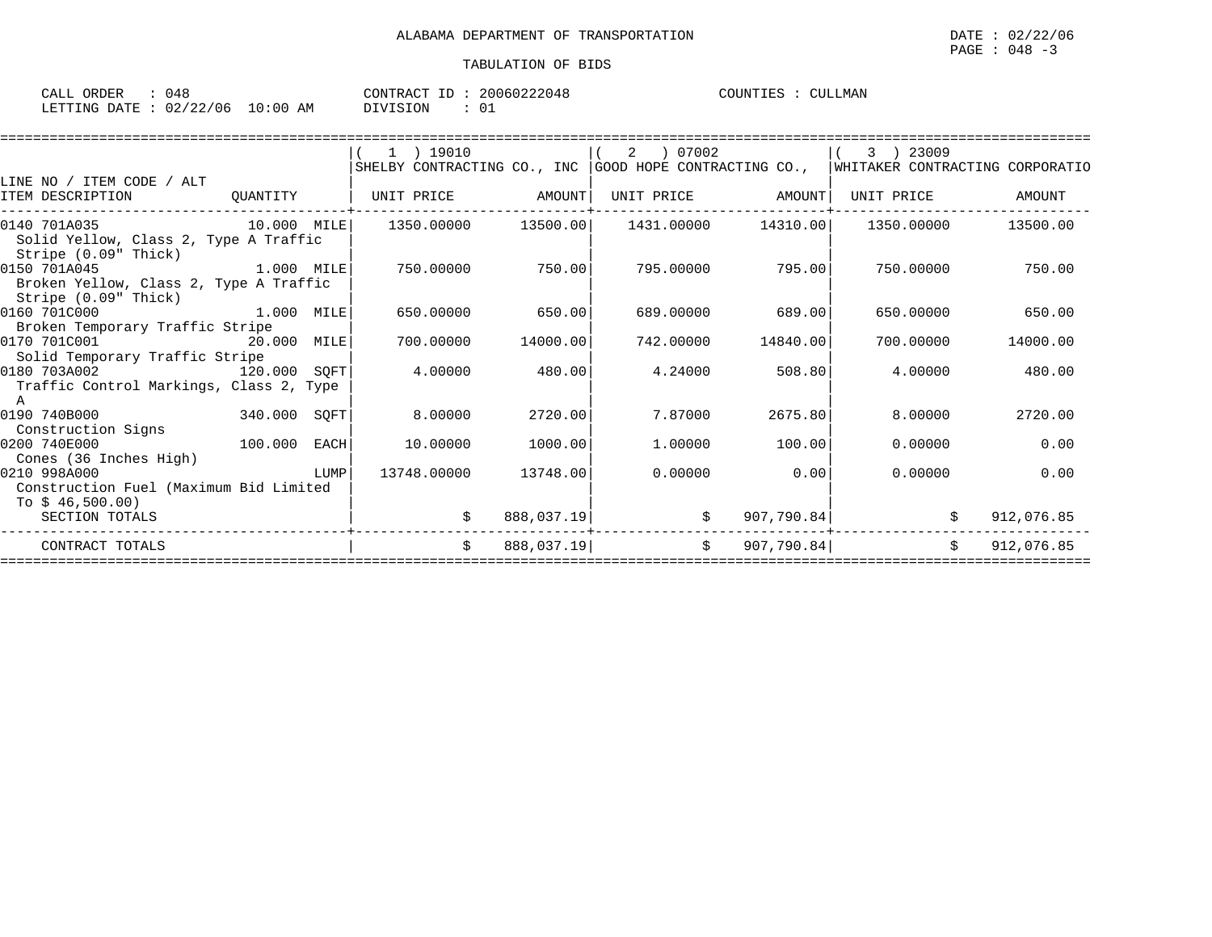| ORDER<br>CALL                    | 048 |          | CONTRACT ID: 20060222048 | COUNTIES : | CULLMAN |
|----------------------------------|-----|----------|--------------------------|------------|---------|
| LETTING DATE : 02/22/06 10:00 AM |     | DIVISION | U.                       |            |         |

| WHITAKER CONTRACTING CORPORATIO<br>AMOUNT<br>13500.00 |
|-------------------------------------------------------|
|                                                       |
|                                                       |
|                                                       |
|                                                       |
|                                                       |
|                                                       |
| 750.00                                                |
|                                                       |
|                                                       |
| 650.00                                                |
| 14000.00                                              |
|                                                       |
| 480.00                                                |
|                                                       |
|                                                       |
| 2720.00                                               |
|                                                       |
| 0.00                                                  |
| 0.00                                                  |
|                                                       |
|                                                       |
| 912,076.85                                            |
| 912,076.85                                            |
|                                                       |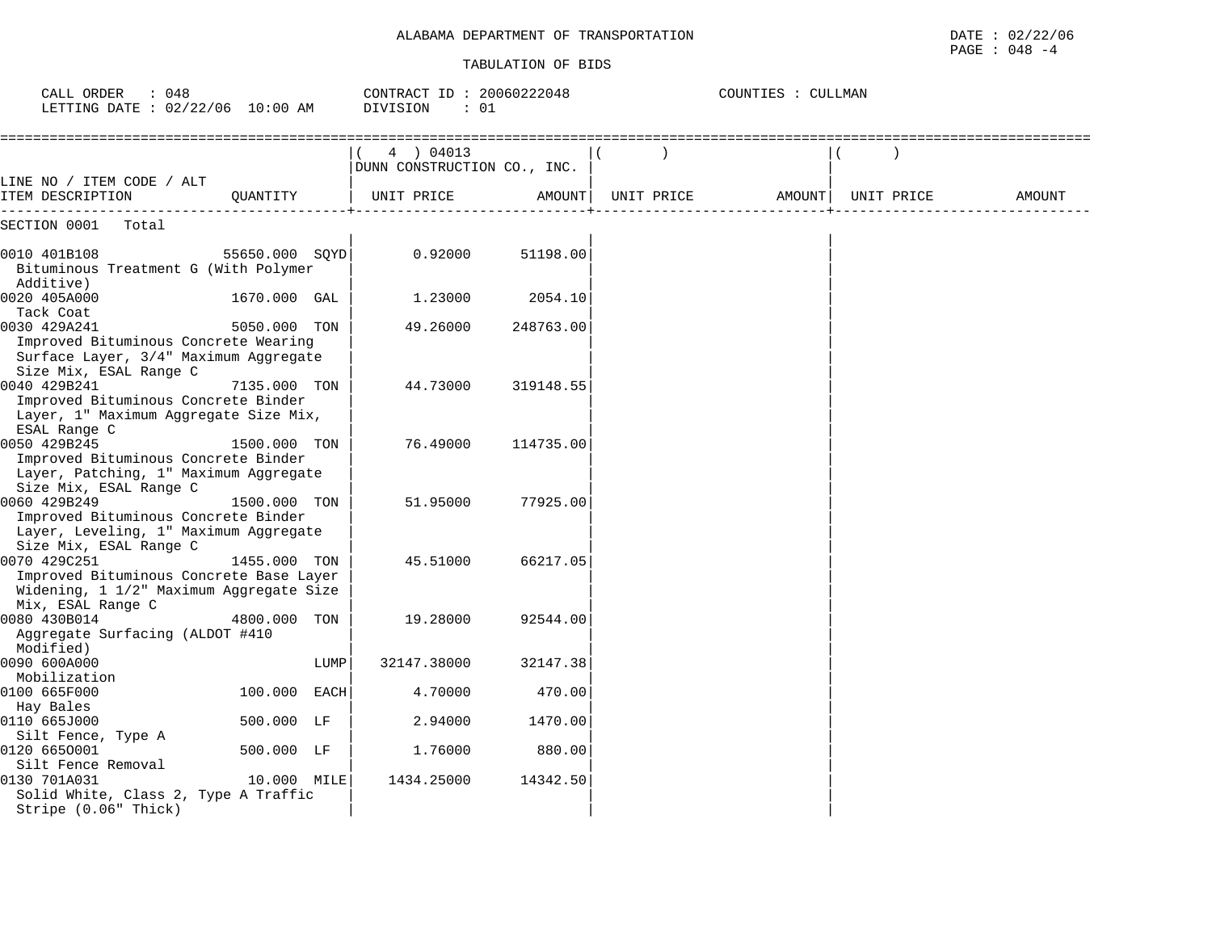## ALABAMA DEPARTMENT OF TRANSPORTATION

| DEPARTMENT OF TRANSPORTATION<br>ALABAMA | 122/06<br>DATE<br>ററ<br>U 47.<br>the contract of the contract of the contract of the contract of the contract of the contract of the contract of |
|-----------------------------------------|--------------------------------------------------------------------------------------------------------------------------------------------------|
|                                         | PAGE<br>: 048<br>- - -                                                                                                                           |

| : 048<br>CALL ORDER<br>LETTING DATE : 02/22/06 10:00 AM                                                                      |                |      | CONTRACT ID: 20060222048<br>DIVISION<br>: 01 |           |            | COUNTIES : CULLMAN |  |            |                                  |  |  |
|------------------------------------------------------------------------------------------------------------------------------|----------------|------|----------------------------------------------|-----------|------------|--------------------|--|------------|----------------------------------|--|--|
|                                                                                                                              |                |      | 4 ) 04013<br>DUNN CONSTRUCTION CO., INC.     |           |            |                    |  |            | -------------------------------- |  |  |
| LINE NO / ITEM CODE / ALT<br>ITEM DESCRIPTION                                                                                | OUANTITY       |      | UNIT PRICE                                   | AMOUNT    | UNIT PRICE | AMOUNT             |  | UNIT PRICE | AMOUNT                           |  |  |
| SECTION 0001<br>Total                                                                                                        |                |      |                                              |           |            |                    |  |            |                                  |  |  |
| 0010 401B108<br>Bituminous Treatment G (With Polymer<br>Additive)                                                            | 55650.000 SOYD |      | 0.92000                                      | 51198.00  |            |                    |  |            |                                  |  |  |
| 0020 405A000<br>Tack Coat                                                                                                    | 1670.000 GAL   |      | 1.23000                                      | 2054.10   |            |                    |  |            |                                  |  |  |
| 0030 429A241<br>Improved Bituminous Concrete Wearing<br>Surface Layer, 3/4" Maximum Aggregate                                | 5050.000 TON   |      | 49.26000                                     | 248763.00 |            |                    |  |            |                                  |  |  |
| Size Mix, ESAL Range C<br>0040 429B241<br>Improved Bituminous Concrete Binder<br>Layer, 1" Maximum Aggregate Size Mix,       | 7135.000 TON   |      | 44.73000                                     | 319148.55 |            |                    |  |            |                                  |  |  |
| ESAL Range C<br>0050 429B245<br>Improved Bituminous Concrete Binder<br>Layer, Patching, 1" Maximum Aggregate                 | 1500.000 TON   |      | 76.49000                                     | 114735.00 |            |                    |  |            |                                  |  |  |
| Size Mix, ESAL Range C<br>0060 429B249<br>Improved Bituminous Concrete Binder<br>Layer, Leveling, 1" Maximum Aggregate       | 1500.000 TON   |      | 51.95000                                     | 77925.00  |            |                    |  |            |                                  |  |  |
| Size Mix, ESAL Range C<br>0070 429C251<br>Improved Bituminous Concrete Base Layer<br>Widening, 1 1/2" Maximum Aggregate Size | 1455.000 TON   |      | 45.51000                                     | 66217.05  |            |                    |  |            |                                  |  |  |
| Mix, ESAL Range C<br>0080 430B014<br>Aggregate Surfacing (ALDOT #410<br>Modified)                                            | 4800.000 TON   |      | 19.28000                                     | 92544.00  |            |                    |  |            |                                  |  |  |
| 0090 600A000<br>Mobilization                                                                                                 |                | LUMP | 32147.38000                                  | 32147.38  |            |                    |  |            |                                  |  |  |
| 0100 665F000                                                                                                                 | 100.000 EACH   |      | 4.70000                                      | 470.00    |            |                    |  |            |                                  |  |  |
| Hay Bales<br>0110 665J000                                                                                                    | 500.000 LF     |      | 2.94000                                      | 1470.00   |            |                    |  |            |                                  |  |  |
| Silt Fence, Type A<br>0120 6650001                                                                                           | 500.000 LF     |      | 1.76000                                      | 880.00    |            |                    |  |            |                                  |  |  |
| Silt Fence Removal<br>0130 701A031<br>Solid White, Class 2, Type A Traffic                                                   | 10.000 MILE    |      | 1434.25000                                   | 14342.50  |            |                    |  |            |                                  |  |  |

Stripe (0.06" Thick) | | |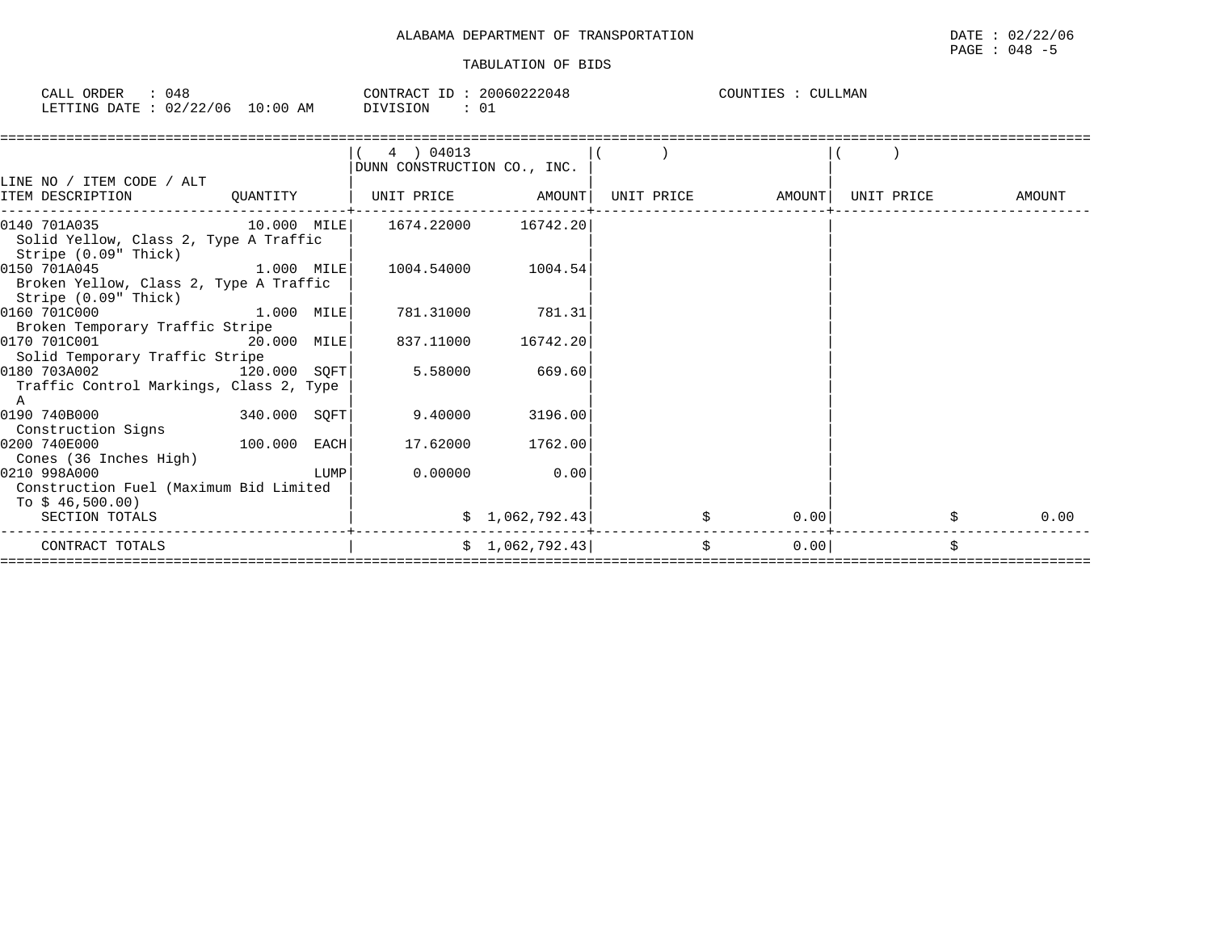| $\cdots$<br>$\sim$ $\sim$ $\sim$<br>ORDER<br>$\cdot$ $\cdot$ $\circ$ $\cdot$ $\cdot$<br>U4 Ł<br>المستطمات                                                                           |             | CONTRACT<br>-- | 20060222048 | COUNTIES<br><b>CULLMAN</b> |
|-------------------------------------------------------------------------------------------------------------------------------------------------------------------------------------|-------------|----------------|-------------|----------------------------|
| 1.700<br>106<br>$\sim$ $\sim$<br>ETTING.<br>חים מ<br>02/22<br>п.<br>the contract of the contract of the contract of the contract of the contract of the contract of the contract of | 10:00<br>AΜ | DIVISION       | ◡∸          |                            |

|                                         |              |      | 4 ) 04013                   |                 |    |                   |            |            |
|-----------------------------------------|--------------|------|-----------------------------|-----------------|----|-------------------|------------|------------|
|                                         |              |      | DUNN CONSTRUCTION CO., INC. |                 |    |                   |            |            |
| LINE NO / ITEM CODE / ALT               |              |      |                             |                 |    |                   |            |            |
| ITEM DESCRIPTION                        | QUANTITY     |      | UNIT PRICE AMOUNT           |                 |    | UNIT PRICE AMOUNT | UNIT PRICE | AMOUNT     |
| 0140 701A035 10.000 MILE                |              |      | 1674.22000 16742.20         |                 |    |                   |            |            |
| Solid Yellow, Class 2, Type A Traffic   |              |      |                             |                 |    |                   |            |            |
| Stripe (0.09" Thick)                    |              |      |                             |                 |    |                   |            |            |
| 0150 701A045<br>1.000 MILE              |              |      | 1004.54000                  | 1004.54         |    |                   |            |            |
| Broken Yellow, Class 2, Type A Traffic  |              |      |                             |                 |    |                   |            |            |
| Stripe (0.09" Thick)                    |              |      |                             |                 |    |                   |            |            |
| 0160 701C000                            | 1.000 MILE   |      | 781.31000                   | 781.31          |    |                   |            |            |
| Broken Temporary Traffic Stripe         |              |      |                             |                 |    |                   |            |            |
| 0170 701C001<br>20.000 MILE             |              |      | 837.11000                   | 16742.20        |    |                   |            |            |
| Solid Temporary Traffic Stripe          |              |      |                             |                 |    |                   |            |            |
| 0180 703A002<br>120.000 SQFT            |              |      | 5.58000                     | 669.60          |    |                   |            |            |
| Traffic Control Markings, Class 2, Type |              |      |                             |                 |    |                   |            |            |
| A                                       |              |      |                             |                 |    |                   |            |            |
| 0190 740B000                            | 340.000 SQFT |      | 9.40000                     | 3196.00         |    |                   |            |            |
| Construction Signs<br>100.000 EACH      |              |      |                             |                 |    |                   |            |            |
| 0200 740E000                            |              |      | 17.62000                    | 1762.00         |    |                   |            |            |
| Cones (36 Inches High)<br>0210 998A000  |              | LUMP | 0.00000                     | 0.00            |    |                   |            |            |
| Construction Fuel (Maximum Bid Limited  |              |      |                             |                 |    |                   |            |            |
| To \$ 46,500.00)                        |              |      |                             |                 |    |                   |            |            |
| SECTION TOTALS                          |              |      |                             | \$1,062,792.43] |    | 0.001             |            | 0.00<br>\$ |
|                                         |              |      |                             |                 |    |                   |            |            |
| CONTRACT TOTALS                         |              |      |                             | \$1,062,792.43] | Ŝ. | 0.00              |            | Ŝ.         |
|                                         |              |      |                             |                 |    |                   |            |            |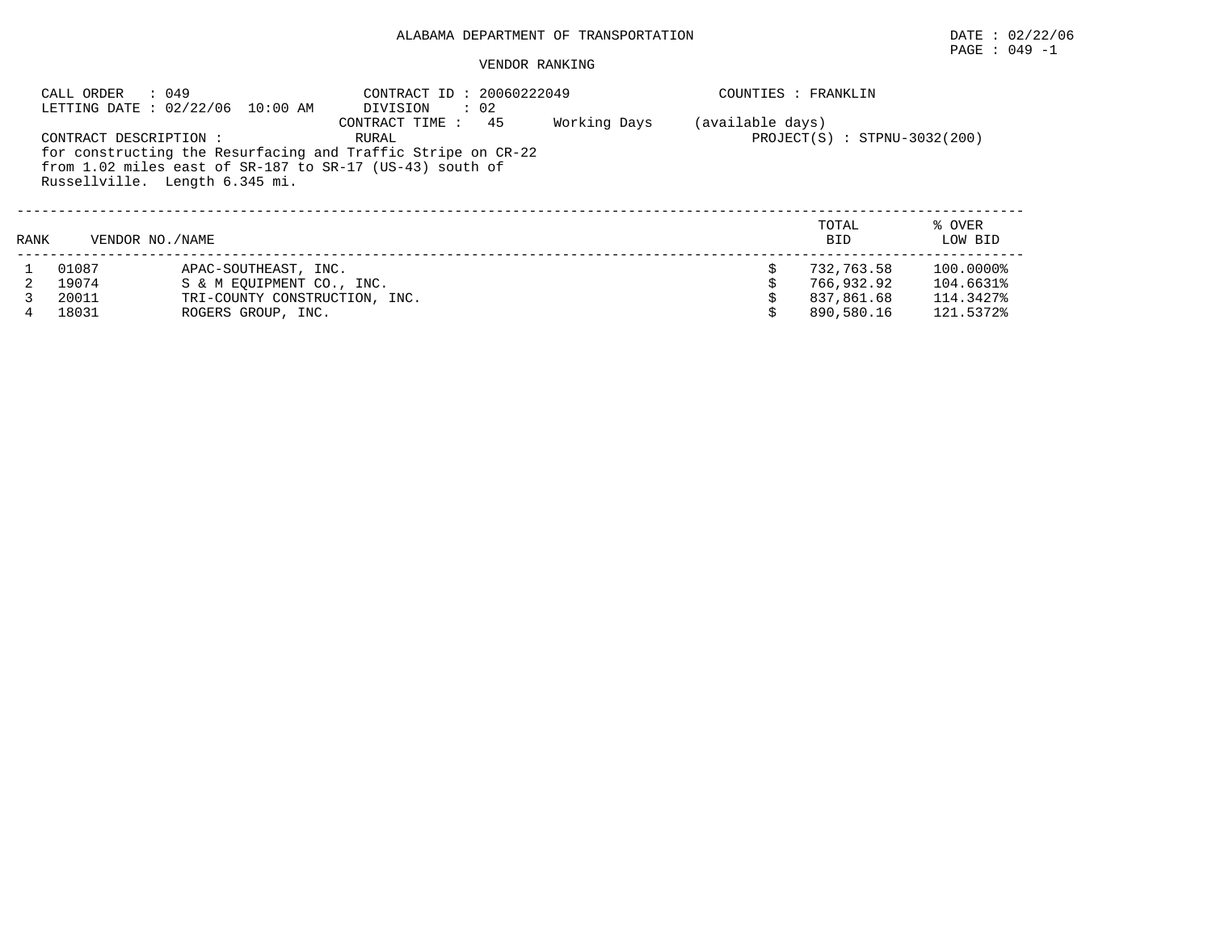## PAGE : 049 -1

|      | CALL ORDER : 049<br>LETTING DATE : 02/22/06 10:00 AM                                                                                                                                     | COUNTIES : FRANKLIN           |                                |  |                     |                   |
|------|------------------------------------------------------------------------------------------------------------------------------------------------------------------------------------------|-------------------------------|--------------------------------|--|---------------------|-------------------|
|      | CONTRACT DESCRIPTION :<br>for constructing the Resurfacing and Traffic Stripe on CR-22<br>from 1.02 miles east of $SR-187$ to $SR-17$ (US-43) south of<br>Russellville. Length 6.345 mi. | (available days)              | $PROJECT(S) : STPNU-3032(200)$ |  |                     |                   |
| RANK | VENDOR NO./NAME                                                                                                                                                                          |                               |                                |  | TOTAL<br><b>BID</b> | % OVER<br>LOW BID |
|      | 01087                                                                                                                                                                                    | APAC-SOUTHEAST, INC.          |                                |  | 732,763.58          | 100.0000%         |
|      | 19074                                                                                                                                                                                    | S & M EOUIPMENT CO., INC.     |                                |  | 766,932.92          | 104.6631%         |
|      | 20011                                                                                                                                                                                    | TRI-COUNTY CONSTRUCTION, INC. |                                |  | 837.861.68          | 114.3427%         |
|      | 18031                                                                                                                                                                                    | ROGERS GROUP, INC.            |                                |  | 890,580.16          | 121.5372%         |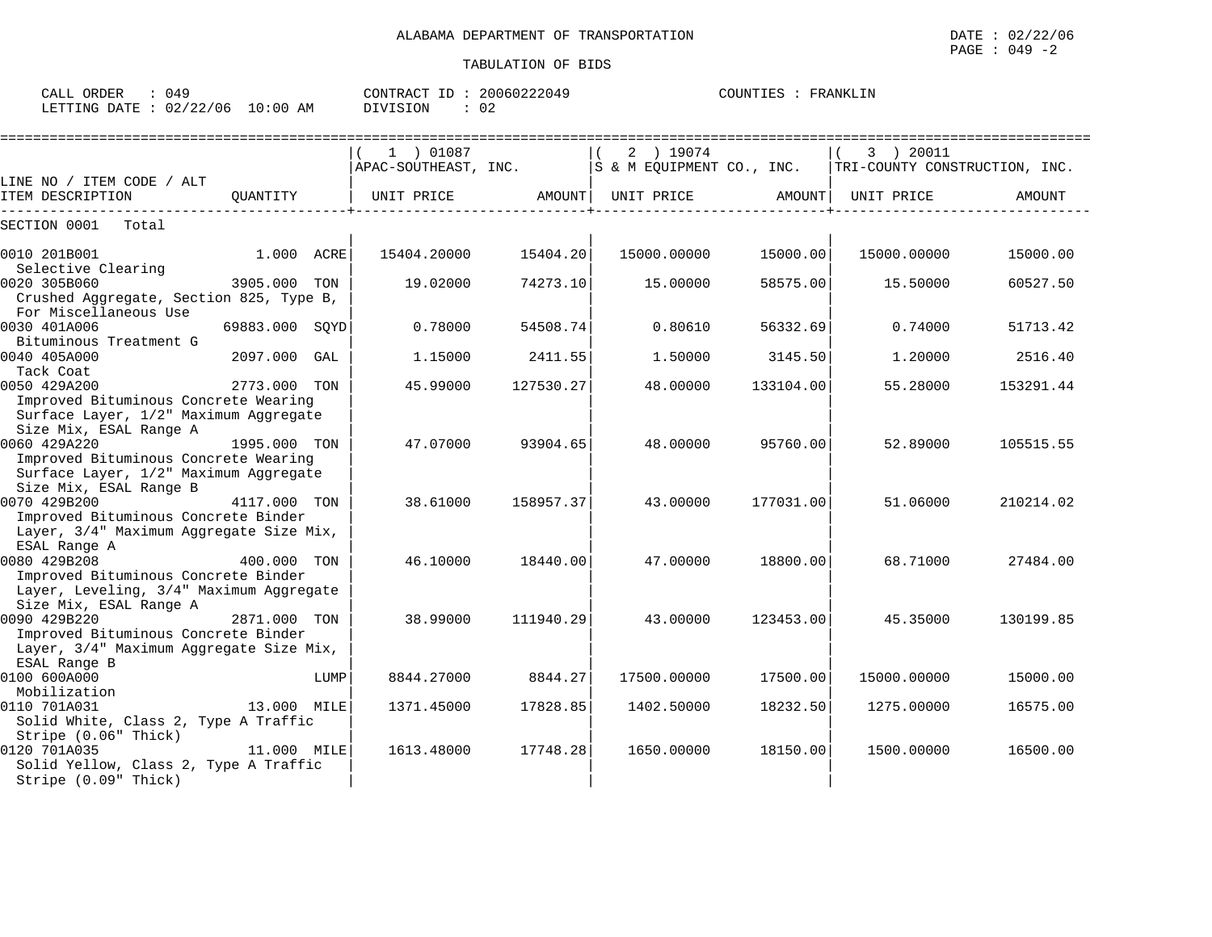====================================================================================================================================

CALL ORDER : 049 CONTRACT ID : 20060222049 COUNTIES : FRANKLIN LETTING DATE : 02/22/06 10:00 AM DIVISION : 02

|                                                                        |                |      | $(1)$ 01087                                                     |                   | $\vert$ (<br>2 ) 19074 |           | 3 ) 20011<br>$\begin{vmatrix} 1 & 1 & 1 & 1 & 1 \\ 1 & 2 & 1 & 1 & 1 \\ 2 & 3 & 1 & 1 & 1 \\ 3 & 4 & 1 & 1 & 1 \\ 4 & 5 & 1 & 1 & 1 \\ 5 & 6 & 1 & 1 & 1 \\ 6 & 1 & 1 & 1 & 1 \\ 7 & 1 & 1 & 1 & 1 \\ 8 & 1 & 1 & 1 & 1 \\ 8 & 1 & 1 & 1 & 1 \\ 9 & 1 & 1 & 1 & 1 \\ 10 & 1 & 1 & 1 & 1 \\ 11 & 1 & 1 & 1 & 1 \\ 12 & 1 & 1 & 1 & 1 \\ $ |           |
|------------------------------------------------------------------------|----------------|------|-----------------------------------------------------------------|-------------------|------------------------|-----------|------------------------------------------------------------------------------------------------------------------------------------------------------------------------------------------------------------------------------------------------------------------------------------------------------------------------------------------|-----------|
| LINE NO / ITEM CODE / ALT                                              |                |      |                                                                 |                   |                        |           |                                                                                                                                                                                                                                                                                                                                          |           |
| ITEM DESCRIPTION                                                       |                |      | QUANTITY $ $ UNIT PRICE AMOUNT UNIT PRICE AMOUNT $ $ UNIT PRICE |                   |                        |           |                                                                                                                                                                                                                                                                                                                                          | AMOUNT    |
| SECTION 0001 Total                                                     |                |      |                                                                 |                   |                        |           |                                                                                                                                                                                                                                                                                                                                          |           |
| $\begin{array}{ccc} & 1.000 & \text{ACRE} \end{array}$<br>0010 201B001 |                |      | 15404.20000                                                     | 15404.20          | 15000.00000            | 15000.00  | 15000.00000                                                                                                                                                                                                                                                                                                                              | 15000.00  |
| Selective Clearing                                                     |                |      |                                                                 |                   |                        |           |                                                                                                                                                                                                                                                                                                                                          |           |
| 3905.000 TON<br>0020 305B060                                           |                |      | 19.02000                                                        | 74273.10          | 15.00000               | 58575.00  | 15.50000                                                                                                                                                                                                                                                                                                                                 | 60527.50  |
| Crushed Aggregate, Section 825, Type B,<br>For Miscellaneous Use       |                |      |                                                                 |                   |                        |           |                                                                                                                                                                                                                                                                                                                                          |           |
| 0030 401A006                                                           | 69883.000 SOYD |      | 0.78000                                                         | 54508.74          | 0.80610                | 56332.69  | 0.74000                                                                                                                                                                                                                                                                                                                                  | 51713.42  |
| Bituminous Treatment G                                                 |                |      |                                                                 |                   |                        |           |                                                                                                                                                                                                                                                                                                                                          |           |
| 0040 405A000                                                           | 2097.000 GAL   |      | 1.15000                                                         | 2411.55           | 1,50000                | 3145.50   | 1,20000                                                                                                                                                                                                                                                                                                                                  | 2516.40   |
| Tack Coat                                                              |                |      |                                                                 |                   |                        |           |                                                                                                                                                                                                                                                                                                                                          |           |
| 0050 429A200                                                           | 2773.000 TON   |      | 45.99000                                                        | 127530.27         | 48.00000               | 133104.00 | 55.28000                                                                                                                                                                                                                                                                                                                                 | 153291.44 |
| Improved Bituminous Concrete Wearing                                   |                |      |                                                                 |                   |                        |           |                                                                                                                                                                                                                                                                                                                                          |           |
| Surface Layer, 1/2" Maximum Aggregate                                  |                |      |                                                                 |                   |                        |           |                                                                                                                                                                                                                                                                                                                                          |           |
| Size Mix, ESAL Range A                                                 |                |      |                                                                 |                   |                        |           |                                                                                                                                                                                                                                                                                                                                          |           |
| 0060 429A220                                                           | 1995.000 TON   |      |                                                                 | 47.07000 93904.65 | 48.00000               | 95760.00  | 52.89000                                                                                                                                                                                                                                                                                                                                 | 105515.55 |
| Improved Bituminous Concrete Wearing                                   |                |      |                                                                 |                   |                        |           |                                                                                                                                                                                                                                                                                                                                          |           |
| Surface Layer, 1/2" Maximum Aggregate                                  |                |      |                                                                 |                   |                        |           |                                                                                                                                                                                                                                                                                                                                          |           |
| Size Mix, ESAL Range B                                                 |                |      |                                                                 |                   |                        |           |                                                                                                                                                                                                                                                                                                                                          |           |
| 0070 429B200<br>4117.000 TON                                           |                |      | 38.61000                                                        | 158957.37         | 43.00000               | 177031.00 | 51.06000                                                                                                                                                                                                                                                                                                                                 | 210214.02 |
| Improved Bituminous Concrete Binder                                    |                |      |                                                                 |                   |                        |           |                                                                                                                                                                                                                                                                                                                                          |           |
| Layer, 3/4" Maximum Aggregate Size Mix,                                |                |      |                                                                 |                   |                        |           |                                                                                                                                                                                                                                                                                                                                          |           |
| ESAL Range A                                                           |                |      |                                                                 |                   |                        |           |                                                                                                                                                                                                                                                                                                                                          |           |
| 400.000 TON<br>0080 429B208                                            |                |      | 46.10000                                                        | 18440.00          | 47.00000               | 18800.00  | 68.71000                                                                                                                                                                                                                                                                                                                                 | 27484.00  |
| Improved Bituminous Concrete Binder                                    |                |      |                                                                 |                   |                        |           |                                                                                                                                                                                                                                                                                                                                          |           |
| Layer, Leveling, 3/4" Maximum Aggregate                                |                |      |                                                                 |                   |                        |           |                                                                                                                                                                                                                                                                                                                                          |           |
| Size Mix, ESAL Range A                                                 |                |      |                                                                 |                   |                        |           |                                                                                                                                                                                                                                                                                                                                          |           |
| 0090 429B220                                                           | 2871.000 TON   |      | 38.99000                                                        | 111940.29         | 43.00000               | 123453.00 | 45.35000                                                                                                                                                                                                                                                                                                                                 | 130199.85 |
| Improved Bituminous Concrete Binder                                    |                |      |                                                                 |                   |                        |           |                                                                                                                                                                                                                                                                                                                                          |           |
| Layer, 3/4" Maximum Aggregate Size Mix,                                |                |      |                                                                 |                   |                        |           |                                                                                                                                                                                                                                                                                                                                          |           |
| ESAL Range B                                                           |                |      |                                                                 |                   |                        |           |                                                                                                                                                                                                                                                                                                                                          |           |
| 0100 600A000                                                           |                | LUMP | 8844.27000                                                      | 8844.27           | 17500.00000            | 17500.00  | 15000.00000                                                                                                                                                                                                                                                                                                                              | 15000.00  |
| Mobilization                                                           |                |      |                                                                 |                   |                        |           |                                                                                                                                                                                                                                                                                                                                          |           |
| 0110 701A031                                                           | 13.000 MILE    |      | 1371.45000                                                      | 17828.85          | 1402.50000             | 18232.50  | 1275.00000                                                                                                                                                                                                                                                                                                                               | 16575.00  |
| Solid White, Class 2, Type A Traffic                                   |                |      |                                                                 |                   |                        |           |                                                                                                                                                                                                                                                                                                                                          |           |
| Stripe (0.06" Thick)                                                   |                |      |                                                                 |                   |                        |           |                                                                                                                                                                                                                                                                                                                                          |           |
| 11.000 MILE<br>0120 701A035                                            |                |      | 1613.48000                                                      | 17748.28          | 1650.00000             | 18150.00  | 1500.00000                                                                                                                                                                                                                                                                                                                               | 16500.00  |
| Solid Yellow, Class 2, Type A Traffic                                  |                |      |                                                                 |                   |                        |           |                                                                                                                                                                                                                                                                                                                                          |           |
| Stripe (0.09" Thick)                                                   |                |      |                                                                 |                   |                        |           |                                                                                                                                                                                                                                                                                                                                          |           |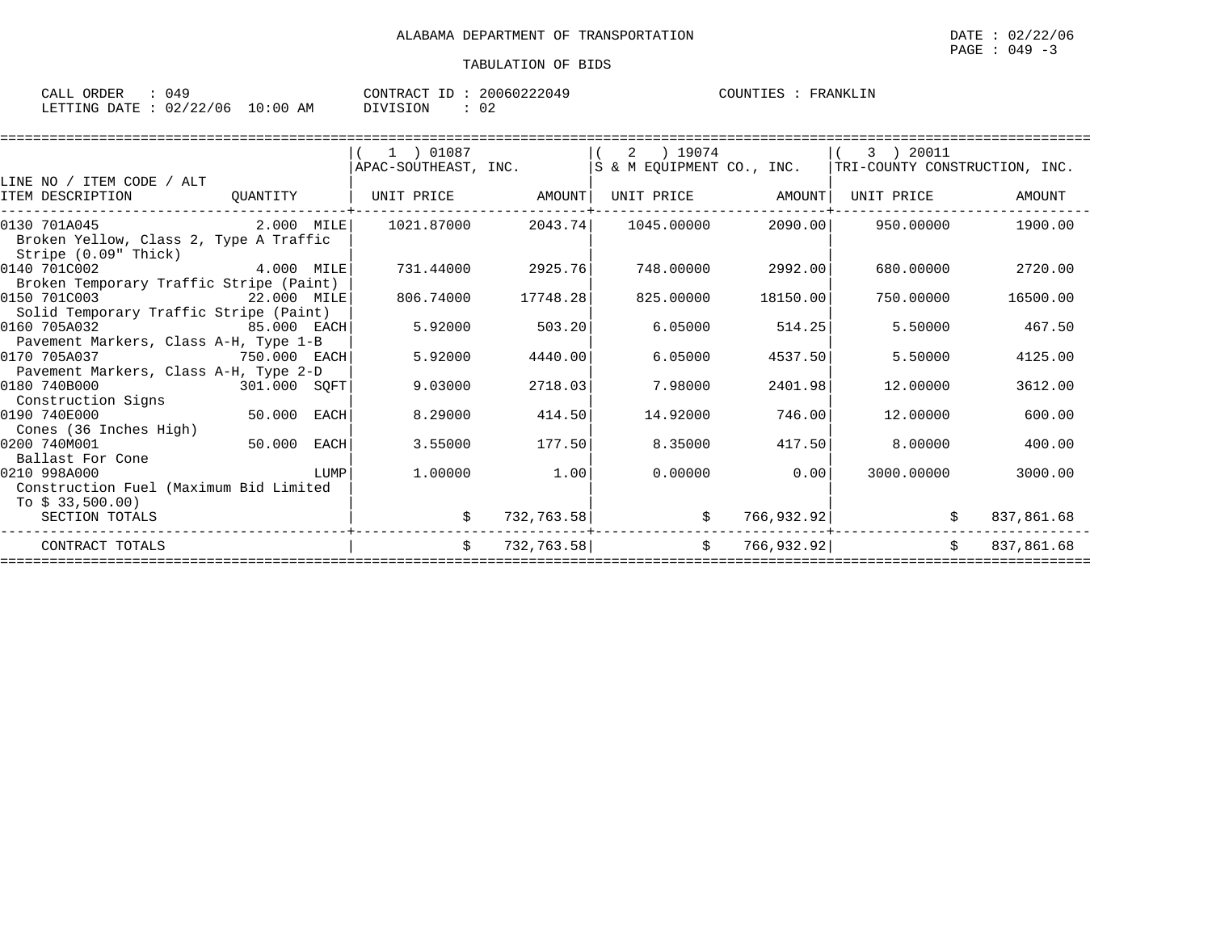| CALL ORDER                      | : 049 |          | CONTRACT ID: 20060222049 | COUNTIES : FRANKLIN |
|---------------------------------|-------|----------|--------------------------|---------------------|
| LETTING DATE: 02/22/06 10:00 AM |       | DIVISION |                          |                     |

|                                                                        |              |      | 1 ) 01087            |            | 2 ) 19074                 |            | 3 ) 20011                     |            |
|------------------------------------------------------------------------|--------------|------|----------------------|------------|---------------------------|------------|-------------------------------|------------|
|                                                                        |              |      | APAC-SOUTHEAST, INC. |            | S & M EOUIPMENT CO., INC. |            | TRI-COUNTY CONSTRUCTION, INC. |            |
| LINE NO / ITEM CODE / ALT                                              |              |      |                      |            |                           |            |                               |            |
| ITEM DESCRIPTION                                                       | QUANTITY     |      | UNIT PRICE           | AMOUNT     | UNIT PRICE                | AMOUNT     | UNIT PRICE                    | AMOUNT     |
| 0130 701A045                                                           | $2.000$ MILE |      | 1021.87000           | 2043.74    | 1045.00000                | 2090.00    | 950.00000                     | 1900.00    |
| Broken Yellow, Class 2, Type A Traffic<br>Stripe (0.09" Thick)         |              |      |                      |            |                           |            |                               |            |
| 0140 701C002<br>4.000 MILE                                             |              |      | 731.44000            | 2925.76    | 748.00000                 | 2992.00    | 680,00000                     | 2720.00    |
| Broken Temporary Traffic Stripe (Paint)<br>0150 701C003<br>22.000 MILE |              |      | 806.74000            | 17748.28   | 825.00000                 | 18150.00   | 750.00000                     | 16500.00   |
| Solid Temporary Traffic Stripe (Paint)                                 |              |      |                      |            |                           |            |                               |            |
| 0160 705A032<br>85.000 EACH<br>Pavement Markers, Class A-H, Type 1-B   |              |      | 5.92000              | 503.20     | 6.05000                   | 514.25     | 5.50000                       | 467.50     |
| 0170 705A037                                                           | 750.000 EACH |      | 5.92000              | 4440.00    | 6.05000                   | 4537.50    | 5.50000                       | 4125.00    |
| Pavement Markers, Class A-H, Type 2-D<br>0180 740B000<br>301.000 SQFT  |              |      | 9.03000              | 2718.03    | 7.98000                   | 2401.98    | 12,00000                      | 3612.00    |
| Construction Signs                                                     |              |      |                      |            |                           |            |                               |            |
| 0190 740E000                                                           | 50.000 EACH  |      | 8.29000              | 414.50     | 14.92000                  | 746.00     | 12,00000                      | 600.00     |
| Cones (36 Inches High)<br>0200 740M001                                 | 50.000       | EACH | 3.55000              | 177.50     | 8.35000                   | 417.50     | 8,00000                       | 400.00     |
| Ballast For Cone                                                       |              |      |                      |            |                           |            |                               |            |
| 0210 998A000<br>Construction Fuel (Maximum Bid Limited                 |              | LUMP | 1,00000              | 1.00       | 0.00000                   | 0.00       | 3000.00000                    | 3000.00    |
| To $$33,500.00$                                                        |              |      |                      |            |                           |            |                               |            |
| SECTION TOTALS                                                         |              |      |                      | 732,763.58 | \$                        | 766,932.92 |                               | 837,861.68 |
| CONTRACT TOTALS                                                        |              |      | Ŝ.                   | 732,763.58 | \$                        | 766,932.92 | Ŝ.                            | 837,861.68 |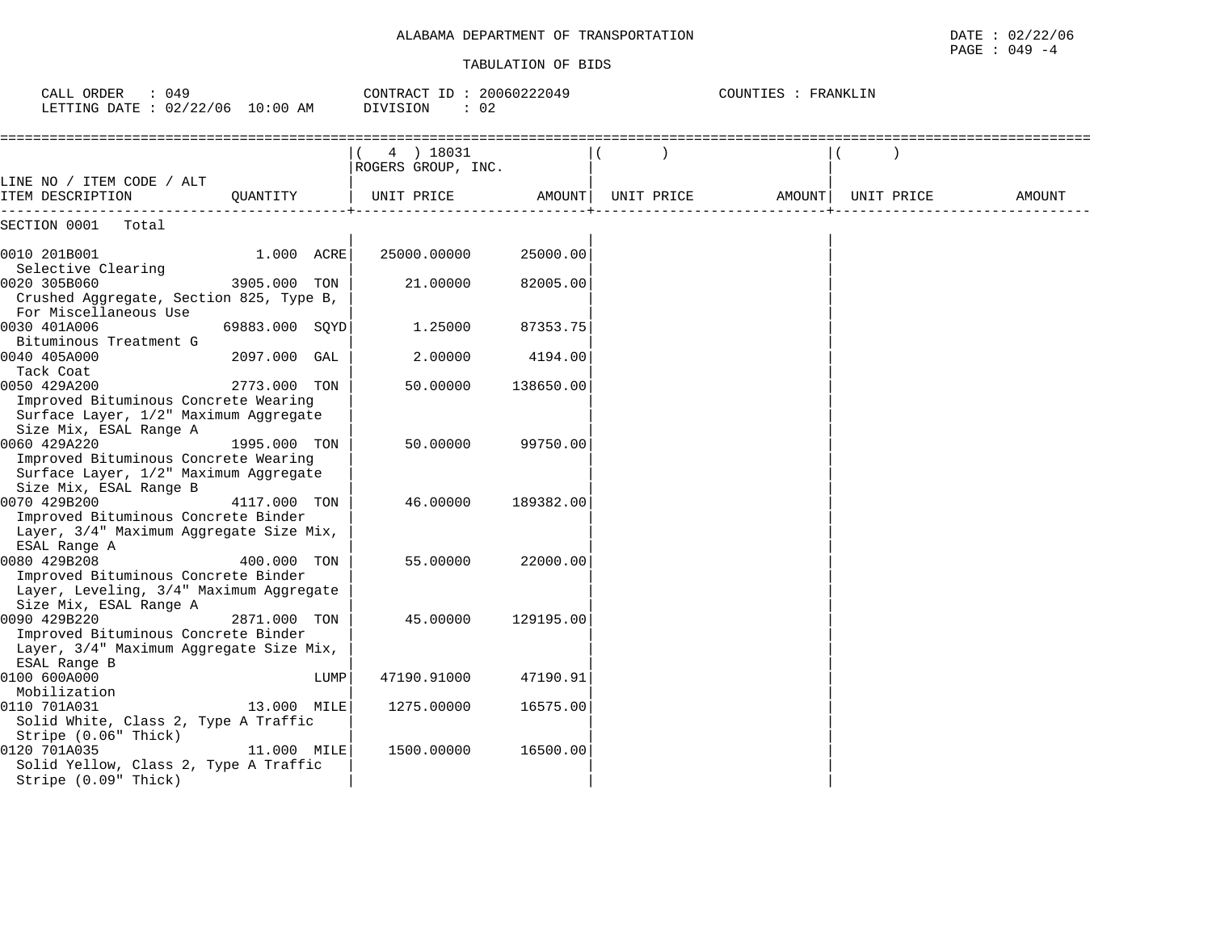## ALABAMA DEPARTMENT OF TRANSPORTATION **Example 2012 12 and 2012** to 02/22/06

#### TABULATION OF BIDS

PAGE : 049 -4

| CALL ORDER<br>: 049<br>LETTING DATE : 02/22/06 10:00 AM                                                                  |                |      | CONTRACT ID: 20060222049<br>DIVISION<br>: 02 |           |            | COUNTIES : FRANKLIN |            |        |
|--------------------------------------------------------------------------------------------------------------------------|----------------|------|----------------------------------------------|-----------|------------|---------------------|------------|--------|
|                                                                                                                          |                |      | 4 ) 18031<br>ROGERS GROUP, INC.              |           |            |                     |            |        |
| LINE NO / ITEM CODE / ALT<br>ITEM DESCRIPTION                                                                            | OUANTITY       |      | UNIT PRICE                                   | AMOUNT    | UNIT PRICE | AMOUNT              | UNIT PRICE | AMOUNT |
| SECTION 0001<br>Total                                                                                                    |                |      |                                              |           |            |                     |            |        |
| 0010 201B001<br>Selective Clearing                                                                                       | 1.000 ACRE     |      | 25000.00000                                  | 25000.00  |            |                     |            |        |
| 0020 305B060<br>Crushed Aggregate, Section 825, Type B,<br>For Miscellaneous Use                                         | 3905.000 TON   |      | 21.00000                                     | 82005.00  |            |                     |            |        |
| 0030 401A006<br>Bituminous Treatment G                                                                                   | 69883.000 SQYD |      | 1.25000                                      | 87353.75  |            |                     |            |        |
| 0040 405A000<br>Tack Coat                                                                                                | 2097.000 GAL   |      | 2.00000                                      | 4194.00   |            |                     |            |        |
| 0050 429A200<br>Improved Bituminous Concrete Wearing<br>Surface Layer, 1/2" Maximum Aggregate<br>Size Mix, ESAL Range A  | 2773.000       | TON  | 50.00000                                     | 138650.00 |            |                     |            |        |
| 0060 429A220<br>Improved Bituminous Concrete Wearing<br>Surface Layer, 1/2" Maximum Aggregate<br>Size Mix, ESAL Range B  | 1995.000 TON   |      | 50.00000                                     | 99750.00  |            |                     |            |        |
| 0070 429B200<br>Improved Bituminous Concrete Binder<br>Layer, 3/4" Maximum Aggregate Size Mix,<br>ESAL Range A           | 4117.000 TON   |      | 46.00000                                     | 189382.00 |            |                     |            |        |
| 0080 429B208<br>Improved Bituminous Concrete Binder<br>Layer, Leveling, 3/4" Maximum Aggregate<br>Size Mix, ESAL Range A | 400.000 TON    |      | 55.00000                                     | 22000.00  |            |                     |            |        |
| 0090 429B220<br>Improved Bituminous Concrete Binder<br>Layer, 3/4" Maximum Aggregate Size Mix,<br>ESAL Range B           | 2871.000 TON   |      | 45.00000                                     | 129195.00 |            |                     |            |        |
| 0100 600A000<br>Mobilization                                                                                             |                | LUMP | 47190.91000                                  | 47190.91  |            |                     |            |        |
| 0110 701A031<br>Solid White, Class 2, Type A Traffic<br>Stripe (0.06" Thick)                                             | 13.000 MILE    |      | 1275.00000                                   | 16575.00  |            |                     |            |        |
| 0120 701A035<br>Solid Yellow, Class 2, Type A Traffic<br>Stripe (0.09" Thick)                                            | 11.000 MILE    |      | 1500.00000                                   | 16500.00  |            |                     |            |        |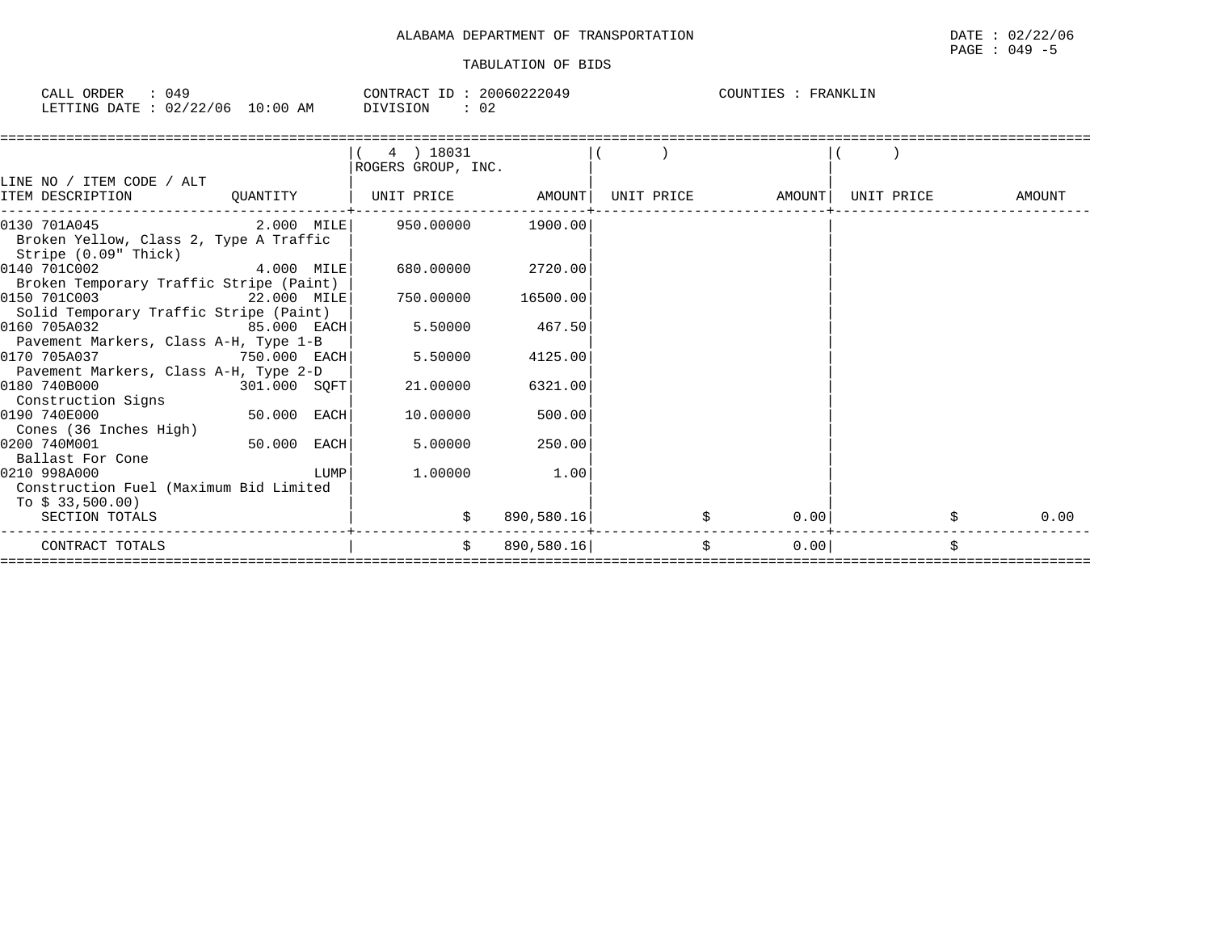| ORDER<br>TAT.<br>04.<br>∪A⊔⊥                                                    | CONTRACT<br>0.006022204<br>$\sim$ $\sim$ $\sim$ | FRANKLIN<br><b>COLINT</b><br>ᅚᅖ<br>- 50 |
|---------------------------------------------------------------------------------|-------------------------------------------------|-----------------------------------------|
| $\sqrt{2}$<br>06 /<br>⊥0∶00<br>DATE<br>מתדיחית.<br>AΜ<br>$\cap$<br>- 0271<br>▵▵ | <b>DIVISION</b><br>$\sim$<br>– ∪ ∠              |                                         |

|                                         |              |      | 4 ) 18031          |            |                   |            |            |   |        |
|-----------------------------------------|--------------|------|--------------------|------------|-------------------|------------|------------|---|--------|
|                                         |              |      | ROGERS GROUP, INC. |            |                   |            |            |   |        |
| LINE NO / ITEM CODE / ALT               |              |      |                    |            |                   |            |            |   |        |
| ITEM DESCRIPTION                        | QUANTITY     |      | UNIT PRICE         | AMOUNT     | UNIT PRICE AMOUNT |            | UNIT PRICE |   | AMOUNT |
|                                         |              |      |                    |            |                   |            |            |   |        |
| 0130 701A045                            | 2.000 MILE   |      | 950.00000          | 1900.00    |                   |            |            |   |        |
| Broken Yellow, Class 2, Type A Traffic  |              |      |                    |            |                   |            |            |   |        |
| Stripe (0.09" Thick)                    |              |      |                    |            |                   |            |            |   |        |
| 0140 701C002                            | 4.000 MILE   |      | 680.00000          | 2720.00    |                   |            |            |   |        |
| Broken Temporary Traffic Stripe (Paint) |              |      |                    |            |                   |            |            |   |        |
| 0150 701C003                            | 22.000 MILE  |      | 750.00000          | 16500.00   |                   |            |            |   |        |
| Solid Temporary Traffic Stripe (Paint)  |              |      |                    |            |                   |            |            |   |        |
| 0160 705A032                            | 85.000 EACH  |      | 5.50000            | 467.50     |                   |            |            |   |        |
| Pavement Markers, Class A-H, Type 1-B   |              |      |                    |            |                   |            |            |   |        |
| 0170 705A037                            | 750.000 EACH |      | 5.50000            | 4125.00    |                   |            |            |   |        |
| Pavement Markers, Class A-H, Type 2-D   |              |      |                    |            |                   |            |            |   |        |
| 0180 740B000                            | 301.000 SQFT |      | 21.00000           | 6321.00    |                   |            |            |   |        |
| Construction Signs                      |              |      |                    |            |                   |            |            |   |        |
| 0190 740E000                            | 50.000 EACH  |      | 10.00000           | 500.00     |                   |            |            |   |        |
| Cones (36 Inches High)                  |              |      |                    |            |                   |            |            |   |        |
| 0200 740M001                            | 50.000       | EACH | 5.00000            | 250.00     |                   |            |            |   |        |
| Ballast For Cone                        |              |      |                    |            |                   |            |            |   |        |
| 0210 998A000                            |              | LUMP | 1,00000            | 1.00       |                   |            |            |   |        |
| Construction Fuel (Maximum Bid Limited  |              |      |                    |            |                   |            |            |   |        |
| To $$33,500.00$                         |              |      |                    |            |                   |            |            |   |        |
| SECTION TOTALS                          |              |      |                    | 890,580.16 |                   | 0.00       |            |   | 0.00   |
|                                         |              |      |                    |            |                   |            |            |   |        |
| CONTRACT TOTALS                         |              |      | Ŝ.                 | 890,580.16 |                   | \$<br>0.00 |            | Ś |        |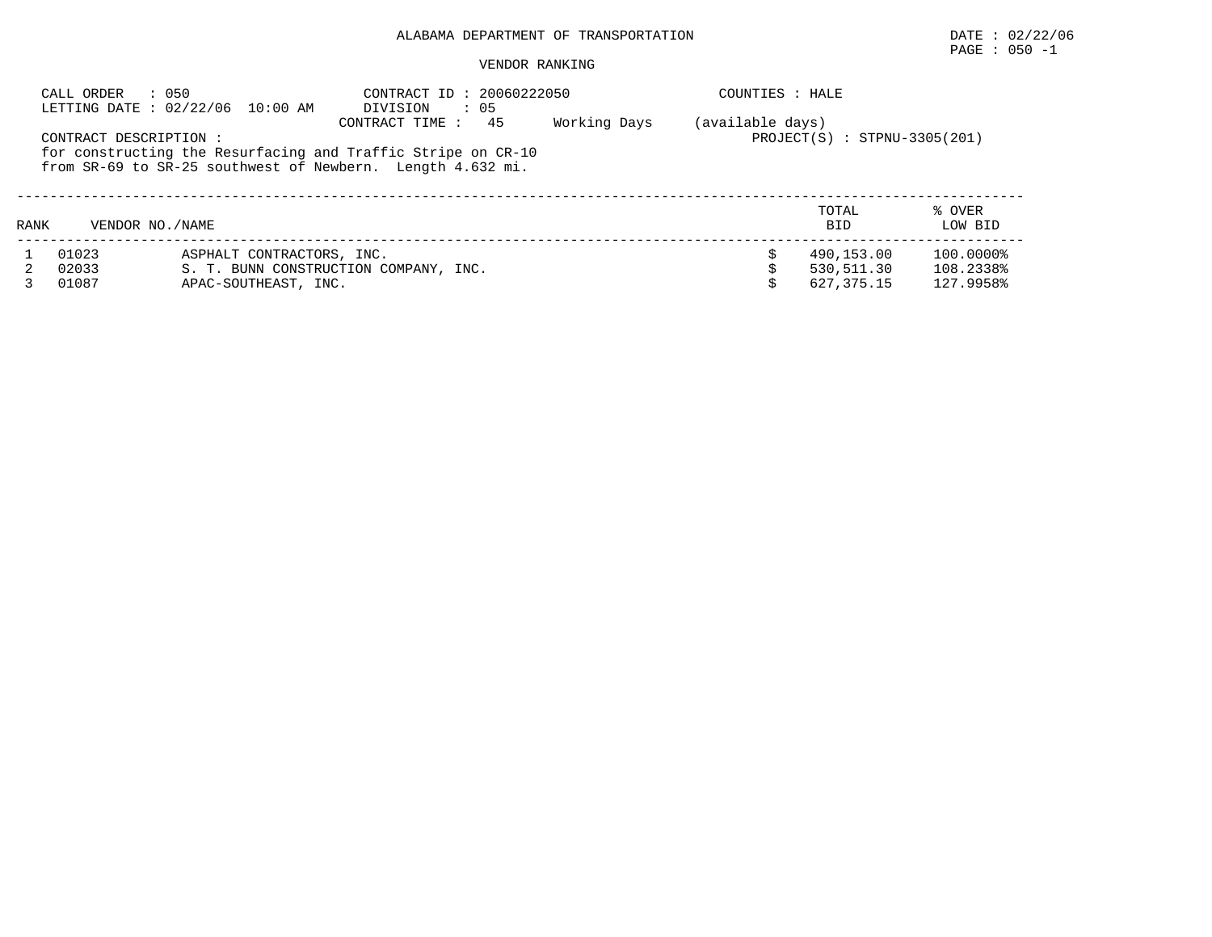## PAGE : 050 -1

|      | : 050<br>CALL ORDER    | LETTING DATE : 02/22/06 10:00 AM | CONTRACT ID: 20060222050<br>$\therefore$ 05<br>DIVISION                                                                                            |              | COUNTIES : HALE  |                                |                   |
|------|------------------------|----------------------------------|----------------------------------------------------------------------------------------------------------------------------------------------------|--------------|------------------|--------------------------------|-------------------|
|      | CONTRACT DESCRIPTION : |                                  | 45<br>CONTRACT TIME:<br>for constructing the Resurfacing and Traffic Stripe on CR-10<br>from SR-69 to SR-25 southwest of Newbern. Length 4.632 mi. | Working Days | (available days) | $PROJECT(S) : STPNU-3305(201)$ |                   |
| RANK | VENDOR NO. / NAME      |                                  |                                                                                                                                                    |              |                  | TOTAL<br><b>BID</b>            | % OVER<br>LOW BID |
|      | 01023                  | ASPHALT CONTRACTORS, INC.        |                                                                                                                                                    |              |                  | 490,153.00                     | 100.0000%         |
|      | 02033                  |                                  | S. T. BUNN CONSTRUCTION COMPANY, INC.                                                                                                              |              |                  | 530,511.30                     | 108.2338%         |
|      | 01087                  | APAC-SOUTHEAST, INC.             |                                                                                                                                                    |              |                  | 627, 375, 15                   | 127.9958%         |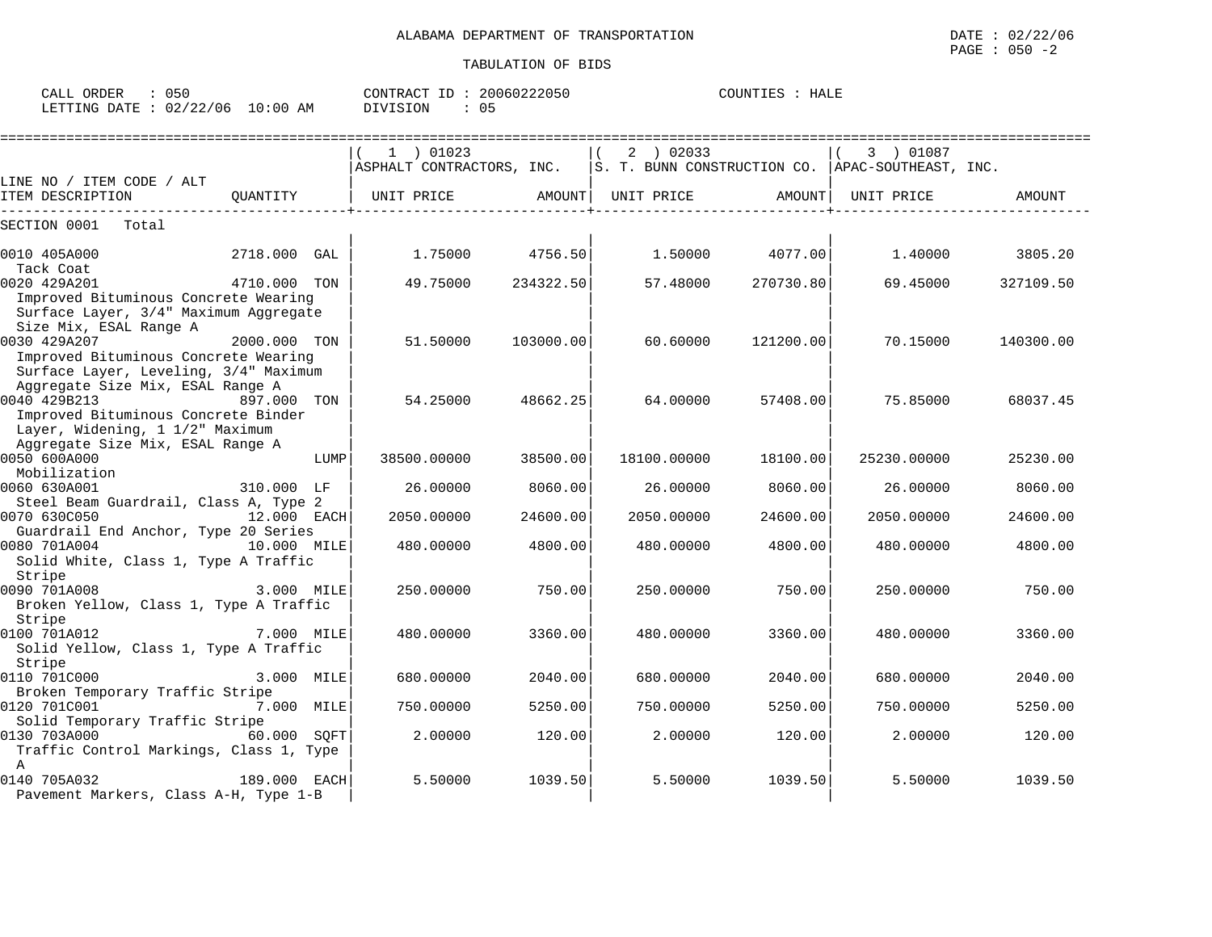| CALL ORDER                       |  |          | CONTRACT ID: 20060222050 | COUNTIES : HALE |  |
|----------------------------------|--|----------|--------------------------|-----------------|--|
| LETTING DATE : 02/22/06 10:00 AM |  | DIVISION | 05                       |                 |  |

|                                                 |              |      | ===========================                                                                        |           |             | ==================== |             |           |
|-------------------------------------------------|--------------|------|----------------------------------------------------------------------------------------------------|-----------|-------------|----------------------|-------------|-----------|
|                                                 |              |      | 1 ) 01023                                                                                          |           | 2 ) 02033   |                      | 3 ) 01087   |           |
|                                                 |              |      | $\vert$ ASPHALT CONTRACTORS, INC. $\vert$ S. T. BUNN CONSTRUCTION CO. $\vert$ APAC-SOUTHEAST, INC. |           |             |                      |             |           |
| LINE NO / ITEM CODE / ALT                       |              |      |                                                                                                    |           |             |                      |             |           |
| ITEM DESCRIPTION                                | OUANTITY     |      | UNIT PRICE                                                                                         | AMOUNT    | UNIT PRICE  | AMOUNT               | UNIT PRICE  | AMOUNT    |
| SECTION 0001<br>Total                           |              |      |                                                                                                    |           |             |                      |             |           |
|                                                 |              |      |                                                                                                    |           |             |                      |             |           |
| 0010 405A000<br>Tack Coat                       | 2718.000     | GAL  | 1.75000 4756.50                                                                                    |           | 1.50000     | 4077.00              | 1,40000     | 3805.20   |
| 0020 429A201                                    | 4710.000 TON |      | 49.75000                                                                                           | 234322.50 | 57.48000    | 270730.80            | 69.45000    | 327109.50 |
| Improved Bituminous Concrete Wearing            |              |      |                                                                                                    |           |             |                      |             |           |
| Surface Layer, 3/4" Maximum Aggregate           |              |      |                                                                                                    |           |             |                      |             |           |
| Size Mix, ESAL Range A                          |              |      |                                                                                                    |           |             |                      |             |           |
| 0030 429A207                                    | 2000.000 TON |      | 51.50000                                                                                           | 103000.00 | 60.60000    | 121200.00            | 70.15000    | 140300.00 |
| Improved Bituminous Concrete Wearing            |              |      |                                                                                                    |           |             |                      |             |           |
| Surface Layer, Leveling, 3/4" Maximum           |              |      |                                                                                                    |           |             |                      |             |           |
| Aggregate Size Mix, ESAL Range A                |              |      |                                                                                                    |           |             |                      |             |           |
| 0040 429B213                                    | 897.000 TON  |      | 54.25000                                                                                           | 48662.25  | 64.00000    | 57408.00             | 75.85000    | 68037.45  |
| Improved Bituminous Concrete Binder             |              |      |                                                                                                    |           |             |                      |             |           |
| Layer, Widening, 1 1/2" Maximum                 |              |      |                                                                                                    |           |             |                      |             |           |
| Aggregate Size Mix, ESAL Range A                |              |      |                                                                                                    |           |             |                      |             |           |
| 0050 600A000<br>Mobilization                    |              | LUMP | 38500.00000                                                                                        | 38500.00  | 18100.00000 | 18100.00             | 25230.00000 | 25230.00  |
| 0060 630A001                                    | 310.000 LF   |      | 26.00000                                                                                           | 8060.00   | 26.00000    | 8060.00              | 26.00000    | 8060.00   |
| Steel Beam Guardrail, Class A, Type 2           |              |      |                                                                                                    |           |             |                      |             |           |
| 0070 630C050                                    | 12.000 EACH  |      | 2050.00000                                                                                         | 24600.00  | 2050.00000  | 24600.00             | 2050.00000  | 24600.00  |
| Guardrail End Anchor, Type 20 Series            |              |      |                                                                                                    |           |             |                      |             |           |
| 0080 701A004<br>10.000 MILE                     |              |      | 480.00000                                                                                          | 4800.00   | 480.00000   | 4800.00              | 480.00000   | 4800.00   |
| Solid White, Class 1, Type A Traffic            |              |      |                                                                                                    |           |             |                      |             |           |
| Stripe                                          |              |      |                                                                                                    |           |             |                      |             |           |
| 0090 701A008                                    | 3.000 MILE   |      | 250.00000                                                                                          | 750.00    | 250.00000   | 750.00               | 250.00000   | 750.00    |
| Broken Yellow, Class 1, Type A Traffic          |              |      |                                                                                                    |           |             |                      |             |           |
| Stripe                                          |              |      |                                                                                                    |           |             |                      |             |           |
| 0100 701A012                                    | 7.000 MILE   |      | 480.00000                                                                                          | 3360.00   | 480.00000   | 3360.00              | 480.00000   | 3360.00   |
| Solid Yellow, Class 1, Type A Traffic           |              |      |                                                                                                    |           |             |                      |             |           |
| Stripe                                          |              |      |                                                                                                    |           |             |                      |             |           |
| 0110 701C000                                    | 3.000 MILE   |      | 680,00000                                                                                          | 2040.00   | 680.00000   | 2040.00              | 680,00000   | 2040.00   |
| Broken Temporary Traffic Stripe<br>0120 701C001 | 7.000 MILE   |      | 750.00000                                                                                          | 5250.00   | 750.00000   | 5250.00              | 750.00000   | 5250.00   |
| Solid Temporary Traffic Stripe                  |              |      |                                                                                                    |           |             |                      |             |           |
| 0130 703A000                                    | 60.000 SOFT  |      | 2,00000                                                                                            | 120.00    | 2.00000     | 120.00               | 2,00000     | 120.00    |
| Traffic Control Markings, Class 1, Type         |              |      |                                                                                                    |           |             |                      |             |           |
| $\mathbb{A}$                                    |              |      |                                                                                                    |           |             |                      |             |           |
| 0140 705A032                                    | 189.000 EACH |      | 5.50000                                                                                            | 1039.50   | 5.50000     | 1039.50              | 5.50000     | 1039.50   |
| Pavement Markers, Class A-H, Type 1-B           |              |      |                                                                                                    |           |             |                      |             |           |
|                                                 |              |      |                                                                                                    |           |             |                      |             |           |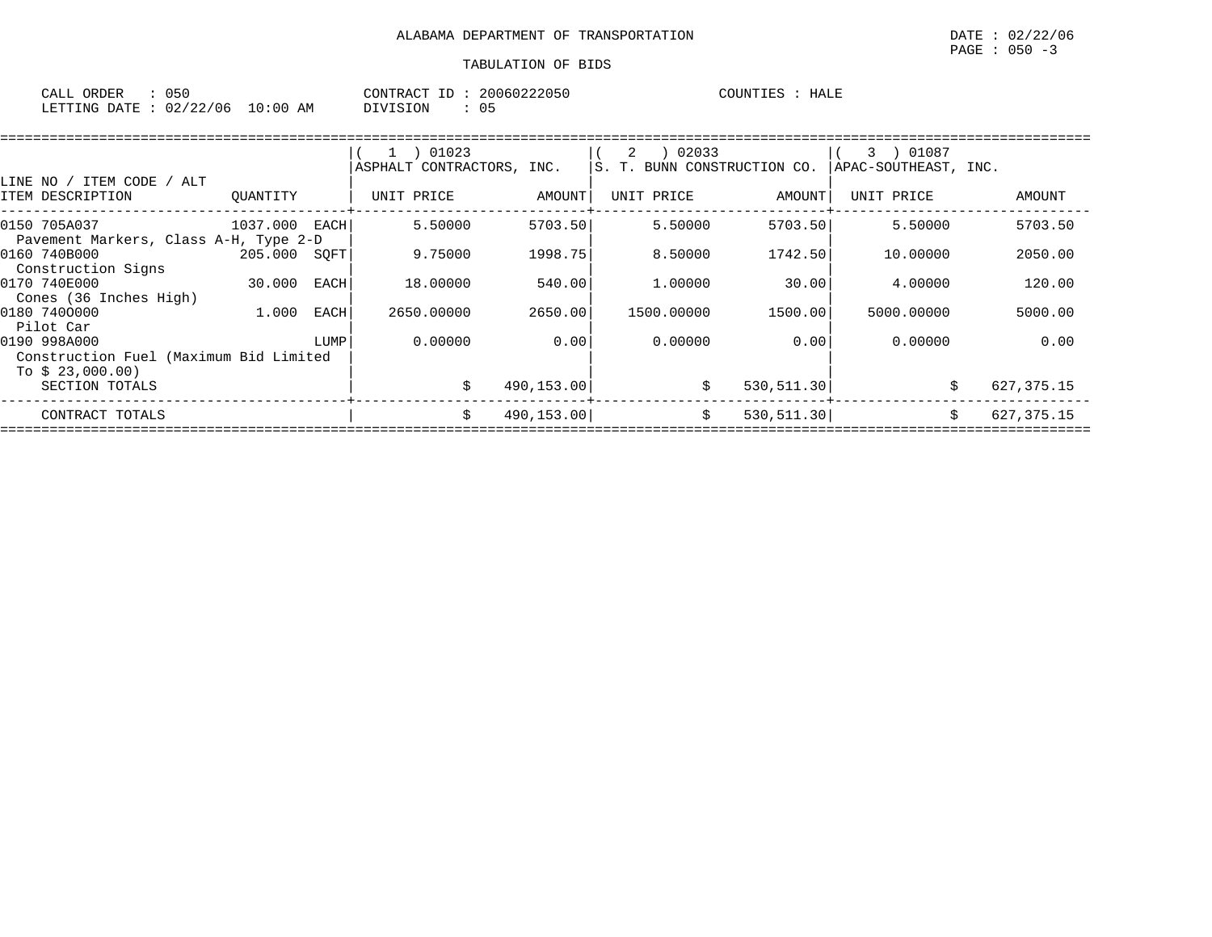| CALL ORDER                       | 050 |  | CONTRACT ID: 20060222050 |    | COUNTIES | HALE |
|----------------------------------|-----|--|--------------------------|----|----------|------|
| LETTING DATE : 02/22/06 10:00 AM |     |  | DIVISION                 | 05 |          |      |

|                                        |               |      | 1 ) 01023                 |            | 02033<br>2                   |             | 3 ) 01087            |               |
|----------------------------------------|---------------|------|---------------------------|------------|------------------------------|-------------|----------------------|---------------|
|                                        |               |      | ASPHALT CONTRACTORS, INC. |            | IS. T. BUNN CONSTRUCTION CO. |             | APAC-SOUTHEAST, INC. |               |
| LINE NO / ITEM CODE<br>/ ALT           |               |      |                           |            |                              |             |                      |               |
| ITEM DESCRIPTION                       | OUANTITY      |      | UNIT PRICE                | AMOUNT     | UNIT PRICE                   | AMOUNT      | UNIT PRICE           | <b>AMOUNT</b> |
| 0150 705A037                           | 1037.000 EACH |      | 5.50000                   | 5703.50    | 5.50000                      | 5703.50     | 5.50000              | 5703.50       |
| Pavement Markers, Class A-H, Type 2-D  |               |      |                           |            |                              |             |                      |               |
| 0160 740B000                           | 205.000       | SOFT | 9.75000                   | 1998.75    | 8.50000                      | 1742.50     | 10,00000             | 2050.00       |
| Construction Signs                     |               |      |                           |            |                              |             |                      |               |
| 0170 740E000                           | 30.000        | EACH | 18.00000                  | 540.00     | 1.00000                      | 30.00       | 4.00000              | 120.00        |
| Cones (36 Inches High)                 |               |      |                           |            |                              |             |                      |               |
| 0180 7400000                           | 1.000         | EACH | 2650.00000                | 2650.00    | 1500.00000                   | 1500.00     | 5000.00000           | 5000.00       |
| Pilot Car                              |               |      |                           |            |                              |             |                      |               |
| 0190 998A000                           |               | LUMP | 0.00000                   | 0.00       | 0.00000                      | 0.00        | 0.00000              | 0.00          |
| Construction Fuel (Maximum Bid Limited |               |      |                           |            |                              |             |                      |               |
| To $$23,000.00)$                       |               |      |                           |            |                              |             |                      |               |
| SECTION TOTALS                         |               |      | Ŝ.                        | 490,153.00 | \$                           | 530, 511.30 |                      | 627, 375. 15  |
| CONTRACT TOTALS                        |               |      | \$                        | 490,153.00 | \$                           | 530, 511.30 |                      | 627, 375. 15  |
|                                        |               |      |                           |            |                              |             |                      |               |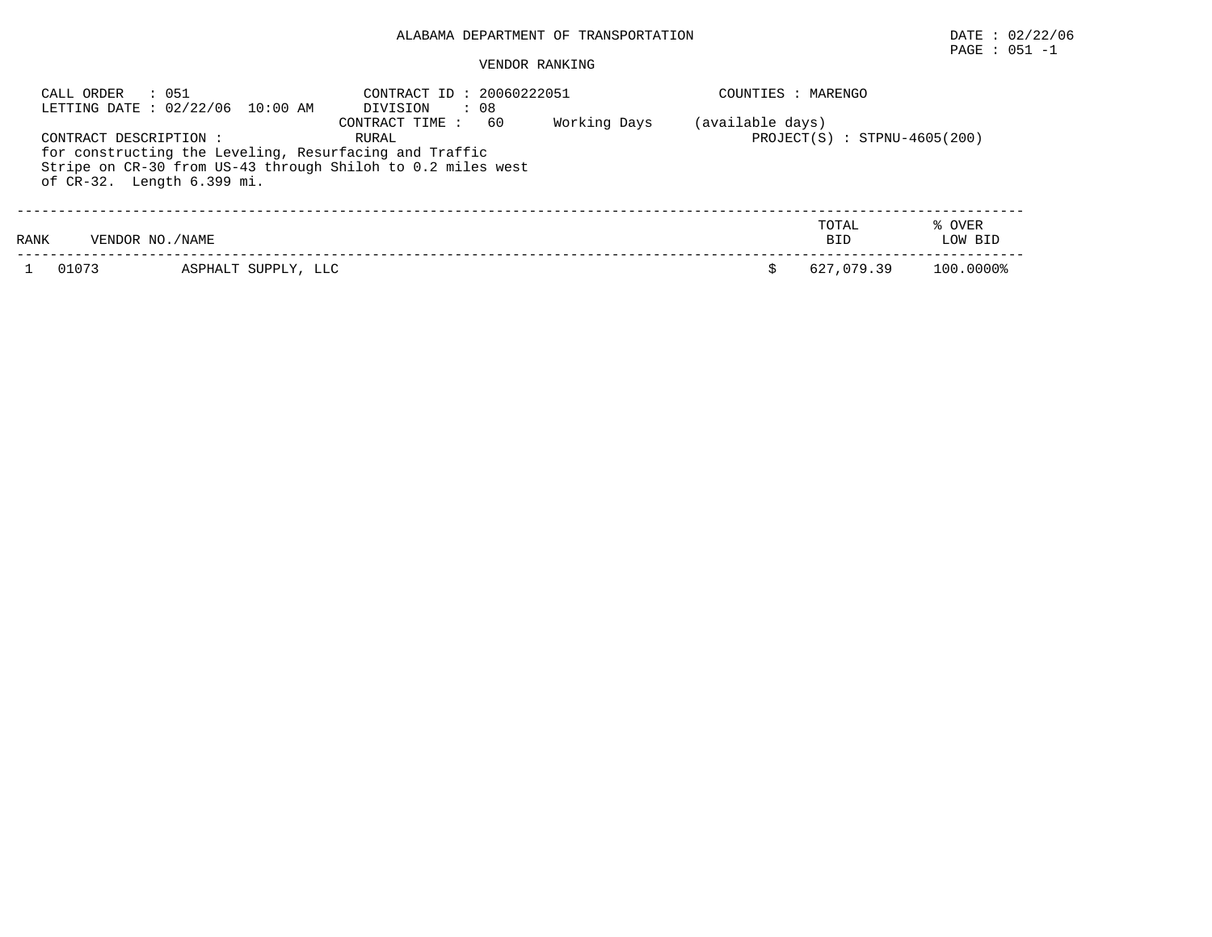## PAGE : 051 -1

| CALL ORDER             | : 051<br>LETTING DATE : 02/22/06 10:00 AM                                            | CONTRACT ID: 20060222051<br>. 08<br>DIVISION                                                  |              | COUNTIES : MARENGO |                                |                   |
|------------------------|--------------------------------------------------------------------------------------|-----------------------------------------------------------------------------------------------|--------------|--------------------|--------------------------------|-------------------|
| CONTRACT DESCRIPTION : | for constructing the Leveling, Resurfacing and Traffic<br>of CR-32. Length 6.399 mi. | 60<br>CONTRACT TIME :<br>RURAL<br>Stripe on CR-30 from US-43 through Shiloh to 0.2 miles west | Working Days | (available days)   | $PROJECT(S) : STPNU-4605(200)$ |                   |
| RANK                   | VENDOR NO. / NAME                                                                    |                                                                                               |              |                    | TOTAL<br><b>BID</b>            | % OVER<br>LOW BID |
| 01073                  | ASPHALT SUPPLY, LLC                                                                  |                                                                                               |              |                    | 627,079.39                     | 100.0000%         |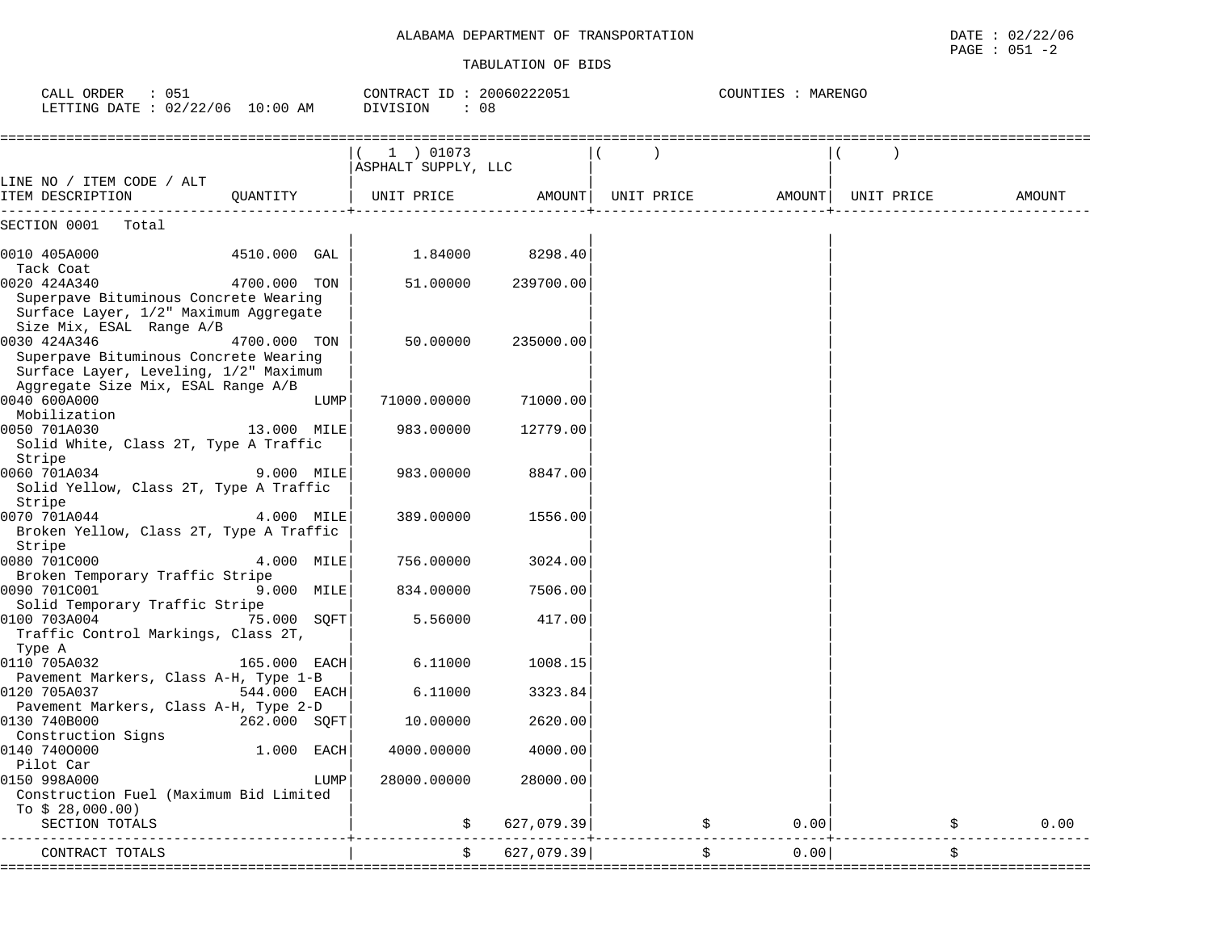COUNTIES : MARENGO

#### TABULATION OF BIDS

CALL ORDER : 051 CONTRACT ID : 20060222051 COUNTIES : MARENGO

| LETTING DATE : $02/22/06$ 10:00 AM                                                                                                                               |                | DIVISION<br>. . 08                 |                    |                                           |        |            |        |
|------------------------------------------------------------------------------------------------------------------------------------------------------------------|----------------|------------------------------------|--------------------|-------------------------------------------|--------|------------|--------|
|                                                                                                                                                                  |                | $(1)$ 01073<br>ASPHALT SUPPLY, LLC |                    | $\overline{\phantom{a}}$                  |        |            |        |
| LINE NO / ITEM CODE / ALT<br>ITEM DESCRIPTION                                                                                                                    |                | QUANTITY   UNIT PRICE              |                    | AMOUNT   UNIT PRICE                       | AMOUNT | UNIT PRICE | AMOUNT |
| SECTION 0001 Total                                                                                                                                               |                |                                    |                    |                                           |        |            |        |
| 0010 405A000  4510.000 GAL<br>Tack Coat                                                                                                                          |                |                                    | 1.84000 8298.40    |                                           |        |            |        |
| 0020 424A340<br>Superpave Bituminous Concrete Wearing<br>Surface Layer, 1/2" Maximum Aggregate                                                                   | 4700.000 TON   |                                    | 51.00000 239700.00 |                                           |        |            |        |
| Size Mix, ESAL Range A/B<br>0030 424A346<br>Superpave Bituminous Concrete Wearing<br>Surface Layer, Leveling, 1/2" Maximum<br>Aggregate Size Mix, ESAL Range A/B | 4700.000 TON   | 50.00000                           | 235000.00          |                                           |        |            |        |
| 0040 600A000<br>Mobilization                                                                                                                                     | LUMP           | 71000.00000                        | 71000.00           |                                           |        |            |        |
| 0050 701A030<br>Solid White, Class 2T, Type A Traffic                                                                                                            | 13.000 MILE    | 983.00000                          | 12779.00           |                                           |        |            |        |
| Stripe<br>0060 701A034<br>Solid Yellow, Class 2T, Type A Traffic                                                                                                 | 9.000 MILE     | 983.00000                          | 8847.00            |                                           |        |            |        |
| Stripe<br>0070 701A044<br>Broken Yellow, Class 2T, Type A Traffic                                                                                                | 4.000 MILE     | 389.00000                          | 1556.00            |                                           |        |            |        |
| Stripe<br>0080 701C000<br>Broken Temporary Traffic Stripe                                                                                                        | 4.000 MILE     | 756.00000                          | 3024.00            |                                           |        |            |        |
| 0090 701C001<br>Solid Temporary Traffic Stripe                                                                                                                   | 9.000 MILE     | 834.00000                          | 7506.00            |                                           |        |            |        |
| 0100 703A004<br>Traffic Control Markings, Class 2T,<br>Type A                                                                                                    | 75.000 SOFT    | 5.56000                            | 417.00             |                                           |        |            |        |
| 0110 705A032<br>Pavement Markers, Class A-H, Type 1-B                                                                                                            | $165.000$ EACH | 6.11000                            | 1008.15            |                                           |        |            |        |
| 0120 705A037<br>Pavement Markers, Class A-H, Type 2-D                                                                                                            | 544.000 EACH   | 6.11000                            | 3323.84            |                                           |        |            |        |
| 0130 740B000<br>Construction Signs                                                                                                                               | 262.000 SOFT   | 10.00000                           | 2620.00            |                                           |        |            |        |
| 0140 7400000<br>Pilot Car                                                                                                                                        | 1.000 EACH     | 4000.00000                         | 4000.00            |                                           |        |            |        |
| 0150 998A000<br>Construction Fuel (Maximum Bid Limited<br>To $$28,000.00)$                                                                                       | LUMP           | 28000.00000                        | 28000.00           |                                           |        |            |        |
| SECTION TOTALS                                                                                                                                                   |                |                                    | 627,079.39         | \$<br>-------------------------------     | 0.001  | \$         | 0.00   |
| CONTRACT TOTALS<br>---------------                                                                                                                               |                | \$                                 | 627,079.39         | \$<br>----------------------------------- | 0.00   | \$         |        |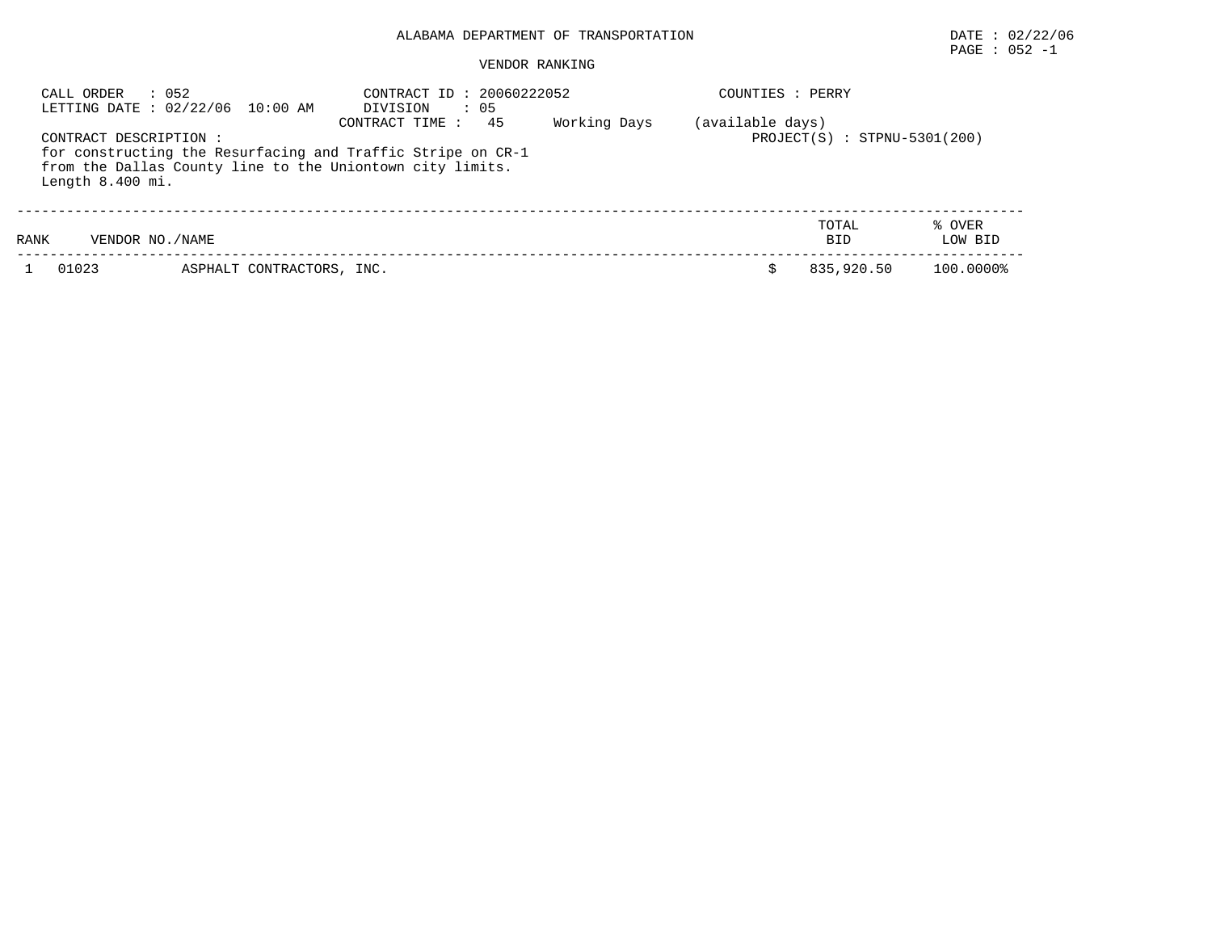# $\texttt{PAGE}$  : 052 -1

| CALL ORDER<br>$\therefore$ 052<br>LETTING DATE: 02/22/06 10:00 AM | CONTRACT ID: 20060222052<br>DIVISION<br>: 05                                                                                                     | COUNTIES : PERRY                 |                                          |
|-------------------------------------------------------------------|--------------------------------------------------------------------------------------------------------------------------------------------------|----------------------------------|------------------------------------------|
| CONTRACT DESCRIPTION :<br>Length 8.400 mi.                        | 45<br>CONTRACT TIME:<br>for constructing the Resurfacing and Traffic Stripe on CR-1<br>from the Dallas County line to the Uniontown city limits. | Working Days<br>(available days) | $PROJECT(S)$ : STPNU-5301(200)           |
| RANK<br>VENDOR NO./NAME                                           |                                                                                                                                                  |                                  | TOTAL<br>% OVER<br>LOW BID<br><b>BID</b> |
| 01023                                                             | ASPHALT CONTRACTORS, INC.                                                                                                                        |                                  | 835,920.50<br>100.0000%                  |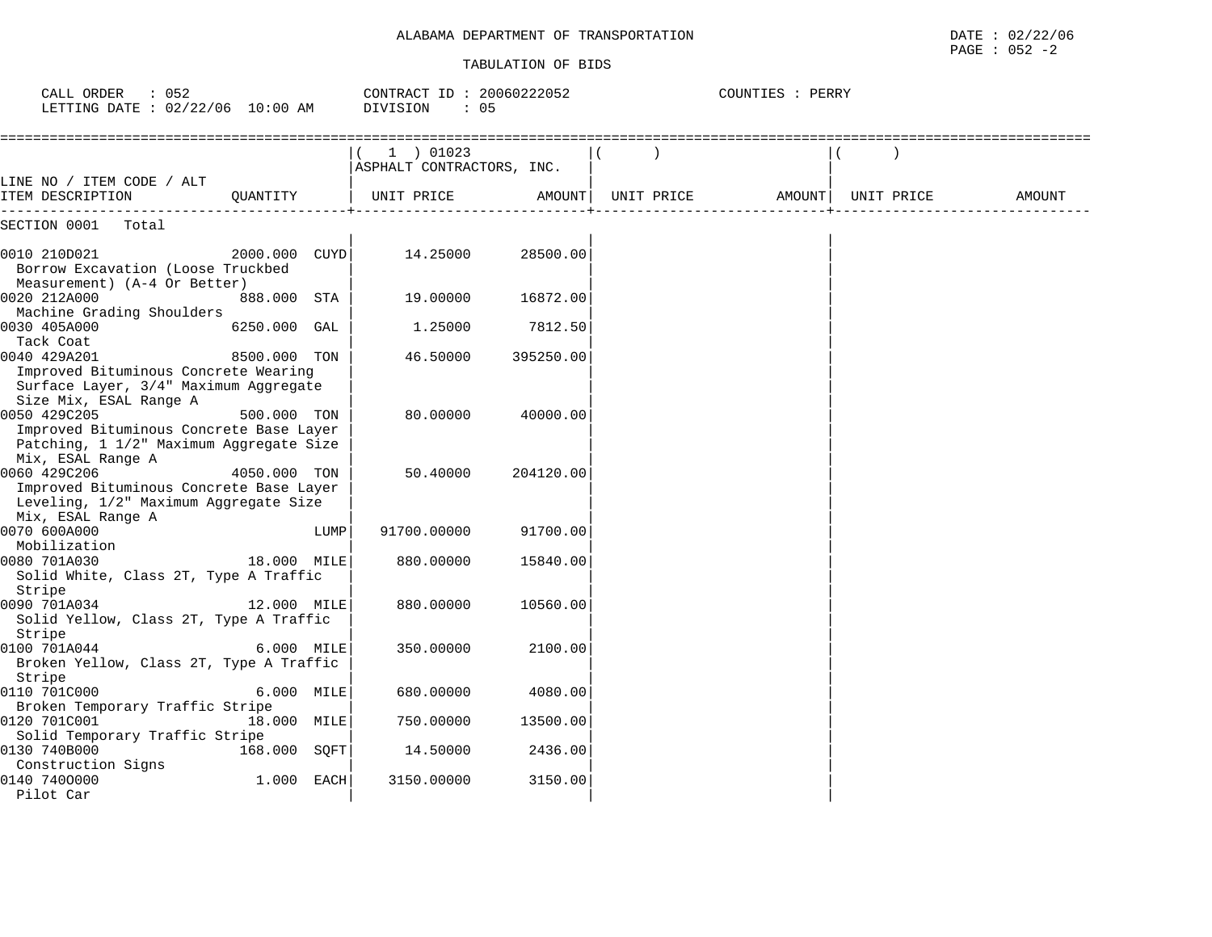#### TABULATION OF BIDS

 $\texttt{PAGE}$  : 052 -2

| CALL ORDER : 052<br>LETTING DATE : 02/22/06 10:00 AM                                                                    |               |      | CONTRACT ID: 20060222052<br>DIVISION<br>: 05 |           |            | COUNTIES : PERRY |            |        |
|-------------------------------------------------------------------------------------------------------------------------|---------------|------|----------------------------------------------|-----------|------------|------------------|------------|--------|
|                                                                                                                         |               |      | 1 ) 01023<br>ASPHALT CONTRACTORS, INC.       |           |            |                  |            |        |
| LINE NO / ITEM CODE / ALT<br>ITEM DESCRIPTION                                                                           | OUANTITY      |      | UNIT PRICE                                   | AMOUNT    | UNIT PRICE | AMOUNT           | UNIT PRICE | AMOUNT |
| SECTION 0001<br>Total                                                                                                   |               |      |                                              |           |            |                  |            |        |
| 0010 210D021<br>Borrow Excavation (Loose Truckbed<br>Measurement) (A-4 Or Better)                                       | 2000.000 CUYD |      | 14.25000                                     | 28500.00  |            |                  |            |        |
| 0020 212A000<br>Machine Grading Shoulders                                                                               | 888.000 STA   |      | 19.00000                                     | 16872.00  |            |                  |            |        |
| 0030 405A000<br>Tack Coat                                                                                               | 6250.000 GAL  |      | 1.25000                                      | 7812.50   |            |                  |            |        |
| 0040 429A201<br>Improved Bituminous Concrete Wearing<br>Surface Layer, 3/4" Maximum Aggregate<br>Size Mix, ESAL Range A | 8500.000 TON  |      | 46.50000                                     | 395250.00 |            |                  |            |        |
| 0050 429C205<br>Improved Bituminous Concrete Base Layer<br>Patching, 1 1/2" Maximum Aggregate Size<br>Mix, ESAL Range A | 500.000 TON   |      | 80.00000                                     | 40000.00  |            |                  |            |        |
| 0060 429C206<br>Improved Bituminous Concrete Base Layer<br>Leveling, 1/2" Maximum Aggregate Size<br>Mix, ESAL Range A   | 4050.000 TON  |      | 50.40000                                     | 204120.00 |            |                  |            |        |
| 0070 600A000<br>Mobilization                                                                                            |               | LUMP | 91700.00000                                  | 91700.00  |            |                  |            |        |
| 0080 701A030<br>Solid White, Class 2T, Type A Traffic<br>Stripe                                                         | 18.000 MILE   |      | 880.00000                                    | 15840.00  |            |                  |            |        |
| 0090 701A034<br>Solid Yellow, Class 2T, Type A Traffic<br>Stripe                                                        | 12.000 MILE   |      | 880.00000                                    | 10560.00  |            |                  |            |        |
| 0100 701A044<br>Broken Yellow, Class 2T, Type A Traffic<br>Stripe                                                       | 6.000 MILE    |      | 350.00000                                    | 2100.00   |            |                  |            |        |
| 0110 701C000<br>Broken Temporary Traffic Stripe                                                                         | 6.000 MILE    |      | 680.00000                                    | 4080.00   |            |                  |            |        |
| 0120 701C001<br>Solid Temporary Traffic Stripe                                                                          | 18.000 MILE   |      | 750.00000                                    | 13500.00  |            |                  |            |        |
| 0130 740B000<br>Construction Signs                                                                                      | 168.000 SQFT  |      | 14.50000                                     | 2436.00   |            |                  |            |        |
| 0140 7400000<br>Pilot Car                                                                                               | 1.000 EACH    |      | 3150.00000                                   | 3150.00   |            |                  |            |        |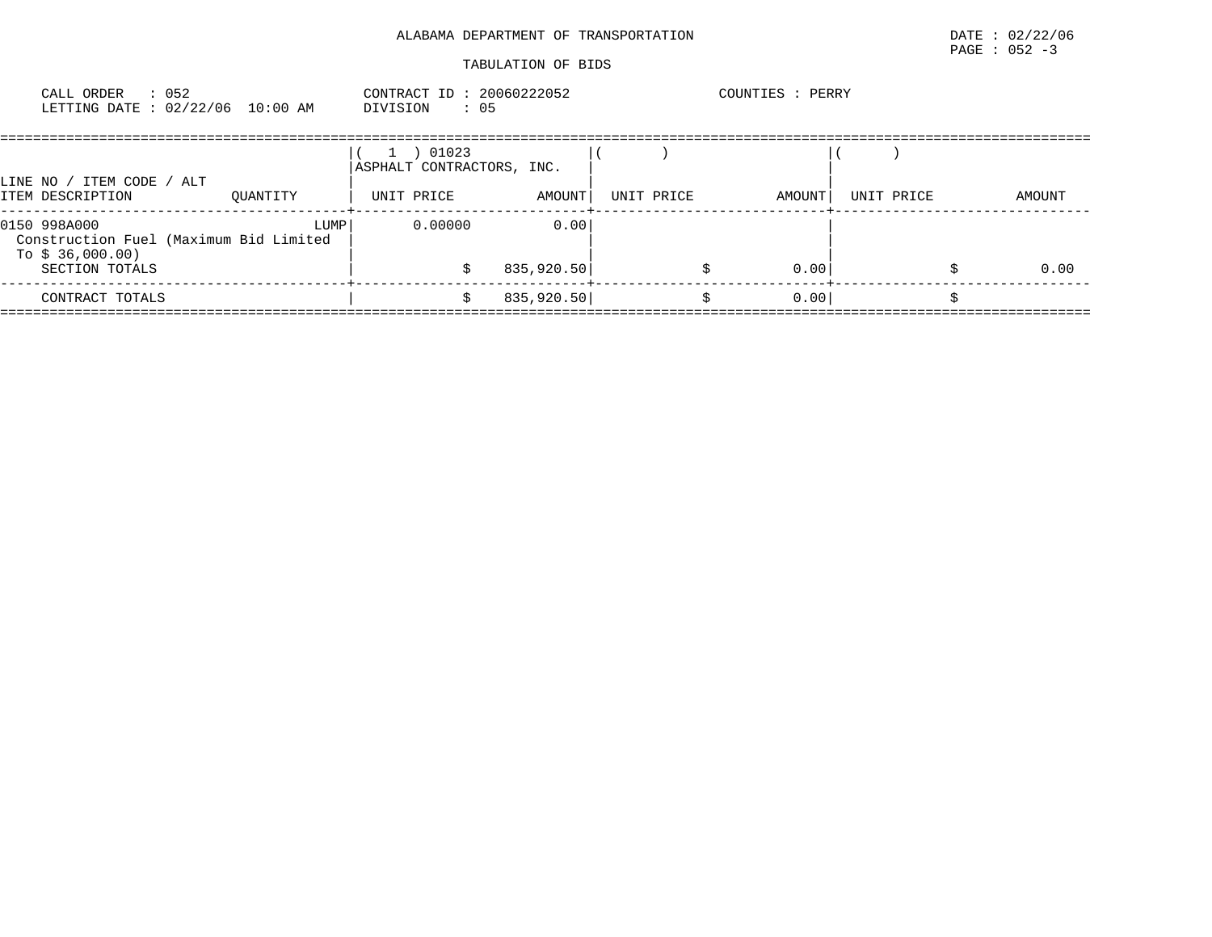| CALL ORDER                       | 052 | CONTRACT ID: 20060222052 |  | COUNTIES | PERRY |
|----------------------------------|-----|--------------------------|--|----------|-------|
| LETTING DATE : 02/22/06 10:00 AM |     | DIVISION                 |  |          |       |

| ITEM CODE / ALT<br>LINE NO /                                                                 |          | 01023<br>ASPHALT CONTRACTORS, INC. |                    |            |        |            |        |
|----------------------------------------------------------------------------------------------|----------|------------------------------------|--------------------|------------|--------|------------|--------|
| ITEM DESCRIPTION                                                                             | OUANTITY | UNIT PRICE                         | AMOUNT             | UNIT PRICE | AMOUNT | UNIT PRICE | AMOUNT |
| 0150 998A000<br>Construction Fuel (Maximum Bid Limited<br>To $$36,000.00)$<br>SECTION TOTALS | LUMP     | 0.00000                            | 0.00<br>835,920.50 |            | 0.00   |            | 0.00   |
|                                                                                              |          |                                    |                    |            |        |            |        |
| CONTRACT TOTALS                                                                              |          |                                    | 835,920.50         |            | 0.00   |            |        |
|                                                                                              |          |                                    |                    |            |        |            |        |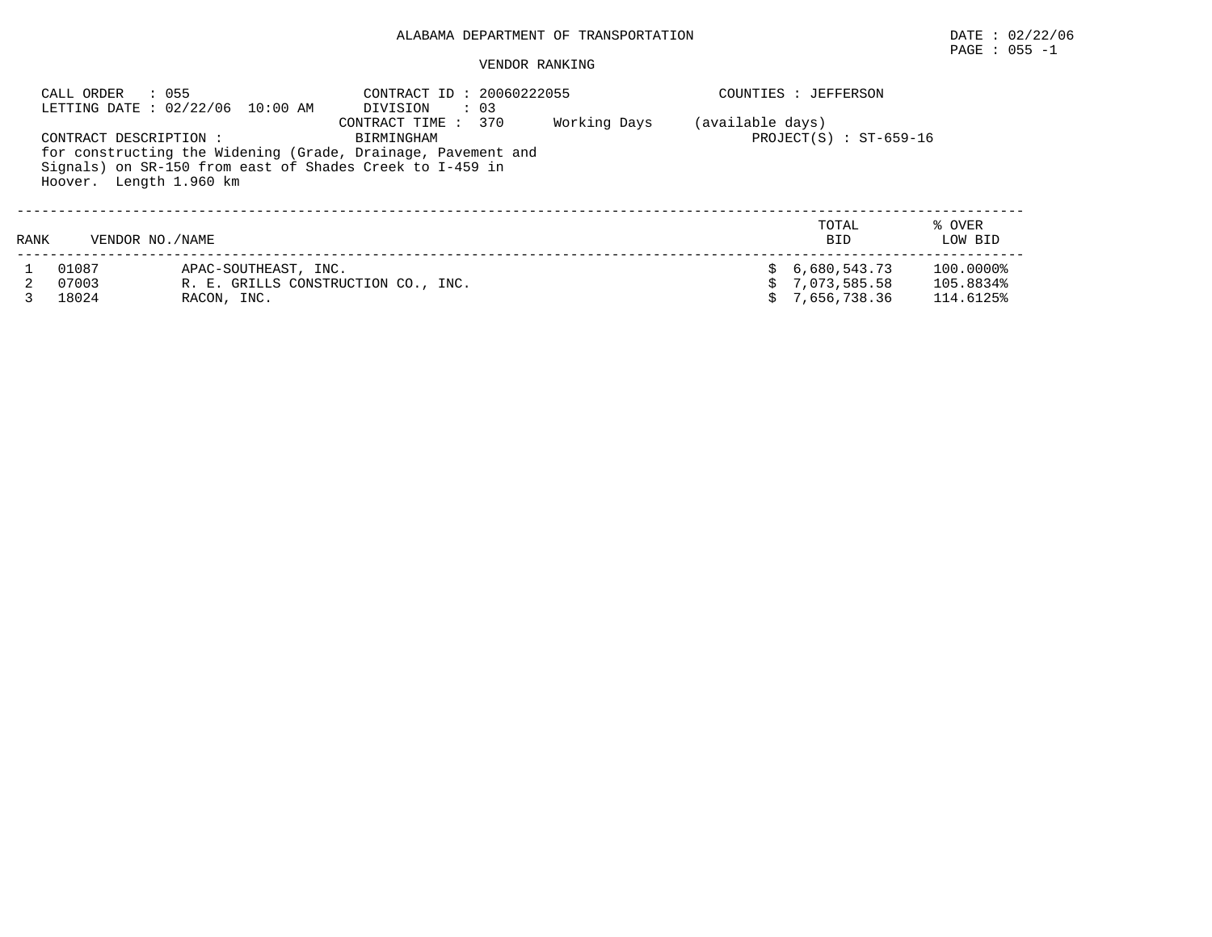## $\texttt{PAGE}$  : 055 -1

|      | : 055<br>CALL ORDER                               | LETTING DATE : 02/22/06 10:00 AM    | CONTRACT ID: 20060222055<br>DIVISION                                                                                                                          | $\cdot$ 03 |              |                  | COUNTIES : JEFFERSON                         |                                     |
|------|---------------------------------------------------|-------------------------------------|---------------------------------------------------------------------------------------------------------------------------------------------------------------|------------|--------------|------------------|----------------------------------------------|-------------------------------------|
|      | CONTRACT DESCRIPTION :<br>Hoover. Length 1.960 km |                                     | CONTRACT TIME : 370<br>BIRMINGHAM<br>for constructing the Widening (Grade, Drainage, Pavement and<br>Signals) on SR-150 from east of Shades Creek to I-459 in |            | Working Days | (available days) | $PROJECT(S)$ : $ST-659-16$                   |                                     |
| RANK | VENDOR NO. / NAME                                 |                                     |                                                                                                                                                               |            |              |                  | TOTAL<br><b>BID</b>                          | % OVER<br>LOW BID                   |
|      | 01087<br>07003<br>18024                           | APAC-SOUTHEAST, INC.<br>RACON, INC. | R. E. GRILLS CONSTRUCTION CO., INC.                                                                                                                           |            |              |                  | 6,680,543.73<br>7,073,585.58<br>7,656,738.36 | 100.0000%<br>105.8834%<br>114.6125% |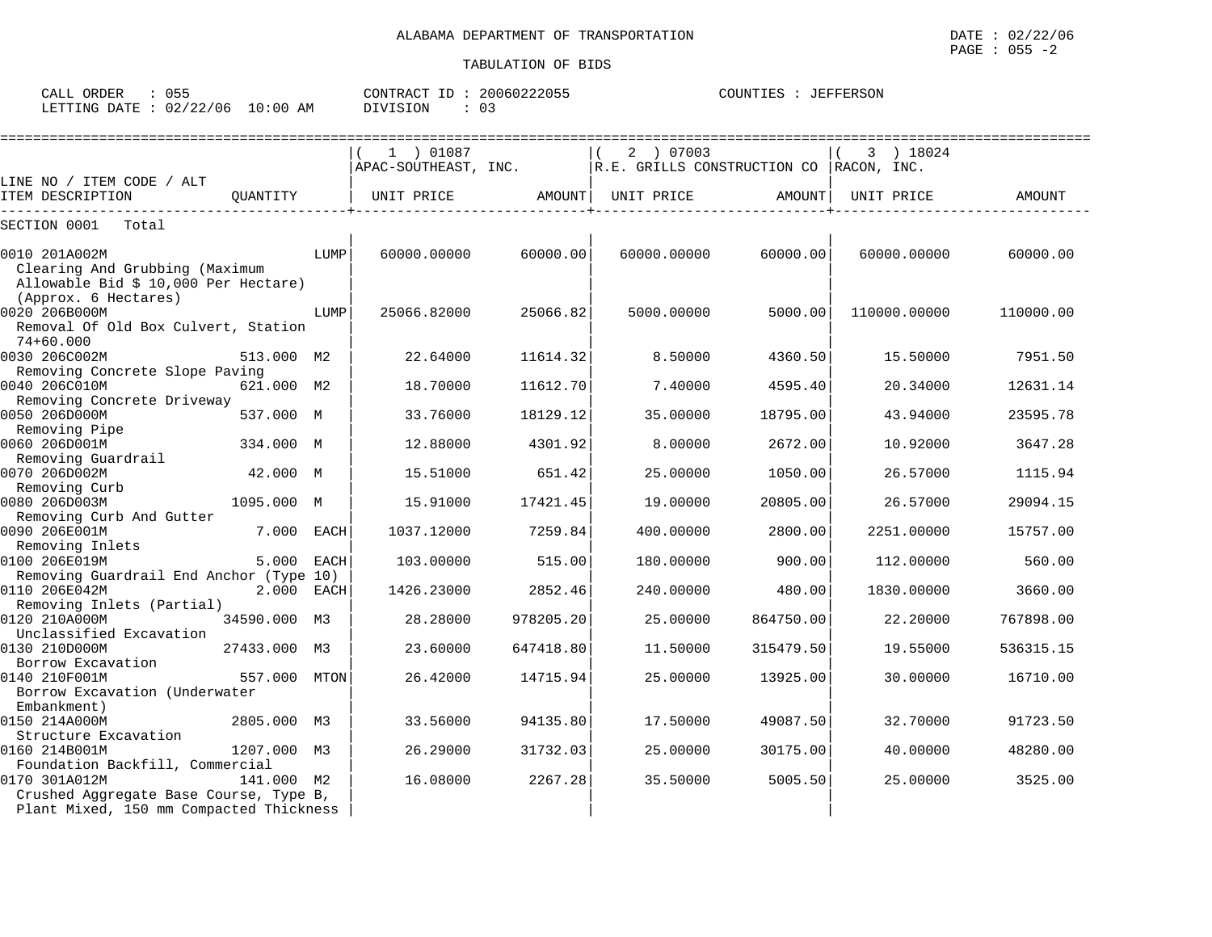| CALL ORDER<br>ככט -<br>LETTING DATE: 02/22/06<br>10:00 AM                                 |          |      | CONTRACT ID: 20060222055<br>: 03<br>DIVISION |          |                                                         | COUNTIES : JEFFERSON |                                      |           |  |  |  |
|-------------------------------------------------------------------------------------------|----------|------|----------------------------------------------|----------|---------------------------------------------------------|----------------------|--------------------------------------|-----------|--|--|--|
| ITEM CODE / ALT<br>LINE NO /                                                              |          |      | 01087<br>APAC-SOUTHEAST, INC.                |          | 07003<br>$2 \rightarrow$<br>R.E. GRILLS CONSTRUCTION CO |                      | 18024<br>$\mathbf{3}$<br>RACON, INC. |           |  |  |  |
| ITEM DESCRIPTION                                                                          | OUANTITY |      | UNIT PRICE                                   | AMOUNT   | UNIT PRICE                                              | AMOUNT               | UNIT PRICE                           | AMOUNT    |  |  |  |
| SECTION 0001<br>Total                                                                     |          |      |                                              |          |                                                         |                      |                                      |           |  |  |  |
| 0010 201A002M<br>Clearing And Grubbing (Maximum<br>Allowable Bid \$ 10,000 Per Hectare)   |          | LUMP | 60000,00000                                  | 60000.00 | 60000,00000                                             | 60000.00             | 60000.00000                          | 60000.00  |  |  |  |
| (Approx. 6 Hectares)<br>0020 206B000M<br>Removal Of Old Box Culvert, Station<br>74+60.000 |          | LUMP | 25066.82000                                  | 25066.82 | 5000.00000                                              | 5000.00              | 110000.00000                         | 110000.00 |  |  |  |
| 0030 206C002M                                                                             | 513.000  | M2   | 22.64000                                     | 11614.32 | 8.50000                                                 | 4360.50              | 15.50000                             | 7951.50   |  |  |  |

0040 206C010M 621.000 18.70000 11612.70 7.40000 4595.40 20.34000 12631.14

| ORDER<br>CALL   | 055      |             | CONTRAC <sup>®</sup><br>ID | <u> ገበበ6በ222በ55</u><br>2. U U<br>. 22055 | TEFFERSON<br>COUNTIES<br>------- |
|-----------------|----------|-------------|----------------------------|------------------------------------------|----------------------------------|
| LETTING<br>DATE | 02/22/06 | 10:00<br>AM | $\cdots$                   | .                                        |                                  |

Removing Concrete Slope Paving<br>0040 206C010M 621.000 M2 18.70000 11612.70 7.40000 4595.40

| Removing Concrete Driveway                       |              |            |           |           |           |            |           |
|--------------------------------------------------|--------------|------------|-----------|-----------|-----------|------------|-----------|
| 0050 206D000M                                    | 537.000 M    | 33.76000   | 18129.12  | 35.00000  | 18795.00  | 43.94000   | 23595.78  |
| Removing Pipe                                    |              |            |           |           |           |            |           |
| 0060 206D001M                                    | 334.000 M    | 12.88000   | 4301.92   | 8.00000   | 2672.00   | 10.92000   | 3647.28   |
| Removing Guardrail                               |              |            |           |           |           |            |           |
| 0070 206D002M                                    | 42.000 M     | 15.51000   | 651.42    | 25,00000  | 1050.00   | 26.57000   | 1115.94   |
| Removing Curb                                    |              |            |           |           |           |            |           |
| 0080 206D003M                                    | 1095.000 M   | 15.91000   | 17421.45  | 19.00000  | 20805.00  | 26.57000   | 29094.15  |
| Removing Curb And Gutter                         |              |            |           |           |           |            |           |
| 0090 206E001M                                    | 7.000 EACH   | 1037.12000 | 7259.84   | 400.00000 | 2800.00   | 2251.00000 | 15757.00  |
| Removing Inlets                                  |              |            |           |           |           |            |           |
| 0100 206E019M                                    | 5.000 EACH   | 103.00000  | 515.00    | 180.00000 | 900.00    | 112,00000  | 560.00    |
| Removing Guardrail End Anchor (Type 10)          |              |            |           |           |           |            |           |
| 0110 206E042M                                    | $2.000$ EACH | 1426.23000 | 2852.46   | 240.00000 | 480.00    | 1830.00000 | 3660.00   |
| Removing Inlets (Partial)                        |              |            |           |           |           |            |           |
| 0120 210A000M                                    | 34590.000 M3 | 28,28000   | 978205.20 | 25,00000  | 864750.00 | 22,20000   | 767898.00 |
| Unclassified Excavation                          |              |            |           |           |           |            |           |
| 0130 210D000M                                    | 27433.000 M3 | 23.60000   | 647418.80 | 11.50000  | 315479.50 | 19.55000   | 536315.15 |
| Borrow Excavation                                |              |            |           |           |           |            |           |
| 0140 210F001M                                    | 557.000 MTON | 26.42000   | 14715.94  | 25.00000  | 13925.00  | 30.00000   | 16710.00  |
| Borrow Excavation (Underwater                    |              |            |           |           |           |            |           |
| Embankment)<br>0150 214A000M                     |              | 33.56000   |           | 17.50000  |           | 32.70000   |           |
| Structure Excavation                             | 2805.000 M3  |            | 94135.80  |           | 49087.50  |            | 91723.50  |
| 0160 214B001M                                    | 1207.000 M3  | 26.29000   | 31732.03  | 25.00000  | 30175.00  | 40.00000   | 48280.00  |
|                                                  |              |            |           |           |           |            |           |
| Foundation Backfill, Commercial<br>0170 301A012M | 141.000 M2   | 16.08000   | 2267.28   | 35.50000  | 5005.50   | 25,00000   | 3525.00   |
| Crushed Aggregate Base Course, Type B,           |              |            |           |           |           |            |           |
| Plant Mixed, 150 mm Compacted Thickness          |              |            |           |           |           |            |           |
|                                                  |              |            |           |           |           |            |           |
|                                                  |              |            |           |           |           |            |           |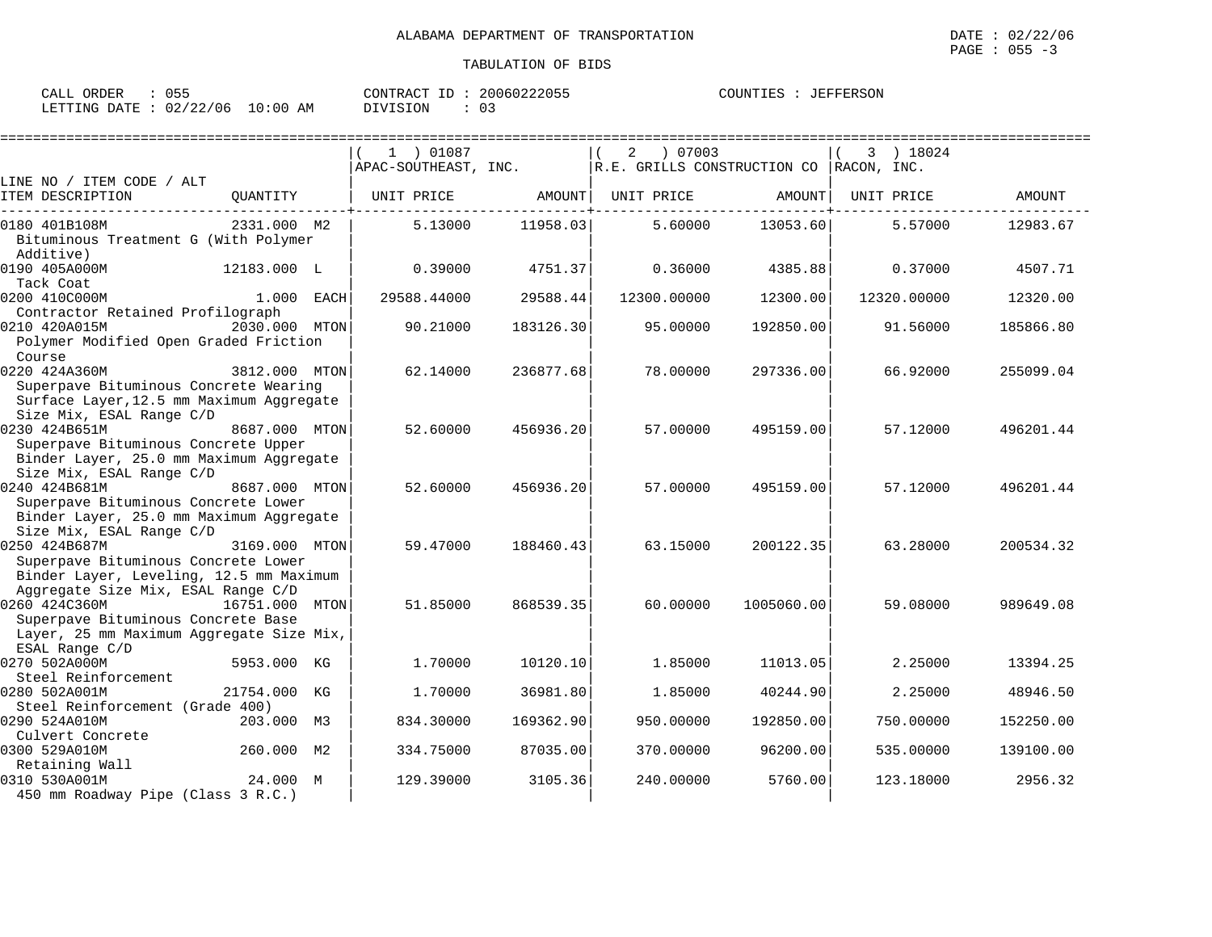| CALL ORDER                       | 055 | 20060222055<br>CONTRACT ID: | COUNTIES : JEFFERSON |
|----------------------------------|-----|-----------------------------|----------------------|
| LETTING DATE : 02/22/06 10:00 AM |     | DIVISION<br>U3              |                      |

|                                                                                |               |      | 1 ) 01087            |           | 07003<br>2                                    |            | 3 ) 18024   |           |
|--------------------------------------------------------------------------------|---------------|------|----------------------|-----------|-----------------------------------------------|------------|-------------|-----------|
|                                                                                |               |      | APAC-SOUTHEAST, INC. |           | $ R.E.$ GRILLS CONSTRUCTION CO $ RACON, INC.$ |            |             |           |
| LINE NO / ITEM CODE / ALT                                                      |               |      |                      |           |                                               |            |             |           |
| ITEM DESCRIPTION                                                               | QUANTITY      |      | UNIT PRICE           | AMOUNT    | UNIT PRICE                                    | AMOUNT     | UNIT PRICE  | AMOUNT    |
| 0180 401B108M                                                                  | 2331.000 M2   |      | 5.13000              | 11958.03  | 5.60000                                       | 13053.60   | 5.57000     | 12983.67  |
| Bituminous Treatment G (With Polymer                                           |               |      |                      |           |                                               |            |             |           |
| Additive)                                                                      |               |      |                      |           |                                               |            |             |           |
| 0190 405A000M                                                                  | 12183.000 L   |      | 0.39000              | 4751.37   | 0.36000                                       | 4385.88    | 0.37000     | 4507.71   |
| Tack Coat                                                                      |               |      |                      |           |                                               |            |             |           |
| 0200 410C000M                                                                  | $1.000$ EACH  |      | 29588.44000          | 29588.44  | 12300.00000                                   | 12300.00   | 12320.00000 | 12320.00  |
| Contractor Retained Profilograph<br>0210 420A015M                              | 2030.000 MTON |      | 90.21000             |           |                                               | 192850.00  | 91.56000    |           |
| Polymer Modified Open Graded Friction                                          |               |      |                      | 183126.30 | 95.00000                                      |            |             | 185866.80 |
| Course                                                                         |               |      |                      |           |                                               |            |             |           |
| 0220 424A360M                                                                  | 3812.000 MTON |      | 62.14000             | 236877.68 | 78.00000                                      | 297336.00  | 66.92000    | 255099.04 |
| Superpave Bituminous Concrete Wearing                                          |               |      |                      |           |                                               |            |             |           |
| Surface Layer, 12.5 mm Maximum Aggregate                                       |               |      |                      |           |                                               |            |             |           |
| Size Mix, ESAL Range C/D                                                       |               |      |                      |           |                                               |            |             |           |
| 0230 424B651M                                                                  | 8687.000 MTON |      | 52.60000             | 456936.20 | 57.00000                                      | 495159.00  | 57.12000    | 496201.44 |
| Superpave Bituminous Concrete Upper                                            |               |      |                      |           |                                               |            |             |           |
| Binder Layer, 25.0 mm Maximum Aggregate                                        |               |      |                      |           |                                               |            |             |           |
| Size Mix, ESAL Range C/D                                                       |               |      |                      |           |                                               |            |             |           |
| 0240 424B681M                                                                  | 8687.000 MTON |      | 52.60000             | 456936.20 | 57.00000                                      | 495159.00  | 57.12000    | 496201.44 |
| Superpave Bituminous Concrete Lower                                            |               |      |                      |           |                                               |            |             |           |
| Binder Layer, 25.0 mm Maximum Aggregate                                        |               |      |                      |           |                                               |            |             |           |
| Size Mix, ESAL Range C/D                                                       |               |      |                      |           |                                               |            |             |           |
| 0250 424B687M                                                                  | 3169.000 MTON |      | 59.47000             | 188460.43 | 63.15000                                      | 200122.35  | 63.28000    | 200534.32 |
| Superpave Bituminous Concrete Lower                                            |               |      |                      |           |                                               |            |             |           |
| Binder Layer, Leveling, 12.5 mm Maximum                                        |               |      |                      |           |                                               |            |             |           |
| Aggregate Size Mix, ESAL Range C/D                                             |               |      |                      |           |                                               |            |             |           |
| 0260 424C360M                                                                  | 16751.000     | MTON | 51.85000             | 868539.35 | 60.00000                                      | 1005060.00 | 59.08000    | 989649.08 |
| Superpave Bituminous Concrete Base<br>Layer, 25 mm Maximum Aggregate Size Mix, |               |      |                      |           |                                               |            |             |           |
| ESAL Range C/D                                                                 |               |      |                      |           |                                               |            |             |           |
| 0270 502A000M                                                                  | 5953.000 KG   |      | 1.70000              | 10120.10  | 1.85000                                       | 11013.05   | 2.25000     | 13394.25  |
| Steel Reinforcement                                                            |               |      |                      |           |                                               |            |             |           |
| 0280 502A001M                                                                  | 21754.000 KG  |      | 1,70000              | 36981.80  | 1.85000                                       | 40244.90   | 2.25000     | 48946.50  |
| Steel Reinforcement (Grade 400)                                                |               |      |                      |           |                                               |            |             |           |
| 0290 524A010M                                                                  | 203.000 M3    |      | 834.30000            | 169362.90 | 950.00000                                     | 192850.00  | 750.00000   | 152250.00 |
| Culvert Concrete                                                               |               |      |                      |           |                                               |            |             |           |
| 0300 529A010M                                                                  | 260.000 M2    |      | 334.75000            | 87035.00  | 370.00000                                     | 96200.00   | 535.00000   | 139100.00 |
| Retaining Wall                                                                 |               |      |                      |           |                                               |            |             |           |
| 0310 530A001M                                                                  | 24.000 M      |      | 129.39000            | 3105.36   | 240.00000                                     | 5760.00    | 123.18000   | 2956.32   |
| 450 mm Roadway Pipe (Class 3 R.C.)                                             |               |      |                      |           |                                               |            |             |           |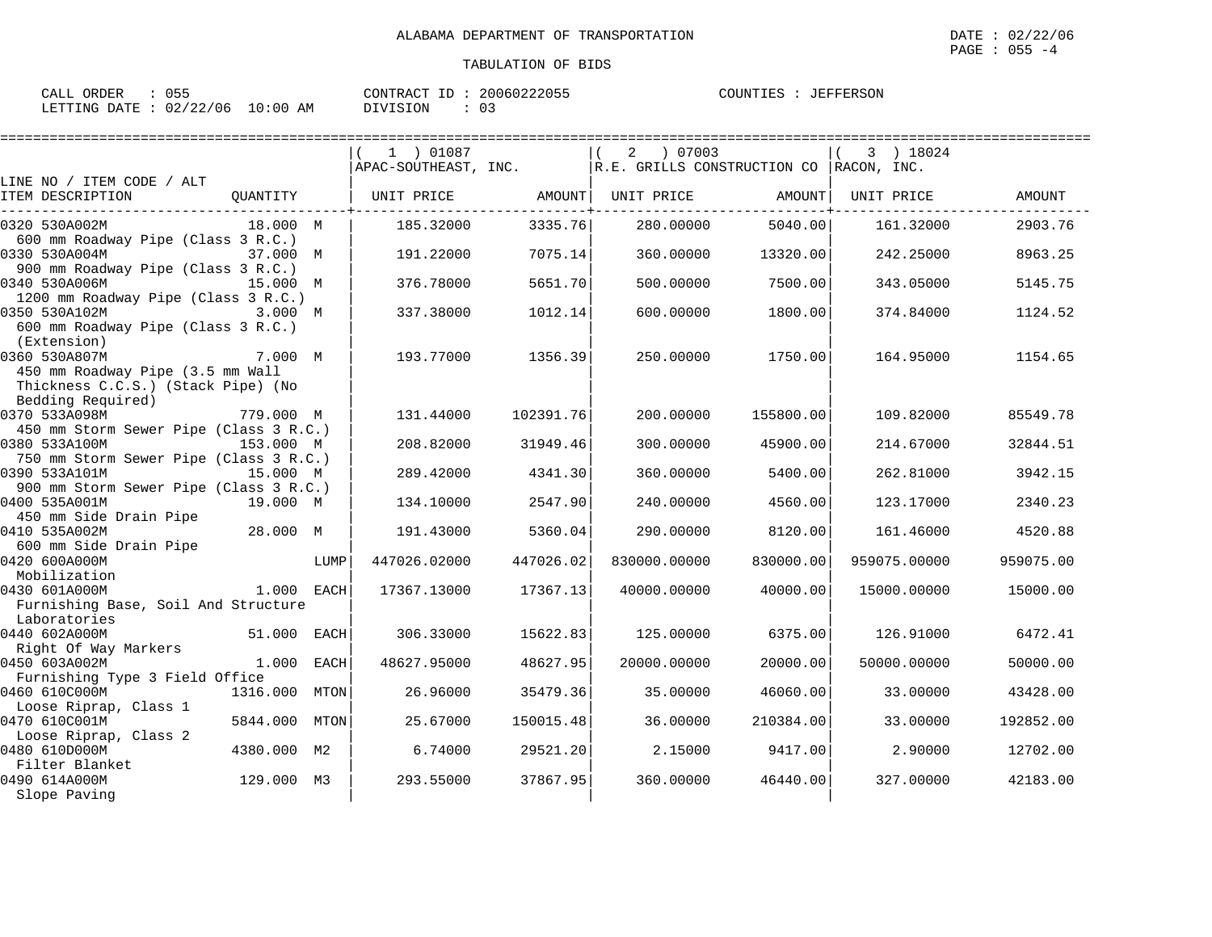| ORDER<br>CALL          | 055   | 20060222055<br>CONTRACT<br>ID | JEFFERSON<br>COUNTIES |
|------------------------|-------|-------------------------------|-----------------------|
| LETTING DATE: 02/22/06 | 10:00 | <b>DIVISION</b>               |                       |
|                        | ΆM    |                               |                       |

| 1 ) 01087 |                                                                                                                                                             | 07003<br>2 |                                                                                                                                                                                                                                                                                                                                                                                                                    | 3 ) 18024                        |                                                                                                                                                                                                                                                                                                                                                                                                                            |
|-----------|-------------------------------------------------------------------------------------------------------------------------------------------------------------|------------|--------------------------------------------------------------------------------------------------------------------------------------------------------------------------------------------------------------------------------------------------------------------------------------------------------------------------------------------------------------------------------------------------------------------|----------------------------------|----------------------------------------------------------------------------------------------------------------------------------------------------------------------------------------------------------------------------------------------------------------------------------------------------------------------------------------------------------------------------------------------------------------------------|
|           |                                                                                                                                                             |            |                                                                                                                                                                                                                                                                                                                                                                                                                    |                                  |                                                                                                                                                                                                                                                                                                                                                                                                                            |
|           |                                                                                                                                                             |            |                                                                                                                                                                                                                                                                                                                                                                                                                    |                                  |                                                                                                                                                                                                                                                                                                                                                                                                                            |
|           |                                                                                                                                                             |            |                                                                                                                                                                                                                                                                                                                                                                                                                    |                                  | AMOUNT                                                                                                                                                                                                                                                                                                                                                                                                                     |
|           |                                                                                                                                                             |            |                                                                                                                                                                                                                                                                                                                                                                                                                    |                                  | 2903.76                                                                                                                                                                                                                                                                                                                                                                                                                    |
|           |                                                                                                                                                             |            |                                                                                                                                                                                                                                                                                                                                                                                                                    |                                  |                                                                                                                                                                                                                                                                                                                                                                                                                            |
| 191.22000 |                                                                                                                                                             | 360.00000  |                                                                                                                                                                                                                                                                                                                                                                                                                    | 242.25000                        | 8963.25                                                                                                                                                                                                                                                                                                                                                                                                                    |
|           |                                                                                                                                                             |            |                                                                                                                                                                                                                                                                                                                                                                                                                    |                                  |                                                                                                                                                                                                                                                                                                                                                                                                                            |
| 376.78000 |                                                                                                                                                             | 500.00000  |                                                                                                                                                                                                                                                                                                                                                                                                                    | 343.05000                        | 5145.75                                                                                                                                                                                                                                                                                                                                                                                                                    |
|           |                                                                                                                                                             |            |                                                                                                                                                                                                                                                                                                                                                                                                                    |                                  |                                                                                                                                                                                                                                                                                                                                                                                                                            |
| 337.38000 |                                                                                                                                                             | 600.00000  |                                                                                                                                                                                                                                                                                                                                                                                                                    | 374.84000                        | 1124.52                                                                                                                                                                                                                                                                                                                                                                                                                    |
|           |                                                                                                                                                             |            |                                                                                                                                                                                                                                                                                                                                                                                                                    |                                  |                                                                                                                                                                                                                                                                                                                                                                                                                            |
|           |                                                                                                                                                             |            |                                                                                                                                                                                                                                                                                                                                                                                                                    |                                  |                                                                                                                                                                                                                                                                                                                                                                                                                            |
| 193.77000 |                                                                                                                                                             | 250.00000  |                                                                                                                                                                                                                                                                                                                                                                                                                    | 164.95000                        | 1154.65                                                                                                                                                                                                                                                                                                                                                                                                                    |
|           |                                                                                                                                                             |            |                                                                                                                                                                                                                                                                                                                                                                                                                    |                                  |                                                                                                                                                                                                                                                                                                                                                                                                                            |
|           |                                                                                                                                                             |            |                                                                                                                                                                                                                                                                                                                                                                                                                    |                                  |                                                                                                                                                                                                                                                                                                                                                                                                                            |
|           |                                                                                                                                                             |            |                                                                                                                                                                                                                                                                                                                                                                                                                    |                                  |                                                                                                                                                                                                                                                                                                                                                                                                                            |
| 131.44000 |                                                                                                                                                             | 200,00000  |                                                                                                                                                                                                                                                                                                                                                                                                                    | 109.82000                        | 85549.78                                                                                                                                                                                                                                                                                                                                                                                                                   |
|           |                                                                                                                                                             |            |                                                                                                                                                                                                                                                                                                                                                                                                                    |                                  |                                                                                                                                                                                                                                                                                                                                                                                                                            |
|           |                                                                                                                                                             |            |                                                                                                                                                                                                                                                                                                                                                                                                                    |                                  | 32844.51                                                                                                                                                                                                                                                                                                                                                                                                                   |
|           |                                                                                                                                                             |            |                                                                                                                                                                                                                                                                                                                                                                                                                    |                                  |                                                                                                                                                                                                                                                                                                                                                                                                                            |
|           |                                                                                                                                                             |            |                                                                                                                                                                                                                                                                                                                                                                                                                    |                                  | 3942.15                                                                                                                                                                                                                                                                                                                                                                                                                    |
|           |                                                                                                                                                             |            |                                                                                                                                                                                                                                                                                                                                                                                                                    |                                  |                                                                                                                                                                                                                                                                                                                                                                                                                            |
|           |                                                                                                                                                             |            |                                                                                                                                                                                                                                                                                                                                                                                                                    |                                  | 2340.23                                                                                                                                                                                                                                                                                                                                                                                                                    |
|           |                                                                                                                                                             |            |                                                                                                                                                                                                                                                                                                                                                                                                                    |                                  |                                                                                                                                                                                                                                                                                                                                                                                                                            |
|           |                                                                                                                                                             |            |                                                                                                                                                                                                                                                                                                                                                                                                                    |                                  | 4520.88                                                                                                                                                                                                                                                                                                                                                                                                                    |
|           |                                                                                                                                                             |            |                                                                                                                                                                                                                                                                                                                                                                                                                    |                                  |                                                                                                                                                                                                                                                                                                                                                                                                                            |
|           |                                                                                                                                                             |            |                                                                                                                                                                                                                                                                                                                                                                                                                    |                                  | 959075.00                                                                                                                                                                                                                                                                                                                                                                                                                  |
|           |                                                                                                                                                             |            |                                                                                                                                                                                                                                                                                                                                                                                                                    |                                  |                                                                                                                                                                                                                                                                                                                                                                                                                            |
|           |                                                                                                                                                             |            |                                                                                                                                                                                                                                                                                                                                                                                                                    |                                  | 15000.00                                                                                                                                                                                                                                                                                                                                                                                                                   |
|           |                                                                                                                                                             |            |                                                                                                                                                                                                                                                                                                                                                                                                                    |                                  |                                                                                                                                                                                                                                                                                                                                                                                                                            |
|           |                                                                                                                                                             |            |                                                                                                                                                                                                                                                                                                                                                                                                                    |                                  | 6472.41                                                                                                                                                                                                                                                                                                                                                                                                                    |
|           |                                                                                                                                                             |            |                                                                                                                                                                                                                                                                                                                                                                                                                    |                                  |                                                                                                                                                                                                                                                                                                                                                                                                                            |
|           |                                                                                                                                                             |            |                                                                                                                                                                                                                                                                                                                                                                                                                    |                                  | 50000.00                                                                                                                                                                                                                                                                                                                                                                                                                   |
|           |                                                                                                                                                             |            |                                                                                                                                                                                                                                                                                                                                                                                                                    |                                  |                                                                                                                                                                                                                                                                                                                                                                                                                            |
|           |                                                                                                                                                             |            |                                                                                                                                                                                                                                                                                                                                                                                                                    |                                  | 43428.00                                                                                                                                                                                                                                                                                                                                                                                                                   |
|           |                                                                                                                                                             |            |                                                                                                                                                                                                                                                                                                                                                                                                                    |                                  |                                                                                                                                                                                                                                                                                                                                                                                                                            |
|           |                                                                                                                                                             |            |                                                                                                                                                                                                                                                                                                                                                                                                                    |                                  | 192852.00                                                                                                                                                                                                                                                                                                                                                                                                                  |
|           |                                                                                                                                                             |            |                                                                                                                                                                                                                                                                                                                                                                                                                    |                                  |                                                                                                                                                                                                                                                                                                                                                                                                                            |
|           |                                                                                                                                                             |            |                                                                                                                                                                                                                                                                                                                                                                                                                    | 2.90000                          | 12702.00                                                                                                                                                                                                                                                                                                                                                                                                                   |
|           |                                                                                                                                                             |            |                                                                                                                                                                                                                                                                                                                                                                                                                    |                                  |                                                                                                                                                                                                                                                                                                                                                                                                                            |
| 293.55000 |                                                                                                                                                             | 360,00000  |                                                                                                                                                                                                                                                                                                                                                                                                                    | 327,00000                        | 42183.00                                                                                                                                                                                                                                                                                                                                                                                                                   |
|           |                                                                                                                                                             |            |                                                                                                                                                                                                                                                                                                                                                                                                                    |                                  |                                                                                                                                                                                                                                                                                                                                                                                                                            |
|           | 185.32000<br>208.82000<br>289.42000<br>134.10000<br>191.43000<br>447026.02000<br>17367.13000<br>306.33000<br>48627.95000<br>26.96000<br>25.67000<br>6.74000 |            | UNIT PRICE AMOUNT <br>UNIT PRICE<br>3335.76<br>280.00000<br>7075.14<br>5651.70<br>1012.14<br>1356.39<br>102391.76<br>31949.46<br>300.00000<br>4341.30<br>360.00000<br>2547.90<br>240.00000<br>5360.04<br>290.00000<br>447026.02<br>830000.00000<br>17367.13<br>40000.00000<br>15622.83<br>125.00000<br>48627.95<br>20000.00000<br>35479.36<br>35.00000<br>150015.48<br>36.00000<br>29521.20<br>2.15000<br>37867.95 | 5400.00<br>830000.00<br>40000.00 | APAC-SOUTHEAST, INC.   R.E. GRILLS CONSTRUCTION CO RACON, INC.<br>AMOUNT  <br>UNIT PRICE<br>5040.00<br>161.32000<br>13320.00<br>7500.00<br>1800.00<br>1750.00<br>155800.00<br>45900.00<br>214.67000<br>262.81000<br>4560.00<br>123.17000<br>8120.00<br>161.46000<br>959075.00000<br>15000.00000<br>6375.00<br>126.91000<br>20000.00<br>50000.00000<br>46060.00<br>33.00000<br>210384.00<br>33.00000<br>9417.00<br>46440.00 |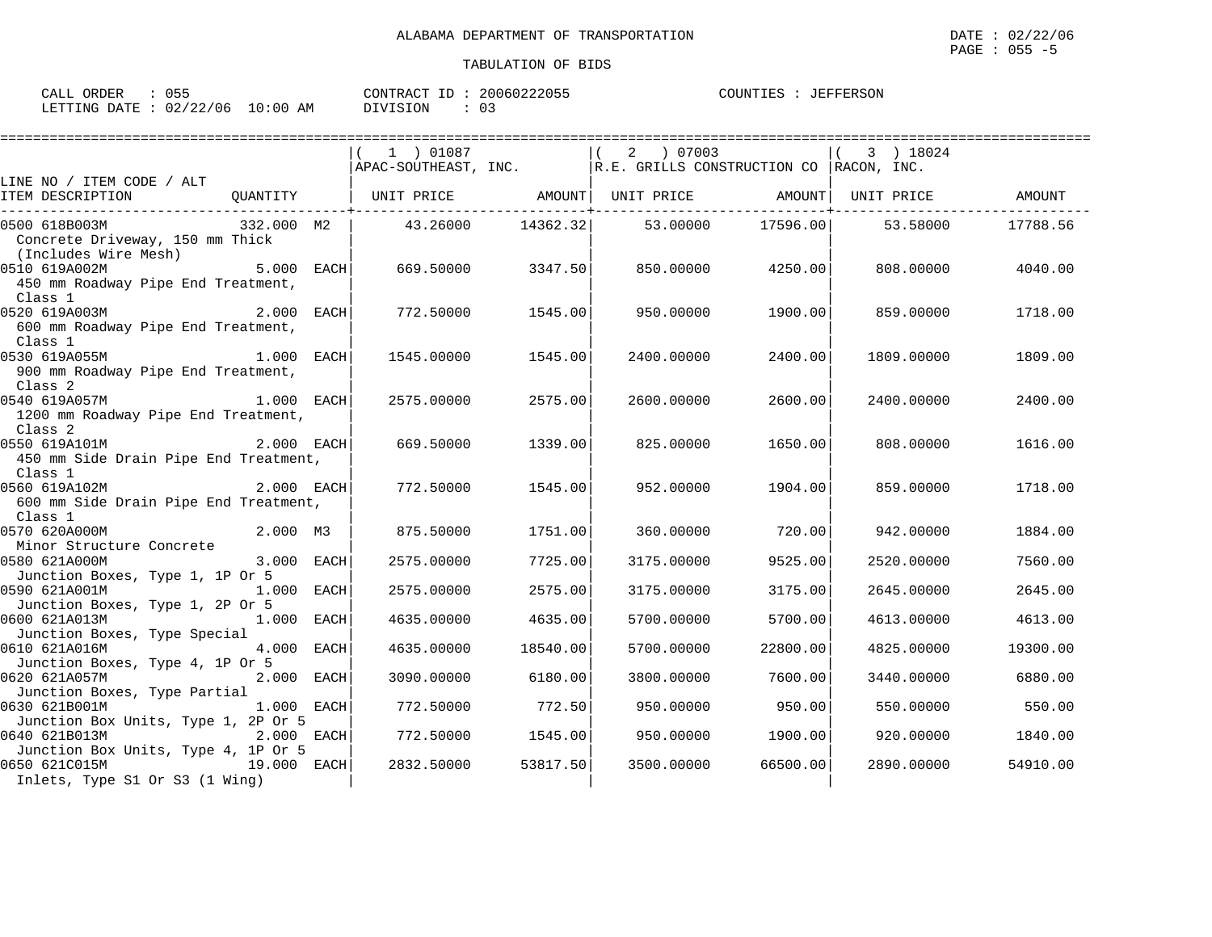| CALL ORDER   | לכר        |            | ID<br>CONTRACT | 20060222055 | COUNTIES<br>JEFFERSON |
|--------------|------------|------------|----------------|-------------|-----------------------|
| LETTING DATE | : 02/22/06 | $10:00$ AM | DIVISION       |             |                       |

|                                                                                          |                | 1 ) 01087               |                     | $(2)$ 07003<br>$ARAC-SOUTHEAST, INC.$ R.E. GRILLS CONSTRUCTION CO RACON, INC.  |                     | 3 ) 18024               |                     |
|------------------------------------------------------------------------------------------|----------------|-------------------------|---------------------|--------------------------------------------------------------------------------|---------------------|-------------------------|---------------------|
| LINE NO / ITEM CODE / ALT<br>ITEM DESCRIPTION<br>_______________________                 |                |                         |                     | QUANTITY   UNIT PRICE     AMOUNT  UNIT PRICE     AMOUNT  UNIT PRICE     AMOUNT |                     |                         |                     |
| 332.000 M2  <br>0500 618B003M<br>Concrete Driveway, 150 mm Thick<br>(Includes Wire Mesh) |                |                         |                     | $43.26000$ $14362.32$ $53.00000$ $17596.00$ $53.58000$                         |                     |                         | 17788.56            |
| 0510 619A002M<br>450 mm Roadway Pipe End Treatment,<br>Class 1                           | $5.000$ $EACH$ | 669.50000               | 3347.50             |                                                                                | 850.00000 4250.00   | 808,00000               | 4040.00             |
| 0520 619A003M 2.000 EACH<br>600 mm Roadway Pipe End Treatment,<br>Class 1                |                | 772.50000               | 1545.00             | 950.00000                                                                      | 1900.00             | 859.00000               | 1718.00             |
| 0530 619A055M<br>900 mm Roadway Pipe End Treatment,<br>Class 2                           | $1.000$ EACH   | 1545.00000              | 1545.00             | 2400.00000                                                                     | 2400.00             | 1809.00000              | 1809.00             |
| 0540 619A057M 1.000 EACH<br>1200 mm Roadway Pipe End Treatment,<br>Class 2               |                | 2575.00000              | 2575.00             | 2600.00000                                                                     | 2600.00             | 2400.00000              | 2400.00             |
| 0550 619A101M<br>450 mm Side Drain Pipe End Treatment,<br>Class 1                        | 2.000 EACH     | 669.50000               | 1339.00             | 825.00000                                                                      | 1650.00             | 808.00000               | 1616.00             |
| $2.000$ EACH<br>0560 619A102M<br>600 mm Side Drain Pipe End Treatment,<br>Class 1        |                | 772.50000               | 1545.00             | 952.00000                                                                      | 1904.00             | 859.00000               | 1718.00             |
| 0570 620A000M<br>Minor Structure Concrete                                                | 2.000 M3       | 875.50000               | 1751.00             | 360.00000                                                                      | 720.00              | 942.00000               | 1884.00             |
| 0580 621A000M<br>Junction Boxes, Type 1, 1P Or 5                                         | 3.000 EACH     | 2575.00000              | 7725.00             | 3175.00000                                                                     | 9525.00             | 2520.00000              | 7560.00             |
| 0590 621A001M<br>1.000 EACH<br>Junction Boxes, Type 1, 2P Or 5                           |                | 2575.00000              | 2575.00             | 3175.00000                                                                     | 3175.00             | 2645,00000              | 2645.00             |
| 0600 621A013M<br>Junction Boxes, Type Special                                            | $1.000$ EACH   | 4635.00000              | 4635.00             | 5700.00000                                                                     | 5700.00             | 4613.00000              | 4613.00             |
| 0610 621A016M<br>Junction Boxes, Type 4, 1P Or 5                                         | 4.000 EACH     | 4635,00000              | 18540.00            | 5700.00000                                                                     | 22800.00            | 4825.00000              | 19300.00            |
| 0620 621A057M<br>Junction Boxes, Type Partial                                            | 2.000 EACH     | 3090.00000              | 6180.00             | 3800.00000                                                                     | 7600.00             | 3440.00000              | 6880.00             |
| 0630 621B001M<br>Junction Box Units, Type 1, 2P Or 5                                     | $1.000$ EACH   | 772.50000               | 772.50              | 950.00000                                                                      | 950.00              | 550.00000               | 550.00              |
| 0640 621B013M<br>Junction Box Units, Type 4, 1P Or 5<br>0650 621C015M<br>19.000 EACH     | 2.000 EACH     | 772.50000<br>2832.50000 | 1545.00<br>53817.50 | 950.00000<br>3500.00000                                                        | 1900.00<br>66500.00 | 920.00000<br>2890.00000 | 1840.00<br>54910.00 |
| Inlets, Type S1 Or S3 (1 Wing)                                                           |                |                         |                     |                                                                                |                     |                         |                     |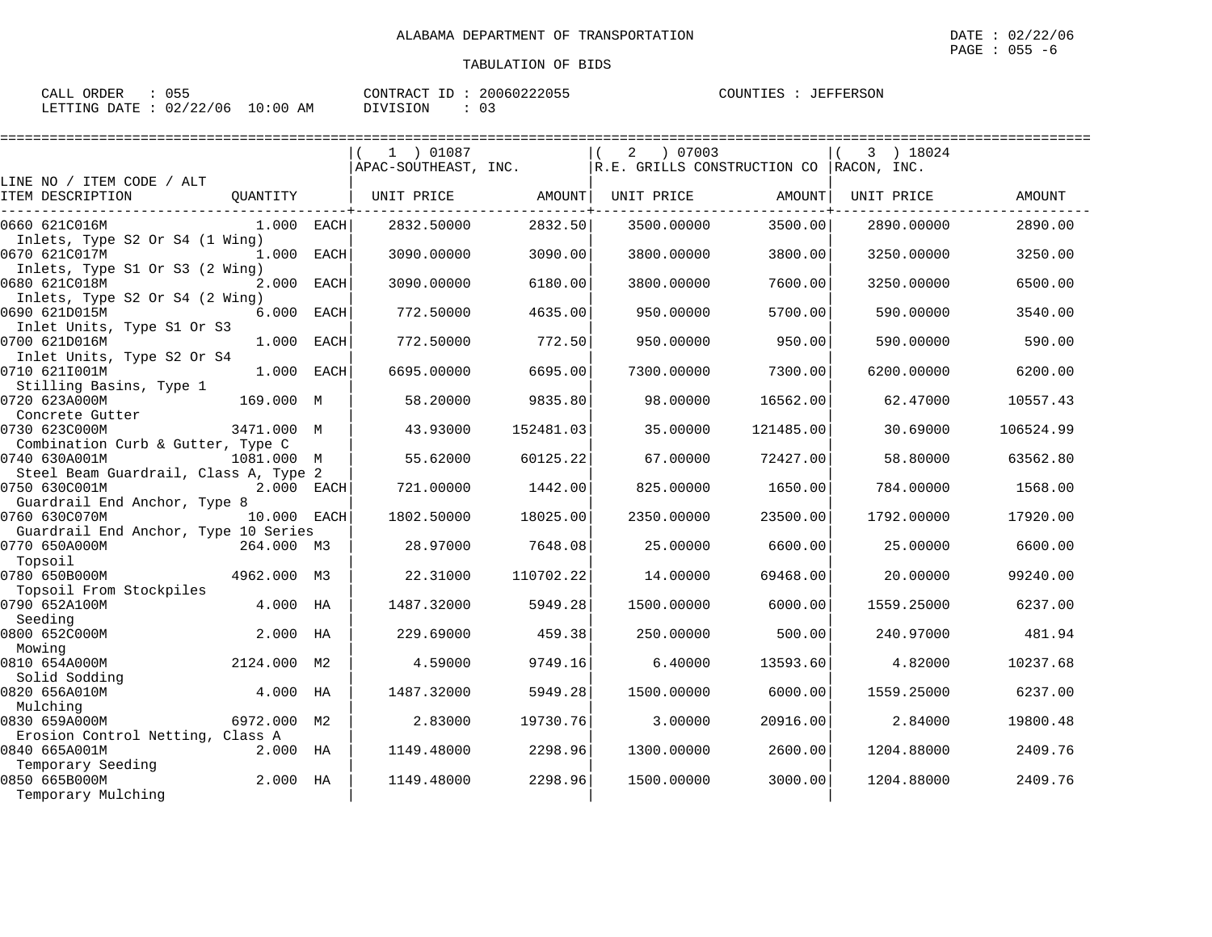| ORDER<br>CALL          | 055   | 20060222055<br>CONTRACT<br>ID | JEFFERSON<br>COUNTIES |
|------------------------|-------|-------------------------------|-----------------------|
| LETTING DATE: 02/22/06 | 10:00 | <b>DIVISION</b>               |                       |
|                        | ΆM    |                               |                       |

|                                                                          | 1 ) 01087            |           | 07003<br>2                              |           | 3 ) 18024  |           |
|--------------------------------------------------------------------------|----------------------|-----------|-----------------------------------------|-----------|------------|-----------|
|                                                                          | APAC-SOUTHEAST, INC. |           | R.E. GRILLS CONSTRUCTION CO RACON, INC. |           |            |           |
| LINE NO / ITEM CODE / ALT<br>ITEM DESCRIPTION<br>OUANTITY                | UNIT PRICE           | AMOUNT    | UNIT PRICE                              | AMOUNT    | UNIT PRICE | AMOUNT    |
| 0660 621C016M<br>$1.000$ EACH                                            | 2832.50000           | 2832.50   | 3500.00000                              | 3500.00   | 2890.00000 | 2890.00   |
| Inlets, Type S2 Or S4 (1 Wing)<br>0670 621C017M<br>1.000 EACH            | 3090.00000           | 3090.00   | 3800.00000                              | 3800.00   | 3250.00000 | 3250.00   |
| Inlets, Type S1 Or S3 (2 Wing)<br>0680 621C018M<br>2.000 EACH            | 3090.00000           | 6180.00   | 3800.00000                              | 7600.00   | 3250.00000 | 6500.00   |
| Inlets, Type S2 Or S4 (2 Wing)<br>0690 621D015M<br>6.000<br>EACH         | 772.50000            | 4635.00   | 950.00000                               | 5700.00   | 590.00000  | 3540.00   |
| Inlet Units, Type S1 Or S3<br>0700 621D016M<br>1.000 EACH                | 772.50000            | 772.50    | 950.00000                               | 950.00    | 590.00000  | 590.00    |
| Inlet Units, Type S2 Or S4<br>1.000<br>0710 621I001M<br>EACH             | 6695.00000           | 6695.00   | 7300.00000                              | 7300.00   | 6200.00000 | 6200.00   |
| Stilling Basins, Type 1<br>0720 623A000M<br>169.000 M<br>Concrete Gutter | 58.20000             | 9835.80   | 98.00000                                | 16562.00  | 62.47000   | 10557.43  |
| 0730 623C000M<br>3471.000 M<br>Combination Curb & Gutter, Type C         | 43.93000             | 152481.03 | 35.00000                                | 121485.00 | 30.69000   | 106524.99 |
| 0740 630A001M<br>1081.000 M<br>Steel Beam Guardrail, Class A, Type 2     | 55.62000             | 60125.22  | 67.00000                                | 72427.00  | 58.80000   | 63562.80  |
| 0750 630C001M<br>2.000 EACH<br>Guardrail End Anchor, Type 8              | 721.00000            | 1442.00   | 825.00000                               | 1650.00   | 784.00000  | 1568.00   |
| 0760 630C070M<br>10.000 EACH                                             | 1802.50000           | 18025.00  | 2350.00000                              | 23500.00  | 1792.00000 | 17920.00  |
| Guardrail End Anchor, Type 10 Series<br>0770 650A000M<br>264.000 M3      | 28.97000             | 7648.08   | 25.00000                                | 6600.00   | 25.00000   | 6600.00   |
| Topsoil<br>0780 650B000M<br>4962.000 M3                                  | 22.31000             | 110702.22 | 14,00000                                | 69468.00  | 20,00000   | 99240.00  |
| Topsoil From Stockpiles<br>0790 652A100M<br>4.000 HA                     | 1487.32000           | 5949.28   | 1500.00000                              | 6000.00   | 1559.25000 | 6237.00   |
| Seeding<br>0800 652C000M<br>2.000 HA                                     | 229.69000            | 459.38    | 250.00000                               | 500.00    | 240.97000  | 481.94    |
| Mowing<br>0810 654A000M<br>2124.000 M2                                   | 4.59000              | 9749.16   | 6.40000                                 | 13593.60  | 4.82000    | 10237.68  |
| Solid Sodding<br>0820 656A010M<br>4.000 HA                               | 1487.32000           | 5949.28   | 1500.00000                              | 6000.00   | 1559.25000 | 6237.00   |
| Mulching<br>6972.000 M2<br>0830 659A000M                                 | 2.83000              | 19730.76  | 3.00000                                 | 20916.00  | 2.84000    | 19800.48  |
| Erosion Control Netting, Class A<br>0840 665A001M<br>2.000 HA            | 1149.48000           | 2298.96   | 1300.00000                              | 2600.00   | 1204.88000 | 2409.76   |
| Temporary Seeding<br>0850 665B000M<br>2.000 HA<br>Temporary Mulching     | 1149.48000           | 2298.96   | 1500.00000                              | 3000.00   | 1204.88000 | 2409.76   |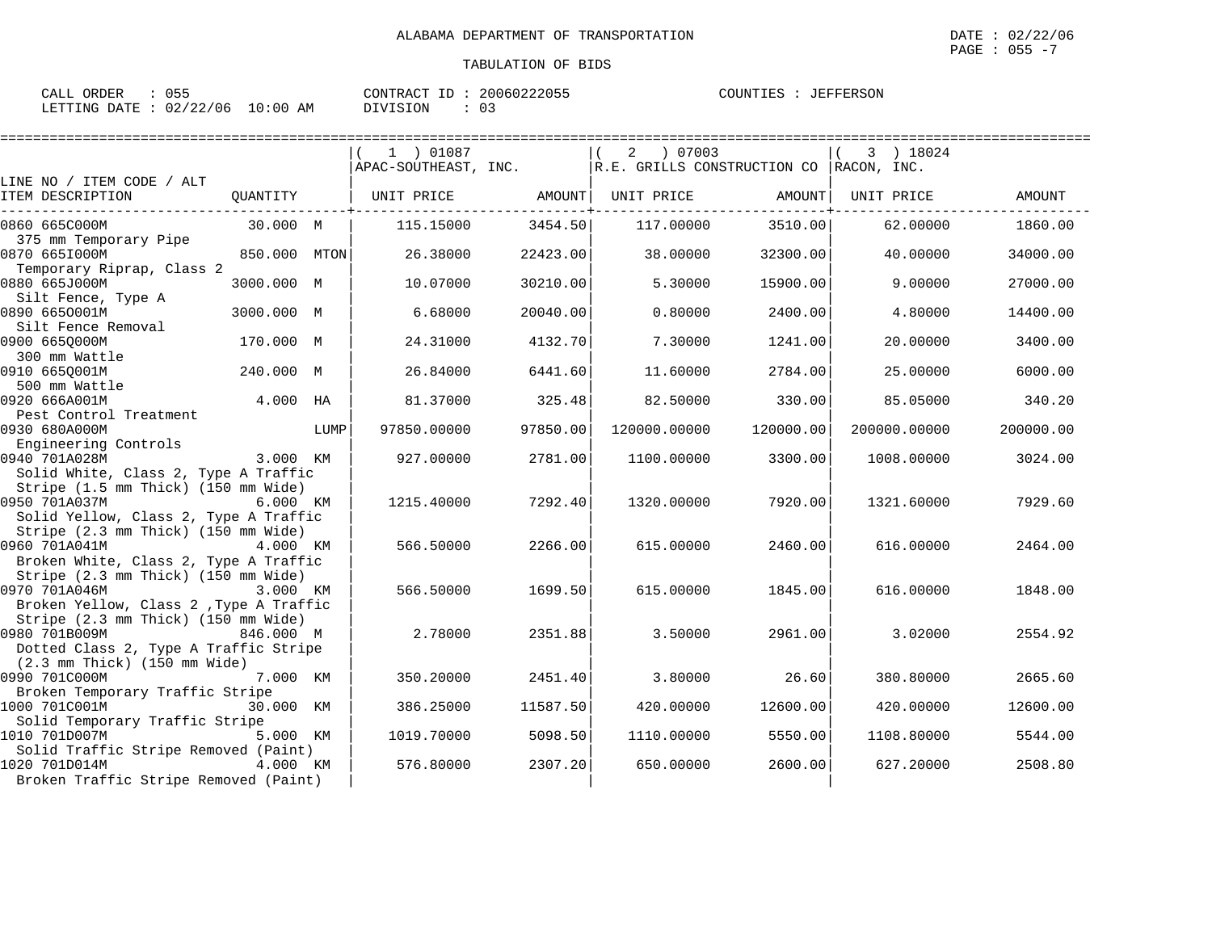| 055<br>CALL ORDER                | CONTRACT ID: 20060222055 |      | COUNTIES : JEFFERSON |
|----------------------------------|--------------------------|------|----------------------|
| LETTING DATE : 02/22/06 10:00 AM | DIVISION                 | - 03 |                      |

|                                                                                                            |              |      | 1 ) 01087            |          | 07003<br>2                  |           | 3 ) 18024    |           |
|------------------------------------------------------------------------------------------------------------|--------------|------|----------------------|----------|-----------------------------|-----------|--------------|-----------|
| LINE NO / ITEM CODE / ALT                                                                                  |              |      | APAC-SOUTHEAST, INC. |          | R.E. GRILLS CONSTRUCTION CO |           | RACON, INC.  |           |
| ITEM DESCRIPTION                                                                                           | OUANTITY     |      | UNIT PRICE           | AMOUNT   | UNIT PRICE                  | AMOUNT    | UNIT PRICE   | AMOUNT    |
| 0860 665C000M                                                                                              | 30.000 M     |      | 115.15000            | 3454.50  | 117.00000                   | 3510.00   | 62.00000     | 1860.00   |
| 375 mm Temporary Pipe<br>0870 665I000M                                                                     | 850.000 MTON |      | 26.38000             | 22423.00 | 38.00000                    | 32300.00  | 40.00000     | 34000.00  |
| Temporary Riprap, Class 2<br>0880 665J000M                                                                 | 3000.000 M   |      | 10.07000             | 30210.00 | 5.30000                     | 15900.00  | 9.00000      | 27000.00  |
| Silt Fence, Type A<br>0890 6650001M                                                                        | 3000.000 M   |      | 6.68000              | 20040.00 | 0.80000                     | 2400.00   | 4.80000      | 14400.00  |
| Silt Fence Removal<br>0900 6650000M                                                                        | 170.000 M    |      | 24.31000             | 4132.70  | 7.30000                     | 1241.00   | 20.00000     | 3400.00   |
| 300 mm Wattle<br>0910 665Q001M                                                                             | 240.000 M    |      | 26.84000             | 6441.60  | 11.60000                    | 2784.00   | 25.00000     | 6000.00   |
| 500 mm Wattle<br>0920 666A001M                                                                             | $4.000$ HA   |      | 81.37000             | 325.48   | 82.50000                    | 330.00    | 85.05000     | 340.20    |
| Pest Control Treatment<br>0930 680A000M                                                                    |              | LUMP | 97850.00000          | 97850.00 | 120000.00000                | 120000.00 | 200000.00000 | 200000.00 |
| Engineering Controls<br>0940 701A028M<br>Solid White, Class 2, Type A Traffic                              | 3.000 KM     |      | 927.00000            | 2781.00  | 1100.00000                  | 3300.00   | 1008.00000   | 3024.00   |
| Stripe (1.5 mm Thick) (150 mm Wide)<br>0950 701A037M<br>Solid Yellow, Class 2, Type A Traffic              | 6.000 KM     |      | 1215.40000           | 7292.40  | 1320.00000                  | 7920.00   | 1321.60000   | 7929.60   |
| Stripe (2.3 mm Thick) (150 mm Wide)<br>0960 701A041M                                                       | 4.000 KM     |      | 566.50000            | 2266.00  | 615.00000                   | 2460.00   | 616.00000    | 2464.00   |
| Broken White, Class 2, Type A Traffic<br>Stripe (2.3 mm Thick) (150 mm Wide)<br>0970 701A046M              | 3.000 KM     |      | 566.50000            | 1699.50  | 615.00000                   | 1845.00   | 616.00000    | 1848.00   |
| Broken Yellow, Class 2 , Type A Traffic<br>Stripe (2.3 mm Thick) (150 mm Wide)<br>0980 701B009M            | 846.000 M    |      | 2.78000              | 2351.88  | 3.50000                     | 2961.00   | 3.02000      | 2554.92   |
| Dotted Class 2, Type A Traffic Stripe<br>$(2.3 \text{ mm}$ Thick) $(150 \text{ mm}$ Wide)<br>0990 701C000M | 7.000 KM     |      | 350.20000            | 2451.40  | 3.80000                     | 26.60     | 380.80000    | 2665.60   |
| Broken Temporary Traffic Stripe<br>1000 701C001M                                                           | 30.000 KM    |      | 386.25000            | 11587.50 | 420.00000                   | 12600.00  | 420.00000    | 12600.00  |
| Solid Temporary Traffic Stripe<br>1010 701D007M                                                            | 5.000 KM     |      | 1019.70000           | 5098.50  | 1110.00000                  | 5550.00   | 1108.80000   | 5544.00   |
| Solid Traffic Stripe Removed (Paint)<br>1020 701D014M<br>Broken Traffic Stripe Removed (Paint)             | 4.000 KM     |      | 576.80000            | 2307.20  | 650.00000                   | 2600.00   | 627.20000    | 2508.80   |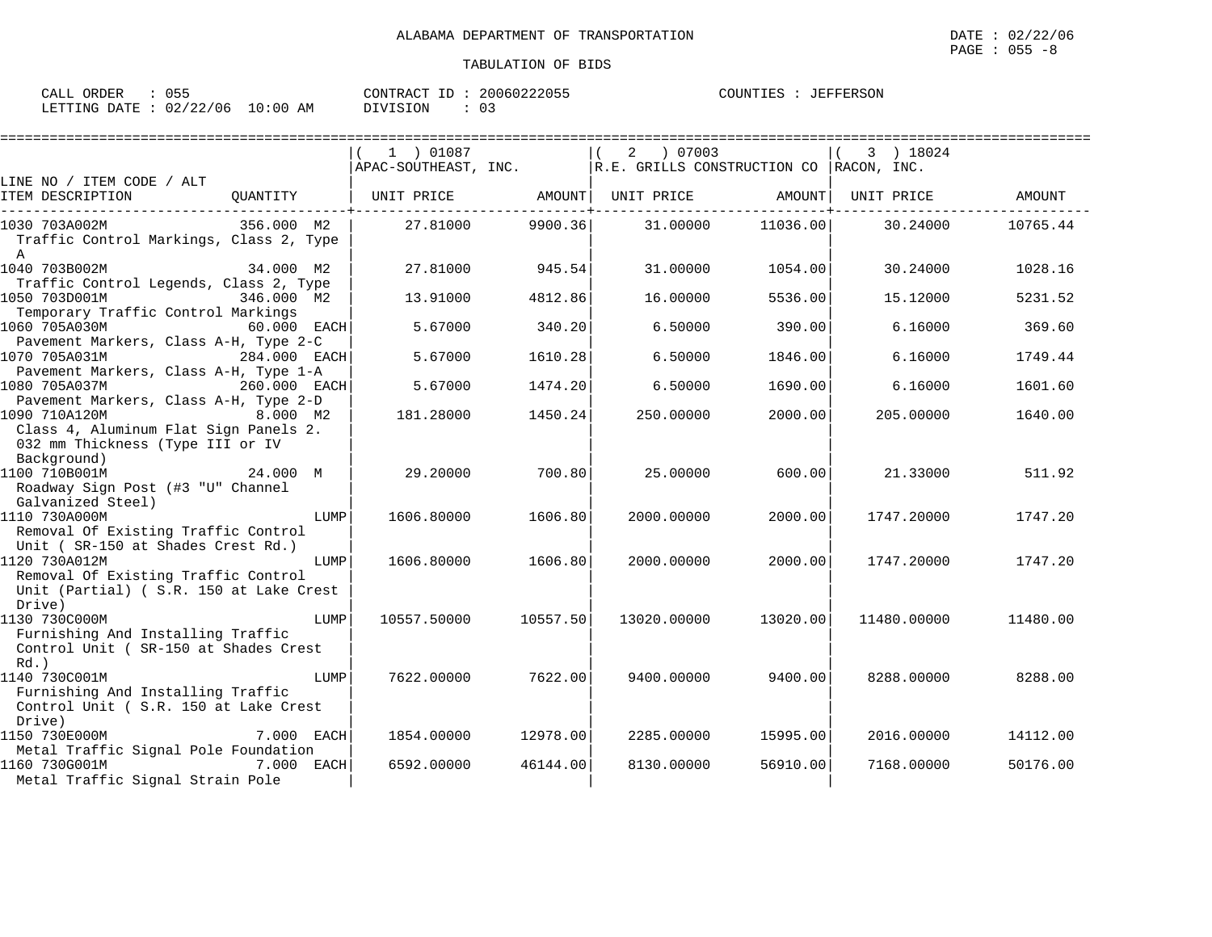| ORDER<br>CALL   | $\sim$ $ -$<br>ט ט |                   | CONTRACT<br>$\tau$<br>CONTRACT | 20060222055<br>. | <b>JEFFERSON</b><br>COUNTIES<br>. FKSOT |
|-----------------|--------------------|-------------------|--------------------------------|------------------|-----------------------------------------|
| LETTING<br>DATE | 02/22<br>/06<br>22 | :00<br>AM<br>⊥ O⊟ | DIVISION                       |                  |                                         |

|                                                                                                                                               |              | ============================= |          |                                                                                                      |          |             |          |
|-----------------------------------------------------------------------------------------------------------------------------------------------|--------------|-------------------------------|----------|------------------------------------------------------------------------------------------------------|----------|-------------|----------|
|                                                                                                                                               |              | 1 ) 01087                     |          | 2 07003                                                                                              |          | 3 ) 18024   |          |
|                                                                                                                                               |              |                               |          | $ $ APAC-SOUTHEAST, INC. $ R.E.$ GRILLS CONSTRUCTION CO $ RACON, INC$ .                              |          |             |          |
| LINE NO / ITEM CODE / ALT<br>ITEM DESCRIPTION                                                                                                 |              |                               |          | QUANTITY   UNIT PRICE AMOUNT  UNIT PRICE AMOUNT <br>. _ _ _ _ _ _ <del>_</del> _ _ _ _ _ _ _ _ _ _ _ |          | UNIT PRICE  | AMOUNT   |
| 1030 703A002M<br>356.000 M2<br>Traffic Control Markings, Class 2, Type<br>$\mathbb{A}$                                                        |              | 27.81000                      | 9900.36  | 31.00000                                                                                             | 11036.00 | 30.24000    | 10765.44 |
| 1040 703B002M<br>Traffic Control Legends, Class 2, Type                                                                                       | 34.000 M2    | 27.81000                      | 945.54   | 31,00000                                                                                             | 1054.00  | 30.24000    | 1028.16  |
| 1050 703D001M<br>Temporary Traffic Control Markings                                                                                           | 346.000 M2   | 13.91000                      | 4812.86  | 16.00000                                                                                             | 5536.00  | 15.12000    | 5231.52  |
| 1060 705A030M<br>Pavement Markers, Class A-H, Type 2-C                                                                                        | 60.000 EACH  | 5.67000                       | 340.20   | 6.50000                                                                                              | 390.00   | 6.16000     | 369.60   |
| 1070 705A031M<br>Pavement Markers, Class A-H, Type 1-A                                                                                        | 284.000 EACH | 5.67000                       | 1610.28  | 6.50000                                                                                              | 1846.00  | 6.16000     | 1749.44  |
| 1080 705A037M<br>260.000 EACH<br>Pavement Markers, Class A-H, Type 2-D                                                                        |              | 5.67000                       | 1474.20  | 6.50000                                                                                              | 1690.00  | 6.16000     | 1601.60  |
| 1090 710A120M<br>8.000 M2<br>Class 4, Aluminum Flat Sign Panels 2.<br>032 mm Thickness (Type III or IV                                        |              | 181.28000                     | 1450.24  | 250.00000                                                                                            | 2000.00  | 205,00000   | 1640.00  |
| Background)<br>1100 710B001M<br>Roadway Sign Post (#3 "U" Channel                                                                             | 24.000 M     | 29,20000                      | 700.80   | 25,00000                                                                                             | 600.00   | 21.33000    | 511.92   |
| Galvanized Steel)<br>1110 730A000M<br>Removal Of Existing Traffic Control                                                                     | LUMP         | 1606.80000                    | 1606.80  | 2000.00000                                                                                           | 2000.00  | 1747.20000  | 1747.20  |
| Unit (SR-150 at Shades Crest Rd.)<br>1120 730A012M<br>Removal Of Existing Traffic Control<br>Unit (Partial) (S.R. 150 at Lake Crest<br>Drive) | LUMP         | 1606.80000                    | 1606.80  | 2000.00000                                                                                           | 2000.00  | 1747.20000  | 1747.20  |
| 1130 730C000M<br>Furnishing And Installing Traffic<br>Control Unit ( SR-150 at Shades Crest<br>$Rd.$ )                                        | LUMP         | 10557.50000                   | 10557.50 | 13020.00000                                                                                          | 13020.00 | 11480.00000 | 11480.00 |
| 1140 730C001M<br>Furnishing And Installing Traffic<br>Control Unit ( S.R. 150 at Lake Crest<br>Drive)                                         | LUMP         | 7622.00000                    | 7622.00  | 9400.00000                                                                                           | 9400.00  | 8288.00000  | 8288.00  |
| 1150 730E000M<br>Metal Traffic Signal Pole Foundation                                                                                         | 7.000 EACH   | 1854.00000                    | 12978.00 | 2285.00000                                                                                           | 15995.00 | 2016.00000  | 14112.00 |
| 1160 730G001M<br>Metal Traffic Signal Strain Pole                                                                                             | 7.000 EACH   | 6592.00000                    | 46144.00 | 8130.00000                                                                                           | 56910.00 | 7168.00000  | 50176.00 |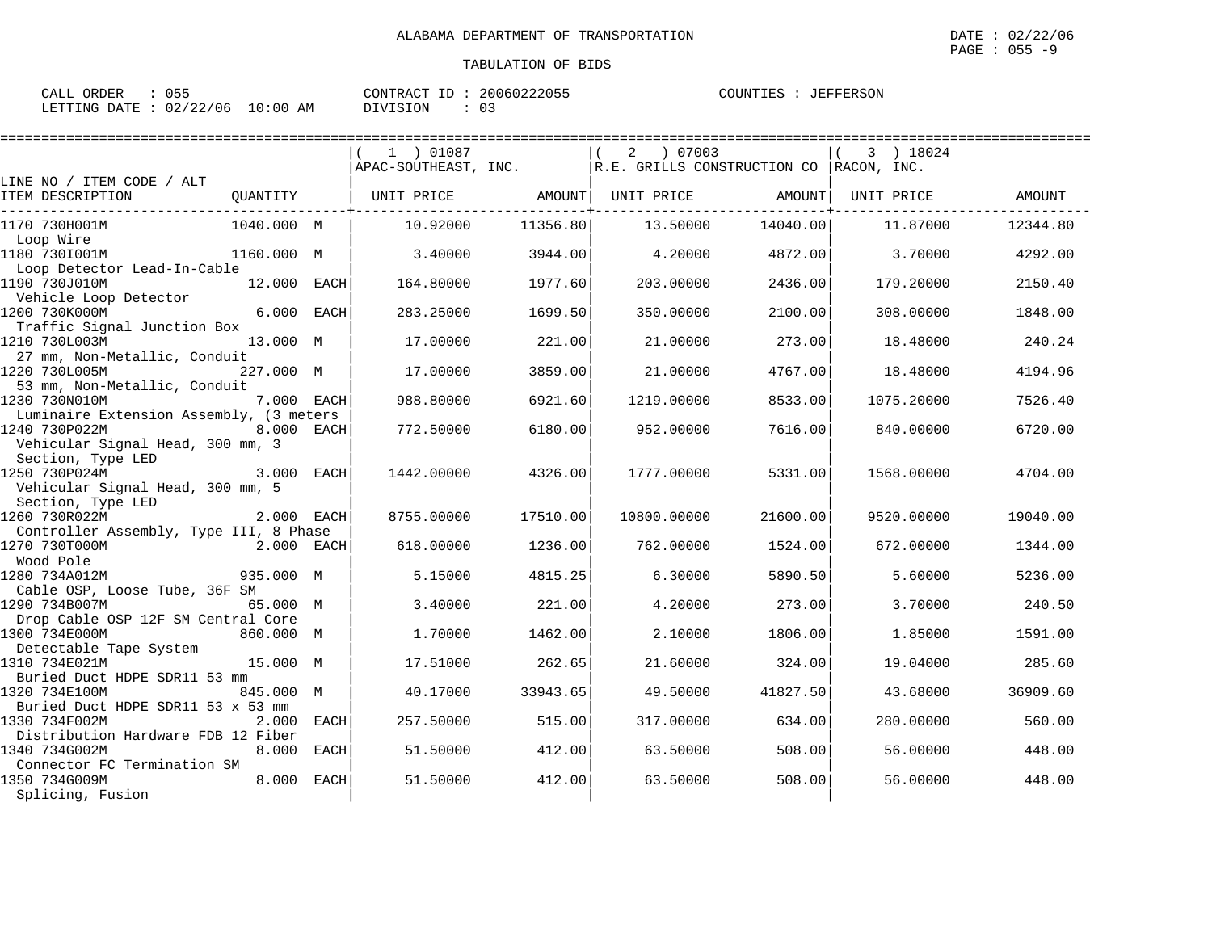| $\therefore$ 055<br>CALL ORDER   |          | CONTRACT ID: 20060222055 | COUNTIES : JEFFERSON |
|----------------------------------|----------|--------------------------|----------------------|
| LETTING DATE : 02/22/06 10:00 AM | DIVISION |                          |                      |

|                                                          |             |             | 1 ) 01087            |          | 2<br>07003                                    |          | 3 ) 18024  |          |
|----------------------------------------------------------|-------------|-------------|----------------------|----------|-----------------------------------------------|----------|------------|----------|
|                                                          |             |             | APAC-SOUTHEAST, INC. |          | $ R.E.$ GRILLS CONSTRUCTION CO $ RACON, INC.$ |          |            |          |
| LINE NO / ITEM CODE / ALT                                |             |             |                      |          |                                               |          |            |          |
| ITEM DESCRIPTION                                         | QUANTITY    |             | UNIT PRICE           | AMOUNT   | UNIT PRICE                                    | AMOUNT   | UNIT PRICE | AMOUNT   |
| 1170 730H001M                                            | 1040.000 M  |             | 10.92000             | 11356.80 | 13.50000                                      | 14040.00 | 11.87000   | 12344.80 |
| Loop Wire<br>1180 7301001M                               | 1160.000 M  |             | 3.40000              | 3944.00  | 4.20000                                       | 4872.00  | 3.70000    | 4292.00  |
| Loop Detector Lead-In-Cable                              |             |             |                      |          |                                               |          |            |          |
| 1190 730J010M<br>Vehicle Loop Detector                   | 12.000 EACH |             | 164.80000            | 1977.60  | 203.00000                                     | 2436.00  | 179.20000  | 2150.40  |
| 1200 730K000M                                            | 6.000 EACH  |             | 283.25000            | 1699.50  | 350.00000                                     | 2100.00  | 308.00000  | 1848.00  |
| Traffic Signal Junction Box<br>1210 730L003M             | 13.000 M    |             | 17.00000             | 221.00   | 21.00000                                      | 273.00   | 18.48000   | 240.24   |
| 27 mm, Non-Metallic, Conduit<br>1220 730L005M            | 227.000 M   |             | 17.00000             | 3859.00  | 21,00000                                      | 4767.00  | 18.48000   | 4194.96  |
| 53 mm, Non-Metallic, Conduit<br>1230 730N010M            | 7.000 EACH  |             | 988.80000            | 6921.60  | 1219.00000                                    | 8533.00  | 1075.20000 | 7526.40  |
| Luminaire Extension Assembly, (3 meters<br>1240 730P022M | 8.000 EACH  |             | 772.50000            | 6180.00  | 952.00000                                     | 7616.00  | 840.00000  | 6720.00  |
| Vehicular Signal Head, 300 mm, 3<br>Section, Type LED    |             |             |                      |          |                                               |          |            |          |
| 1250 730P024M                                            | 3.000 EACH  |             | 1442.00000           | 4326.00  | 1777.00000                                    | 5331.00  | 1568.00000 | 4704.00  |
| Vehicular Signal Head, 300 mm, 5<br>Section, Type LED    |             |             |                      |          |                                               |          |            |          |
| 1260 730R022M                                            | 2.000 EACH  |             | 8755.00000           | 17510.00 | 10800.00000                                   | 21600.00 | 9520.00000 | 19040.00 |
| Controller Assembly, Type III, 8 Phase                   |             |             |                      |          |                                               |          |            |          |
| 1270 730T000M                                            | 2.000 EACH  |             | 618.00000            | 1236.00  | 762.00000                                     | 1524.00  | 672.00000  | 1344.00  |
| Wood Pole                                                |             |             |                      |          |                                               |          |            |          |
| 1280 734A012M<br>Cable OSP, Loose Tube, 36F SM           | 935.000 M   |             | 5.15000              | 4815.25  | 6.30000                                       | 5890.50  | 5.60000    | 5236.00  |
| 1290 734B007M                                            | 65.000 M    |             | 3.40000              | 221.00   | 4.20000                                       | 273.00   | 3.70000    | 240.50   |
| Drop Cable OSP 12F SM Central Core                       |             |             |                      |          |                                               |          |            |          |
| 1300 734E000M                                            | 860.000 M   |             | 1.70000              | 1462.00  | 2.10000                                       | 1806.00  | 1.85000    | 1591.00  |
| Detectable Tape System                                   |             |             |                      |          |                                               |          |            |          |
| 1310 734E021M                                            | 15.000 M    |             | 17.51000             | 262.65   | 21,60000                                      | 324.00   | 19.04000   | 285.60   |
| Buried Duct HDPE SDR11 53 mm<br>1320 734E100M            | 845.000 M   |             | 40.17000             | 33943.65 | 49.50000                                      | 41827.50 | 43.68000   | 36909.60 |
| Buried Duct HDPE SDR11 53 x 53 mm                        |             |             |                      |          |                                               |          |            |          |
| 1330 734F002M                                            | 2.000 EACH  |             | 257.50000            | 515.00   | 317.00000                                     | 634.00   | 280.00000  | 560.00   |
| Distribution Hardware FDB 12 Fiber                       |             |             |                      |          |                                               |          |            |          |
| 1340 734G002M                                            | 8.000       | <b>EACH</b> | 51.50000             | 412.00   | 63.50000                                      | 508.00   | 56.00000   | 448.00   |
| Connector FC Termination SM<br>1350 734G009M             | 8,000       | EACH        | 51.50000             | 412.00   | 63.50000                                      | 508.00   | 56,00000   | 448.00   |
| Splicing, Fusion                                         |             |             |                      |          |                                               |          |            |          |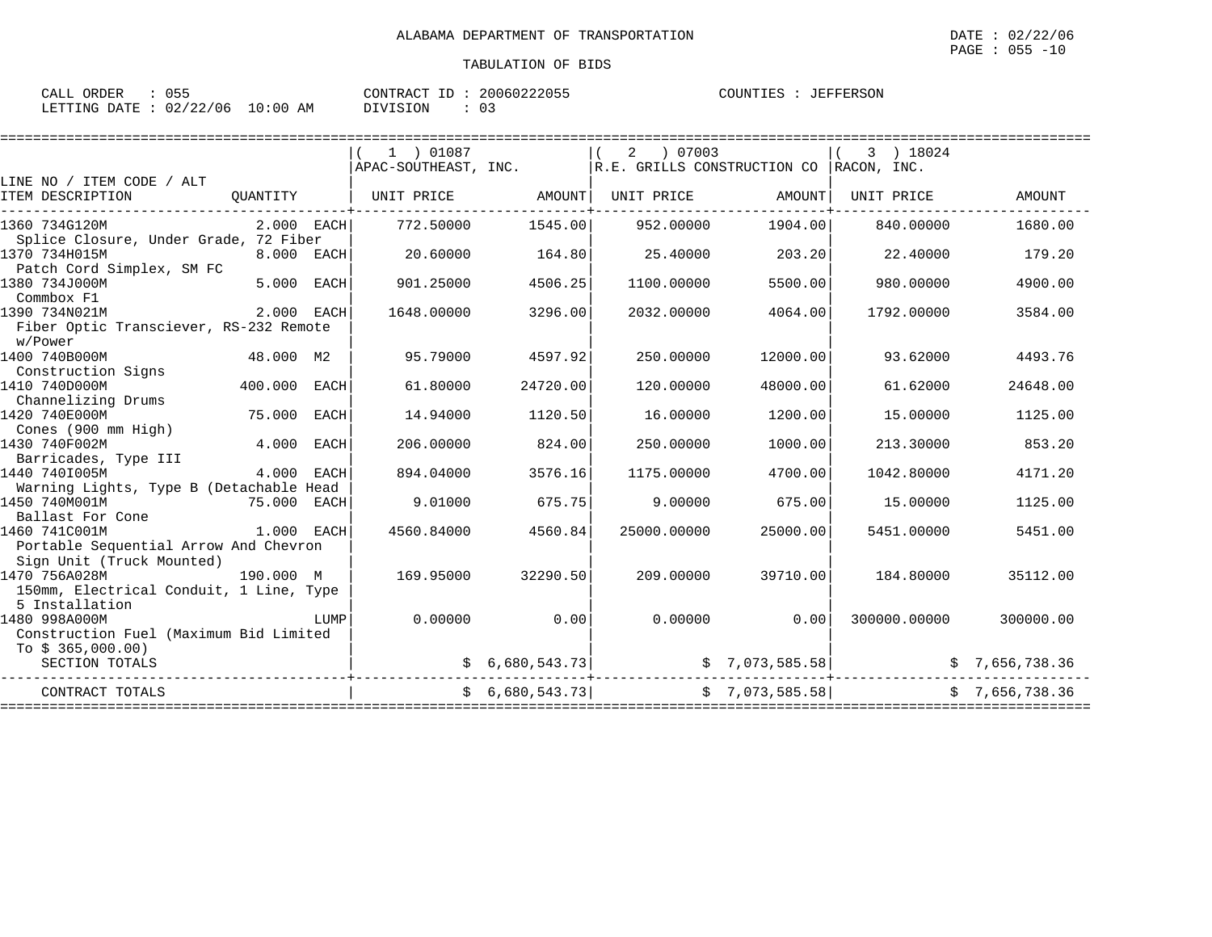| CALL ORDER                       | : 055 |          | CONTRACT ID: 20060222055 | COUNTIES : JEFFERSON |
|----------------------------------|-------|----------|--------------------------|----------------------|
| LETTING DATE : 02/22/06 10:00 AM |       | DIVISION |                          |                      |

|                                         |              |             | 1 ) 01087            |                | 2<br>07003                                  |          | 3 ) 18024          |                |
|-----------------------------------------|--------------|-------------|----------------------|----------------|---------------------------------------------|----------|--------------------|----------------|
|                                         |              |             | APAC-SOUTHEAST, INC. |                | R.E. GRILLS CONSTRUCTION CO RACON, INC.     |          |                    |                |
| LINE NO / ITEM CODE / ALT               |              |             |                      |                |                                             |          |                    |                |
| ITEM DESCRIPTION                        | QUANTITY     |             | UNIT PRICE           | AMOUNT         | UNIT PRICE                                  | AMOUNT   | UNIT PRICE         | <b>AMOUNT</b>  |
| 1360 734G120M                           | $2.000$ EACH |             | 772.50000            | 1545.00        | 952.00000                                   | 1904.00  | 840.00000          | 1680.00        |
| Splice Closure, Under Grade, 72 Fiber   |              |             |                      |                |                                             |          |                    |                |
| 1370 734H015M                           | 8.000 EACH   |             | 20.60000             | 164.80         | 25.40000                                    | 203.20   | 22.40000           | 179.20         |
| Patch Cord Simplex, SM FC               |              |             |                      |                |                                             |          |                    |                |
| 1380 734J000M                           | 5.000        | EACH        | 901.25000            | 4506.25        | 1100.00000                                  | 5500.00  | 980.00000          | 4900.00        |
| Commbox F1                              |              |             |                      |                |                                             |          |                    |                |
| 1390 734N021M                           | 2.000 EACH   |             | 1648.00000           | 3296.00        | 2032.00000                                  | 4064.00  | 1792.00000         | 3584.00        |
| Fiber Optic Transciever, RS-232 Remote  |              |             |                      |                |                                             |          |                    |                |
| w/Power                                 |              |             |                      |                |                                             |          |                    |                |
| 1400 740B000M                           | 48.000 M2    |             | 95.79000             | 4597.92        | 250.00000                                   | 12000.00 | 93.62000           | 4493.76        |
| Construction Signs                      |              |             |                      |                |                                             |          |                    |                |
| 1410 740D000M                           | 400.000      | EACH        | 61.80000             | 24720.00       | 120.00000                                   | 48000.00 | 61.62000           | 24648.00       |
| Channelizing Drums                      |              |             |                      |                |                                             |          |                    |                |
| 1420 740E000M                           | 75.000       | EACH        | 14.94000             | 1120.50        | 16,00000                                    | 1200.00  | 15,00000           | 1125.00        |
| Cones (900 mm High)                     |              |             |                      |                |                                             |          |                    |                |
| 1430 740F002M                           | 4.000        | <b>EACH</b> | 206,00000            | 824.00         | 250.00000                                   | 1000.00  | 213.30000          | 853.20         |
| Barricades, Type III                    |              |             |                      |                |                                             |          |                    |                |
| 1440 7401005M                           | 4.000 EACH   |             | 894.04000            | 3576.16        | 1175.00000                                  | 4700.00  | 1042.80000         | 4171.20        |
| Warning Lights, Type B (Detachable Head |              |             |                      |                |                                             |          |                    |                |
| 1450 740M001M                           | 75.000 EACH  |             | 9.01000              | 675.75         | 9.00000                                     | 675.00   | 15.00000           | 1125.00        |
| Ballast For Cone                        |              |             |                      |                |                                             |          |                    |                |
| 1460 741C001M                           | 1.000 EACH   |             | 4560.84000           | 4560.84        | 25000.00000                                 | 25000.00 | 5451.00000         | 5451.00        |
| Portable Sequential Arrow And Chevron   |              |             |                      |                |                                             |          |                    |                |
| Sign Unit (Truck Mounted)               |              |             |                      |                |                                             |          |                    |                |
| 1470 756A028M                           | 190.000 M    |             | 169.95000            | 32290.50       | 209.00000                                   | 39710.00 | 184.80000          | 35112.00       |
| 150mm, Electrical Conduit, 1 Line, Type |              |             |                      |                |                                             |          |                    |                |
| 5 Installation                          |              |             |                      |                |                                             |          |                    |                |
| 1480 998A000M                           |              | LUMP        | 0.00000              | 0.00           | 0.00000                                     | 0.00     | 300000.00000       | 300000.00      |
| Construction Fuel (Maximum Bid Limited  |              |             |                      |                |                                             |          |                    |                |
| To $$365,000.00)$                       |              |             |                      |                |                                             |          |                    |                |
| SECTION TOTALS                          |              |             |                      |                | $\sharp$ 6,680,543.73 $\sharp$ 7,073,585.58 |          |                    | \$7,656,738.36 |
| CONTRACT TOTALS                         |              |             |                      | \$6,680,543.73 | \$7,073,585.58                              |          |                    | \$7,656,738.36 |
|                                         |              |             |                      |                | ================                            |          | ================== |                |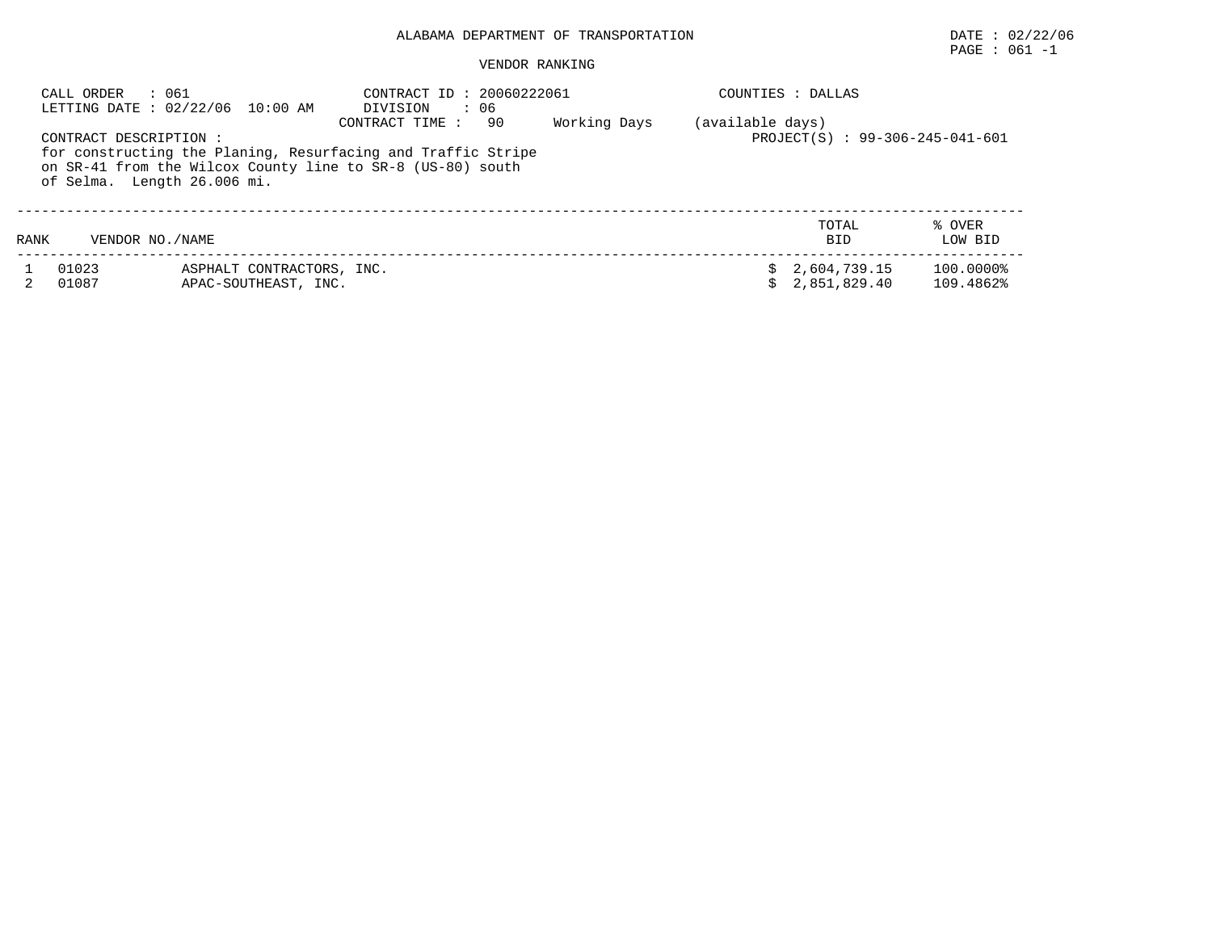# PAGE : 061 -1

|      | : 061<br>CALL ORDER                                                                                                                                                                                                         | LETTING DATE: 02/22/06 10:00 AM                   | CONTRACT ID: 20060222061<br>DIVISION : 06 |  | COUNTIES : DALLAS |                                                     |                        |  |
|------|-----------------------------------------------------------------------------------------------------------------------------------------------------------------------------------------------------------------------------|---------------------------------------------------|-------------------------------------------|--|-------------------|-----------------------------------------------------|------------------------|--|
|      | Working Days<br>CONTRACT TIME :<br>90<br>CONTRACT DESCRIPTION:<br>for constructing the Planing, Resurfacing and Traffic Stripe<br>on SR-41 from the Wilcox County line to SR-8 (US-80) south<br>of Selma. Length 26.006 mi. |                                                   |                                           |  |                   | (available days)<br>PROJECT(S) : 99-306-245-041-601 |                        |  |
| RANK | VENDOR NO. / NAME                                                                                                                                                                                                           |                                                   |                                           |  |                   | TOTAL<br><b>BID</b>                                 | % OVER<br>LOW BID      |  |
|      | 01023<br>01087                                                                                                                                                                                                              | ASPHALT CONTRACTORS, INC.<br>APAC-SOUTHEAST, INC. |                                           |  |                   | 2,604,739.15<br>2,851,829.40                        | 100.0000%<br>109.4862% |  |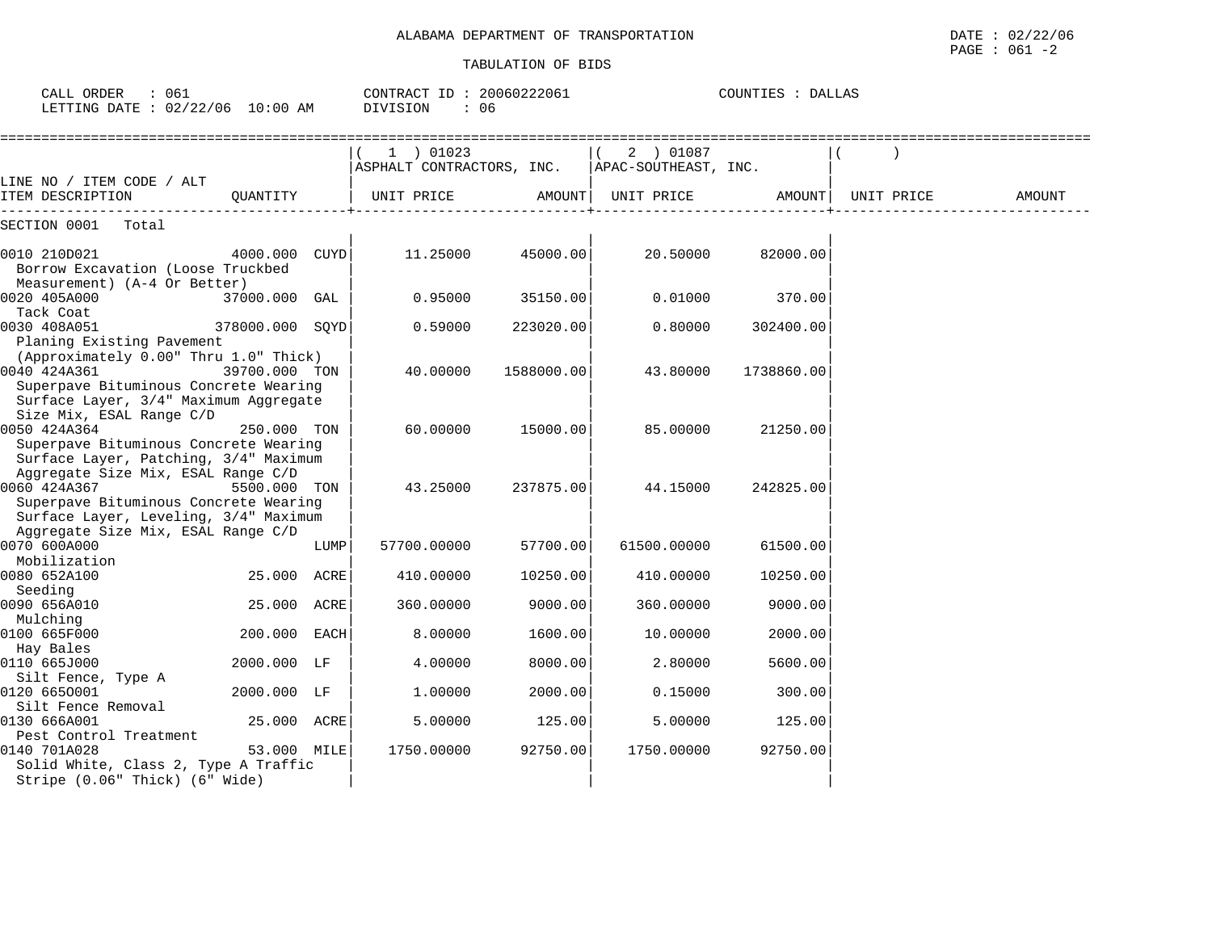| CALL ORDER : 061<br>LETTING DATE : 02/22/06 10:00 AM                                                                                                                          |                 |      | CONTRACT ID: 20060222061<br>DIVISION<br>: 06                                |            |                    | COUNTIES : DALLAS  |        |
|-------------------------------------------------------------------------------------------------------------------------------------------------------------------------------|-----------------|------|-----------------------------------------------------------------------------|------------|--------------------|--------------------|--------|
|                                                                                                                                                                               |                 |      | 1 ) 01023<br>$\vert$ ASPHALT CONTRACTORS, INC. $\vert$ APAC-SOUTHEAST, INC. |            | $(2)$ 01087        |                    |        |
| LINE NO / ITEM CODE / ALT<br>ITEM DESCRIPTION                                                                                                                                 | OUANTITY        |      | UNIT PRICE                                                                  |            | AMOUNT  UNIT PRICE | AMOUNT  UNIT PRICE | AMOUNT |
| SECTION 0001 Total                                                                                                                                                            |                 |      |                                                                             |            |                    |                    |        |
| 0010 210D021<br>Borrow Excavation (Loose Truckbed<br>Measurement) (A-4 Or Better)                                                                                             | 4000.000 CUYD   |      | 11.25000                                                                    | 45000.00   | 20.50000           | 82000.00           |        |
| 0020 405A000<br>Tack Coat                                                                                                                                                     | 37000.000 GAL   |      | 0.95000                                                                     | 35150.00   | 0.01000            | 370.00             |        |
| 0030 408A051<br>Planing Existing Pavement                                                                                                                                     | 378000.000 SQYD |      | 0.59000                                                                     | 223020.00  | 0.80000            | 302400.00          |        |
| (Approximately 0.00" Thru 1.0" Thick)<br>0040 424A361<br>Superpave Bituminous Concrete Wearing<br>Surface Layer, 3/4" Maximum Aggregate                                       | 39700.000 TON   |      | 40.00000                                                                    | 1588000.00 | 43.80000           | 1738860.00         |        |
| Size Mix, ESAL Range C/D<br>0050 424A364<br>Superpave Bituminous Concrete Wearing                                                                                             | 250.000 TON     |      | 60.00000                                                                    | 15000.00   | 85.00000           | 21250.00           |        |
| Surface Layer, Patching, 3/4" Maximum<br>Aggregate Size Mix, ESAL Range C/D<br>0060 424A367<br>Superpave Bituminous Concrete Wearing<br>Surface Layer, Leveling, 3/4" Maximum | 5500.000 TON    |      | 43.25000                                                                    | 237875.00  | 44.15000           | 242825.00          |        |
| Aggregate Size Mix, ESAL Range C/D<br>0070 600A000                                                                                                                            |                 | LUMP | 57700.00000                                                                 | 57700.00   | 61500.00000        | 61500.00           |        |
| Mobilization<br>0080 652A100<br>Seeding                                                                                                                                       | 25.000 ACRE     |      | 410.00000                                                                   | 10250.00   | 410.00000          | 10250.00           |        |
| 0090 656A010<br>Mulching                                                                                                                                                      | 25.000 ACRE     |      | 360.00000                                                                   | 9000.00    | 360.00000          | 9000.00            |        |
| 0100 665F000<br>Hay Bales                                                                                                                                                     | 200.000 EACH    |      | 8.00000                                                                     | 1600.00    | 10.00000           | 2000.00            |        |
| 0110 665J000<br>Silt Fence, Type A                                                                                                                                            | 2000.000 LF     |      | 4.00000                                                                     | 8000.00    | 2.80000            | 5600.00            |        |
| 0120 6650001<br>Silt Fence Removal                                                                                                                                            | 2000.000 LF     |      | 1,00000                                                                     | 2000.00    | 0.15000            | 300.00             |        |
| 0130 666A001                                                                                                                                                                  | 25.000 ACRE     |      | 5.00000                                                                     | 125.00     | 5.00000            | 125.00             |        |
| Pest Control Treatment<br>0140 701A028<br>Solid White, Class 2, Type A Traffic<br>Stripe (0.06" Thick) (6" Wide)                                                              | 53.000 MILE     |      | 1750.00000                                                                  | 92750.00   | 1750.00000         | 92750.00           |        |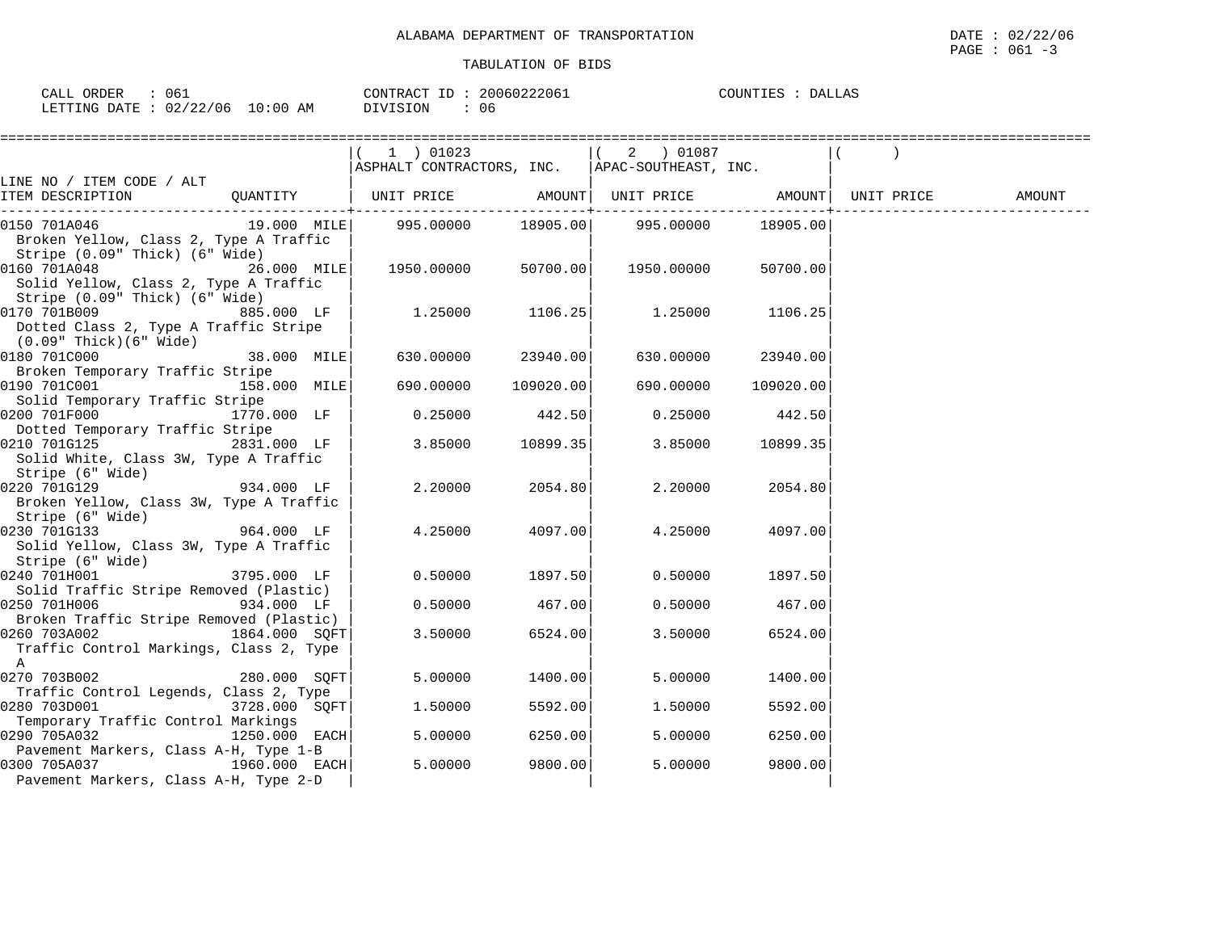| 06⊥<br>RDER<br>$-$<br>.                                                                                                   |                        | `ONTR A (<br>$\pi$ $\cap$ | .<br>. .<br>U O T<br>. | ⊃ ∆.<br>ודריה.<br>$\Delta$<br>டங<br>--- |
|---------------------------------------------------------------------------------------------------------------------------|------------------------|---------------------------|------------------------|-----------------------------------------|
| $\sim$ $\sim$<br>$\sim$ $\sim$<br>$\ldots$ F.T.T.T.N.<br>╷╷∆┯┯<br>NG.<br>$\overline{\phantom{a}}$<br>∠∠<br>ັບ 4<br>$\sim$ | . 0 : 0 0<br>ΑM<br>.06 | <b>TON</b>                | U6                     |                                         |

|                                                |               | $1$ ) 01023                                     |                | 2 ) 01087  |           |        |
|------------------------------------------------|---------------|-------------------------------------------------|----------------|------------|-----------|--------|
|                                                |               | ASPHALT CONTRACTORS, INC.  APAC-SOUTHEAST, INC. |                |            |           |        |
| LINE NO / ITEM CODE / ALT                      |               |                                                 |                |            |           | AMOUNT |
|                                                |               |                                                 | -----------+-- |            |           |        |
| 0150 701A046                                   |               |                                                 |                |            | 18905.00  |        |
| Broken Yellow, Class 2, Type A Traffic         |               |                                                 |                |            |           |        |
| Stripe (0.09" Thick) (6" Wide)                 |               |                                                 |                |            |           |        |
| 0160 701A048                                   | $26.000$ MILE | 1950.00000 50700.00                             |                | 1950.00000 | 50700.00  |        |
| Solid Yellow, Class 2, Type A Traffic          |               |                                                 |                |            |           |        |
| Stripe (0.09" Thick) (6" Wide)                 |               |                                                 |                |            |           |        |
| 0170 701B009<br><b>885.000 LF</b>              |               | 1.25000                                         | 1106.25        | 1.25000    | 1106.25   |        |
| Dotted Class 2, Type A Traffic Stripe          |               |                                                 |                |            |           |        |
| (0.09" Thick)(6" Wide)                         |               |                                                 |                |            |           |        |
| 0180 701C000                                   | 38.000 MILE   | 630.00000                                       | 23940.00       | 630.00000  | 23940.00  |        |
| Broken Temporary Traffic Stripe                |               |                                                 |                |            |           |        |
| 158.000 MILE<br>0190 701C001                   |               | 690.00000                                       | 109020.00      | 690.00000  | 109020.00 |        |
| Solid Temporary Traffic Stripe                 |               |                                                 |                |            |           |        |
| 0200 701F000 1770.000 LF                       |               | 0.25000                                         | 442.50         | 0.25000    | 442.50    |        |
| Dotted Temporary Traffic Stripe                |               |                                                 |                |            |           |        |
| 0210 701G125                                   | 2831.000 LF   | 3.85000                                         | 10899.35       | 3.85000    | 10899.35  |        |
| Solid White, Class 3W, Type A Traffic          |               |                                                 |                |            |           |        |
| Stripe (6" Wide)<br>934.000 LF<br>0220 701G129 |               | 2,20000                                         | 2054.80        | 2,20000    | 2054.80   |        |
| Broken Yellow, Class 3W, Type A Traffic        |               |                                                 |                |            |           |        |
| Stripe (6" Wide)                               |               |                                                 |                |            |           |        |
| 0230 701G133                                   | 964.000 LF    | 4.25000                                         | 4097.00        | 4.25000    | 4097.00   |        |
| Solid Yellow, Class 3W, Type A Traffic         |               |                                                 |                |            |           |        |
| Stripe (6" Wide)                               |               |                                                 |                |            |           |        |
| 0240 701H001                                   | 3795.000 LF   | 0.50000                                         | 1897.50        | 0.50000    | 1897.50   |        |
| Solid Traffic Stripe Removed (Plastic)         |               |                                                 |                |            |           |        |
| $934.000$ LF<br>0250 701H006                   |               | 0.50000                                         | 467.00         | 0.50000    | 467.00    |        |
| Broken Traffic Stripe Removed (Plastic)        |               |                                                 |                |            |           |        |
| 0260 703A002                                   | 1864.000 SQFT | 3.50000                                         | 6524.00        | 3.50000    | 6524.00   |        |
| Traffic Control Markings, Class 2, Type        |               |                                                 |                |            |           |        |
| $\mathsf{A}$                                   |               |                                                 |                |            |           |        |
| 0270 703B002                                   | 280.000 SQFT  | 5.00000                                         | 1400.00        | 5.00000    | 1400.00   |        |
| Traffic Control Legends, Class 2, Type         |               |                                                 |                |            |           |        |
| 0280 703D001                                   | 3728.000 SQFT | 1.50000                                         | 5592.00        | 1,50000    | 5592.00   |        |
| Temporary Traffic Control Markings             |               |                                                 |                |            |           |        |
| 0290 705A032                                   | 1250.000 EACH | 5.00000                                         | 6250.00        | 5.00000    | 6250.00   |        |
| Pavement Markers, Class A-H, Type 1-B          |               |                                                 |                |            |           |        |
| 0300 705A037<br>1960.000 EACH                  |               | 5.00000                                         | 9800.00        | 5.00000    | 9800.00   |        |
| Pavement Markers, Class A-H, Type 2-D          |               |                                                 |                |            |           |        |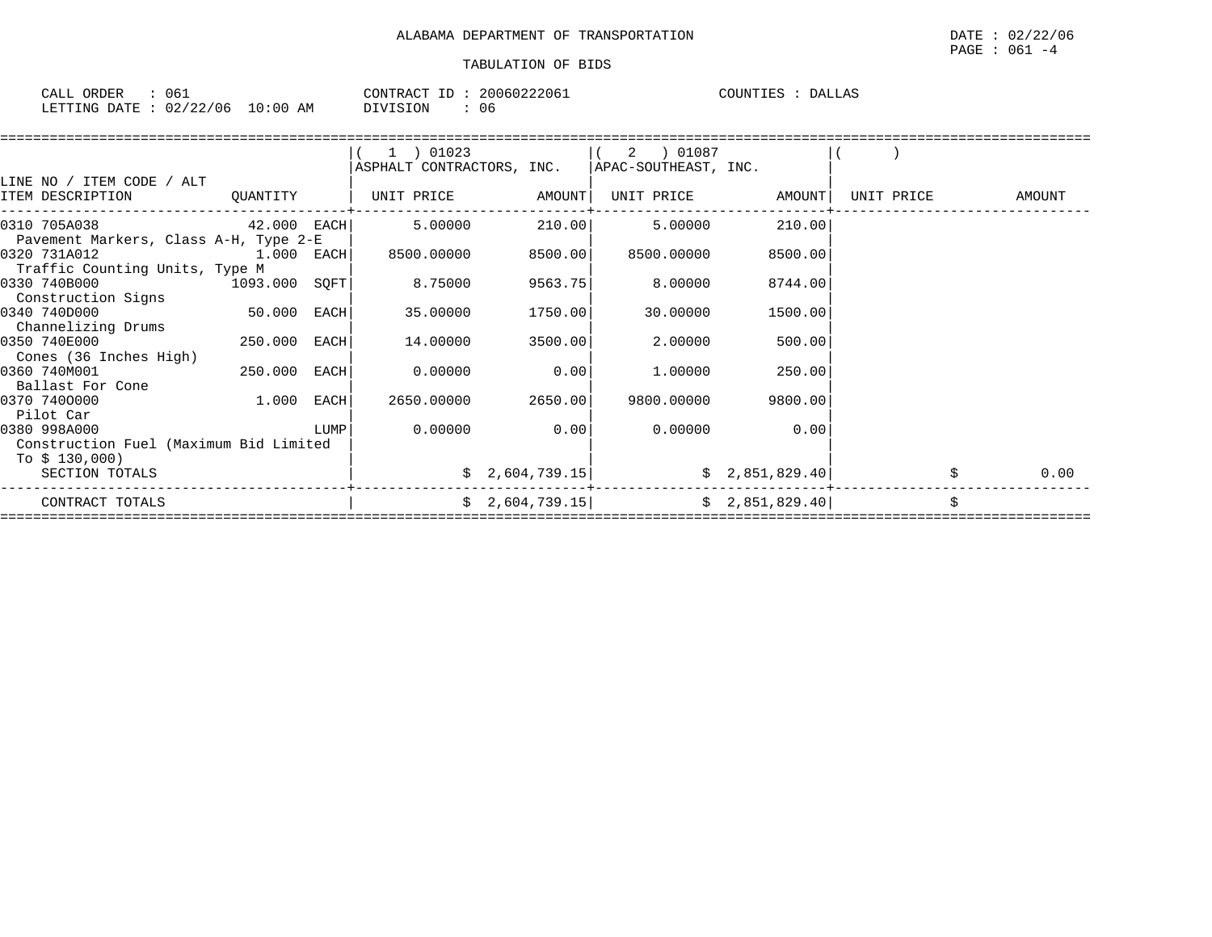| ORDER<br>CALL                    | 061 | CONTRACT ID: | 20060222061 | COUNTIES : | DALLAS |
|----------------------------------|-----|--------------|-------------|------------|--------|
| LETTING DATE : 02/22/06 10:00 AM |     | DIVISION     | 06          |            |        |

|                                        |             |      | $(1)$ 01023                                      |                 | $(2)$ 01087 |                |            |        |
|----------------------------------------|-------------|------|--------------------------------------------------|-----------------|-------------|----------------|------------|--------|
|                                        |             |      | ASPHALT CONTRACTORS, INC.   APAC-SOUTHEAST, INC. |                 |             |                |            |        |
| LINE NO / ITEM CODE / ALT              |             |      |                                                  |                 |             |                |            |        |
| ITEM DESCRIPTION                       | QUANTITY    |      | UNIT PRICE AMOUNT                                |                 | UNIT PRICE  | AMOUNT         | UNIT PRICE | AMOUNT |
| $42.000$ EACH<br>0310 705A038          |             |      | 5.00000                                          | 210.00          | 5.00000     | 210.00         |            |        |
| Pavement Markers, Class A-H, Type 2-E  |             |      |                                                  |                 |             |                |            |        |
| 0320 731A012                           | 1.000 EACH  |      | 8500.00000                                       | 8500.00         | 8500.00000  | 8500.00        |            |        |
| Traffic Counting Units, Type M         |             |      |                                                  |                 |             |                |            |        |
| 0330 740B000<br>1093.000 SQFT          |             |      | 8.75000                                          | 9563.75         | 8.00000     | 8744.00        |            |        |
| Construction Signs                     |             |      |                                                  |                 |             |                |            |        |
| 0340 740D000                           | 50.000 EACH |      | 35.00000                                         | 1750.00         | 30.00000    | 1500.00        |            |        |
| Channelizing Drums                     |             |      |                                                  |                 |             |                |            |        |
| 0350 740E000                           | 250.000     | EACH | 14.00000                                         | 3500.00         | 2.00000     | 500.00         |            |        |
| Cones (36 Inches High)                 |             |      |                                                  |                 |             |                |            |        |
| 0360 740M001                           | 250.000     | EACH | 0.00000                                          | 0.00            | 1.00000     | 250.00         |            |        |
| Ballast For Cone                       |             |      |                                                  |                 |             |                |            |        |
| 0370 7400000                           | 1.000       | EACH | 2650.00000                                       | 2650.00         | 9800.00000  | 9800.00        |            |        |
| Pilot Car<br>0380 998A000              |             | LUMP | 0.00000                                          | 0.00            | 0.00000     | 0.00           |            |        |
| Construction Fuel (Maximum Bid Limited |             |      |                                                  |                 |             |                |            |        |
| To \$ 130,000)                         |             |      |                                                  |                 |             |                |            |        |
| SECTION TOTALS                         |             |      |                                                  | \$2,604,739.15] |             | \$2,851,829.40 |            | 0.00   |
|                                        |             |      |                                                  |                 |             |                |            |        |
| CONTRACT TOTALS                        |             |      |                                                  | \$2,604,739.15] |             | \$2,851,829.40 |            |        |
|                                        |             |      |                                                  |                 |             |                |            |        |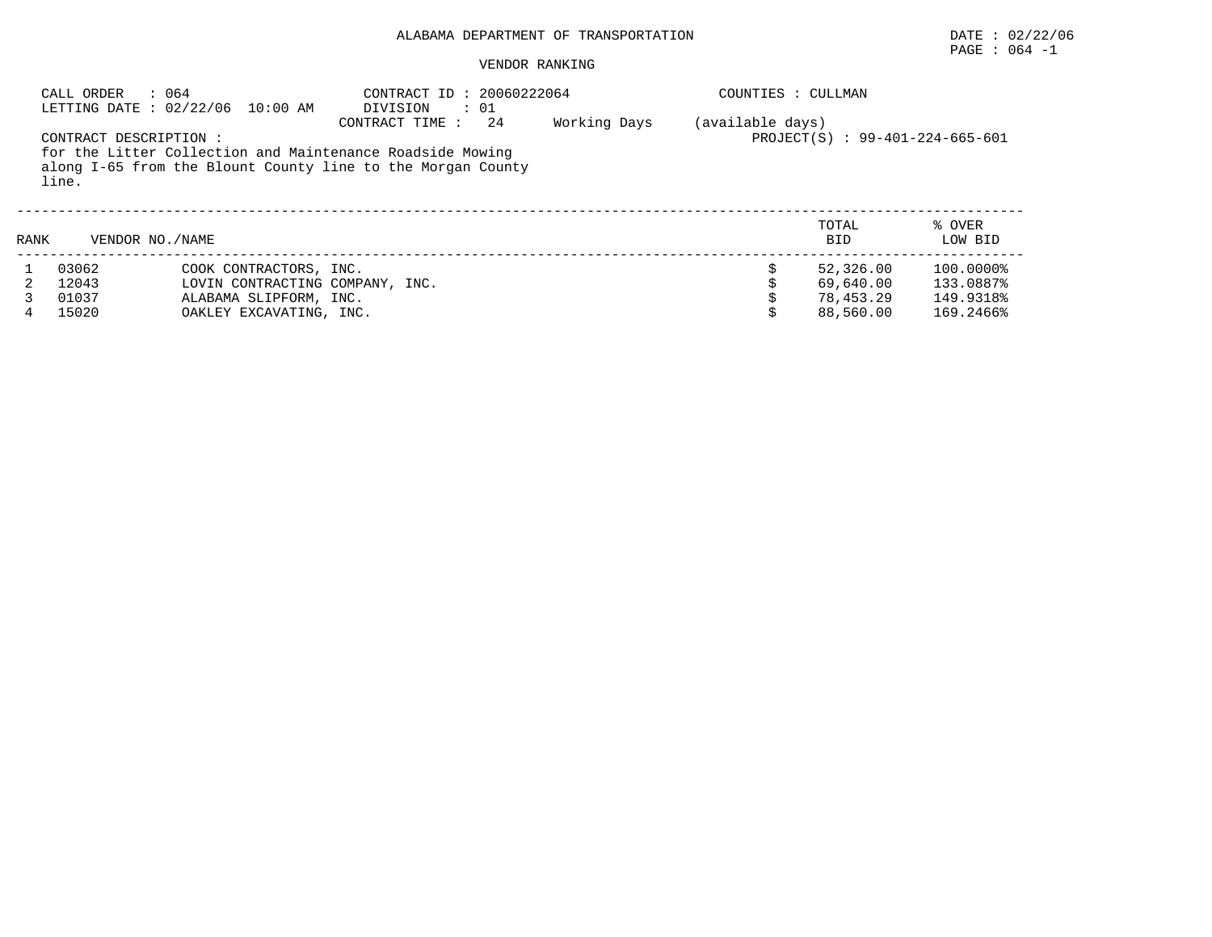# PAGE : 064 -1

|      | : 064<br>CALL ORDER              | LETTING DATE: 02/22/06 10:00 AM                                                                                | CONTRACT ID: 20060222064<br>DIVISION<br>: 01                                                                                                      |              | COUNTIES : CULLMAN |                                                  |                                                  |
|------|----------------------------------|----------------------------------------------------------------------------------------------------------------|---------------------------------------------------------------------------------------------------------------------------------------------------|--------------|--------------------|--------------------------------------------------|--------------------------------------------------|
|      | CONTRACT DESCRIPTION :<br>line.  |                                                                                                                | CONTRACT TIME :<br>24<br>for the Litter Collection and Maintenance Roadside Mowing<br>along I-65 from the Blount County line to the Morgan County | Working Days | (available days)   | PROJECT(S) : 99-401-224-665-601                  |                                                  |
| RANK | VENDOR NO. / NAME                |                                                                                                                |                                                                                                                                                   |              |                    | TOTAL<br><b>BID</b>                              | % OVER<br>LOW BID                                |
| 4    | 03062<br>12043<br>01037<br>15020 | COOK CONTRACTORS, INC.<br>LOVIN CONTRACTING COMPANY, INC.<br>ALABAMA SLIPFORM, INC.<br>OAKLEY EXCAVATING, INC. |                                                                                                                                                   |              |                    | 52,326.00<br>69,640.00<br>78,453.29<br>88,560.00 | 100.0000%<br>133.0887%<br>149.9318%<br>169.2466% |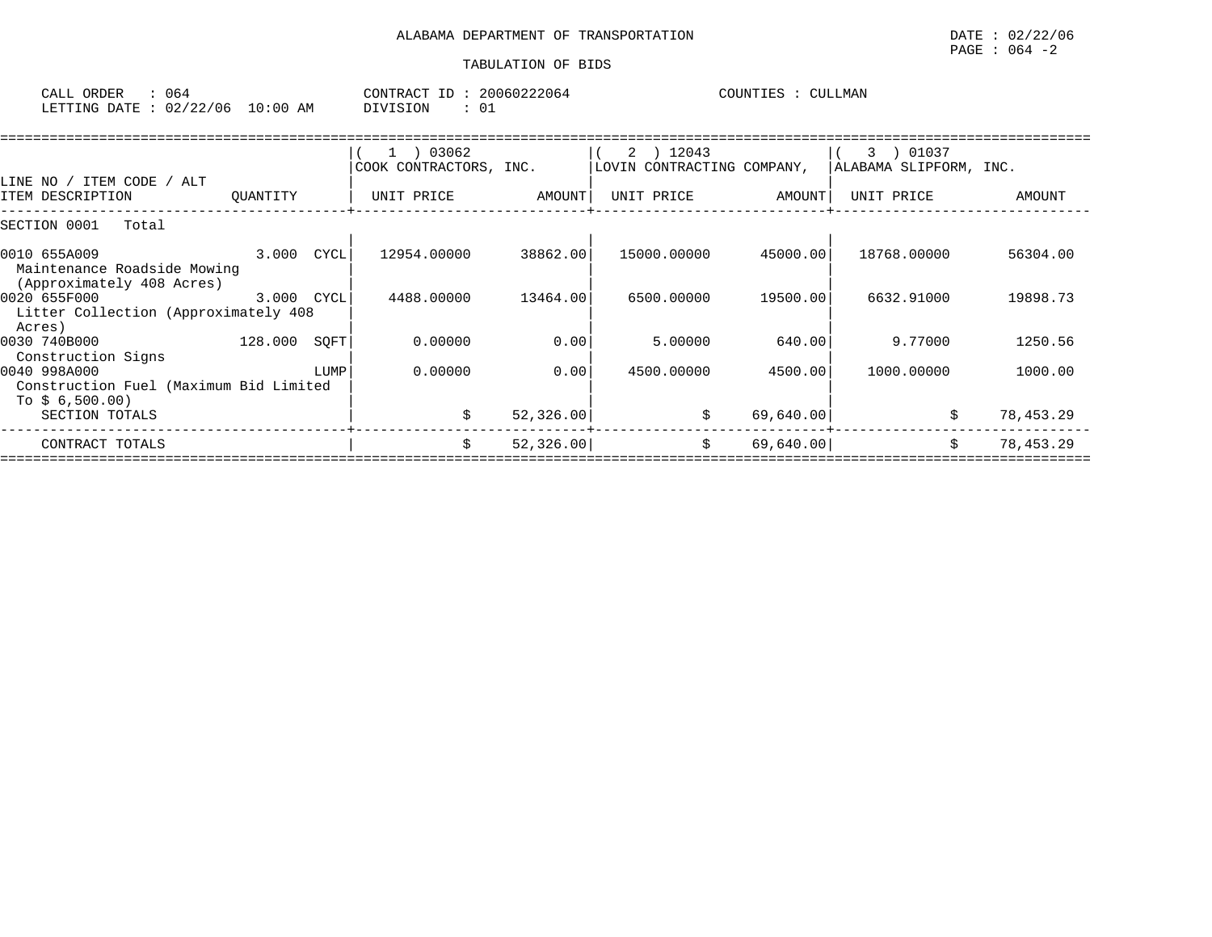| ORDER<br>CALL | J64      |                 | $-1$<br>CONTRACT  | 20060222064 | COUNTIES | LLMAN |
|---------------|----------|-----------------|-------------------|-------------|----------|-------|
| LETTING DATE  | 02/22/06 | . 0 : 0 0<br>AΜ | SION<br>$\lambda$ | ◡∸          |          |       |

| 1 ) 03062                                                                                                      |                                                  | 2 ) 12043                          |                          | 01037<br>3.                |                                                                                                                       |
|----------------------------------------------------------------------------------------------------------------|--------------------------------------------------|------------------------------------|--------------------------|----------------------------|-----------------------------------------------------------------------------------------------------------------------|
|                                                                                                                |                                                  |                                    |                          |                            |                                                                                                                       |
|                                                                                                                |                                                  |                                    |                          |                            |                                                                                                                       |
| UNIT PRICE                                                                                                     | AMOUNT                                           | UNIT PRICE                         |                          | UNIT PRICE                 | AMOUNT                                                                                                                |
|                                                                                                                |                                                  |                                    |                          |                            |                                                                                                                       |
| 12954.00000                                                                                                    | 38862.00                                         | 15000.00000                        |                          | 18768.00000                | 56304.00                                                                                                              |
|                                                                                                                |                                                  |                                    |                          |                            |                                                                                                                       |
|                                                                                                                |                                                  |                                    |                          |                            |                                                                                                                       |
|                                                                                                                |                                                  |                                    |                          |                            | 19898.73                                                                                                              |
|                                                                                                                |                                                  |                                    |                          |                            |                                                                                                                       |
| 0.00000                                                                                                        | 0.00                                             | 5.00000                            |                          | 9.77000                    | 1250.56                                                                                                               |
|                                                                                                                |                                                  |                                    |                          |                            |                                                                                                                       |
| 0.00000                                                                                                        | 0.00                                             | 4500.00000                         |                          | 1000.00000                 | 1000.00                                                                                                               |
|                                                                                                                |                                                  |                                    |                          |                            |                                                                                                                       |
|                                                                                                                |                                                  |                                    |                          |                            |                                                                                                                       |
| Ŝ.                                                                                                             | 52,326.00                                        | \$                                 |                          | Ŝ.                         | 78,453.29                                                                                                             |
| \$                                                                                                             |                                                  | \$                                 |                          | Ŝ.                         | 78,453.29                                                                                                             |
| QUANTITY<br>3.000<br>Litter Collection (Approximately 408<br>128.000<br>Construction Fuel (Maximum Bid Limited | CYCL<br>4488.00000<br>3.000 CYCL<br>SQFT<br>LUMP | COOK CONTRACTORS, INC.<br>13464.00 | 6500.00000<br>52, 326.00 | LOVIN CONTRACTING COMPANY, | ALABAMA SLIPFORM, INC.<br>AMOUNT<br>45000.00<br>19500.00<br>6632.91000<br>640.00<br>4500.00<br>69,640.00<br>69,640.00 |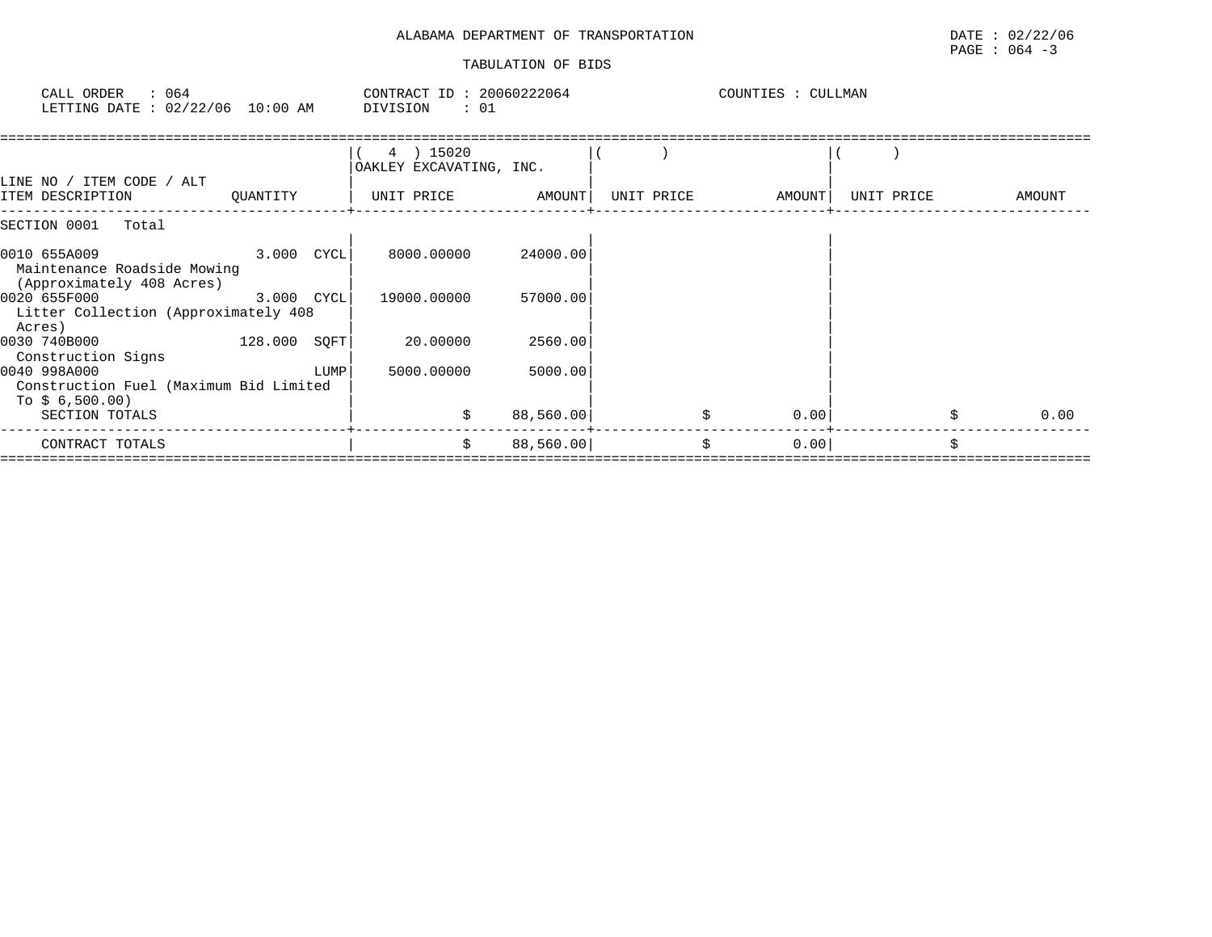# ALABAMA DEPARTMENT OF TRANSPORTATION DATE : 02/22/06 TABULATION OF BIDS

| : 064<br>CALL ORDER<br>LETTING DATE : 02/22/06 10:00 AM                                    | CONTRACT ID: 20060222064<br>DIVISION | : 01                | COUNTIES : CULLMAN |            |            |
|--------------------------------------------------------------------------------------------|--------------------------------------|---------------------|--------------------|------------|------------|
| LINE NO / ITEM CODE / ALT                                                                  | 4 ) 15020<br>OAKLEY EXCAVATING, INC. |                     |                    |            |            |
| ITEM DESCRIPTION<br>QUANTITY                                                               | UNIT PRICE AMOUNT                    |                     | UNIT PRICE AMOUNT  | UNIT PRICE | AMOUNT     |
| SECTION 0001 Total                                                                         |                                      |                     |                    |            |            |
| $3.000$ $CYCL$<br>0010 655A009<br>Maintenance Roadside Mowing<br>(Approximately 408 Acres) |                                      | 8000.00000 24000.00 |                    |            |            |
| 0020 655F000 3.000 CYCL<br>Litter Collection (Approximately 408<br>Acres)                  | 19000.00000                          | 57000.00            |                    |            |            |
| $128.000$ SQFT<br>0030 740B000<br>Construction Signs                                       | 20.00000                             | 2560.00             |                    |            |            |
| 0040 998A000<br>Construction Fuel (Maximum Bid Limited<br>To $$6,500.00)$                  | 5000.00000<br>LUMP                   | 5000.00             |                    |            |            |
| SECTION TOTALS                                                                             |                                      | 88,560.00           | 0.00               |            | \$<br>0.00 |
| CONTRACT TOTALS                                                                            | \$                                   | 88,560.00           | \$<br>0.00         |            | \$         |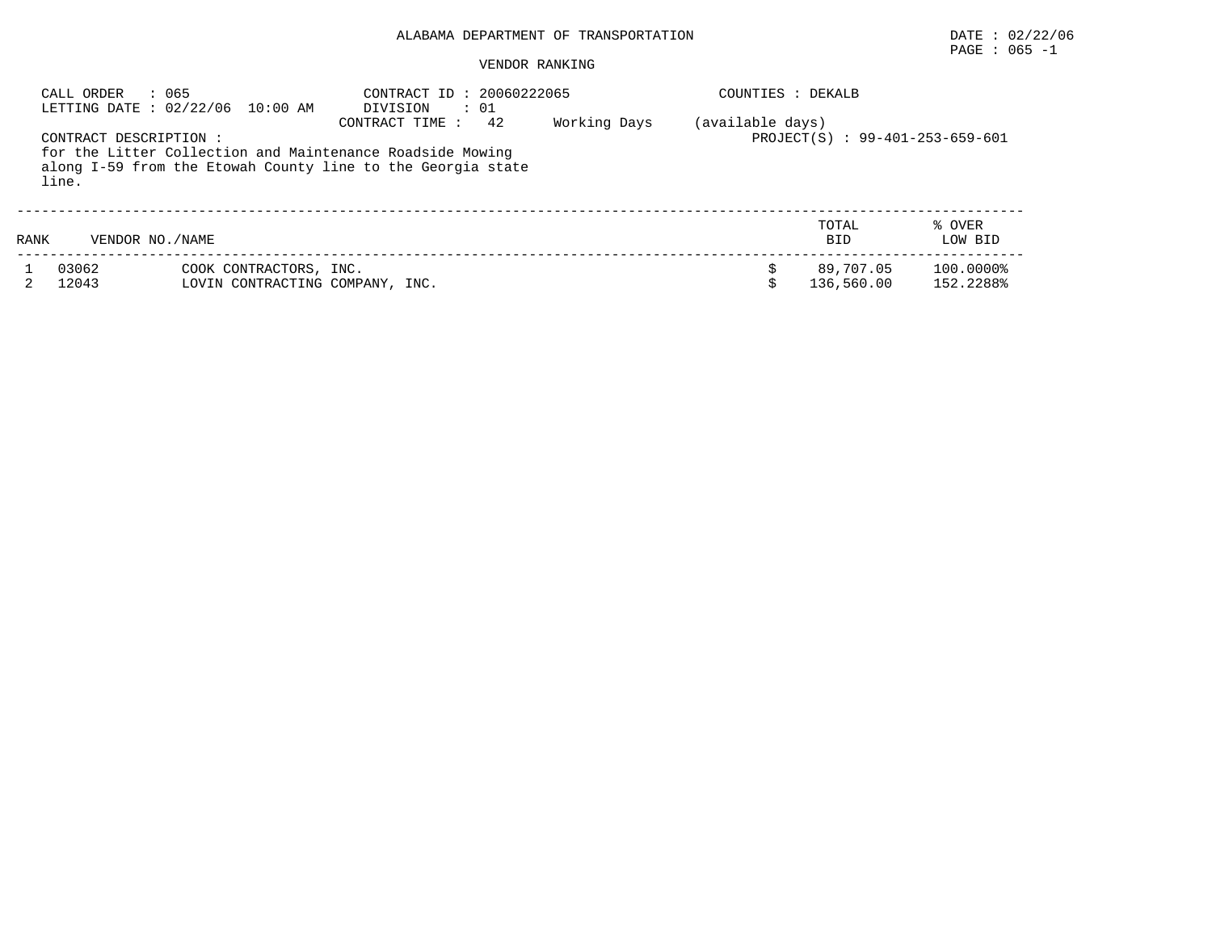# $\texttt{PAGE}$  : 065 -1

| CALL ORDER                     | : 065<br>LETTING DATE : 02/22/06 10:00 AM                 | CONTRACT ID: 20060222065<br>: 01<br>DIVISION                                                                                                     |              | COUNTIES : DEKALB |                                 |                        |
|--------------------------------|-----------------------------------------------------------|--------------------------------------------------------------------------------------------------------------------------------------------------|--------------|-------------------|---------------------------------|------------------------|
| CONTRACT DESCRIPTION:<br>line. |                                                           | 42<br>CONTRACT TIME:<br>for the Litter Collection and Maintenance Roadside Mowing<br>along I-59 from the Etowah County line to the Georgia state | Working Days | (available days)  | PROJECT(S) : 99-401-253-659-601 |                        |
| RANK                           | VENDOR NO. / NAME                                         |                                                                                                                                                  |              |                   | TOTAL<br><b>BID</b>             | % OVER<br>LOW BID      |
| 03062<br>12043                 | COOK CONTRACTORS, INC.<br>LOVIN CONTRACTING COMPANY, INC. |                                                                                                                                                  |              |                   | 89,707.05<br>136,560.00         | 100.0000%<br>152.2288% |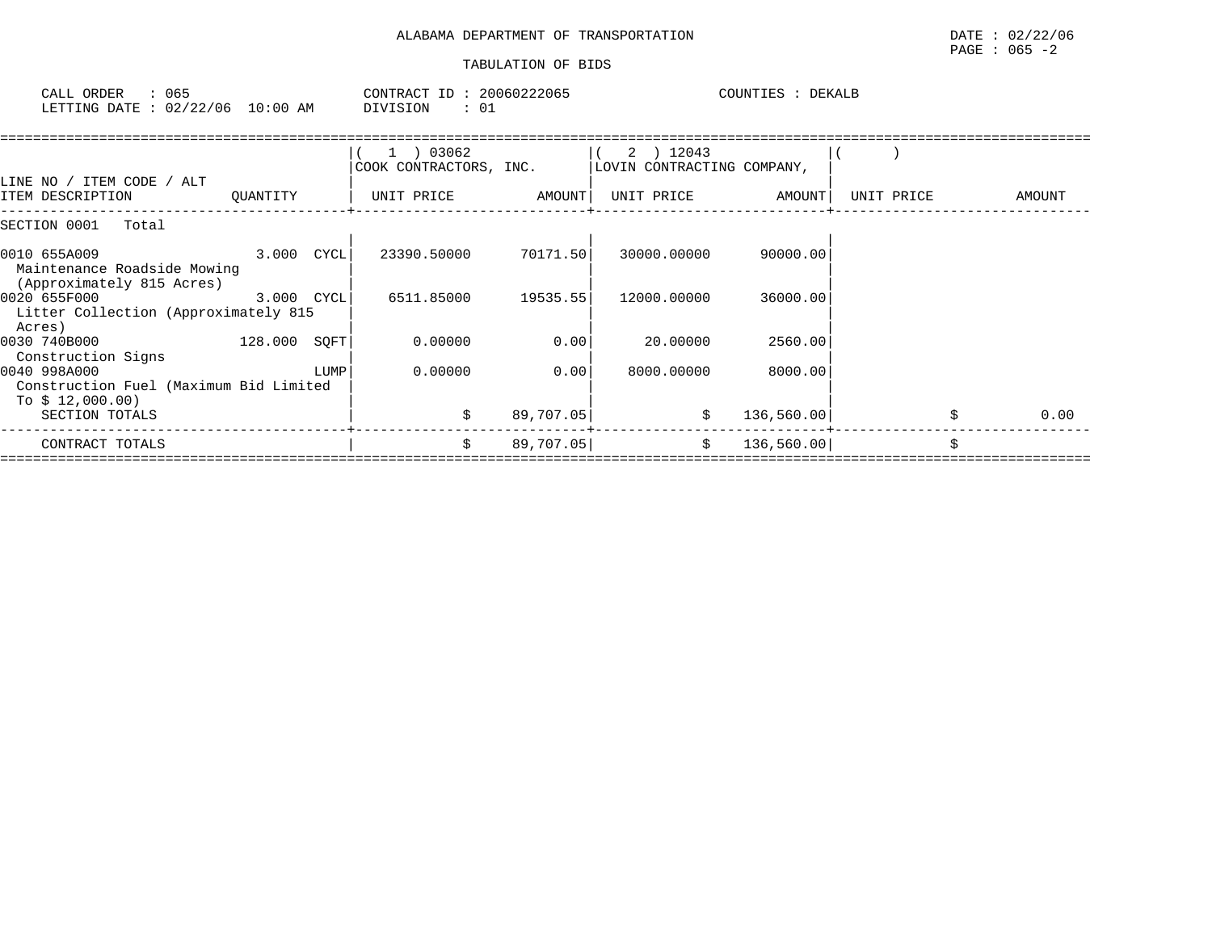| ORDER<br>CALL                    | 065 | CONTRACT ID | 20060222065 | COUNTIES | <b>DEKALB</b> |
|----------------------------------|-----|-------------|-------------|----------|---------------|
| LETTING DATE : 02/22/06 10:00 AM |     | DIVISION    |             |          |               |

|                                                                            |                |      | 1 ) 03062<br>COOK CONTRACTORS, INC. |           | 2 ) 12043<br>LOVIN CONTRACTING COMPANY, |            |            |        |
|----------------------------------------------------------------------------|----------------|------|-------------------------------------|-----------|-----------------------------------------|------------|------------|--------|
| LINE NO / ITEM CODE / ALT<br>ITEM DESCRIPTION                              | OUANTITY       |      | UNIT PRICE                          | AMOUNT    | UNIT PRICE                              | AMOUNT     | UNIT PRICE | AMOUNT |
| SECTION 0001<br>Total                                                      |                |      |                                     |           |                                         |            |            |        |
| 0010 655A009<br>Maintenance Roadside Mowing<br>(Approximately 815 Acres)   | $3.000$ $CYCL$ |      | 23390.50000                         | 70171.50  | 30000.00000                             | 90000.00   |            |        |
| 0020 655F000<br>Litter Collection (Approximately 815<br>Acres)             | 3.000 CYCL     |      | 6511.85000                          | 19535.55  | 12000.00000                             | 36000.00   |            |        |
| 0030 740B000<br>Construction Signs                                         | 128.000 SOFT   |      | 0.00000                             | 0.00      | 20.00000                                | 2560.00    |            |        |
| 0040 998A000<br>Construction Fuel (Maximum Bid Limited<br>To $$12,000.00)$ |                | LUMP | 0.00000                             | 0.001     | 8000.00000                              | 8000.00    |            |        |
| SECTION TOTALS                                                             |                |      | Ŝ.                                  | 89,707.05 | \$                                      | 136,560.00 |            | 0.00   |
| CONTRACT TOTALS                                                            |                |      | Ŝ.                                  | 89,707.05 | \$                                      | 136,560.00 |            |        |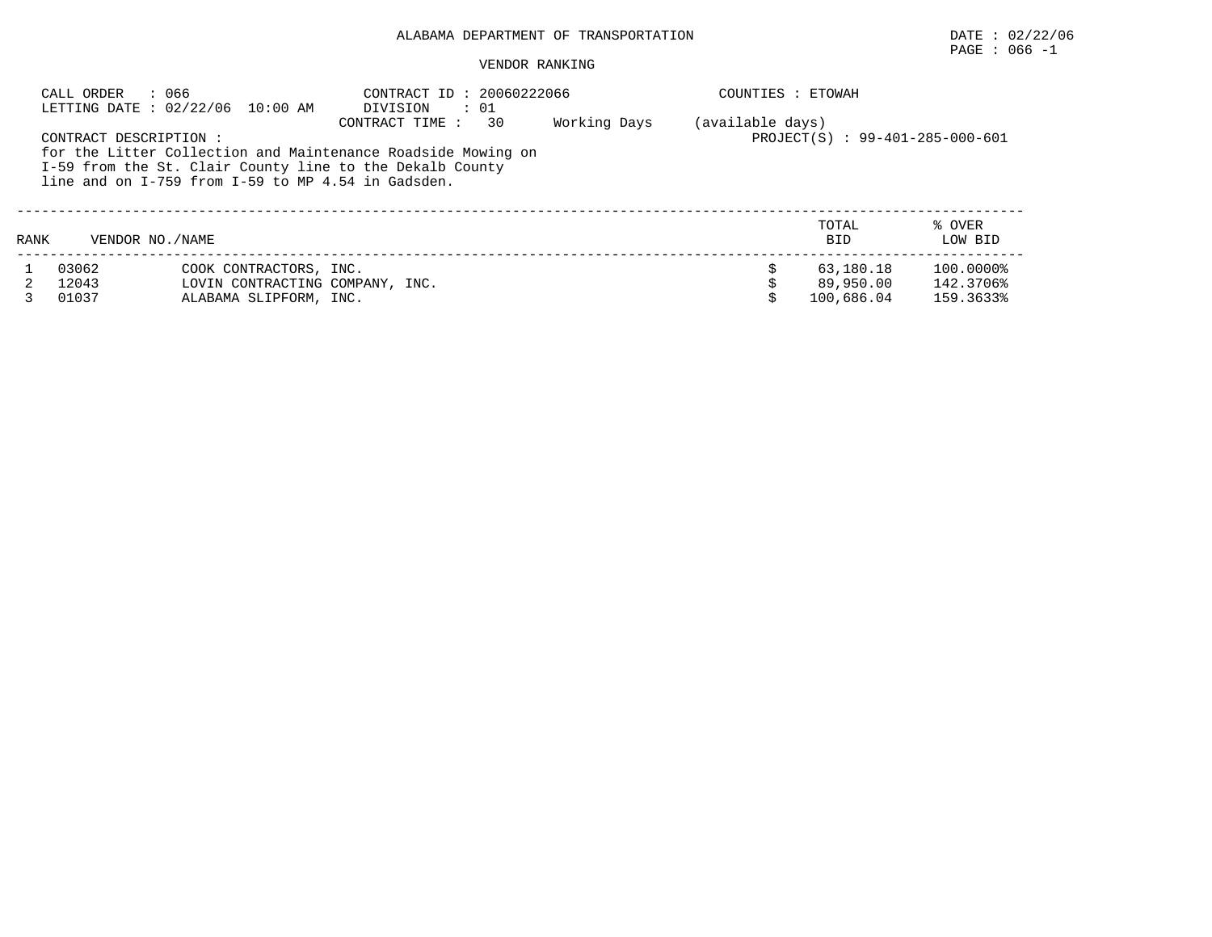# $\texttt{PAGE}$  : 066 -1

|      | CALL ORDER<br>: 066    | LETTING DATE: 02/22/06 10:00 AM                                                                                          | CONTRACT ID: 20060222066<br>DIVISION<br>: 01 |    |              | COUNTIES : ETOWAH |                                 |           |
|------|------------------------|--------------------------------------------------------------------------------------------------------------------------|----------------------------------------------|----|--------------|-------------------|---------------------------------|-----------|
|      | CONTRACT DESCRIPTION : |                                                                                                                          | CONTRACT TIME:                               | 30 | Working Days | (available days)  | PROJECT(S) : 99-401-285-000-601 |           |
|      |                        | for the Litter Collection and Maintenance Roadside Mowing on<br>I-59 from the St. Clair County line to the Dekalb County |                                              |    |              |                   |                                 |           |
|      |                        | line and on $I-759$ from $I-59$ to MP 4.54 in Gadsden.                                                                   |                                              |    |              |                   |                                 |           |
|      |                        |                                                                                                                          |                                              |    |              |                   | TOTAL                           | % OVER    |
| RANK | VENDOR NO. / NAME      |                                                                                                                          |                                              |    |              |                   | <b>BID</b>                      | LOW BID   |
|      | 03062                  | COOK CONTRACTORS, INC.                                                                                                   |                                              |    |              |                   | 63,180.18                       | 100.0000% |
|      | 12043                  | LOVIN CONTRACTING COMPANY, INC.                                                                                          |                                              |    |              |                   | 89,950.00                       | 142.3706% |
|      | 01037                  | ALABAMA SLIPFORM, INC.                                                                                                   |                                              |    |              |                   | 100,686.04                      | 159.3633% |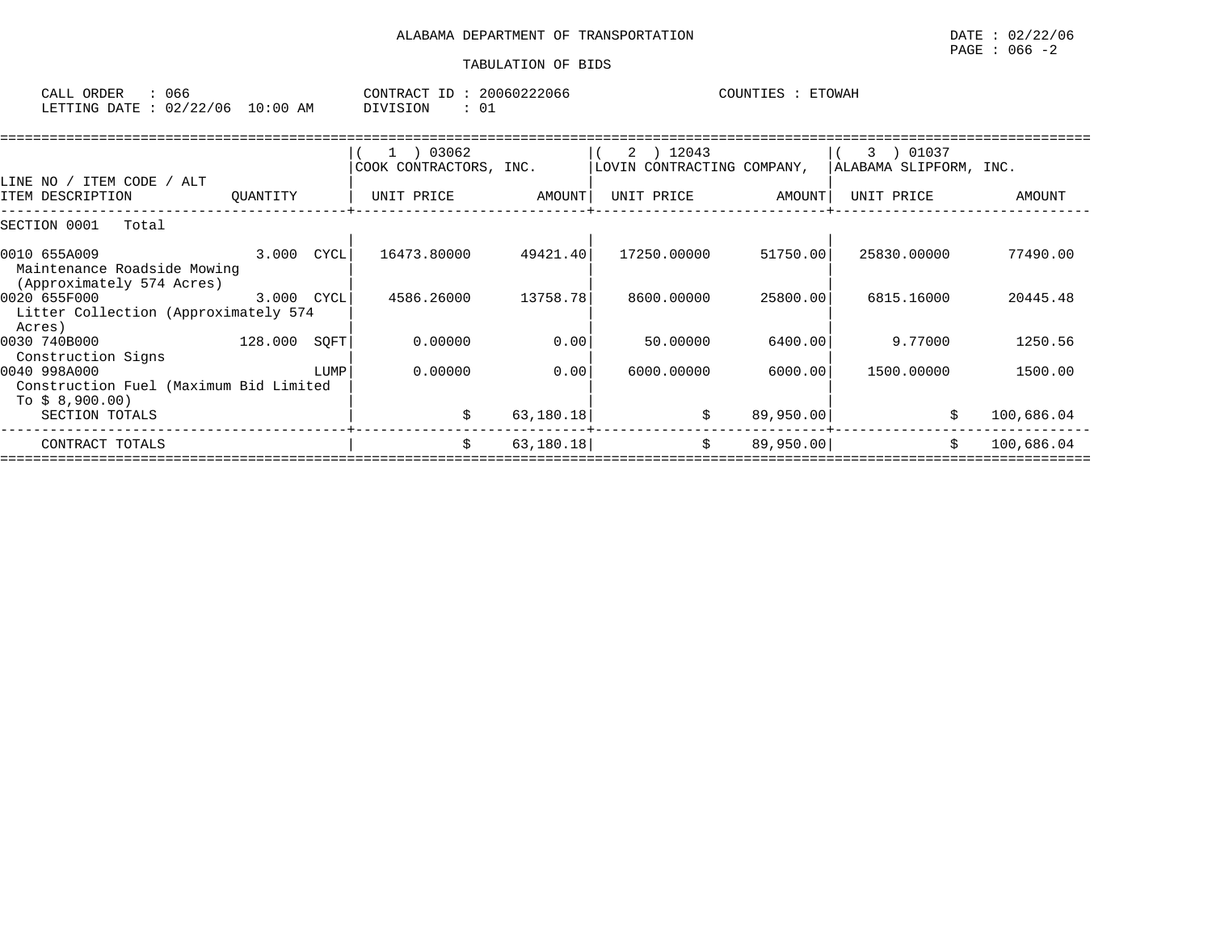| ORDER<br>CALL            | uor                                      |                   | CONTR<br>$\sqrt{2}$<br>RA A | TD. | 60222066<br>.161 | COUNTIES | <b>ETOWAH</b> |
|--------------------------|------------------------------------------|-------------------|-----------------------------|-----|------------------|----------|---------------|
| <b>LETTING</b><br>חד ברח | $\sim$ $\sim$<br>$\sqrt{2}$<br>106<br>◡▵ | L O<br>AΜ<br>፡ 00 | VISION<br>$\lambda$         |     | $\sim$<br>ഁഄ     |          |               |

|                                        |                |      | 1 ) 03062              |           | 2 ) 12043                  |           | 01037<br>3             |            |
|----------------------------------------|----------------|------|------------------------|-----------|----------------------------|-----------|------------------------|------------|
|                                        |                |      | COOK CONTRACTORS, INC. |           | LOVIN CONTRACTING COMPANY, |           | ALABAMA SLIPFORM, INC. |            |
| LINE NO / ITEM CODE / ALT              |                |      |                        |           |                            |           |                        |            |
| ITEM DESCRIPTION                       | QUANTITY       |      | UNIT PRICE             | AMOUNT    | UNIT PRICE                 | AMOUNT    | UNIT PRICE             | AMOUNT     |
| SECTION 0001<br>Total                  |                |      |                        |           |                            |           |                        |            |
| 0010 655A009                           | $3.000$ $CYCL$ |      | 16473.80000            | 49421.40  | 17250.00000                | 51750.00  | 25830.00000            | 77490.00   |
| Maintenance Roadside Mowing            |                |      |                        |           |                            |           |                        |            |
| (Approximately 574 Acres)              |                |      |                        |           |                            |           |                        |            |
| 0020 655F000                           | 3.000 CYCL     |      | 4586.26000             | 13758.78  | 8600,00000                 | 25800.00  | 6815.16000             | 20445.48   |
| Litter Collection (Approximately 574   |                |      |                        |           |                            |           |                        |            |
| Acres)                                 |                |      |                        |           |                            |           |                        |            |
| 0030 740B000                           | 128.000 SOFT   |      | 0.00000                | 0.00      | 50.00000                   | 6400.00   | 9.77000                | 1250.56    |
| Construction Signs                     |                |      |                        |           |                            |           |                        |            |
| 0040 998A000                           |                | LUMP | 0.00000                | 0.00      | 6000.00000                 | 6000.00   | 1500.00000             | 1500.00    |
| Construction Fuel (Maximum Bid Limited |                |      |                        |           |                            |           |                        |            |
| To $$8,900.00)$                        |                |      |                        |           |                            |           |                        |            |
| SECTION TOTALS                         |                |      | Ŝ.                     | 63,180.18 | \$                         | 89,950.00 |                        | 100,686.04 |
| CONTRACT TOTALS                        |                |      | \$                     | 63,180.18 | \$                         | 89,950.00 | Ŝ.                     | 100,686.04 |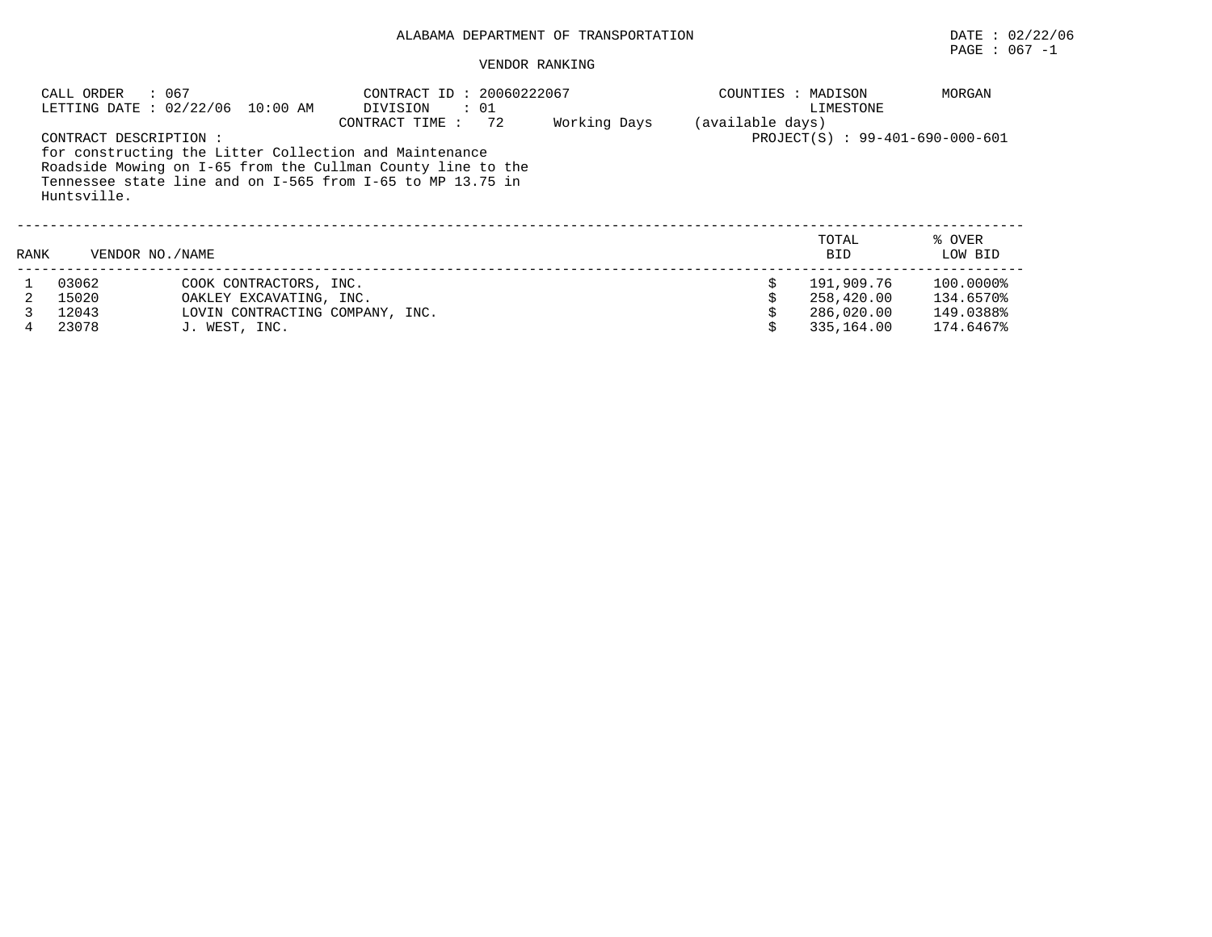|      | : 067<br>CALL ORDER                  | LETTING DATE : 02/22/06 10:00 AM                                                                      | CONTRACT ID: 20060222067<br>$\cdot$ 01<br>DIVISION<br>72<br>CONTRACT TIME:                                                                                                          | Working Days | COUNTIES : MADISON<br>(available days) | LIMESTONE                                            | MORGAN                                           |
|------|--------------------------------------|-------------------------------------------------------------------------------------------------------|-------------------------------------------------------------------------------------------------------------------------------------------------------------------------------------|--------------|----------------------------------------|------------------------------------------------------|--------------------------------------------------|
|      | CONTRACT DESCRIPTION:<br>Huntsville. |                                                                                                       | for constructing the Litter Collection and Maintenance<br>Roadside Mowing on I-65 from the Cullman County line to the<br>Tennessee state line and on I-565 from I-65 to MP 13.75 in |              |                                        | PROJECT(S) : 99-401-690-000-601                      |                                                  |
| RANK | VENDOR NO. / NAME                    |                                                                                                       |                                                                                                                                                                                     |              |                                        | TOTAL<br><b>BID</b>                                  | % OVER<br>LOW BID                                |
|      | 03062<br>15020<br>12043<br>23078     | COOK CONTRACTORS, INC.<br>OAKLEY EXCAVATING, INC.<br>LOVIN CONTRACTING COMPANY, INC.<br>J. WEST, INC. |                                                                                                                                                                                     |              |                                        | 191,909.76<br>258,420.00<br>286,020.00<br>335,164.00 | 100.0000%<br>134.6570%<br>149.0388%<br>174.6467% |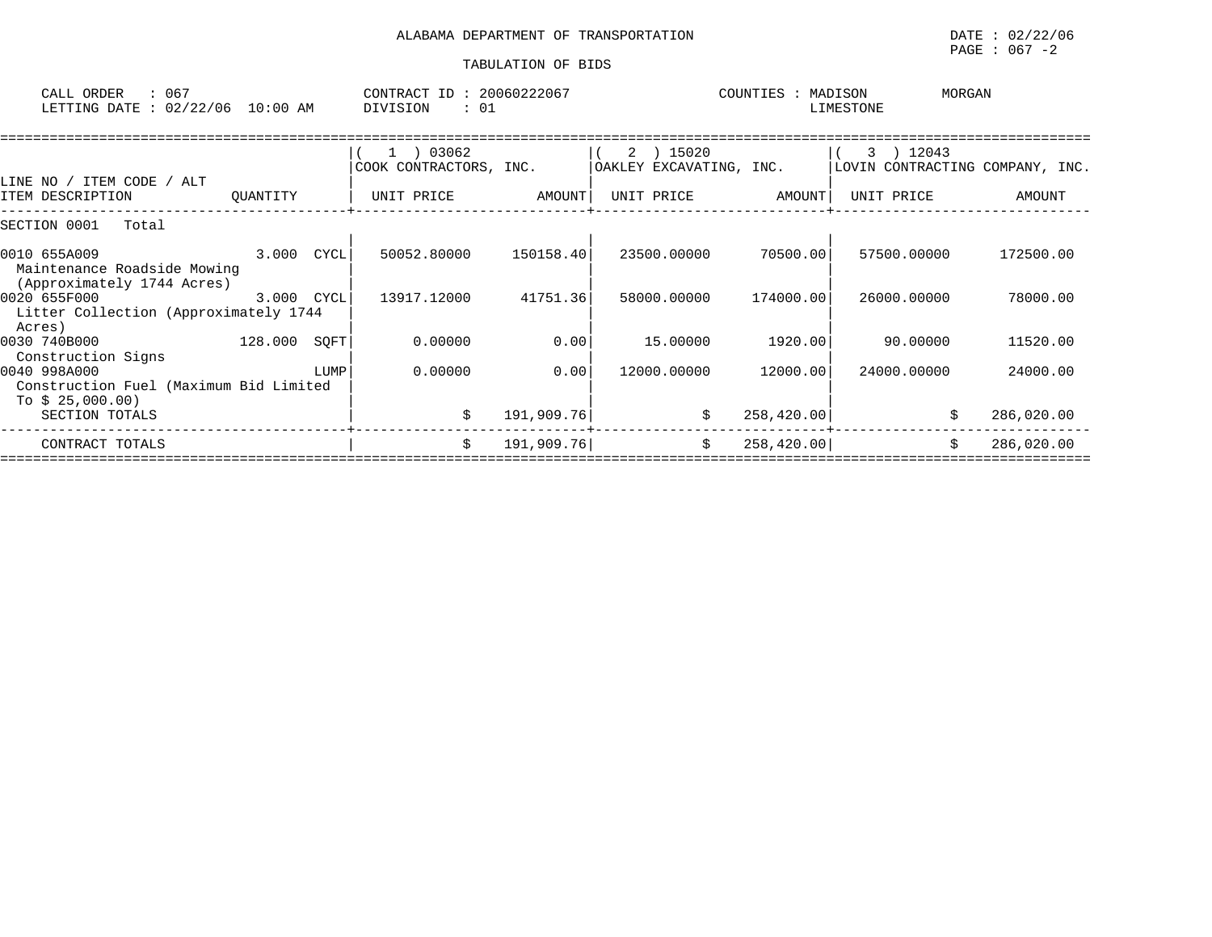| CALL ORDER<br>: 067<br>LETTING DATE : 02/22/06 10:00 AM                                           | CONTRACT ID: 20060222067<br>DIVISION<br>: 01 |            |                                      | COUNTIES : MADISON | MORGAN<br>LIMESTONE                          |            |
|---------------------------------------------------------------------------------------------------|----------------------------------------------|------------|--------------------------------------|--------------------|----------------------------------------------|------------|
| LINE NO / ITEM CODE / ALT                                                                         | COOK CONTRACTORS, INC.                       |            | 2 ) 15020<br>OAKLEY EXCAVATING, INC. |                    | 3 ) 12043<br>LOVIN CONTRACTING COMPANY, INC. |            |
| ITEM DESCRIPTION<br>QUANTITY                                                                      | UNIT PRICE                                   | AMOUNT     | UNIT PRICE                           | AMOUNT             | UNIT PRICE                                   | AMOUNT     |
| SECTION 0001<br>Total                                                                             |                                              |            |                                      |                    |                                              |            |
| $3.000$ $CYCL$<br>0010 655A009<br>Maintenance Roadside Mowing                                     | 50052.80000                                  | 150158.40  | 23500.00000                          | 70500.00           | 57500.00000                                  | 172500.00  |
| (Approximately 1744 Acres)<br>3.000 CYCL<br>0020 655F000<br>Litter Collection (Approximately 1744 | 13917.12000                                  | 41751.36   | 58000.00000                          | 174000.00          | 26000.00000                                  | 78000.00   |
| Acres)<br>$128.000$ SQFT<br>0030 740B000<br>Construction Signs                                    | 0.00000                                      | 0.00       | 15.00000                             | 1920.00            | 90.00000                                     | 11520.00   |
| 0040 998A000<br>LUMP<br>Construction Fuel (Maximum Bid Limited<br>To $$25,000.00)$                | 0.00000                                      | 0.00       | 12000.00000                          | 12000.00           | 24000.00000                                  | 24000.00   |
| SECTION TOTALS                                                                                    | \$                                           | 191,909.76 | \$                                   | 258, 420.00        | \$                                           | 286,020.00 |
| CONTRACT TOTALS                                                                                   | Ŝ.                                           | 191,909.76 | \$                                   | 258, 420.00        | Ŝ.                                           | 286,020.00 |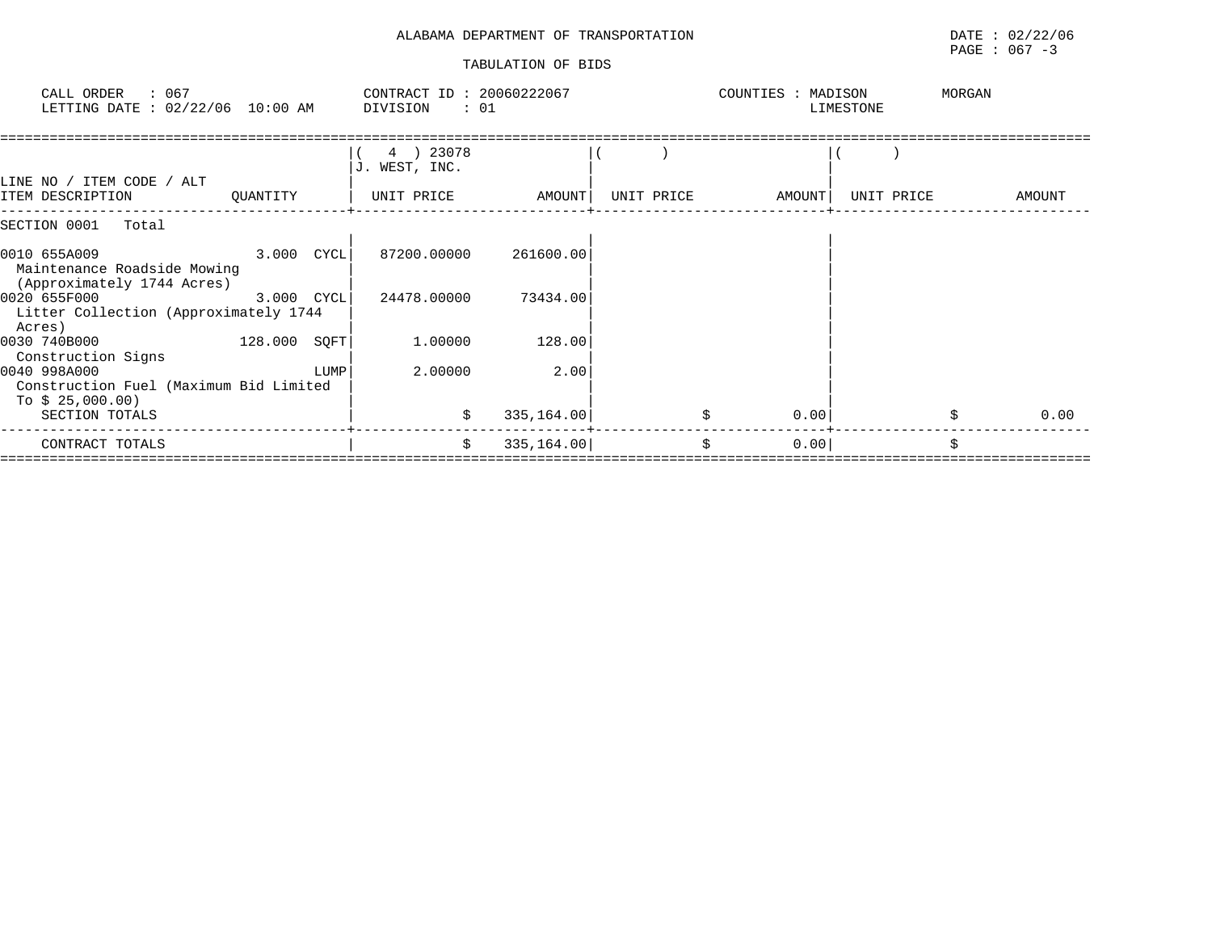| CALL ORDER<br>: 067<br>LETTING DATE : 02/22/06 10:00 AM                                   |                | CONTRACT ID: 20060222067<br>DIVISION | : 01        |            | COUNTIES : MADISON | LIMESTONE  | MORGAN |  |
|-------------------------------------------------------------------------------------------|----------------|--------------------------------------|-------------|------------|--------------------|------------|--------|--|
| LINE NO / ITEM CODE / ALT                                                                 |                | 4 ) 23078<br>J. WEST, INC.           |             |            |                    |            |        |  |
| ITEM DESCRIPTION<br>QUANTITY                                                              |                | UNIT PRICE                           | AMOUNT      | UNIT PRICE | AMOUNT             | UNIT PRICE | AMOUNT |  |
| SECTION 0001<br>Total                                                                     |                |                                      |             |            |                    |            |        |  |
| $3.000$ CYCL<br>0010 655A009<br>Maintenance Roadside Mowing<br>(Approximately 1744 Acres) |                | 87200.00000                          | 261600.00   |            |                    |            |        |  |
| 0020 655F000<br>Litter Collection (Approximately 1744<br>Acres)                           | $3.000$ $CYCL$ | 24478.00000                          | 73434.00    |            |                    |            |        |  |
| 0030 740B000<br>Construction Signs                                                        | 128.000 SOFT   | 1.00000                              | 128.00      |            |                    |            |        |  |
| 0040 998A000<br>Construction Fuel (Maximum Bid Limited<br>To $$25,000.00)$                | LUMP           | 2.00000                              | 2.00        |            |                    |            |        |  |
| SECTION TOTALS                                                                            |                | \$                                   | 335, 164.00 |            | 0.00               |            | 0.00   |  |
| CONTRACT TOTALS                                                                           |                | \$                                   | 335, 164.00 |            | \$<br>0.00         |            | \$     |  |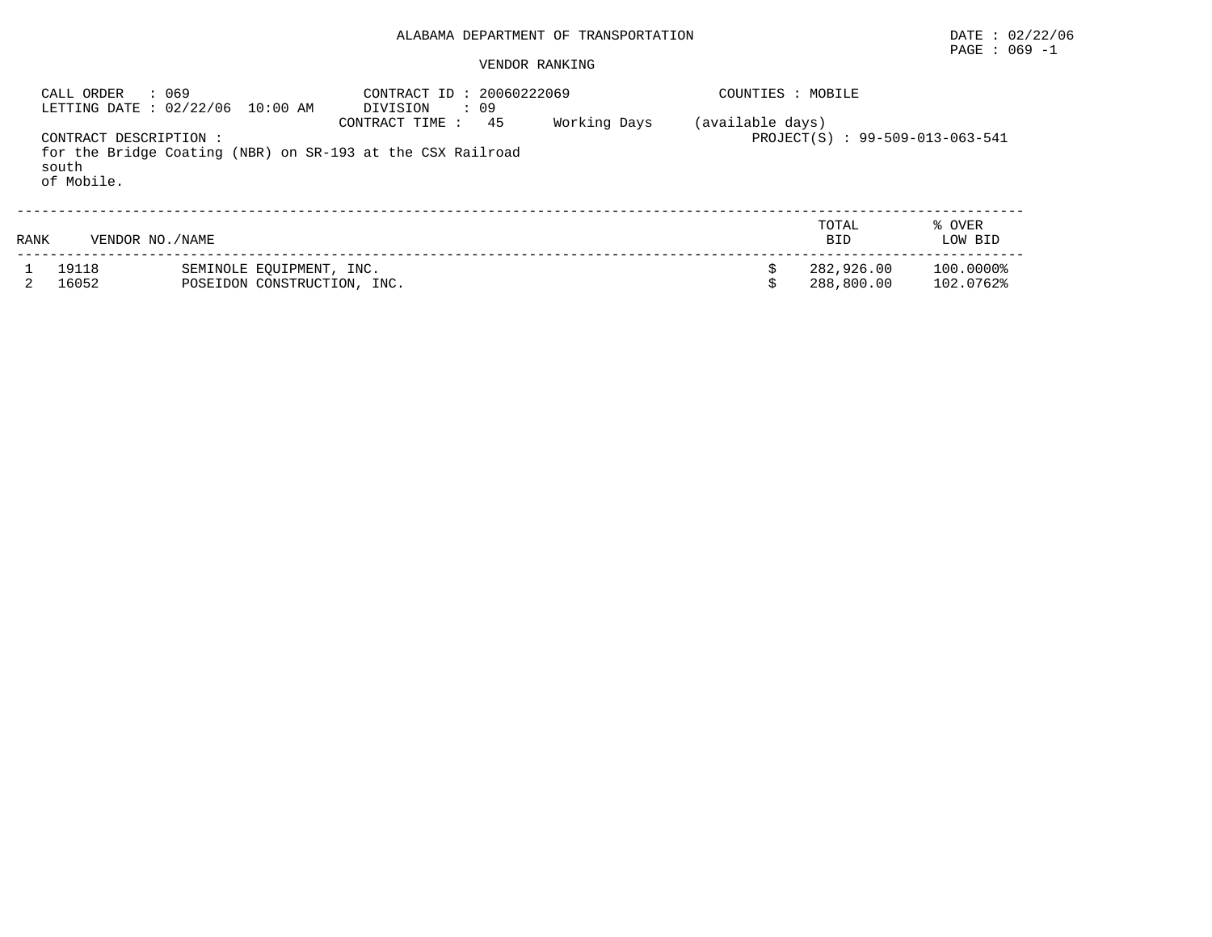# PAGE : 069 -1

| CALL ORDER                                    | : 069<br>LETTING DATE : 02/22/06 10:00 AM               | : 20060222069<br>CONTRACT ID<br>DIVISION<br>: 09                                    |              | COUNTIES : MOBILE |                                 |                        |
|-----------------------------------------------|---------------------------------------------------------|-------------------------------------------------------------------------------------|--------------|-------------------|---------------------------------|------------------------|
| CONTRACT DESCRIPTION :<br>south<br>of Mobile. |                                                         | 45<br>CONTRACT TIME :<br>for the Bridge Coating (NBR) on SR-193 at the CSX Railroad | Working Days | (available days)  | PROJECT(S) : 99-509-013-063-541 |                        |
| VENDOR NO. / NAME<br>RANK                     |                                                         |                                                                                     |              |                   | TOTAL<br><b>BID</b>             | % OVER<br>LOW BID      |
| 19118<br>16052                                | SEMINOLE EQUIPMENT, INC.<br>POSEIDON CONSTRUCTION, INC. |                                                                                     |              |                   | 282,926.00<br>288,800.00        | 100.0000%<br>102.0762% |